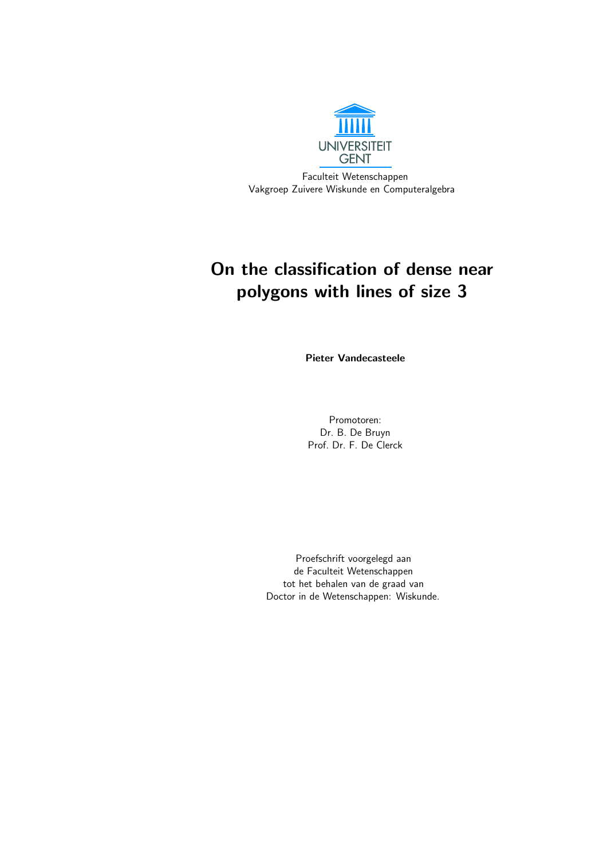

Faculteit Wetenschappen Vakgroep Zuivere Wiskunde en Computeralgebra

# On the classification of dense near polygons with lines of size 3

Pieter Vandecasteele

Promotoren: Dr. B. De Bruyn Prof. Dr. F. De Clerck

Proefschrift voorgelegd aan de Faculteit Wetenschappen tot het behalen van de graad van Doctor in de Wetenschappen: Wiskunde.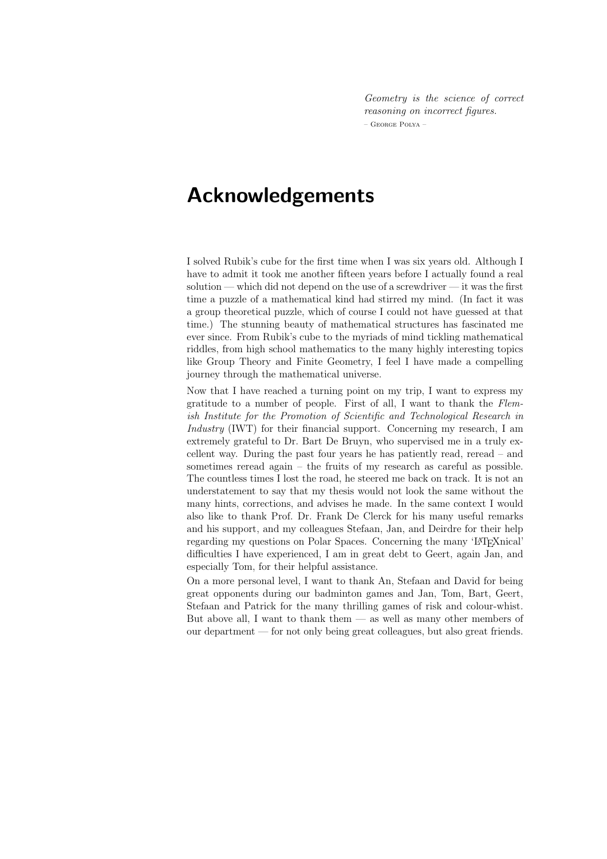Geometry is the science of correct reasoning on incorrect figures. – George Polya –

## Acknowledgements

I solved Rubik's cube for the first time when I was six years old. Although I have to admit it took me another fifteen years before I actually found a real solution — which did not depend on the use of a screwdriver — it was the first time a puzzle of a mathematical kind had stirred my mind. (In fact it was a group theoretical puzzle, which of course I could not have guessed at that time.) The stunning beauty of mathematical structures has fascinated me ever since. From Rubik's cube to the myriads of mind tickling mathematical riddles, from high school mathematics to the many highly interesting topics like Group Theory and Finite Geometry, I feel I have made a compelling journey through the mathematical universe.

Now that I have reached a turning point on my trip, I want to express my gratitude to a number of people. First of all, I want to thank the Flemish Institute for the Promotion of Scientific and Technological Research in Industry (IWT) for their financial support. Concerning my research, I am extremely grateful to Dr. Bart De Bruyn, who supervised me in a truly excellent way. During the past four years he has patiently read, reread – and sometimes reread again – the fruits of my research as careful as possible. The countless times I lost the road, he steered me back on track. It is not an understatement to say that my thesis would not look the same without the many hints, corrections, and advises he made. In the same context I would also like to thank Prof. Dr. Frank De Clerck for his many useful remarks and his support, and my colleagues Stefaan, Jan, and Deirdre for their help regarding my questions on Polar Spaces. Concerning the many 'LAT<sub>E</sub>Xnical' difficulties I have experienced, I am in great debt to Geert, again Jan, and especially Tom, for their helpful assistance.

On a more personal level, I want to thank An, Stefaan and David for being great opponents during our badminton games and Jan, Tom, Bart, Geert, Stefaan and Patrick for the many thrilling games of risk and colour-whist. But above all, I want to thank them — as well as many other members of our department — for not only being great colleagues, but also great friends.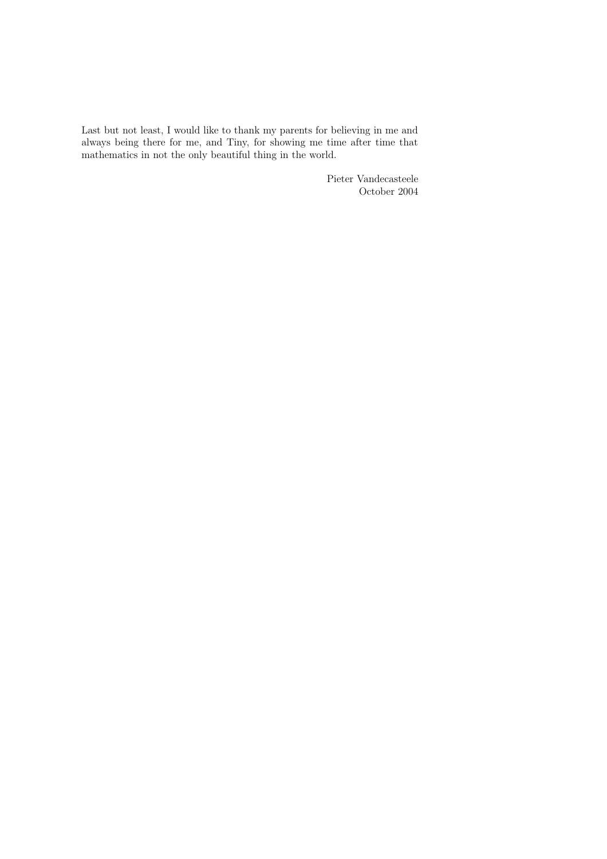Last but not least, I would like to thank my parents for believing in me and always being there for me, and Tiny, for showing me time after time that mathematics in not the only beautiful thing in the world.

> Pieter Vandecasteele October 2004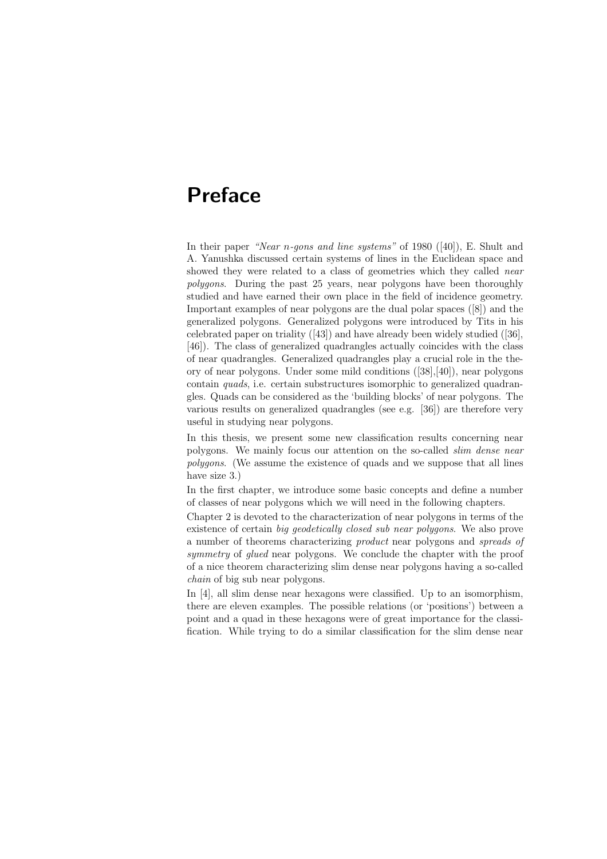## Preface

In their paper "Near n-gons and line systems" of 1980 ([40]), E. Shult and A. Yanushka discussed certain systems of lines in the Euclidean space and showed they were related to a class of geometries which they called *near* polygons. During the past 25 years, near polygons have been thoroughly studied and have earned their own place in the field of incidence geometry. Important examples of near polygons are the dual polar spaces ([8]) and the generalized polygons. Generalized polygons were introduced by Tits in his celebrated paper on triality ([43]) and have already been widely studied ([36], [46]). The class of generalized quadrangles actually coincides with the class of near quadrangles. Generalized quadrangles play a crucial role in the theory of near polygons. Under some mild conditions ([38],[40]), near polygons contain quads, i.e. certain substructures isomorphic to generalized quadrangles. Quads can be considered as the 'building blocks' of near polygons. The various results on generalized quadrangles (see e.g. [36]) are therefore very useful in studying near polygons.

In this thesis, we present some new classification results concerning near polygons. We mainly focus our attention on the so-called slim dense near polygons. (We assume the existence of quads and we suppose that all lines have size 3.)

In the first chapter, we introduce some basic concepts and define a number of classes of near polygons which we will need in the following chapters.

Chapter 2 is devoted to the characterization of near polygons in terms of the existence of certain big geodetically closed sub near polygons. We also prove a number of theorems characterizing product near polygons and spreads of symmetry of *glued* near polygons. We conclude the chapter with the proof of a nice theorem characterizing slim dense near polygons having a so-called chain of big sub near polygons.

In [4], all slim dense near hexagons were classified. Up to an isomorphism, there are eleven examples. The possible relations (or 'positions') between a point and a quad in these hexagons were of great importance for the classification. While trying to do a similar classification for the slim dense near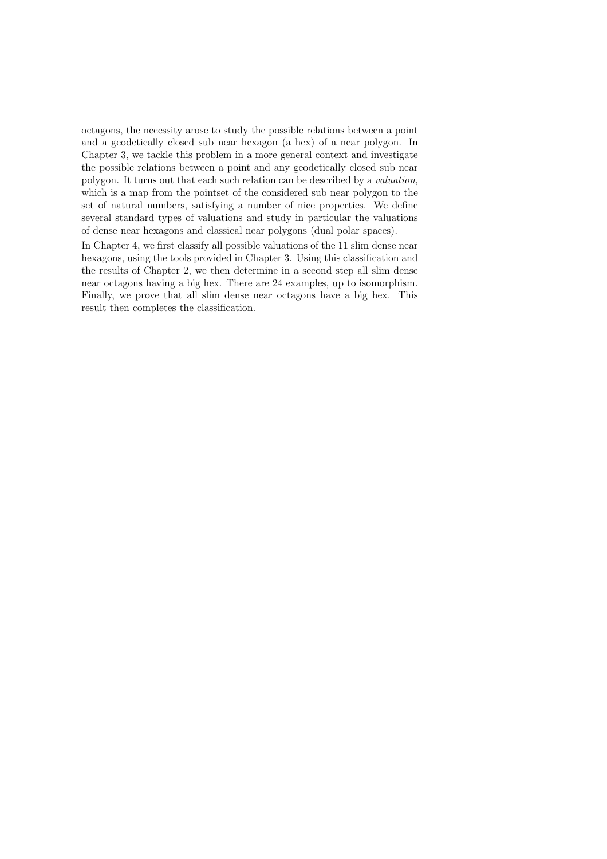octagons, the necessity arose to study the possible relations between a point and a geodetically closed sub near hexagon (a hex) of a near polygon. In Chapter 3, we tackle this problem in a more general context and investigate the possible relations between a point and any geodetically closed sub near polygon. It turns out that each such relation can be described by a valuation, which is a map from the pointset of the considered sub near polygon to the set of natural numbers, satisfying a number of nice properties. We define several standard types of valuations and study in particular the valuations of dense near hexagons and classical near polygons (dual polar spaces).

In Chapter 4, we first classify all possible valuations of the 11 slim dense near hexagons, using the tools provided in Chapter 3. Using this classification and the results of Chapter 2, we then determine in a second step all slim dense near octagons having a big hex. There are 24 examples, up to isomorphism. Finally, we prove that all slim dense near octagons have a big hex. This result then completes the classification.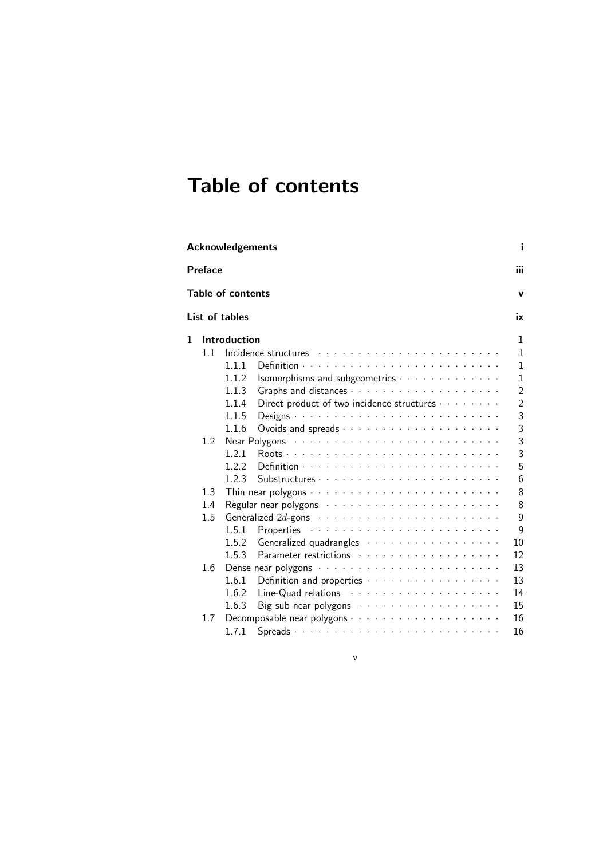# Table of contents

|   |                | <b>Acknowledgements</b> |                                                            | i              |
|---|----------------|-------------------------|------------------------------------------------------------|----------------|
|   | <b>Preface</b> |                         |                                                            | iii            |
|   |                | Table of contents       |                                                            | v              |
|   |                | List of tables          |                                                            | ix             |
| 1 |                | <b>Introduction</b>     |                                                            | 1              |
|   | 1.1            |                         | .<br>Incidence structures                                  | $\mathbf{1}$   |
|   |                | 1.1.1                   |                                                            | $\mathbf{1}$   |
|   |                | 1.1.2                   | Isomorphisms and subgeometries                             | $\mathbf{1}$   |
|   |                | 1.1.3                   |                                                            | $\overline{2}$ |
|   |                | 1.1.4                   | Direct product of two incidence structures · · · · · · · · | $\overline{2}$ |
|   |                | 1.1.5                   |                                                            | 3              |
|   |                | 1.1.6                   |                                                            | 3              |
|   | 1.2            |                         |                                                            | 3              |
|   |                | 1.2.1                   |                                                            | 3              |
|   |                | 1.2.2                   |                                                            | 5              |
|   |                | 1.2.3                   |                                                            | $\overline{6}$ |
|   | 1.3            |                         |                                                            | 8              |
|   | 1.4            |                         | Regular near polygons ························             | 8              |
|   | 1.5            |                         | Generalized 2d-gons ·························              | 9              |
|   |                | 1.5.1                   |                                                            | 9              |
|   |                | 1.5.2                   | Generalized quadrangles                                    | 10             |
|   |                | 1.5.3                   | Parameter restrictions                                     | 12             |
|   | 1.6            |                         | Dense near polygons ·························              | 13             |
|   |                | 1.6.1                   | Definition and properties                                  | 13             |
|   |                | 1.6.2                   |                                                            | 14             |
|   |                | 1.6.3                   | Big sub near polygons ···················                  | 15             |
|   | 1.7            |                         |                                                            | 16             |
|   |                | 1.7.1                   |                                                            | 16             |

v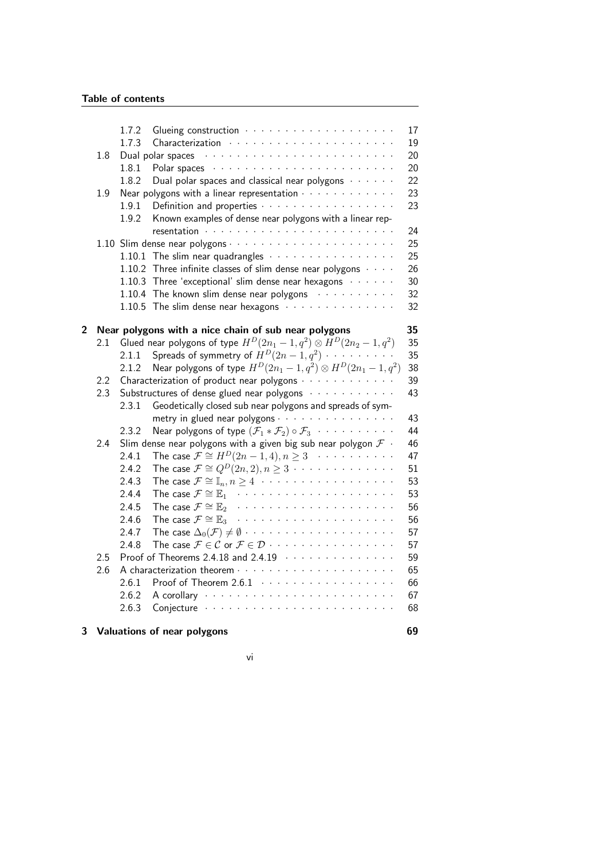### Table of contents

|              |     | 1.7.2                                                                           |                                                                                                                                                                 | 17       |  |  |  |
|--------------|-----|---------------------------------------------------------------------------------|-----------------------------------------------------------------------------------------------------------------------------------------------------------------|----------|--|--|--|
|              |     | 1.7.3                                                                           |                                                                                                                                                                 | 19       |  |  |  |
|              | 1.8 |                                                                                 | Dual polar spaces (and a series of the series of the series of the series of the series of the series of the s                                                  | 20       |  |  |  |
|              |     | 1.8.1                                                                           | Polar spaces                                                                                                                                                    | 20       |  |  |  |
|              |     | 1.8.2                                                                           | Dual polar spaces and classical near polygons $\cdots \cdots$                                                                                                   | 22       |  |  |  |
|              | 1.9 |                                                                                 | Near polygons with a linear representation · · · · · · · · · · · · ·                                                                                            | 23       |  |  |  |
|              |     | 1.9.1                                                                           | Definition and properties                                                                                                                                       | 23       |  |  |  |
|              |     | 1.9.2                                                                           | Known examples of dense near polygons with a linear rep-                                                                                                        |          |  |  |  |
|              |     |                                                                                 |                                                                                                                                                                 | 24       |  |  |  |
|              |     |                                                                                 |                                                                                                                                                                 | 25       |  |  |  |
|              |     |                                                                                 | 1.10.1 The slim near quadrangles $\cdots$                                                                                                                       | 25       |  |  |  |
|              |     |                                                                                 | 1.10.2 Three infinite classes of slim dense near polygons $\cdots$                                                                                              | 26       |  |  |  |
|              |     |                                                                                 | 1.10.3 Three 'exceptional' slim dense near hexagons $\cdots$                                                                                                    | 30       |  |  |  |
|              |     |                                                                                 | 1.10.4 The known slim dense near polygons were contacted                                                                                                        | 32       |  |  |  |
|              |     |                                                                                 | 1.10.5 The slim dense near hexagons $\cdots$                                                                                                                    | 32       |  |  |  |
| $\mathbf{2}$ |     |                                                                                 | Near polygons with a nice chain of sub near polygons                                                                                                            | 35       |  |  |  |
|              | 2.1 |                                                                                 | Glued near polygons of type $H^D(2n_1-1,q^2)\otimes H^D(2n_2-1,q^2)$                                                                                            | 35       |  |  |  |
|              |     | 2.1.1                                                                           | Spreads of symmetry of $H^D(2n-1,q^2) \cdot \cdot \cdot \cdot \cdot \cdot$                                                                                      | 35       |  |  |  |
|              |     | 2.1.2                                                                           | Near polygons of type $H^D(2n_1-1,q^2)\otimes H^D(2n_1-1,q^2)$                                                                                                  | 38       |  |  |  |
|              | 2.2 |                                                                                 | Characterization of product near polygons                                                                                                                       | 39       |  |  |  |
|              | 2.3 |                                                                                 | Substructures of dense glued near polygons $\cdots$                                                                                                             | 43       |  |  |  |
|              |     | 2.3.1                                                                           | Geodetically closed sub near polygons and spreads of sym-                                                                                                       |          |  |  |  |
|              |     |                                                                                 | metry in glued near polygons                                                                                                                                    | 43       |  |  |  |
|              |     | 2.3.2                                                                           | Near polygons of type $(\mathcal{F}_1 * \mathcal{F}_2) \circ \mathcal{F}_3 \cdot \cdot \cdot \cdot \cdot \cdot \cdot \cdot \cdot$                               | 44<br>46 |  |  |  |
|              | 2.4 | Slim dense near polygons with a given big sub near polygon $\mathcal F$ $\cdot$ |                                                                                                                                                                 |          |  |  |  |
|              |     | 2.4.1                                                                           | The case $\mathcal{F} \cong H^D(2n-1, 4), n \geq 3 \cdots \cdots$                                                                                               | 47       |  |  |  |
|              |     | 2.4.2                                                                           | The case $\mathcal{F} \cong Q^D(2n,2), n \geq 3 \cdot \cdot \cdot \cdot \cdot \cdot \cdot \cdot \cdot \cdot \cdot \cdot$                                        | 51       |  |  |  |
|              |     | 2.4.3                                                                           | The case $\mathcal{F} \cong \mathbb{I}_n, n \geq 4 \cdot \cdot \cdot \cdot \cdot \cdot \cdot \cdot \cdot \cdot \cdot \cdot \cdot \cdot \cdot \cdot \cdot \cdot$ | 53       |  |  |  |
|              |     | 2.4.4                                                                           | The case $\mathcal{F} \cong \mathbb{E}_1$                                                                                                                       | 53       |  |  |  |
|              |     | 2.4.5                                                                           | The case $\mathcal{F} \cong \mathbb{E}_2$                                                                                                                       | 56       |  |  |  |
|              |     | 2.4.6                                                                           | The case $\mathcal{F} \cong \mathbb{E}_3$                                                                                                                       | 56       |  |  |  |
|              |     | 2.4.7                                                                           | The case $\Delta_0(\mathcal{F}) \neq \emptyset$                                                                                                                 | 57       |  |  |  |
|              |     | 2.4.8                                                                           | The case $\mathcal{F} \in \mathcal{C}$ or $\mathcal{F} \in \mathcal{D}$                                                                                         | 57       |  |  |  |
|              | 2.5 |                                                                                 | Proof of Theorems 2.4.18 and $2.4.19 \cdot \cdot \cdot \cdot \cdot \cdot \cdot \cdot \cdot \cdot \cdot \cdot \cdot \cdot$                                       | 59       |  |  |  |
|              | 2.6 |                                                                                 |                                                                                                                                                                 | 65       |  |  |  |
|              |     | 2.6.1                                                                           | Proof of Theorem 2.6.1                                                                                                                                          | 66       |  |  |  |
|              |     | 2.6.2                                                                           |                                                                                                                                                                 | 67       |  |  |  |
|              |     | 2.6.3                                                                           |                                                                                                                                                                 | 68       |  |  |  |
| 3            |     |                                                                                 | Valuations of near polygons                                                                                                                                     | 69       |  |  |  |

vi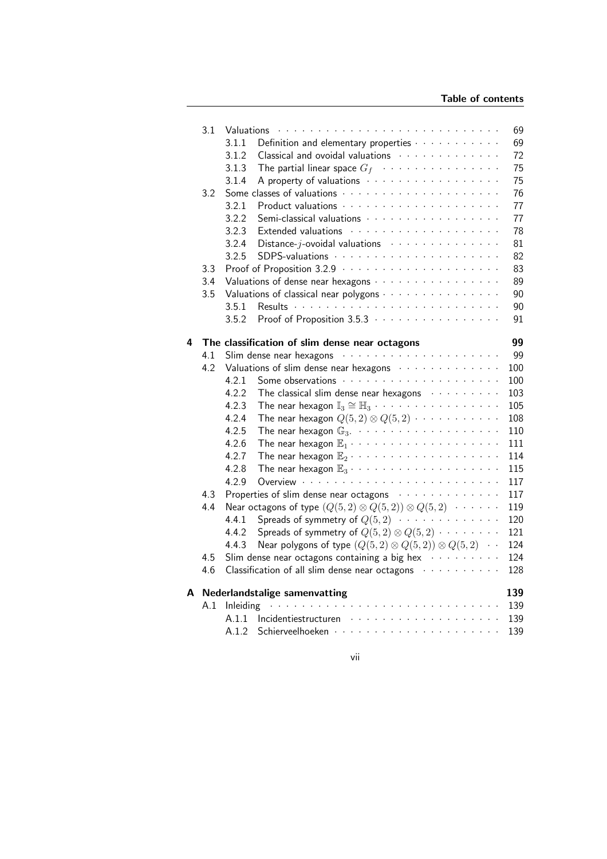|   | 3.1 |           |                                                                                                                                                    | 69  |
|---|-----|-----------|----------------------------------------------------------------------------------------------------------------------------------------------------|-----|
|   |     | 3.1.1     | Definition and elementary properties                                                                                                               | 69  |
|   |     | 3.1.2     | Classical and ovoidal valuations                                                                                                                   | 72  |
|   |     | 3.1.3     | The partial linear space $G_f \cdot \cdot \cdot \cdot \cdot \cdot \cdot \cdot \cdot \cdot \cdot \cdot \cdot \cdot$                                 | 75  |
|   |     | 3.1.4     | A property of valuations                                                                                                                           | 75  |
|   | 3.2 |           |                                                                                                                                                    | 76  |
|   |     | 3.2.1     |                                                                                                                                                    | 77  |
|   |     | 3.2.2     | Semi-classical valuations                                                                                                                          | 77  |
|   |     | 3.2.3     |                                                                                                                                                    | 78  |
|   |     | 3.2.4     | Distance-j-ovoidal valuations $\cdots$                                                                                                             | 81  |
|   |     | 3.2.5     |                                                                                                                                                    | 82  |
|   | 3.3 |           |                                                                                                                                                    | 83  |
|   | 3.4 |           | Valuations of dense near hexagons                                                                                                                  | 89  |
|   | 3.5 |           | Valuations of classical near polygons                                                                                                              | 90  |
|   |     | 3.5.1     |                                                                                                                                                    | 90  |
|   |     | 3.5.2     | Proof of Proposition 3.5.3 · · · · · · · · · · · · · · · · · ·                                                                                     | 91  |
| 4 |     |           | The classification of slim dense near octagons                                                                                                     | 99  |
|   | 4.1 |           |                                                                                                                                                    | 99  |
|   | 4.2 |           | Valuations of slim dense near hexagons www.www.www.we                                                                                              | 100 |
|   |     | 4.2.1     |                                                                                                                                                    | 100 |
|   |     | 4.2.2     | The classical slim dense near hexagons $\cdots$                                                                                                    | 103 |
|   |     | 4.2.3     | The near hexagon $\mathbb{I}_3 \cong \mathbb{H}_3 \cdot \cdot \cdot \cdot \cdot \cdot \cdot \cdot \cdot \cdot \cdot \cdot \cdot \cdot \cdot \cdot$ | 105 |
|   |     | 4.2.4     | The near hexagon $Q(5,2) \otimes Q(5,2) \cdot \cdot \cdot \cdot \cdot \cdot \cdot \cdot \cdot$                                                     | 108 |
|   |     | 4.2.5     | The near hexagon $\mathbb{G}_3$ . $\cdots$ $\cdots$ $\cdots$ $\cdots$ $\cdots$ $\cdots$ $\cdots$                                                   | 110 |
|   |     | 4.2.6     |                                                                                                                                                    | 111 |
|   |     | 4.2.7     |                                                                                                                                                    | 114 |
|   |     | 4.2.8     |                                                                                                                                                    | 115 |
|   |     | 4.2.9     |                                                                                                                                                    | 117 |
|   | 4.3 |           | Properties of slim dense near octagons were assessed in the set of such a set of the Properties of S                                               | 117 |
|   | 4.4 |           | Near octagons of type $(Q(5,2) \otimes Q(5,2)) \otimes Q(5,2) \cdot \cdot \cdot \cdot$                                                             | 119 |
|   |     | 4.4.1     | Spreads of symmetry of $Q(5,2) \cdot \cdot \cdot \cdot \cdot \cdot \cdot \cdot \cdot \cdot \cdot$                                                  | 120 |
|   |     | 4.4.2     | Spreads of symmetry of $Q(5,2) \otimes Q(5,2) \cdot \cdot \cdot \cdot \cdot \cdot$                                                                 | 121 |
|   |     | 4.4.3     | Near polygons of type $(Q(5,2) \otimes Q(5,2)) \otimes Q(5,2) \cdot \cdot \cdot$                                                                   | 124 |
|   | 4.5 |           | Slim dense near octagons containing a big hex $\cdots$                                                                                             | 124 |
|   | 4.6 |           | Classification of all slim dense near octagons with the state of                                                                                   | 128 |
| A |     |           | <b>Nederlandstalige samenvatting</b>                                                                                                               | 139 |
|   | A.1 | Inleiding |                                                                                                                                                    | 139 |
|   |     | A.1.1     |                                                                                                                                                    | 139 |
|   |     | A.1.2     |                                                                                                                                                    | 139 |
|   |     |           |                                                                                                                                                    |     |

vii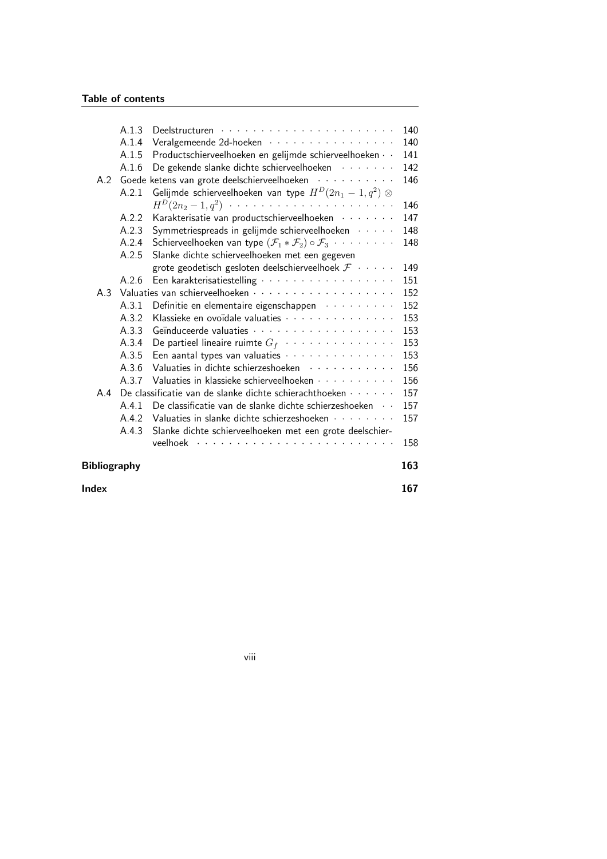|                     | A.1.3   |                                                                                                                     | 140 |
|---------------------|---------|---------------------------------------------------------------------------------------------------------------------|-----|
|                     | A.1.4   | Veralgemeende 2d-hoeken ·················                                                                           | 140 |
|                     | A.1.5   | Productschierveelhoeken en gelijmde schierveelhoeken · ·                                                            | 141 |
|                     | A.1.6   | De gekende slanke dichte schierveelhoeken voorwoord                                                                 | 142 |
| A.2                 |         | Goede ketens van grote deelschierveelhoeken voorwoorde ketens van de                                                | 146 |
|                     | A.2.1   | Gelijmde schierveelhoeken van type $H^D(2n_1-1,q^2) \otimes$                                                        | 146 |
|                     | A.2.2   | Karakterisatie van productschierveelhoeken varaar van de                                                            | 147 |
|                     | A.2.3   | Symmetriespreads in gelijmde schierveelhoeken voor                                                                  | 148 |
|                     | A.2.4   | Schierveelhoeken van type $(\mathcal{F}_1 * \mathcal{F}_2) \circ \mathcal{F}_3 \cdot \cdot \cdot \cdot \cdot \cdot$ | 148 |
|                     | A.2.5   | Slanke dichte schierveelhoeken met een gegeven                                                                      |     |
|                     |         | grote geodetisch gesloten deelschierveelhoek $\mathcal{F}$ $\cdots$ $\cdots$                                        | 149 |
|                     | A.2.6   |                                                                                                                     | 151 |
| A.3                 |         |                                                                                                                     | 152 |
|                     | A.3.1   | Definitie en elementaire eigenschappen ··········                                                                   | 152 |
|                     | A.3.2   | Klassieke en ovoïdale valuaties · · · · · · · · · · · · · · · ·                                                     | 153 |
|                     | A.3.3   |                                                                                                                     | 153 |
|                     | A.3.4   | De partieel lineaire ruimte $G_f \cdot \cdot \cdot \cdot \cdot \cdot \cdot \cdot \cdot \cdot \cdot \cdot \cdot$     | 153 |
|                     | A.3.5   | Een aantal types van valuaties $\cdots$                                                                             | 153 |
|                     | A.3.6   | Valuaties in dichte schierzeshoeken                                                                                 | 156 |
|                     | A.3.7   | Valuaties in klassieke schierveelhoeken · · · · · · · · · · ·                                                       | 156 |
| A.4                 |         | De classificatie van de slanke dichte schierachthoeken · · · · · ·                                                  | 157 |
|                     | $A$ 4.1 | De classificatie van de slanke dichte schierzeshoeken · ·                                                           | 157 |
|                     |         | A.4.2 Valuaties in slanke dichte schierzeshoeken · · · · · · · ·                                                    | 157 |
|                     | A.4.3   | Slanke dichte schierveelhoeken met een grote deelschier-                                                            |     |
|                     |         | veelhoek                                                                                                            | 158 |
| <b>Bibliography</b> |         |                                                                                                                     | 163 |
| Index               |         |                                                                                                                     | 167 |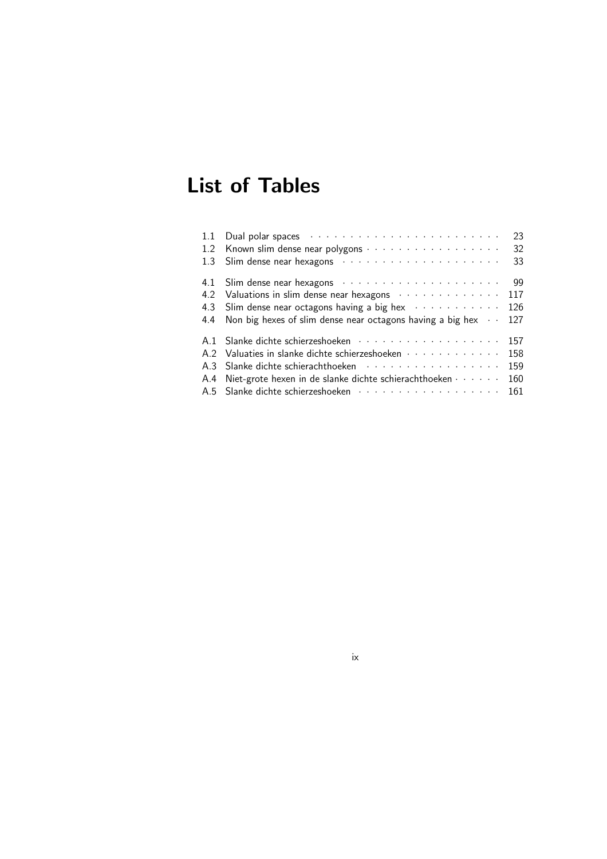# List of Tables

| 1.1 Dual polar spaces $\cdots$ $\cdots$ $\cdots$ $\cdots$ $\cdots$ $\cdots$ $\cdots$ $\cdots$                                                                                                                                  | 23  |
|--------------------------------------------------------------------------------------------------------------------------------------------------------------------------------------------------------------------------------|-----|
|                                                                                                                                                                                                                                | 32  |
| 1.3 Slim dense near hexagons volumes and such a subset of the set of the set of the set of the set of the set of the set of the set of the set of the set of the set of the set of the set of the set of the set of the set of | 33  |
| 4.1 Slim dense near hexagons contracts of the state of the system of the state of the state of the state of the state of the state of the state of the state of the state of the state of the state of the state of the state  |     |
| 4.2 Valuations in slim dense near hexagons were well as vertex and 117                                                                                                                                                         |     |
| 4.3 Slim dense near octagons having a big hex contract of the 126                                                                                                                                                              |     |
| 4.4 Non big hexes of slim dense near octagons having a big hex $\cdots$                                                                                                                                                        | 127 |
| A.1 Slanke dichte schierzeshoeken voor voor voor voor voor voor von                                                                                                                                                            | 157 |
| A.2 Valuaties in slanke dichte schierzeshoeken · · · · · · · · · · · · · ·                                                                                                                                                     | 158 |
| A.3 Slanke dichte schierachthoeken                                                                                                                                                                                             | 159 |
| A.4 Niet-grote hexen in de slanke dichte schierachthoeken $\cdots$                                                                                                                                                             | 160 |
| A.5 Slanke dichte schierzeshoeken ····················                                                                                                                                                                         | 161 |
|                                                                                                                                                                                                                                |     |

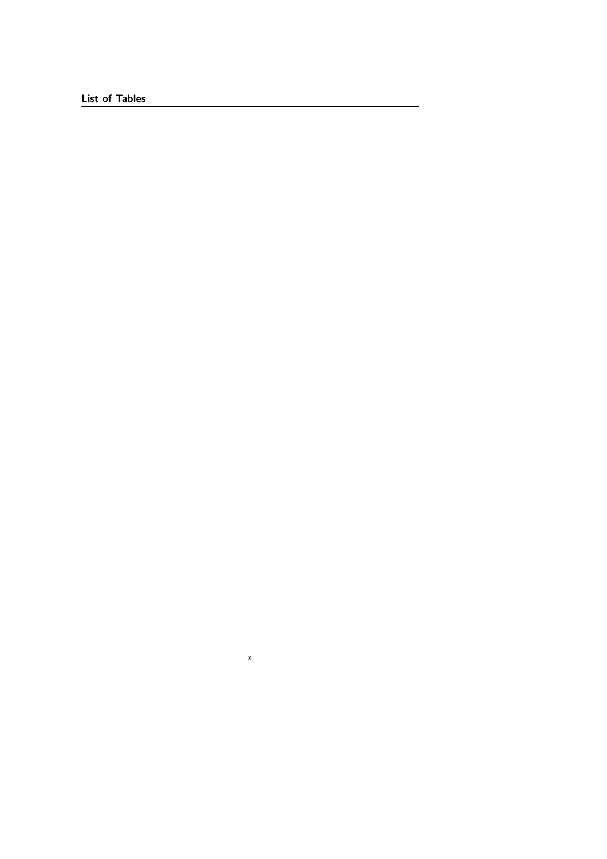List of Tables

x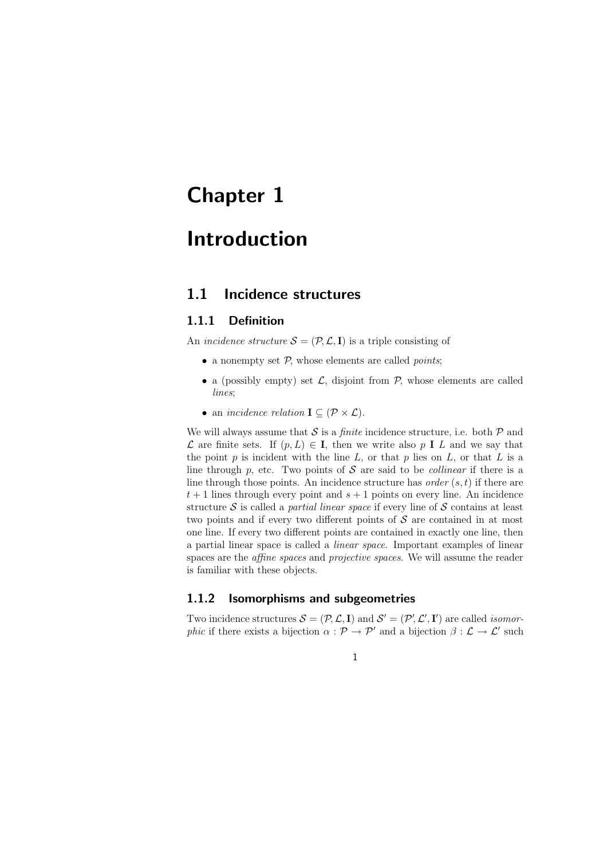# Chapter 1

# Introduction

### 1.1 Incidence structures

### 1.1.1 Definition

An *incidence structure*  $S = (\mathcal{P}, \mathcal{L}, I)$  is a triple consisting of

- a nonempty set  $P$ , whose elements are called *points*;
- a (possibly empty) set  $\mathcal{L}$ , disjoint from  $\mathcal{P}$ , whose elements are called lines;
- an *incidence relation*  $I \subseteq (\mathcal{P} \times \mathcal{L})$ .

We will always assume that  $\mathcal S$  is a *finite* incidence structure, i.e. both  $\mathcal P$  and  $\mathcal L$  are finite sets. If  $(p, L)$  ∈ I, then we write also p I L and we say that the point  $p$  is incident with the line  $L$ , or that  $p$  lies on  $L$ , or that  $L$  is a line through p, etc. Two points of  $S$  are said to be *collinear* if there is a line through those points. An incidence structure has *order*  $(s, t)$  if there are  $t + 1$  lines through every point and  $s + 1$  points on every line. An incidence structure  $S$  is called a *partial linear space* if every line of  $S$  contains at least two points and if every two different points of  $S$  are contained in at most one line. If every two different points are contained in exactly one line, then a partial linear space is called a linear space. Important examples of linear spaces are the affine spaces and projective spaces. We will assume the reader is familiar with these objects.

### 1.1.2 Isomorphisms and subgeometries

Two incidence structures  $S = (\mathcal{P}, \mathcal{L}, I)$  and  $\mathcal{S}' = (\mathcal{P}', \mathcal{L}', I')$  are called *isomorphic* if there exists a bijection  $\alpha$  :  $\mathcal{P} \to \mathcal{P}'$  and a bijection  $\beta$  :  $\mathcal{L} \to \mathcal{L}'$  such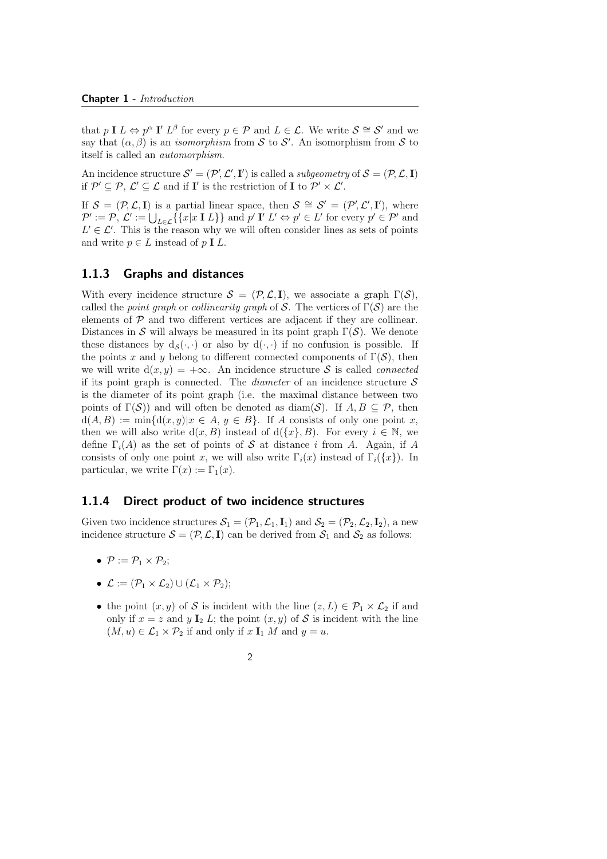that p **I**  $L \Leftrightarrow p^{\alpha}$  **I'**  $L^{\beta}$  for every  $p \in \mathcal{P}$  and  $L \in \mathcal{L}$ . We write  $\mathcal{S} \cong \mathcal{S}'$  and we say that  $(\alpha, \beta)$  is an *isomorphism* from S to S'. An isomorphism from S to itself is called an automorphism.

An incidence structure  $\mathcal{S}' = (\mathcal{P}', \mathcal{L}', \mathbf{I}')$  is called a *subgeometry* of  $\mathcal{S} = (\mathcal{P}, \mathcal{L}, \mathbf{I})$ if  $\mathcal{P}' \subseteq \mathcal{P}, \mathcal{L}' \subseteq \mathcal{L}$  and if **I'** is the restriction of **I** to  $\mathcal{P}' \times \mathcal{L}'$ .

If  $S = (\mathcal{P}, \mathcal{L}, I)$  is a partial linear space, then  $S \cong S' = (\mathcal{P}', \mathcal{L}', I')$ , where  $\mathcal{P}' := \mathcal{P}, \mathcal{L}' := \bigcup_{L \in \mathcal{L}} \{ \{x | x \mathbf{I} L\} \}$  and  $p' \mathbf{I}' L' \Leftrightarrow p' \in L'$  for every  $p' \in \mathcal{P}'$  and  $L' \in \mathcal{L}'$ . This is the reason why we will often consider lines as sets of points and write  $p \in L$  instead of p **I** L.

### 1.1.3 Graphs and distances

With every incidence structure  $S = (\mathcal{P}, \mathcal{L}, I)$ , we associate a graph  $\Gamma(\mathcal{S})$ , called the *point graph* or *collinearity graph* of S. The vertices of  $\Gamma(S)$  are the elements of  $P$  and two different vertices are adjacent if they are collinear. Distances in S will always be measured in its point graph  $\Gamma(\mathcal{S})$ . We denote these distances by  $d_S(\cdot, \cdot)$  or also by  $d(\cdot, \cdot)$  if no confusion is possible. If the points x and y belong to different connected components of  $\Gamma(\mathcal{S})$ , then we will write  $d(x, y) = +\infty$ . An incidence structure S is called *connected* if its point graph is connected. The *diameter* of an incidence structure  $S$ is the diameter of its point graph (i.e. the maximal distance between two points of  $\Gamma(\mathcal{S})$  and will often be denoted as diam( $\mathcal{S}$ ). If  $A, B \subseteq \mathcal{P}$ , then  $d(A, B) := min{d(x, y)|x \in A, y \in B}.$  If A consists of only one point x, then we will also write  $d(x, B)$  instead of  $d({x}, B)$ . For every  $i \in \mathbb{N}$ , we define  $\Gamma_i(A)$  as the set of points of S at distance i from A. Again, if A consists of only one point x, we will also write  $\Gamma_i(x)$  instead of  $\Gamma_i({x})$ . In particular, we write  $\Gamma(x) := \Gamma_1(x)$ .

### 1.1.4 Direct product of two incidence structures

Given two incidence structures  $S_1 = (\mathcal{P}_1, \mathcal{L}_1, I_1)$  and  $S_2 = (\mathcal{P}_2, \mathcal{L}_2, I_2)$ , a new incidence structure  $S = (\mathcal{P}, \mathcal{L}, I)$  can be derived from  $S_1$  and  $S_2$  as follows:

- $P := \mathcal{P}_1 \times \mathcal{P}_2$ ;
- $\mathcal{L} := (\mathcal{P}_1 \times \mathcal{L}_2) \cup (\mathcal{L}_1 \times \mathcal{P}_2);$
- the point  $(x, y)$  of S is incident with the line  $(z, L) \in \mathcal{P}_1 \times \mathcal{L}_2$  if and only if  $x = z$  and  $y \mathbf{I}_2 L$ ; the point  $(x, y)$  of  $S$  is incident with the line  $(M, u) \in \mathcal{L}_1 \times \mathcal{P}_2$  if and only if x  $\mathbf{I}_1$  M and  $y = u$ .
	- $\mathfrak{D}$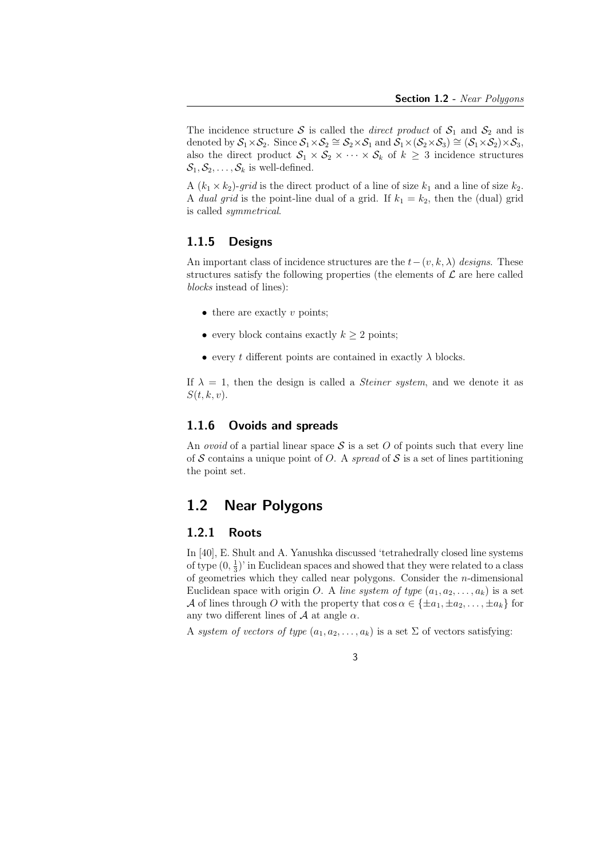The incidence structure S is called the *direct product* of  $S_1$  and  $S_2$  and is denoted by  $S_1 \times S_2$ . Since  $S_1 \times S_2 \cong S_2 \times S_1$  and  $S_1 \times (S_2 \times S_3) \cong (S_1 \times S_2) \times S_3$ , also the direct product  $S_1 \times S_2 \times \cdots \times S_k$  of  $k \geq 3$  incidence structures  $\mathcal{S}_1, \mathcal{S}_2, \ldots, \mathcal{S}_k$  is well-defined.

A  $(k_1 \times k_2)$ -grid is the direct product of a line of size  $k_1$  and a line of size  $k_2$ . A *dual grid* is the point-line dual of a grid. If  $k_1 = k_2$ , then the (dual) grid is called symmetrical.

### 1.1.5 Designs

An important class of incidence structures are the  $t-(v, k, \lambda)$  designs. These structures satisfy the following properties (the elements of  $\mathcal L$  are here called blocks instead of lines):

- $\bullet$  there are exactly v points;
- every block contains exactly  $k \geq 2$  points;
- every t different points are contained in exactly  $\lambda$  blocks.

If  $\lambda = 1$ , then the design is called a *Steiner system*, and we denote it as  $S(t, k, v)$ .

### 1.1.6 Ovoids and spreads

An *ovoid* of a partial linear space  $S$  is a set O of points such that every line of S contains a unique point of O. A spread of S is a set of lines partitioning the point set.

### 1.2 Near Polygons

### 1.2.1 Roots

In [40], E. Shult and A. Yanushka discussed 'tetrahedrally closed line systems of type  $(0, \frac{1}{3})$ ' in Euclidean spaces and showed that they were related to a class of geometries which they called near polygons. Consider the  $n$ -dimensional Euclidean space with origin O. A line system of type  $(a_1, a_2, \ldots, a_k)$  is a set A of lines through O with the property that  $\cos \alpha \in {\pm a_1, \pm a_2, \ldots, \pm a_k}$  for any two different lines of  $A$  at angle  $\alpha$ .

A system of vectors of type  $(a_1, a_2, \ldots, a_k)$  is a set  $\Sigma$  of vectors satisfying: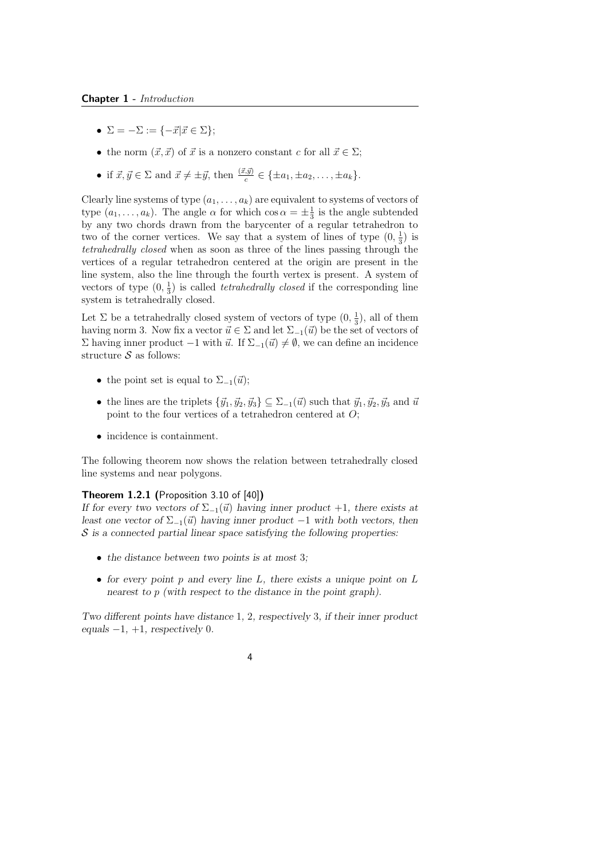- $\Sigma = -\Sigma := \{-\vec{x} | \vec{x} \in \Sigma\};$
- the norm  $(\vec{x}, \vec{x})$  of  $\vec{x}$  is a nonzero constant c for all  $\vec{x} \in \Sigma$ ;
- if  $\vec{x}, \vec{y} \in \Sigma$  and  $\vec{x} \neq \pm \vec{y}$ , then  $\frac{(\vec{x}, \vec{y})}{c} \in {\{\pm a_1, \pm a_2, \ldots, \pm a_k\}}$ .

Clearly line systems of type  $(a_1, \ldots, a_k)$  are equivalent to systems of vectors of type  $(a_1, \ldots, a_k)$ . The angle  $\alpha$  for which  $\cos \alpha = \pm \frac{1}{3}$  is the angle subtended by any two chords drawn from the barycenter of a regular tetrahedron to two of the corner vertices. We say that a system of lines of type  $(0, \frac{1}{3})$  is tetrahedrally closed when as soon as three of the lines passing through the vertices of a regular tetrahedron centered at the origin are present in the line system, also the line through the fourth vertex is present. A system of vectors of type  $(0, \frac{1}{3})$  is called *tetrahedrally closed* if the corresponding line system is tetrahedrally closed.

Let  $\Sigma$  be a tetrahedrally closed system of vectors of type  $(0, \frac{1}{3})$ , all of them having norm 3. Now fix a vector  $\vec{u} \in \Sigma$  and let  $\Sigma_{-1}(\vec{u})$  be the set of vectors of Σ having inner product  $-1$  with  $\vec{u}$ . If  $\Sigma_{-1}(\vec{u}) \neq \emptyset$ , we can define an incidence structure  $S$  as follows:

- the point set is equal to  $\Sigma_{-1}(\vec{u});$
- the lines are the triplets  $\{\vec{y}_1, \vec{y}_2, \vec{y}_3\} \subseteq \Sigma_{-1}(\vec{u})$  such that  $\vec{y}_1, \vec{y}_2, \vec{y}_3$  and  $\vec{u}$ point to the four vertices of a tetrahedron centered at  $O$ ;
- incidence is containment.

The following theorem now shows the relation between tetrahedrally closed line systems and near polygons.

#### Theorem 1.2.1 (Proposition 3.10 of [40])

If for every two vectors of  $\Sigma_{-1}(\vec{u})$  having inner product +1, there exists at least one vector of  $\Sigma_{-1}(\vec{u})$  having inner product  $-1$  with both vectors, then  $S$  is a connected partial linear space satisfying the following properties:

- the distance between two points is at most 3;
- for every point  $p$  and every line  $L$ , there exists a unique point on  $L$ nearest to p (with respect to the distance in the point graph).

Two different points have distance 1, 2, respectively 3, if their inner product equals  $-1$ ,  $+1$ , respectively 0.

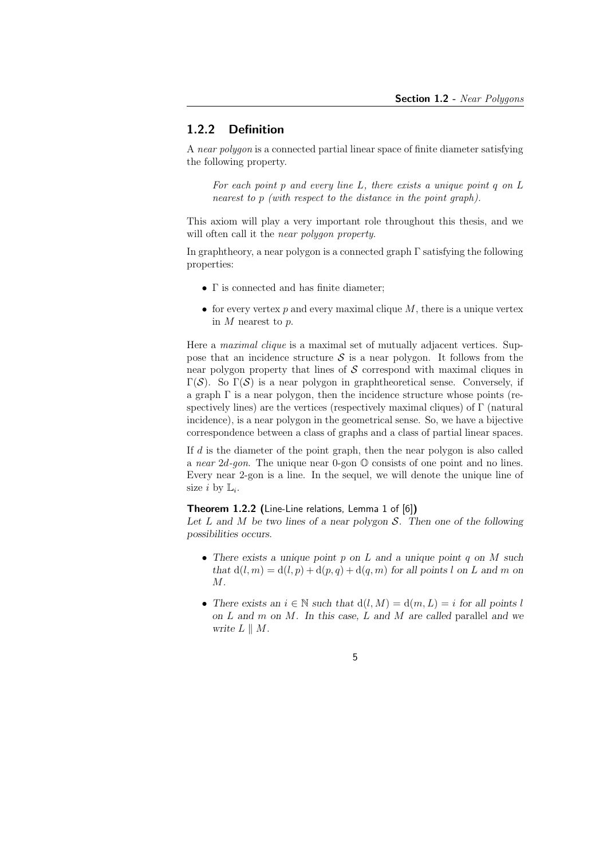### 1.2.2 Definition

A near polygon is a connected partial linear space of finite diameter satisfying the following property.

For each point  $p$  and every line  $L$ , there exists a unique point  $q$  on  $L$ nearest to p (with respect to the distance in the point graph).

This axiom will play a very important role throughout this thesis, and we will often call it the *near polygon property*.

In graphtheory, a near polygon is a connected graph  $\Gamma$  satisfying the following properties:

- Γ is connected and has finite diameter;
- for every vertex  $p$  and every maximal clique  $M$ , there is a unique vertex in M nearest to p.

Here a *maximal clique* is a maximal set of mutually adjacent vertices. Suppose that an incidence structure  $\mathcal S$  is a near polygon. It follows from the near polygon property that lines of  $S$  correspond with maximal cliques in Γ(S). So Γ(S) is a near polygon in graphtheoretical sense. Conversely, if a graph  $\Gamma$  is a near polygon, then the incidence structure whose points (respectively lines) are the vertices (respectively maximal cliques) of  $\Gamma$  (natural incidence), is a near polygon in the geometrical sense. So, we have a bijective correspondence between a class of graphs and a class of partial linear spaces.

If  $d$  is the diameter of the point graph, then the near polygon is also called a near 2d-gon. The unique near 0-gon O consists of one point and no lines. Every near 2-gon is a line. In the sequel, we will denote the unique line of size *i* by  $\mathbb{L}_i$ .

### Theorem 1.2.2 (Line-Line relations, Lemma 1 of [6])

Let  $L$  and  $M$  be two lines of a near polygon  $S$ . Then one of the following possibilities occurs.

- There exists a unique point  $p$  on  $L$  and a unique point  $q$  on  $M$  such that  $d(l, m) = d(l, p) + d(p, q) + d(q, m)$  for all points l on L and m on M.
- There exists an  $i \in \mathbb{N}$  such that  $d(l, M) = d(m, L) = i$  for all points l on  $L$  and  $m$  on  $M$ . In this case,  $L$  and  $M$  are called parallel and we write  $L \parallel M$ .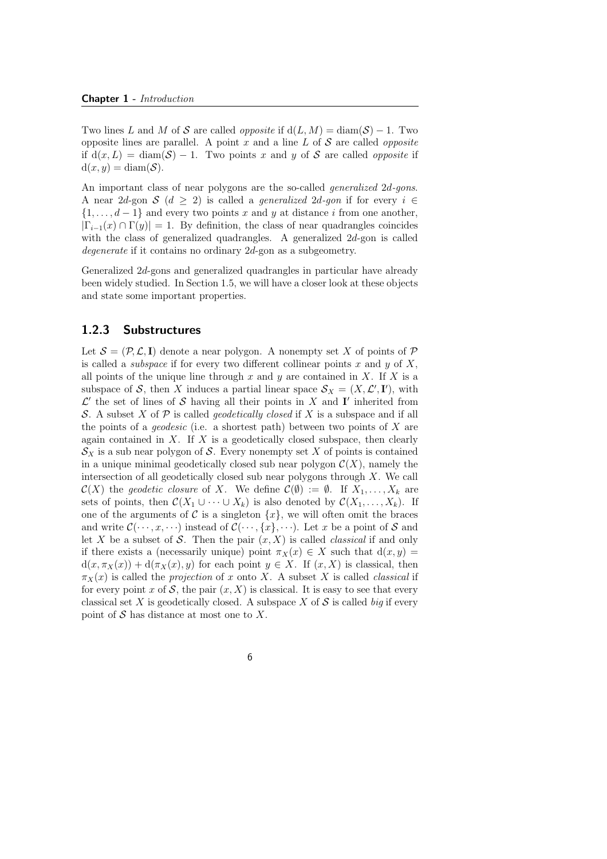Two lines L and M of S are called *opposite* if  $d(L, M) = diam(S) - 1$ . Two opposite lines are parallel. A point x and a line L of  $S$  are called *opposite* if  $d(x, L) = \text{diam}(\mathcal{S}) - 1$ . Two points x and y of S are called *opposite* if  $d(x, y) = diam(S)$ .

An important class of near polygons are the so-called *generalized*  $2d$ -gons. A near 2d-gon S ( $d \geq 2$ ) is called a *generalized* 2d-gon if for every  $i \in$  $\{1, \ldots, d-1\}$  and every two points x and y at distance i from one another,  $|\Gamma_{i-1}(x) \cap \Gamma(y)| = 1$ . By definition, the class of near quadrangles coincides with the class of generalized quadrangles. A generalized  $2d$ -gon is called degenerate if it contains no ordinary 2d-gon as a subgeometry.

Generalized 2d-gons and generalized quadrangles in particular have already been widely studied. In Section 1.5, we will have a closer look at these objects and state some important properties.

### 1.2.3 Substructures

Let  $\mathcal{S} = (\mathcal{P}, \mathcal{L}, I)$  denote a near polygon. A nonempty set X of points of  $\mathcal{P}$ is called a *subspace* if for every two different collinear points x and y of X, all points of the unique line through x and y are contained in X. If X is a subspace of S, then X induces a partial linear space  $S_X = (X, \mathcal{L}', \mathbf{I}')$ , with  $\mathcal{L}'$  the set of lines of S having all their points in X and I' inherited from S. A subset X of P is called *geodetically closed* if X is a subspace and if all the points of a *geodesic* (i.e. a shortest path) between two points of  $X$  are again contained in  $X$ . If  $X$  is a geodetically closed subspace, then clearly  $\mathcal{S}_X$  is a sub near polygon of S. Every nonempty set X of points is contained in a unique minimal geodetically closed sub near polygon  $C(X)$ , namely the intersection of all geodetically closed sub near polygons through  $X$ . We call  $\mathcal{C}(X)$  the geodetic closure of X. We define  $\mathcal{C}(\emptyset) := \emptyset$ . If  $X_1, \ldots, X_k$  are sets of points, then  $C(X_1 \cup \cdots \cup X_k)$  is also denoted by  $C(X_1, \ldots, X_k)$ . If one of the arguments of C is a singleton  $\{x\}$ , we will often omit the braces and write  $\mathcal{C}(\cdots,x,\cdots)$  instead of  $\mathcal{C}(\cdots,\{x\},\cdots)$ . Let x be a point of S and let X be a subset of S. Then the pair  $(x, X)$  is called *classical* if and only if there exists a (necessarily unique) point  $\pi_X(x) \in X$  such that  $d(x, y) =$  $d(x, \pi_X(x)) + d(\pi_X(x), y)$  for each point  $y \in X$ . If  $(x, X)$  is classical, then  $\pi_X(x)$  is called the *projection* of x onto X. A subset X is called *classical* if for every point x of S, the pair  $(x, X)$  is classical. It is easy to see that every classical set X is geodetically closed. A subspace X of  $S$  is called big if every point of  $S$  has distance at most one to  $X$ .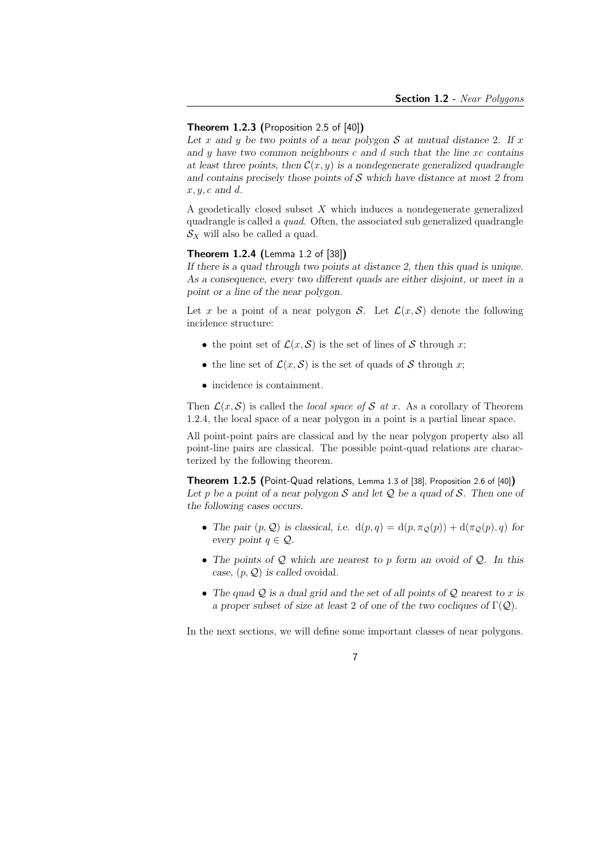### Theorem 1.2.3 (Proposition 2.5 of [40])

Let x and y be two points of a near polygon  $S$  at mutual distance 2. If x and y have two common neighbours  $c$  and  $d$  such that the line  $xc$  contains at least three points, then  $\mathcal{C}(x, y)$  is a nondegenerate generalized quadrangle and contains precisely those points of  $S$  which have distance at most 2 from  $x, y, c$  and d.

A geodetically closed subset  $X$  which induces a nondegenerate generalized quadrangle is called a quad. Often, the associated sub generalized quadrangle  $\mathcal{S}_X$  will also be called a quad.

#### Theorem 1.2.4 (Lemma 1.2 of [38])

If there is a quad through two points at distance 2, then this quad is unique. As a consequence, every two different quads are either disjoint, or meet in a point or a line of the near polygon.

Let x be a point of a near polygon S. Let  $\mathcal{L}(x, \mathcal{S})$  denote the following incidence structure:

- the point set of  $\mathcal{L}(x, \mathcal{S})$  is the set of lines of S through x;
- the line set of  $\mathcal{L}(x, \mathcal{S})$  is the set of quads of S through x;
- incidence is containment.

Then  $\mathcal{L}(x, \mathcal{S})$  is called the *local space of* S at x. As a corollary of Theorem 1.2.4, the local space of a near polygon in a point is a partial linear space.

All point-point pairs are classical and by the near polygon property also all point-line pairs are classical. The possible point-quad relations are characterized by the following theorem.

Theorem 1.2.5 (Point-Quad relations, Lemma 1.3 of [38], Proposition 2.6 of [40]) Let p be a point of a near polygon  $S$  and let  $Q$  be a quad of  $S$ . Then one of the following cases occurs.

- The pair  $(p, Q)$  is classical, i.e.  $d(p, q) = d(p, \pi_Q(p)) + d(\pi_Q(p), q)$  for every point  $q \in \mathcal{Q}$ .
- The points of  $Q$  which are nearest to p form an ovoid of  $Q$ . In this case,  $(p, Q)$  is called ovoidal.
- The quad  $Q$  is a dual grid and the set of all points of  $Q$  nearest to x is a proper subset of size at least 2 of one of the two cocliques of  $\Gamma(\mathcal{Q})$ .

In the next sections, we will define some important classes of near polygons.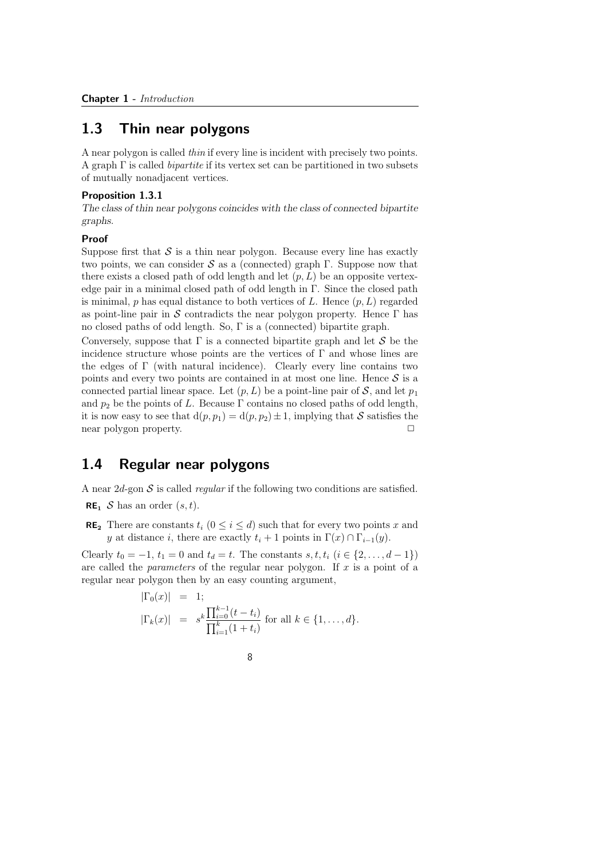### 1.3 Thin near polygons

A near polygon is called thin if every line is incident with precisely two points. A graph  $\Gamma$  is called *bipartite* if its vertex set can be partitioned in two subsets of mutually nonadjacent vertices.

### Proposition 1.3.1

The class of thin near polygons coincides with the class of connected bipartite graphs.

### Proof

Suppose first that  $S$  is a thin near polygon. Because every line has exactly two points, we can consider  $\mathcal S$  as a (connected) graph  $\Gamma$ . Suppose now that there exists a closed path of odd length and let  $(p, L)$  be an opposite vertexedge pair in a minimal closed path of odd length in Γ. Since the closed path is minimal,  $p$  has equal distance to both vertices of  $L$ . Hence  $(p, L)$  regarded as point-line pair in S contradicts the near polygon property. Hence  $\Gamma$  has no closed paths of odd length. So, Γ is a (connected) bipartite graph.

Conversely, suppose that  $\Gamma$  is a connected bipartite graph and let S be the incidence structure whose points are the vertices of  $\Gamma$  and whose lines are the edges of  $\Gamma$  (with natural incidence). Clearly every line contains two points and every two points are contained in at most one line. Hence  $S$  is a connected partial linear space. Let  $(p, L)$  be a point-line pair of S, and let  $p_1$ and  $p_2$  be the points of L. Because Γ contains no closed paths of odd length, it is now easy to see that  $d(p, p_1) = d(p, p_2) \pm 1$ , implying that S satisfies the near polygon property near polygon property.

### 1.4 Regular near polygons

A near  $2d$ -gon S is called *regular* if the following two conditions are satisfied.

**RE<sub>1</sub>** S has an order  $(s,t)$ .

**RE<sub>2</sub>** There are constants  $t_i$  ( $0 \le i \le d$ ) such that for every two points x and y at distance i, there are exactly  $t_i + 1$  points in  $\Gamma(x) \cap \Gamma_{i-1}(y)$ .

Clearly  $t_0 = -1$ ,  $t_1 = 0$  and  $t_d = t$ . The constants  $s, t, t_i$   $(i \in \{2, ..., d-1\})$ are called the *parameters* of the regular near polygon. If  $x$  is a point of a regular near polygon then by an easy counting argument,

$$
|\Gamma_0(x)| = 1;
$$
  
\n $|\Gamma_k(x)| = s^k \frac{\prod_{i=0}^{k-1} (t - t_i)}{\prod_{i=1}^k (1 + t_i)}$  for all  $k \in \{1, ..., d\}.$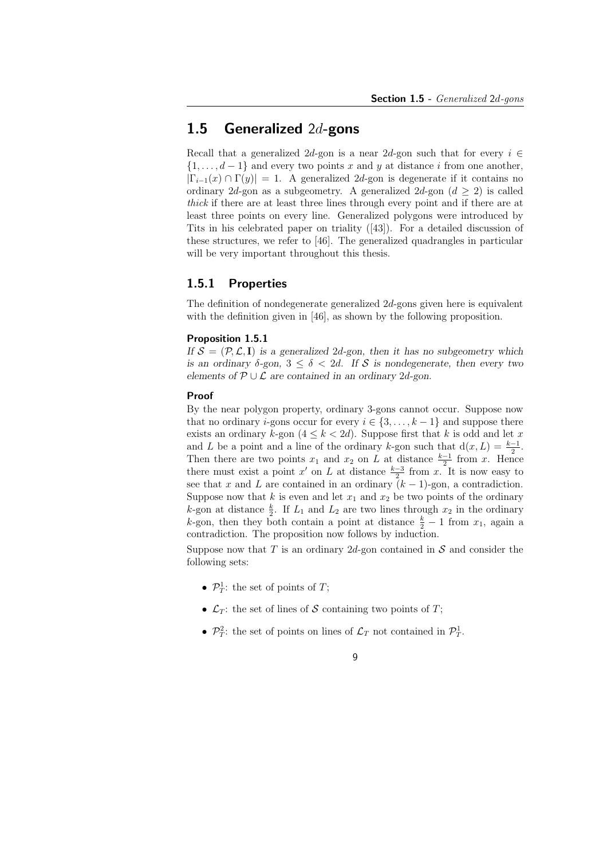### 1.5 Generalized  $2d$ -gons

Recall that a generalized 2d-gon is a near 2d-gon such that for every  $i \in$  $\{1, \ldots, d-1\}$  and every two points x and y at distance i from one another,  $|\Gamma_{i-1}(x) \cap \Gamma(y)| = 1$ . A generalized 2d-gon is degenerate if it contains no ordinary 2d-gon as a subgeometry. A generalized 2d-gon  $(d \ge 2)$  is called thick if there are at least three lines through every point and if there are at least three points on every line. Generalized polygons were introduced by Tits in his celebrated paper on triality ([43]). For a detailed discussion of these structures, we refer to [46]. The generalized quadrangles in particular will be very important throughout this thesis.

### 1.5.1 Properties

The definition of nondegenerate generalized 2d-gons given here is equivalent with the definition given in [46], as shown by the following proposition.

### Proposition 1.5.1

If  $S = (\mathcal{P}, \mathcal{L}, I)$  is a generalized 2d-gon, then it has no subgeometry which is an ordinary  $\delta$ -gon,  $3 \leq \delta \leq 2d$ . If S is nondegenerate, then every two elements of  $\mathcal{P} \cup \mathcal{L}$  are contained in an ordinary 2d-gon.

### Proof

By the near polygon property, ordinary 3-gons cannot occur. Suppose now that no ordinary *i*-gons occur for every  $i \in \{3, \ldots, k-1\}$  and suppose there exists an ordinary k-gon  $(4 \leq k < 2d)$ . Suppose first that k is odd and let x and L be a point and a line of the ordinary k-gon such that  $d(x, L) = \frac{k-1}{2}$ . Then there are two points  $x_1$  and  $x_2$  on L at distance  $\frac{k-1}{2}$  from x. Hence there must exist a point  $x'$  on L at distance  $\frac{k-3}{2}$  from  $x$ . It is now easy to see that x and L are contained in an ordinary  $(k-1)$ -gon, a contradiction. Suppose now that k is even and let  $x_1$  and  $x_2$  be two points of the ordinary k-gon at distance  $\frac{k}{2}$ . If  $L_1$  and  $L_2$  are two lines through  $x_2$  in the ordinary k-gon, then they both contain a point at distance  $\frac{k}{2} - 1$  from  $x_1$ , again a contradiction. The proposition now follows by induction.

Suppose now that T is an ordinary  $2d$ -gon contained in S and consider the following sets:

- $\mathcal{P}_T^1$ : the set of points of T;
- $\mathcal{L}_T$ : the set of lines of S containing two points of T;
- $\mathcal{P}_T^2$ : the set of points on lines of  $\mathcal{L}_T$  not contained in  $\mathcal{P}_T^1$ .

 $\overline{Q}$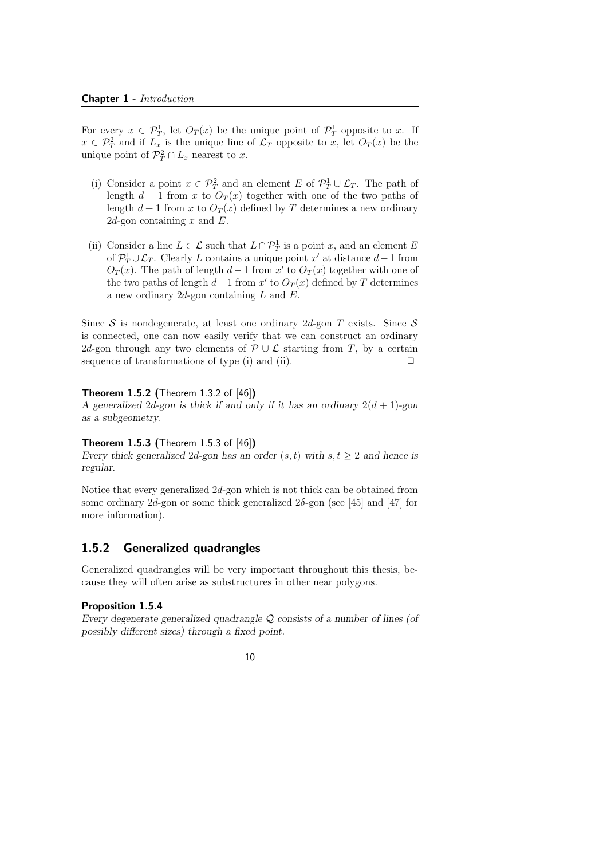For every  $x \in \mathcal{P}_T^1$ , let  $O_T(x)$  be the unique point of  $\mathcal{P}_T^1$  opposite to x. If  $x \in \mathcal{P}_T^2$  and if  $L_x$  is the unique line of  $\mathcal{L}_T$  opposite to x, let  $O_T(x)$  be the unique point of  $\mathcal{P}_T^2 \cap L_x$  nearest to x.

- (i) Consider a point  $x \in \mathcal{P}_T^2$  and an element E of  $\mathcal{P}_T^1 \cup \mathcal{L}_T$ . The path of length  $d-1$  from x to  $O_T(x)$  together with one of the two paths of length  $d+1$  from x to  $O_T(x)$  defined by T determines a new ordinary 2*d*-gon containing x and  $E$ .
- (ii) Consider a line  $L \in \mathcal{L}$  such that  $L \cap \mathcal{P}_T^1$  is a point x, and an element E of  $\mathcal{P}_T^1 \cup \mathcal{L}_T$ . Clearly L contains a unique point x' at distance  $d-1$  from  $O_T(x)$ . The path of length  $d-1$  from  $x'$  to  $O_T(x)$  together with one of the two paths of length  $d+1$  from  $x'$  to  $O_T(x)$  defined by T determines a new ordinary  $2d$ -gon containing  $L$  and  $E$ .

Since S is nondegenerate, at least one ordinary 2d-gon T exists. Since S is connected, one can now easily verify that we can construct an ordinary 2d-gon through any two elements of  $\mathcal{P} \cup \mathcal{L}$  starting from T, by a certain sequence of transformations of type (i) and (ii). sequence of transformations of type (i) and (ii).

### **Theorem 1.5.2 (Theorem 1.3.2 of [46])**

A generalized 2d-gon is thick if and only if it has an ordinary  $2(d+1)$ -gon as a subgeometry.

### **Theorem 1.5.3 (Theorem 1.5.3 of [46])**

Every thick generalized 2d-gon has an order  $(s, t)$  with  $s, t \geq 2$  and hence is regular.

Notice that every generalized 2d-gon which is not thick can be obtained from some ordinary 2d-gon or some thick generalized  $2\delta$ -gon (see [45] and [47] for more information).

### 1.5.2 Generalized quadrangles

Generalized quadrangles will be very important throughout this thesis, because they will often arise as substructures in other near polygons.

### Proposition 1.5.4

Every degenerate generalized quadrangle Q consists of a number of lines (of possibly different sizes) through a fixed point.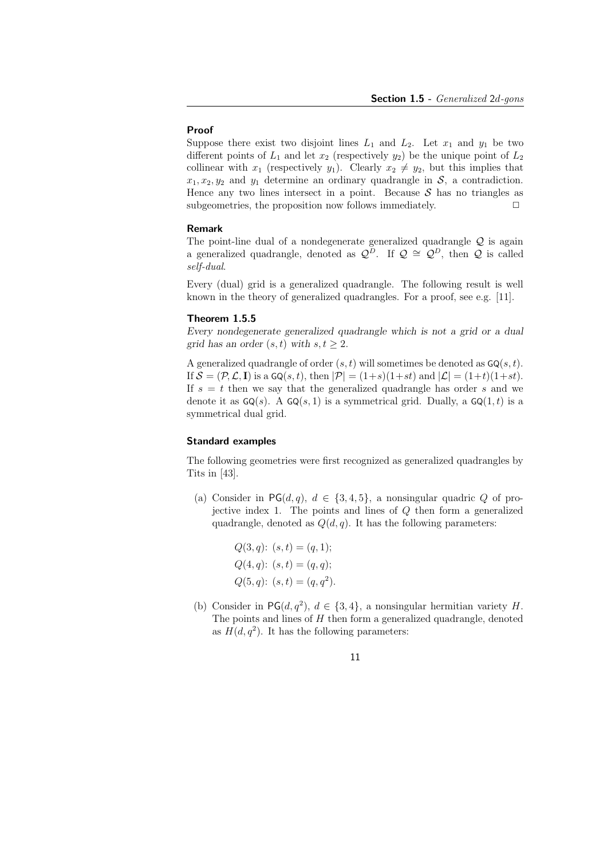### Proof

Suppose there exist two disjoint lines  $L_1$  and  $L_2$ . Let  $x_1$  and  $y_1$  be two different points of  $L_1$  and let  $x_2$  (respectively  $y_2$ ) be the unique point of  $L_2$ collinear with  $x_1$  (respectively  $y_1$ ). Clearly  $x_2 \neq y_2$ , but this implies that  $x_1, x_2, y_2$  and  $y_1$  determine an ordinary quadrangle in S, a contradiction. Hence any two lines intersect in a point. Because  $S$  has no triangles as subgeometries the proposition now follows immediately subgeometries, the proposition now follows immediately.

#### Remark

The point-line dual of a nondegenerate generalized quadrangle  $Q$  is again a generalized quadrangle, denoted as  $\mathcal{Q}^D$ . If  $\mathcal{Q} \cong \mathcal{Q}^D$ , then  $\mathcal{Q}$  is called self-dual.

Every (dual) grid is a generalized quadrangle. The following result is well known in the theory of generalized quadrangles. For a proof, see e.g. [11].

### Theorem 1.5.5

Every nondegenerate generalized quadrangle which is not a grid or a dual grid has an order  $(s, t)$  with  $s, t \geq 2$ .

A generalized quadrangle of order  $(s,t)$  will sometimes be denoted as  $\mathsf{GQ}(s,t)$ . If  $S = (\mathcal{P}, \mathcal{L}, I)$  is a  $\mathsf{GQ}(s,t)$ , then  $|\mathcal{P}| = (1+s)(1+st)$  and  $|\mathcal{L}| = (1+t)(1+st)$ . If  $s = t$  then we say that the generalized quadrangle has order s and we denote it as  $\mathsf{GQ}(s)$ . A  $\mathsf{GQ}(s,1)$  is a symmetrical grid. Dually, a  $\mathsf{GQ}(1,t)$  is a symmetrical dual grid.

### Standard examples

The following geometries were first recognized as generalized quadrangles by Tits in [43].

(a) Consider in PG(d, g),  $d \in \{3, 4, 5\}$ , a nonsingular quadric Q of projective index 1. The points and lines of Q then form a generalized quadrangle, denoted as  $Q(d, q)$ . It has the following parameters:

> $Q(3, q)$ :  $(s, t) = (q, 1)$ ;  $Q(4, q)$ :  $(s, t) = (q, q)$ ;  $Q(5,q)$ :  $(s,t) = (q, q<sup>2</sup>)$ .

(b) Consider in PG( $d, q^2$ ),  $d \in \{3, 4\}$ , a nonsingular hermitian variety H. The points and lines of  $H$  then form a generalized quadrangle, denoted as  $H(d, q^2)$ . It has the following parameters: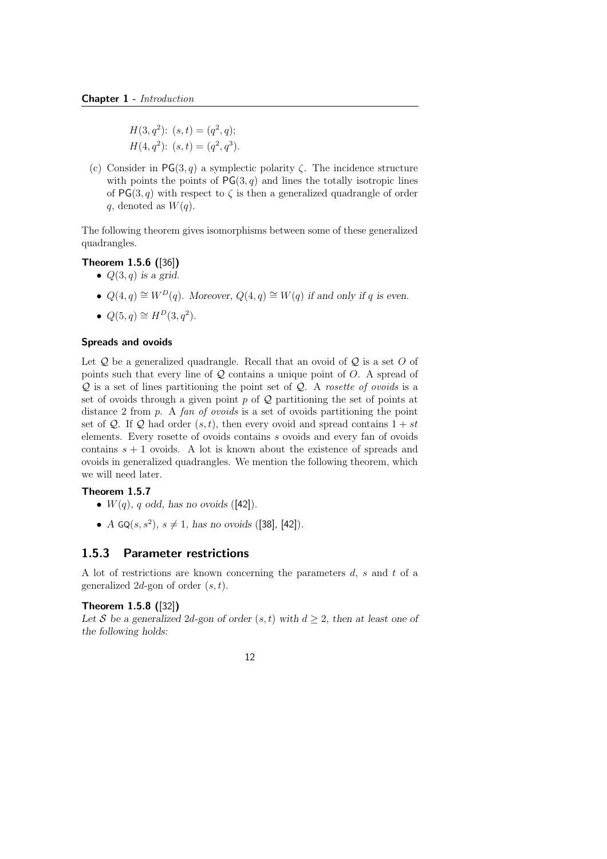$H(3, q^2)$ :  $(s, t) = (q^2, q)$ ;  $H(4,q^2)$ :  $(s,t) = (q^2,q^3)$ .

(c) Consider in  $PG(3, q)$  a symplectic polarity  $\zeta$ . The incidence structure with points the points of  $PG(3, q)$  and lines the totally isotropic lines of  $PG(3, q)$  with respect to  $\zeta$  is then a generalized quadrangle of order q, denoted as  $W(q)$ .

The following theorem gives isomorphisms between some of these generalized quadrangles.

### Theorem 1.5.6 ([36])

- $Q(3, q)$  is a grid.
- $Q(4, q) \cong W^D(q)$ . Moreover,  $Q(4, q) \cong W(q)$  if and only if q is even.
- $Q(5, q) \cong H^D(3, q^2)$ .

### Spreads and ovoids

Let  $Q$  be a generalized quadrangle. Recall that an ovoid of  $Q$  is a set  $O$  of points such that every line of  $Q$  contains a unique point of  $O$ . A spread of  $\mathcal Q$  is a set of lines partitioning the point set of  $\mathcal Q$ . A rosette of ovoids is a set of ovoids through a given point  $p$  of  $Q$  partitioning the set of points at distance 2 from p. A fan of ovoids is a set of ovoids partitioning the point set of Q. If Q had order  $(s,t)$ , then every ovoid and spread contains  $1 + st$ elements. Every rosette of ovoids contains s ovoids and every fan of ovoids contains  $s + 1$  ovoids. A lot is known about the existence of spreads and ovoids in generalized quadrangles. We mention the following theorem, which we will need later.

### Theorem 1.5.7

- $W(q)$ , q odd, has no ovoids ([42]).
- A  $\mathsf{GQ}(s, s^2), s \neq 1$ , has no ovoids ([38], [42]).

### 1.5.3 Parameter restrictions

A lot of restrictions are known concerning the parameters  $d$ ,  $s$  and  $t$  of a generalized  $2d$ -gon of order  $(s, t)$ .

### Theorem 1.5.8 ([32])

Let S be a generalized 2d-gon of order  $(s, t)$  with  $d \geq 2$ , then at least one of the following holds:

12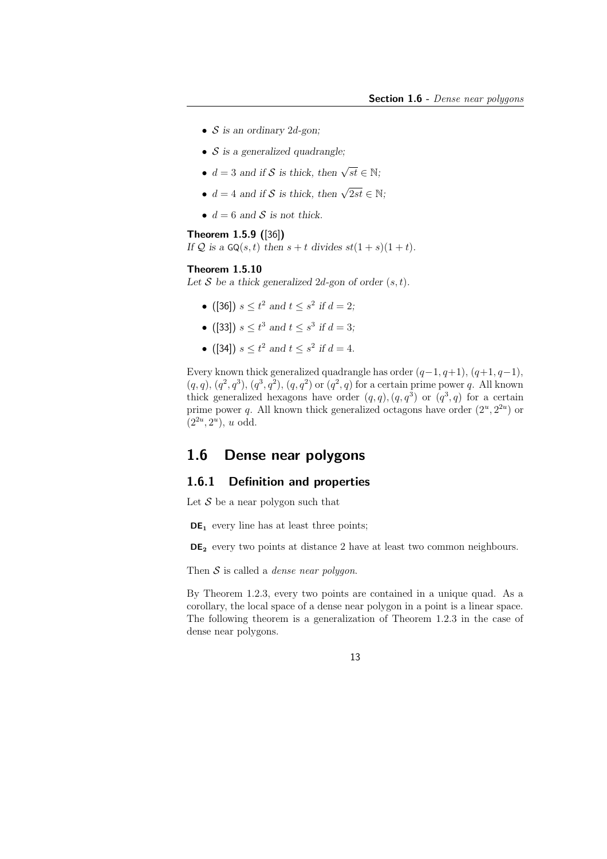- $S$  is an ordinary 2d-gon;
- $S$  is a generalized quadrangle;
- $d = 3$  and if S is thick, then  $\sqrt{st} \in \mathbb{N}$ ;
- $d = 4$  and if S is thick, then  $\sqrt{2st} \in \mathbb{N}$ ;
- $d = 6$  and S is not thick.

### Theorem 1.5.9 ([36])

If Q is a  $\mathsf{GQ}(s,t)$  then  $s+t$  divides  $st(1+s)(1+t)$ .

#### Theorem 1.5.10

Let S be a thick generalized 2d-gon of order  $(s, t)$ .

- ([36])  $s \le t^2$  and  $t \le s^2$  if  $d = 2$ ;
- ([33])  $s \le t^3$  and  $t \le s^3$  if  $d = 3$ ;
- ([34])  $s \le t^2$  and  $t \le s^2$  if  $d = 4$ .

Every known thick generalized quadrangle has order  $(q-1, q+1)$ ,  $(q+1, q-1)$ ,  $(q, q), (q^2, q^3), (q^3, q^2), (q, q^2)$  or  $(q^2, q)$  for a certain prime power q. All known thick generalized hexagons have order  $(q, q), (q, q^3)$  or  $(q^3, q)$  for a certain prime power q. All known thick generalized octagons have order  $(2^u, 2^{2u})$  or  $(2^{2u}, 2^u), u \text{ odd.}$ 

### 1.6 Dense near polygons

### 1.6.1 Definition and properties

Let  $S$  be a near polygon such that

 $DE_1$  every line has at least three points;

DE<sup>2</sup> every two points at distance 2 have at least two common neighbours.

Then  $S$  is called a *dense near polygon*.

By Theorem 1.2.3, every two points are contained in a unique quad. As a corollary, the local space of a dense near polygon in a point is a linear space. The following theorem is a generalization of Theorem 1.2.3 in the case of dense near polygons.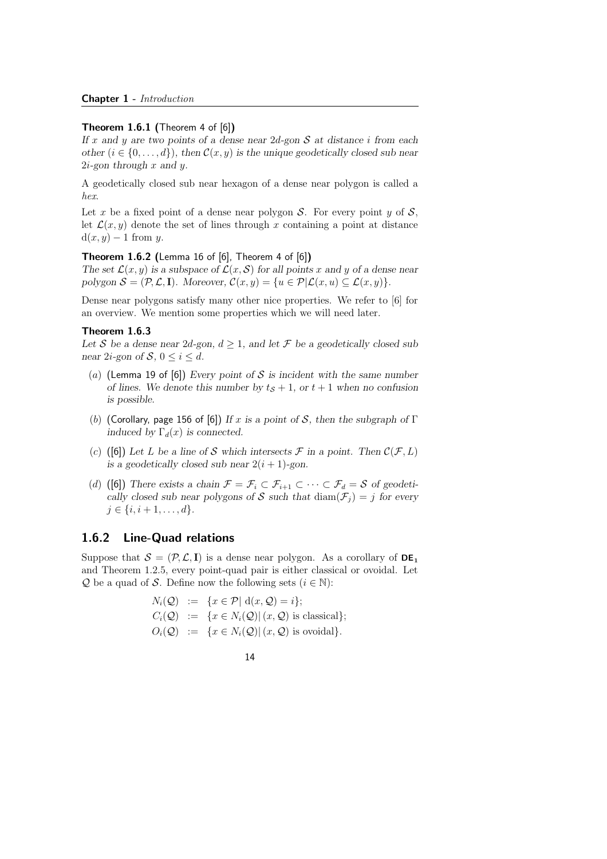### **Theorem 1.6.1 (Theorem 4 of [6])**

If x and y are two points of a dense near  $2d$ -gon S at distance i from each other  $(i \in \{0, \ldots, d\})$ , then  $\mathcal{C}(x, y)$  is the unique geodetically closed sub near  $2i$ -gon through x and y.

A geodetically closed sub near hexagon of a dense near polygon is called a hex.

Let x be a fixed point of a dense near polygon  $S$ . For every point y of  $S$ , let  $\mathcal{L}(x, y)$  denote the set of lines through x containing a point at distance  $d(x, y) - 1$  from y.

### Theorem 1.6.2 (Lemma 16 of [6], Theorem 4 of [6])

The set  $\mathcal{L}(x, y)$  is a subspace of  $\mathcal{L}(x, \mathcal{S})$  for all points x and y of a dense near polygon  $S = (\mathcal{P}, \mathcal{L}, \mathbf{I})$ . Moreover,  $\mathcal{C}(x, y) = \{u \in \mathcal{P} | \mathcal{L}(x, u) \subseteq \mathcal{L}(x, y)\}.$ 

Dense near polygons satisfy many other nice properties. We refer to [6] for an overview. We mention some properties which we will need later.

#### Theorem 1.6.3

Let S be a dense near 2d-gon,  $d \geq 1$ , and let F be a geodetically closed sub near 2*i*-gon of  $S$ ,  $0 \le i \le d$ .

- (a) (Lemma 19 of [6]) Every point of S is incident with the same number of lines. We denote this number by  $t_s + 1$ , or  $t + 1$  when no confusion is possible.
- (b) (Corollary, page 156 of [6]) If x is a point of S, then the subgraph of  $\Gamma$ induced by  $\Gamma_d(x)$  is connected.
- (c) ([6]) Let L be a line of S which intersects  $\mathcal F$  in a point. Then  $\mathcal C(\mathcal F,L)$ is a geodetically closed sub near  $2(i + 1)$ -gon.
- (d) ([6]) There exists a chain  $\mathcal{F} = \mathcal{F}_i \subset \mathcal{F}_{i+1} \subset \cdots \subset \mathcal{F}_d = \mathcal{S}$  of geodetically closed sub near polygons of S such that  $\text{diam}(\mathcal{F}_i) = j$  for every  $j \in \{i, i+1, \ldots, d\}.$

### 1.6.2 Line-Quad relations

Suppose that  $S = (\mathcal{P}, \mathcal{L}, I)$  is a dense near polygon. As a corollary of  $DE_1$ and Theorem 1.2.5, every point-quad pair is either classical or ovoidal. Let Q be a quad of S. Define now the following sets  $(i \in \mathbb{N})$ :

$$
N_i(Q) := \{x \in \mathcal{P} | d(x, Q) = i\};
$$
  
\n
$$
C_i(Q) := \{x \in N_i(Q) | (x, Q) \text{ is classical}\};
$$
  
\n
$$
O_i(Q) := \{x \in N_i(Q) | (x, Q) \text{ is ovoidal}\}.
$$

14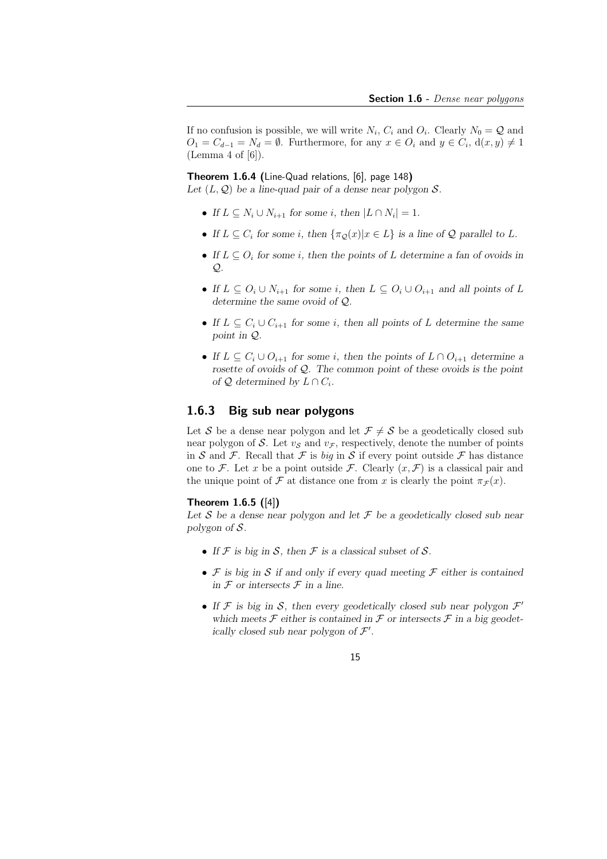If no confusion is possible, we will write  $N_i$ ,  $C_i$  and  $O_i$ . Clearly  $N_0 = Q$  and  $O_1 = C_{d-1} = N_d = \emptyset$ . Furthermore, for any  $x \in O_i$  and  $y \in C_i$ ,  $d(x, y) \neq 1$ (Lemma 4 of  $[6]$ ).

### Theorem 1.6.4 (Line-Quad relations, [6], page 148)

Let  $(L, Q)$  be a line-quad pair of a dense near polygon S.

- If  $L \subseteq N_i \cup N_{i+1}$  for some i, then  $|L \cap N_i| = 1$ .
- If  $L \subseteq C_i$  for some i, then  $\{\pi_{\mathcal{Q}}(x)|x \in L\}$  is a line of  $\mathcal{Q}$  parallel to  $L$ .
- If  $L \subseteq O_i$  for some *i*, then the points of L determine a fan of ovoids in Q.
- If  $L \subset O_i \cup N_{i+1}$  for some i, then  $L \subset O_i \cup O_{i+1}$  and all points of L determine the same ovoid of Q.
- If  $L \subset C_i \cup C_{i+1}$  for some i, then all points of L determine the same point in Q.
- If  $L \subseteq C_i \cup O_{i+1}$  for some i, then the points of  $L \cap O_{i+1}$  determine a rosette of ovoids of Q. The common point of these ovoids is the point of  $\mathcal Q$  determined by  $L \cap C_i$ .

### 1.6.3 Big sub near polygons

Let  $\mathcal S$  be a dense near polygon and let  $\mathcal F\neq \mathcal S$  be a geodetically closed sub near polygon of S. Let  $v_s$  and  $v_{\mathcal{F}}$ , respectively, denote the number of points in S and F. Recall that F is big in S if every point outside F has distance one to F. Let x be a point outside F. Clearly  $(x, \mathcal{F})$  is a classical pair and the unique point of F at distance one from x is clearly the point  $\pi_{\mathcal{F}}(x)$ .

### Theorem 1.6.5 ([4])

Let S be a dense near polygon and let  $\mathcal F$  be a geodetically closed sub near polygon of S.

- If  $\mathcal F$  is big in  $\mathcal S$ , then  $\mathcal F$  is a classical subset of  $\mathcal S$ .
- $\mathcal F$  is big in  $\mathcal S$  if and only if every quad meeting  $\mathcal F$  either is contained in  ${\mathcal F}$  or intersects  ${\mathcal F}$  in a line.
- $\bullet$  If  ${\mathcal F}$  is big in  ${\mathcal S},$  then every geodetically closed sub near polygon  ${\mathcal F}'$ which meets  $\mathcal F$  either is contained in  $\mathcal F$  or intersects  $\mathcal F$  in a big geodetically closed sub near polygon of  $\mathcal{F}'$ .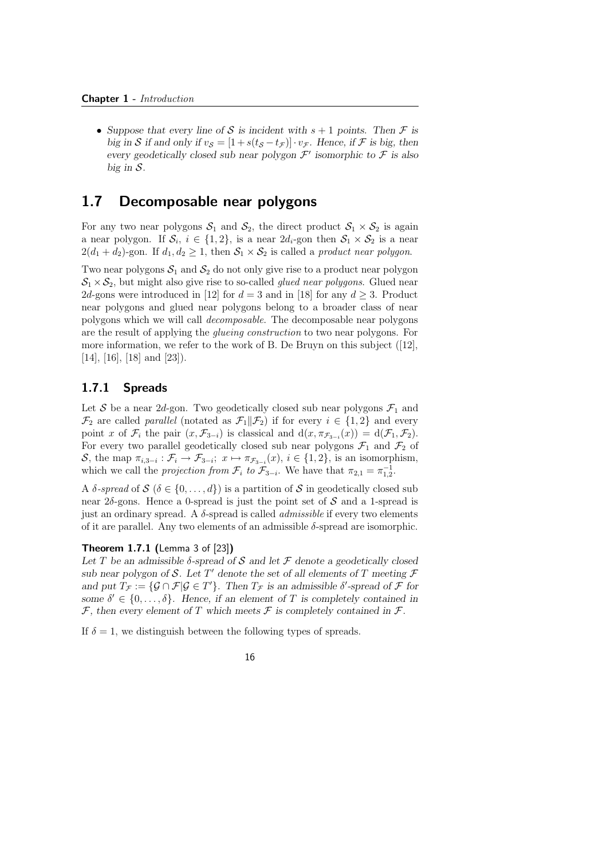• Suppose that every line of S is incident with  $s + 1$  points. Then F is big in S if and only if  $v_{\mathcal{S}} = [1 + s(t_{\mathcal{S}} - t_{\mathcal{F}})] \cdot v_{\mathcal{F}}$ . Hence, if F is big, then every geodetically closed sub near polygon  $\mathcal{F}'$  isomorphic to  $\mathcal F$  is also big in  $S$ .

### 1.7 Decomposable near polygons

For any two near polygons  $S_1$  and  $S_2$ , the direct product  $S_1 \times S_2$  is again a near polygon. If  $S_i$ ,  $i \in \{1,2\}$ , is a near  $2d_i$ -gon then  $S_1 \times S_2$  is a near  $2(d_1 + d_2)$ -gon. If  $d_1, d_2 \geq 1$ , then  $S_1 \times S_2$  is called a product near polygon.

Two near polygons  $S_1$  and  $S_2$  do not only give rise to a product near polygon  $S_1 \times S_2$ , but might also give rise to so-called *glued near polygons*. Glued near 2d-gons were introduced in [12] for  $d = 3$  and in [18] for any  $d \geq 3$ . Product near polygons and glued near polygons belong to a broader class of near polygons which we will call decomposable. The decomposable near polygons are the result of applying the glueing construction to two near polygons. For more information, we refer to the work of B. De Bruyn on this subject ([12],  $[14]$ ,  $[16]$ ,  $[18]$  and  $[23]$ ).

### 1.7.1 Spreads

Let S be a near 2d-gon. Two geodetically closed sub near polygons  $\mathcal{F}_1$  and  $\mathcal{F}_2$  are called parallel (notated as  $\mathcal{F}_1|\mathcal{F}_2$ ) if for every  $i \in \{1,2\}$  and every point x of  $\mathcal{F}_i$  the pair  $(x, \mathcal{F}_{3-i})$  is classical and  $d(x, \pi_{\mathcal{F}_{3-i}}(x)) = d(\mathcal{F}_1, \mathcal{F}_2)$ . For every two parallel geodetically closed sub near polygons  $\mathcal{F}_1$  and  $\mathcal{F}_2$  of S, the map  $\pi_{i,3-i} : \mathcal{F}_i \to \mathcal{F}_{3-i}$ ;  $x \mapsto \pi_{\mathcal{F}_{3-i}}(x), i \in \{1,2\}$ , is an isomorphism, which we call the *projection from*  $\mathcal{F}_i$  to  $\mathcal{F}_{3-i}$ . We have that  $\pi_{2,1} = \pi_{1,2}^{-1}$ .

A  $\delta$ -spread of  $\mathcal{S}$  ( $\delta \in \{0, \ldots, d\}$ ) is a partition of  $\mathcal{S}$  in geodetically closed sub near  $2\delta$ -gons. Hence a 0-spread is just the point set of S and a 1-spread is just an ordinary spread. A  $\delta$ -spread is called *admissible* if every two elements of it are parallel. Any two elements of an admissible  $\delta$ -spread are isomorphic.

### Theorem 1.7.1 (Lemma 3 of [23])

Let T be an admissible  $\delta$ -spread of S and let F denote a geodetically closed sub near polygon of S. Let  $T'$  denote the set of all elements of T meeting  $\mathcal F$ and put  $T_{\mathcal{F}} := \{ \mathcal{G} \cap \mathcal{F} | \mathcal{G} \in T' \}$ . Then  $T_{\mathcal{F}}$  is an admissible  $\delta'$ -spread of  $\mathcal{F}$  for some  $\delta' \in \{0, \ldots, \delta\}$ . Hence, if an element of T is completely contained in  $\mathcal F$ , then every element of T which meets  $\mathcal F$  is completely contained in  $\mathcal F$ .

If  $\delta = 1$ , we distinguish between the following types of spreads.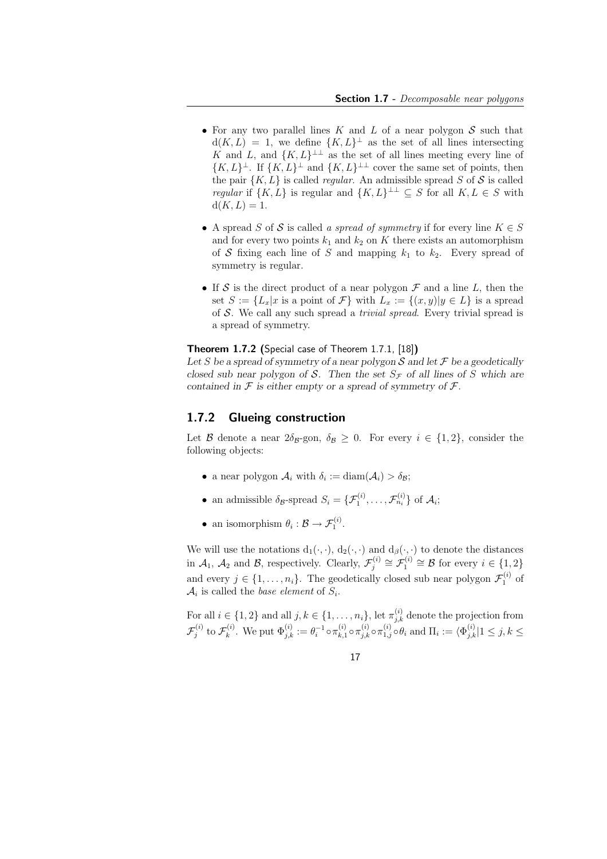- For any two parallel lines  $K$  and  $L$  of a near polygon  $S$  such that  $d(K, L) = 1$ , we define  $\{K, L\}^{\perp}$  as the set of all lines intersecting K and L, and  $\{K, L\}^{\perp\perp}$  as the set of all lines meeting every line of  $\{K, L\}^{\perp}$ . If  $\{K, L\}^{\perp}$  and  $\{K, L\}^{\perp\perp}$  cover the same set of points, then the pair  $\{K, L\}$  is called *regular*. An admissible spread S of S is called *regular* if  $\{K, L\}$  is regular and  $\{K, L\}^{\perp \perp} \subseteq S$  for all  $K, L \in S$  with  $d(K, L) = 1.$
- A spread S of S is called a spread of symmetry if for every line  $K \in S$ and for every two points  $k_1$  and  $k_2$  on K there exists an automorphism of S fixing each line of S and mapping  $k_1$  to  $k_2$ . Every spread of symmetry is regular.
- If S is the direct product of a near polygon  $\mathcal F$  and a line L, then the set  $S := \{L_x | x$  is a point of  $\mathcal{F}\}\$  with  $L_x := \{(x, y) | y \in L\}$  is a spread of  $S$ . We call any such spread a *trivial spread*. Every trivial spread is a spread of symmetry.

#### Theorem 1.7.2 (Special case of Theorem 1.7.1, [18])

Let S be a spread of symmetry of a near polygon  $S$  and let  $\mathcal F$  be a geodetically closed sub near polygon of S. Then the set  $S_{\mathcal{F}}$  of all lines of S which are contained in  $\mathcal F$  is either empty or a spread of symmetry of  $\mathcal F$ .

### 1.7.2 Glueing construction

Let B denote a near  $2\delta_B$ -gon,  $\delta_B \geq 0$ . For every  $i \in \{1,2\}$ , consider the following objects:

- a near polygon  $A_i$  with  $\delta_i := \text{diam}(A_i) > \delta_B;$
- an admissible  $\delta_B$ -spread  $S_i = {\mathcal{F}_1^{(i)}, \ldots, \mathcal{F}_{n_i}^{(i)}}$  of  $\mathcal{A}_i$ ;
- an isomorphism  $\theta_i : \mathcal{B} \to \mathcal{F}_1^{(i)}$ .

We will use the notations  $d_1(\cdot, \cdot)$ ,  $d_2(\cdot, \cdot)$  and  $d_\beta(\cdot, \cdot)$  to denote the distances in  $\mathcal{A}_1$ ,  $\mathcal{A}_2$  and  $\mathcal{B}$ , respectively. Clearly,  $\mathcal{F}_j^{(i)} \cong \mathcal{F}_1^{(i)} \cong \mathcal{B}$  for every  $i \in \{1, 2\}$ and every  $j \in \{1, ..., n_i\}$ . The geodetically closed sub near polygon  $\mathcal{F}_1^{(i)}$  of  $A_i$  is called the *base element* of  $S_i$ .

For all  $i \in \{1, 2\}$  and all  $j, k \in \{1, ..., n_i\}$ , let  $\pi_{j,k}^{(i)}$  denote the projection from  $\mathcal{F}_j^{(i)}$  to  $\mathcal{F}_k^{(i)}$ . We put  $\Phi_{j,k}^{(i)} := \theta_i^{-1} \circ \pi_{k,1}^{(i)}$  $\pi^{(i)}_{k,1} \circ \pi^{(i)}_{j,k} \circ \pi^{(i)}_{1,j} \circ \theta_i$  and  $\Pi_i := \langle \Phi^{(i)}_{j,k} | 1 \leq j, k \leq j$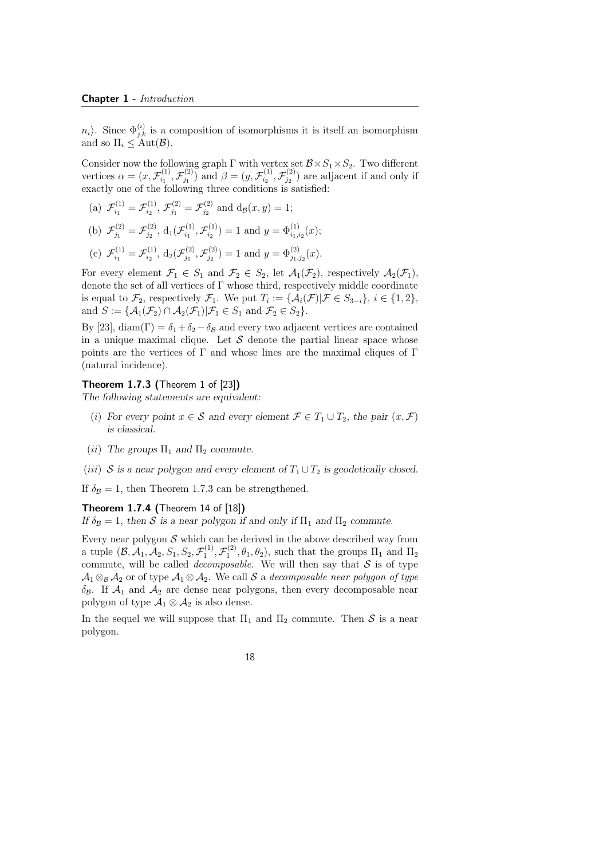$n_i$ . Since  $\Phi_{j,k}^{(i)}$  is a composition of isomorphisms it is itself an isomorphism and so  $\Pi_i \leq \text{Aut}(\mathcal{B})$ .

Consider now the following graph Γ with vertex set  $\mathcal{B} \times S_1 \times S_2$ . Two different vertices  $\alpha = (x, \mathcal{F}_{i_1}^{(1)}, \mathcal{F}_{j_1}^{(2)})$  and  $\beta = (y, \mathcal{F}_{i_2}^{(1)}, \mathcal{F}_{j_2}^{(2)})$  are adjacent if and only if exactly one of the following three conditions is satisfied:

(a)  $\mathcal{F}_{i_1}^{(1)} = \mathcal{F}_{i_2}^{(1)}$ ,  $\mathcal{F}_{j_1}^{(2)} = \mathcal{F}_{j_2}^{(2)}$  and  $d_{\mathcal{B}}(x, y) = 1$ ;

(b) 
$$
\mathcal{F}_{j_1}^{(2)} = \mathcal{F}_{j_2}^{(2)}, d_1(\mathcal{F}_{i_1}^{(1)}, \mathcal{F}_{i_2}^{(1)}) = 1
$$
 and  $y = \Phi_{i_1, i_2}^{(1)}(x)$ ;

(c) 
$$
\mathcal{F}_{i_1}^{(1)} = \mathcal{F}_{i_2}^{(1)}, d_2(\mathcal{F}_{j_1}^{(2)}, \mathcal{F}_{j_2}^{(2)}) = 1
$$
 and  $y = \Phi_{j_1, j_2}^{(2)}(x)$ .

For every element  $\mathcal{F}_1 \in S_1$  and  $\mathcal{F}_2 \in S_2$ , let  $\mathcal{A}_1(\mathcal{F}_2)$ , respectively  $\mathcal{A}_2(\mathcal{F}_1)$ , denote the set of all vertices of  $\Gamma$  whose third, respectively middle coordinate is equal to  $\mathcal{F}_2$ , respectively  $\mathcal{F}_1$ . We put  $T_i := \{ \mathcal{A}_i(\mathcal{F}) | \mathcal{F} \in S_{3-i} \}, i \in \{1,2\},\$ and  $S := \{ \mathcal{A}_1(\mathcal{F}_2) \cap \mathcal{A}_2(\mathcal{F}_1) | \mathcal{F}_1 \in S_1 \text{ and } \mathcal{F}_2 \in S_2 \}.$ 

By [23], diam(Γ) =  $\delta_1 + \delta_2 - \delta_{\mathcal{B}}$  and every two adjacent vertices are contained in a unique maximal clique. Let  $S$  denote the partial linear space whose points are the vertices of  $\Gamma$  and whose lines are the maximal cliques of  $\Gamma$ (natural incidence).

### Theorem 1.7.3 (Theorem 1 of [23])

The following statements are equivalent:

- (i) For every point  $x \in \mathcal{S}$  and every element  $\mathcal{F} \in T_1 \cup T_2$ , the pair  $(x, \mathcal{F})$ is classical.
- (*ii*) The groups  $\Pi_1$  and  $\Pi_2$  commute.
- (iii) S is a near polygon and every element of  $T_1 \cup T_2$  is geodetically closed.

If  $\delta_B = 1$ , then Theorem 1.7.3 can be strengthened.

### Theorem 1.7.4 (Theorem 14 of [18])

If  $\delta_B = 1$ , then S is a near polygon if and only if  $\Pi_1$  and  $\Pi_2$  commute.

Every near polygon  $S$  which can be derived in the above described way from a tuple  $(\mathcal{B}, \mathcal{A}_1, \mathcal{A}_2, S_1, S_2, \mathcal{F}_1^{(1)}, \mathcal{F}_1^{(2)}, \theta_1, \theta_2)$ , such that the groups  $\Pi_1$  and  $\Pi_2$ commute, will be called *decomposable*. We will then say that  $S$  is of type  $\mathcal{A}_1 \otimes_{\mathcal{B}} \mathcal{A}_2$  or of type  $\mathcal{A}_1 \otimes \mathcal{A}_2$ . We call S a decomposable near polygon of type  $\delta_{\mathcal{B}}$ . If  $\mathcal{A}_1$  and  $\mathcal{A}_2$  are dense near polygons, then every decomposable near polygon of type  $\mathcal{A}_1 \otimes \mathcal{A}_2$  is also dense.

In the sequel we will suppose that  $\Pi_1$  and  $\Pi_2$  commute. Then S is a near polygon.

$$
18 \\
$$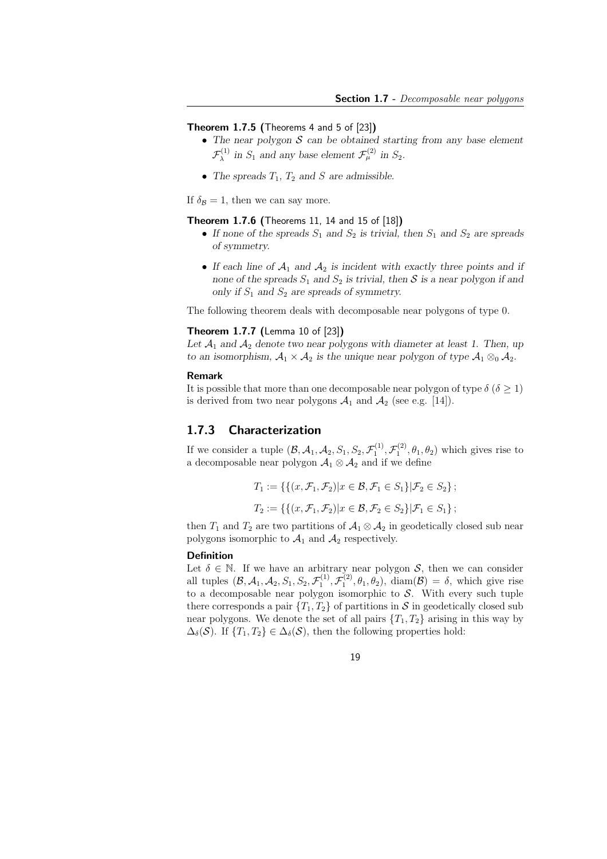### **Theorem 1.7.5 (Theorems 4 and 5 of**  $[23]$ **)**

- The near polygon  $S$  can be obtained starting from any base element  $\mathcal{F}_{\lambda}^{(1)}$  in  $S_1$  and any base element  $\mathcal{F}_{\mu}^{(2)}$  in  $S_2$ .
- The spreads  $T_1$ ,  $T_2$  and S are admissible.

If  $\delta_B = 1$ , then we can say more.

#### Theorem 1.7.6 (Theorems 11, 14 and 15 of [18])

- If none of the spreads  $S_1$  and  $S_2$  is trivial, then  $S_1$  and  $S_2$  are spreads of symmetry.
- If each line of  $A_1$  and  $A_2$  is incident with exactly three points and if none of the spreads  $S_1$  and  $S_2$  is trivial, then S is a near polygon if and only if  $S_1$  and  $S_2$  are spreads of symmetry.

The following theorem deals with decomposable near polygons of type 0.

#### Theorem 1.7.7 (Lemma 10 of [23])

Let  $\mathcal{A}_1$  and  $\mathcal{A}_2$  denote two near polygons with diameter at least 1. Then, up to an isomorphism,  $A_1 \times A_2$  is the unique near polygon of type  $A_1 \otimes_0 A_2$ .

### Remark

It is possible that more than one decomposable near polygon of type  $\delta$  ( $\delta \geq 1$ ) is derived from two near polygons  $\mathcal{A}_1$  and  $\mathcal{A}_2$  (see e.g. [14]).

### 1.7.3 Characterization

If we consider a tuple  $(\mathcal{B}, \mathcal{A}_1, \mathcal{A}_2, S_1, S_2, \mathcal{F}_1^{(1)}, \mathcal{F}_1^{(2)}, \theta_1, \theta_2)$  which gives rise to a decomposable near polygon  $A_1 \otimes A_2$  and if we define

$$
T_1 := \{ \{ (x, \mathcal{F}_1, \mathcal{F}_2) | x \in \mathcal{B}, \mathcal{F}_1 \in S_1 \} | \mathcal{F}_2 \in S_2 \};
$$
  

$$
T_2 := \{ \{ (x, \mathcal{F}_1, \mathcal{F}_2) | x \in \mathcal{B}, \mathcal{F}_2 \in S_2 \} | \mathcal{F}_1 \in S_1 \};
$$

then  $T_1$  and  $T_2$  are two partitions of  $\mathcal{A}_1 \otimes \mathcal{A}_2$  in geodetically closed sub near polygons isomorphic to  $A_1$  and  $A_2$  respectively.

### Definition

Let  $\delta \in \mathbb{N}$ . If we have an arbitrary near polygon  $S$ , then we can consider all tuples  $(\mathcal{B}, \mathcal{A}_1, \mathcal{A}_2, S_1, S_2, \mathcal{F}_1^{(1)}, \mathcal{F}_1^{(2)}, \theta_1, \theta_2)$ , diam $(\mathcal{B}) = \delta$ , which give rise to a decomposable near polygon isomorphic to  $S$ . With every such tuple there corresponds a pair  $\{T_1, T_2\}$  of partitions in S in geodetically closed sub near polygons. We denote the set of all pairs  $\{T_1, T_2\}$  arising in this way by  $\Delta_{\delta}(S)$ . If  $\{T_1, T_2\} \in \Delta_{\delta}(S)$ , then the following properties hold:

19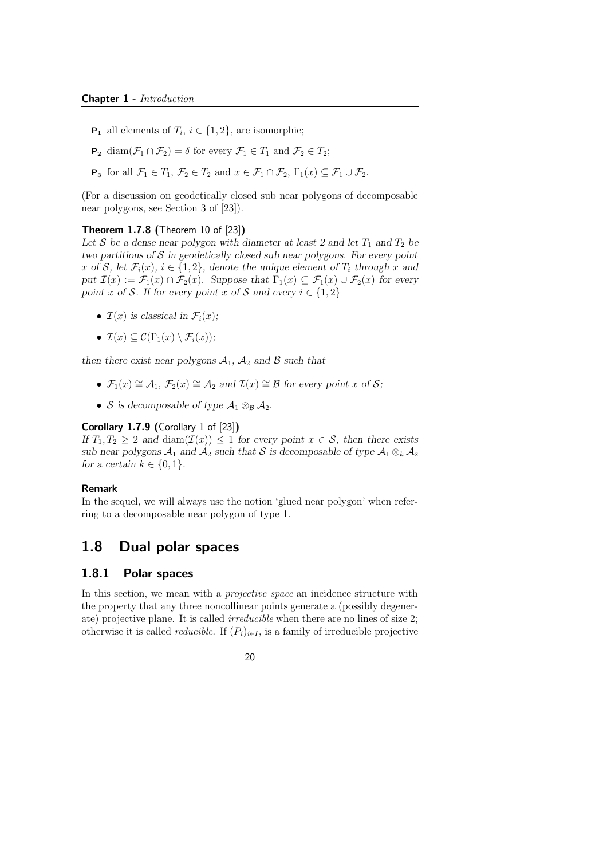- $\mathbf{P}_1$  all elements of  $T_i$ ,  $i \in \{1, 2\}$ , are isomorphic;
- $\mathbf{P}_2 \operatorname{diam}(\mathcal{F}_1 \cap \mathcal{F}_2) = \delta$  for every  $\mathcal{F}_1 \in T_1$  and  $\mathcal{F}_2 \in T_2$ ;
- $\mathsf{P}_3$  for all  $\mathcal{F}_1 \in T_1$ ,  $\mathcal{F}_2 \in T_2$  and  $x \in \mathcal{F}_1 \cap \mathcal{F}_2$ ,  $\Gamma_1(x) \subseteq \mathcal{F}_1 \cup \mathcal{F}_2$ .

(For a discussion on geodetically closed sub near polygons of decomposable near polygons, see Section 3 of [23]).

### Theorem 1.7.8 (Theorem 10 of [23])

Let S be a dense near polygon with diameter at least 2 and let  $T_1$  and  $T_2$  be two partitions of  $S$  in geodetically closed sub near polygons. For every point x of S, let  $\mathcal{F}_i(x)$ ,  $i \in \{1,2\}$ , denote the unique element of  $T_i$  through x and put  $\mathcal{I}(x) := \mathcal{F}_1(x) \cap \mathcal{F}_2(x)$ . Suppose that  $\Gamma_1(x) \subseteq \mathcal{F}_1(x) \cup \mathcal{F}_2(x)$  for every point x of S. If for every point x of S and every  $i \in \{1,2\}$ 

- $\mathcal{I}(x)$  is classical in  $\mathcal{F}_i(x)$ ;
- $\mathcal{I}(x) \subseteq \mathcal{C}(\Gamma_1(x) \setminus \mathcal{F}_i(x));$

then there exist near polygons  $A_1$ ,  $A_2$  and B such that

- $\mathcal{F}_1(x) \cong \mathcal{A}_1, \mathcal{F}_2(x) \cong \mathcal{A}_2$  and  $\mathcal{I}(x) \cong \mathcal{B}$  for every point x of  $\mathcal{S};$
- S is decomposable of type  $\mathcal{A}_1 \otimes_{\mathcal{B}} \mathcal{A}_2$ .

### Corollary 1.7.9 (Corollary 1 of [23])

If  $T_1, T_2 \geq 2$  and  $\text{diam}(\mathcal{I}(x)) \leq 1$  for every point  $x \in \mathcal{S}$ , then there exists sub near polygons  $\mathcal{A}_1$  and  $\mathcal{A}_2$  such that S is decomposable of type  $\mathcal{A}_1 \otimes_k \mathcal{A}_2$ for a certain  $k \in \{0, 1\}.$ 

#### Remark

In the sequel, we will always use the notion 'glued near polygon' when referring to a decomposable near polygon of type 1.

### 1.8 Dual polar spaces

### 1.8.1 Polar spaces

In this section, we mean with a *projective space* an incidence structure with the property that any three noncollinear points generate a (possibly degenerate) projective plane. It is called irreducible when there are no lines of size 2; otherwise it is called *reducible*. If  $(P_i)_{i\in I}$ , is a family of irreducible projective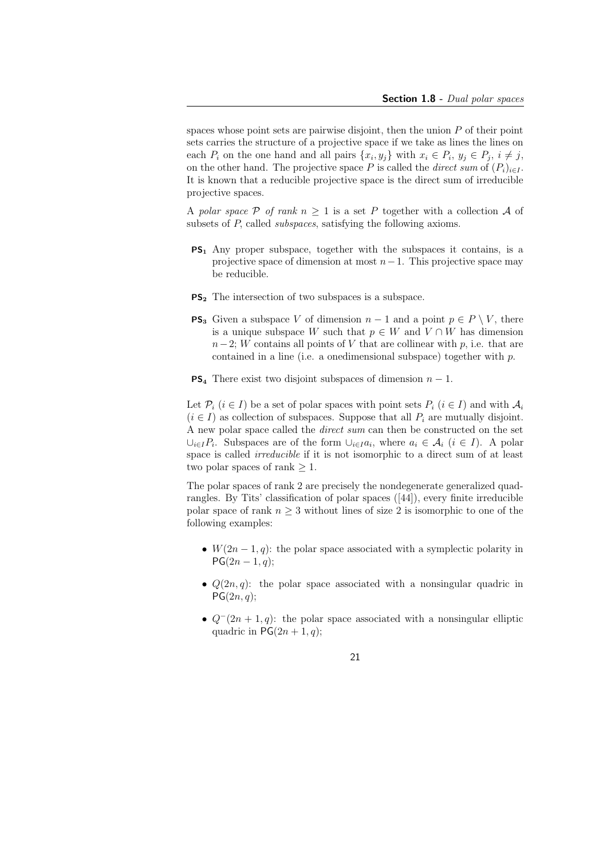spaces whose point sets are pairwise disjoint, then the union  $P$  of their point sets carries the structure of a projective space if we take as lines the lines on each  $P_i$  on the one hand and all pairs  $\{x_i, y_j\}$  with  $x_i \in P_i$ ,  $y_j \in P_j$ ,  $i \neq j$ , on the other hand. The projective space P is called the *direct sum* of  $(P_i)_{i\in I}$ . It is known that a reducible projective space is the direct sum of irreducible projective spaces.

A polar space P of rank  $n \geq 1$  is a set P together with a collection A of subsets of P, called *subspaces*, satisfying the following axioms.

- PS<sup>1</sup> Any proper subspace, together with the subspaces it contains, is a projective space of dimension at most  $n-1$ . This projective space may be reducible.
- PS<sup>2</sup> The intersection of two subspaces is a subspace.
- **PS**<sub>3</sub> Given a subspace V of dimension  $n-1$  and a point  $p \in P \setminus V$ , there is a unique subspace W such that  $p \in W$  and  $V \cap W$  has dimension  $n-2$ ; W contains all points of V that are collinear with p, i.e. that are contained in a line (i.e. a onedimensional subspace) together with p.

**PS<sub>4</sub>** There exist two disjoint subspaces of dimension  $n - 1$ .

Let  $\mathcal{P}_i$   $(i \in I)$  be a set of polar spaces with point sets  $P_i$   $(i \in I)$  and with  $\mathcal{A}_i$  $(i \in I)$  as collection of subspaces. Suppose that all  $P_i$  are mutually disjoint. A new polar space called the direct sum can then be constructed on the set  $\cup_{i\in I} P_i$ . Subspaces are of the form  $\cup_{i\in I} a_i$ , where  $a_i \in \mathcal{A}_i$  ( $i \in I$ ). A polar space is called irreducible if it is not isomorphic to a direct sum of at least two polar spaces of rank  $\geq 1$ .

The polar spaces of rank 2 are precisely the nondegenerate generalized quadrangles. By Tits' classification of polar spaces ([44]), every finite irreducible polar space of rank  $n \geq 3$  without lines of size 2 is isomorphic to one of the following examples:

- $W(2n-1, q)$ : the polar space associated with a symplectic polarity in  $PG(2n - 1, q);$
- $Q(2n, q)$ : the polar space associated with a nonsingular quadric in  $PG(2n, q);$
- $Q^-(2n+1, q)$ : the polar space associated with a nonsingular elliptic quadric in  $PG(2n + 1, q)$ ;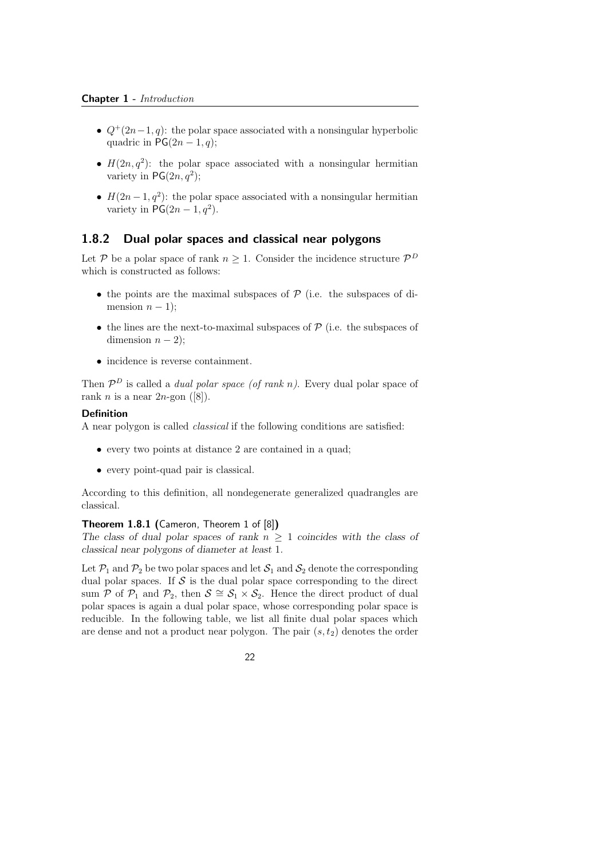- $Q^+(2n-1, q)$ : the polar space associated with a nonsingular hyperbolic quadric in  $PG(2n-1, q);$
- $H(2n, q^2)$ : the polar space associated with a nonsingular hermitian variety in  $PG(2n, q^2);$
- $H(2n-1, q^2)$ : the polar space associated with a nonsingular hermitian variety in  $PG(2n-1, q^2)$ .

### 1.8.2 Dual polar spaces and classical near polygons

Let  $P$  be a polar space of rank  $n \geq 1$ . Consider the incidence structure  $P^D$ which is constructed as follows:

- the points are the maximal subspaces of  $P$  (i.e. the subspaces of dimension  $n - 1$ );
- the lines are the next-to-maximal subspaces of  $P$  (i.e. the subspaces of dimension  $n - 2$ );
- incidence is reverse containment.

Then  $\mathcal{P}^D$  is called a *dual polar space (of rank n)*. Every dual polar space of rank *n* is a near  $2n$ -gon ([8]).

#### Definition

A near polygon is called classical if the following conditions are satisfied:

- every two points at distance 2 are contained in a quad;
- every point-quad pair is classical.

According to this definition, all nondegenerate generalized quadrangles are classical.

### Theorem 1.8.1 (Cameron, Theorem 1 of [8])

The class of dual polar spaces of rank  $n \geq 1$  coincides with the class of classical near polygons of diameter at least 1.

Let  $\mathcal{P}_1$  and  $\mathcal{P}_2$  be two polar spaces and let  $\mathcal{S}_1$  and  $\mathcal{S}_2$  denote the corresponding dual polar spaces. If  $S$  is the dual polar space corresponding to the direct sum P of  $\mathcal{P}_1$  and  $\mathcal{P}_2$ , then  $\mathcal{S} \cong \mathcal{S}_1 \times \mathcal{S}_2$ . Hence the direct product of dual polar spaces is again a dual polar space, whose corresponding polar space is reducible. In the following table, we list all finite dual polar spaces which are dense and not a product near polygon. The pair  $(s, t_2)$  denotes the order

22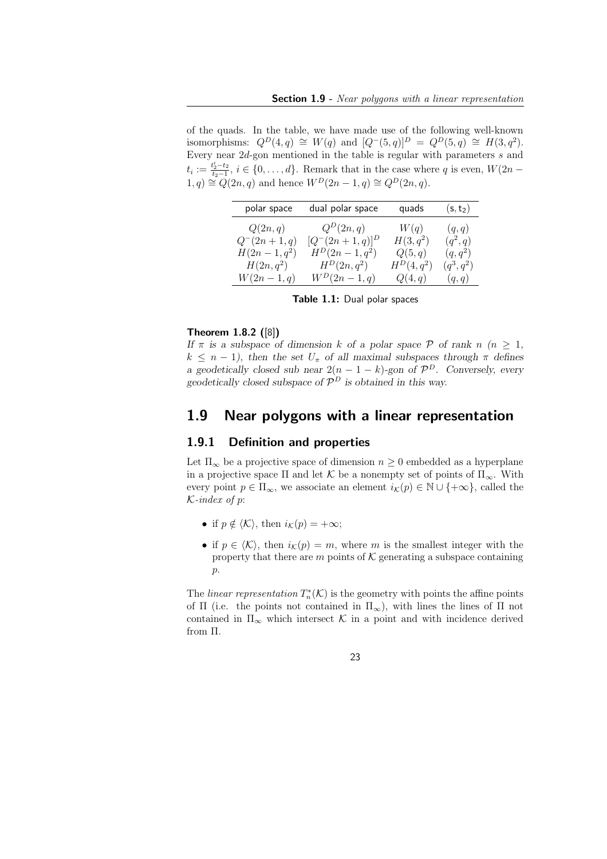of the quads. In the table, we have made use of the following well-known isomorphisms:  $Q^D(4,q) \cong W(q)$  and  $[Q^-(5,q)]^D = Q^D(5,q) \cong H(3,q^2)$ . Every near  $2d$ -gon mentioned in the table is regular with parameters  $s$  and  $t_i := \frac{t_2^i - t_2}{t_2 - 1}$ ,  $i \in \{0, ..., d\}$ . Remark that in the case where q is even,  $W(2n 1, q \simeq Q(2n, q)$  and hence  $W^D(2n-1, q) \cong Q^D(2n, q)$ .

| polar space     | dual polar space  | quads            | $(s, t_2)$   |
|-----------------|-------------------|------------------|--------------|
| Q(2n,q)         | $Q^D(2n,q)$       | W(q)             | (q,q)        |
| $Q^{-}(2n+1,q)$ | $[Q^-(2n+1,q)]^D$ | $H(3,q^2)$       | $(q^2,q)$    |
| $H(2n-1,q^2)$   | $H^D(2n-1,q^2)$   | Q(5,q)           | $(q, q^2)$   |
| $H(2n,q^2)$     | $H^D(2n,q^2)$     | $H^{D}(4,q^{2})$ | $(q^3, q^2)$ |
| $W(2n-1, q)$    | $W^D(2n-1,q)$     | Q(4,q)           | (q,q)        |

Table 1.1: Dual polar spaces

### Theorem 1.8.2 ([8])

If  $\pi$  is a subspace of dimension k of a polar space  $P$  of rank  $n (n \geq 1,$  $k \leq n-1$ , then the set  $U_{\pi}$  of all maximal subspaces through  $\pi$  defines a geodetically closed sub near  $2(n-1-k)$ -gon of  $\mathcal{P}^D$ . Conversely, every geodetically closed subspace of  $\mathcal{P}^D$  is obtained in this way.

### 1.9 Near polygons with a linear representation

### 1.9.1 Definition and properties

Let  $\Pi_{\infty}$  be a projective space of dimension  $n \geq 0$  embedded as a hyperplane in a projective space  $\Pi$  and let K be a nonempty set of points of  $\Pi_{\infty}$ . With every point  $p \in \Pi_{\infty}$ , we associate an element  $i_{\mathcal{K}}(p) \in \mathbb{N} \cup \{+\infty\}$ , called the  $\mathcal{K}\text{-}index of p:$ 

- if  $p \notin \langle K \rangle$ , then  $i_{\mathcal{K}}(p) = +\infty$ ;
- if  $p \in \langle K \rangle$ , then  $i_{\mathcal{K}}(p) = m$ , where m is the smallest integer with the property that there are m points of  $\mathcal K$  generating a subspace containing  $p$ .

The *linear representation*  $T_n^*(\mathcal{K})$  is the geometry with points the affine points of  $\Pi$  (i.e. the points not contained in  $\Pi_{\infty}$ ), with lines the lines of  $\Pi$  not contained in  $\Pi_{\infty}$  which intersect K in a point and with incidence derived from Π.

$$
23\quad
$$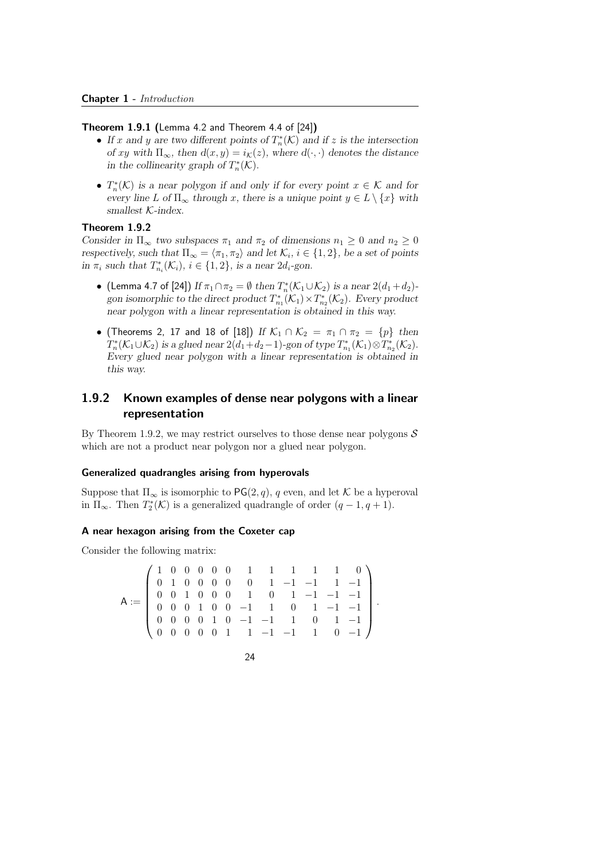### Theorem 1.9.1 (Lemma 4.2 and Theorem 4.4 of [24])

- If x and y are two different points of  $T_n^*(\mathcal{K})$  and if z is the intersection of xy with  $\Pi_{\infty}$ , then  $d(x, y) = i_{\mathcal{K}}(z)$ , where  $d(\cdot, \cdot)$  denotes the distance in the collinearity graph of  $T_n^*(\mathcal{K})$ .
- $T_n^*(\mathcal{K})$  is a near polygon if and only if for every point  $x \in \mathcal{K}$  and for every line L of  $\Pi_{\infty}$  through x, there is a unique point  $y \in L \setminus \{x\}$  with smallest K-index.

### Theorem 1.9.2

Consider in  $\Pi_{\infty}$  two subspaces  $\pi_1$  and  $\pi_2$  of dimensions  $n_1 \geq 0$  and  $n_2 \geq 0$ respectively, such that  $\Pi_{\infty} = \langle \pi_1, \pi_2 \rangle$  and let  $\mathcal{K}_i, i \in \{1, 2\}$ , be a set of points in  $\pi_i$  such that  $T_{n_i}^*(\mathcal{K}_i)$ ,  $i \in \{1, 2\}$ , is a near  $2d_i$ -gon.

- (Lemma 4.7 of [24]) If  $\pi_1 \cap \pi_2 = \emptyset$  then  $T_n^*(\mathcal{K}_1 \cup \mathcal{K}_2)$  is a near  $2(d_1 + d_2)$ gon isomorphic to the direct product  $T_{n_1}^*(\mathcal{K}_1) \times T_{n_2}^*(\mathcal{K}_2)$ . Every product near polygon with a linear representation is obtained in this way.
- (Theorems 2, 17 and 18 of [18]) If  $\mathcal{K}_1 \cap \mathcal{K}_2 = \pi_1 \cap \pi_2 = \{p\}$  then  $T_n^*(\mathcal{K}_1 \cup \mathcal{K}_2)$  is a glued near  $2(d_1 + d_2 - 1)$ -gon of type  $T_{n_1}^*(\mathcal{K}_1) \otimes T_{n_2}^*(\mathcal{K}_2)$ . Every glued near polygon with a linear representation is obtained in this way.

### 1.9.2 Known examples of dense near polygons with a linear representation

By Theorem 1.9.2, we may restrict ourselves to those dense near polygons  $S$ which are not a product near polygon nor a glued near polygon.

### Generalized quadrangles arising from hyperovals

Suppose that  $\Pi_{\infty}$  is isomorphic to PG(2, q), q even, and let K be a hyperoval in  $\Pi_{\infty}$ . Then  $T_2^*(\mathcal{K})$  is a generalized quadrangle of order  $(q-1, q+1)$ .

#### A near hexagon arising from the Coxeter cap

Consider the following matrix:

$$
\mathsf{A} := \left( \begin{array}{cccccccccc} 1 & 0 & 0 & 0 & 0 & 0 & 1 & 1 & 1 & 1 & 1 & 0 \\ 0 & 1 & 0 & 0 & 0 & 0 & 0 & 1 & -1 & -1 & 1 & -1 \\ 0 & 0 & 1 & 0 & 0 & 0 & 1 & 0 & 1 & -1 & -1 & -1 \\ 0 & 0 & 0 & 1 & 0 & 0 & -1 & 1 & 0 & 1 & -1 & -1 \\ 0 & 0 & 0 & 0 & 1 & 0 & -1 & -1 & 1 & 0 & 1 & -1 \\ 0 & 0 & 0 & 0 & 0 & 1 & 1 & -1 & -1 & 1 & 0 & -1 \end{array} \right).
$$

24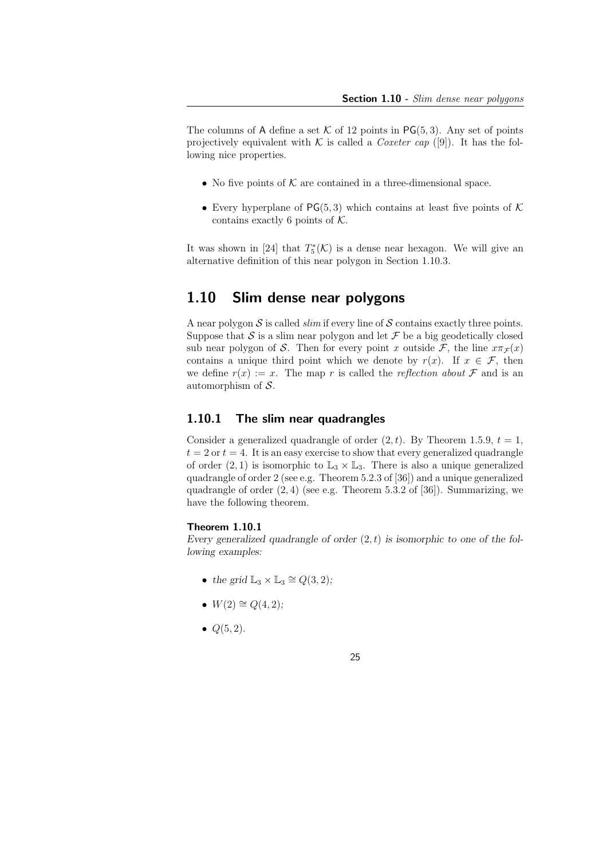The columns of A define a set K of 12 points in  $PG(5, 3)$ . Any set of points projectively equivalent with K is called a *Coxeter cap* ([9]). It has the following nice properties.

- No five points of  $K$  are contained in a three-dimensional space.
- Every hyperplane of  $PG(5,3)$  which contains at least five points of K contains exactly 6 points of  $K$ .

It was shown in [24] that  $T_5^*(\mathcal{K})$  is a dense near hexagon. We will give an alternative definition of this near polygon in Section 1.10.3.

# 1.10 Slim dense near polygons

A near polygon  $S$  is called *slim* if every line of  $S$  contains exactly three points. Suppose that  $S$  is a slim near polygon and let  $\mathcal F$  be a big geodetically closed sub near polygon of S. Then for every point x outside  $\mathcal{F}$ , the line  $x\pi_{\mathcal{F}}(x)$ contains a unique third point which we denote by  $r(x)$ . If  $x \in \mathcal{F}$ , then we define  $r(x) := x$ . The map r is called the reflection about F and is an automorphism of  $S$ .

# 1.10.1 The slim near quadrangles

Consider a generalized quadrangle of order  $(2,t)$ . By Theorem 1.5.9,  $t = 1$ ,  $t = 2$  or  $t = 4$ . It is an easy exercise to show that every generalized quadrangle of order  $(2, 1)$  is isomorphic to  $\mathbb{L}_3 \times \mathbb{L}_3$ . There is also a unique generalized quadrangle of order 2 (see e.g. Theorem 5.2.3 of [36]) and a unique generalized quadrangle of order  $(2, 4)$  (see e.g. Theorem 5.3.2 of [36]). Summarizing, we have the following theorem.

#### Theorem 1.10.1

Every generalized quadrangle of order  $(2,t)$  is isomorphic to one of the following examples:

- the grid  $\mathbb{L}_3 \times \mathbb{L}_3 \cong Q(3, 2);$
- $W(2) \cong Q(4, 2)$ ;
- $Q(5, 2)$ .

25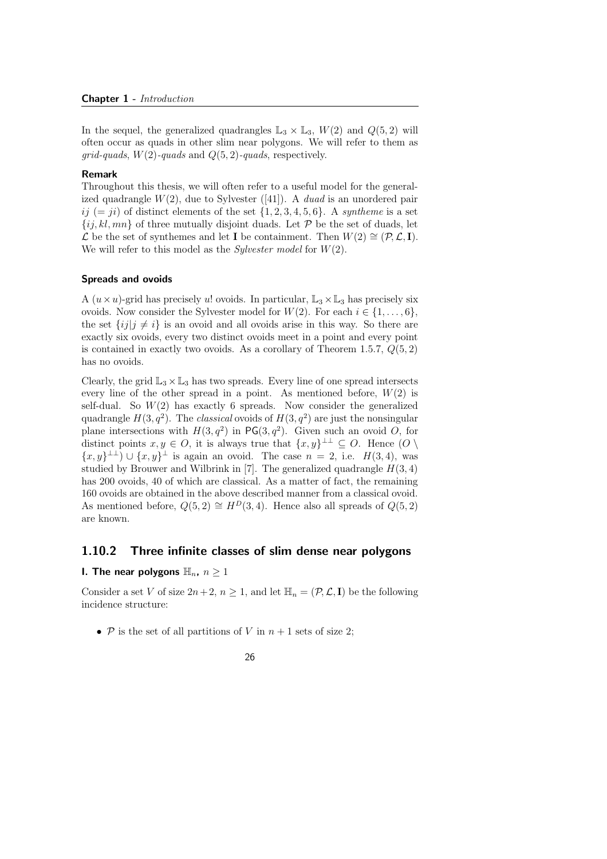In the sequel, the generalized quadrangles  $\mathbb{L}_3 \times \mathbb{L}_3$ ,  $W(2)$  and  $Q(5, 2)$  will often occur as quads in other slim near polygons. We will refer to them as qrid-quads,  $W(2)$ -quads and  $Q(5, 2)$ -quads, respectively.

#### Remark

Throughout this thesis, we will often refer to a useful model for the generalized quadrangle  $W(2)$ , due to Sylvester ([41]). A *duad* is an unordered pair  $ij (= ji)$  of distinct elements of the set  $\{1, 2, 3, 4, 5, 6\}$ . A syntheme is a set  ${i,j,kl,mn}$  of three mutually disjoint duads. Let P be the set of duads, let  $\mathcal L$  be the set of synthemes and let **I** be containment. Then  $W(2) \cong (\mathcal P, \mathcal L, \mathbf I).$ We will refer to this model as the *Sylvester model* for  $W(2)$ .

#### Spreads and ovoids

A  $(u \times u)$ -grid has precisely u! ovoids. In particular,  $\mathbb{L}_3 \times \mathbb{L}_3$  has precisely six ovoids. Now consider the Sylvester model for  $W(2)$ . For each  $i \in \{1, \ldots, 6\}$ , the set  $\{ij | j \neq i\}$  is an ovoid and all ovoids arise in this way. So there are exactly six ovoids, every two distinct ovoids meet in a point and every point is contained in exactly two ovoids. As a corollary of Theorem 1.5.7,  $Q(5, 2)$ has no ovoids.

Clearly, the grid  $\mathbb{L}_3 \times \mathbb{L}_3$  has two spreads. Every line of one spread intersects every line of the other spread in a point. As mentioned before,  $W(2)$  is self-dual. So  $W(2)$  has exactly 6 spreads. Now consider the generalized quadrangle  $H(3, q^2)$ . The *classical* ovoids of  $H(3, q^2)$  are just the nonsingular plane intersections with  $H(3, q^2)$  in PG(3,  $q^2$ ). Given such an ovoid O, for distinct points  $x, y \in O$ , it is always true that  $\{x, y\}^{\perp\perp} \subseteq O$ . Hence  $(O \setminus$  $\{x,y\}^{\perp\perp}$   $\cup$   $\{x,y\}^{\perp}$  is again an ovoid. The case  $n = 2$ , i.e.  $H(3,4)$ , was studied by Brouwer and Wilbrink in [7]. The generalized quadrangle  $H(3, 4)$ has 200 ovoids, 40 of which are classical. As a matter of fact, the remaining 160 ovoids are obtained in the above described manner from a classical ovoid. As mentioned before,  $Q(5,2) \cong H^D(3,4)$ . Hence also all spreads of  $Q(5,2)$ are known.

# 1.10.2 Three infinite classes of slim dense near polygons

#### I. The near polygons  $\mathbb{H}_n$ ,  $n \geq 1$

Consider a set V of size  $2n+2$ ,  $n \geq 1$ , and let  $\mathbb{H}_n = (\mathcal{P}, \mathcal{L}, I)$  be the following incidence structure:

•  $P$  is the set of all partitions of V in  $n + 1$  sets of size 2;

26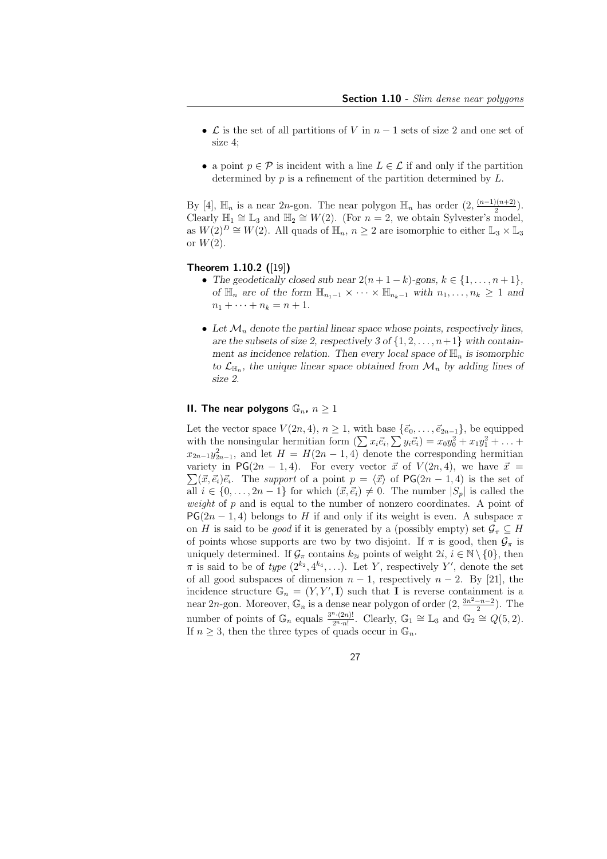- $\mathcal L$  is the set of all partitions of V in  $n-1$  sets of size 2 and one set of size 4;
- a point  $p \in \mathcal{P}$  is incident with a line  $L \in \mathcal{L}$  if and only if the partition determined by  $p$  is a refinement of the partition determined by  $L$ .

By [4],  $\mathbb{H}_n$  is a near 2*n*-gon. The near polygon  $\mathbb{H}_n$  has order  $(2, \frac{(n-1)(n+2)}{2})$  $\frac{1(n+2)}{2}$ ). Clearly  $\mathbb{H}_1 \cong \mathbb{L}_3$  and  $\mathbb{H}_2 \cong W(2)$ . (For  $n = 2$ , we obtain Sylvester's model, as  $W(2)^D \cong W(2)$ . All quads of  $\mathbb{H}_n$ ,  $n \geq 2$  are isomorphic to either  $\mathbb{L}_3 \times \mathbb{L}_3$ or  $W(2)$ .

### Theorem 1.10.2 ([19])

- The geodetically closed sub near  $2(n+1-k)$ -gons,  $k \in \{1, \ldots, n+1\}$ , of  $\mathbb{H}_n$  are of the form  $\mathbb{H}_{n_1-1} \times \cdots \times \mathbb{H}_{n_k-1}$  with  $n_1, \ldots, n_k \geq 1$  and  $n_1 + \cdots + n_k = n + 1.$
- Let  $\mathcal{M}_n$  denote the partial linear space whose points, respectively lines, are the subsets of size 2, respectively 3 of  $\{1, 2, \ldots, n+1\}$  with containment as incidence relation. Then every local space of  $\mathbb{H}_n$  is isomorphic to  $\mathcal{L}_{\mathbb{H}_n}$ , the unique linear space obtained from  $\mathcal{M}_n$  by adding lines of size 2.

#### II. The near polygons  $\mathbb{G}_n$ ,  $n \geq 1$

Let the vector space  $V(2n, 4), n \geq 1$ , with base  $\{\vec{e}_0, \ldots, \vec{e}_{2n-1}\}\,$  be equipped with the nonsingular hermitian form  $(\sum x_i \vec{e}_i, \sum y_i \vec{e}_i) = x_0 y_0^2 + x_1 y_1^2 + \ldots$  $x_{2n-1}y_{2n-1}^2$ , and let  $H = H(2n-1, 4)$  denote the corresponding hermitian variety in PG(2n − 1, 4). For every vector  $\vec{x}$  of  $V(2n, 4)$ , we have  $\vec{x} = \sum (\vec{x}, \vec{e_i}) \vec{e_i}$ . The support of a point  $p = \langle \vec{x} \rangle$  of PG(2n − 1, 4) is the set of all  $i \in \{0, \ldots, 2n-1\}$  for which  $(\vec{x}, \vec{e}_i) \neq 0$ . The number  $|S_p|$  is called the weight of p and is equal to the number of nonzero coordinates. A point of  $PG(2n-1, 4)$  belongs to H if and only if its weight is even. A subspace  $\pi$ on H is said to be good if it is generated by a (possibly empty) set  $\mathcal{G}_{\pi} \subseteq H$ of points whose supports are two by two disjoint. If  $\pi$  is good, then  $\mathcal{G}_{\pi}$  is uniquely determined. If  $\mathcal{G}_{\pi}$  contains  $k_{2i}$  points of weight  $2i, i \in \mathbb{N} \setminus \{0\}$ , then  $\pi$  is said to be of type  $(2^{k_2}, 4^{k_4}, \ldots)$ . Let Y, respectively Y', denote the set of all good subspaces of dimension  $n-1$ , respectively  $n-2$ . By [21], the incidence structure  $\mathbb{G}_n = (Y, Y', \mathbf{I})$  such that **I** is reverse containment is a near 2n-gon. Moreover,  $\mathbb{G}_n$  is a dense near polygon of order  $(2, \frac{3n^2-n-2}{2})$ . The number of points of  $\mathbb{G}_n$  equals  $\frac{3^{n} \cdot (2n)!}{2^n \cdot n!}$  $\frac{n \cdot (2n)!}{2^{n} \cdot n!}$ . Clearly,  $\mathbb{G}_1 \cong \mathbb{L}_3$  and  $\mathbb{G}_2 \cong Q(5, 2)$ . If  $n \geq 3$ , then the three types of quads occur in  $\mathbb{G}_n$ .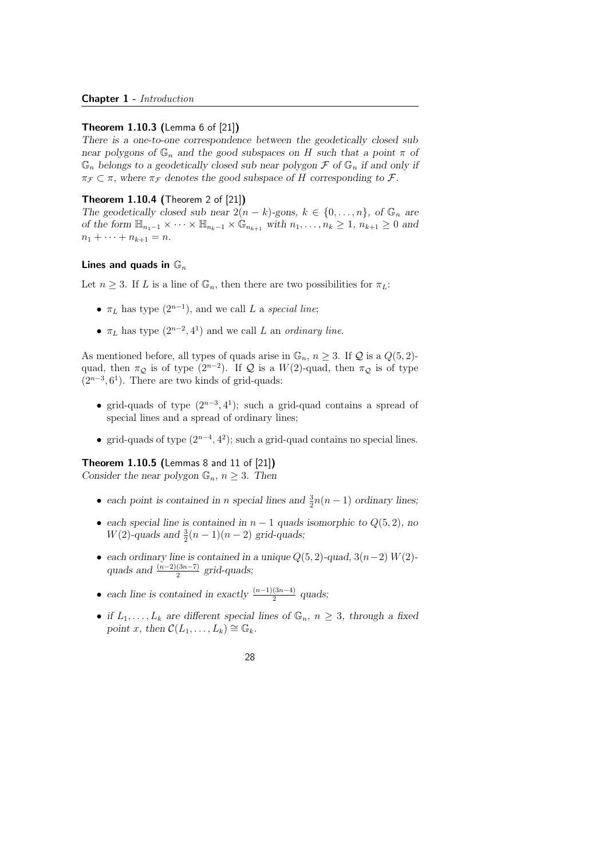#### Theorem 1.10.3 (Lemma 6 of [21])

There is a one-to-one correspondence between the geodetically closed sub near polygons of  $\mathbb{G}_n$  and the good subspaces on H such that a point  $\pi$  of  $\mathbb{G}_n$  belongs to a geodetically closed sub near polygon  $\mathcal F$  of  $\mathbb{G}_n$  if and only if  $\pi_{\mathcal{F}} \subset \pi$ , where  $\pi_{\mathcal{F}}$  denotes the good subspace of H corresponding to  $\mathcal{F}$ .

#### **Theorem 1.10.4 (Theorem 2 of [21])**

The geodetically closed sub near  $2(n - k)$ -gons,  $k \in \{0, ..., n\}$ , of  $\mathbb{G}_n$  are of the form  $\mathbb{H}_{n_1-1} \times \cdots \times \mathbb{H}_{n_k-1} \times \mathbb{G}_{n_{k+1}}$  with  $n_1, \ldots, n_k \geq 1$ ,  $n_{k+1} \geq 0$  and  $n_1 + \cdots + n_{k+1} = n.$ 

#### Lines and quads in  $\mathbb{G}_n$

Let  $n \geq 3$ . If L is a line of  $\mathbb{G}_n$ , then there are two possibilities for  $\pi_L$ :

- $\pi_L$  has type  $(2^{n-1})$ , and we call L a special line;
- $\pi_L$  has type  $(2^{n-2}, 4^1)$  and we call L an *ordinary line*.

As mentioned before, all types of quads arise in  $\mathbb{G}_n$ ,  $n \geq 3$ . If  $\mathcal Q$  is a  $Q(5, 2)$ quad, then  $\pi_{\mathcal{Q}}$  is of type  $(2^{n-2})$ . If  $\mathcal Q$  is a  $W(2)$ -quad, then  $\pi_{\mathcal{Q}}$  is of type  $(2^{n-3}, 6^1)$ . There are two kinds of grid-quads:

- grid-quads of type  $(2^{n-3}, 4^1)$ ; such a grid-quad contains a spread of special lines and a spread of ordinary lines;
- grid-quads of type  $(2^{n-4}, 4^2)$ ; such a grid-quad contains no special lines.

# Theorem 1.10.5 (Lemmas 8 and 11 of [21])

Consider the near polygon  $\mathbb{G}_n$ ,  $n \geq 3$ . Then

- each point is contained in n special lines and  $\frac{3}{2}n(n-1)$  ordinary lines;
- each special line is contained in  $n-1$  quads isomorphic to  $Q(5, 2)$ , no  $W(2)$ -quads and  $\frac{3}{2}(n-1)(n-2)$  grid-quads;
- each ordinary line is contained in a unique  $Q(5, 2)$ -quad,  $3(n-2)$  W(2)quads and  $\frac{(n-2)(3n-7)}{2}$  grid-quads;
- each line is contained in exactly  $\frac{(n-1)(3n-4)}{2}$  quads;
- if  $L_1, \ldots, L_k$  are different special lines of  $\mathbb{G}_n$ ,  $n \geq 3$ , through a fixed point x, then  $\mathcal{C}(L_1, \ldots, L_k) \cong \mathbb{G}_k$ .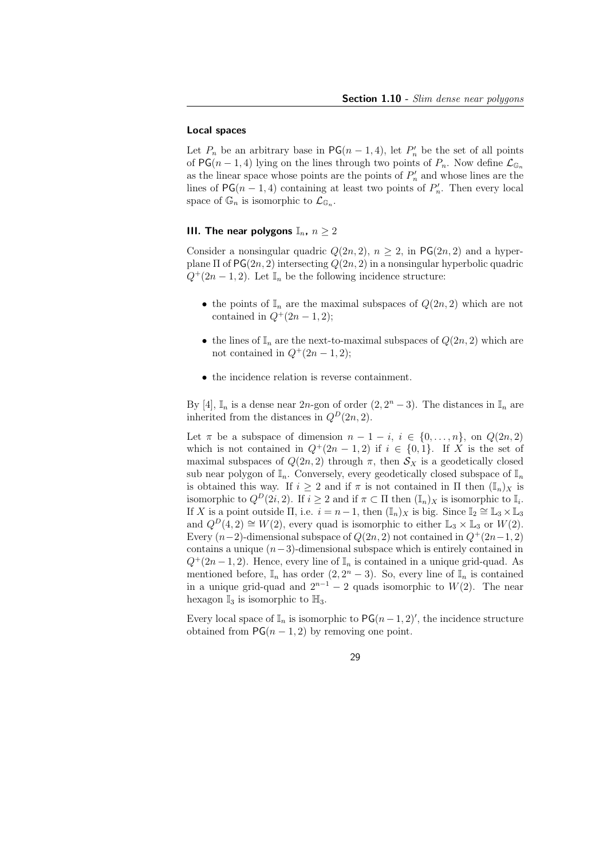## Local spaces

Let  $P_n$  be an arbitrary base in PG(n – 1, 4), let  $P'_n$  be the set of all points of PG(n − 1, 4) lying on the lines through two points of  $P_n$ . Now define  $\mathcal{L}_{\mathbb{G}_n}$ as the linear space whose points are the points of  $P'_n$  and whose lines are the lines of  $PG(n-1, 4)$  containing at least two points of  $P'_n$ . Then every local space of  $\mathbb{G}_n$  is isomorphic to  $\mathcal{L}_{\mathbb{G}_n}$ .

#### III. The near polygons  $\mathbb{I}_n$ ,  $n \geq 2$

Consider a nonsingular quadric  $Q(2n, 2)$ ,  $n \geq 2$ , in PG(2n, 2) and a hyperplane  $\Pi$  of  $PG(2n, 2)$  intersecting  $Q(2n, 2)$  in a nonsingular hyperbolic quadric  $Q^+(2n-1, 2)$ . Let  $\mathbb{I}_n$  be the following incidence structure:

- the points of  $\mathbb{I}_n$  are the maximal subspaces of  $Q(2n, 2)$  which are not contained in  $Q^+(2n-1,2);$
- the lines of  $\mathbb{I}_n$  are the next-to-maximal subspaces of  $Q(2n, 2)$  which are not contained in  $Q^+(2n-1,2)$ ;
- the incidence relation is reverse containment.

By [4],  $\mathbb{I}_n$  is a dense near 2*n*-gon of order  $(2, 2^n - 3)$ . The distances in  $\mathbb{I}_n$  are inherited from the distances in  $Q^D(2n, 2)$ .

Let  $\pi$  be a subspace of dimension  $n-1-i$ ,  $i \in \{0,\ldots,n\}$ , on  $Q(2n, 2)$ which is not contained in  $Q^+(2n-1,2)$  if  $i \in \{0,1\}$ . If X is the set of maximal subspaces of  $Q(2n, 2)$  through  $\pi$ , then  $S_X$  is a geodetically closed sub near polygon of  $\mathbb{I}_n$ . Conversely, every geodetically closed subspace of  $\mathbb{I}_n$ is obtained this way. If  $i > 2$  and if  $\pi$  is not contained in  $\Pi$  then  $(\mathbb{I}_n)_X$  is isomorphic to  $Q^D(2i, 2)$ . If  $i \geq 2$  and if  $\pi \subset \Pi$  then  $(\mathbb{I}_n)_X$  is isomorphic to  $\mathbb{I}_i$ . If X is a point outside  $\Pi$ , i.e.  $i = n-1$ , then  $(\mathbb{I}_n)_X$  is big. Since  $\mathbb{I}_2 \cong \mathbb{L}_3 \times \mathbb{L}_3$ and  $Q^D(4, 2) \cong W(2)$ , every quad is isomorphic to either  $\mathbb{L}_3 \times \mathbb{L}_3$  or  $W(2)$ . Every  $(n-2)$ -dimensional subspace of  $Q(2n, 2)$  not contained in  $Q^+(2n-1, 2)$ contains a unique  $(n-3)$ -dimensional subspace which is entirely contained in  $Q^+(2n-1, 2)$ . Hence, every line of  $\mathbb{I}_n$  is contained in a unique grid-quad. As mentioned before,  $\mathbb{I}_n$  has order  $(2, 2^n - 3)$ . So, every line of  $\mathbb{I}_n$  is contained in a unique grid-quad and  $2^{n-1} - 2$  quads isomorphic to  $W(2)$ . The near hexagon  $\mathbb{I}_3$  is isomorphic to  $\mathbb{H}_3$ .

Every local space of  $\mathbb{I}_n$  is isomorphic to PG(n – 1, 2)', the incidence structure obtained from  $PG(n-1, 2)$  by removing one point.

29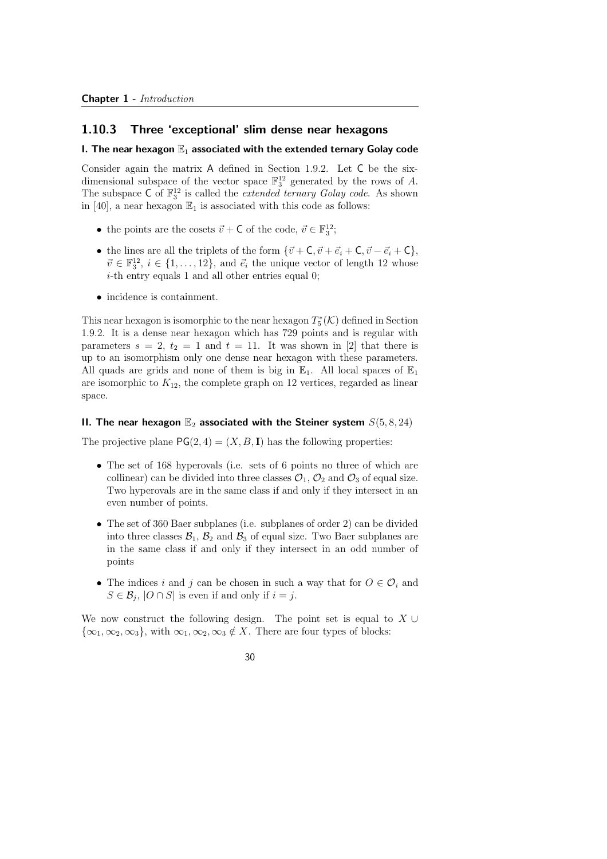# 1.10.3 Three 'exceptional' slim dense near hexagons

## I. The near hexagon  $\mathbb{E}_1$  associated with the extended ternary Golay code

Consider again the matrix A defined in Section 1.9.2. Let C be the sixdimensional subspace of the vector space  $\mathbb{F}_3^{12}$  generated by the rows of A. The subspace  $\mathsf{C}$  of  $\mathbb{F}_3^{12}$  is called the *extended ternary Golay code*. As shown in [40], a near hexagon  $\mathbb{E}_1$  is associated with this code as follows:

- the points are the cosets  $\vec{v} + \mathsf{C}$  of the code,  $\vec{v} \in \mathbb{F}_3^{12}$ ;
- the lines are all the triplets of the form  ${\vec{v}} + {\vec{C}}, {\vec{v}} + {\vec{e_i}} + {\vec{C}}, {\vec{v}} {\vec{e_i}} + {\vec{C}}$ ,  $\vec{v} \in \mathbb{F}_3^{12}, i \in \{1, \ldots, 12\}$  and  $\vec{e_i}$  the unique vector of length 12 whose i-th entry equals 1 and all other entries equal 0;
- incidence is containment.

This near hexagon is isomorphic to the near hexagon  $T_5^*(\mathcal{K})$  defined in Section 1.9.2. It is a dense near hexagon which has 729 points and is regular with parameters  $s = 2$ ,  $t_2 = 1$  and  $t = 11$ . It was shown in [2] that there is up to an isomorphism only one dense near hexagon with these parameters. All quads are grids and none of them is big in  $\mathbb{E}_1$ . All local spaces of  $\mathbb{E}_1$ are isomorphic to  $K_{12}$ , the complete graph on 12 vertices, regarded as linear space.

#### II. The near hexagon  $\mathbb{E}_2$  associated with the Steiner system  $S(5, 8, 24)$

The projective plane  $PG(2, 4) = (X, B, I)$  has the following properties:

- The set of 168 hyperovals (i.e. sets of 6 points no three of which are collinear) can be divided into three classes  $\mathcal{O}_1$ ,  $\mathcal{O}_2$  and  $\mathcal{O}_3$  of equal size. Two hyperovals are in the same class if and only if they intersect in an even number of points.
- The set of 360 Baer subplanes (i.e. subplanes of order 2) can be divided into three classes  $\mathcal{B}_1$ ,  $\mathcal{B}_2$  and  $\mathcal{B}_3$  of equal size. Two Baer subplanes are in the same class if and only if they intersect in an odd number of points
- The indices i and j can be chosen in such a way that for  $O \in \mathcal{O}_i$  and  $S \in \mathcal{B}_j$ ,  $|O \cap S|$  is even if and only if  $i = j$ .

We now construct the following design. The point set is equal to  $X \cup$  ${\infty_1, \infty_2, \infty_3}$ , with  $\infty_1, \infty_2, \infty_3 \notin X$ . There are four types of blocks:

30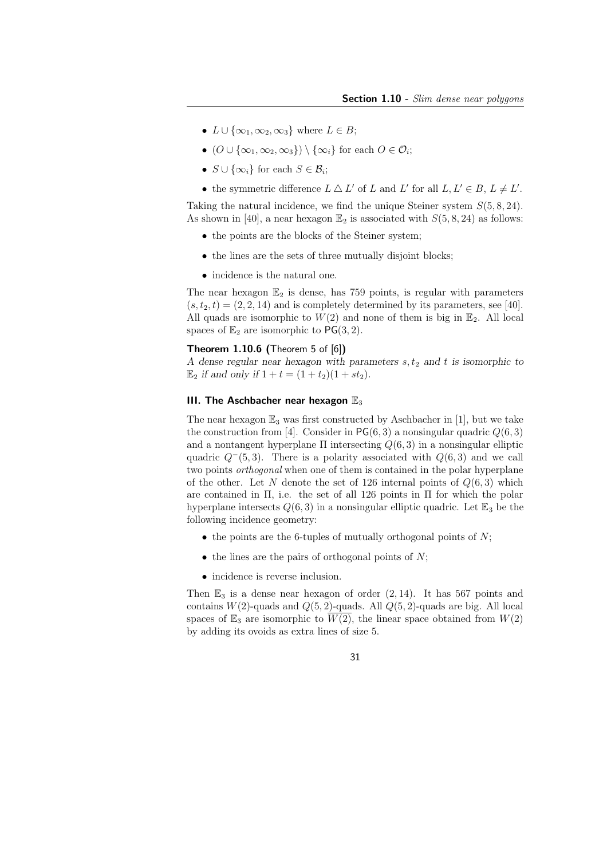- $L \cup {\infty_1, \infty_2, \infty_3}$  where  $L \in B$ ;
- $(O \cup {\infty_1, \infty_2, \infty_3}) \setminus {\infty_i}$  for each  $O \in \mathcal{O}_i$ ;
- $S \cup {\infty_i}$  for each  $S \in \mathcal{B}_i$ ;
- the symmetric difference  $L \Delta L'$  of L and L' for all  $L, L' \in B, L \neq L'$ .

Taking the natural incidence, we find the unique Steiner system  $S(5, 8, 24)$ . As shown in [40], a near hexagon  $\mathbb{E}_2$  is associated with  $S(5, 8, 24)$  as follows:

- the points are the blocks of the Steiner system;
- the lines are the sets of three mutually disjoint blocks:
- incidence is the natural one.

The near hexagon  $\mathbb{E}_2$  is dense, has 759 points, is regular with parameters  $(s,t_2,t) = (2, 2, 14)$  and is completely determined by its parameters, see [40]. All quads are isomorphic to  $W(2)$  and none of them is big in  $\mathbb{E}_2$ . All local spaces of  $\mathbb{E}_2$  are isomorphic to  $PG(3, 2)$ .

#### **Theorem 1.10.6 (Theorem 5 of [6])**

A dense regular near hexagon with parameters  $s, t_2$  and t is isomorphic to  $\mathbb{E}_2$  if and only if  $1 + t = (1 + t_2)(1 + st_2)$ .

#### III. The Aschbacher near hexagon  $\mathbb{E}_3$

The near hexagon  $\mathbb{E}_3$  was first constructed by Aschbacher in [1], but we take the construction from [4]. Consider in  $PG(6, 3)$  a nonsingular quadric  $Q(6, 3)$ and a nontangent hyperplane  $\Pi$  intersecting  $Q(6, 3)$  in a nonsingular elliptic quadric  $Q^-(5,3)$ . There is a polarity associated with  $Q(6,3)$  and we call two points orthogonal when one of them is contained in the polar hyperplane of the other. Let N denote the set of 126 internal points of  $Q(6,3)$  which are contained in  $\Pi$ , i.e. the set of all 126 points in  $\Pi$  for which the polar hyperplane intersects  $Q(6,3)$  in a nonsingular elliptic quadric. Let  $\mathbb{E}_3$  be the following incidence geometry:

- the points are the 6-tuples of mutually orthogonal points of  $N$ ;
- $\bullet$  the lines are the pairs of orthogonal points of  $N$ ;
- incidence is reverse inclusion.

Then  $\mathbb{E}_3$  is a dense near hexagon of order  $(2, 14)$ . It has 567 points and contains  $W(2)$ -quads and  $Q(5, 2)$ -quads. All  $Q(5, 2)$ -quads are big. All local spaces of  $\mathbb{E}_3$  are isomorphic to  $\overline{W(2)}$ , the linear space obtained from  $W(2)$ by adding its ovoids as extra lines of size 5.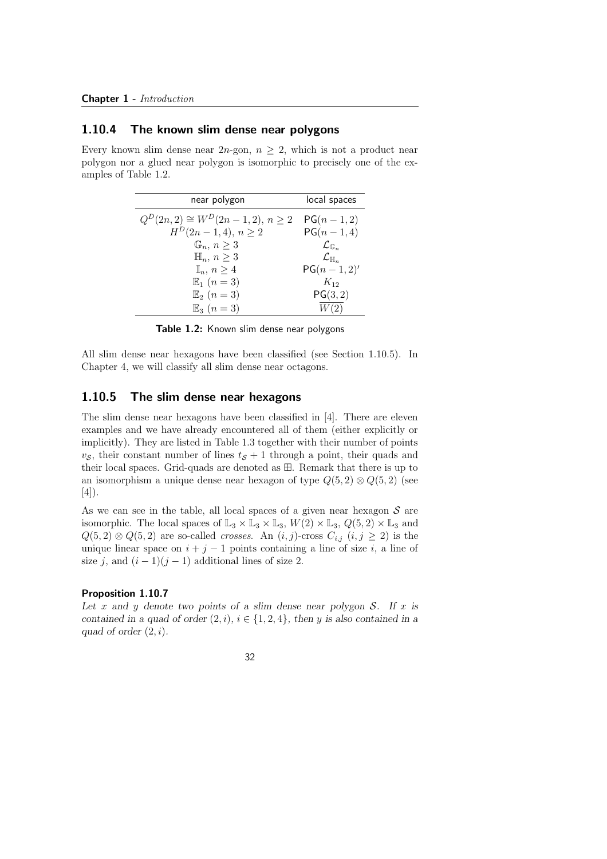# 1.10.4 The known slim dense near polygons

Every known slim dense near  $2n$ -gon,  $n \geq 2$ , which is not a product near polygon nor a glued near polygon is isomorphic to precisely one of the examples of Table 1.2.

| near polygon                            | local spaces                 |  |
|-----------------------------------------|------------------------------|--|
| $Q^D(2n,2) \cong W^D(2n-1,2), n \geq 2$ | $PG(n-1,2)$                  |  |
| $H^D(2n-1,4), n \geq 2$                 | $PG(n-1, 4)$                 |  |
| $\mathbb{G}_n, n \geq 3$                | $\mathcal{L}_{\mathbb{G}_n}$ |  |
| $\mathbb{H}_n$ , $n \geq 3$             | $\mathcal{L}_{\mathbb{H}_n}$ |  |
| $\mathbb{I}_n, n \geq 4$                | $PG(n-1,2)$ '                |  |
| $\mathbb{E}_1$ $(n=3)$                  | $K_{12}$                     |  |
| $\mathbb{E}_2$ $(n = 3)$                | PG(3,2)                      |  |
| $\mathbb{E}_3$ $(n=3)$                  | W(2)                         |  |

Table 1.2: Known slim dense near polygons

All slim dense near hexagons have been classified (see Section 1.10.5). In Chapter 4, we will classify all slim dense near octagons.

# 1.10.5 The slim dense near hexagons

The slim dense near hexagons have been classified in [4]. There are eleven examples and we have already encountered all of them (either explicitly or implicitly). They are listed in Table 1.3 together with their number of points  $v<sub>S</sub>$ , their constant number of lines  $t<sub>S</sub> + 1$  through a point, their quads and their local spaces. Grid-quads are denoted as  $\boxplus$ . Remark that there is up to an isomorphism a unique dense near hexagon of type  $Q(5, 2) \otimes Q(5, 2)$  (see [4]).

As we can see in the table, all local spaces of a given near hexagon  $S$  are isomorphic. The local spaces of  $\mathbb{L}_3 \times \mathbb{L}_3 \times \mathbb{L}_3$ ,  $W(2) \times \mathbb{L}_3$ ,  $Q(5, 2) \times \mathbb{L}_3$  and  $Q(5,2) \otimes Q(5,2)$  are so-called *crosses*. An  $(i, j)$ -cross  $C_{i,j}$   $(i, j \geq 2)$  is the unique linear space on  $i + j - 1$  points containing a line of size i, a line of size j, and  $(i - 1)(j - 1)$  additional lines of size 2.

#### Proposition 1.10.7

Let x and y denote two points of a slim dense near polygon  $S$ . If x is contained in a quad of order  $(2, i)$ ,  $i \in \{1, 2, 4\}$ , then y is also contained in a quad of order  $(2, i)$ .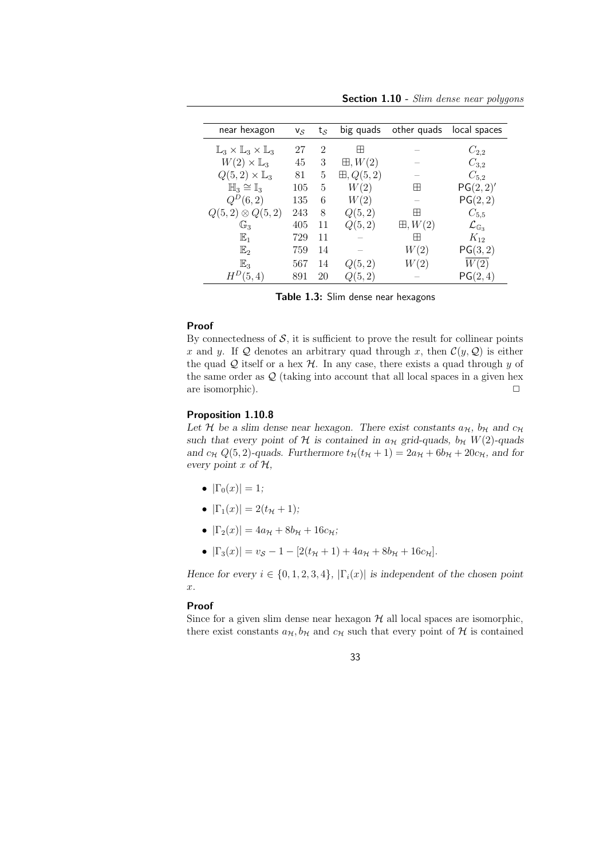| near hexagon                                           | $V_S$ | $t_S$ | big quads             |                  | other quads local spaces     |
|--------------------------------------------------------|-------|-------|-----------------------|------------------|------------------------------|
| $\mathbb{L}_3 \times \mathbb{L}_3 \times \mathbb{L}_3$ | 27    | 2     | Æ                     |                  | $C_{2,2}$                    |
| $W(2) \times \mathbb{L}_3$                             | 45    | 3     | $\boxplus, W(2)$      |                  | $C_{3,2}$                    |
| $Q(5,2)\times\mathbb{L}_3$                             | 81    | 5     | $\boxplus$ , $Q(5,2)$ |                  | $C_{5,2}$                    |
| $\mathbb{H}_3 \cong \mathbb{I}_3$                      | 105   | 5     | W(2)                  | Ħ                | $PG(2, 2)$ '                 |
| $Q^D(6,2)$                                             | 135   | 6     | W(2)                  |                  | PG(2, 2)                     |
| $Q(5,2)\otimes Q(5,2)$                                 | 243   | 8     | Q(5,2)                | Æ                | $C_{5,5}$                    |
| $\mathbb{G}_3$                                         | 405   | 11    | Q(5,2)                | $\boxplus, W(2)$ | $\mathcal{L}_{\mathbb{G}_3}$ |
| $\mathbb{E}_1$                                         | 729   | 11    |                       | Æ                | $K_{12}$                     |
| $\mathbb{E}_2$                                         | 759   | 14    |                       | W(2)             | PG(3,2)                      |
| $\mathbb{E}_3$                                         | 567   | 14    | Q(5,2)                | W(2)             | W(2)                         |
| $H^{D}(5,4)$                                           | 891   | 20    | Q(5,2)                |                  | PG(2,4)                      |

Section 1.10 - Slim dense near polygons

Table 1.3: Slim dense near hexagons

#### Proof

By connectedness of  $S$ , it is sufficient to prove the result for collinear points x and y. If Q denotes an arbitrary quad through x, then  $\mathcal{C}(y, \mathcal{Q})$  is either the quad  $Q$  itself or a hex  $H$ . In any case, there exists a quad through y of the same order as  $Q$  (taking into account that all local spaces in a given hex are isomorphic). are isomorphic).

#### Proposition 1.10.8

Let H be a slim dense near hexagon. There exist constants  $a_{\mathcal{H}}$ ,  $b_{\mathcal{H}}$  and  $c_{\mathcal{H}}$ such that every point of H is contained in  $a_{\mathcal{H}}$  grid-quads,  $b_{\mathcal{H}}$  W(2)-quads and  $c_H Q(5, 2)$ -quads. Furthermore  $t_H(t_H + 1) = 2a_H + 6b_H + 20c_H$ , and for every point x of  $H$ ,

- $|\Gamma_0(x)| = 1;$
- $|\Gamma_1(x)| = 2(t_{\mathcal{H}} + 1);$
- $|\Gamma_2(x)| = 4a_{\mathcal{H}} + 8b_{\mathcal{H}} + 16c_{\mathcal{H}};$
- $|\Gamma_3(x)| = v_S 1 [2(t_{\mathcal{H}} + 1) + 4a_{\mathcal{H}} + 8b_{\mathcal{H}} + 16c_{\mathcal{H}}].$

Hence for every  $i \in \{0, 1, 2, 3, 4\}, |\Gamma_i(x)|$  is independent of the chosen point x.

#### Proof

Since for a given slim dense near hexagon  $H$  all local spaces are isomorphic, there exist constants  $a_{\mathcal{H}}$ ,  $b_{\mathcal{H}}$  and  $c_{\mathcal{H}}$  such that every point of  $\mathcal{H}$  is contained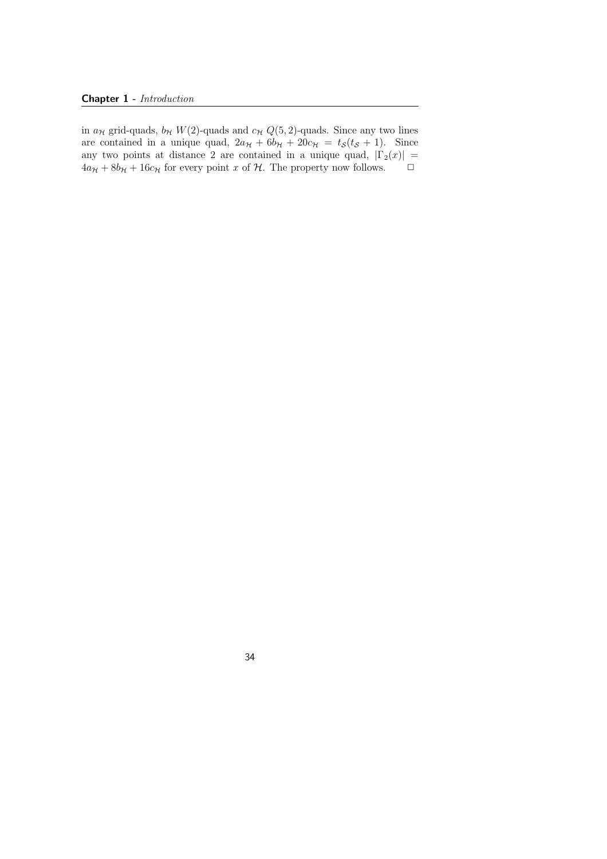in  $a_{\mathcal{H}}$  grid-quads,  $b_{\mathcal{H}} W(2)$ -quads and  $c_{\mathcal{H}} Q(5, 2)$ -quads. Since any two lines are contained in a unique quad,  $2a_{\mathcal{H}} + 6b_{\mathcal{H}} + 20c_{\mathcal{H}} = t_{\mathcal{S}}(t_{\mathcal{S}} + 1)$ . Since any two points at distance 2 are contained in a unique quad,  $|\Gamma_2(x)| = 4a_{\mathcal{H}} + 8b_{\mathcal{H}} + 16c_{\mathcal{H}}$  for every point x of  $\mathcal{H}$ . The property now follows.  $4a_{\mathcal{H}} + 8b_{\mathcal{H}} + 16c_{\mathcal{H}}$  for every point x of  $\mathcal{H}$ . The property now follows.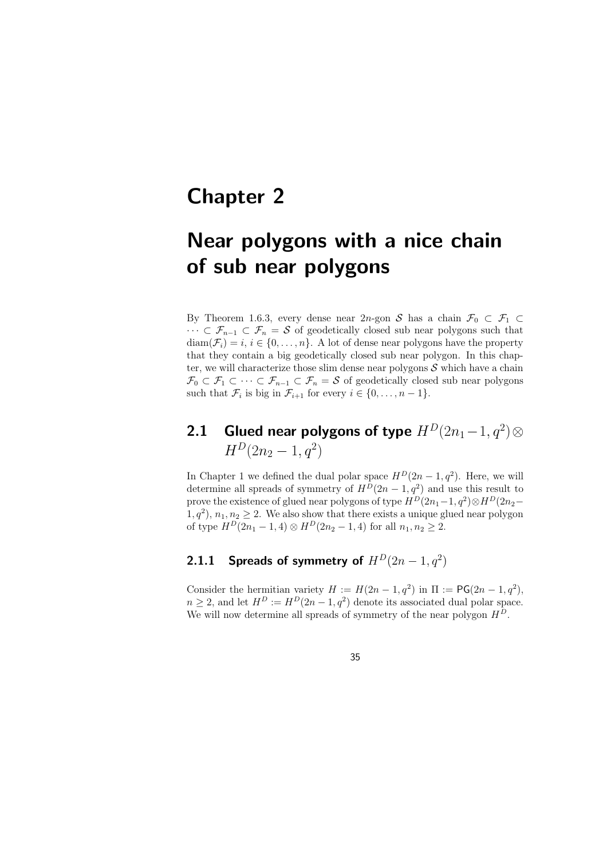# Chapter 2

# Near polygons with a nice chain of sub near polygons

By Theorem 1.6.3, every dense near 2n-gon S has a chain  $\mathcal{F}_0 \subset \mathcal{F}_1 \subset$  $\cdots \subset \mathcal{F}_{n-1} \subset \mathcal{F}_n = \mathcal{S}$  of geodetically closed sub near polygons such that  $diam(\mathcal{F}_i) = i, i \in \{0, \ldots, n\}.$  A lot of dense near polygons have the property that they contain a big geodetically closed sub near polygon. In this chapter, we will characterize those slim dense near polygons  $S$  which have a chain  $\mathcal{F}_0 \subset \mathcal{F}_1 \subset \cdots \subset \mathcal{F}_{n-1} \subset \mathcal{F}_n = \mathcal{S}$  of geodetically closed sub near polygons such that  $\mathcal{F}_i$  is big in  $\mathcal{F}_{i+1}$  for every  $i \in \{0, \ldots, n-1\}$ .

# 2.1 Glued near polygons of type  $H^D(2n_1-1,q^2) \otimes$  $H^D(2n_2-1, q^2)$

In Chapter 1 we defined the dual polar space  $H^D(2n-1, q^2)$ . Here, we will determine all spreads of symmetry of  $H^D(2n-1, q^2)$  and use this result to prove the existence of glued near polygons of type  $H^D(2n_1-1, q^2) \otimes H^D(2n_2 1, q^2$ ,  $n_1, n_2 \geq 2$ . We also show that there exists a unique glued near polygon of type  $H^D(2n_1 - 1, 4) \otimes H^D(2n_2 - 1, 4)$  for all  $n_1, n_2 \geq 2$ .

# 2.1.1 Spreads of symmetry of  $H^D(2n-1,q^2)$

Consider the hermitian variety  $H := H(2n - 1, q^2)$  in  $\Pi := \mathsf{PG}(2n - 1, q^2)$ ,  $n \geq 2$ , and let  $H^D := H^D(2n-1, q^2)$  denote its associated dual polar space. We will now determine all spreads of symmetry of the near polygon  $H<sup>D</sup>$ .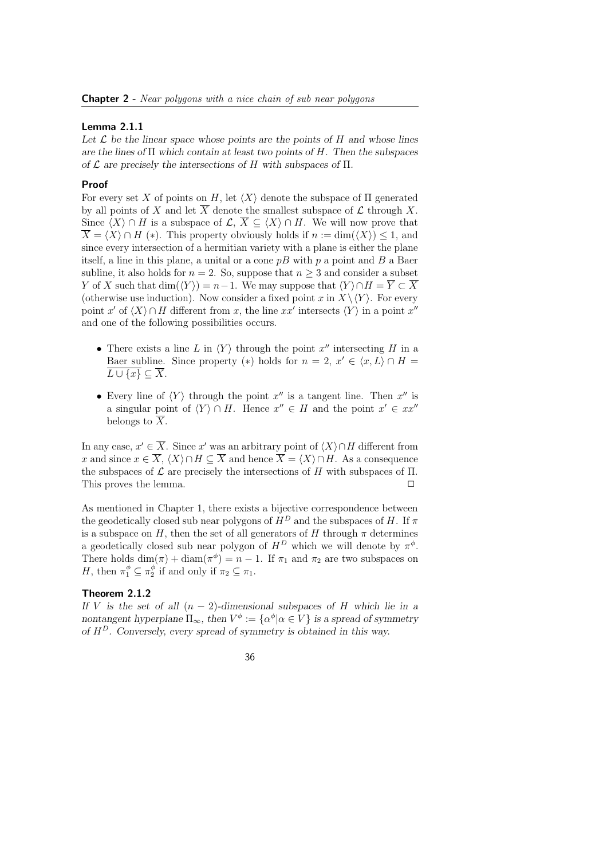#### Lemma 2.1.1

Let  $\mathcal L$  be the linear space whose points are the points of  $H$  and whose lines are the lines of  $\Pi$  which contain at least two points of H. Then the subspaces of  $\mathcal L$  are precisely the intersections of H with subspaces of  $\Pi$ .

## Proof

For every set X of points on H, let  $\langle X \rangle$  denote the subspace of  $\Pi$  generated by all points of X and let  $\overline{X}$  denote the smallest subspace of  $\mathcal L$  through X. Since  $\langle X \rangle \cap H$  is a subspace of  $\mathcal{L}, \overline{X} \subseteq \langle X \rangle \cap H$ . We will now prove that  $\overline{X} = \langle X \rangle \cap H$  (\*). This property obviously holds if  $n := \dim(\langle X \rangle) \leq 1$ , and since every intersection of a hermitian variety with a plane is either the plane itself, a line in this plane, a unital or a cone  $pB$  with p a point and B a Baer subline, it also holds for  $n = 2$ . So, suppose that  $n \geq 3$  and consider a subset Y of X such that  $\dim(\langle Y \rangle) = n-1$ . We may suppose that  $\langle Y \rangle \cap H = \overline{Y} \subset \overline{X}$ (otherwise use induction). Now consider a fixed point x in  $X \setminus \langle Y \rangle$ . For every point x' of  $\langle X \rangle \cap H$  different from x, the line xx' intersects  $\langle Y \rangle$  in a point x'' and one of the following possibilities occurs.

- There exists a line L in  $\langle Y \rangle$  through the point  $x''$  intersecting H in a Baer subline. Since property (\*) holds for  $n = 2$ ,  $x' \in \langle x, L \rangle \cap H =$  $\overline{L \cup \{x\}} \subseteq \overline{X}$ .
- Every line of  $\langle Y \rangle$  through the point  $x''$  is a tangent line. Then  $x''$  is a singular point of  $\langle Y \rangle \cap H$ . Hence  $x'' \in H$  and the point  $x' \in xx''$ belongs to  $\overline{X}$ .

In any case,  $x' \in \overline{X}$ . Since  $x'$  was an arbitrary point of  $\langle X \rangle \cap H$  different from x and since  $x \in \overline{X}$ ,  $\langle X \rangle \cap H \subseteq \overline{X}$  and hence  $\overline{X} = \langle X \rangle \cap H$ . As a consequence the subspaces of  $\mathcal L$  are precisely the intersections of H with subspaces of  $\Pi$ .<br>This proves the lemma. This proves the lemma.

As mentioned in Chapter 1, there exists a bijective correspondence between the geodetically closed sub near polygons of  $H^D$  and the subspaces of H. If  $\pi$ is a subspace on H, then the set of all generators of H through  $\pi$  determines a geodetically closed sub near polygon of  $H^D$  which we will denote by  $\pi^{\phi}$ . There holds  $\dim(\pi) + \dim(\pi^{\phi}) = n - 1$ . If  $\pi_1$  and  $\pi_2$  are two subspaces on H, then  $\pi_1^{\phi} \subseteq \pi_2^{\phi}$  if and only if  $\pi_2 \subseteq \pi_1$ .

#### Theorem 2.1.2

If V is the set of all  $(n-2)$ -dimensional subspaces of H which lie in a nontangent hyperplane  $\Pi_{\infty}$ , then  $V^{\phi} := {\alpha^{\phi}} | \alpha \in V$  is a spread of symmetry of  $H^D$ . Conversely, every spread of symmetry is obtained in this way.

36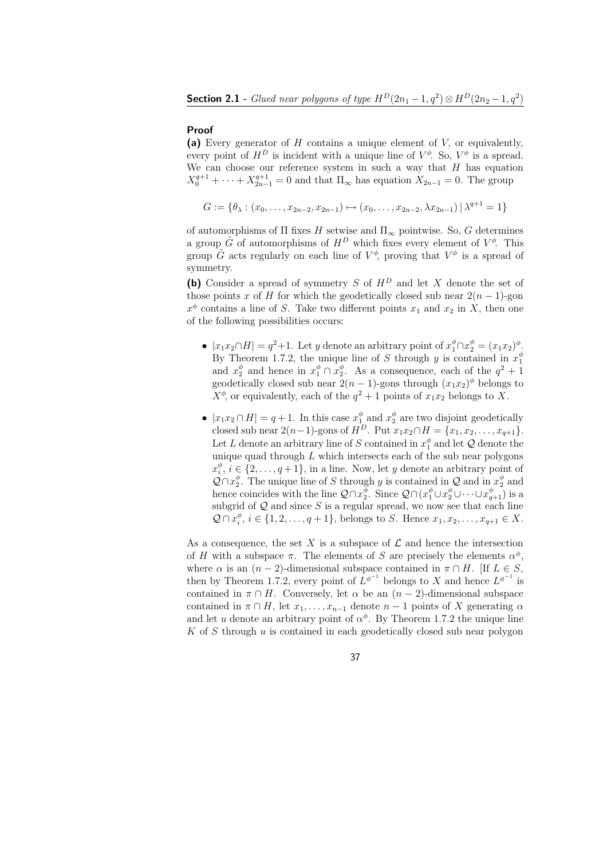## Proof

(a) Every generator of  $H$  contains a unique element of  $V$ , or equivalently, every point of  $H^D$  is incident with a unique line of  $V^{\phi}$ . So,  $V^{\phi}$  is a spread. We can choose our reference system in such a way that  $H$  has equation  $X_0^{q+1} + \cdots + X_{2n-1}^{q+1} = 0$  and that  $\Pi_{\infty}$  has equation  $X_{2n-1} = 0$ . The group

$$
G := \{ \theta_{\lambda} : (x_0, \ldots, x_{2n-2}, x_{2n-1}) \mapsto (x_0, \ldots, x_{2n-2}, \lambda x_{2n-1}) \mid \lambda^{q+1} = 1 \}
$$

of automorphisms of  $\Pi$  fixes H setwise and  $\Pi_{\infty}$  pointwise. So, G determines a group  $\tilde{G}$  of automorphisms of  $H^D$  which fixes every element of  $V^{\phi}$ . This group  $\tilde{G}$  acts regularly on each line of  $V^{\phi}$ , proving that  $V^{\phi}$  is a spread of symmetry.

(b) Consider a spread of symmetry  $S$  of  $H^D$  and let X denote the set of those points x of H for which the geodetically closed sub near  $2(n-1)$ -gon  $x^{\phi}$  contains a line of S. Take two different points  $x_1$  and  $x_2$  in X, then one of the following possibilities occurs:

- $|x_1x_2 \cap H| = q^2 + 1$ . Let y denote an arbitrary point of  $x_1^{\phi} \cap x_2^{\phi} = (x_1x_2)^{\phi}$ . By Theorem 1.7.2, the unique line of S through y is contained in  $x_1^{\phi}$ and  $x_2^{\phi}$  and hence in  $x_1^{\phi} \cap x_2^{\phi}$ . As a consequence, each of the  $q^2 + 1$ geodetically closed sub near  $2(n-1)$ -gons through  $(x_1x_2)$ <sup> $\phi$ </sup> belongs to  $X^{\phi}$ , or equivalently, each of the  $q^2 + 1$  points of  $x_1x_2$  belongs to X.
- $|x_1x_2 \cap H| = q + 1$ . In this case  $x_1^{\phi}$  and  $x_2^{\phi}$  are two disjoint geodetically closed sub near  $2(n-1)$ -gons of  $H^D$ . Put  $x_1x_2 \cap H = \{x_1, x_2, \ldots, x_{q+1}\}.$ Let L denote an arbitrary line of S contained in  $x_1^{\phi}$  and let Q denote the unique quad through  $L$  which intersects each of the sub near polygons  $x_i^{\phi}, i \in \{2, \ldots, q+1\},$  in a line. Now, let y denote an arbitrary point of  $\mathcal{Q} \cap x_2^{\phi}$ . The unique line of S through y is contained in  $\mathcal{Q}$  and in  $x_2^{\phi}$  and hence coincides with the line  $Q \cap x_2^{\phi}$ . Since  $Q \cap (x_1^{\phi} \cup x_2^{\phi} \cup \cdots \cup x_{q+1}^{\phi})$  is a subgrid of  $Q$  and since  $S$  is a regular spread, we now see that each line  $Q \cap x_i^{\phi}, i \in \{1, 2, \ldots, q+1\},$  belongs to S. Hence  $x_1, x_2, \ldots, x_{q+1} \in X$ .

As a consequence, the set X is a subspace of  $\mathcal L$  and hence the intersection of H with a subspace  $\pi$ . The elements of S are precisely the elements  $\alpha^{\phi}$ , where  $\alpha$  is an  $(n-2)$ -dimensional subspace contained in  $\pi \cap H$ . [If  $L \in S$ , then by Theorem 1.7.2, every point of  $L^{\phi^{-1}}$  belongs to X and hence  $L^{\phi^{-1}}$  is contained in  $\pi \cap H$ . Conversely, let  $\alpha$  be an  $(n-2)$ -dimensional subspace contained in  $\pi \cap H$ , let  $x_1, \ldots, x_{n-1}$  denote  $n-1$  points of X generating  $\alpha$ and let u denote an arbitrary point of  $\alpha^{\phi}$ . By Theorem 1.7.2 the unique line K of S through  $u$  is contained in each geodetically closed sub near polygon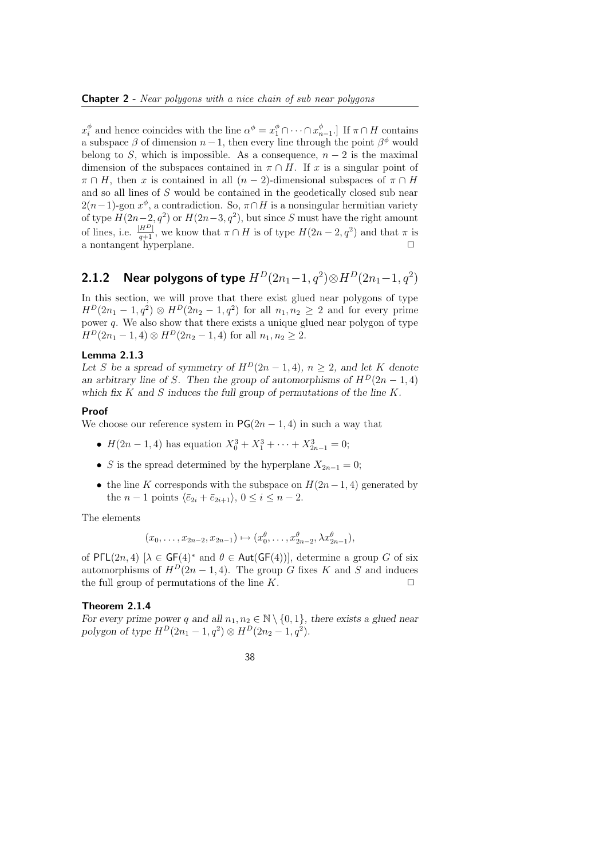$x_i^{\phi}$  and hence coincides with the line  $\alpha^{\phi} = x_1^{\phi} \cap \cdots \cap x_{n-1}^{\phi}$ . If  $\pi \cap H$  contains a subspace  $\beta$  of dimension  $n-1$ , then every line through the point  $\beta^{\phi}$  would belong to S, which is impossible. As a consequence,  $n-2$  is the maximal dimension of the subspaces contained in  $\pi \cap H$ . If x is a singular point of  $\pi \cap H$ , then x is contained in all  $(n-2)$ -dimensional subspaces of  $\pi \cap H$ and so all lines of S would be contained in the geodetically closed sub near  $2(n-1)$ -gon  $x^{\phi}$ , a contradiction. So,  $\pi \cap H$  is a nonsingular hermitian variety of type  $H(2n-2, q^2)$  or  $H(2n-3, q^2)$ , but since S must have the right amount of lines, i.e.  $\frac{|H^D|}{q+1}$ , we know that  $\pi \cap H$  is of type  $H(2n-2, q^2)$  and that  $\pi$  is a nontangent hyperplane.  $\Box$ 

# 2.1.2 Near polygons of type  $H^D(2n_1-1, q^2) \otimes H^D(2n_1-1, q^2)$

In this section, we will prove that there exist glued near polygons of type  $H^{D}(2n_1 - 1, q^2) \otimes H^{D}(2n_2 - 1, q^2)$  for all  $n_1, n_2 \ge 2$  and for every prime power q. We also show that there exists a unique glued near polygon of type  $H^D(2n_1 - 1, 4) \otimes H^D(2n_2 - 1, 4)$  for all  $n_1, n_2 \geq 2$ .

### Lemma 2.1.3

Let S be a spread of symmetry of  $H^D(2n-1, 4)$ ,  $n \geq 2$ , and let K denote an arbitrary line of S. Then the group of automorphisms of  $H^D(2n-1,4)$ which fix  $K$  and  $S$  induces the full group of permutations of the line  $K$ .

#### Proof

We choose our reference system in  $PG(2n-1, 4)$  in such a way that

- $H(2n-1, 4)$  has equation  $X_0^3 + X_1^3 + \cdots + X_{2n-1}^3 = 0$ ;
- S is the spread determined by the hyperplane  $X_{2n-1} = 0$ ;
- the line K corresponds with the subspace on  $H(2n-1, 4)$  generated by the  $n-1$  points  $\langle \bar{e}_{2i} + \bar{e}_{2i+1} \rangle$ ,  $0 \le i \le n-2$ .

The elements

$$
(x_0,...,x_{2n-2},x_{2n-1}) \mapsto (x_0^{\theta},...,x_{2n-2}^{\theta},\lambda x_{2n-1}^{\theta}),
$$

of PΓL $(2n, 4)$   $[\lambda \in {\mathsf{GF}}(4)^*$  and  $\theta \in {\mathsf{Aut}}({\mathsf{GF}}(4))]$ , determine a group G of six automorphisms of  $H^D(2n-1, 4)$ . The group G fixes K and S and induces the full group of permutations of the line K the full group of permutations of the line  $K$ .

#### Theorem 2.1.4

For every prime power q and all  $n_1, n_2 \in \mathbb{N} \setminus \{0, 1\}$ , there exists a glued near polygon of type  $H^D(2n_1 - 1, q^2) \otimes H^D(2n_2 - 1, q^2)$ .

38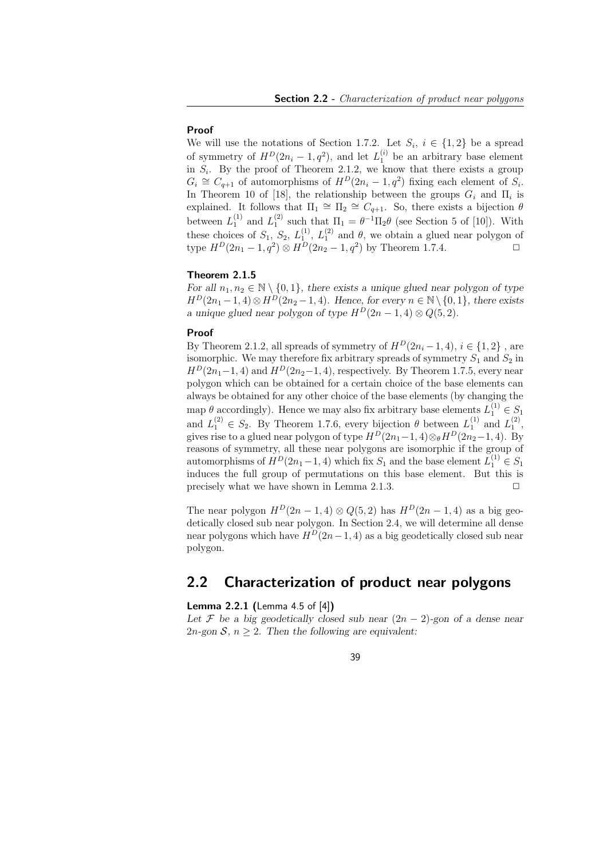# Proof

We will use the notations of Section 1.7.2. Let  $S_i$ ,  $i \in \{1,2\}$  be a spread of symmetry of  $H^D(2n_i - 1, q^2)$ , and let  $L_1^{(i)}$  be an arbitrary base element in  $S_i$ . By the proof of Theorem 2.1.2, we know that there exists a group  $G_i \cong C_{q+1}$  of automorphisms of  $H^D(2n_i - 1, q^2)$  fixing each element of  $S_i$ . In Theorem 10 of [18], the relationship between the groups  $G_i$  and  $\Pi_i$  is explained. It follows that  $\Pi_1 \cong \Pi_2 \cong C_{q+1}$ . So, there exists a bijection  $\theta$ between  $L_1^{(1)}$  and  $L_1^{(2)}$  such that  $\Pi_1 = \theta^{-1} \Pi_2 \theta$  (see Section 5 of [10]). With these choices of  $S_1$ ,  $S_2$ ,  $L_1^{(1)}$ ,  $L_1^{(2)}$  and  $\theta$ , we obtain a glued near polygon of type  $H^D(2n_1 - 1, q^2) \otimes H^D(2n_2 - 1, q^2)$  by Theorem 1.7.4.

### Theorem 2.1.5

For all  $n_1, n_2 \in \mathbb{N} \setminus \{0, 1\}$ , there exists a unique glued near polygon of type  $H^D(2n_1 - 1, 4) \otimes H^D(2n_2 - 1, 4)$ . Hence, for every  $n \in \mathbb{N} \setminus \{0, 1\}$ , there exists a unique glued near polygon of type  $H^D(2n-1, 4) \otimes Q(5, 2)$ .

# Proof

By Theorem 2.1.2, all spreads of symmetry of  $H^D(2n_i-1, 4)$ ,  $i \in \{1, 2\}$ , are isomorphic. We may therefore fix arbitrary spreads of symmetry  $S_1$  and  $S_2$  in  $H^D(2n_1-1, 4)$  and  $H^D(2n_2-1, 4)$ , respectively. By Theorem 1.7.5, every near polygon which can be obtained for a certain choice of the base elements can always be obtained for any other choice of the base elements (by changing the map  $\theta$  accordingly). Hence we may also fix arbitrary base elements  $L_1^{(1)} \in S_1$ and  $L_1^{(2)} \in S_2$ . By Theorem 1.7.6, every bijection  $\theta$  between  $L_1^{(1)}$  and  $L_1^{(2)}$ , gives rise to a glued near polygon of type  $H^D(2n_1-1, 4)\otimes_{\theta} H^D(2n_2-1, 4)$ . By reasons of symmetry, all these near polygons are isomorphic if the group of automorphisms of  $H^D(2n_1-1, 4)$  which fix  $S_1$  and the base element  $L_1^{(1)} \in S_1$ induces the full group of permutations on this base element. But this is precisely what we have shown in Lemma 2.1.3.  $\Box$ 

The near polygon  $H^D(2n-1, 4) \otimes Q(5, 2)$  has  $H^D(2n-1, 4)$  as a big geodetically closed sub near polygon. In Section 2.4, we will determine all dense near polygons which have  $H^D(2n-1, 4)$  as a big geodetically closed sub near polygon.

# 2.2 Characterization of product near polygons

#### Lemma 2.2.1 (Lemma 4.5 of [4])

Let F be a big geodetically closed sub near  $(2n - 2)$ -gon of a dense near 2n-gon  $S, n \geq 2$ . Then the following are equivalent: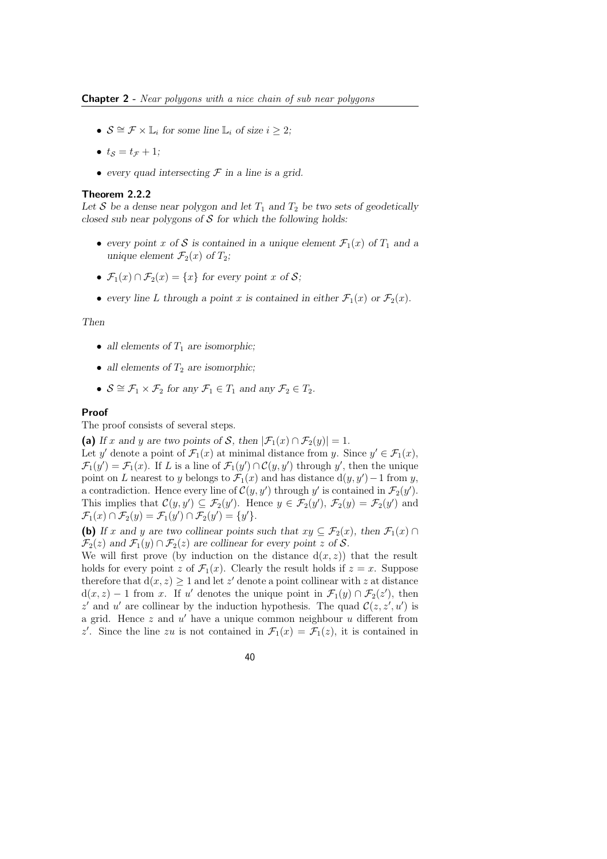- $S \cong \mathcal{F} \times \mathbb{L}_i$  for some line  $\mathbb{L}_i$  of size  $i \geq 2$ ;
- $t_S = t_F + 1$ ;
- every quad intersecting  $\mathcal F$  in a line is a grid.

## Theorem 2.2.2

Let S be a dense near polygon and let  $T_1$  and  $T_2$  be two sets of geodetically closed sub near polygons of  $S$  for which the following holds:

- every point x of S is contained in a unique element  $\mathcal{F}_1(x)$  of  $T_1$  and a unique element  $\mathcal{F}_2(x)$  of  $T_2$ ;
- $\mathcal{F}_1(x) \cap \mathcal{F}_2(x) = \{x\}$  for every point x of S;
- every line L through a point x is contained in either  $\mathcal{F}_1(x)$  or  $\mathcal{F}_2(x)$ .

#### Then

- all elements of  $T_1$  are isomorphic;
- all elements of  $T_2$  are isomorphic;
- $S \cong \mathcal{F}_1 \times \mathcal{F}_2$  for any  $\mathcal{F}_1 \in T_1$  and any  $\mathcal{F}_2 \in T_2$ .

#### Proof

The proof consists of several steps.

(a) If x and y are two points of S, then  $|\mathcal{F}_1(x) \cap \mathcal{F}_2(y)| = 1$ . Let y' denote a point of  $\mathcal{F}_1(x)$  at minimal distance from y. Since  $y' \in \mathcal{F}_1(x)$ ,

 $\mathcal{F}_1(y') = \mathcal{F}_1(x)$ . If L is a line of  $\mathcal{F}_1(y') \cap C(y, y')$  through y', then the unique point on L nearest to y belongs to  $\mathcal{F}_1(x)$  and has distance  $d(y, y') - 1$  from y, a contradiction. Hence every line of  $\mathcal{C}(y, y')$  through y' is contained in  $\mathcal{F}_2(y')$ . This implies that  $\mathcal{C}(y, y') \subseteq \mathcal{F}_2(y')$ . Hence  $y \in \mathcal{F}_2(y')$ ,  $\mathcal{F}_2(y) = \mathcal{F}_2(y')$  and  $\mathcal{F}_1(x) \cap \mathcal{F}_2(y) = \mathcal{F}_1(y') \cap \mathcal{F}_2(y') = \{y'\}.$ 

(b) If x and y are two collinear points such that  $xy \subseteq \mathcal{F}_2(x)$ , then  $\mathcal{F}_1(x) \cap$  $\mathcal{F}_2(z)$  and  $\mathcal{F}_1(y) \cap \mathcal{F}_2(z)$  are collinear for every point z of S.

We will first prove (by induction on the distance  $d(x, z)$ ) that the result holds for every point z of  $\mathcal{F}_1(x)$ . Clearly the result holds if  $z = x$ . Suppose therefore that  $d(x, z) \geq 1$  and let z' denote a point collinear with z at distance  $d(x, z) - 1$  from x. If u' denotes the unique point in  $\mathcal{F}_1(y) \cap \mathcal{F}_2(z')$ , then z' and u' are collinear by the induction hypothesis. The quad  $C(z, z', u')$  is a grid. Hence  $z$  and  $u'$  have a unique common neighbour  $u$  different from z'. Since the line zu is not contained in  $\mathcal{F}_1(x) = \mathcal{F}_1(z)$ , it is contained in

$$
40\\
$$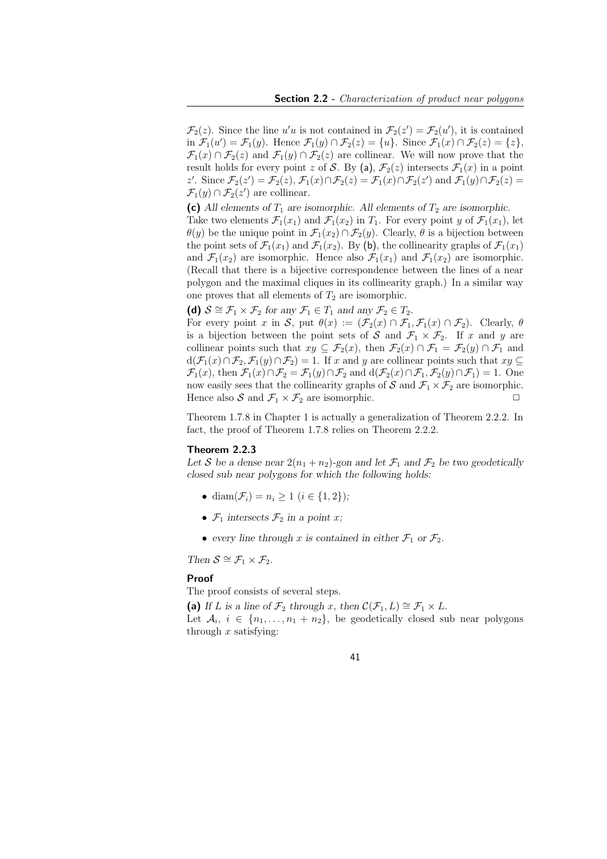$\mathcal{F}_2(z)$ . Since the line u'u is not contained in  $\mathcal{F}_2(z') = \mathcal{F}_2(u')$ , it is contained in  $\mathcal{F}_1(u') = \mathcal{F}_1(y)$ . Hence  $\mathcal{F}_1(y) \cap \mathcal{F}_2(z) = \{u\}$ . Since  $\mathcal{F}_1(x) \cap \mathcal{F}_2(z) = \{z\}$ ,  $\mathcal{F}_1(x) \cap \mathcal{F}_2(z)$  and  $\mathcal{F}_1(y) \cap \mathcal{F}_2(z)$  are collinear. We will now prove that the result holds for every point z of S. By (a),  $\mathcal{F}_2(z)$  intersects  $\mathcal{F}_1(x)$  in a point z'. Since  $\mathcal{F}_2(z') = \mathcal{F}_2(z)$ ,  $\mathcal{F}_1(x) \cap \mathcal{F}_2(z) = \mathcal{F}_1(x) \cap \mathcal{F}_2(z')$  and  $\mathcal{F}_1(y) \cap \mathcal{F}_2(z) =$  $\mathcal{F}_1(y) \cap \mathcal{F}_2(z')$  are collinear.

(c) All elements of  $T_1$  are isomorphic. All elements of  $T_2$  are isomorphic.

Take two elements  $\mathcal{F}_1(x_1)$  and  $\mathcal{F}_1(x_2)$  in  $T_1$ . For every point y of  $\mathcal{F}_1(x_1)$ , let  $\theta(y)$  be the unique point in  $\mathcal{F}_1(x_2) \cap \mathcal{F}_2(y)$ . Clearly,  $\theta$  is a bijection between the point sets of  $\mathcal{F}_1(x_1)$  and  $\mathcal{F}_1(x_2)$ . By (b), the collinearity graphs of  $\mathcal{F}_1(x_1)$ and  $\mathcal{F}_1(x_2)$  are isomorphic. Hence also  $\mathcal{F}_1(x_1)$  and  $\mathcal{F}_1(x_2)$  are isomorphic. (Recall that there is a bijective correspondence between the lines of a near polygon and the maximal cliques in its collinearity graph.) In a similar way one proves that all elements of  $T_2$  are isomorphic.

(d)  $S \cong \mathcal{F}_1 \times \mathcal{F}_2$  for any  $\mathcal{F}_1 \in T_1$  and any  $\mathcal{F}_2 \in T_2$ .

For every point x in S, put  $\theta(x) := (\mathcal{F}_2(x) \cap \mathcal{F}_1, \mathcal{F}_1(x) \cap \mathcal{F}_2)$ . Clearly,  $\theta$ is a bijection between the point sets of S and  $\mathcal{F}_1 \times \mathcal{F}_2$ . If x and y are collinear points such that  $xy \subseteq \mathcal{F}_2(x)$ , then  $\mathcal{F}_2(x) \cap \mathcal{F}_1 = \mathcal{F}_2(y) \cap \mathcal{F}_1$  and  $d(\mathcal{F}_1(x) \cap \mathcal{F}_2, \mathcal{F}_1(y) \cap \mathcal{F}_2) = 1$ . If x and y are collinear points such that  $xy \subseteq$  $\mathcal{F}_1(x)$ , then  $\mathcal{F}_1(x) \cap \mathcal{F}_2 = \mathcal{F}_1(y) \cap \mathcal{F}_2$  and  $d(\mathcal{F}_2(x) \cap \mathcal{F}_1, \mathcal{F}_2(y) \cap \mathcal{F}_1) = 1$ . One now easily sees that the collinearity graphs of S and  $\mathcal{F}_1 \times \mathcal{F}_2$  are isomorphic.<br>Hence also S and  $\mathcal{F}_1 \times \mathcal{F}_2$  are isomorphic. Hence also S and  $\mathcal{F}_1 \times \mathcal{F}_2$  are isomorphic.

Theorem 1.7.8 in Chapter 1 is actually a generalization of Theorem 2.2.2. In fact, the proof of Theorem 1.7.8 relies on Theorem 2.2.2.

### Theorem 2.2.3

Let S be a dense near  $2(n_1 + n_2)$ -gon and let  $\mathcal{F}_1$  and  $\mathcal{F}_2$  be two geodetically closed sub near polygons for which the following holds:

- diam $(\mathcal{F}_i) = n_i \ge 1$   $(i \in \{1, 2\})$ ;
- $\mathcal{F}_1$  intersects  $\mathcal{F}_2$  in a point x;
- every line through x is contained in either  $\mathcal{F}_1$  or  $\mathcal{F}_2$ .

Then  $S \cong \mathcal{F}_1 \times \mathcal{F}_2$ .

through  $x$  satisfying:

## Proof

The proof consists of several steps.

(a) If L is a line of  $\mathcal{F}_2$  through x, then  $\mathcal{C}(\mathcal{F}_1, L) \cong \mathcal{F}_1 \times L$ . Let  $A_i$ ,  $i \in \{n_1, \ldots, n_1 + n_2\}$ , be geodetically closed sub near polygons

$$
^{41}
$$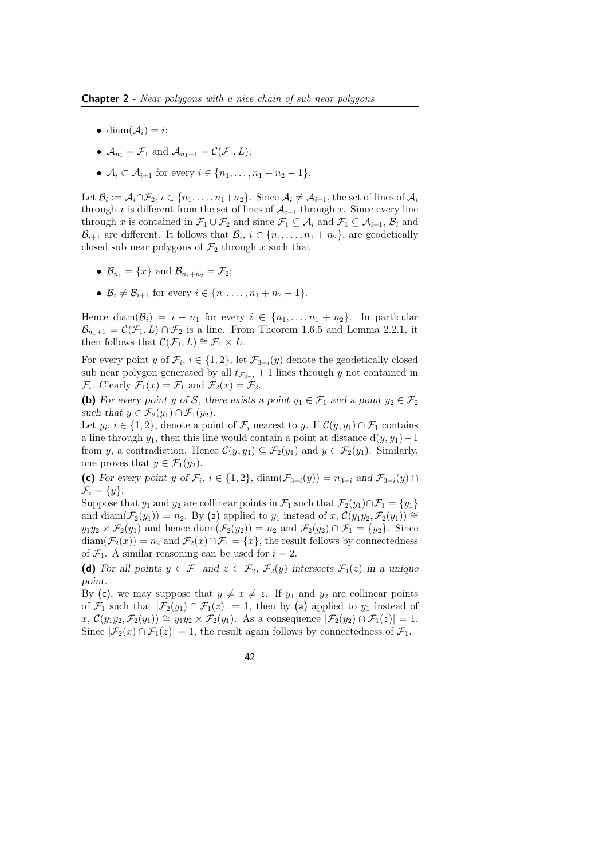- diam $(\mathcal{A}_i) = i$ ;
- $\mathcal{A}_{n_1} = \mathcal{F}_1$  and  $\mathcal{A}_{n_1+1} = \mathcal{C}(\mathcal{F}_1, L);$
- $A_i \subset A_{i+1}$  for every  $i \in \{n_1, ..., n_1 + n_2 1\}.$

Let  $\mathcal{B}_i := \mathcal{A}_i \cap \mathcal{F}_2, i \in \{n_1, \ldots, n_1 + n_2\}$ . Since  $\mathcal{A}_i \neq \mathcal{A}_{i+1}$ , the set of lines of  $\mathcal{A}_i$ through x is different from the set of lines of  $\mathcal{A}_{i+1}$  through x. Since every line through x is contained in  $\mathcal{F}_1 \cup \mathcal{F}_2$  and since  $\mathcal{F}_1 \subseteq \mathcal{A}_i$  and  $\mathcal{F}_1 \subseteq \mathcal{A}_{i+1}, \mathcal{B}_i$  and  $\mathcal{B}_{i+1}$  are different. It follows that  $\mathcal{B}_i$ ,  $i \in \{n_1, \ldots, n_1 + n_2\}$ , are geodetically closed sub near polygons of  $\mathcal{F}_2$  through x such that

- $\mathcal{B}_{n_1} = \{x\}$  and  $\mathcal{B}_{n_1+n_2} = \mathcal{F}_2$ ;
- $\mathcal{B}_i \neq \mathcal{B}_{i+1}$  for every  $i \in \{n_1, ..., n_1 + n_2 1\}.$

Hence diam $(\mathcal{B}_i) = i - n_1$  for every  $i \in \{n_1, \ldots, n_1 + n_2\}$ . In particular  $\mathcal{B}_{n_1+1} = \mathcal{C}(\mathcal{F}_1, L) \cap \mathcal{F}_2$  is a line. From Theorem 1.6.5 and Lemma 2.2.1, it then follows that  $\mathcal{C}(\mathcal{F}_1,L) \cong \mathcal{F}_1 \times L$ .

For every point y of  $\mathcal{F}_i$ ,  $i \in \{1, 2\}$ , let  $\mathcal{F}_{3-i}(y)$  denote the geodetically closed sub near polygon generated by all  $t_{\mathcal{F}_{3-i}} + 1$  lines through y not contained in  $\mathcal{F}_i$ . Clearly  $\mathcal{F}_1(x) = \mathcal{F}_1$  and  $\mathcal{F}_2(x) = \mathcal{F}_2$ .

(b) For every point y of S, there exists a point  $y_1 \in \mathcal{F}_1$  and a point  $y_2 \in \mathcal{F}_2$ such that  $y \in \mathcal{F}_2(y_1) \cap \mathcal{F}_1(y_2)$ .

Let  $y_i, i \in \{1, 2\}$ , denote a point of  $\mathcal{F}_i$  nearest to y. If  $\mathcal{C}(y, y_1) \cap \mathcal{F}_1$  contains a line through  $y_1$ , then this line would contain a point at distance  $d(y, y_1) - 1$ from y, a contradiction. Hence  $\mathcal{C}(y, y_1) \subseteq \mathcal{F}_2(y_1)$  and  $y \in \mathcal{F}_2(y_1)$ . Similarly, one proves that  $y \in \mathcal{F}_1(y_2)$ .

(c) For every point y of  $\mathcal{F}_i$ ,  $i \in \{1,2\}$ ,  $\text{diam}(\mathcal{F}_{3-i}(y)) = n_{3-i}$  and  $\mathcal{F}_{3-i}(y) \cap$  $\mathcal{F}_i = \{y\}.$ 

Suppose that  $y_1$  and  $y_2$  are collinear points in  $\mathcal{F}_1$  such that  $\mathcal{F}_2(y_1) \cap \mathcal{F}_1 = \{y_1\}$ and diam $(\mathcal{F}_2(y_1)) = n_2$ . By (a) applied to  $y_1$  instead of x,  $\mathcal{C}(y_1y_2, \mathcal{F}_2(y_1)) \cong$  $y_1y_2 \times \mathcal{F}_2(y_1)$  and hence diam $(\mathcal{F}_2(y_2)) = n_2$  and  $\mathcal{F}_2(y_2) \cap \mathcal{F}_1 = \{y_2\}$ . Since diam( $\mathcal{F}_2(x)$ ) =  $n_2$  and  $\mathcal{F}_2(x) \cap \mathcal{F}_1 = \{x\}$ , the result follows by connectedness of  $\mathcal{F}_1$ . A similar reasoning can be used for  $i = 2$ .

(d) For all points  $y \in \mathcal{F}_1$  and  $z \in \mathcal{F}_2$ ,  $\mathcal{F}_2(y)$  intersects  $\mathcal{F}_1(z)$  in a unique point.

By (c), we may suppose that  $y \neq x \neq z$ . If  $y_1$  and  $y_2$  are collinear points of  $\mathcal{F}_1$  such that  $|\mathcal{F}_2(y_1) \cap \mathcal{F}_1(z)| = 1$ , then by (a) applied to  $y_1$  instead of  $x, \mathcal{C}(y_1y_2, \mathcal{F}_2(y_1)) \cong y_1y_2 \times \mathcal{F}_2(y_1)$ . As a consequence  $|\mathcal{F}_2(y_2) \cap \mathcal{F}_1(z)| = 1$ . Since  $|\mathcal{F}_2(x) \cap \mathcal{F}_1(z)| = 1$ , the result again follows by connectedness of  $\mathcal{F}_1$ .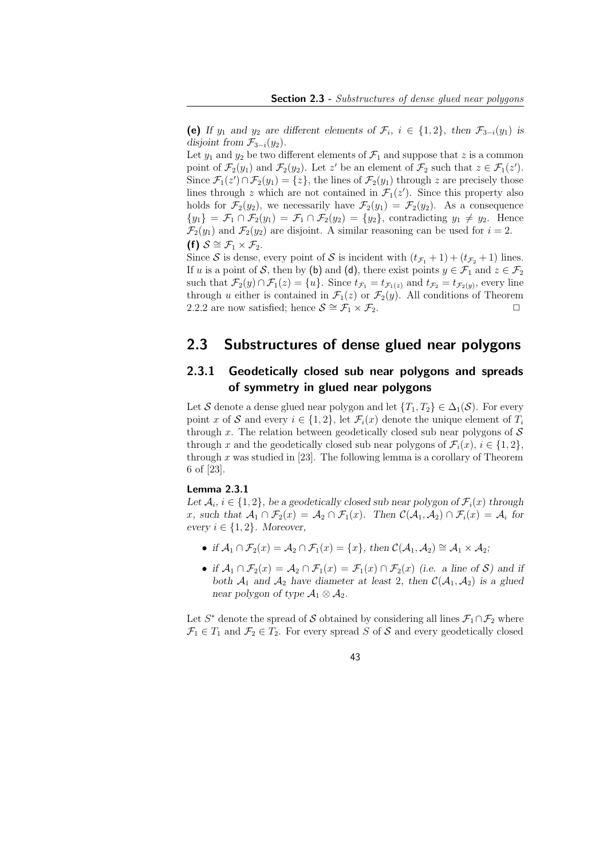(e) If  $y_1$  and  $y_2$  are different elements of  $\mathcal{F}_i$ ,  $i \in \{1,2\}$ , then  $\mathcal{F}_{3-i}(y_1)$  is disjoint from  $\mathcal{F}_{3-i}(y_2)$ .

Let  $y_1$  and  $y_2$  be two different elements of  $\mathcal{F}_1$  and suppose that z is a common point of  $\mathcal{F}_2(y_1)$  and  $\mathcal{F}_2(y_2)$ . Let z' be an element of  $\mathcal{F}_2$  such that  $z \in \mathcal{F}_1(z')$ . Since  $\mathcal{F}_1(z') \cap \mathcal{F}_2(y_1) = \{z\}$ , the lines of  $\mathcal{F}_2(y_1)$  through z are precisely those lines through z which are not contained in  $\mathcal{F}_1(z')$ . Since this property also holds for  $\mathcal{F}_2(y_2)$ , we necessarily have  $\mathcal{F}_2(y_1) = \mathcal{F}_2(y_2)$ . As a consequence  ${y_1} = \mathcal{F}_1 \cap \mathcal{F}_2(y_1) = \mathcal{F}_1 \cap \mathcal{F}_2(y_2) = \{y_2\}$ , contradicting  $y_1 \neq y_2$ . Hence  $\mathcal{F}_2(y_1)$  and  $\mathcal{F}_2(y_2)$  are disjoint. A similar reasoning can be used for  $i = 2$ . (f)  $S \cong \mathcal{F}_1 \times \mathcal{F}_2$ .

Since S is dense, every point of S is incident with  $(t_{\mathcal{F}_1} + 1) + (t_{\mathcal{F}_2} + 1)$  lines. If u is a point of S, then by (b) and (d), there exist points  $y \in \mathcal{F}_1$  and  $z \in \mathcal{F}_2$ such that  $\mathcal{F}_2(y) \cap \mathcal{F}_1(z) = \{u\}$ . Since  $t_{\mathcal{F}_1} = t_{\mathcal{F}_1(z)}$  and  $t_{\mathcal{F}_2} = t_{\mathcal{F}_2(y)}$ , every line through u either is contained in  $\mathcal{F}_1(z)$  or  $\mathcal{F}_2(y)$ . All conditions of Theorem 2.2.2 are now satisfied: hence  $S \cong \mathcal{F}_1 \times \mathcal{F}_2$ . 2.2.2 are now satisfied; hence  $S \cong \mathcal{F}_1 \times \mathcal{F}_2$ .

# 2.3 Substructures of dense glued near polygons

# 2.3.1 Geodetically closed sub near polygons and spreads of symmetry in glued near polygons

Let S denote a dense glued near polygon and let  $\{T_1, T_2\} \in \Delta_1(\mathcal{S})$ . For every point x of S and every  $i \in \{1,2\}$ , let  $\mathcal{F}_i(x)$  denote the unique element of  $T_i$ through x. The relation between geodetically closed sub near polygons of  $S$ through x and the geodetically closed sub near polygons of  $\mathcal{F}_i(x)$ ,  $i \in \{1,2\}$ , through  $x$  was studied in [23]. The following lemma is a corollary of Theorem 6 of [23].

#### Lemma 2.3.1

Let  $A_i$ ,  $i \in \{1,2\}$ , be a geodetically closed sub near polygon of  $\mathcal{F}_i(x)$  through x, such that  $A_1 \cap F_2(x) = A_2 \cap F_1(x)$ . Then  $C(A_1, A_2) \cap F_i(x) = A_i$  for every  $i \in \{1, 2\}$ . Moreover,

- if  $\mathcal{A}_1 \cap \mathcal{F}_2(x) = \mathcal{A}_2 \cap \mathcal{F}_1(x) = \{x\}$ , then  $\mathcal{C}(\mathcal{A}_1, \mathcal{A}_2) \cong \mathcal{A}_1 \times \mathcal{A}_2$ ;
- if  $\mathcal{A}_1 \cap \mathcal{F}_2(x) = \mathcal{A}_2 \cap \mathcal{F}_1(x) = \mathcal{F}_1(x) \cap \mathcal{F}_2(x)$  (i.e. a line of S) and if both  $\mathcal{A}_1$  and  $\mathcal{A}_2$  have diameter at least 2, then  $\mathcal{C}(\mathcal{A}_1, \mathcal{A}_2)$  is a glued near polygon of type  $\mathcal{A}_1 \otimes \mathcal{A}_2$ .

Let  $S^*$  denote the spread of S obtained by considering all lines  $\mathcal{F}_1 \cap \mathcal{F}_2$  where  $\mathcal{F}_1 \in T_1$  and  $\mathcal{F}_2 \in T_2$ . For every spread S of S and every geodetically closed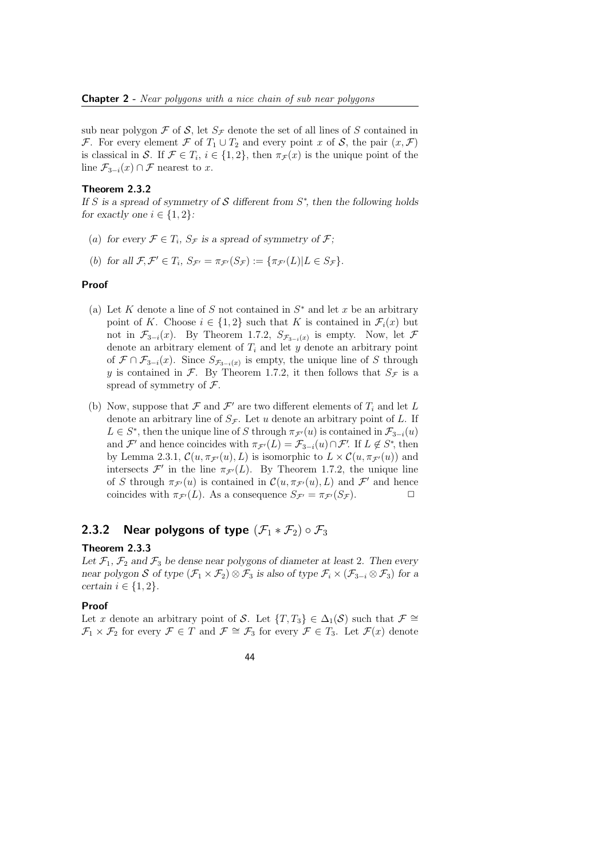sub near polygon  $\mathcal F$  of  $\mathcal S$ , let  $S_{\mathcal F}$  denote the set of all lines of S contained in F. For every element F of  $T_1 \cup T_2$  and every point x of S, the pair  $(x, \mathcal{F})$ is classical in S. If  $\mathcal{F} \in T_i$ ,  $i \in \{1, 2\}$ , then  $\pi_{\mathcal{F}}(x)$  is the unique point of the line  $\mathcal{F}_{3-i}(x) \cap \mathcal{F}$  nearest to x.

#### Theorem 2.3.2

If S is a spread of symmetry of S different from  $S^*$ , then the following holds for exactly one  $i \in \{1, 2\}$ :

- (a) for every  $\mathcal{F} \in T_i$ ,  $S_{\mathcal{F}}$  is a spread of symmetry of  $\mathcal{F}$ ;
- (b) for all  $\mathcal{F}, \mathcal{F}' \in T_i$ ,  $S_{\mathcal{F}'} = \pi_{\mathcal{F}'}(S_{\mathcal{F}}) := {\pi_{\mathcal{F}'}(L)|L \in S_{\mathcal{F}}}.$

## Proof

- (a) Let K denote a line of S not contained in  $S^*$  and let x be an arbitrary point of K. Choose  $i \in \{1,2\}$  such that K is contained in  $\mathcal{F}_i(x)$  but not in  $\mathcal{F}_{3-i}(x)$ . By Theorem 1.7.2,  $S_{\mathcal{F}_{3-i}(x)}$  is empty. Now, let  $\mathcal F$ denote an arbitrary element of  $T_i$  and let y denote an arbitrary point of  $\mathcal{F} \cap \mathcal{F}_{3-i}(x)$ . Since  $S_{\mathcal{F}_{3-i}(x)}$  is empty, the unique line of S through y is contained in F. By Theorem 1.7.2, it then follows that  $S_{\mathcal{F}}$  is a spread of symmetry of  $\mathcal{F}.$
- (b) Now, suppose that  $\mathcal F$  and  $\mathcal F'$  are two different elements of  $T_i$  and let  $L$ denote an arbitrary line of  $S_{\mathcal{F}}$ . Let u denote an arbitrary point of L. If  $L \in S^*$ , then the unique line of S through  $\pi_{\mathcal{F}'}(u)$  is contained in  $\mathcal{F}_{3-i}(u)$ and  $\mathcal{F}'$  and hence coincides with  $\pi_{\mathcal{F}'}(L) = \mathcal{F}_{3-i}(u) \cap \mathcal{F}'$ . If  $L \notin S^*$ , then by Lemma 2.3.1,  $\mathcal{C}(u, \pi_{\mathcal{F}'}(u), L)$  is isomorphic to  $L \times \mathcal{C}(u, \pi_{\mathcal{F}'}(u))$  and intersects  $\mathcal{F}'$  in the line  $\pi_{\mathcal{F}'}(L)$ . By Theorem 1.7.2, the unique line of S through  $\pi_{\mathcal{F}}(u)$  is contained in  $\mathcal{C}(u, \pi_{\mathcal{F}}(u),L)$  and  $\mathcal{F}'$  and hence coincides with  $\pi_{\mathcal{F}}(L)$ . As a consequence  $S_{\mathcal{F}} = \pi_{\mathcal{F}}(S_{\mathcal{F}})$ .

# 2.3.2 Near polygons of type  $(\mathcal{F}_1 * \mathcal{F}_2) \circ \mathcal{F}_3$

#### Theorem 2.3.3

Let  $\mathcal{F}_1$ ,  $\mathcal{F}_2$  and  $\mathcal{F}_3$  be dense near polygons of diameter at least 2. Then every near polygon S of type  $(\mathcal{F}_1 \times \mathcal{F}_2) \otimes \mathcal{F}_3$  is also of type  $\mathcal{F}_i \times (\mathcal{F}_{3-i} \otimes \mathcal{F}_3)$  for a certain  $i \in \{1, 2\}.$ 

### Proof

Let x denote an arbitrary point of S. Let  $\{T, T_3\} \in \Delta_1(\mathcal{S})$  such that  $\mathcal{F} \cong$  $\mathcal{F}_1 \times \mathcal{F}_2$  for every  $\mathcal{F} \in T$  and  $\mathcal{F} \cong \mathcal{F}_3$  for every  $\mathcal{F} \in T_3$ . Let  $\mathcal{F}(x)$  denote

44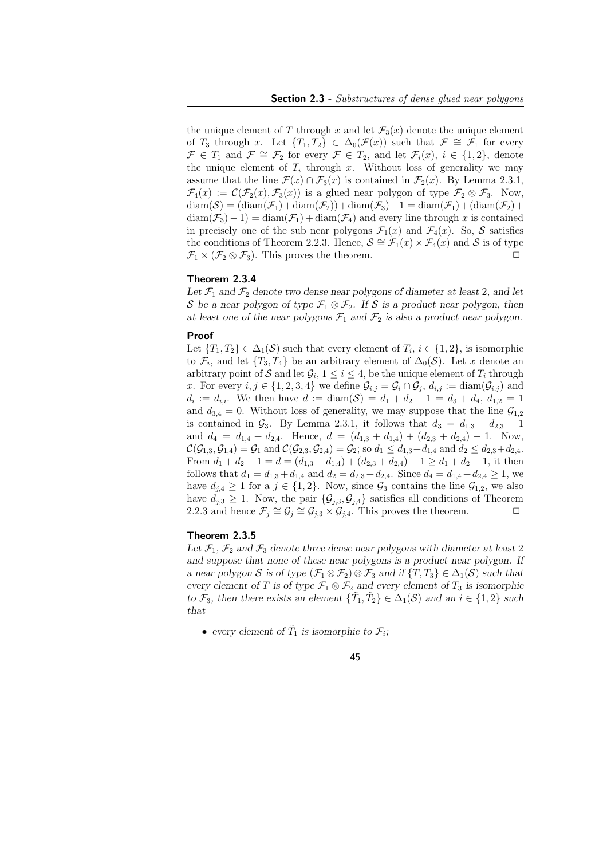the unique element of T through x and let  $\mathcal{F}_3(x)$  denote the unique element of  $T_3$  through x. Let  $\{T_1, T_2\} \in \Delta_0(\mathcal{F}(x))$  such that  $\mathcal{F} \cong \mathcal{F}_1$  for every  $\mathcal{F} \in T_1$  and  $\mathcal{F} \cong \mathcal{F}_2$  for every  $\mathcal{F} \in T_2$ , and let  $\mathcal{F}_i(x)$ ,  $i \in \{1,2\}$ , denote the unique element of  $T_i$  through x. Without loss of generality we may assume that the line  $\mathcal{F}(x) \cap \mathcal{F}_3(x)$  is contained in  $\mathcal{F}_2(x)$ . By Lemma 2.3.1,  $\mathcal{F}_4(x) := \mathcal{C}(\mathcal{F}_2(x), \mathcal{F}_3(x))$  is a glued near polygon of type  $\mathcal{F}_2 \otimes \mathcal{F}_3$ . Now,  $diam(\mathcal{S}) = (diam(\mathcal{F}_1)+diam(\mathcal{F}_2))+diam(\mathcal{F}_3)-1 = diam(\mathcal{F}_1)+(diam(\mathcal{F}_2)+$  $diam(\mathcal{F}_3) - 1) = diam(\mathcal{F}_1) + diam(\mathcal{F}_4)$  and every line through x is contained in precisely one of the sub near polygons  $\mathcal{F}_1(x)$  and  $\mathcal{F}_4(x)$ . So, S satisfies the conditions of Theorem 2.2.3. Hence,  $S \cong \mathcal{F}_1(x) \times \mathcal{F}_4(x)$  and S is of type  $\mathcal{F}_1 \times (\mathcal{F}_2 \otimes \mathcal{F}_2)$ . This proves the theorem  $\mathcal{F}_1 \times (\mathcal{F}_2 \otimes \mathcal{F}_3)$ . This proves the theorem.

#### Theorem 2.3.4

Let  $\mathcal{F}_1$  and  $\mathcal{F}_2$  denote two dense near polygons of diameter at least 2, and let S be a near polygon of type  $\mathcal{F}_1 \otimes \mathcal{F}_2$ . If S is a product near polygon, then at least one of the near polygons  $\mathcal{F}_1$  and  $\mathcal{F}_2$  is also a product near polygon.

#### Proof

Let  $\{T_1, T_2\} \in \Delta_1(\mathcal{S})$  such that every element of  $T_i$ ,  $i \in \{1, 2\}$ , is isomorphic to  $\mathcal{F}_i$ , and let  $\{T_3, T_4\}$  be an arbitrary element of  $\Delta_0(\mathcal{S})$ . Let x denote an arbitrary point of S and let  $\mathcal{G}_i$ ,  $1 \leq i \leq 4$ , be the unique element of  $T_i$  through x. For every  $i, j \in \{1, 2, 3, 4\}$  we define  $\mathcal{G}_{i,j} = \mathcal{G}_i \cap \mathcal{G}_j$ ,  $d_{i,j} := \text{diam}(\mathcal{G}_{i,j})$  and  $d_i := d_{i,i}$ . We then have  $d := \text{diam}(\mathcal{S}) = d_1 + d_2 - 1 = d_3 + d_4$ ,  $d_{1,2} = 1$ and  $d_{3,4} = 0$ . Without loss of generality, we may suppose that the line  $\mathcal{G}_{1,2}$ is contained in  $\mathcal{G}_3$ . By Lemma 2.3.1, it follows that  $d_3 = d_{1,3} + d_{2,3} - 1$ and  $d_4 = d_{1,4} + d_{2,4}$ . Hence,  $d = (d_{1,3} + d_{1,4}) + (d_{2,3} + d_{2,4}) - 1$ . Now,  $\mathcal{C}(\mathcal{G}_{1,3}, \mathcal{G}_{1,4}) = \mathcal{G}_1$  and  $\mathcal{C}(\mathcal{G}_{2,3}, \mathcal{G}_{2,4}) = \mathcal{G}_2$ ; so  $d_1 \leq d_{1,3} + d_{1,4}$  and  $d_2 \leq d_{2,3} + d_{2,4}$ . From  $d_1 + d_2 - 1 = d = (d_{1,3} + d_{1,4}) + (d_{2,3} + d_{2,4}) - 1 \ge d_1 + d_2 - 1$ , it then follows that  $d_1 = d_{1,3} + d_{1,4}$  and  $d_2 = d_{2,3} + d_{2,4}$ . Since  $d_4 = d_{1,4} + d_{2,4} \ge 1$ , we have  $d_{j,4} \geq 1$  for a  $j \in \{1,2\}$ . Now, since  $\mathcal{G}_3$  contains the line  $\mathcal{G}_{1,2}$ , we also have  $d_{j,3} \geq 1$ . Now, the pair  $\{\mathcal{G}_{j,3}, \mathcal{G}_{j,4}\}$  satisfies all conditions of Theorem 2.2.3 and hence  $\mathcal{F}_i \cong \mathcal{G}_i \cong \mathcal{G}_{i,3} \times \mathcal{G}_{i,4}$ . This proves the theorem. 2.2.3 and hence  $\mathcal{F}_j \cong \mathcal{G}_j \cong \mathcal{G}_{j,3} \times \mathcal{G}_{j,4}$ . This proves the theorem.

#### Theorem 2.3.5

Let  $\mathcal{F}_1$ ,  $\mathcal{F}_2$  and  $\mathcal{F}_3$  denote three dense near polygons with diameter at least 2 and suppose that none of these near polygons is a product near polygon. If a near polygon S is of type  $(\mathcal{F}_1 \otimes \mathcal{F}_2) \otimes \mathcal{F}_3$  and if  $\{T, T_3\} \in \Delta_1(\mathcal{S})$  such that every element of T is of type  $\mathcal{F}_1 \otimes \mathcal{F}_2$  and every element of  $T_3$  is isomorphic to  $\mathcal{F}_3$ , then there exists an element  $\{\tilde{T}_1, \tilde{T}_2\} \in \Delta_1(\mathcal{S})$  and an  $i \in \{1, 2\}$  such that

• every element of  $\tilde{T}_1$  is isomorphic to  $\mathcal{F}_i$ ;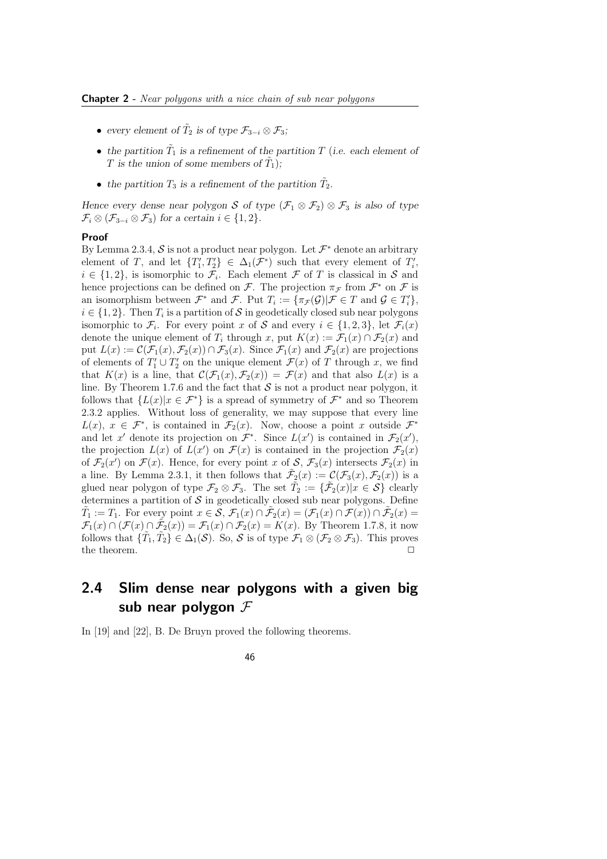- every element of  $\tilde{T}_2$  is of type  $\mathcal{F}_{3-i} \otimes \mathcal{F}_3$ ;
- the partition  $\tilde{T}_1$  is a refinement of the partition T (i.e. each element of T is the union of some members of  $\tilde{T}_1$ );
- the partition  $T_3$  is a refinement of the partition  $\tilde{T}_2$ .

Hence every dense near polygon S of type  $(\mathcal{F}_1 \otimes \mathcal{F}_2) \otimes \mathcal{F}_3$  is also of type  $\mathcal{F}_i \otimes (\mathcal{F}_{3-i} \otimes \mathcal{F}_3)$  for a certain  $i \in \{1,2\}.$ 

#### Proof

By Lemma 2.3.4,  $\mathcal S$  is not a product near polygon. Let  $\mathcal F^*$  denote an arbitrary element of T, and let  $\{T_1', T_2'\} \in \Delta_1(\mathcal{F}^*)$  such that every element of  $T_i'$ , been end of T, and let  $\{1,1,1,2\} \in \Delta_1(\mathcal{F})$  such that every element of  $T_i$ ,<br>  $i \in \{1,2\}$ , is isomorphic to  $\mathcal{F}_i$ . Each element  $\mathcal F$  of T is classical in S and hence projections can be defined on  $\mathcal F$ . The projection  $\pi_{\mathcal F}$  from  $\mathcal F^*$  on  $\mathcal F$  is an isomorphism between  $\mathcal{F}^*$  and  $\mathcal{F}$ . Put  $T_i := \{ \pi_{\mathcal{F}}(\mathcal{G}) | \mathcal{F} \in T \text{ and } \mathcal{G} \in T'_i \}$ ,  $i \in \{1, 2\}$ . Then  $T_i$  is a partition of S in geodetically closed sub near polygons isomorphic to  $\mathcal{F}_i$ . For every point x of S and every  $i \in \{1, 2, 3\}$ , let  $\mathcal{F}_i(x)$ denote the unique element of  $T_i$  through x, put  $K(x) := \mathcal{F}_1(x) \cap \mathcal{F}_2(x)$  and put  $L(x) := \mathcal{C}(\mathcal{F}_1(x), \mathcal{F}_2(x)) \cap \mathcal{F}_3(x)$ . Since  $\mathcal{F}_1(x)$  and  $\mathcal{F}_2(x)$  are projections of elements of  $T_1' \cup T_2'$  on the unique element  $\mathcal{F}(x)$  of T through x, we find that  $K(x)$  is a line, that  $\mathcal{C}(\mathcal{F}_1(x), \mathcal{F}_2(x)) = \mathcal{F}(x)$  and that also  $L(x)$  is a line. By Theorem 1.7.6 and the fact that  $S$  is not a product near polygon, it follows that  $\{L(x)|x \in \mathcal{F}^*\}$  is a spread of symmetry of  $\mathcal{F}^*$  and so Theorem 2.3.2 applies. Without loss of generality, we may suppose that every line  $L(x)$ ,  $x \in \mathcal{F}^*$ , is contained in  $\mathcal{F}_2(x)$ . Now, choose a point x outside  $\mathcal{F}^*$ and let x' denote its projection on  $\mathcal{F}^*$ . Since  $L(x')$  is contained in  $\mathcal{F}_2(x')$ , the projection  $L(x)$  of  $L(x')$  on  $\mathcal{F}(x)$  is contained in the projection  $\mathcal{F}_2(x)$ of  $\mathcal{F}_2(x')$  on  $\mathcal{F}(x)$ . Hence, for every point x of  $\mathcal{S}, \mathcal{F}_3(x)$  intersects  $\mathcal{F}_2(x)$  in a line. By Lemma 2.3.1, it then follows that  $\tilde{\mathcal{F}}_2(x) := \mathcal{C}(\mathcal{F}_3(x), \mathcal{F}_2(x))$  is a glued near polygon of type  $\mathcal{F}_2 \otimes \mathcal{F}_3$ . The set  $\tilde{T}_2 := {\{\tilde{\mathcal{F}}_2(x)|x \in \mathcal{S}\}}$  clearly determines a partition of  $S$  in geodetically closed sub near polygons. Define  $\tilde{T}_1 := T_1$ . For every point  $x \in \mathcal{S}, \mathcal{F}_1(x) \cap \tilde{\mathcal{F}}_2(x) = (\mathcal{F}_1(x) \cap \mathcal{F}(x)) \cap \tilde{\mathcal{F}}_2(x) =$  $\mathcal{F}_1(x) \cap (\mathcal{F}(x) \cap \tilde{\mathcal{F}}_2(x)) = \mathcal{F}_1(x) \cap \mathcal{F}_2(x) = K(x)$ . By Theorem 1.7.8, it now follows that  $\{\tilde{T}_1, \tilde{T}_2\} \in \Delta_1(\mathcal{S})$ . So,  $\mathcal{S}$  is of type  $\mathcal{F}_1 \otimes (\mathcal{F}_2 \otimes \mathcal{F}_3)$ . This proves the theorem.  $\hfill \square$ 

# 2.4 Slim dense near polygons with a given big sub near polygon  $\mathcal F$

In [19] and [22], B. De Bruyn proved the following theorems.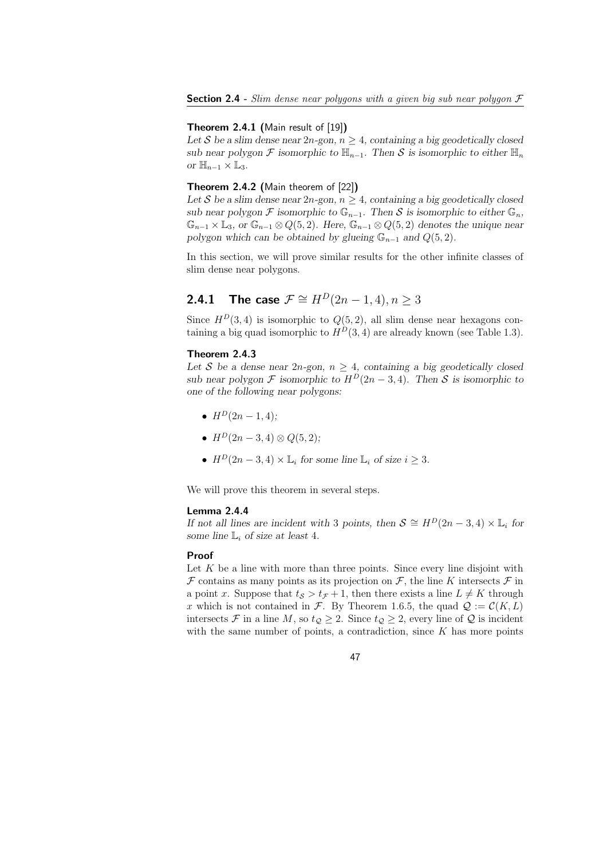#### Theorem 2.4.1 (Main result of [19])

Let S be a slim dense near  $2n$ -gon,  $n \geq 4$ , containing a big geodetically closed sub near polygon F isomorphic to  $\mathbb{H}_{n-1}$ . Then S is isomorphic to either  $\mathbb{H}_n$ or  $\mathbb{H}_{n-1} \times \mathbb{L}_3$ .

# Theorem 2.4.2 (Main theorem of [22])

Let S be a slim dense near  $2n$ -gon,  $n \geq 4$ , containing a big geodetically closed sub near polygon F isomorphic to  $\mathbb{G}_{n-1}$ . Then S is isomorphic to either  $\mathbb{G}_n$ ,  $\mathbb{G}_{n-1} \times \mathbb{L}_3$ , or  $\mathbb{G}_{n-1} \otimes Q(5,2)$ . Here,  $\mathbb{G}_{n-1} \otimes Q(5,2)$  denotes the unique near polygon which can be obtained by glueing  $\mathbb{G}_{n-1}$  and  $Q(5, 2)$ .

In this section, we will prove similar results for the other infinite classes of slim dense near polygons.

# 2.4.1 The case  $\mathcal{F} \cong H^D(2n-1, 4), n > 3$

Since  $H^D(3, 4)$  is isomorphic to  $Q(5, 2)$ , all slim dense near hexagons containing a big quad isomorphic to  $H^D(3, 4)$  are already known (see Table 1.3).

## Theorem 2.4.3

Let S be a dense near  $2n$ -gon,  $n \geq 4$ , containing a big geodetically closed sub near polygon F isomorphic to  $H^D(2n-3, 4)$ . Then S is isomorphic to one of the following near polygons:

- $H^D(2n-1, 4);$
- $H^D(2n-3, 4) \otimes Q(5, 2);$
- $H^D(2n-3, 4) \times \mathbb{L}_i$  for some line  $\mathbb{L}_i$  of size  $i \geq 3$ .

We will prove this theorem in several steps.

## Lemma 2.4.4

If not all lines are incident with 3 points, then  $S \cong H^D(2n-3, 4) \times \mathbb{L}_i$  for some line  $\mathbb{L}_i$  of size at least 4.

## Proof

Let  $K$  be a line with more than three points. Since every line disjoint with  $\mathcal F$  contains as many points as its projection on  $\mathcal F$ , the line K intersects  $\mathcal F$  in a point x. Suppose that  $t_{\mathcal{S}} > t_{\mathcal{F}} + 1$ , then there exists a line  $L \neq K$  through x which is not contained in F. By Theorem 1.6.5, the quad  $\mathcal{Q} := \mathcal{C}(K, L)$ intersects F in a line M, so  $t_Q \geq 2$ . Since  $t_Q \geq 2$ , every line of Q is incident with the same number of points, a contradiction, since  $K$  has more points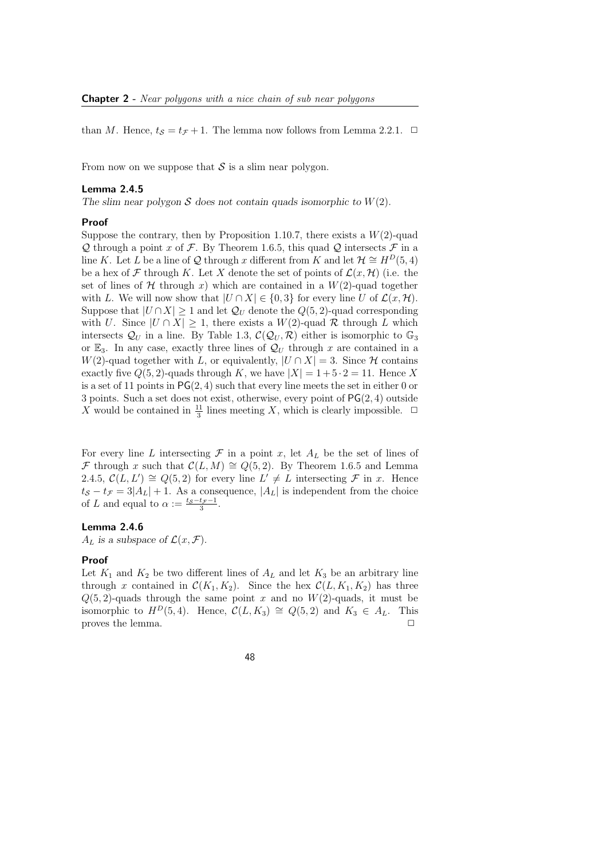than M. Hence,  $t_S = t_F + 1$ . The lemma now follows from Lemma 2.2.1.  $\Box$ 

From now on we suppose that  $S$  is a slim near polygon.

#### Lemma 2.4.5

The slim near polygon S does not contain quads isomorphic to  $W(2)$ .

## Proof

Suppose the contrary, then by Proposition 1.10.7, there exists a  $W(2)$ -quad Q through a point x of F. By Theorem 1.6.5, this quad Q intersects  $\mathcal F$  in a line K. Let L be a line of Q through x different from K and let  $\mathcal{H} \cong H^D(5,4)$ be a hex of  $\mathcal F$  through K. Let X denote the set of points of  $\mathcal L(x, \mathcal H)$  (i.e. the set of lines of H through x) which are contained in a  $W(2)$ -quad together with L. We will now show that  $|U \cap X| \in \{0,3\}$  for every line U of  $\mathcal{L}(x, \mathcal{H})$ . Suppose that  $|U \cap X| \ge 1$  and let  $\mathcal{Q}_U$  denote the  $Q(5, 2)$ -quad corresponding with U. Since  $|U \cap X| \geq 1$ , there exists a  $W(2)$ -quad R through L which intersects  $\mathcal{Q}_U$  in a line. By Table 1.3,  $\mathcal{C}(\mathcal{Q}_U, \mathcal{R})$  either is isomorphic to  $\mathbb{G}_3$ or  $\mathbb{E}_3$ . In any case, exactly three lines of  $\mathcal{Q}_U$  through x are contained in a W(2)-quad together with L, or equivalently,  $|U \cap X| = 3$ . Since H contains exactly five  $Q(5, 2)$ -quads through K, we have  $|X| = 1 + 5 \cdot 2 = 11$ . Hence X is a set of 11 points in  $PG(2, 4)$  such that every line meets the set in either 0 or 3 points. Such a set does not exist, otherwise, every point of  $PG(2, 4)$  outside X would be contained in  $\frac{11}{3}$  lines meeting X, which is clearly impossible.  $\Box$ 

For every line L intersecting  $\mathcal F$  in a point x, let  $A_L$  be the set of lines of *F* through x such that  $C(L, M) \cong Q(5, 2)$ . By Theorem 1.6.5 and Lemma 2.4.5,  $\mathcal{C}(L, L') \cong Q(5, 2)$  for every line  $L' \neq L$  intersecting  $\mathcal F$  in x. Hence  $t_S - t_F = 3|A_L| + 1$ . As a consequence,  $|A_L|$  is independent from the choice of L and equal to  $\alpha := \frac{t_S - t_{\mathcal{F}} - 1}{3}$ .

#### Lemma 2.4.6

 $A_L$  is a subspace of  $\mathcal{L}(x, \mathcal{F})$ .

#### Proof

Let  $K_1$  and  $K_2$  be two different lines of  $A_L$  and let  $K_3$  be an arbitrary line through x contained in  $\mathcal{C}(K_1, K_2)$ . Since the hex  $\mathcal{C}(L, K_1, K_2)$  has three  $Q(5, 2)$ -quads through the same point x and no  $W(2)$ -quads, it must be isomorphic to  $H^D(5, 4)$ . Hence,  $C(L, K_3) \cong Q(5, 2)$  and  $K_3 \in A_L$ . This proves the lemma.

48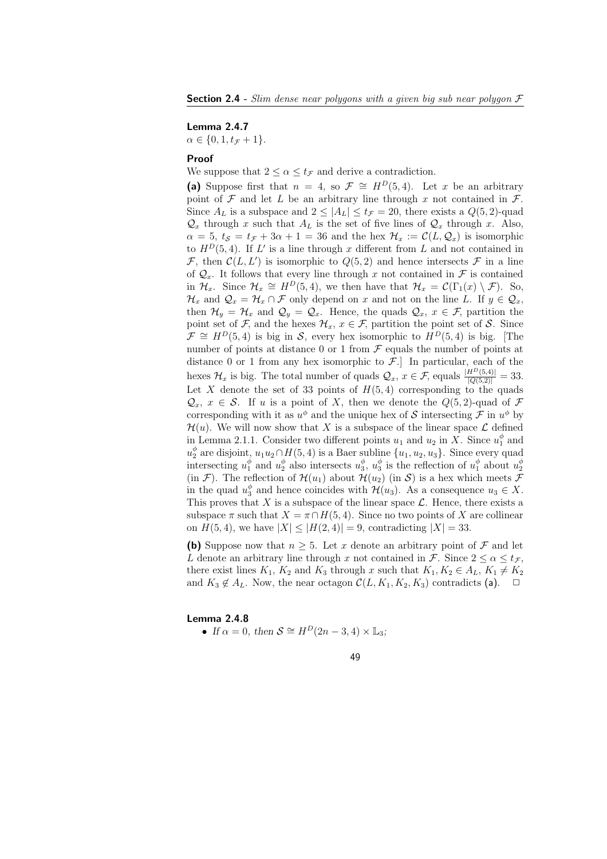### Lemma 2.4.7

 $\alpha \in \{0, 1, t_{\mathcal{F}} + 1\}.$ 

#### Proof

We suppose that  $2 \leq \alpha \leq t_{\mathcal{F}}$  and derive a contradiction.

(a) Suppose first that  $n = 4$ , so  $\mathcal{F} \cong H^D(5, 4)$ . Let x be an arbitrary point of  $\mathcal F$  and let  $L$  be an arbitrary line through x not contained in  $\mathcal F$ . Since  $A_L$  is a subspace and  $2 \leq |A_L| \leq t_{\mathcal{F}} = 20$ , there exists a  $Q(5, 2)$ -quad  $\mathcal{Q}_x$  through x such that  $A_L$  is the set of five lines of  $\mathcal{Q}_x$  through x. Also,  $\alpha = 5$ ,  $t_S = t_F + 3\alpha + 1 = 36$  and the hex  $\mathcal{H}_x := \mathcal{C}(L, \mathcal{Q}_x)$  is isomorphic to  $H<sup>D</sup>(5, 4)$ . If L' is a line through x different from L and not contained in F, then  $\mathcal{C}(L, L')$  is isomorphic to  $Q(5, 2)$  and hence intersects F in a line of  $\mathcal{Q}_x$ . It follows that every line through x not contained in F is contained in  $\mathcal{H}_x$ . Since  $\mathcal{H}_x \cong H^D(5, 4)$ , we then have that  $\mathcal{H}_x = \mathcal{C}(\Gamma_1(x) \setminus \mathcal{F})$ . So,  $\mathcal{H}_x$  and  $\mathcal{Q}_x = \mathcal{H}_x \cap \mathcal{F}$  only depend on x and not on the line L. If  $y \in \mathcal{Q}_x$ , then  $\mathcal{H}_y = \mathcal{H}_x$  and  $\mathcal{Q}_y = \mathcal{Q}_x$ . Hence, the quads  $\mathcal{Q}_x, x \in \mathcal{F}$ , partition the point set of F, and the hexes  $\mathcal{H}_x, x \in \mathcal{F}$ , partition the point set of S. Since  $\mathcal{F} \cong H^D(5, 4)$  is big in S, every hex isomorphic to  $H^D(5, 4)$  is big. [The number of points at distance 0 or 1 from  $\mathcal F$  equals the number of points at distance 0 or 1 from any hex isomorphic to  $\mathcal{F}$ . In particular, each of the hexes  $\mathcal{H}_x$  is big. The total number of quads  $\mathcal{Q}_x$ ,  $x \in \mathcal{F}$ , equals  $\frac{|H^D(5,4)|}{|Q(5,2)|} = 33$ . Let X denote the set of 33 points of  $H(5,4)$  corresponding to the quads  $\mathcal{Q}_x, x \in \mathcal{S}$ . If u is a point of X, then we denote the  $Q(5, 2)$ -quad of F corresponding with it as  $u^{\phi}$  and the unique hex of S intersecting  $\mathcal F$  in  $u^{\phi}$  by  $\mathcal{H}(u)$ . We will now show that X is a subspace of the linear space  $\mathcal{L}$  defined in Lemma 2.1.1. Consider two different points  $u_1$  and  $u_2$  in X. Since  $u_1^{\phi}$  and  $u_2^{\phi}$  are disjoint,  $u_1u_2 \cap H(5,4)$  is a Baer subline  $\{u_1, u_2, u_3\}$ . Since every quad intersecting  $u_1^{\phi}$  and  $u_2^{\phi}$  also intersects  $u_3^{\phi}$ ,  $u_3^{\phi}$  is the reflection of  $u_1^{\phi}$  about  $u_2^{\phi}$ (in F). The reflection of  $\mathcal{H}(u_1)$  about  $\mathcal{H}(u_2)$  (in S) is a hex which meets F in the quad  $u_3^{\phi}$  and hence coincides with  $\mathcal{H}(u_3)$ . As a consequence  $u_3 \in X$ . This proves that  $X$  is a subspace of the linear space  $\mathcal{L}$ . Hence, there exists a subspace  $\pi$  such that  $X = \pi \cap H(5, 4)$ . Since no two points of X are collinear on  $H(5, 4)$ , we have  $|X| \leq |H(2, 4)| = 9$ , contradicting  $|X| = 33$ .

(b) Suppose now that  $n \geq 5$ . Let x denote an arbitrary point of  $\mathcal F$  and let L denote an arbitrary line through x not contained in  $\mathcal{F}$ . Since  $2 \leq \alpha \leq t_{\mathcal{F}}$ , there exist lines  $K_1$ ,  $K_2$  and  $K_3$  through x such that  $K_1, K_2 \in A_L$ ,  $K_1 \neq K_2$ and  $K_3 \notin A_L$ . Now, the near octagon  $\mathcal{C}(L, K_1, K_2, K_3)$  contradicts (a).

#### Lemma 2.4.8

• If  $\alpha = 0$ , then  $S \cong H^D(2n-3, 4) \times \mathbb{L}_3$ ;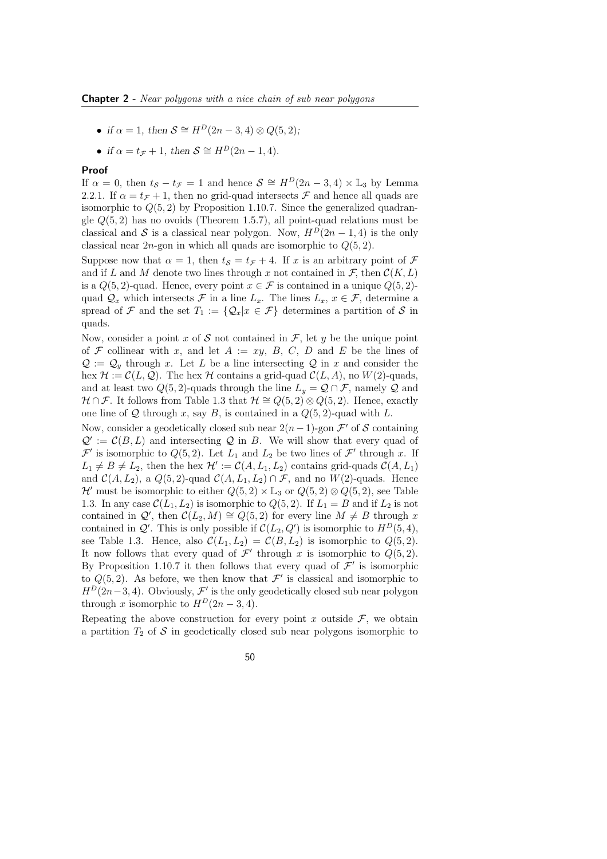- if  $\alpha = 1$ , then  $S \cong H^D(2n-3, 4) \otimes Q(5, 2)$ ;
- if  $\alpha = t_{\mathcal{F}} + 1$ , then  $S \cong H^D(2n 1, 4)$ .

#### Proof

If  $\alpha = 0$ , then  $t_S - t_F = 1$  and hence  $S \cong H^D(2n - 3, 4) \times \mathbb{L}_3$  by Lemma 2.2.1. If  $\alpha = t_{\mathcal{F}} + 1$ , then no grid-quad intersects  $\mathcal F$  and hence all quads are isomorphic to  $Q(5, 2)$  by Proposition 1.10.7. Since the generalized quadrangle  $Q(5, 2)$  has no ovoids (Theorem 1.5.7), all point-quad relations must be classical and S is a classical near polygon. Now,  $H^D(2n-1, 4)$  is the only classical near  $2n$ -gon in which all quads are isomorphic to  $Q(5, 2)$ .

Suppose now that  $\alpha = 1$ , then  $t_{\mathcal{S}} = t_{\mathcal{F}} + 4$ . If x is an arbitrary point of  $\mathcal F$ and if L and M denote two lines through x not contained in  $\mathcal{F}$ , then  $\mathcal{C}(K, L)$ is a  $Q(5, 2)$ -quad. Hence, every point  $x \in \mathcal{F}$  is contained in a unique  $Q(5, 2)$ quad  $\mathcal{Q}_x$  which intersects  $\mathcal F$  in a line  $L_x$ . The lines  $L_x, x \in \mathcal F$ , determine a spread of F and the set  $T_1 := \{Q_x | x \in \mathcal{F}\}\$  determines a partition of S in quads.

Now, consider a point x of S not contained in  $\mathcal{F}$ , let y be the unique point of  $\mathcal F$  collinear with x, and let  $A := xy$ , B, C, D and E be the lines of  $\mathcal{Q} := \mathcal{Q}_y$  through x. Let L be a line intersecting  $\mathcal{Q}$  in x and consider the hex  $\mathcal{H} := \mathcal{C}(L, \mathcal{Q})$ . The hex  $\mathcal{H}$  contains a grid-quad  $\mathcal{C}(L, A)$ , no  $W(2)$ -quads, and at least two  $Q(5, 2)$ -quads through the line  $L_y = Q \cap \mathcal{F}$ , namely Q and  $\mathcal{H} \cap \mathcal{F}$ . It follows from Table 1.3 that  $\mathcal{H} \cong Q(5, 2) \otimes Q(5, 2)$ . Hence, exactly one line of  $Q$  through x, say B, is contained in a  $Q(5, 2)$ -quad with L.

Now, consider a geodetically closed sub near  $2(n-1)$ -gon  $\mathcal{F}'$  of S containing  $\mathcal{Q}' := \mathcal{C}(B, L)$  and intersecting  $\mathcal Q$  in B. We will show that every quad of  $\mathcal{F}'$  is isomorphic to  $Q(5,2)$ . Let  $L_1$  and  $L_2$  be two lines of  $\mathcal{F}'$  through x. If  $L_1 \neq B \neq L_2$ , then the hex  $\mathcal{H}' := \mathcal{C}(A, L_1, L_2)$  contains grid-quads  $\mathcal{C}(A, L_1)$ and  $\mathcal{C}(A, L_2)$ , a  $Q(5, 2)$ -quad  $\mathcal{C}(A, L_1, L_2) \cap \mathcal{F}$ , and no  $W(2)$ -quads. Hence H' must be isomorphic to either  $Q(5, 2) \times \mathbb{L}_3$  or  $Q(5, 2) \otimes Q(5, 2)$ , see Table 1.3. In any case  $\mathcal{C}(L_1, L_2)$  is isomorphic to  $Q(5, 2)$ . If  $L_1 = B$  and if  $L_2$  is not contained in  $\mathcal{Q}'$ , then  $\mathcal{C}(L_2, M) \cong Q(5, 2)$  for every line  $M \neq B$  through x contained in  $Q'$ . This is only possible if  $\mathcal{C}(L_2, Q')$  is isomorphic to  $H^D(5, 4)$ , see Table 1.3. Hence, also  $\mathcal{C}(L_1, L_2) = \mathcal{C}(B, L_2)$  is isomorphic to  $Q(5, 2)$ . It now follows that every quad of  $\mathcal{F}'$  through x is isomorphic to  $Q(5, 2)$ . By Proposition 1.10.7 it then follows that every quad of  $\mathcal{F}'$  is isomorphic to  $Q(5,2)$ . As before, we then know that  $\mathcal{F}'$  is classical and isomorphic to  $H<sup>D</sup>(2n-3, 4)$ . Obviously,  $\mathcal{F}'$  is the only geodetically closed sub near polygon through x isomorphic to  $H<sup>D</sup>(2n-3, 4)$ .

Repeating the above construction for every point x outside  $\mathcal{F}$ , we obtain a partition  $T_2$  of S in geodetically closed sub near polygons isomorphic to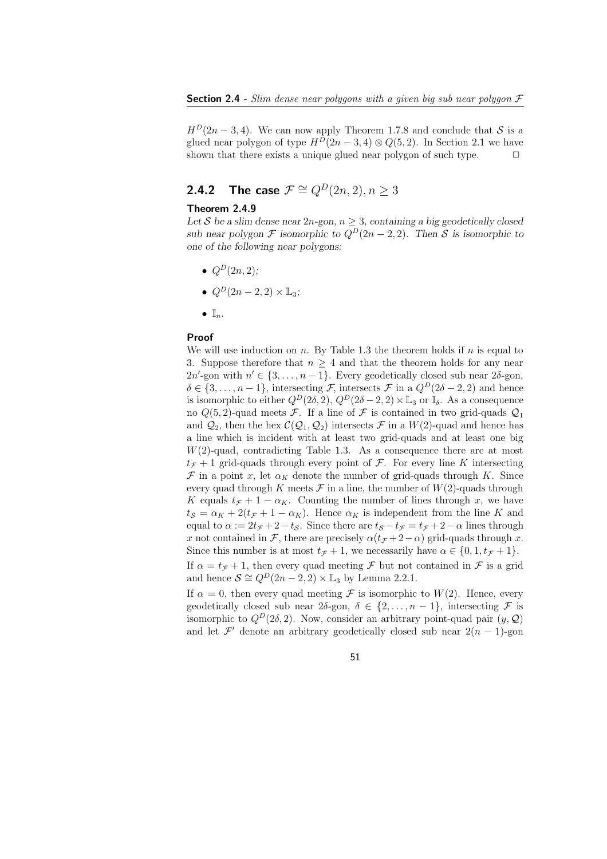$H<sup>D</sup>(2n-3, 4)$ . We can now apply Theorem 1.7.8 and conclude that S is a glued near polygon of type  $H^{\tilde{D}}(2n-3,4) \otimes Q(5,2)$ . In Section 2.1 we have shown that there exists a unique glued near polygon of such type shown that there exists a unique glued near polygon of such type.

# 2.4.2 The case  $\mathcal{F} \cong Q^D(2n, 2), n \geq 3$

# Theorem 2.4.9

Let S be a slim dense near  $2n$ -gon,  $n \geq 3$ , containing a big geodetically closed sub near polygon F isomorphic to  $Q^D(2n-2, 2)$ . Then S is isomorphic to one of the following near polygons:

- $Q^D(2n, 2)$ ;
- $Q^D(2n-2, 2) \times \mathbb{L}_3$ ;
- $\bullet$   $\mathbb{I}_n$ .

#### Proof

We will use induction on  $n$ . By Table 1.3 the theorem holds if  $n$  is equal to 3. Suppose therefore that  $n \geq 4$  and that the theorem holds for any near  $2n'$ -gon with  $n' \in \{3, ..., n-1\}$ . Every geodetically closed sub near  $2\delta$ -gon,  $\delta \in \{3, \ldots, n-1\}$ , intersecting F, intersects F in a  $Q^D(2\delta - 2, 2)$  and hence is isomorphic to either  $Q^D(2\delta, 2)$ ,  $Q^D(2\delta - 2, 2) \times \mathbb{L}_3$  or  $\mathbb{I}_{\delta}$ . As a consequence no  $Q(5, 2)$ -quad meets F. If a line of F is contained in two grid-quads  $\mathcal{Q}_1$ and  $\mathcal{Q}_2$ , then the hex  $\mathcal{C}(\mathcal{Q}_1, \mathcal{Q}_2)$  intersects  $\mathcal F$  in a  $W(2)$ -quad and hence has a line which is incident with at least two grid-quads and at least one big  $W(2)$ -quad, contradicting Table 1.3. As a consequence there are at most  $t_F + 1$  grid-quads through every point of  $\mathcal{F}$ . For every line K intersecting  $\mathcal F$  in a point x, let  $\alpha_K$  denote the number of grid-quads through K. Since every quad through K meets  $\mathcal F$  in a line, the number of  $W(2)$ -quads through K equals  $t_F + 1 - \alpha_K$ . Counting the number of lines through x, we have  $t_S = \alpha_K + 2(t_F + 1 - \alpha_K)$ . Hence  $\alpha_K$  is independent from the line K and equal to  $\alpha := 2t_{\mathcal{F}} + 2 - t_{\mathcal{S}}.$  Since there are  $t_{\mathcal{S}} - t_{\mathcal{F}} = t_{\mathcal{F}} + 2 - \alpha$  lines through x not contained in F, there are precisely  $\alpha(t_f + 2-\alpha)$  grid-quads through x. Since this number is at most  $t_{\mathcal{F}} + 1$ , we necessarily have  $\alpha \in \{0, 1, t_{\mathcal{F}} + 1\}.$ If  $\alpha = t_{\mathcal{F}} + 1$ , then every quad meeting  $\mathcal F$  but not contained in  $\mathcal F$  is a grid

and hence  $S \cong Q^D(2n-2, 2) \times \mathbb{L}_3$  by Lemma 2.2.1.

If  $\alpha = 0$ , then every quad meeting F is isomorphic to  $W(2)$ . Hence, every geodetically closed sub near  $2\delta$ -gon,  $\delta \in \{2, ..., n-1\}$ , intersecting  $\mathcal F$  is isomorphic to  $Q^D(2\delta, 2)$ . Now, consider an arbitrary point-quad pair  $(y, Q)$ and let  $\mathcal{F}'$  denote an arbitrary geodetically closed sub near  $2(n-1)$ -gon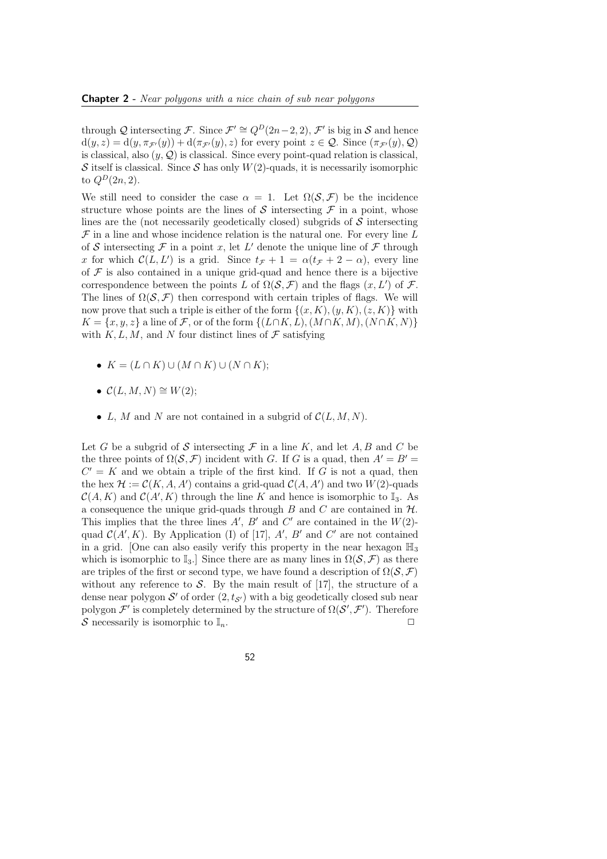through Q intersecting  $\mathcal{F}$ . Since  $\mathcal{F}' \cong Q^D(2n-2, 2)$ ,  $\mathcal{F}'$  is big in S and hence  $d(y, z) = d(y, \pi_{\mathcal{F}}(y)) + d(\pi_{\mathcal{F}}(y), z)$  for every point  $z \in \mathcal{Q}$ . Since  $(\pi_{\mathcal{F}}(y), \mathcal{Q})$ is classical, also  $(y, Q)$  is classical. Since every point-quad relation is classical, S itself is classical. Since S has only  $W(2)$ -quads, it is necessarily isomorphic to  $Q^D(2n, 2)$ .

We still need to consider the case  $\alpha = 1$ . Let  $\Omega(\mathcal{S}, \mathcal{F})$  be the incidence structure whose points are the lines of  $\mathcal S$  intersecting  $\mathcal F$  in a point, whose lines are the (not necessarily geodetically closed) subgrids of  $S$  intersecting  $\mathcal F$  in a line and whose incidence relation is the natural one. For every line  $L$ of S intersecting  $\mathcal F$  in a point x, let L' denote the unique line of  $\mathcal F$  through x for which  $\mathcal{C}(L, L')$  is a grid. Since  $t_{\mathcal{F}} + 1 = \alpha(t_{\mathcal{F}} + 2 - \alpha)$ , every line of  $F$  is also contained in a unique grid-quad and hence there is a bijective correspondence between the points L of  $\Omega(S, \mathcal{F})$  and the flags  $(x, L')$  of  $\mathcal{F}$ . The lines of  $\Omega(\mathcal{S}, \mathcal{F})$  then correspond with certain triples of flags. We will now prove that such a triple is either of the form  $\{(x, K), (y, K), (z, K)\}\$  with  $K = \{x, y, z\}$  a line of F, or of the form  $\{(L \cap K, L), (M \cap K, M), (N \cap K, N)\}$ with K, L, M, and N four distinct lines of  $\mathcal F$  satisfying

- $K = (L \cap K) \cup (M \cap K) \cup (N \cap K);$
- $\mathcal{C}(L, M, N) \cong W(2);$
- L, M and N are not contained in a subgrid of  $\mathcal{C}(L, M, N)$ .

Let G be a subgrid of S intersecting  $\mathcal F$  in a line K, and let A, B and C be the three points of  $\Omega(S, \mathcal{F})$  incident with G. If G is a quad, then  $A' = B' =$  $C' = K$  and we obtain a triple of the first kind. If G is not a quad, then the hex  $\mathcal{H} := \mathcal{C}(K, A, A')$  contains a grid-quad  $\mathcal{C}(A, A')$  and two  $W(2)$ -quads  $\mathcal{C}(A, K)$  and  $\mathcal{C}(A', K)$  through the line K and hence is isomorphic to  $\mathbb{I}_3$ . As a consequence the unique grid-quads through  $B$  and  $C$  are contained in  $H$ . This implies that the three lines  $A'$ ,  $B'$  and  $C'$  are contained in the  $W(2)$ quad  $\mathcal{C}(A', K)$ . By Application (I) of [17], A', B' and C' are not contained in a grid. [One can also easily verify this property in the near hexagon  $\mathbb{H}_3$ which is isomorphic to I<sub>3</sub>.] Since there are as many lines in  $\Omega(\mathcal{S}, \mathcal{F})$  as there are triples of the first or second type, we have found a description of  $\Omega(\mathcal{S}, \mathcal{F})$ without any reference to  $S$ . By the main result of [17], the structure of a dense near polygon  $S'$  of order  $(2, t_{S'})$  with a big geodetically closed sub near polygon  $\mathcal{F}'$  is completely determined by the structure of  $\Omega(\mathcal{S}', \mathcal{F}')$ . Therefore S necessarily is isomorphic to  $\mathbb{I}_n$ .

52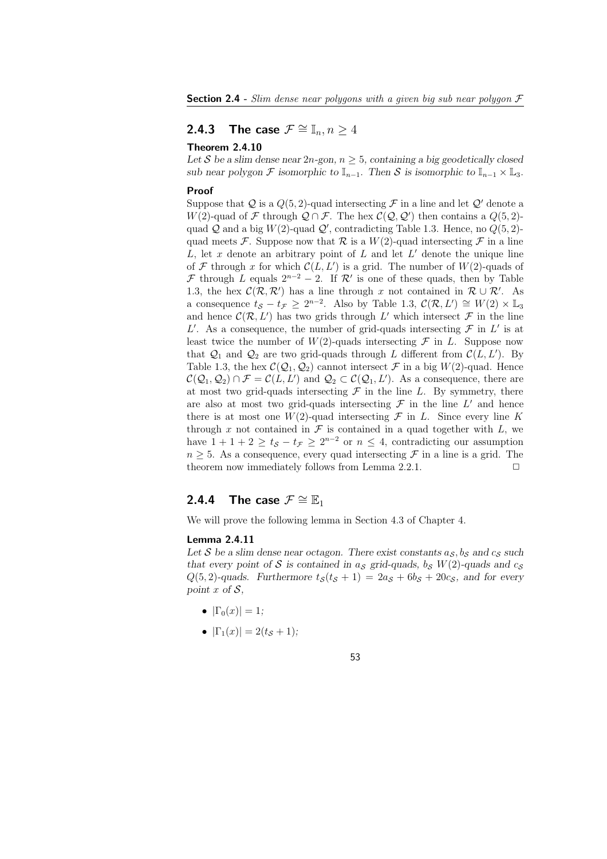# 2.4.3 The case  $\mathcal{F} \cong \mathbb{I}_n, n \geq 4$

### Theorem 2.4.10

Let S be a slim dense near  $2n$ -gon,  $n \geq 5$ , containing a big geodetically closed sub near polygon F isomorphic to  $\mathbb{I}_{n-1}$ . Then S is isomorphic to  $\mathbb{I}_{n-1} \times \mathbb{L}_3$ .

# Proof

Suppose that Q is a  $Q(5, 2)$ -quad intersecting F in a line and let  $Q'$  denote a W(2)-quad of F through  $Q \cap \mathcal{F}$ . The hex  $\mathcal{C}(\mathcal{Q}, \mathcal{Q}')$  then contains a  $Q(5, 2)$ quad  $\mathcal Q$  and a big  $W(2)$ -quad  $\mathcal Q'$ , contradicting Table 1.3. Hence, no  $Q(5, 2)$ quad meets F. Suppose now that R is a  $W(2)$ -quad intersecting F in a line  $L$ , let x denote an arbitrary point of  $L$  and let  $L'$  denote the unique line of  $\mathcal F$  through x for which  $\mathcal C(L, L')$  is a grid. The number of  $W(2)$ -quads of  $\mathcal F$  through L equals  $2^{n-2} - 2$ . If  $\mathcal R'$  is one of these quads, then by Table 1.3, the hex  $\mathcal{C}(\mathcal{R}, \mathcal{R}')$  has a line through x not contained in  $\mathcal{R} \cup \mathcal{R}'$ . As a consequence  $t_S - t_F \geq 2^{n-2}$ . Also by Table 1.3,  $\mathcal{C}(\mathcal{R}, L') \cong W(2) \times \mathbb{L}_3$ and hence  $\mathcal{C}(\mathcal{R}, L')$  has two grids through  $L'$  which intersect  $\mathcal{F}$  in the line L'. As a consequence, the number of grid-quads intersecting  $\mathcal F$  in L' is at least twice the number of  $W(2)$ -quads intersecting  $\mathcal F$  in L. Suppose now that  $\mathcal{Q}_1$  and  $\mathcal{Q}_2$  are two grid-quads through L different from  $\mathcal{C}(L, L')$ . By Table 1.3, the hex  $\mathcal{C}(\mathcal{Q}_1, \mathcal{Q}_2)$  cannot intersect  $\mathcal F$  in a big  $W(2)$ -quad. Hence  $\mathcal{C}(\mathcal{Q}_1, \mathcal{Q}_2) \cap \mathcal{F} = \mathcal{C}(L, L')$  and  $\mathcal{Q}_2 \subset \mathcal{C}(\mathcal{Q}_1, L')$ . As a consequence, there are at most two grid-quads intersecting  $\mathcal F$  in the line L. By symmetry, there are also at most two grid-quads intersecting  $\mathcal F$  in the line  $L'$  and hence there is at most one  $W(2)$ -quad intersecting  $\mathcal F$  in  $L$ . Since every line K through x not contained in  $\mathcal F$  is contained in a quad together with  $L$ , we have  $1 + 1 + 2 \ge t_{\mathcal{S}} - t_{\mathcal{F}} \ge 2^{n-2}$  or  $n \le 4$ , contradicting our assumption  $n \geq 5$ . As a consequence, every quad intersecting  $\mathcal{F}$  in a line is a grid. The theorem now immediately follows from Lemma 2.2.1 theorem now immediately follows from Lemma 2.2.1.

# 2.4.4 The case  $\mathcal{F} \cong \mathbb{E}_1$

We will prove the following lemma in Section 4.3 of Chapter 4.

#### Lemma 2.4.11

Let S be a slim dense near octagon. There exist constants  $a_S, b_S$  and  $c_S$  such that every point of S is contained in  $a_s$  grid-quads,  $b_s$  W(2)-quads and  $c_s$  $Q(5, 2)$ -quads. Furthermore  $t_S(t_S + 1) = 2a_S + 6b_S + 20c_S$ , and for every point x of  $S$ ,

- $|\Gamma_0(x)| = 1;$
- $|\Gamma_1(x)| = 2(t_s + 1);$

53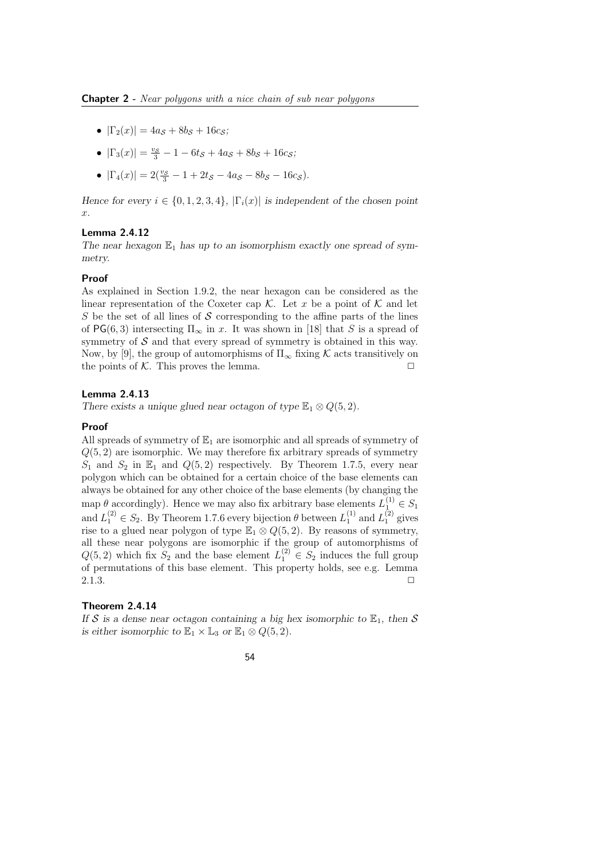- $|\Gamma_2(x)| = 4a_S + 8b_S + 16c_S;$
- $|\Gamma_3(x)| = \frac{v_S}{3} 1 6t_S + 4a_S + 8b_S + 16c_S;$
- $|\Gamma_4(x)| = 2(\frac{v_S}{3} 1 + 2t_S 4a_S 8b_S 16c_S).$

Hence for every  $i \in \{0, 1, 2, 3, 4\}, |\Gamma_i(x)|$  is independent of the chosen point x.

#### Lemma 2.4.12

The near hexagon  $\mathbb{E}_1$  has up to an isomorphism exactly one spread of symmetry.

### Proof

As explained in Section 1.9.2, the near hexagon can be considered as the linear representation of the Coxeter cap  $\mathcal K$ . Let x be a point of  $\mathcal K$  and let S be the set of all lines of  $S$  corresponding to the affine parts of the lines of PG(6,3) intersecting  $\Pi_{\infty}$  in x. It was shown in [18] that S is a spread of symmetry of  $S$  and that every spread of symmetry is obtained in this way. Now, by [9], the group of automorphisms of  $\Pi_{\infty}$  fixing K acts transitively on the points of K. This proves the lemma the points of  $K$ . This proves the lemma.

#### Lemma 2.4.13

There exists a unique glued near octagon of type  $\mathbb{E}_1 \otimes Q(5,2)$ .

#### Proof

All spreads of symmetry of  $\mathbb{E}_1$  are isomorphic and all spreads of symmetry of  $Q(5, 2)$  are isomorphic. We may therefore fix arbitrary spreads of symmetry  $S_1$  and  $S_2$  in  $\mathbb{E}_1$  and  $Q(5, 2)$  respectively. By Theorem 1.7.5, every near polygon which can be obtained for a certain choice of the base elements can always be obtained for any other choice of the base elements (by changing the map  $\theta$  accordingly). Hence we may also fix arbitrary base elements  $L_1^{(1)} \in S_1$ and  $L_1^{(2)} \in S_2$ . By Theorem 1.7.6 every bijection  $\theta$  between  $L_1^{(1)}$  and  $L_1^{(2)}$  gives rise to a glued near polygon of type  $\mathbb{E}_1 \otimes Q(5, 2)$ . By reasons of symmetry, all these near polygons are isomorphic if the group of automorphisms of  $Q(5,2)$  which fix  $S_2$  and the base element  $L_1^{(2)} \in S_2$  induces the full group of permutations of this base element. This property holds, see e.g. Lemma  $2.1.3.$ 

#### Theorem 2.4.14

If S is a dense near octagon containing a big hex isomorphic to  $\mathbb{E}_1$ , then S is either isomorphic to  $\mathbb{E}_1 \times \mathbb{L}_3$  or  $\mathbb{E}_1 \otimes Q(5,2)$ .

54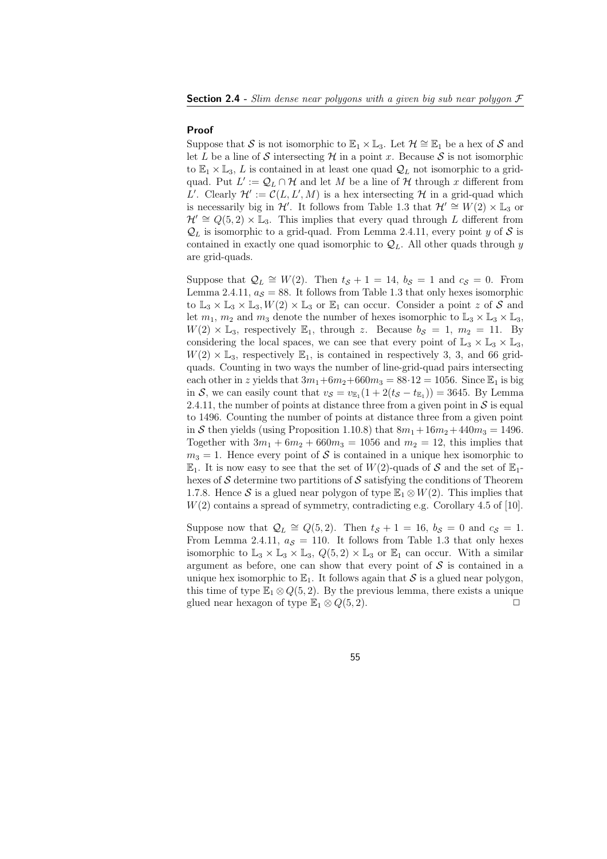#### Proof

Suppose that S is not isomorphic to  $\mathbb{E}_1 \times \mathbb{L}_3$ . Let  $\mathcal{H} \cong \mathbb{E}_1$  be a hex of S and let L be a line of S intersecting  $\mathcal H$  in a point x. Because S is not isomorphic to  $\mathbb{E}_1 \times \mathbb{L}_3$ , L is contained in at least one quad  $\mathcal{Q}_L$  not isomorphic to a gridquad. Put  $L' := \mathcal{Q}_L \cap \mathcal{H}$  and let M be a line of H through x different from L'. Clearly  $\mathcal{H}' := \mathcal{C}(L, L', M)$  is a hex intersecting  $\mathcal{H}$  in a grid-quad which is necessarily big in  $\mathcal{H}'$ . It follows from Table 1.3 that  $\mathcal{H}' \cong W(2) \times \mathbb{L}_3$  or  $\mathcal{H}' \cong Q(5, 2) \times \mathbb{L}_3$ . This implies that every quad through L different from  $\mathcal{Q}_L$  is isomorphic to a grid-quad. From Lemma 2.4.11, every point y of S is contained in exactly one quad isomorphic to  $\mathcal{Q}_L$ . All other quads through y are grid-quads.

Suppose that  $\mathcal{Q}_L \cong W(2)$ . Then  $t_{\mathcal{S}} + 1 = 14$ ,  $b_{\mathcal{S}} = 1$  and  $c_{\mathcal{S}} = 0$ . From Lemma 2.4.11,  $a_{\mathcal{S}} = 88$ . It follows from Table 1.3 that only hexes isomorphic to  $\mathbb{L}_3 \times \mathbb{L}_3 \times \mathbb{L}_3$ ,  $W(2) \times \mathbb{L}_3$  or  $\mathbb{E}_1$  can occur. Consider a point z of S and let  $m_1$ ,  $m_2$  and  $m_3$  denote the number of hexes isomorphic to  $\mathbb{L}_3 \times \mathbb{L}_3 \times \mathbb{L}_3$ ,  $W(2) \times \mathbb{L}_3$ , respectively  $\mathbb{E}_1$ , through z. Because  $b_S = 1$ ,  $m_2 = 11$ . By considering the local spaces, we can see that every point of  $\mathbb{L}_3 \times \mathbb{L}_3 \times \mathbb{L}_3$ ,  $W(2) \times \mathbb{L}_3$ , respectively  $\mathbb{E}_1$ , is contained in respectively 3, 3, and 66 gridquads. Counting in two ways the number of line-grid-quad pairs intersecting each other in z yields that  $3m_1+6m_2+660m_3 = 88.12 = 1056$ . Since  $\mathbb{E}_1$  is big in S, we can easily count that  $v_S = v_{\mathbb{E}_1}(1 + 2(t_S - t_{\mathbb{E}_1})) = 3645$ . By Lemma 2.4.11, the number of points at distance three from a given point in  $\mathcal S$  is equal to 1496. Counting the number of points at distance three from a given point in S then yields (using Proposition 1.10.8) that  $8m_1 + 16m_2 + 440m_3 = 1496$ . Together with  $3m_1 + 6m_2 + 660m_3 = 1056$  and  $m_2 = 12$ , this implies that  $m_3 = 1$ . Hence every point of S is contained in a unique hex isomorphic to  $\mathbb{E}_1$ . It is now easy to see that the set of  $W(2)$ -quads of S and the set of  $\mathbb{E}_1$ hexes of S determine two partitions of S satisfying the conditions of Theorem 1.7.8. Hence S is a glued near polygon of type  $\mathbb{E}_1 \otimes W(2)$ . This implies that  $W(2)$  contains a spread of symmetry, contradicting e.g. Corollary 4.5 of [10].

Suppose now that  $Q_L \cong Q(5, 2)$ . Then  $t_S + 1 = 16$ ,  $b_S = 0$  and  $c_S = 1$ . From Lemma 2.4.11,  $a_S = 110$ . It follows from Table 1.3 that only hexes isomorphic to  $\mathbb{L}_3 \times \mathbb{L}_3 \times \mathbb{L}_3$ ,  $Q(5,2) \times \mathbb{L}_3$  or  $\mathbb{E}_1$  can occur. With a similar argument as before, one can show that every point of  $S$  is contained in a unique hex isomorphic to  $\mathbb{E}_1$ . It follows again that S is a glued near polygon, this time of type  $\mathbb{E}_1 \otimes Q(5, 2)$ . By the previous lemma, there exists a unique glued near hexagon of type  $\mathbb{E}_1 \otimes Q(5, 2)$ glued near hexagon of type  $\mathbb{E}_1 \otimes Q(5,2)$ .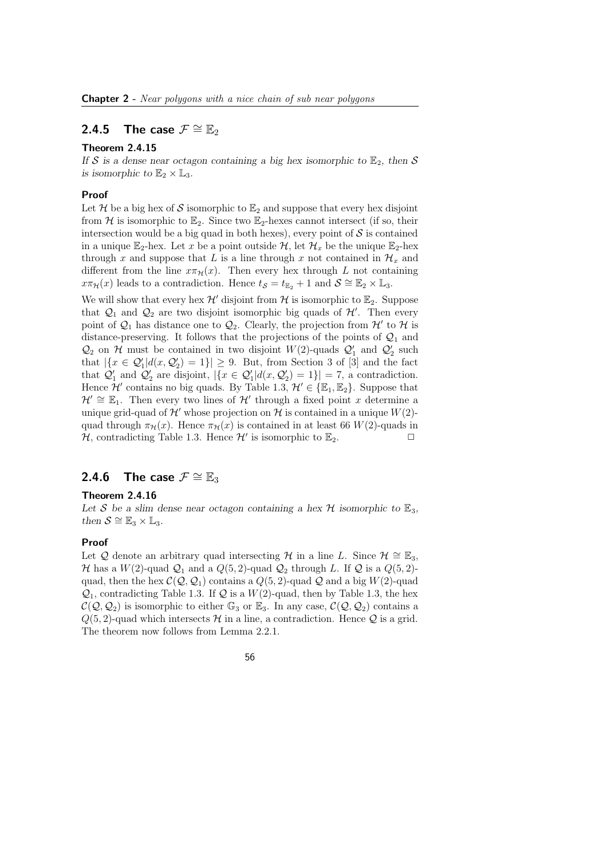# 2.4.5 The case  $\mathcal{F} \cong \mathbb{E}_2$

#### Theorem 2.4.15

If S is a dense near octagon containing a big hex isomorphic to  $\mathbb{E}_2$ , then S is isomorphic to  $\mathbb{E}_2 \times \mathbb{L}_3$ .

# Proof

Let H be a big hex of S isomorphic to  $\mathbb{E}_2$  and suppose that every hex disjoint from  $H$  is isomorphic to  $\mathbb{E}_2$ . Since two  $\mathbb{E}_2$ -hexes cannot intersect (if so, their intersection would be a big quad in both hexes), every point of  $S$  is contained in a unique  $\mathbb{E}_2$ -hex. Let x be a point outside  $\mathcal{H}$ , let  $\mathcal{H}_x$  be the unique  $\mathbb{E}_2$ -hex through x and suppose that L is a line through x not contained in  $\mathcal{H}_x$  and different from the line  $x\pi_{\mathcal{H}}(x)$ . Then every hex through L not containing  $x\pi_{\mathcal{H}}(x)$  leads to a contradiction. Hence  $t_{\mathcal{S}} = t_{\mathbb{E}_2} + 1$  and  $\mathcal{S} \cong \mathbb{E}_2 \times \mathbb{L}_3$ .

We will show that every hex  $\mathcal{H}'$  disjoint from  $\mathcal H$  is isomorphic to  $\mathbb{E}_2$ . Suppose that  $\mathcal{Q}_1$  and  $\mathcal{Q}_2$  are two disjoint isomorphic big quads of  $\mathcal{H}'$ . Then every point of  $\mathcal{Q}_1$  has distance one to  $\mathcal{Q}_2$ . Clearly, the projection from  $\mathcal{H}'$  to  $\mathcal{H}$  is distance-preserving. It follows that the projections of the points of  $\mathcal{Q}_1$  and  $\mathcal{Q}_2$  on H must be contained in two disjoint  $W(2)$ -quads  $\mathcal{Q}_1$  and  $\mathcal{Q}_2$  such that  $|\{x \in \mathcal{Q}'_1 | d(x, \mathcal{Q}'_2) = 1\}| \geq 9$ . But, from Section 3 of [3] and the fact that  $Q'_1$  and  $Q'_2$  are disjoint,  $|\{x \in Q'_1 | d(x, Q'_2) = 1\}| = 7$ , a contradiction. Hence  $\mathcal{H}'$  contains no big quads. By Table 1.3,  $\mathcal{H}' \in \{\mathbb{E}_1, \mathbb{E}_2\}$ . Suppose that  $\mathcal{H}' \cong \mathbb{E}_1$ . Then every two lines of  $\mathcal{H}'$  through a fixed point x determine a unique grid-quad of H' whose projection on H is contained in a unique  $W(2)$ quad through  $\pi_{\mathcal{H}}(x)$ . Hence  $\pi_{\mathcal{H}}(x)$  is contained in at least 66 W(2)-quads in  $\mathcal{H}$ , contradicting Table 1.3. Hence  $\mathcal{H}'$  is isomorphic to  $\mathbb{E}_2$ .

# 2.4.6 The case  $\mathcal{F} \cong \mathbb{E}_3$

## Theorem 2.4.16

Let S be a slim dense near octagon containing a hex  $\mathcal H$  isomorphic to  $\mathbb{E}_3$ , then  $S \cong \mathbb{E}_3 \times \mathbb{L}_3$ .

# Proof

Let Q denote an arbitrary quad intersecting H in a line L. Since  $\mathcal{H} \cong \mathbb{E}_3$ , H has a  $W(2)$ -quad  $\mathcal{Q}_1$  and a  $Q(5, 2)$ -quad  $\mathcal{Q}_2$  through L. If  $\mathcal Q$  is a  $Q(5, 2)$ quad, then the hex  $\mathcal{C}(\mathcal{Q}, \mathcal{Q}_1)$  contains a  $Q(5, 2)$ -quad  $\mathcal Q$  and a big  $W(2)$ -quad  $\mathcal{Q}_1$ , contradicting Table 1.3. If  $\mathcal Q$  is a  $W(2)$ -quad, then by Table 1.3, the hex  $\mathcal{C}(\mathcal{Q},\mathcal{Q}_2)$  is isomorphic to either  $\mathbb{G}_3$  or  $\mathbb{E}_3$ . In any case,  $\mathcal{C}(\mathcal{Q},\mathcal{Q}_2)$  contains a  $Q(5, 2)$ -quad which intersects  $\mathcal H$  in a line, a contradiction. Hence  $\mathcal Q$  is a grid. The theorem now follows from Lemma 2.2.1.

56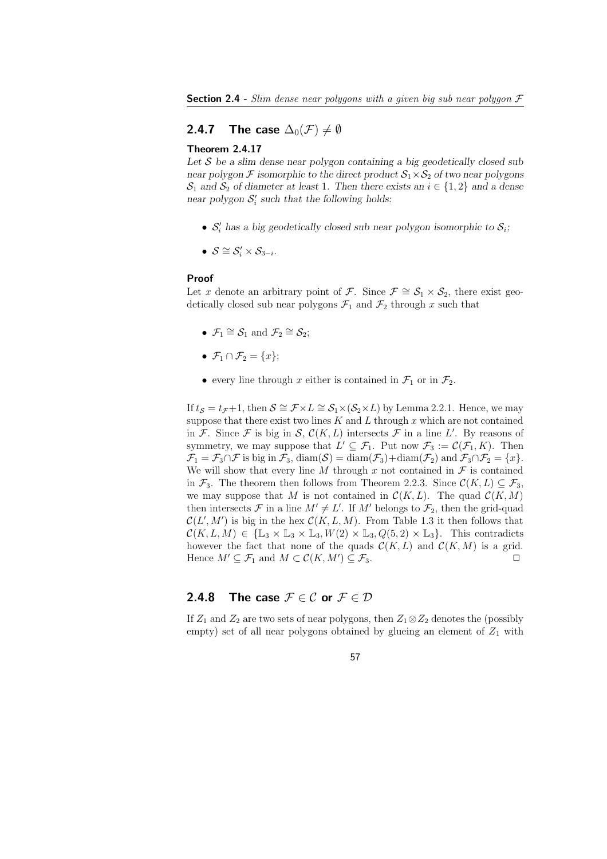# 2.4.7 The case  $\Delta_0(\mathcal{F})\neq\emptyset$

### Theorem 2.4.17

Let  $S$  be a slim dense near polygon containing a big geodetically closed sub near polygon  $\mathcal F$  isomorphic to the direct product  $\mathcal S_1\times \mathcal S_2$  of two near polygons  $S_1$  and  $S_2$  of diameter at least 1. Then there exists an  $i \in \{1,2\}$  and a dense near polygon  $S_i'$  such that the following holds:

- $S_i'$  has a big geodetically closed sub near polygon isomorphic to  $S_i$ ;
- $S \cong S_i' \times S_{3-i}$ .

#### Proof

Let x denote an arbitrary point of F. Since  $\mathcal{F} \cong \mathcal{S}_1 \times \mathcal{S}_2$ , there exist geodetically closed sub near polygons  $\mathcal{F}_1$  and  $\mathcal{F}_2$  through x such that

- $\mathcal{F}_1 \cong \mathcal{S}_1$  and  $\mathcal{F}_2 \cong \mathcal{S}_2$ ;
- $\mathcal{F}_1 \cap \mathcal{F}_2 = \{x\};$
- every line through x either is contained in  $\mathcal{F}_1$  or in  $\mathcal{F}_2$ .

If  $t_S = t_F+1$ , then  $S \cong \mathcal{F} \times L \cong \mathcal{S}_1 \times (\mathcal{S}_2 \times L)$  by Lemma 2.2.1. Hence, we may suppose that there exist two lines  $K$  and  $L$  through  $x$  which are not contained in F. Since F is big in S,  $\mathcal{C}(K, L)$  intersects F in a line L'. By reasons of symmetry, we may suppose that  $L' \subseteq \mathcal{F}_1$ . Put now  $\mathcal{F}_3 := \mathcal{C}(\mathcal{F}_1, K)$ . Then  $\mathcal{F}_1 = \mathcal{F}_3 \cap \mathcal{F}$  is big in  $\mathcal{F}_3$ , diam( $\mathcal{S}$ ) = diam( $\mathcal{F}_3$ )+diam( $\mathcal{F}_2$ ) and  $\mathcal{F}_3 \cap \mathcal{F}_2 = \{x\}$ . We will show that every line M through x not contained in  $\mathcal F$  is contained in  $\mathcal{F}_3$ . The theorem then follows from Theorem 2.2.3. Since  $\mathcal{C}(K, L) \subseteq \mathcal{F}_3$ , we may suppose that M is not contained in  $\mathcal{C}(K,L)$ . The quad  $\mathcal{C}(K,M)$ then intersects  $\mathcal F$  in a line  $M' \neq L'$ . If  $M'$  belongs to  $\mathcal F_2$ , then the grid-quad  $\mathcal{C}(L', M')$  is big in the hex  $\mathcal{C}(K, L, M)$ . From Table 1.3 it then follows that  $\mathcal{C}(K, L, M) \in \{\mathbb{L}_3 \times \mathbb{L}_3 \times \mathbb{L}_3, W(2) \times \mathbb{L}_3, Q(5, 2) \times \mathbb{L}_3\}.$  This contradicts however the fact that none of the quads  $\mathcal{C}(K,L)$  and  $\mathcal{C}(K,M')$  is a grid.<br>Hence  $M' \subset \mathcal{F}$ , and  $M \subset \mathcal{C}(K,M') \subset \mathcal{F}$ . Hence  $M' \subseteq \mathcal{F}_1$  and  $M \subset \mathcal{C}(K, M') \subseteq \mathcal{F}_3$ .

# 2.4.8 The case  $\mathcal{F} \in \mathcal{C}$  or  $\mathcal{F} \in \mathcal{D}$

If  $Z_1$  and  $Z_2$  are two sets of near polygons, then  $Z_1 \otimes Z_2$  denotes the (possibly empty) set of all near polygons obtained by glueing an element of  $Z_1$  with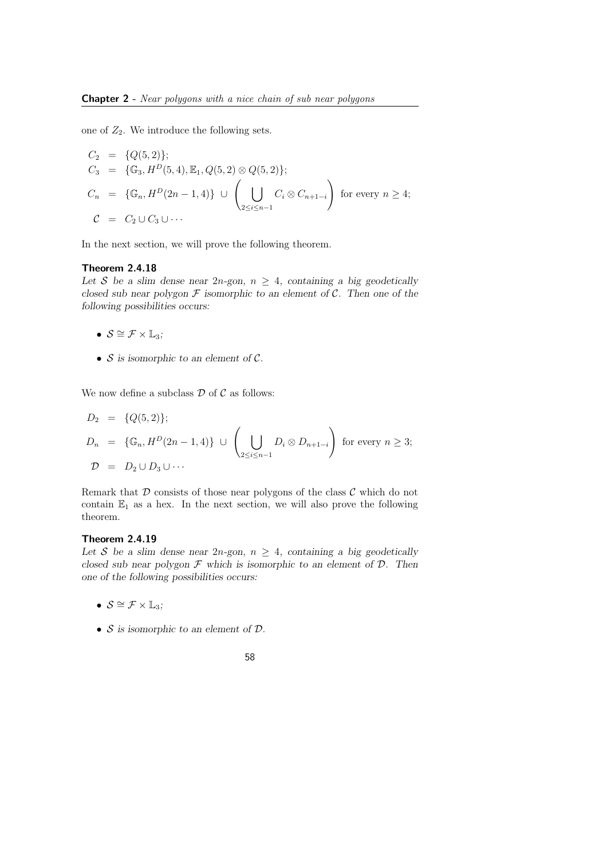one of  $Z_2$ . We introduce the following sets.

$$
C_2 = \{Q(5, 2)\};
$$
  
\n
$$
C_3 = \{\mathbb{G}_3, H^D(5, 4), \mathbb{E}_1, Q(5, 2) \otimes Q(5, 2)\};
$$
  
\n
$$
C_n = \{\mathbb{G}_n, H^D(2n - 1, 4)\} \cup \left(\bigcup_{2 \le i \le n-1} C_i \otimes C_{n+1-i}\right) \text{ for every } n \ge 4;
$$
  
\n
$$
C = C_2 \cup C_3 \cup \cdots
$$

In the next section, we will prove the following theorem.

## Theorem 2.4.18

Let S be a slim dense near  $2n$ -gon,  $n \geq 4$ , containing a big geodetically closed sub near polygon  $\mathcal F$  isomorphic to an element of  $\mathcal C$ . Then one of the following possibilities occurs:

- $S \cong \mathcal{F} \times \mathbb{L}_3$ ;
- $S$  is isomorphic to an element of  $C$ .

We now define a subclass  $D$  of  $C$  as follows:

$$
D_2 = \{Q(5, 2)\};
$$
  
\n
$$
D_n = \{\mathbb{G}_n, H^D(2n - 1, 4)\} \cup \left(\bigcup_{2 \le i \le n-1} D_i \otimes D_{n+1-i}\right) \text{ for every } n \ge 3;
$$
  
\n
$$
D = D_2 \cup D_3 \cup \cdots
$$

Remark that  $D$  consists of those near polygons of the class  $C$  which do not contain  $\mathbb{E}_1$  as a hex. In the next section, we will also prove the following theorem.

## Theorem 2.4.19

Let S be a slim dense near  $2n$ -gon,  $n \geq 4$ , containing a big geodetically closed sub near polygon  $\mathcal F$  which is isomorphic to an element of  $\mathcal D$ . Then one of the following possibilities occurs:

- $S \cong \mathcal{F} \times \mathbb{L}_3;$
- S is isomorphic to an element of  $\mathcal{D}$ .

$$
58 \\
$$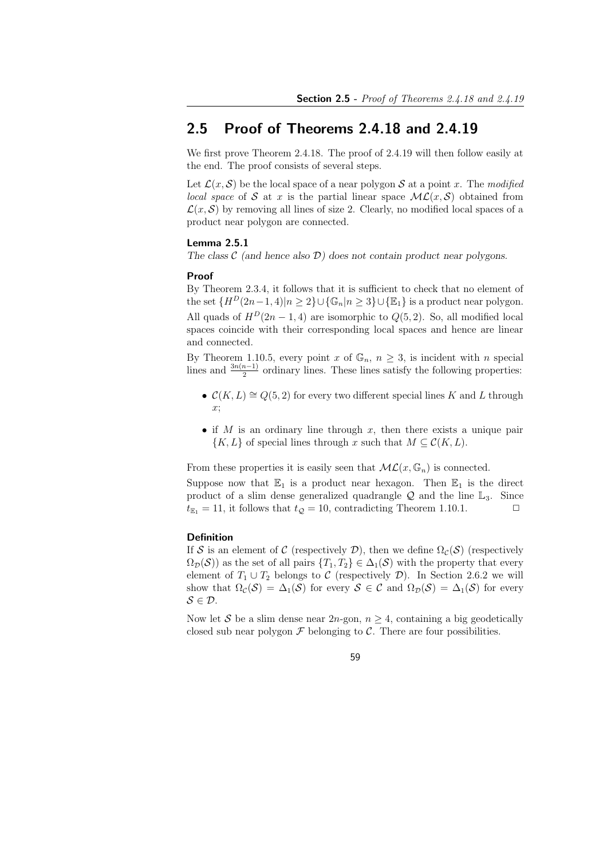# 2.5 Proof of Theorems 2.4.18 and 2.4.19

We first prove Theorem 2.4.18. The proof of 2.4.19 will then follow easily at the end. The proof consists of several steps.

Let  $\mathcal{L}(x, \mathcal{S})$  be the local space of a near polygon S at a point x. The modified local space of S at x is the partial linear space  $ML(x, S)$  obtained from  $\mathcal{L}(x, \mathcal{S})$  by removing all lines of size 2. Clearly, no modified local spaces of a product near polygon are connected.

# Lemma 2.5.1

The class  $\mathcal C$  (and hence also  $\mathcal D$ ) does not contain product near polygons.

#### Proof

By Theorem 2.3.4, it follows that it is sufficient to check that no element of the set  $\{H^D(2n-1, 4)|n \geq 2\} \cup {\mathbb{G}_n | n \geq 3} \cup {\mathbb{E}_1}$  is a product near polygon. All quads of  $H^D(2n-1, 4)$  are isomorphic to  $Q(5, 2)$ . So, all modified local spaces coincide with their corresponding local spaces and hence are linear and connected.

By Theorem 1.10.5, every point x of  $\mathbb{G}_n$ ,  $n \geq 3$ , is incident with n special lines and  $\frac{3n(n-1)}{2}$  ordinary lines. These lines satisfy the following properties:

- $\mathcal{C}(K, L) \cong Q(5, 2)$  for every two different special lines K and L through x;
- if  $M$  is an ordinary line through  $x$ , then there exists a unique pair  $\{K, L\}$  of special lines through x such that  $M \subseteq \mathcal{C}(K, L)$ .

From these properties it is easily seen that  $ML(x, \mathbb{G}_n)$  is connected.

Suppose now that  $\mathbb{E}_1$  is a product near hexagon. Then  $\mathbb{E}_1$  is the direct product of a slim dense generalized quadrangle  $Q$  and the line  $\mathbb{L}_3$ . Since  $t_{\mathbb{R}_1} = 11$ , it follows that  $t_Q = 10$ , contradicting Theorem 1.10.1.  $t_{\mathbb{E}_1} = 11$ , it follows that  $t_{\mathcal{Q}} = 10$ , contradicting Theorem 1.10.1.

#### Definition

If S is an element of C (respectively D), then we define  $\Omega_{\mathcal{C}}(\mathcal{S})$  (respectively  $\Omega_{\mathcal{D}}(\mathcal{S})$  as the set of all pairs  $\{T_1, T_2\} \in \Delta_1(\mathcal{S})$  with the property that every element of  $T_1 \cup T_2$  belongs to C (respectively D). In Section 2.6.2 we will show that  $\Omega_{\mathcal{C}}(\mathcal{S}) = \Delta_1(\mathcal{S})$  for every  $\mathcal{S} \in \mathcal{C}$  and  $\Omega_{\mathcal{D}}(\mathcal{S}) = \Delta_1(\mathcal{S})$  for every  $S \in \mathcal{D}$ .

Now let S be a slim dense near  $2n$ -gon,  $n \geq 4$ , containing a big geodetically closed sub near polygon  $\mathcal F$  belonging to  $\mathcal C$ . There are four possibilities.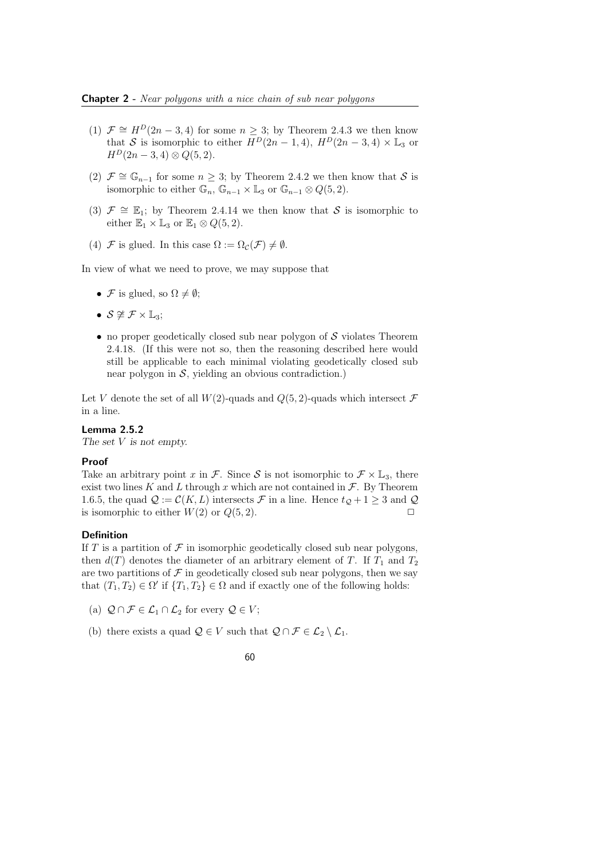- (1)  $\mathcal{F} \cong H^D(2n-3, 4)$  for some  $n \geq 3$ ; by Theorem 2.4.3 we then know that S is isomorphic to either  $H^D(2n-1, 4)$ ,  $H^D(2n-3, 4) \times \mathbb{L}_3$  or  $H^D(2n-3, 4) \otimes O(5, 2).$
- (2)  $\mathcal{F} \cong \mathbb{G}_{n-1}$  for some  $n > 3$ ; by Theorem 2.4.2 we then know that S is isomorphic to either  $\mathbb{G}_n$ ,  $\mathbb{G}_{n-1} \times \mathbb{L}_3$  or  $\mathbb{G}_{n-1} \otimes Q(5,2)$ .
- (3)  $\mathcal{F} \cong \mathbb{E}_1$ ; by Theorem 2.4.14 we then know that S is isomorphic to either  $\mathbb{E}_1 \times \mathbb{L}_3$  or  $\mathbb{E}_1 \otimes Q(5,2)$ .
- (4) F is glued. In this case  $\Omega := \Omega_{\mathcal{C}}(\mathcal{F}) \neq \emptyset$ .

In view of what we need to prove, we may suppose that

- F is glued, so  $\Omega \neq \emptyset$ ;
- $S \not\cong \mathcal{F} \times \mathbb{L}_3$ ;
- no proper geodetically closed sub near polygon of  $S$  violates Theorem 2.4.18. (If this were not so, then the reasoning described here would still be applicable to each minimal violating geodetically closed sub near polygon in  $S$ , yielding an obvious contradiction.)

Let V denote the set of all  $W(2)$ -quads and  $Q(5, 2)$ -quads which intersect  $\mathcal F$ in a line.

# Lemma 2.5.2

The set V is not empty.

# Proof

Take an arbitrary point x in F. Since S is not isomorphic to  $\mathcal{F} \times \mathbb{L}_3$ , there exist two lines K and L through x which are not contained in  $\mathcal{F}$ . By Theorem 1.6.5, the quad  $\mathcal{Q} := \mathcal{C}(K, L)$  intersects  $\mathcal F$  in a line. Hence  $t_{\mathcal{Q}} + 1 \geq 3$  and  $\mathcal Q$  is isomorphic to either  $W(2)$  or  $O(5, 2)$ is isomorphic to either  $W(2)$  or  $Q(5, 2)$ .

#### Definition

If T is a partition of  $\mathcal F$  in isomorphic geodetically closed sub near polygons, then  $d(T)$  denotes the diameter of an arbitrary element of T. If  $T_1$  and  $T_2$ are two partitions of  $\mathcal F$  in geodetically closed sub near polygons, then we say that  $(T_1, T_2) \in \Omega'$  if  $\{T_1, T_2\} \in \Omega$  and if exactly one of the following holds:

- (a)  $\mathcal{Q} \cap \mathcal{F} \in \mathcal{L}_1 \cap \mathcal{L}_2$  for every  $\mathcal{Q} \in V$ ;
- (b) there exists a quad  $\mathcal{Q} \in V$  such that  $\mathcal{Q} \cap \mathcal{F} \in \mathcal{L}_2 \setminus \mathcal{L}_1$ .

60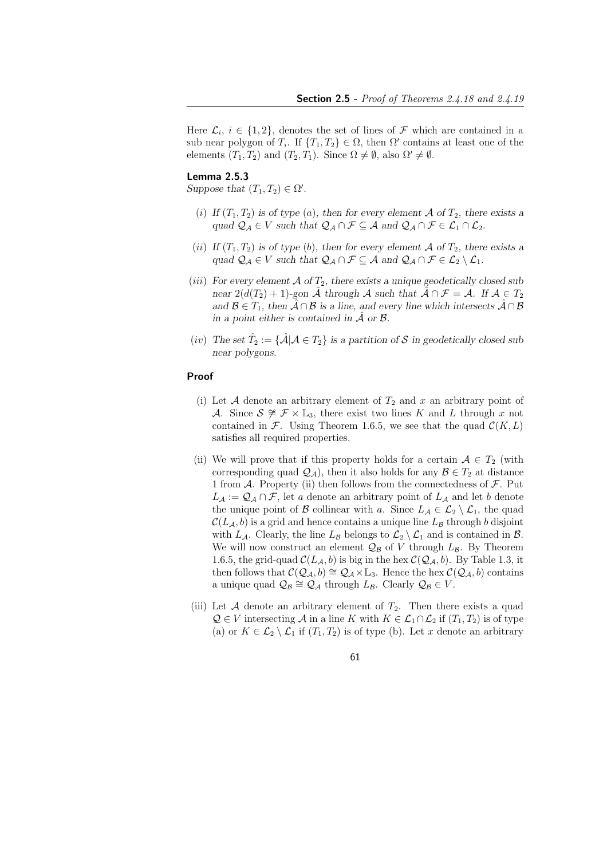Here  $\mathcal{L}_i$ ,  $i \in \{1,2\}$ , denotes the set of lines of  $\mathcal F$  which are contained in a sub near polygon of  $T_i$ . If  $\{T_1, T_2\} \in \Omega$ , then  $\Omega'$  contains at least one of the elements  $(T_1, T_2)$  and  $(T_2, T_1)$ . Since  $\Omega \neq \emptyset$ , also  $\Omega' \neq \emptyset$ .

## Lemma 2.5.3

Suppose that  $(T_1, T_2) \in \Omega'.$ 

- (i) If  $(T_1, T_2)$  is of type (a), then for every element A of  $T_2$ , there exists a quad  $\mathcal{Q}_{\mathcal{A}} \in V$  such that  $\mathcal{Q}_{\mathcal{A}} \cap \mathcal{F} \subseteq \mathcal{A}$  and  $\mathcal{Q}_{\mathcal{A}} \cap \mathcal{F} \in \mathcal{L}_1 \cap \mathcal{L}_2$ .
- (ii) If  $(T_1, T_2)$  is of type (b), then for every element A of  $T_2$ , there exists a quad  $\mathcal{Q}_{\mathcal{A}} \in V$  such that  $\mathcal{Q}_{\mathcal{A}} \cap \mathcal{F} \subseteq \mathcal{A}$  and  $\mathcal{Q}_{\mathcal{A}} \cap \mathcal{F} \in \mathcal{L}_2 \setminus \mathcal{L}_1$ .
- (*iii*) For every element  $\mathcal A$  of  $T_2$ , there exists a unique geodetically closed sub near  $2(d(T_2) + 1)$ -gon  $\tilde{\mathcal{A}}$  through  $\mathcal{A}$  such that  $\tilde{\mathcal{A}} \cap \mathcal{F} = \mathcal{A}$ . If  $\mathcal{A} \in T_2$ and  $\mathcal{B} \in T_1$ , then  $\hat{\mathcal{A}} \cap \mathcal{B}$  is a line, and every line which intersects  $\hat{\mathcal{A}} \cap \mathcal{B}$ in a point either is contained in  $\hat{\mathcal{A}}$  or  $\hat{\mathcal{B}}$ .
- (iv) The set  $\hat{T}_2 := \{ \hat{\mathcal{A}} | \mathcal{A} \in T_2 \}$  is a partition of S in geodetically closed sub near polygons.

## Proof

- (i) Let  $A$  denote an arbitrary element of  $T_2$  and x an arbitrary point of A. Since  $S \not\cong \mathcal{F} \times \mathbb{L}_3$ , there exist two lines K and L through x not contained in F. Using Theorem 1.6.5, we see that the quad  $\mathcal{C}(K, L)$ satisfies all required properties.
- (ii) We will prove that if this property holds for a certain  $A \in T_2$  (with corresponding quad  $\mathcal{Q}_{\mathcal{A}}$ , then it also holds for any  $\mathcal{B} \in T_2$  at distance 1 from  $A$ . Property (ii) then follows from the connectedness of  $F$ . Put  $L_A := Q_A \cap \mathcal{F}$ , let a denote an arbitrary point of  $L_A$  and let b denote the unique point of B collinear with a. Since  $L_A \in \mathcal{L}_2 \setminus \mathcal{L}_1$ , the quad  $\mathcal{C}(L_A, b)$  is a grid and hence contains a unique line  $L_B$  through b disjoint with  $L_A$ . Clearly, the line  $L_B$  belongs to  $\mathcal{L}_2 \setminus \mathcal{L}_1$  and is contained in  $\mathcal{B}$ . We will now construct an element  $\mathcal{Q}_\mathcal{B}$  of V through  $L_\mathcal{B}$ . By Theorem 1.6.5, the grid-quad  $\mathcal{C}(L_{\mathcal{A}}, b)$  is big in the hex  $\mathcal{C}(\mathcal{Q}_{\mathcal{A}}, b)$ . By Table 1.3, it then follows that  $\mathcal{C}(\mathcal{Q}_\mathcal{A}, b) \cong \mathcal{Q}_\mathcal{A} \times \mathbb{L}_3$ . Hence the hex  $\mathcal{C}(\mathcal{Q}_\mathcal{A}, b)$  contains a unique quad  $\mathcal{Q}_{\mathcal{B}} \cong \mathcal{Q}_{\mathcal{A}}$  through  $L_{\mathcal{B}}$ . Clearly  $\mathcal{Q}_{\mathcal{B}} \in V$ .
- (iii) Let A denote an arbitrary element of  $T_2$ . Then there exists a quad  $Q \in V$  intersecting A in a line K with  $K \in \mathcal{L}_1 \cap \mathcal{L}_2$  if  $(T_1, T_2)$  is of type (a) or  $K \in \mathcal{L}_2 \setminus \mathcal{L}_1$  if  $(T_1, T_2)$  is of type (b). Let x denote an arbitrary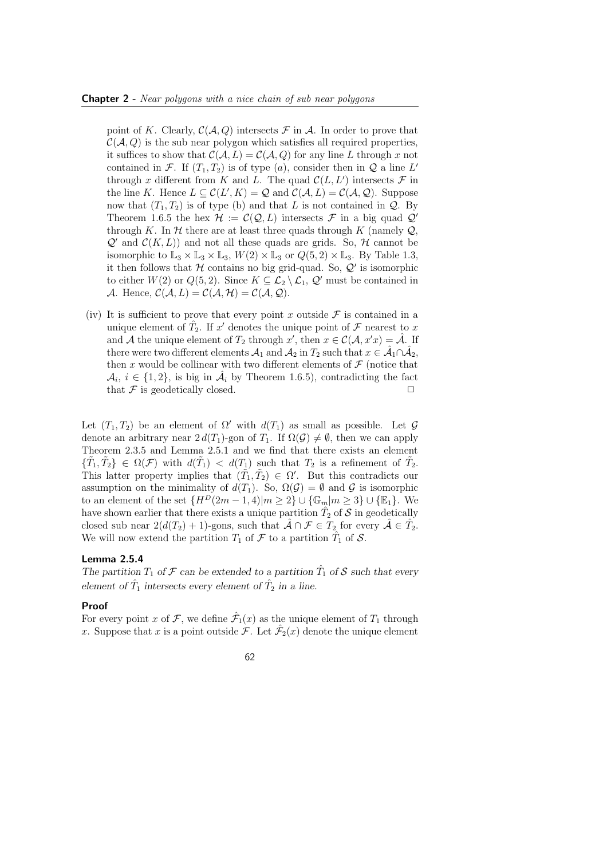point of K. Clearly,  $\mathcal{C}(\mathcal{A}, Q)$  intersects  $\mathcal F$  in  $\mathcal A$ . In order to prove that  $\mathcal{C}(\mathcal{A}, Q)$  is the sub near polygon which satisfies all required properties, it suffices to show that  $\mathcal{C}(\mathcal{A}, L) = \mathcal{C}(\mathcal{A}, Q)$  for any line L through x not contained in F. If  $(T_1, T_2)$  is of type  $(a)$ , consider then in Q a line L' through x different from K and L. The quad  $\mathcal{C}(L, L')$  intersects F in the line K. Hence  $L \subseteq \mathcal{C}(L', K) = \mathcal{Q}$  and  $\mathcal{C}(\mathcal{A}, L) = \mathcal{C}(\mathcal{A}, \mathcal{Q})$ . Suppose now that  $(T_1, T_2)$  is of type (b) and that L is not contained in Q. By Theorem 1.6.5 the hex  $\mathcal{H} := \mathcal{C}(\mathcal{Q}, L)$  intersects  $\mathcal F$  in a big quad  $\mathcal{Q}'$ through K. In  $H$  there are at least three quads through K (namely  $Q$ ,  $\mathcal{Q}'$  and  $\mathcal{C}(K, L)$  and not all these quads are grids. So, H cannot be isomorphic to  $\mathbb{L}_3 \times \mathbb{L}_3 \times \mathbb{L}_3$ ,  $W(2) \times \mathbb{L}_3$  or  $Q(5, 2) \times \mathbb{L}_3$ . By Table 1.3, it then follows that  $H$  contains no big grid-quad. So,  $Q'$  is isomorphic to either  $W(2)$  or  $Q(5, 2)$ . Since  $K \subseteq \mathcal{L}_2 \setminus \mathcal{L}_1$ ,  $\mathcal{Q}'$  must be contained in A. Hence,  $\mathcal{C}(\mathcal{A}, L) = \mathcal{C}(\mathcal{A}, \mathcal{H}) = \mathcal{C}(\mathcal{A}, \mathcal{Q}).$ 

(iv) It is sufficient to prove that every point x outside  $\mathcal F$  is contained in a unique element of  $\hat{T}_2$ . If x' denotes the unique point of  $\mathcal F$  nearest to x and A the unique element of  $T_2$  through  $x'$ , then  $x \in \mathcal{C}(\mathcal{A}, x'x) = \hat{\mathcal{A}}$ . there were two different elements  $A_1$  and  $A_2$  in  $T_2$  such that  $x \in \hat{A}_1 \cap \hat{A}_2$ , then x would be collinear with two different elements of  $\mathcal F$  (notice that  $A_i, i \in \{1,2\},\$ is big in  $\hat{\mathcal{A}}_i$  by Theorem 1.6.5), contradicting the fact that  $\mathcal F$  is geodetically closed.  $\Box$ 

Let  $(T_1, T_2)$  be an element of  $\Omega'$  with  $d(T_1)$  as small as possible. Let  $\mathcal G$ denote an arbitrary near  $2 d(T_1)$ -gon of  $T_1$ . If  $\Omega(\mathcal{G}) \neq \emptyset$ , then we can apply Theorem 2.3.5 and Lemma 2.5.1 and we find that there exists an element  $\{\tilde{T}_1, \tilde{T}_2\} \in \Omega(\mathcal{F})$  with  $d(\tilde{T}_1) < d(T_2)$  such that  $T_2$  is a refinement of  $\tilde{T}_2$ . This latter property implies that  $(\tilde{T}_1, \tilde{T}_2) \in \Omega'$ . But this contradicts our assumption on the minimality of  $d(T_1)$ . So,  $\Omega(\mathcal{G}) = \emptyset$  and  $\mathcal{G}$  is isomorphic to an element of the set  ${H^D(2m-1, 4)|m \ge 2} \cup {\mathbb{G}_m|m \ge 3} \cup {\mathbb{E}_1}.$  We have shown earlier that there exists a unique partition  $\hat{T}_2$  of S in geodetically closed sub near  $2(d(T_2) + 1)$ -gons, such that  $\hat{\mathcal{A}} \cap \mathcal{F} \in T_2$  for every  $\hat{\mathcal{A}} \in \hat{T}_2$ . We will now extend the partition  $T_1$  of  $\mathcal F$  to a partition  $\hat T_1$  of  $\mathcal S$ .

## Lemma 2.5.4

The partition  $T_1$  of  $\mathcal F$  can be extended to a partition  $\hat{T}_1$  of  $\mathcal S$  such that every element of  $\hat{T}_1$  intersects every element of  $\hat{T}_2$  in a line.

## Proof

For every point x of  $\mathcal{F}$ , we define  $\hat{\mathcal{F}}_1(x)$  as the unique element of  $T_1$  through x. Suppose that x is a point outside  $\mathcal{F}$ . Let  $\hat{\mathcal{F}}_2(x)$  denote the unique element

62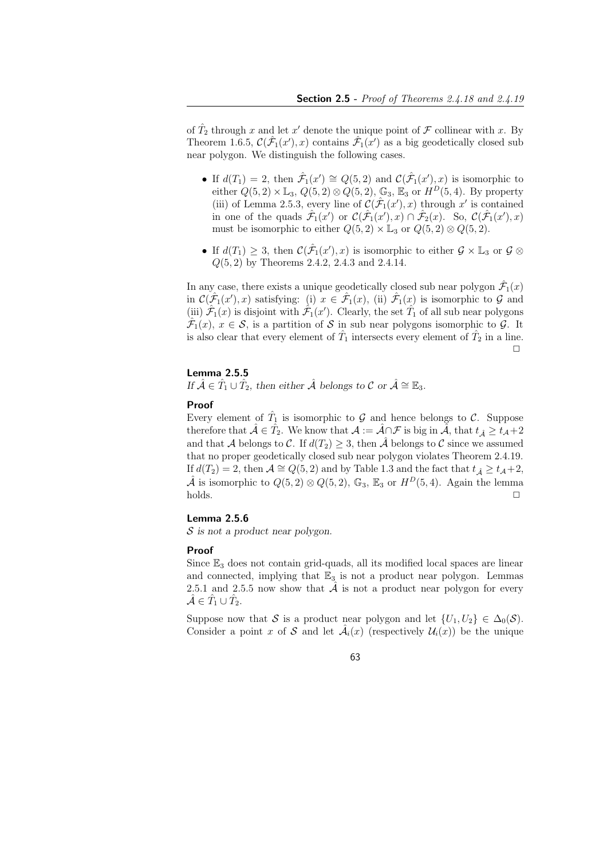of  $\hat{T}_2$  through x and let x' denote the unique point of  $\mathcal F$  collinear with x. By Theorem 1.6.5,  $\mathcal{C}(\hat{\mathcal{F}}_1(x'), x)$  contains  $\hat{\mathcal{F}}_1(x')$  as a big geodetically closed sub near polygon. We distinguish the following cases.

- If  $d(T_1) = 2$ , then  $\hat{\mathcal{F}}_1(x') \cong Q(5, 2)$  and  $\mathcal{C}(\hat{\mathcal{F}}_1(x'), x)$  is isomorphic to either  $Q(5,2) \times \mathbb{L}_3$ ,  $Q(5,2) \otimes Q(5,2)$ ,  $\mathbb{G}_3$ ,  $\mathbb{E}_3$  or  $H^D(5,4)$ . By property (iii) of Lemma 2.5.3, every line of  $\mathcal{C}(\hat{\mathcal{F}}_1(x'), x)$  through x' is contained in one of the quads  $\hat{\mathcal{F}}_1(x')$  or  $\mathcal{C}(\hat{\mathcal{F}}_1(x'), x) \cap \hat{\mathcal{F}}_2(x)$ . So,  $\mathcal{C}(\hat{\mathcal{F}}_1(x'), x)$ must be isomorphic to either  $Q(5,2) \times \mathbb{L}_3$  or  $Q(5,2) \otimes Q(5,2)$ .
- If  $d(T_1) \geq 3$ , then  $\mathcal{C}(\hat{\mathcal{F}}_1(x'), x)$  is isomorphic to either  $\mathcal{G} \times \mathbb{L}_3$  or  $\mathcal{G} \otimes$ Q(5, 2) by Theorems 2.4.2, 2.4.3 and 2.4.14.

In any case, there exists a unique geodetically closed sub near polygon  $\hat{\mathcal{F}}_1(x)$ in  $\mathcal{C}(\hat{\mathcal{F}}_1(x'),x)$  satisfying: (i)  $x \in \hat{\mathcal{F}}_1(x)$ , (ii)  $\hat{\mathcal{F}}_1(x)$  is isomorphic to  $\mathcal G$  and (iii)  $\hat{\mathcal{F}}_1(x)$  is disjoint with  $\hat{\mathcal{F}}_1(x')$ . Clearly, the set  $\hat{T}_1$  of all sub near polygons  $\mathcal{F}_1(x)$ ,  $x \in \mathcal{S}$ , is a partition of  $\mathcal{S}$  in sub near polygons isomorphic to  $\mathcal{G}$ . It is also clear that every element of  $\hat{T}_1$  intersects every element of  $\hat{T}_2$  in a line.  $\Box$ 

## Lemma 2.5.5

If  $\hat{\mathcal{A}} \in \hat{T}_1 \cup \hat{T}_2$ , then either  $\hat{\mathcal{A}}$  belongs to  $\mathcal{C}$  or  $\hat{\mathcal{A}} \cong \mathbb{E}_3$ .

## Proof

Every element of  $\hat{T}_1$  is isomorphic to  $\mathcal G$  and hence belongs to  $\mathcal C$ . Suppose therefore that  $\hat{\mathcal{A}} \in \hat{T}_2$ . We know that  $\mathcal{A} := \hat{\mathcal{A}} \cap \mathcal{F}$  is big in  $\hat{\mathcal{A}}$ , that  $t_{\hat{\mathcal{A}}} \ge t_{\mathcal{A}} + 2$ and that A belongs to C. If  $d(T_2) \geq 3$ , then  $\tilde{\mathcal{A}}$  belongs to C since we assumed that no proper geodetically closed sub near polygon violates Theorem 2.4.19. If  $d(T_2) = 2$ , then  $\mathcal{A} \cong Q(5, 2)$  and by Table 1.3 and the fact that  $t_A \geq t_A + 2$ ,  $\hat{\mathcal{A}}$  is isomorphic to  $Q(5, 2) \otimes Q(5, 2)$ ,  $\mathbb{G}_3$ ,  $\mathbb{E}_3$  or  $H^D(5, 4)$ . Again the lemma holds.  $\Box$ holds.  $\Box$ 

## Lemma 2.5.6

S is not a product near polygon.

## Proof

Since  $\mathbb{E}_3$  does not contain grid-quads, all its modified local spaces are linear and connected, implying that  $\mathbb{E}_3$  is not a product near polygon. Lemmas 2.5.1 and 2.5.5 now show that  $\hat{\mathcal{A}}$  is not a product near polygon for every  $\hat{\mathcal{A}} \in \hat{T}_1 \cup \hat{T}_2.$ 

Suppose now that S is a product near polygon and let  $\{U_1, U_2\} \in \Delta_0(\mathcal{S})$ . Consider a point x of S and let  $\hat{\mathcal{A}}_i(x)$  (respectively  $\mathcal{U}_i(x)$ ) be the unique

63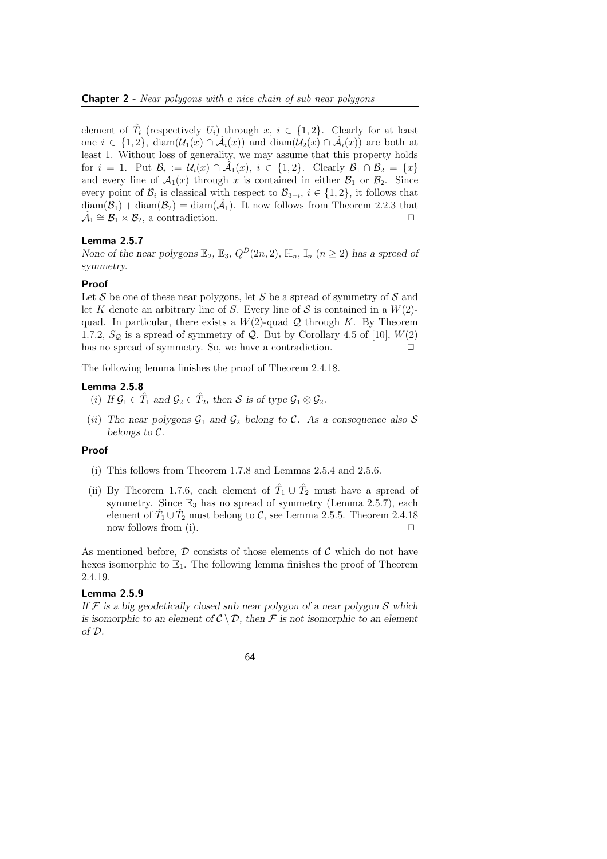element of  $\hat{T}_i$  (respectively  $U_i$ ) through  $x, i \in \{1, 2\}$ . Clearly for at least one  $i \in \{1,2\}$ , diam $(\mathcal{U}_1(x) \cap \mathcal{A}_i(x))$  and diam $(\mathcal{U}_2(x) \cap \mathcal{A}_i(x))$  are both at least 1. Without loss of generality, we may assume that this property holds for  $i = 1$ . Put  $\mathcal{B}_i := \mathcal{U}_i(x) \cap \hat{\mathcal{A}}_1(x), i \in \{1, 2\}$ . Clearly  $\mathcal{B}_1 \cap \mathcal{B}_2 = \{x\}$ and every line of  $\mathcal{A}_1(x)$  through x is contained in either  $\mathcal{B}_1$  or  $\mathcal{B}_2$ . Since every point of  $\mathcal{B}_i$  is classical with respect to  $\mathcal{B}_{3-i}$ ,  $i \in \{1,2\}$ , it follows that  $\text{diam}(\mathcal{B}_1) + \text{diam}(\mathcal{B}_2) = \text{diam}(\hat{\mathcal{A}}_1)$ . It now follows from Theorem 2.2.3 that  $\hat{\mathcal{A}}_1 \cong \mathcal{B}_1 \times \mathcal{B}_2$ , a contradiction.

## Lemma 2.5.7

None of the near polygons  $\mathbb{E}_2$ ,  $\mathbb{E}_3$ ,  $Q^D(2n, 2)$ ,  $\mathbb{H}_n$ ,  $\mathbb{I}_n$   $(n \geq 2)$  has a spread of symmetry.

## Proof

Let S be one of these near polygons, let S be a spread of symmetry of S and let K denote an arbitrary line of S. Every line of S is contained in a  $W(2)$ quad. In particular, there exists a  $W(2)$ -quad  $\mathcal Q$  through K. By Theorem 1.7.2,  $S_{\mathcal{O}}$  is a spread of symmetry of  $\mathcal{Q}$ . But by Corollary 4.5 of [10],  $W(2)$ has no spread of symmetry. So, we have a contradiction.

The following lemma finishes the proof of Theorem 2.4.18.

## Lemma 2.5.8

- (i) If  $\mathcal{G}_1 \in \hat{T}_1$  and  $\mathcal{G}_2 \in \hat{T}_2$ , then S is of type  $\mathcal{G}_1 \otimes \mathcal{G}_2$ .
- (ii) The near polygons  $\mathcal{G}_1$  and  $\mathcal{G}_2$  belong to C. As a consequence also S belongs to C.

## Proof

- (i) This follows from Theorem 1.7.8 and Lemmas 2.5.4 and 2.5.6.
- (ii) By Theorem 1.7.6, each element of  $\hat{T}_1 \cup \hat{T}_2$  must have a spread of symmetry. Since  $\mathbb{E}_3$  has no spread of symmetry (Lemma 2.5.7), each element of  $\hat{T}_1 \cup \hat{T}_2$  must belong to  $\mathcal{C}$ , see Lemma 2.5.5. Theorem 2.4.18 now follows from (i).  $\Box$

As mentioned before,  $D$  consists of those elements of  $C$  which do not have hexes isomorphic to  $\mathbb{E}_1$ . The following lemma finishes the proof of Theorem 2.4.19.

## Lemma 2.5.9

If  $\mathcal F$  is a big geodetically closed sub near polygon of a near polygon  $\mathcal S$  which is isomorphic to an element of  $\mathcal{C} \setminus \mathcal{D}$ , then  $\mathcal{F}$  is not isomorphic to an element of D.

64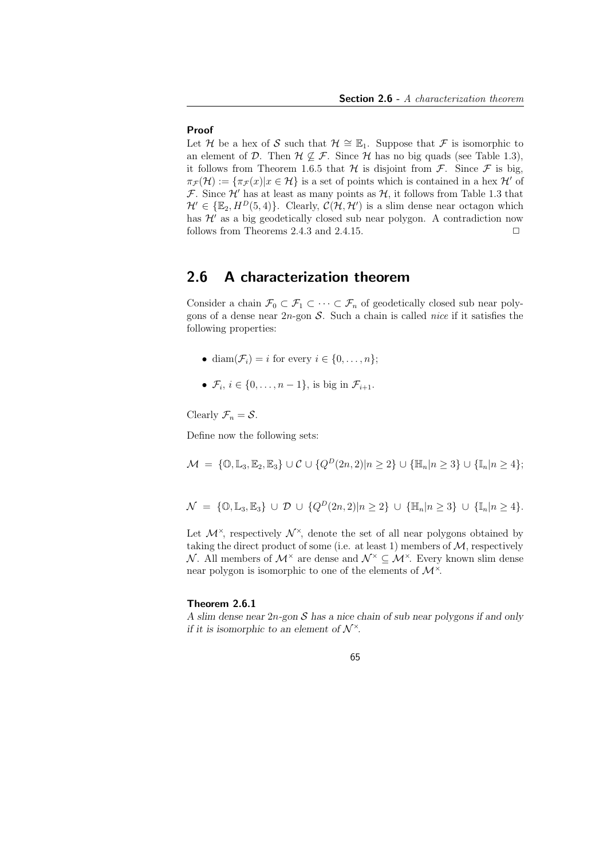## Proof

Let H be a hex of S such that  $\mathcal{H} \cong \mathbb{E}_1$ . Suppose that F is isomorphic to an element of D. Then  $H \nsubseteq \mathcal{F}$ . Since H has no big quads (see Table 1.3), it follows from Theorem 1.6.5 that  $H$  is disjoint from  $F$ . Since  $F$  is big,  $\pi_{\mathcal{F}}(\mathcal{H}) := \{\pi_{\mathcal{F}}(x) | x \in \mathcal{H}\}\$ is a set of points which is contained in a hex  $\mathcal{H}'$  of  $\mathcal F$ . Since  $\mathcal H'$  has at least as many points as  $\mathcal H$ , it follows from Table 1.3 that  $\mathcal{H}' \in \{\mathbb{E}_2, H^D(5, 4)\}.$  Clearly,  $\mathcal{C}(\mathcal{H}, \mathcal{H}')$  is a slim dense near octagon which has  $\mathcal{H}'$  as a big geodetically closed sub near polygon. A contradiction now follows from Theorems 2.4.3 and 2.4.15. follows from Theorems  $2.4.3$  and  $2.4.15$ .

# 2.6 A characterization theorem

Consider a chain  $\mathcal{F}_0 \subset \mathcal{F}_1 \subset \cdots \subset \mathcal{F}_n$  of geodetically closed sub near polygons of a dense near  $2n$ -gon S. Such a chain is called *nice* if it satisfies the following properties:

- diam $(\mathcal{F}_i) = i$  for every  $i \in \{0, \ldots, n\};$
- $\mathcal{F}_i, i \in \{0, ..., n-1\}$ , is big in  $\mathcal{F}_{i+1}$ .

Clearly  $\mathcal{F}_n = \mathcal{S}$ .

Define now the following sets:

$$
\mathcal{M} = \{\mathbb{O}, \mathbb{L}_3, \mathbb{E}_2, \mathbb{E}_3\} \cup \mathcal{C} \cup \{Q^D(2n, 2)|n \geq 2\} \cup \{\mathbb{H}_n|n \geq 3\} \cup \{\mathbb{I}_n|n \geq 4\};
$$

$$
\mathcal{N} \;=\; \{\mathbb{O}, \mathbb{L}_3, \mathbb{E}_3\} \; \cup \; \mathcal{D} \; \cup \; \{Q^D(2n,2)|n\geq 2\} \; \cup \; \{\mathbb{H}_n|n\geq 3\} \; \cup \; \{\mathbb{I}_n|n\geq 4\}.
$$

Let  $\mathcal{M}^{\times}$ , respectively  $\mathcal{N}^{\times}$ , denote the set of all near polygons obtained by taking the direct product of some (i.e. at least 1) members of  $M$ , respectively N. All members of  $\mathcal{M}^{\times}$  are dense and  $\mathcal{N}^{\times} \subset \mathcal{M}^{\times}$ . Every known slim dense near polygon is isomorphic to one of the elements of  $\mathcal{M}^{\times}$ .

## Theorem 2.6.1

A slim dense near  $2n$ -gon S has a nice chain of sub near polygons if and only if it is isomorphic to an element of  $\mathcal{N}^{\times}$ .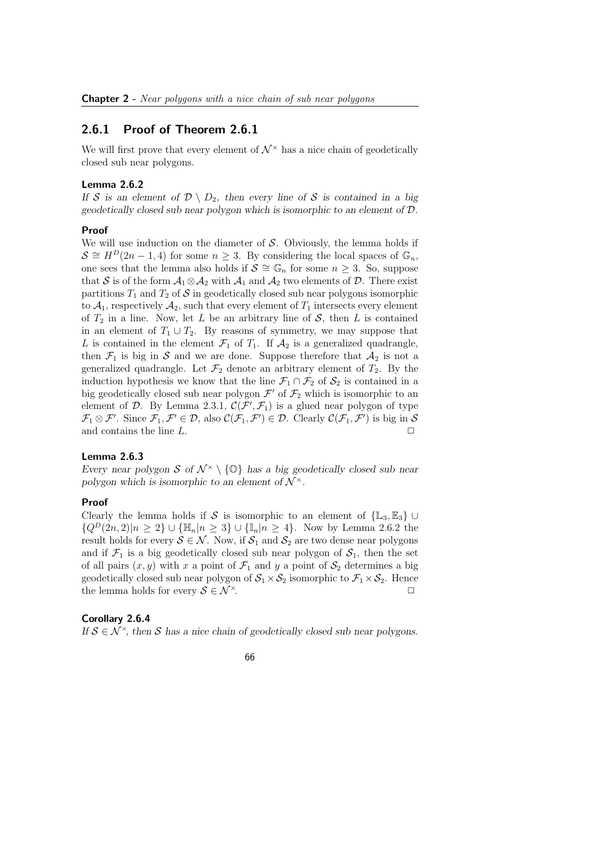## 2.6.1 Proof of Theorem 2.6.1

We will first prove that every element of  $\mathcal{N}^{\times}$  has a nice chain of geodetically closed sub near polygons.

## Lemma 2.6.2

If S is an element of  $\mathcal{D} \setminus D_2$ , then every line of S is contained in a big geodetically closed sub near polygon which is isomorphic to an element of D.

## Proof

We will use induction on the diameter of  $S$ . Obviously, the lemma holds if  $S \cong H^D(2n-1, 4)$  for some  $n \geq 3$ . By considering the local spaces of  $\mathbb{G}_n$ , one sees that the lemma also holds if  $S \cong \mathbb{G}_n$  for some  $n \geq 3$ . So, suppose that S is of the form  $\mathcal{A}_1 \otimes \mathcal{A}_2$  with  $\mathcal{A}_1$  and  $\mathcal{A}_2$  two elements of D. There exist partitions  $T_1$  and  $T_2$  of  $S$  in geodetically closed sub near polygons isomorphic to  $A_1$ , respectively  $A_2$ , such that every element of  $T_1$  intersects every element of  $T_2$  in a line. Now, let L be an arbitrary line of S, then L is contained in an element of  $T_1 \cup T_2$ . By reasons of symmetry, we may suppose that L is contained in the element  $\mathcal{F}_1$  of  $T_1$ . If  $\mathcal{A}_2$  is a generalized quadrangle, then  $\mathcal{F}_1$  is big in S and we are done. Suppose therefore that  $\mathcal{A}_2$  is not a generalized quadrangle. Let  $\mathcal{F}_2$  denote an arbitrary element of  $T_2$ . By the induction hypothesis we know that the line  $\mathcal{F}_1 \cap \mathcal{F}_2$  of  $\mathcal{S}_2$  is contained in a big geodetically closed sub near polygon  $\mathcal{F}'$  of  $\mathcal{F}_2$  which is isomorphic to an element of D. By Lemma 2.3.1,  $\mathcal{C}(\mathcal{F}', \mathcal{F}_1)$  is a glued near polygon of type  $\mathcal{F}_1 \otimes \mathcal{F}'$ . Since  $\mathcal{F}_1, \mathcal{F}' \in \mathcal{D}$ , also  $\mathcal{C}(\mathcal{F}_1, \mathcal{F}') \in \mathcal{D}$ . Clearly  $\mathcal{C}(\mathcal{F}_1, \mathcal{F}')$  is big in  $\mathcal S$ and contains the line  $L$ .  $\Box$ 

#### Lemma 2.6.3

Every near polygon S of  $\mathcal{N}^{\times} \setminus \{0\}$  has a big geodetically closed sub near polygon which is isomorphic to an element of  $\mathcal{N}^{\times}$ .

## Proof

Clearly the lemma holds if S is isomorphic to an element of  $\{L_3, E_3\}$  ${Q^D(2n, 2)|n \ge 2} \cup {\{\mathbb{H}_n|n \ge 3\}} \cup {\{\mathbb{I}_n|n \ge 4\}}$ . Now by Lemma 2.6.2 the result holds for every  $S \in \mathcal{N}$ . Now, if  $S_1$  and  $S_2$  are two dense near polygons and if  $\mathcal{F}_1$  is a big geodetically closed sub near polygon of  $\mathcal{S}_1$ , then the set of all pairs  $(x, y)$  with x a point of  $\mathcal{F}_1$  and y a point of  $\mathcal{S}_2$  determines a big geodetically closed sub near polygon of  $S_1 \times S_2$  isomorphic to  $\mathcal{F}_1 \times S_2$ . Hence<br>the lemma holds for every  $S \in \Lambda^{\times}$ the lemma holds for every  $S \in \mathcal{N}^{\times}$ .

## Corollary 2.6.4

If  $S \in \mathcal{N}^{\times}$ , then S has a nice chain of geodetically closed sub near polygons.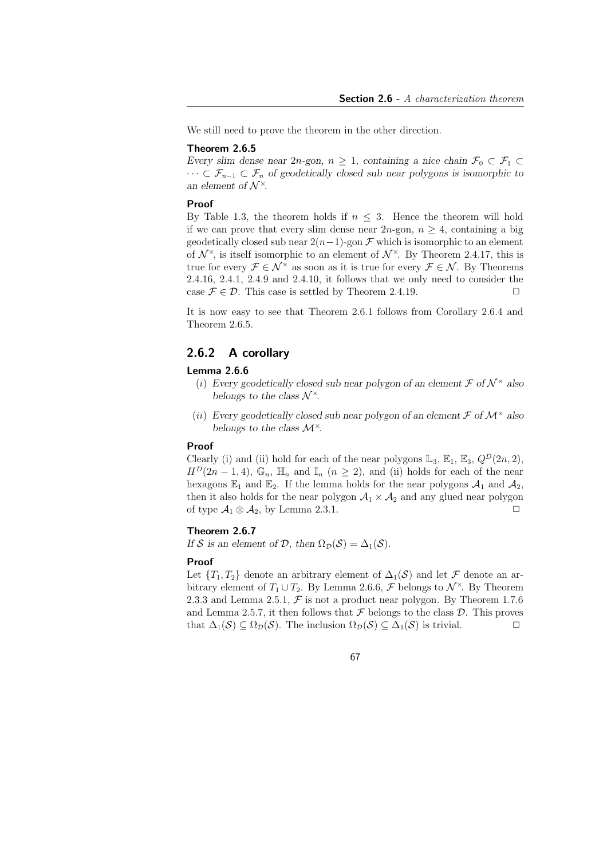We still need to prove the theorem in the other direction.

#### Theorem 2.6.5

Every slim dense near  $2n$ -gon,  $n \geq 1$ , containing a nice chain  $\mathcal{F}_0 \subset \mathcal{F}_1 \subset$  $\cdots \subset \mathcal{F}_{n-1} \subset \mathcal{F}_n$  of geodetically closed sub near polygons is isomorphic to an element of  $\mathcal{N}^{\times}$ .

## Proof

By Table 1.3, the theorem holds if  $n \leq 3$ . Hence the theorem will hold if we can prove that every slim dense near  $2n$ -gon,  $n \geq 4$ , containing a big geodetically closed sub near  $2(n-1)$ -gon  $\mathcal F$  which is isomorphic to an element of  $\mathcal{N}^{\times}$ , is itself isomorphic to an element of  $\mathcal{N}^{\times}$ . By Theorem 2.4.17, this is true for every  $\mathcal{F} \in \mathcal{N}^{\times}$  as soon as it is true for every  $\mathcal{F} \in \mathcal{N}$ . By Theorems 2.4.16, 2.4.1, 2.4.9 and 2.4.10, it follows that we only need to consider the case  $\mathcal{F} \in \mathcal{D}$ . This case is settled by Theorem 2.4.19.

It is now easy to see that Theorem 2.6.1 follows from Corollary 2.6.4 and Theorem 2.6.5.

## 2.6.2 A corollary

## Lemma 2.6.6

- (i) Every geodetically closed sub near polygon of an element  $\mathcal F$  of  $\mathcal N^{\times}$  also belongs to the class  $\mathcal{N}^{\times}$ .
- (ii) Every geodetically closed sub near polygon of an element  $\mathcal F$  of  $\mathcal M^{\times}$  also belongs to the class  $\mathcal{M}^{\times}$ .

#### Proof

Clearly (i) and (ii) hold for each of the near polygons  $\mathbb{L}_3$ ,  $\mathbb{E}_1$ ,  $\mathbb{E}_3$ ,  $Q^D(2n, 2)$ ,  $H^D(2n-1, 4)$ ,  $\mathbb{G}_n$ ,  $\mathbb{H}_n$  and  $\mathbb{I}_n$   $(n \geq 2)$ , and (ii) holds for each of the near hexagons  $\mathbb{E}_1$  and  $\mathbb{E}_2$ . If the lemma holds for the near polygons  $\mathcal{A}_1$  and  $\mathcal{A}_2$ , then it also holds for the near polygon  $A_1 \times A_2$  and any glued near polygon of type  $A_1 \otimes A_2$  by Lemma 2.3.1 of type  $\mathcal{A}_1 \otimes \mathcal{A}_2$ , by Lemma 2.3.1.

#### Theorem 2.6.7

If S is an element of D, then  $\Omega_{\mathcal{D}}(\mathcal{S}) = \Delta_1(\mathcal{S})$ .

## Proof

Let  ${T_1, T_2}$  denote an arbitrary element of  $\Delta_1(\mathcal{S})$  and let  $\mathcal F$  denote an arbitrary element of  $T_1 \cup T_2$ . By Lemma 2.6.6,  $\mathcal F$  belongs to  $\mathcal N^\times$ . By Theorem 2.3.3 and Lemma 2.5.1,  $\mathcal F$  is not a product near polygon. By Theorem 1.7.6 and Lemma 2.5.7, it then follows that  $\mathcal F$  belongs to the class  $\mathcal D$ . This proves that  $\Delta_1(\mathcal S) \subseteq \Omega_{\mathcal D}(\mathcal S)$ . The inclusion  $\Omega_{\mathcal D}(\mathcal S) \subseteq \Delta_1(\mathcal S)$  is trivial. that  $\Delta_1(\mathcal{S}) \subset \Omega_{\mathcal{D}}(\mathcal{S})$ . The inclusion  $\Omega_{\mathcal{D}}(\mathcal{S}) \subset \Delta_1(\mathcal{S})$  is trivial.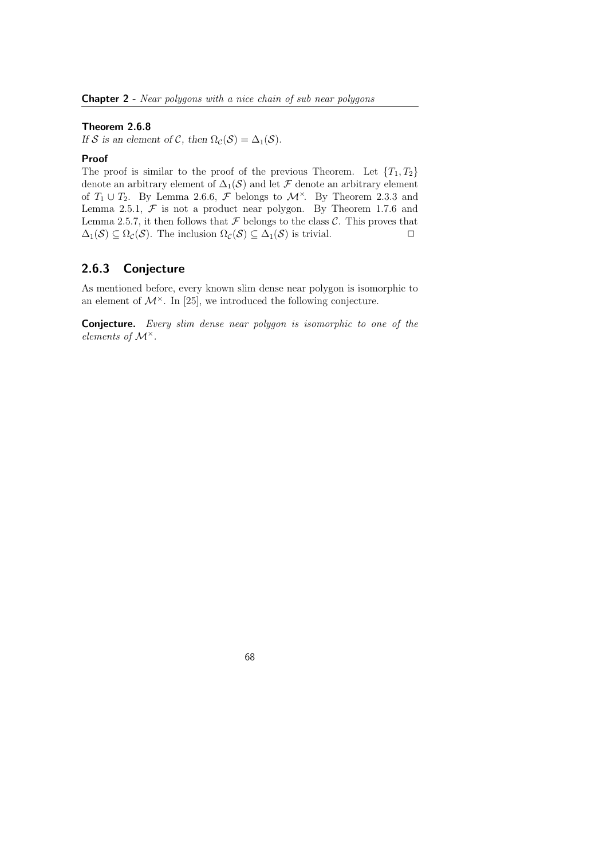## Theorem 2.6.8

If S is an element of C, then  $\Omega_{\mathcal{C}}(\mathcal{S}) = \Delta_1(\mathcal{S})$ .

## Proof

The proof is similar to the proof of the previous Theorem. Let  $\{T_1, T_2\}$ denote an arbitrary element of  $\Delta_1(\mathcal{S})$  and let  $\mathcal F$  denote an arbitrary element of  $T_1 \cup T_2$ . By Lemma 2.6.6,  $\mathcal F$  belongs to  $\mathcal M^\times$ . By Theorem 2.3.3 and Lemma 2.5.1,  $\mathcal F$  is not a product near polygon. By Theorem 1.7.6 and Lemma 2.5.7, it then follows that  $\mathcal F$  belongs to the class  $\mathcal C$ . This proves that  $\Delta_1(\mathcal S) \subset \Omega_{\mathcal C}(\mathcal S)$ . The inclusion  $\Omega_{\mathcal C}(\mathcal S) \subset \Delta_1(\mathcal S)$  is trivial.  $\Delta_1(\mathcal{S}) \subseteq \Omega_{\mathcal{C}}(\mathcal{S})$ . The inclusion  $\Omega_{\mathcal{C}}(\mathcal{S}) \subseteq \Delta_1(\mathcal{S})$  is trivial.

## 2.6.3 Conjecture

As mentioned before, every known slim dense near polygon is isomorphic to an element of  $\mathcal{M}^{\times}$ . In [25], we introduced the following conjecture.

Conjecture. Every slim dense near polygon is isomorphic to one of the elements of M<sup>×</sup>.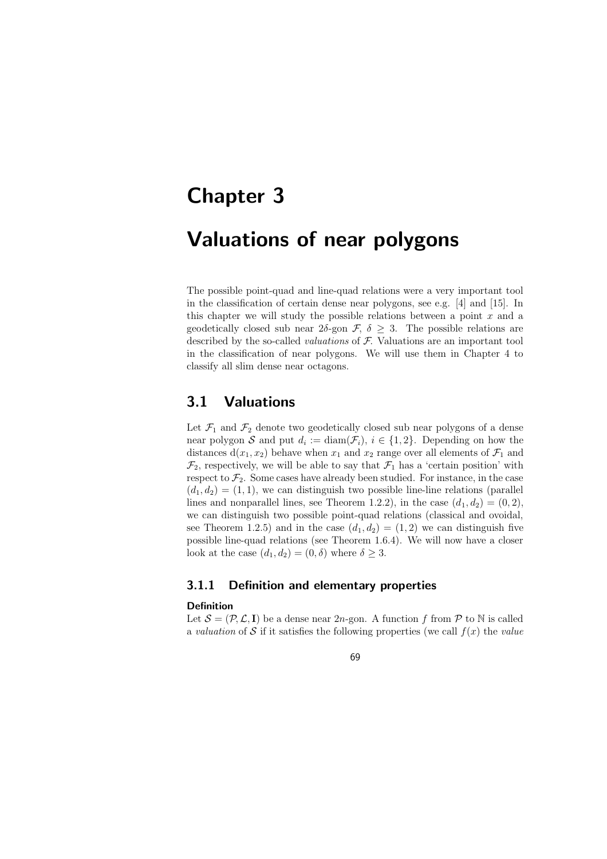# Chapter 3

# Valuations of near polygons

The possible point-quad and line-quad relations were a very important tool in the classification of certain dense near polygons, see e.g. [4] and [15]. In this chapter we will study the possible relations between a point  $x$  and a geodetically closed sub near  $2\delta$ -gon  $\mathcal{F}, \delta \geq 3$ . The possible relations are described by the so-called *valuations* of  $F$ . Valuations are an important tool in the classification of near polygons. We will use them in Chapter 4 to classify all slim dense near octagons.

# 3.1 Valuations

Let  $\mathcal{F}_1$  and  $\mathcal{F}_2$  denote two geodetically closed sub near polygons of a dense near polygon S and put  $d_i := \text{diam}(\mathcal{F}_i)$ ,  $i \in \{1, 2\}$ . Depending on how the distances  $d(x_1, x_2)$  behave when  $x_1$  and  $x_2$  range over all elements of  $\mathcal{F}_1$  and  $\mathcal{F}_2$ , respectively, we will be able to say that  $\mathcal{F}_1$  has a 'certain position' with respect to  $\mathcal{F}_2$ . Some cases have already been studied. For instance, in the case  $(d_1, d_2) = (1, 1)$ , we can distinguish two possible line-line relations (parallel lines and nonparallel lines, see Theorem 1.2.2), in the case  $(d_1, d_2) = (0, 2)$ , we can distinguish two possible point-quad relations (classical and ovoidal, see Theorem 1.2.5) and in the case  $(d_1, d_2) = (1, 2)$  we can distinguish five possible line-quad relations (see Theorem 1.6.4). We will now have a closer look at the case  $(d_1, d_2) = (0, \delta)$  where  $\delta \geq 3$ .

## 3.1.1 Definition and elementary properties

## Definition

Let  $\mathcal{S} = (\mathcal{P}, \mathcal{L}, I)$  be a dense near  $2n$ -gon. A function f from  $\mathcal{P}$  to N is called a valuation of S if it satisfies the following properties (we call  $f(x)$  the value

69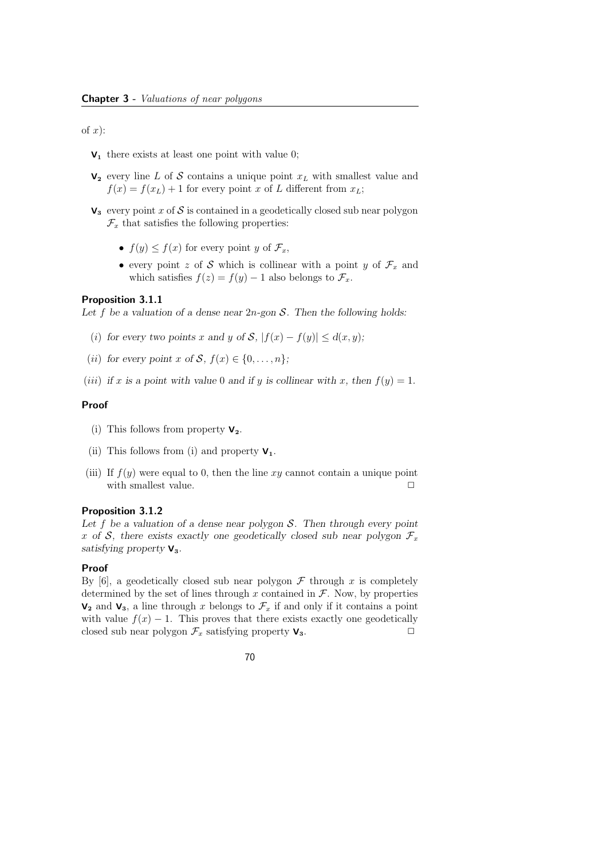of  $x)$ :

- $V_1$  there exists at least one point with value 0;
- $V_2$  every line L of S contains a unique point  $x_L$  with smallest value and  $f(x) = f(x_L) + 1$  for every point x of L different from  $x_L$ ;
- $V_3$  every point x of S is contained in a geodetically closed sub near polygon  $\mathcal{F}_x$  that satisfies the following properties:
	- $f(y) \leq f(x)$  for every point y of  $\mathcal{F}_x$ ,
	- every point z of S which is collinear with a point y of  $\mathcal{F}_x$  and which satisfies  $f(z) = f(y) - 1$  also belongs to  $\mathcal{F}_x$ .

#### Proposition 3.1.1

Let f be a valuation of a dense near  $2n$ -gon S. Then the following holds:

- (i) for every two points x and y of S,  $|f(x) f(y)| \le d(x, y)$ ;
- (ii) for every point x of  $S, f(x) \in \{0, \ldots, n\}$ ;
- (*iii*) if x is a point with value 0 and if y is collinear with x, then  $f(y) = 1$ .

## Proof

- (i) This follows from property  $V_2$ .
- (ii) This follows from (i) and property  $V_1$ .
- (iii) If  $f(y)$  were equal to 0, then the line xy cannot contain a unique point with smallest value.  $\Box$

## Proposition 3.1.2

Let f be a valuation of a dense near polygon  $S$ . Then through every point x of S, there exists exactly one geodetically closed sub near polygon  $\mathcal{F}_x$ satisfying property  $V_3$ .

#### Proof

By [6], a geodetically closed sub near polygon  $\mathcal F$  through x is completely determined by the set of lines through x contained in  $\mathcal F$ . Now, by properties  $V_2$  and  $V_3$ , a line through x belongs to  $\mathcal{F}_x$  if and only if it contains a point with value  $f(x) - 1$ . This proves that there exists exactly one geodetically closed sub near polygon  $\mathcal{F}_n$  satisfying property **V**<sub>2</sub>. closed sub near polygon  $\mathcal{F}_x$  satisfying property  $\mathbf{V}_3$ .

$$
^{70}
$$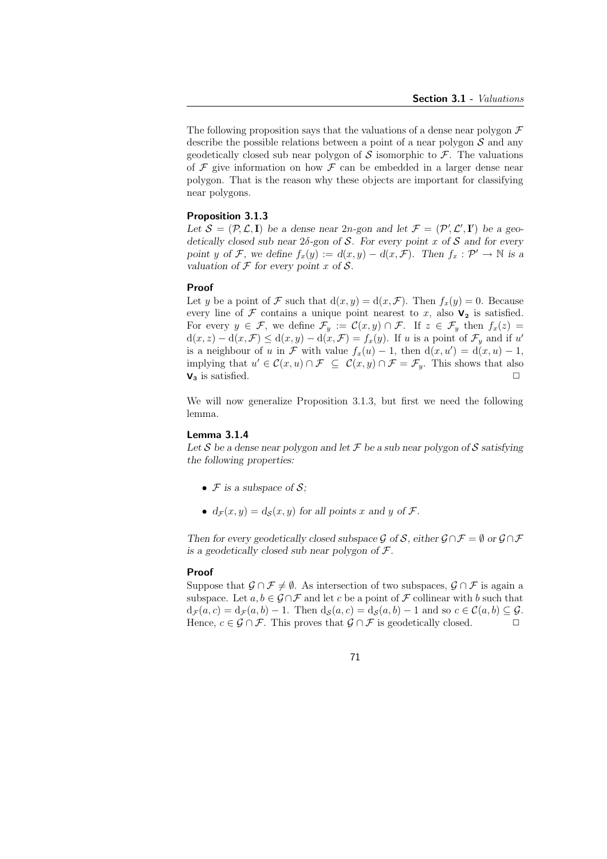The following proposition says that the valuations of a dense near polygon  $\mathcal F$ describe the possible relations between a point of a near polygon  $S$  and any geodetically closed sub near polygon of  $\mathcal S$  isomorphic to  $\mathcal F$ . The valuations of  $\mathcal F$  give information on how  $\mathcal F$  can be embedded in a larger dense near polygon. That is the reason why these objects are important for classifying near polygons.

## Proposition 3.1.3

Let  $S = (\mathcal{P}, \mathcal{L}, I)$  be a dense near 2n-gon and let  $\mathcal{F} = (\mathcal{P}', \mathcal{L}', I')$  be a geodetically closed sub near  $2\delta$ -gon of S. For every point x of S and for every point y of F, we define  $f_x(y) := d(x, y) - d(x, \mathcal{F})$ . Then  $f_x : \mathcal{P}' \to \mathbb{N}$  is a valuation of  $\mathcal F$  for every point x of  $\mathcal S$ .

## Proof

Let y be a point of F such that  $d(x, y) = d(x, \mathcal{F})$ . Then  $f_x(y) = 0$ . Because every line of  $\mathcal F$  contains a unique point nearest to x, also  $V_2$  is satisfied. For every  $y \in \mathcal{F}$ , we define  $\mathcal{F}_y := \mathcal{C}(x, y) \cap \mathcal{F}$ . If  $z \in \mathcal{F}_y$  then  $f_x(z) =$  $d(x, z) - d(x, \mathcal{F}) \leq d(x, y) - d(x, \mathcal{F}) = f_x(y)$ . If u is a point of  $\mathcal{F}_y$  and if u' is a neighbour of u in  $\mathcal{F}$  with value  $f_x(u) - 1$ , then  $d(x, u') = d(x, u) - 1$ , implying that  $u' \in \mathcal{C}(x, u) \cap \mathcal{F} \subseteq \mathcal{C}(x, y) \cap \mathcal{F} = \mathcal{F}_y$ . This shows that also  $V_3$  is satisfied.  $\Box$ 

We will now generalize Proposition 3.1.3, but first we need the following lemma.

## Lemma 3.1.4

Let S be a dense near polygon and let  $\mathcal F$  be a sub near polygon of S satisfying the following properties:

- $\mathcal F$  is a subspace of  $\mathcal S$ ;
- $d_{\mathcal{F}}(x, y) = d_{\mathcal{S}}(x, y)$  for all points x and y of  $\mathcal{F}$ .

Then for every geodetically closed subspace G of S, either  $\mathcal{G} \cap \mathcal{F} = \emptyset$  or  $\mathcal{G} \cap \mathcal{F}$ is a geodetically closed sub near polygon of  $\mathcal{F}.$ 

## Proof

Suppose that  $\mathcal{G} \cap \mathcal{F} \neq \emptyset$ . As intersection of two subspaces,  $\mathcal{G} \cap \mathcal{F}$  is again a subspace. Let  $a, b \in \mathcal{G} \cap \mathcal{F}$  and let c be a point of  $\mathcal{F}$  collinear with b such that  $d_{\mathcal{F}}(a, c) = d_{\mathcal{F}}(a, b) - 1$ . Then  $d_{\mathcal{S}}(a, c) = d_{\mathcal{S}}(a, b) - 1$  and so  $c \in \mathcal{C}(a, b) \subseteq \mathcal{G}$ .<br>Hence  $c \in \mathcal{C} \cap \mathcal{F}$ . This proves that  $\mathcal{C} \cap \mathcal{F}$  is geodetically closed Hence,  $c \in \mathcal{G} \cap \mathcal{F}$ . This proves that  $\mathcal{G} \cap \mathcal{F}$  is geodetically closed.

$$
^{71}
$$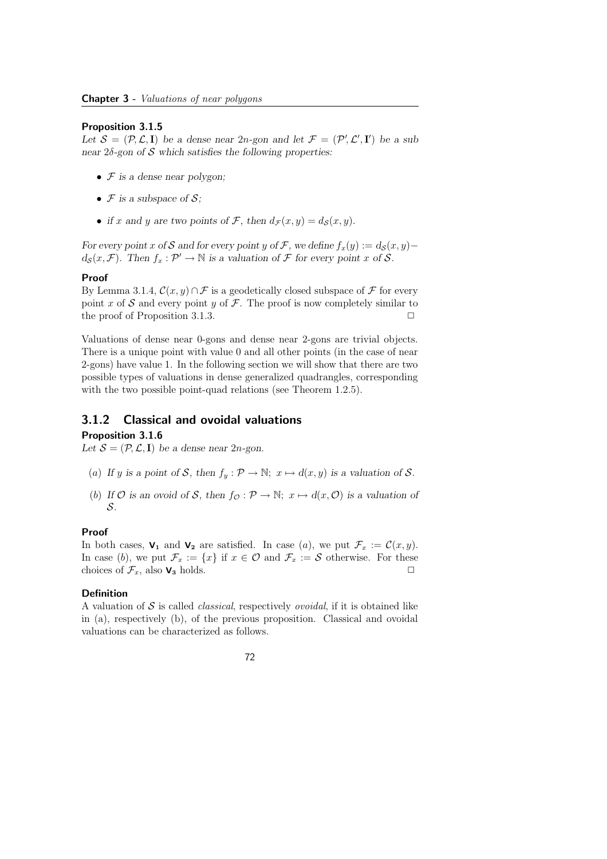## Proposition 3.1.5

Let  $S = (\mathcal{P}, \mathcal{L}, I)$  be a dense near 2n-gon and let  $\mathcal{F} = (\mathcal{P}', \mathcal{L}', I')$  be a sub near  $2\delta$ -gon of S which satisfies the following properties:

- $\mathcal F$  is a dense near polygon;
- $\mathcal F$  is a subspace of  $\mathcal S$ ;
- if x and y are two points of F, then  $d_{\mathcal{F}}(x, y) = d_{\mathcal{S}}(x, y)$ .

For every point x of S and for every point y of F, we define  $f_x(y) := d_S(x, y)$  $d_{\mathcal{S}}(x, \mathcal{F})$ . Then  $f_x : \mathcal{P}' \to \mathbb{N}$  is a valuation of  $\mathcal F$  for every point x of  $\mathcal S$ .

#### Proof

By Lemma 3.1.4,  $\mathcal{C}(x, y) \cap \mathcal{F}$  is a geodetically closed subspace of  $\mathcal F$  for every point x of S and every point y of F. The proof is now completely similar to the proof of Proposition 3.1.3 the proof of Proposition 3.1.3.

Valuations of dense near 0-gons and dense near 2-gons are trivial objects. There is a unique point with value 0 and all other points (in the case of near 2-gons) have value 1. In the following section we will show that there are two possible types of valuations in dense generalized quadrangles, corresponding with the two possible point-quad relations (see Theorem 1.2.5).

## 3.1.2 Classical and ovoidal valuations

## Proposition 3.1.6

Let  $S = (\mathcal{P}, \mathcal{L}, I)$  be a dense near 2n-gon.

- (a) If y is a point of S, then  $f_y : \mathcal{P} \to \mathbb{N}; x \mapsto d(x, y)$  is a valuation of S.
- (b) If O is an ovoid of S, then  $f_{\mathcal{O}} : \mathcal{P} \to \mathbb{N}; x \mapsto d(x, \mathcal{O})$  is a valuation of S.

## Proof

In both cases,  $V_1$  and  $V_2$  are satisfied. In case (a), we put  $\mathcal{F}_x := \mathcal{C}(x, y)$ . In case (b), we put  $\mathcal{F}_x := \{x\}$  if  $x \in \mathcal{O}$  and  $\mathcal{F}_x := \mathcal{S}$  otherwise. For these choices of  $\mathcal{F}_x$ , also  $\mathsf{V}_3$  holds. choices of  $\mathcal{F}_x$ , also  $\mathbf{V}_3$  holds.

## Definition

A valuation of  $S$  is called *classical*, respectively *ovoidal*, if it is obtained like in (a), respectively (b), of the previous proposition. Classical and ovoidal valuations can be characterized as follows.

72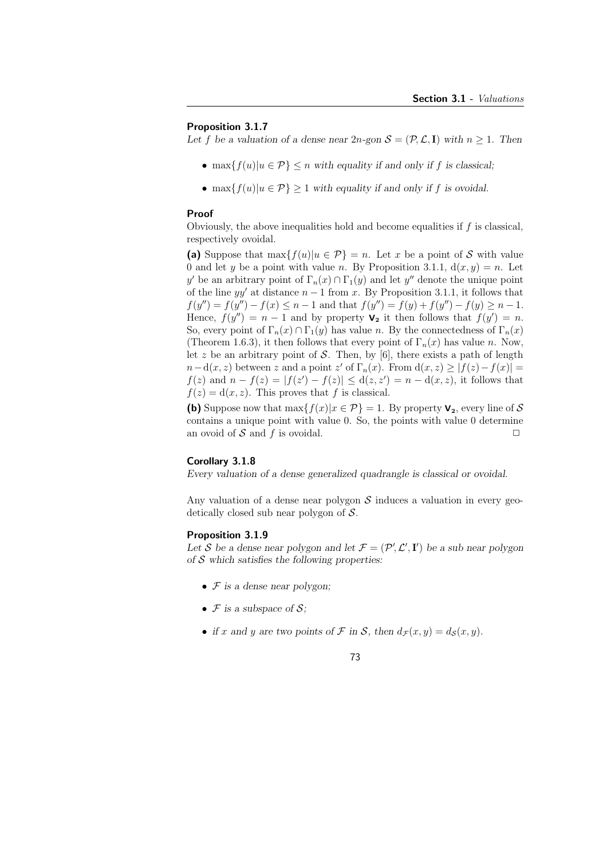#### Proposition 3.1.7

Let f be a valuation of a dense near  $2n$ -gon  $S = (\mathcal{P}, \mathcal{L}, I)$  with  $n \geq 1$ . Then

- max ${f(u)|u \in \mathcal{P}} \le n$  with equality if and only if f is classical;
- max ${f(u)|u \in \mathcal{P}} \geq 1$  with equality if and only if f is ovoidal.

#### Proof

Obviously, the above inequalities hold and become equalities if  $f$  is classical, respectively ovoidal.

(a) Suppose that  $\max\{f(u)|u \in \mathcal{P}\}=n$ . Let x be a point of S with value 0 and let y be a point with value n. By Proposition 3.1.1,  $d(x, y) = n$ . Let y' be an arbitrary point of  $\Gamma_n(x) \cap \Gamma_1(y)$  and let y'' denote the unique point of the line  $yy'$  at distance  $n-1$  from x. By Proposition 3.1.1, it follows that  $f(y'') = f(y'') - f(x) \leq n - 1$  and that  $f(y'') = f(y) + f(y'') - f(y) \geq n - 1$ . Hence,  $f(y'') = n - 1$  and by property  $V_2$  it then follows that  $f(y') = n$ . So, every point of  $\Gamma_n(x) \cap \Gamma_1(y)$  has value n. By the connectedness of  $\Gamma_n(x)$ (Theorem 1.6.3), it then follows that every point of  $\Gamma_n(x)$  has value n. Now, let z be an arbitrary point of  $S$ . Then, by [6], there exists a path of length  $n-\mathrm{d}(x, z)$  between z and a point z' of  $\Gamma_n(x)$ . From  $\mathrm{d}(x, z) \geq |f(z)-f(x)| =$  $f(z)$  and  $n - f(z) = |f(z') - f(z)| \le d(z, z') = n - d(x, z)$ , it follows that  $f(z) = d(x, z)$ . This proves that f is classical.

(b) Suppose now that  $\max\{f(x)|x \in \mathcal{P}\}=1$ . By property  $\mathsf{V}_2$ , every line of S contains a unique point with value 0. So, the points with value 0 determine an ovoid of  $S$  and  $f$  is ovoidal.  $\Box$ 

## Corollary 3.1.8

Every valuation of a dense generalized quadrangle is classical or ovoidal.

Any valuation of a dense near polygon  $S$  induces a valuation in every geodetically closed sub near polygon of  $S$ .

#### Proposition 3.1.9

Let S be a dense near polygon and let  $\mathcal{F} = (\mathcal{P}', \mathcal{L}', \mathbf{I}')$  be a sub near polygon of  $S$  which satisfies the following properties:

- $F$  is a dense near polygon;
- $\mathcal F$  is a subspace of  $\mathcal S$ ;
- if x and y are two points of F in S, then  $d_{\mathcal{F}}(x, y) = d_{\mathcal{S}}(x, y)$ .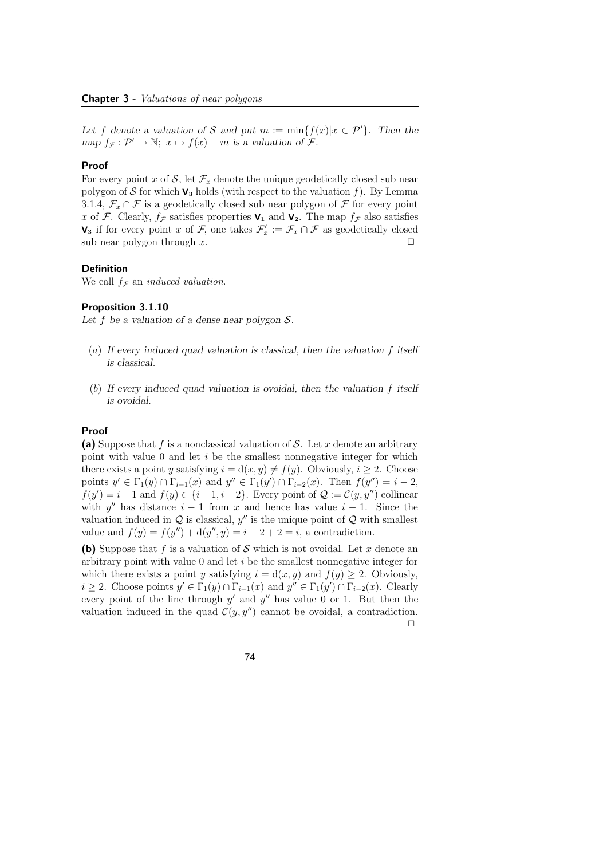Let f denote a valuation of S and put  $m := \min\{f(x)|x \in \mathcal{P}'\}$ . Then the map  $f_{\mathcal{F}} : \mathcal{P}' \to \mathbb{N}; x \mapsto f(x) - m$  is a valuation of  $\mathcal{F}$ .

#### Proof

For every point x of S, let  $\mathcal{F}_x$  denote the unique geodetically closed sub near polygon of S for which  $V_3$  holds (with respect to the valuation f). By Lemma 3.1.4,  $\mathcal{F}_x \cap \mathcal{F}$  is a geodetically closed sub near polygon of  $\mathcal F$  for every point x of F. Clearly,  $f_{\mathcal{F}}$  satisfies properties  $V_1$  and  $V_2$ . The map  $f_{\mathcal{F}}$  also satisfies **V<sub>3</sub>** if for every point x of  $\mathcal{F}$ , one takes  $\mathcal{F}'_x := \mathcal{F}_x \cap \mathcal{F}$  as geodetically closed sub near polygon through  $x$ .

### Definition

We call  $f_{\mathcal{F}}$  an *induced valuation*.

#### Proposition 3.1.10

Let f be a valuation of a dense near polygon  $S$ .

- (a) If every induced quad valuation is classical, then the valuation  $f$  itself is classical.
- (b) If every induced quad valuation is ovoidal, then the valuation f itself is ovoidal.

## Proof

(a) Suppose that f is a nonclassical valuation of S. Let x denote an arbitrary point with value  $0$  and let  $i$  be the smallest nonnegative integer for which there exists a point y satisfying  $i = d(x, y) \neq f(y)$ . Obviously,  $i \geq 2$ . Choose points  $y' \in \Gamma_1(y) \cap \Gamma_{i-1}(x)$  and  $y'' \in \Gamma_1(y') \cap \Gamma_{i-2}(x)$ . Then  $f(y'') = i - 2$ ,  $f(y') = i - 1$  and  $f(y) \in \{i - 1, i - 2\}$ . Every point of  $\mathcal{Q} := C(y, y'')$  collinear with y'' has distance  $i - 1$  from x and hence has value  $i - 1$ . Since the valuation induced in  $Q$  is classical,  $y''$  is the unique point of  $Q$  with smallest value and  $f(y) = f(y'') + d(y'', y) = i - 2 + 2 = i$ , a contradiction.

(b) Suppose that f is a valuation of S which is not ovoidal. Let x denote an arbitrary point with value 0 and let i be the smallest nonnegative integer for which there exists a point y satisfying  $i = d(x, y)$  and  $f(y) \geq 2$ . Obviously,  $i \geq 2$ . Choose points  $y' \in \Gamma_1(y) \cap \Gamma_{i-1}(x)$  and  $y'' \in \Gamma_1(y') \cap \Gamma_{i-2}(x)$ . Clearly every point of the line through  $y'$  and  $y''$  has value 0 or 1. But then the valuation induced in the quad  $\mathcal{C}(y, y'')$  cannot be ovoidal, a contradiction.  $\Box$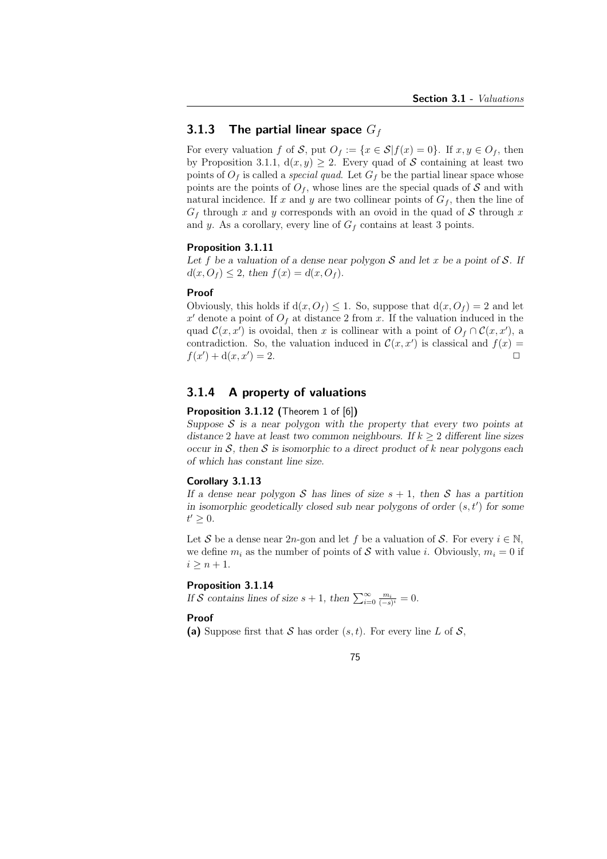# 3.1.3 The partial linear space  $G_f$

For every valuation f of S, put  $O_f := \{x \in S | f(x) = 0\}$ . If  $x, y \in O_f$ , then by Proposition 3.1.1,  $d(x, y) \ge 2$ . Every quad of S containing at least two points of  $O_f$  is called a *special quad*. Let  $G_f$  be the partial linear space whose points are the points of  $O_f$ , whose lines are the special quads of S and with natural incidence. If x and y are two collinear points of  $G_f$ , then the line of  $G_f$  through x and y corresponds with an ovoid in the quad of S through x and y. As a corollary, every line of  $G_f$  contains at least 3 points.

## Proposition 3.1.11

Let f be a valuation of a dense near polygon  $S$  and let x be a point of  $S$ . If  $d(x, O_f) \leq 2$ , then  $f(x) = d(x, O_f)$ .

## Proof

Obviously, this holds if  $d(x, O_f) \leq 1$ . So, suppose that  $d(x, O_f) = 2$  and let  $x'$  denote a point of  $O_f$  at distance 2 from x. If the valuation induced in the quad  $\mathcal{C}(x, x')$  is ovoidal, then x is collinear with a point of  $O_f \cap \mathcal{C}(x, x')$ , a contradiction. So, the valuation induced in  $\mathcal{C}(x, x')$  is classical and  $f(x) =$  $f(x') + d(x, x')$  $) = 2.$ 

## 3.1.4 A property of valuations

## Proposition 3.1.12 (Theorem 1 of [6])

Suppose  $S$  is a near polygon with the property that every two points at distance 2 have at least two common neighbours. If  $k \geq 2$  different line sizes occur in  $S$ , then  $S$  is isomorphic to a direct product of k near polygons each of which has constant line size.

## Corollary 3.1.13

If a dense near polygon S has lines of size  $s + 1$ , then S has a partition in isomorphic geodetically closed sub near polygons of order  $(s, t')$  for some  $t' \geq 0$ .

Let S be a dense near 2n-gon and let f be a valuation of S. For every  $i \in \mathbb{N}$ , we define  $m_i$  as the number of points of S with value i. Obviously,  $m_i = 0$  if  $i \geq n+1$ .

## Proposition 3.1.14

If S contains lines of size  $s + 1$ , then  $\sum_{i=0}^{\infty} \frac{m_i}{(-s)^i} = 0$ .

## Proof

(a) Suppose first that S has order  $(s,t)$ . For every line L of S,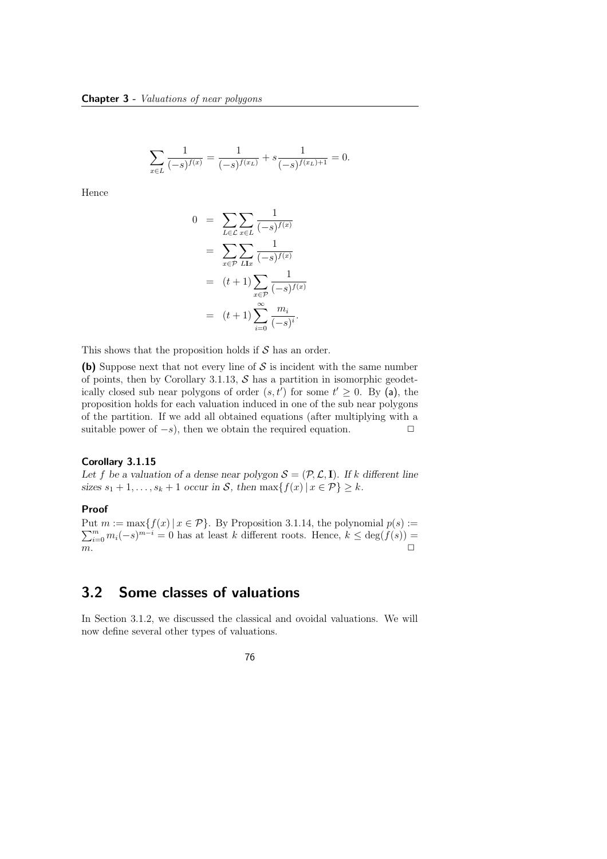$$
\sum_{x \in L} \frac{1}{(-s)^{f(x)}} = \frac{1}{(-s)^{f(x_L)}} + s \frac{1}{(-s)^{f(x_L)+1}} = 0.
$$

Hence

$$
0 = \sum_{L \in \mathcal{L}} \sum_{x \in L} \frac{1}{(-s)^{f(x)}}
$$
  
= 
$$
\sum_{x \in \mathcal{P}} \sum_{LLx} \frac{1}{(-s)^{f(x)}}
$$
  
= 
$$
(t+1) \sum_{x \in \mathcal{P}} \frac{1}{(-s)^{f(x)}}
$$
  
= 
$$
(t+1) \sum_{i=0}^{\infty} \frac{m_i}{(-s)^i}.
$$

This shows that the proposition holds if  $S$  has an order.

(b) Suppose next that not every line of  $S$  is incident with the same number of points, then by Corollary 3.1.13,  $S$  has a partition in isomorphic geodetically closed sub near polygons of order  $(s, t')$  for some  $t' \geq 0$ . By (a), the proposition holds for each valuation induced in one of the sub near polygons of the partition. If we add all obtained equations (after multiplying with a suitable power of  $-s$ ), then we obtain the required equation.  $\Box$ 

## Corollary 3.1.15

Let f be a valuation of a dense near polygon  $S = (\mathcal{P}, \mathcal{L}, I)$ . If k different line sizes  $s_1 + 1, \ldots, s_k + 1$  occur in S, then  $\max\{f(x) | x \in \mathcal{P}\} \geq k$ .

## Proof

Put  $m := \max\{f(x) | x \in \mathcal{P}\}\$ . By Proposition 3.1.14, the polynomial  $p(s) :=$  $\sum_{i=0}^{m} m_i(-s)^{m-i} = 0$  has at least k different roots. Hence,  $k \leq \deg(f(s)) =$  $\frac{m}{m}$ .

# 3.2 Some classes of valuations

In Section 3.1.2, we discussed the classical and ovoidal valuations. We will now define several other types of valuations.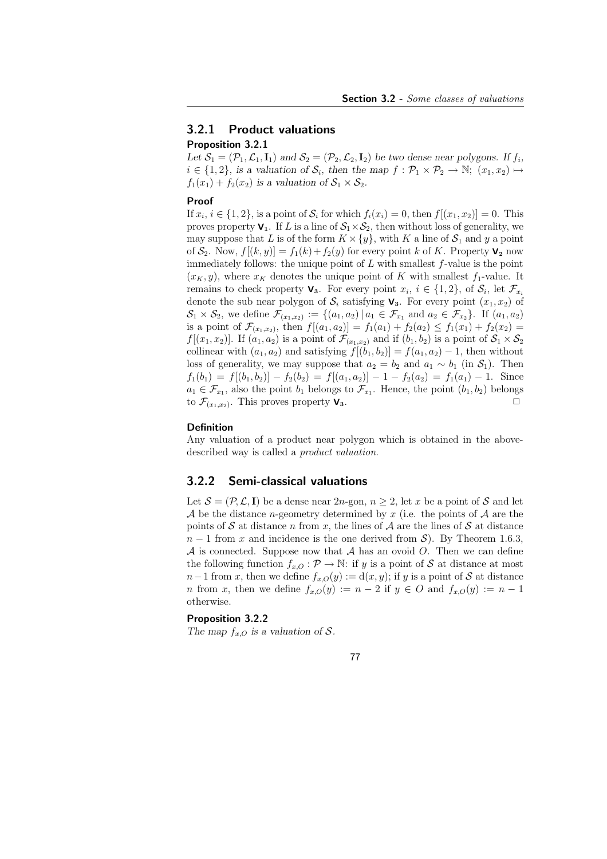## 3.2.1 Product valuations Proposition 3.2.1

Let  $S_1 = (\mathcal{P}_1, \mathcal{L}_1, \mathbf{I}_1)$  and  $S_2 = (\mathcal{P}_2, \mathcal{L}_2, \mathbf{I}_2)$  be two dense near polygons. If  $f_i$ ,  $i \in \{1,2\}$ , is a valuation of  $S_i$ , then the map  $f : \mathcal{P}_1 \times \mathcal{P}_2 \to \mathbb{N}$ ;  $(x_1, x_2) \mapsto$  $f_1(x_1) + f_2(x_2)$  is a valuation of  $S_1 \times S_2$ .

## Proof

If  $x_i$ ,  $i \in \{1,2\}$ , is a point of  $S_i$  for which  $f_i(x_i) = 0$ , then  $f[(x_1, x_2)] = 0$ . This proves property  $V_1$ . If L is a line of  $S_1 \times S_2$ , then without loss of generality, we may suppose that L is of the form  $K \times \{y\}$ , with K a line of  $S_1$  and y a point of  $S_2$ . Now,  $f[(k, y)] = f_1(k) + f_2(y)$  for every point k of K. Property  $\mathbf{V}_2$  now immediately follows: the unique point of  $L$  with smallest  $f$ -value is the point  $(x_K, y)$ , where  $x_K$  denotes the unique point of K with smallest  $f_1$ -value. It remains to check property  $\mathbf{V}_3$ . For every point  $x_i$ ,  $i \in \{1,2\}$ , of  $\mathcal{S}_i$ , let  $\mathcal{F}_{x_i}$ denote the sub near polygon of  $S_i$  satisfying  $V_3$ . For every point  $(x_1, x_2)$  of  $\mathcal{S}_1 \times \mathcal{S}_2$ , we define  $\mathcal{F}_{(x_1,x_2)} := \{(a_1,a_2) \mid a_1 \in \mathcal{F}_{x_1} \text{ and } a_2 \in \mathcal{F}_{x_2}\}.$  If  $(a_1,a_2)$ is a point of  $\mathcal{F}_{(x_1,x_2)}$ , then  $f[(a_1,a_2)] = f_1(a_1) + f_2(a_2) \le f_1(x_1) + f_2(x_2) =$  $f[(x_1, x_2)]$ . If  $(a_1, a_2)$  is a point of  $\mathcal{F}_{(x_1, x_2)}$  and if  $(b_1, b_2)$  is a point of  $\mathcal{S}_1 \times \mathcal{S}_2$ collinear with  $(a_1, a_2)$  and satisfying  $f[(b_1, b_2)] = f(a_1, a_2) - 1$ , then without loss of generality, we may suppose that  $a_2 = b_2$  and  $a_1 \sim b_1$  (in  $\mathcal{S}_1$ ). Then  $f_1(b_1) = f[(b_1, b_2)] - f_2(b_2) = f[(a_1, a_2)] - 1 - f_2(a_2) = f_1(a_1) - 1.$  Since  $a_1 \in \mathcal{F}_{x_1}$ , also the point  $b_1$  belongs to  $\mathcal{F}_{x_1}$ . Hence, the point  $(b_1, b_2)$  belongs to  $\mathcal{F}_{(x_1,x_2)}$ . This proves property  $\mathbf{V}_3$ .

## Definition

Any valuation of a product near polygon which is obtained in the abovedescribed way is called a product valuation.

## 3.2.2 Semi-classical valuations

Let  $S = (\mathcal{P}, \mathcal{L}, I)$  be a dense near  $2n$ -gon,  $n \geq 2$ , let x be a point of S and let A be the distance *n*-geometry determined by x (i.e. the points of A are the points of S at distance n from x, the lines of A are the lines of S at distance  $n-1$  from x and incidence is the one derived from S). By Theorem 1.6.3,  $\mathcal A$  is connected. Suppose now that  $\mathcal A$  has an ovoid  $O$ . Then we can define the following function  $f_{x,O}: \mathcal{P} \to \mathbb{N}$ : if y is a point of S at distance at most  $n-1$  from x, then we define  $f_{x,O}(y) := d(x, y)$ ; if y is a point of S at distance n from x, then we define  $f_{x,O}(y) := n - 2$  if  $y \in O$  and  $f_{x,O}(y) := n - 1$ otherwise.

## Proposition 3.2.2

The map  $f_{x,O}$  is a valuation of S.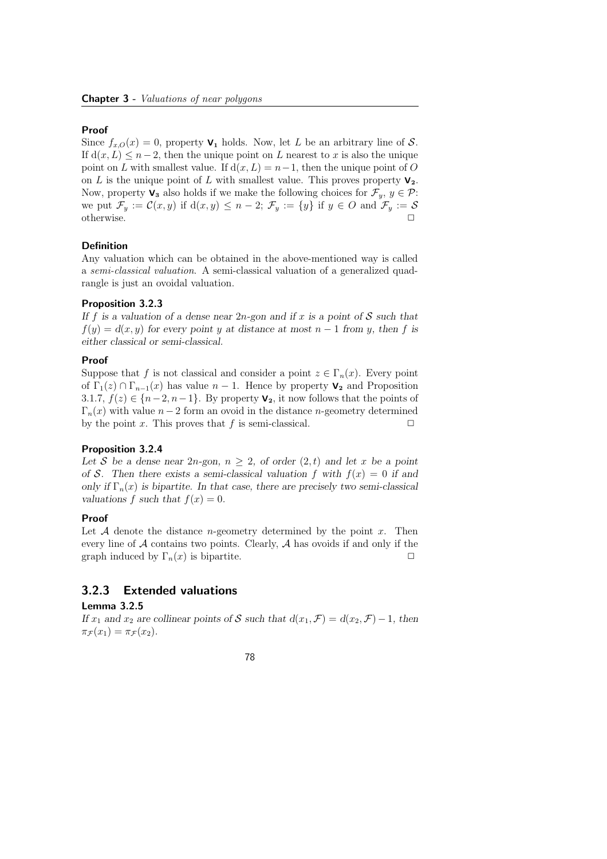## Proof

Since  $f_{x,O}(x) = 0$ , property  $V_1$  holds. Now, let L be an arbitrary line of S. If  $d(x, L) \leq n-2$ , then the unique point on L nearest to x is also the unique point on L with smallest value. If  $d(x, L) = n - 1$ , then the unique point of O on L is the unique point of L with smallest value. This proves property  $V_2$ . Now, property  $\mathsf{V}_3$  also holds if we make the following choices for  $\mathcal{F}_y, y \in \mathcal{P}$ : we put  $\mathcal{F}_y := \mathcal{C}(x, y)$  if  $d(x, y) \leq n - 2$ ;  $\mathcal{F}_y := \{y\}$  if  $y \in O$  and  $\mathcal{F}_y := S$ otherwise.  $\Box$ 

## Definition

Any valuation which can be obtained in the above-mentioned way is called a semi-classical valuation. A semi-classical valuation of a generalized quadrangle is just an ovoidal valuation.

## Proposition 3.2.3

If f is a valuation of a dense near 2n-gon and if x is a point of  $S$  such that  $f(y) = d(x, y)$  for every point y at distance at most n – 1 from y, then f is either classical or semi-classical.

## Proof

Suppose that f is not classical and consider a point  $z \in \Gamma_n(x)$ . Every point of  $\Gamma_1(z) \cap \Gamma_{n-1}(x)$  has value  $n-1$ . Hence by property  $\mathbf{V}_2$  and Proposition 3.1.7,  $f(z) \in \{n-2, n-1\}$ . By property  $\mathbf{V}_2$ , it now follows that the points of  $\Gamma_n(x)$  with value  $n-2$  form an ovoid in the distance *n*-geometry determined by the point x. This proves that  $f$  is semi-classical.

#### Proposition 3.2.4

Let S be a dense near  $2n$ -gon,  $n \geq 2$ , of order  $(2,t)$  and let x be a point of S. Then there exists a semi-classical valuation f with  $f(x) = 0$  if and only if  $\Gamma_n(x)$  is bipartite. In that case, there are precisely two semi-classical valuations f such that  $f(x) = 0$ .

#### Proof

Let A denote the distance *n*-geometry determined by the point x. Then every line of  $A$  contains two points. Clearly,  $A$  has ovoids if and only if the graph induced by  $\Gamma_n(x)$  is bipartite.

## 3.2.3 Extended valuations

## Lemma 3.2.5

If  $x_1$  and  $x_2$  are collinear points of S such that  $d(x_1, \mathcal{F}) = d(x_2, \mathcal{F}) - 1$ , then  $\pi_{\mathcal{F}}(x_1) = \pi_{\mathcal{F}}(x_2).$ 

78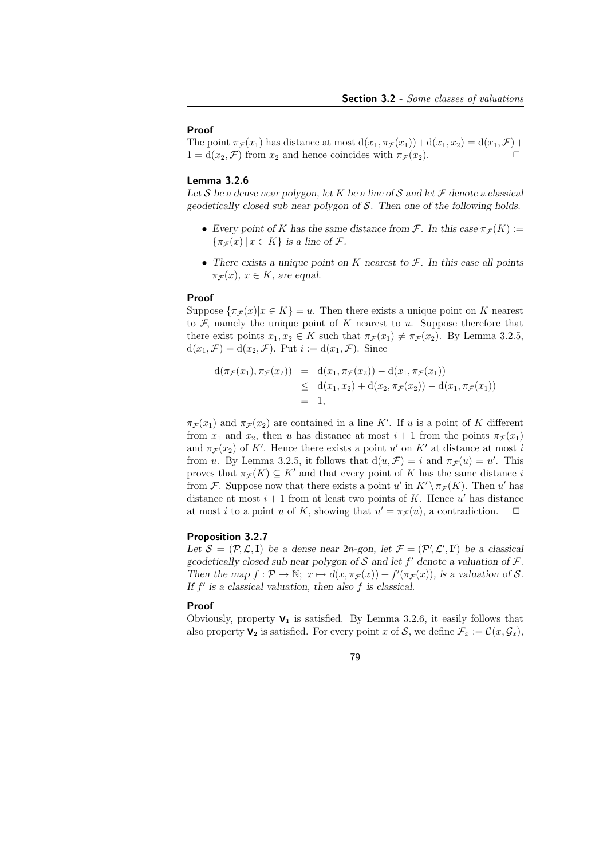## Proof

The point  $\pi_{\mathcal{F}}(x_1)$  has distance at most  $d(x_1, \pi_{\mathcal{F}}(x_1))+d(x_1, x_2) = d(x_1, \mathcal{F}) + d(x_1, \mathcal{F})$  $1 = d(x_2, \mathcal{F})$  from  $x_2$  and hence coincides with  $\pi_{\mathcal{F}}(x_2)$ .

## Lemma 3.2.6

Let S be a dense near polygon, let K be a line of S and let  $\mathcal F$  denote a classical geodetically closed sub near polygon of  $S$ . Then one of the following holds.

- Every point of K has the same distance from F. In this case  $\pi_{\mathcal{F}}(K) :=$  $\{\pi_{\mathcal{F}}(x) \mid x \in K\}$  is a line of  $\mathcal{F}$ .
- There exists a unique point on K nearest to  $\mathcal{F}$ . In this case all points  $\pi_{\mathcal{F}}(x), x \in K$ , are equal.

## Proof

Suppose  $\{\pi_{\mathcal{F}}(x)|x \in K\} = u$ . Then there exists a unique point on K nearest to  $F$ , namely the unique point of K nearest to u. Suppose therefore that there exist points  $x_1, x_2 \in K$  such that  $\pi_F(x_1) \neq \pi_F(x_2)$ . By Lemma 3.2.5,  $d(x_1,\mathcal{F}) = d(x_2,\mathcal{F})$ . Put  $i := d(x_1,\mathcal{F})$ . Since

$$
d(\pi_{\mathcal{F}}(x_1), \pi_{\mathcal{F}}(x_2)) = d(x_1, \pi_{\mathcal{F}}(x_2)) - d(x_1, \pi_{\mathcal{F}}(x_1))
$$
  
\n
$$
\leq d(x_1, x_2) + d(x_2, \pi_{\mathcal{F}}(x_2)) - d(x_1, \pi_{\mathcal{F}}(x_1))
$$
  
\n
$$
= 1,
$$

 $\pi_{\mathcal{F}}(x_1)$  and  $\pi_{\mathcal{F}}(x_2)$  are contained in a line K'. If u is a point of K different from  $x_1$  and  $x_2$ , then u has distance at most  $i + 1$  from the points  $\pi_{\mathcal{F}}(x_1)$ and  $\pi_{\mathcal{F}}(x_2)$  of K'. Hence there exists a point u' on K' at distance at most i from u. By Lemma 3.2.5, it follows that  $d(u, \mathcal{F}) = i$  and  $\pi_{\mathcal{F}}(u) = u'$ . This proves that  $\pi_{\mathcal{F}}(K) \subseteq K'$  and that every point of K has the same distance i from F. Suppose now that there exists a point  $u'$  in  $K' \setminus \pi_{\mathcal{F}}(K)$ . Then  $u'$  has distance at most  $i+1$  from at least two points of K. Hence u' has distance at most *i* to a point *u* of *K*, showing that  $u' = \pi_{\mathcal{F}}(u)$ , a contradiction.  $\Box$ 

## Proposition 3.2.7

Let  $S = (\mathcal{P}, \mathcal{L}, I)$  be a dense near 2n-gon, let  $\mathcal{F} = (\mathcal{P}', \mathcal{L}', I')$  be a classical geodetically closed sub near polygon of  $S$  and let  $f'$  denote a valuation of  $\mathcal{F}$ . Then the map  $f : \mathcal{P} \to \mathbb{N}; x \mapsto d(x, \pi_{\mathcal{F}}(x)) + f'(\pi_{\mathcal{F}}(x))$ , is a valuation of  $\mathcal{S}$ . If  $f'$  is a classical valuation, then also  $f$  is classical.

## Proof

Obviously, property  $V_1$  is satisfied. By Lemma 3.2.6, it easily follows that also property  $V_2$  is satisfied. For every point x of S, we define  $\mathcal{F}_x := \mathcal{C}(x, \mathcal{G}_x)$ ,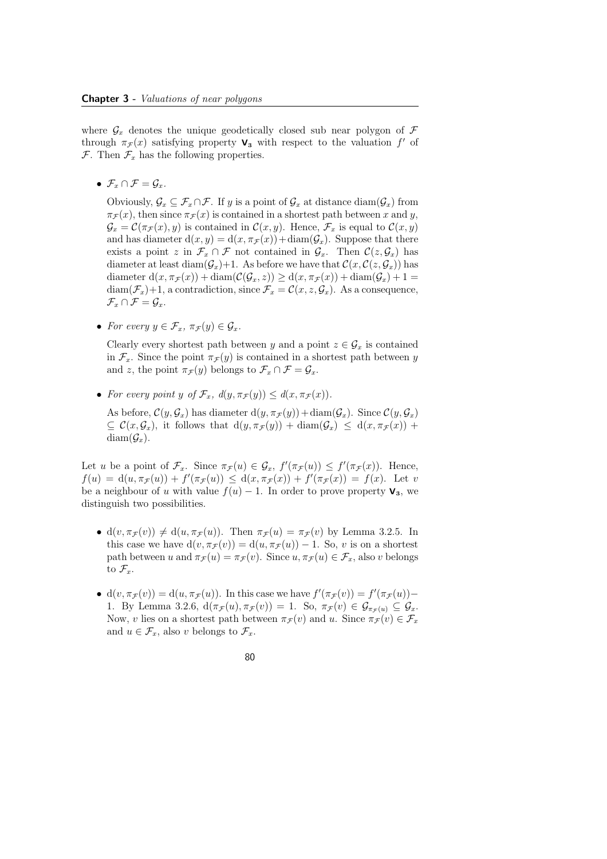where  $\mathcal{G}_x$  denotes the unique geodetically closed sub near polygon of  $\mathcal F$ through  $\pi_{\mathcal{F}}(x)$  satisfying property **V<sub>3</sub>** with respect to the valuation f' of  $\mathcal{F}$ . Then  $\mathcal{F}_x$  has the following properties.

•  $\mathcal{F}_x \cap \mathcal{F} = \mathcal{G}_x$ .

Obviously,  $\mathcal{G}_x \subseteq \mathcal{F}_x \cap \mathcal{F}$ . If y is a point of  $\mathcal{G}_x$  at distance diam $(\mathcal{G}_x)$  from  $\pi_{\mathcal{F}}(x)$ , then since  $\pi_{\mathcal{F}}(x)$  is contained in a shortest path between x and y,  $\mathcal{G}_x = \mathcal{C}(\pi_{\mathcal{F}}(x), y)$  is contained in  $\mathcal{C}(x, y)$ . Hence,  $\mathcal{F}_x$  is equal to  $\mathcal{C}(x, y)$ and has diameter  $d(x, y) = d(x, \pi_F(x)) + diam(\mathcal{G}_x)$ . Suppose that there exists a point z in  $\mathcal{F}_x \cap \mathcal{F}$  not contained in  $\mathcal{G}_x$ . Then  $\mathcal{C}(z, \mathcal{G}_x)$  has diameter at least diam( $\mathcal{G}_x$ )+1. As before we have that  $\mathcal{C}(x, \mathcal{C}(z, \mathcal{G}_x))$  has diameter  $d(x, \pi_{\mathcal{F}}(x)) + diam(\mathcal{C}(\mathcal{G}_x, z)) \geq d(x, \pi_{\mathcal{F}}(x)) + diam(\mathcal{G}_x) + 1 =$  $diam(\mathcal{F}_x)+1$ , a contradiction, since  $\mathcal{F}_x = \mathcal{C}(x, z, \mathcal{G}_x)$ . As a consequence,  $\mathcal{F}_x \cap \mathcal{F} = \mathcal{G}_x.$ 

• For every  $y \in \mathcal{F}_x$ ,  $\pi_{\mathcal{F}}(y) \in \mathcal{G}_x$ .

Clearly every shortest path between y and a point  $z \in \mathcal{G}_x$  is contained in  $\mathcal{F}_x$ . Since the point  $\pi_{\mathcal{F}}(y)$  is contained in a shortest path between y and z, the point  $\pi_{\mathcal{F}}(y)$  belongs to  $\mathcal{F}_x \cap \mathcal{F} = \mathcal{G}_x$ .

• For every point y of  $\mathcal{F}_x$ ,  $d(y, \pi_{\mathcal{F}}(y)) \leq d(x, \pi_{\mathcal{F}}(x)).$ 

As before,  $\mathcal{C}(y, \mathcal{G}_x)$  has diameter  $d(y, \pi_{\mathcal{F}}(y)) + \text{diam}(\mathcal{G}_x)$ . Since  $\mathcal{C}(y, \mathcal{G}_x)$  $\subseteq \mathcal{C}(x,\mathcal{G}_x)$ , it follows that  $d(y,\pi_{\mathcal{F}}(y)) + \text{diam}(\mathcal{G}_x) \leq d(x,\pi_{\mathcal{F}}(x)) +$  $diam(\mathcal{G}_x)$ .

Let u be a point of  $\mathcal{F}_x$ . Since  $\pi_{\mathcal{F}}(u) \in \mathcal{G}_x$ ,  $f'(\pi_{\mathcal{F}}(u)) \leq f'(\pi_{\mathcal{F}}(x))$ . Hence,  $f(u) = d(u, \pi_{\mathcal{F}}(u)) + f'(\pi_{\mathcal{F}}(u)) \leq d(x, \pi_{\mathcal{F}}(x)) + f'(\pi_{\mathcal{F}}(x)) = f(x)$ . Let v be a neighbour of u with value  $f(u) - 1$ . In order to prove property  $V_3$ , we distinguish two possibilities.

- d( $v, \pi_{\mathcal{F}}(v)$ )  $\neq$  d( $u, \pi_{\mathcal{F}}(u)$ ). Then  $\pi_{\mathcal{F}}(u) = \pi_{\mathcal{F}}(v)$  by Lemma 3.2.5. In this case we have  $d(v, \pi_{\mathcal{F}}(v)) = d(u, \pi_{\mathcal{F}}(u)) - 1$ . So, v is on a shortest path between u and  $\pi_F(u) = \pi_F(v)$ . Since  $u, \pi_F(u) \in \mathcal{F}_x$ , also v belongs to  $\mathcal{F}_x$ .
- $d(v, \pi_{\mathcal{F}}(v)) = d(u, \pi_{\mathcal{F}}(u))$ . In this case we have  $f'(\pi_{\mathcal{F}}(v)) = f'(\pi_{\mathcal{F}}(u))$ 1. By Lemma 3.2.6,  $d(\pi_{\mathcal{F}}(u), \pi_{\mathcal{F}}(v)) = 1$ . So,  $\pi_{\mathcal{F}}(v) \in \mathcal{G}_{\pi_{\mathcal{F}}(u)} \subseteq \mathcal{G}_{x}$ . Now, v lies on a shortest path between  $\pi_{\mathcal{F}}(v)$  and u. Since  $\pi_{\mathcal{F}}(v) \in \mathcal{F}_x$ and  $u \in \mathcal{F}_x$ , also v belongs to  $\mathcal{F}_x$ .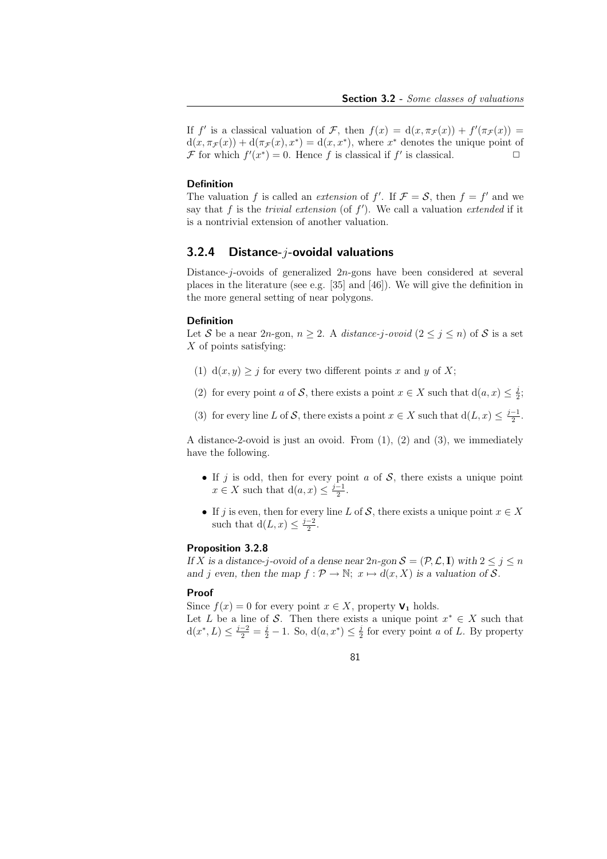If f' is a classical valuation of F, then  $f(x) = d(x, \pi_F(x)) + f'(\pi_F(x)) =$  $d(x, \pi_{\mathcal{F}}(x)) + d(\pi_{\mathcal{F}}(x), x^*) = d(x, x^*)$ , where  $x^*$  denotes the unique point of F for which  $f'(x^*) = 0$ . Hence f is classical if f' is classical.

## Definition

The valuation f is called an extension of f'. If  $\mathcal{F} = \mathcal{S}$ , then  $f = f'$  and we say that  $f$  is the *trivial extension* (of  $f'$ ). We call a valuation *extended* if it is a nontrivial extension of another valuation.

## 3.2.4 Distance-j-ovoidal valuations

Distance-*j*-ovoids of generalized 2*n*-gons have been considered at several places in the literature (see e.g. [35] and [46]). We will give the definition in the more general setting of near polygons.

#### Definition

Let S be a near 2n-gon,  $n \geq 2$ . A distance-j-ovoid  $(2 \leq j \leq n)$  of S is a set  $X$  of points satisfying:

- (1)  $d(x, y) \geq j$  for every two different points x and y of X;
- (2) for every point a of S, there exists a point  $x \in X$  such that  $d(a, x) \leq \frac{3}{2}$  $\frac{j}{2}$ ;
- (3) for every line L of S, there exists a point  $x \in X$  such that  $d(L, x) \leq \frac{j-1}{2}$ .

A distance-2-ovoid is just an ovoid. From (1), (2) and (3), we immediately have the following.

- If  $j$  is odd, then for every point  $a$  of  $S$ , there exists a unique point  $x \in X$  such that  $d(a, x) \leq \frac{j-1}{2}$ .
- If j is even, then for every line L of S, there exists a unique point  $x\in X$ such that  $d(L, x) \leq \frac{j-2}{2}$ .

## Proposition 3.2.8

If  $X$  is a distance-j-ovoid of a dense near  $2n$  -gon  $\mathcal{S}=(\mathcal{P},\mathcal{L},\mathbf{I})$  with  $2\leq j\leq n$ and j even, then the map  $f : \mathcal{P} \to \mathbb{N}; x \mapsto d(x, X)$  is a valuation of S.

## Proof

Since  $f(x) = 0$  for every point  $x \in X$ , property  $V_1$  holds. Let L be a line of S. Then there exists a unique point  $x^* \in X$  such that  $d(x^*, L) \leq \frac{j-2}{2} = \frac{j}{2} - 1$ . So,  $d(a, x^*) \leq \frac{j}{2}$ 

## 81

 $\frac{j}{2}$  for every point *a* of *L*. By property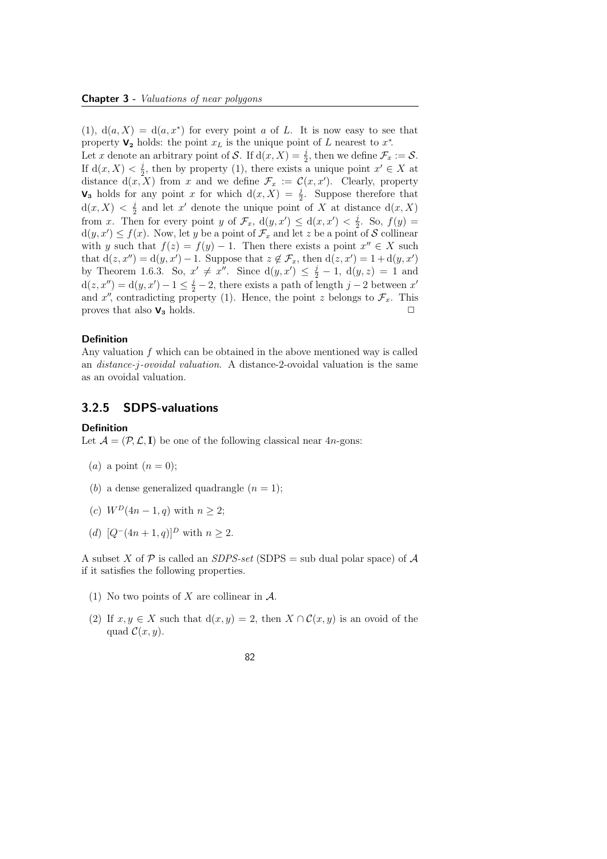(1),  $d(a, X) = d(a, x^*)$  for every point a of L. It is now easy to see that property  $V_2$  holds: the point  $x_L$  is the unique point of L nearest to  $x^*$ . Let x denote an arbitrary point of S. If  $d(x, X) = \frac{j}{2}$  $\frac{j}{2}$ , then we define  $\mathcal{F}_x := \mathcal{S}.$ If  $d(x, X) < \frac{j}{2}$  $\frac{d}{dx}$ , then by property (1), there exists a unique point  $x' \in X$  at distance  $d(x, X)$  from x and we define  $\mathcal{F}_x := \mathcal{C}(x, x')$ . Clearly, property  $\mathbf{V}_3$  holds for any point x for which  $d(x, X) = \frac{i}{2}$  $\frac{1}{2}$ . Suppose therefore that  $d(x, X) < \frac{j}{2}$  $\frac{d}{2}$  and let x' denote the unique point of X at distance  $d(x, X)$ from x. Then for every point y of  $\mathcal{F}_x$ ,  $d(y, x') \leq d(x, x') < \frac{1}{2}$  $\frac{1}{2}$ . So,  $f(y) =$  $d(y, x') \le f(x)$ . Now, let y be a point of  $\mathcal{F}_x$  and let z be a point of S collinear with y such that  $f(z) = f(y) - 1$ . Then there exists a point  $x'' \in X$  such that  $d(z, x'') = d(y, x') - 1$ . Suppose that  $z \notin \mathcal{F}_x$ , then  $d(z, x') = 1 + d(y, x')$ by Theorem 1.6.3. So,  $x' \neq x''$ . Since  $d(y, x') \leq \frac{j}{2} - 1$ ,  $d(y, z) = 1$  and  $d(z, x'') = d(y, x') - 1 \leq \frac{j}{2} - 2$ , there exists a path of length  $j - 2$  between x' and  $x''$ , contradicting property (1). Hence, the point z belongs to  $\mathcal{F}_x$ . This proves that also  $V_3$  holds.  $\Box$ 

#### Definition

Any valuation f which can be obtained in the above mentioned way is called an distance-j-ovoidal valuation. A distance-2-ovoidal valuation is the same as an ovoidal valuation.

## 3.2.5 SDPS-valuations

#### Definition

Let  $\mathcal{A} = (\mathcal{P}, \mathcal{L}, I)$  be one of the following classical near 4*n*-gons:

- (a) a point  $(n = 0)$ ;
- (b) a dense generalized quadrangle  $(n = 1)$ ;
- (c)  $W^D(4n-1, q)$  with  $n > 2$ ;
- (d)  $[Q^-(4n+1, q)]^D$  with  $n \geq 2$ .

A subset X of P is called an SDPS-set (SDPS = sub dual polar space) of A if it satisfies the following properties.

- (1) No two points of X are collinear in  $\mathcal{A}$ .
- (2) If  $x, y \in X$  such that  $d(x, y) = 2$ , then  $X \cap C(x, y)$  is an ovoid of the quad  $\mathcal{C}(x, y)$ .

82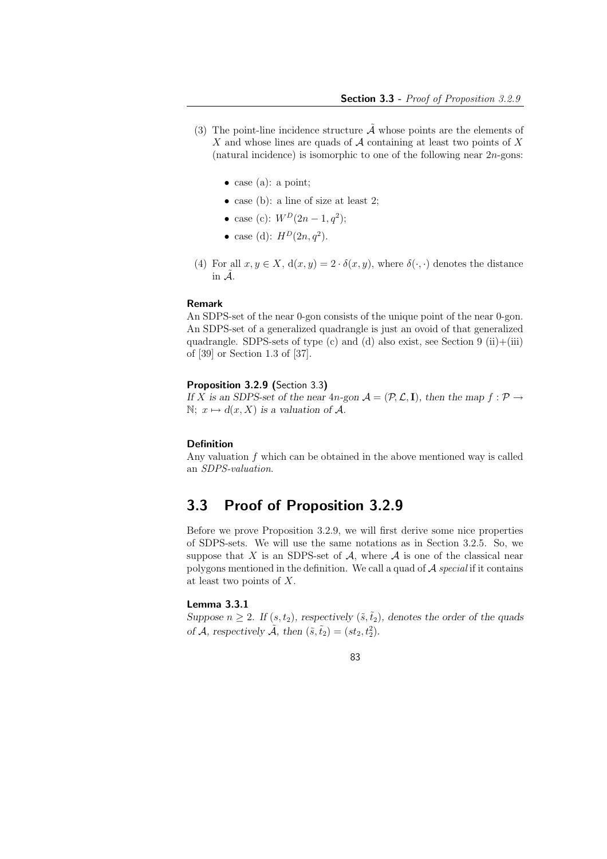- (3) The point-line incidence structure  $\tilde{\mathcal{A}}$  whose points are the elements of X and whose lines are quads of  $A$  containing at least two points of X (natural incidence) is isomorphic to one of the following near  $2n$ -gons:
	- case (a): a point;
	- case (b): a line of size at least 2;
	- case (c):  $W^D(2n-1, q^2);$
	- case (d):  $H^D(2n, q^2)$ .
- (4) For all  $x, y \in X$ ,  $d(x, y) = 2 \cdot \delta(x, y)$ , where  $\delta(\cdot, \cdot)$  denotes the distance in  $\tilde{\mathcal{A}}$ .

#### Remark

An SDPS-set of the near 0-gon consists of the unique point of the near 0-gon. An SDPS-set of a generalized quadrangle is just an ovoid of that generalized quadrangle. SDPS-sets of type (c) and (d) also exist, see Section 9 (ii) $+(iii)$ of [39] or Section 1.3 of [37].

## Proposition 3.2.9 (Section 3.3)

If X is an SDPS-set of the near  $4n$ -gon  $\mathcal{A} = (\mathcal{P}, \mathcal{L}, I)$ , then the map  $f : \mathcal{P} \rightarrow$  $\mathbb{N}: x \mapsto d(x, X)$  is a valuation of A.

## Definition

Any valuation  $f$  which can be obtained in the above mentioned way is called an SDPS-valuation.

# 3.3 Proof of Proposition 3.2.9

Before we prove Proposition 3.2.9, we will first derive some nice properties of SDPS-sets. We will use the same notations as in Section 3.2.5. So, we suppose that X is an SDPS-set of  $A$ , where  $A$  is one of the classical near polygons mentioned in the definition. We call a quad of  $A$  special if it contains at least two points of X.

## Lemma 3.3.1

Suppose  $n \geq 2$ . If  $(s, t_2)$ , respectively  $(\tilde{s}, \tilde{t}_2)$ , denotes the order of the quads of A, respectively  $\tilde{A}$ , then  $(\tilde{s}, \tilde{t}_2) = (st_2, t_2^2)$ .

83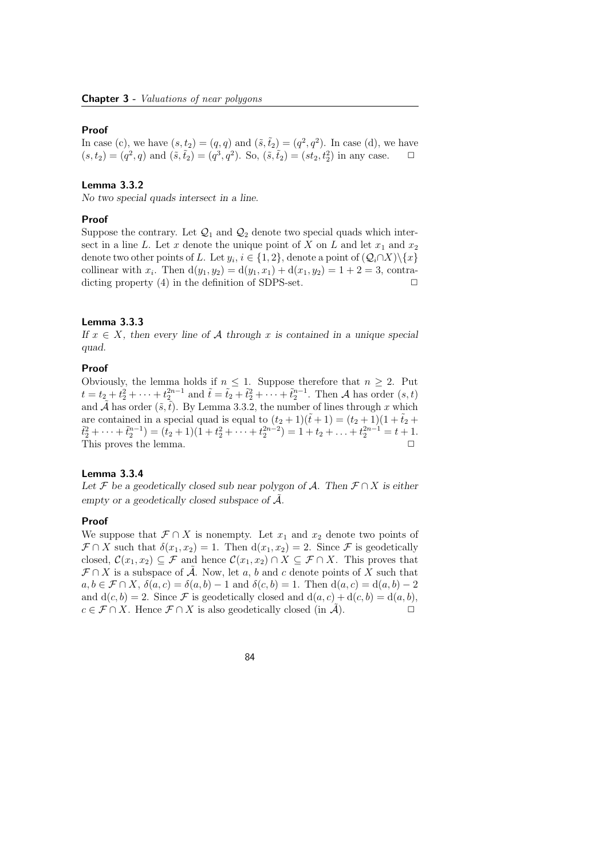## Proof

In case (c), we have  $(s, t_2) = (q, q)$  and  $(\tilde{s}, \tilde{t}_2) = (q^2, q^2)$ . In case (d), we have  $(s,t_2)=(q^2,q)$  and  $(\tilde{s},\tilde{t}_2)=(q^3,q^2)$ . So,  $(\tilde{s},\tilde{t}_2)=(st_2,t_2^2)$  in any case.  $\Box$ 

#### Lemma 3.3.2

No two special quads intersect in a line.

## Proof

Suppose the contrary. Let  $\mathcal{Q}_1$  and  $\mathcal{Q}_2$  denote two special quads which intersect in a line L. Let x denote the unique point of X on L and let  $x_1$  and  $x_2$ denote two other points of L. Let  $y_i, i \in \{1, 2\}$ , denote a point of  $(Q_i \cap X) \setminus \{x\}$ collinear with  $x_i$ . Then  $d(y_1, y_2) = d(y_1, x_1) + d(x_1, y_2) = 1 + 2 = 3$ , contradicting property  $(4)$  in the definition of SDPS-set.  $\Box$ 

## Lemma 3.3.3

If  $x \in X$ , then every line of A through x is contained in a unique special quad.

## Proof

Obviously, the lemma holds if  $n \leq 1$ . Suppose therefore that  $n \geq 2$ . Put  $t = t_2 + t_2^2 + \dots + t_2^{2n-1}$  and  $\tilde{t} = \tilde{t}_2 + \tilde{t}_2^2 + \dots + \tilde{t}_2^{n-1}$ . Then A has order  $(s, t)$ and  $\tilde{\mathcal{A}}$  has order  $(\tilde{s}, \tilde{t})$ . By Lemma 3.3.2, the number of lines through x which are contained in a special quad is equal to  $(t_2 + 1)(t+1) = (t_2 + 1)(1 + \tilde{t}_2 +$  $\tilde{t}_2^2 + \cdots + \tilde{t}_2^{n-1} = (t_2 + 1)(1 + t_2^2 + \cdots + t_2^{2n-2}) = 1 + t_2 + \ldots + t_2^{2n-1} = t + 1.$ This proves the lemma.

## Lemma 3.3.4

Let F be a geodetically closed sub near polygon of A. Then  $\mathcal{F} \cap X$  is either empty or a geodetically closed subspace of  $A$ .

## Proof

We suppose that  $\mathcal{F} \cap X$  is nonempty. Let  $x_1$  and  $x_2$  denote two points of  $\mathcal{F} \cap X$  such that  $\delta(x_1, x_2) = 1$ . Then  $d(x_1, x_2) = 2$ . Since  $\mathcal{F}$  is geodetically closed,  $\mathcal{C}(x_1, x_2) \subseteq \mathcal{F}$  and hence  $\mathcal{C}(x_1, x_2) \cap X \subseteq \mathcal{F} \cap X$ . This proves that  $\mathcal{F} \cap X$  is a subspace of  $\tilde{\mathcal{A}}$ . Now, let a, b and c denote points of X such that  $a, b \in \mathcal{F} \cap X$ ,  $\delta(a, c) = \delta(a, b) - 1$  and  $\delta(c, b) = 1$ . Then  $d(a, c) = d(a, b) - 2$ and  $d(c, b) = 2$ . Since  $\mathcal F$  is geodetically closed and  $d(a, c) + d(c, b) = d(a, b)$ ,<br>  $c \in \mathcal F \cap X$ . Hence  $\mathcal F \cap X$  is also geodetically closed (in  $\tilde{\mathcal A}$ ).  $c \in \mathcal{F} \cap X$ . Hence  $\mathcal{F} \cap X$  is also geodetically closed (in  $\tilde{\mathcal{A}}$ ).

84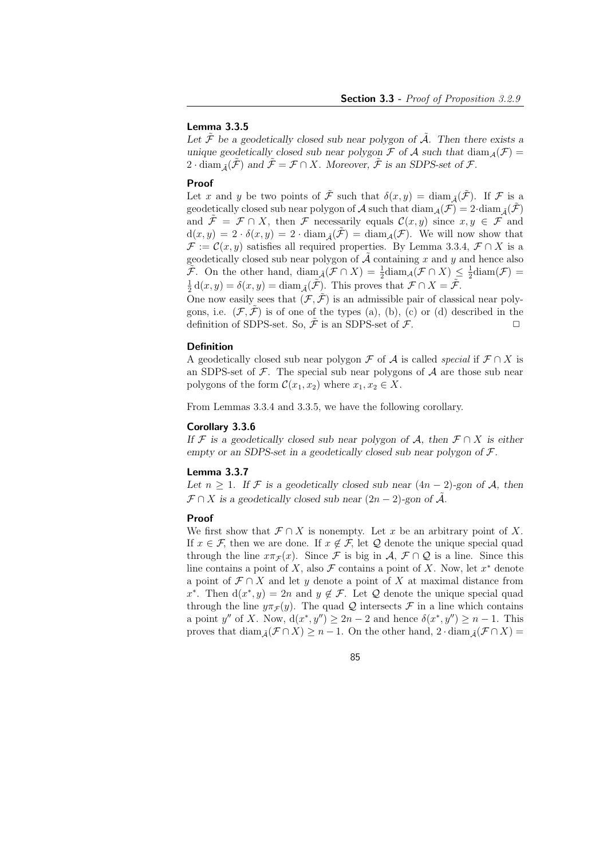## Lemma 3.3.5

Let  $\tilde{\mathcal{F}}$  be a geodetically closed sub near polygon of  $\tilde{\mathcal{A}}$ . Then there exists a unique geodetically closed sub near polygon  $\mathcal F$  of  $\mathcal A$  such that diam  $\Lambda(\mathcal F) =$ 2 · diam  $_{\tilde{\mathcal{A}}}(\tilde{\mathcal{F}})$  and  $\tilde{\mathcal{F}} = \mathcal{F} \cap X$ . Moreover,  $\tilde{\mathcal{F}}$  is an SDPS-set of  $\mathcal{F}$ .

## Proof

Let x and y be two points of  $\tilde{\mathcal{F}}$  such that  $\delta(x, y) = \text{diam}_{\tilde{A}}(\tilde{\mathcal{F}})$ . If  $\mathcal F$  is a geodetically closed sub near polygon of A such that diam  $_A(\mathcal{F}) = 2 \cdot \text{diam }_{\tilde{A}}(\tilde{\mathcal{F}})$ and  $\tilde{\mathcal{F}} = \mathcal{F} \cap X$ , then  $\mathcal{F}$  necessarily equals  $\mathcal{C}(x, y)$  since  $x, y \in \mathcal{F}$  and  $d(x, y) = 2 \cdot \delta(x, y) = 2 \cdot \text{diam}_{\tilde{A}}(\tilde{\mathcal{F}}) = \text{diam}_{\mathcal{A}}(\mathcal{F})$ . We will now show that  $\mathcal{F} := \mathcal{C}(x, y)$  satisfies all required properties. By Lemma 3.3.4,  $\mathcal{F} \cap X$  is a geodetically closed sub near polygon of  $\tilde{\mathcal{A}}$  containing x and y and hence also  $\widetilde{\mathcal{F}}$ . On the other hand,  $\text{diam}_{\widetilde{\mathcal{A}}}(\mathcal{F} \cap X) = \frac{1}{2} \text{diam}_{\mathcal{A}}(\mathcal{F} \cap X) \leq \frac{1}{2} \text{diam}(\mathcal{F}) =$  $\frac{1}{2} d(x, y) = \delta(x, y) = \text{diam}_{\tilde{\mathcal{A}}}(\tilde{\mathcal{F}})$ . This proves that  $\mathcal{F} \cap X = \tilde{\mathcal{F}}$ .

One now easily sees that  $(\mathcal{F}, \tilde{\mathcal{F}})$  is an admissible pair of classical near polygons, i.e.  $(\mathcal{F}, \tilde{\mathcal{F}})$  is of one of the types (a), (b), (c) or (d) described in the definition of SDPS-set. So  $\tilde{\mathcal{F}}$  is an SDPS-set of  $\mathcal{F}$ definition of SDPS-set. So,  $\mathcal{F}$  is an SDPS-set of  $\mathcal{F}$ .

## Definition

A geodetically closed sub near polygon  $\mathcal F$  of  $\mathcal A$  is called special if  $\mathcal F \cap X$  is an SDPS-set of  $\mathcal F$ . The special sub near polygons of  $\mathcal A$  are those sub near polygons of the form  $\mathcal{C}(x_1, x_2)$  where  $x_1, x_2 \in X$ .

From Lemmas 3.3.4 and 3.3.5, we have the following corollary.

#### Corollary 3.3.6

If F is a geodetically closed sub near polygon of A, then  $\mathcal{F} \cap X$  is either empty or an SDPS-set in a geodetically closed sub near polygon of  $\mathcal{F}$ .

## Lemma 3.3.7

Let  $n \geq 1$ . If F is a geodetically closed sub near  $(4n - 2)$ -gon of A, then  $\mathcal{F} \cap X$  is a geodetically closed sub near  $(2n-2)$ -gon of  $\tilde{\mathcal{A}}$ .

## Proof

We first show that  $\mathcal{F} \cap X$  is nonempty. Let x be an arbitrary point of X. If  $x \in \mathcal{F}$ , then we are done. If  $x \notin \mathcal{F}$ , let  $\mathcal Q$  denote the unique special quad through the line  $x\pi_{\mathcal{F}}(x)$ . Since  $\mathcal F$  is big in  $\mathcal A$ ,  $\mathcal F \cap \mathcal Q$  is a line. Since this line contains a point of X, also  $\mathcal F$  contains a point of X. Now, let  $x^*$  denote a point of  $\mathcal{F} \cap X$  and let y denote a point of X at maximal distance from x<sup>\*</sup>. Then  $d(x^*, y) = 2n$  and  $y \notin \mathcal{F}$ . Let  $\mathcal Q$  denote the unique special quad through the line  $y\pi_{\mathcal{F}}(y)$ . The quad Q intersects  $\mathcal F$  in a line which contains a point y'' of X. Now,  $d(x^*, y'') \ge 2n - 2$  and hence  $\delta(x^*, y'') \ge n - 1$ . This proves that diam  $\tilde{A}(F \cap X) \geq n-1$ . On the other hand, 2 · diam  $\tilde{A}(F \cap X) =$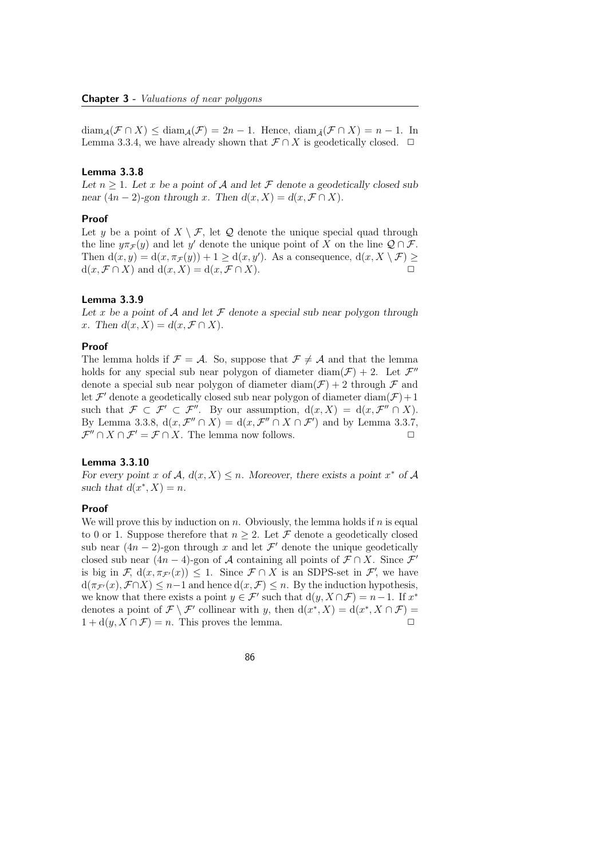$\text{diam}_{\mathcal{A}}(\mathcal{F} \cap X) \leq \text{diam}_{\mathcal{A}}(\mathcal{F}) = 2n - 1$ . Hence,  $\text{diam}_{\mathcal{A}}(\mathcal{F} \cap X) = n - 1$ . In Lemma 3.3.4, we have already shown that  $\mathcal{F} \cap X$  is geodetically closed.  $\Box$ 

## Lemma 3.3.8

Let  $n \geq 1$ . Let x be a point of A and let F denote a geodetically closed sub near  $(4n-2)$ -gon through x. Then  $d(x, X) = d(x, \mathcal{F} \cap X)$ .

## Proof

Let y be a point of  $X \setminus \mathcal{F}$ , let  $\mathcal Q$  denote the unique special quad through the line  $y\pi_{\mathcal{F}}(y)$  and let y' denote the unique point of X on the line  $\mathcal{Q} \cap \mathcal{F}$ . Then  $d(x, y) = d(x, \pi_{\mathcal{F}}(y)) + 1 \geq d(x, y')$ . As a consequence,  $d(x, X \setminus \mathcal{F}) \geq$  $d(x, \mathcal{F} \cap X)$  and  $d(x, X) = d(x, \mathcal{F} \cap X)$ .

#### Lemma 3.3.9

Let x be a point of  $A$  and let  $F$  denote a special sub near polygon through x. Then  $d(x, X) = d(x, \mathcal{F} \cap X)$ .

#### Proof

The lemma holds if  $\mathcal{F} = \mathcal{A}$ . So, suppose that  $\mathcal{F} \neq \mathcal{A}$  and that the lemma holds for any special sub near polygon of diameter  $\text{diam}(\mathcal{F}) + 2$ . Let  $\mathcal{F}''$ denote a special sub near polygon of diameter diam( $\mathcal{F}$ ) + 2 through  $\mathcal F$  and let  $\mathcal{F}'$  denote a geodetically closed sub near polygon of diameter diam $(\mathcal{F})+1$ such that  $\mathcal{F} \subset \mathcal{F}' \subset \mathcal{F}''$ . By our assumption,  $d(x, X) = d(x, \mathcal{F}'' \cap X)$ . By Lemma 3.3.8,  $d(x, \mathcal{F}'' \cap X) = d(x, \mathcal{F}'' \cap X \cap \mathcal{F}')$  and by Lemma 3.3.7,  $\mathcal{F}'' \cap X \cap \mathcal{F}' = \mathcal{F} \cap X$ . The lemma now follows.

#### Lemma 3.3.10

For every point x of  $A$ ,  $d(x, X) \leq n$ . Moreover, there exists a point  $x^*$  of  $A$ such that  $d(x^*, X) = n$ .

#### Proof

We will prove this by induction on  $n$ . Obviously, the lemma holds if  $n$  is equal to 0 or 1. Suppose therefore that  $n \geq 2$ . Let  $\mathcal F$  denote a geodetically closed sub near  $(4n-2)$ -gon through x and let  $\mathcal{F}'$  denote the unique geodetically closed sub near  $(4n-4)$ -gon of A containing all points of  $\mathcal{F} \cap X$ . Since  $\mathcal{F}'$ is big in F,  $d(x, \pi_{\mathcal{F}}(x)) \leq 1$ . Since  $\mathcal{F} \cap X$  is an SDPS-set in F', we have  $d(\pi_{\mathcal{F}}(x), \mathcal{F} \cap X) \leq n-1$  and hence  $d(x, \mathcal{F}) \leq n$ . By the induction hypothesis, we know that there exists a point  $y \in \mathcal{F}'$  such that  $d(y, X \cap \mathcal{F}) = n - 1$ . If  $x^*$ denotes a point of  $\mathcal{F} \setminus \mathcal{F}'$  collinear with y, then  $d(x^*, X) = d(x^*, X \cap \mathcal{F}) =$  $1 + d(y, X \cap \mathcal{F}) = n$ . This proves the lemma.

86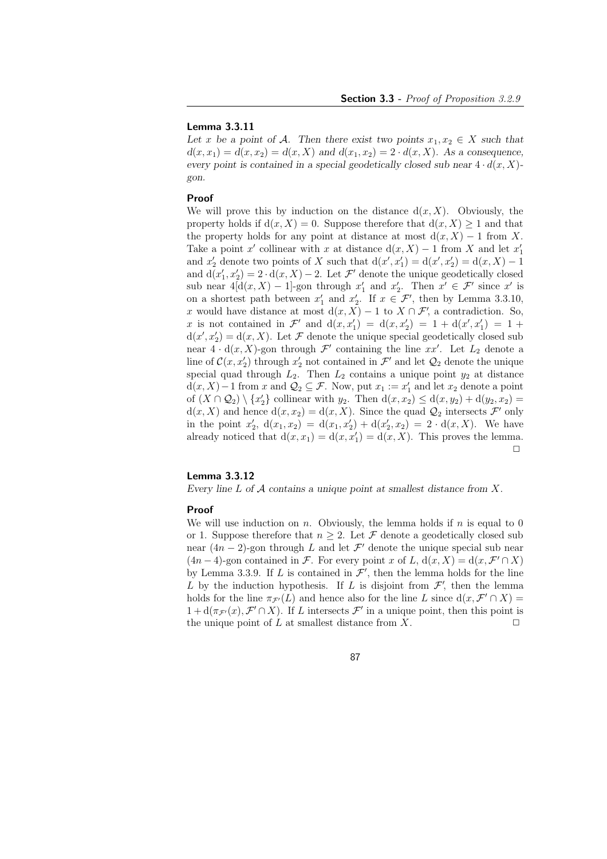## Lemma 3.3.11

Let x be a point of A. Then there exist two points  $x_1, x_2 \in X$  such that  $d(x, x_1) = d(x, x_2) = d(x, X)$  and  $d(x_1, x_2) = 2 \cdot d(x, X)$ . As a consequence, every point is contained in a special geodetically closed sub near  $4 \cdot d(x, X)$ gon.

## Proof

We will prove this by induction on the distance  $d(x, X)$ . Obviously, the property holds if  $d(x, X) = 0$ . Suppose therefore that  $d(x, X) \geq 1$  and that the property holds for any point at distance at most  $d(x, X) - 1$  from X. Take a point x' collinear with x at distance  $d(x, X) - 1$  from X and let  $x'_1$ and  $x'_2$  denote two points of X such that  $d(x', x'_1) = d(x', x'_2) = d(x, X) - 1$ and  $d(x'_1, x'_2) = 2 \cdot d(x, X) - 2$ . Let  $\mathcal{F}'$  denote the unique geodetically closed sub near  $4[d(x,X) - 1]$ -gon through  $x'_1$  and  $x'_2$ . Then  $x' \in \mathcal{F}'$  since  $x'$  is on a shortest path between  $x'_1$  and  $x'_2$ . If  $x \in \mathcal{F}'$ , then by Lemma 3.3.10, x would have distance at most  $d(x, X) - 1$  to  $X \cap \mathcal{F}'$ , a contradiction. So, x is not contained in  $\mathcal{F}'$  and  $d(x, x'_1) = d(x, x'_2) = 1 + d(x', x'_1) = 1 +$  $d(x', x'_2) = d(x, X)$ . Let F denote the unique special geodetically closed sub near  $4 \cdot d(x, X)$ -gon through  $\mathcal{F}'$  containing the line  $xx'$ . Let  $L_2$  denote a line of  $C(x, x'_2)$  through  $x'_2$  not contained in  $\mathcal{F}'$  and let  $\mathcal{Q}_2$  denote the unique special quad through  $L_2$ . Then  $L_2$  contains a unique point  $y_2$  at distance  $d(x, X) - 1$  from x and  $\mathcal{Q}_2 \subseteq \mathcal{F}$ . Now, put  $x_1 := x'_1$  and let  $x_2$  denote a point of  $(X \cap Q_2) \setminus \{x_2'\}$  collinear with  $y_2$ . Then  $d(x, x_2) \leq d(x, y_2) + d(y_2, x_2) =$  $d(x, X)$  and hence  $d(x, x_2) = d(x, X)$ . Since the quad  $Q_2$  intersects  $\mathcal{F}'$  only in the point  $x'_2$ ,  $d(x_1, x_2) = d(x_1, x'_2) + d(x'_2, x_2) = 2 \cdot d(x, X)$ . We have already noticed that  $d(x, x_1) = d(x, x_1') = d(x, X)$ . This proves the lemma.  $\Box$ 

## Lemma 3.3.12

Every line  $L$  of  $A$  contains a unique point at smallest distance from  $X$ .

## Proof

We will use induction on n. Obviously, the lemma holds if n is equal to 0 or 1. Suppose therefore that  $n \geq 2$ . Let  $\mathcal F$  denote a geodetically closed sub near  $(4n-2)$ -gon through L and let  $\mathcal{F}'$  denote the unique special sub near  $(4n-4)$ -gon contained in *F*. For every point x of L,  $d(x, X) = d(x, \mathcal{F}' \cap X)$ by Lemma 3.3.9. If  $L$  is contained in  $\mathcal{F}'$ , then the lemma holds for the line L by the induction hypothesis. If L is disjoint from  $\mathcal{F}'$ , then the lemma holds for the line  $\pi_{\mathcal{F}}(L)$  and hence also for the line L since  $d(x, \mathcal{F}' \cap X) =$  $1 + d(\pi_{\mathcal{F}}(x), \mathcal{F}' \cap X)$ . If L intersects  $\mathcal{F}'$  in a unique point, then this point is the unique point of L at smallest distance from  $X$ .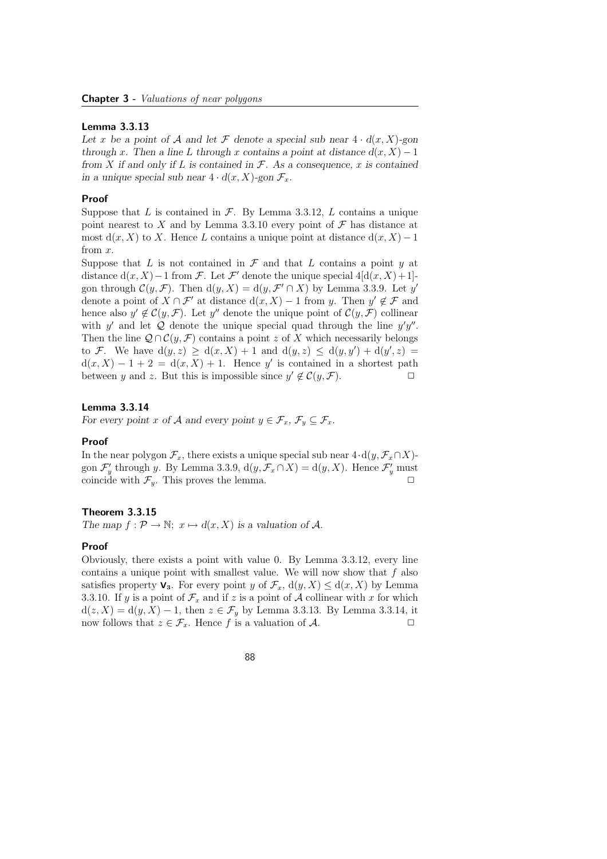#### Lemma 3.3.13

Let x be a point of A and let F denote a special sub near  $4 \cdot d(x, X)$ -gon through x. Then a line L through x contains a point at distance  $d(x, X) - 1$ from X if and only if L is contained in  $\mathcal F$ . As a consequence, x is contained in a unique special sub near  $4 \cdot d(x, X)$ -gon  $\mathcal{F}_x$ .

#### Proof

Suppose that  $L$  is contained in  $\mathcal{F}$ . By Lemma 3.3.12,  $L$  contains a unique point nearest to X and by Lemma 3.3.10 every point of  $\mathcal F$  has distance at most  $d(x, X)$  to X. Hence L contains a unique point at distance  $d(x, X) - 1$ from x.

Suppose that L is not contained in  $\mathcal F$  and that L contains a point y at distance  $d(x, X) - 1$  from F. Let F' denote the unique special  $4[d(x, X) + 1]$ gon through  $\mathcal{C}(y, \mathcal{F})$ . Then  $d(y, X) = d(y, \mathcal{F}' \cap X)$  by Lemma 3.3.9. Let  $y'$ denote a point of  $X \cap \mathcal{F}'$  at distance  $d(x, X) - 1$  from y. Then  $y' \notin \mathcal{F}$  and hence also  $y' \notin \mathcal{C}(y, \mathcal{F})$ . Let  $y''$  denote the unique point of  $\mathcal{C}(y, \mathcal{F})$  collinear with y' and let  $Q$  denote the unique special quad through the line  $y'y''$ . Then the line  $\mathcal{Q} \cap \mathcal{C}(y, \mathcal{F})$  contains a point z of X which necessarily belongs to F. We have  $d(y, z) \ge d(x, X) + 1$  and  $d(y, z) \le d(y, y') + d(y', z) =$  $d(x, X) - 1 + 2 = d(x, X) + 1$ . Hence y' is contained in a shortest path between y and z. But this is impossible since  $y' \notin C(y, \mathcal{F})$ .

## Lemma 3.3.14

For every point x of A and every point  $y \in \mathcal{F}_x$ ,  $\mathcal{F}_y \subseteq \mathcal{F}_x$ .

## Proof

In the near polygon  $\mathcal{F}_x$ , there exists a unique special sub near  $4 \cdot d(y, \mathcal{F}_x \cap X)$ gon  $\mathcal{F}'_y$  through y. By Lemma 3.3.9,  $d(y, \mathcal{F}_x \cap X) = d(y, X)$ . Hence  $\mathcal{F}'_y$  must coincide with  $\mathcal{F}_y$ . This proves the lemma.

## Theorem 3.3.15

The map  $f : \mathcal{P} \to \mathbb{N}; x \mapsto d(x, X)$  is a valuation of A.

## Proof

Obviously, there exists a point with value 0. By Lemma 3.3.12, every line contains a unique point with smallest value. We will now show that  $f$  also satisfies property  $\mathbf{V}_3$ . For every point y of  $\mathcal{F}_x$ ,  $d(y, X) \leq d(x, X)$  by Lemma 3.3.10. If y is a point of  $\mathcal{F}_x$  and if z is a point of A collinear with x for which  $d(z, X) = d(y, X) - 1$ , then  $z \in \mathcal{F}_y$  by Lemma 3.3.13. By Lemma 3.3.14, it<br>now follows that  $z \in \mathcal{F}_y$  Hence f is a valuation of A now follows that  $z \in \mathcal{F}_x$ . Hence f is a valuation of A.

$$
^{88}
$$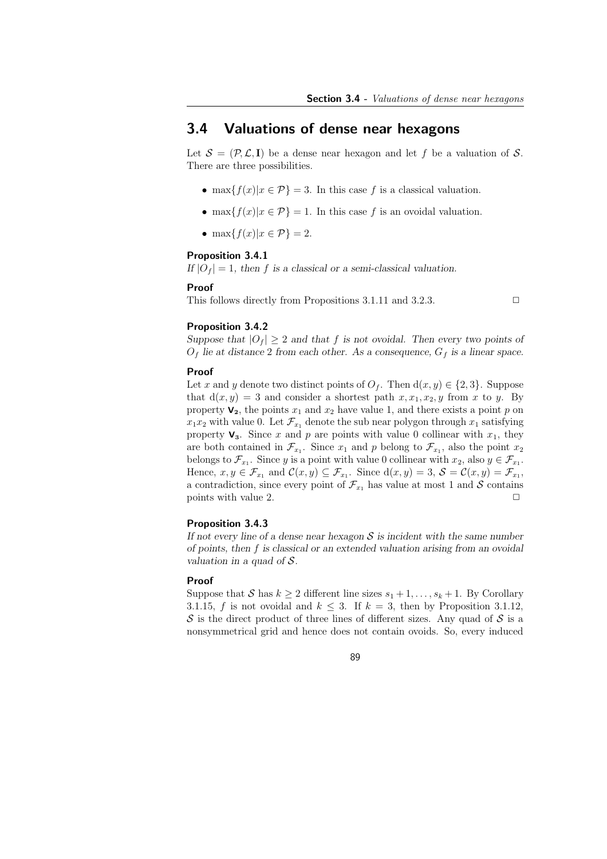# 3.4 Valuations of dense near hexagons

Let  $\mathcal{S} = (\mathcal{P}, \mathcal{L}, I)$  be a dense near hexagon and let f be a valuation of S. There are three possibilities.

- max ${f(x)|x \in \mathcal{P}} = 3$ . In this case f is a classical valuation.
- max ${f(x)|x \in \mathcal{P}} = 1$ . In this case f is an ovoidal valuation.
- max ${f(x)|x \in \mathcal{P}} = 2$ .

## Proposition 3.4.1

If  $|O_f| = 1$ , then f is a classical or a semi-classical valuation.

#### Proof

This follows directly from Propositions 3.1.11 and 3.2.3.  $\Box$ 

#### Proposition 3.4.2

Suppose that  $|O_f| \geq 2$  and that f is not ovoidal. Then every two points of  $O<sub>f</sub>$  lie at distance 2 from each other. As a consequence,  $G<sub>f</sub>$  is a linear space.

#### Proof

Let x and y denote two distinct points of  $O_f$ . Then  $d(x, y) \in \{2, 3\}$ . Suppose that  $d(x, y) = 3$  and consider a shortest path  $x, x_1, x_2, y$  from x to y. By property  $V_2$ , the points  $x_1$  and  $x_2$  have value 1, and there exists a point p on  $x_1x_2$  with value 0. Let  $\mathcal{F}_{x_1}$  denote the sub near polygon through  $x_1$  satisfying property  $V_3$ . Since x and p are points with value 0 collinear with  $x_1$ , they are both contained in  $\mathcal{F}_{x_1}$ . Since  $x_1$  and p belong to  $\mathcal{F}_{x_1}$ , also the point  $x_2$ belongs to  $\mathcal{F}_{x_1}$ . Since y is a point with value 0 collinear with  $x_2$ , also  $y \in \mathcal{F}_{x_1}$ . Hence,  $x, y \in \mathcal{F}_{x_1}$  and  $\mathcal{C}(x, y) \subseteq \mathcal{F}_{x_1}$ . Since  $d(x, y) = 3$ ,  $\mathcal{S} = \mathcal{C}(x, y) = \mathcal{F}_{x_1}$ , a contradiction, since every point of  $\mathcal{F}_{x_1}$  has value at most 1 and  $S$  contains points with value 2. points with value 2.

#### Proposition 3.4.3

If not every line of a dense near hexagon  $S$  is incident with the same number of points, then f is classical or an extended valuation arising from an ovoidal valuation in a quad of  $S$ .

## Proof

Suppose that S has  $k \geq 2$  different line sizes  $s_1 + 1, \ldots, s_k + 1$ . By Corollary 3.1.15, f is not ovoidal and  $k \leq 3$ . If  $k = 3$ , then by Proposition 3.1.12,  $S$  is the direct product of three lines of different sizes. Any quad of  $S$  is a nonsymmetrical grid and hence does not contain ovoids. So, every induced

89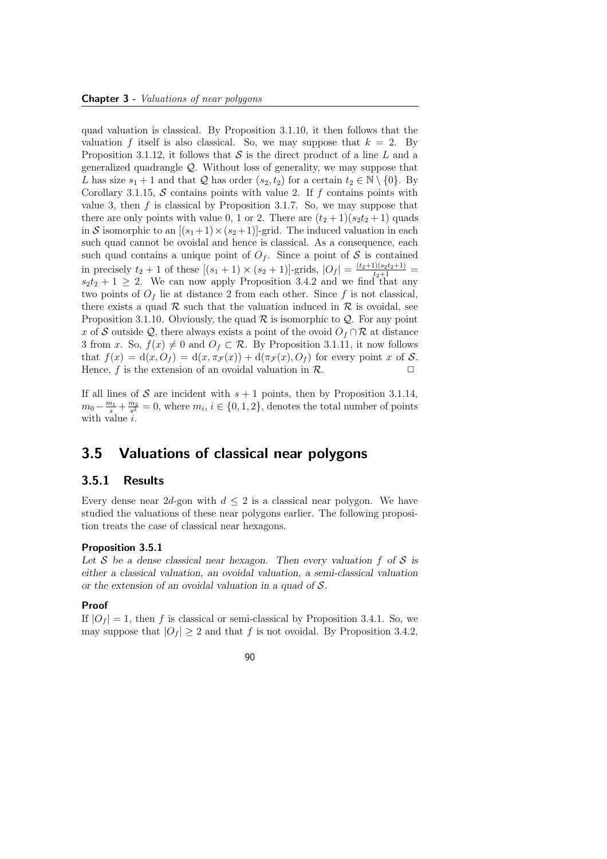quad valuation is classical. By Proposition 3.1.10, it then follows that the valuation f itself is also classical. So, we may suppose that  $k = 2$ . By Proposition 3.1.12, it follows that  $S$  is the direct product of a line L and a generalized quadrangle Q. Without loss of generality, we may suppose that L has size  $s_1 + 1$  and that Q has order  $(s_2, t_2)$  for a certain  $t_2 \in \mathbb{N} \setminus \{0\}$ . By Corollary 3.1.15,  $S$  contains points with value 2. If  $f$  contains points with value 3, then  $f$  is classical by Proposition 3.1.7. So, we may suppose that there are only points with value 0, 1 or 2. There are  $(t_2 + 1)(s_2t_2 + 1)$  quads in S isomorphic to an  $[(s_1+1)\times(s_2+1)]$ -grid. The induced valuation in each such quad cannot be ovoidal and hence is classical. As a consequence, each such quad contains a unique point of  $O_f$ . Since a point of S is contained in precisely  $t_2 + 1$  of these  $[(s_1 + 1) \times (s_2 + 1)]$ -grids,  $|O_f| = \frac{(t_2 + 1)(s_2t_2 + 1)}{t_2 + 1}$  $s_2t_2 + 1 \geq 2$ . We can now apply Proposition 3.4.2 and we find that any two points of  $O_f$  lie at distance 2 from each other. Since f is not classical, there exists a quad  $\mathcal R$  such that the valuation induced in  $\mathcal R$  is ovoidal, see Proposition 3.1.10. Obviously, the quad  $\mathcal R$  is isomorphic to  $\mathcal Q$ . For any point x of S outside Q, there always exists a point of the ovoid  $O<sub>f</sub> \cap \mathcal{R}$  at distance 3 from x. So,  $f(x) \neq 0$  and  $O_f \subset \mathcal{R}$ . By Proposition 3.1.11, it now follows that  $f(x) = d(x, O_f) = d(x, \pi_F(x)) + d(\pi_F(x), O_f)$  for every point x of S.<br>Hence f is the extension of an ovoidal valuation in R Hence, f is the extension of an ovoidal valuation in  $\mathcal{R}$ .

If all lines of S are incident with  $s + 1$  points, then by Proposition 3.1.14,  $m_0 - \frac{m_1}{s} + \frac{m_2}{s^2} = 0$ , where  $m_i$ ,  $i \in \{0, 1, 2\}$ , denotes the total number of points with value  $i$ .

# 3.5 Valuations of classical near polygons

## 3.5.1 Results

Every dense near 2d-gon with  $d \leq 2$  is a classical near polygon. We have studied the valuations of these near polygons earlier. The following proposition treats the case of classical near hexagons.

## Proposition 3.5.1

Let S be a dense classical near hexagon. Then every valuation f of S is either a classical valuation, an ovoidal valuation, a semi-classical valuation or the extension of an ovoidal valuation in a quad of S.

## Proof

If  $|O_f| = 1$ , then f is classical or semi-classical by Proposition 3.4.1. So, we may suppose that  $|O_f| \geq 2$  and that f is not ovoidal. By Proposition 3.4.2,

90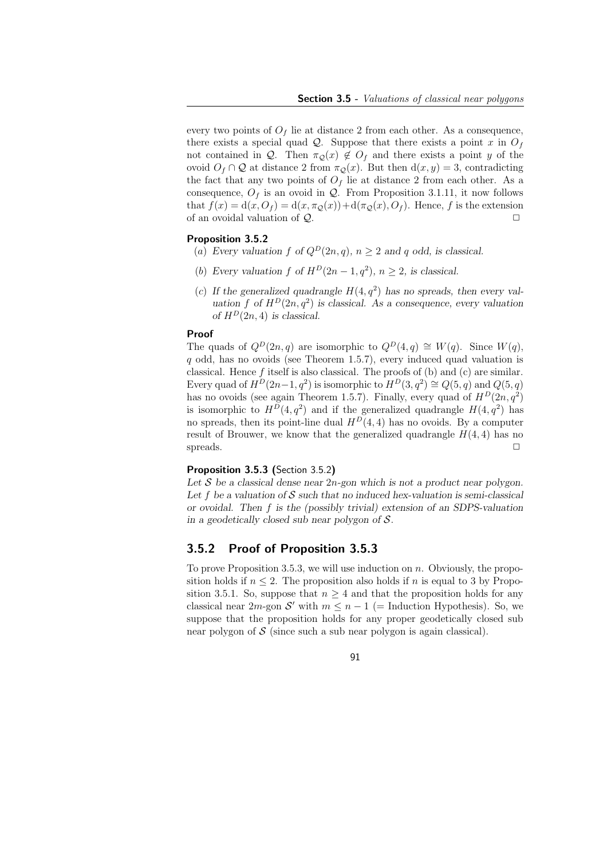every two points of  $O<sub>f</sub>$  lie at distance 2 from each other. As a consequence, there exists a special quad  $Q$ . Suppose that there exists a point x in  $O_f$ not contained in Q. Then  $\pi_{\mathcal{Q}}(x) \notin O_f$  and there exists a point y of the ovoid  $O_f \cap \mathcal{Q}$  at distance 2 from  $\pi_{\mathcal{Q}}(x)$ . But then  $d(x, y) = 3$ , contradicting the fact that any two points of  $O_f$  lie at distance 2 from each other. As a consequence,  $O_f$  is an ovoid in  $Q$ . From Proposition 3.1.11, it now follows that  $f(x) = d(x, O_f) = d(x, \pi_Q(x)) + d(\pi_Q(x), O_f)$ . Hence, f is the extension of an ovoidal valuation of  $Q$ .

## Proposition 3.5.2

- (a) Every valuation f of  $Q^D(2n, q)$ ,  $n \geq 2$  and q odd, is classical.
- (b) Every valuation f of  $H^D(2n-1, q^2)$ ,  $n \ge 2$ , is classical.
- (c) If the generalized quadrangle  $H(4, q^2)$  has no spreads, then every valuation f of  $H^D(2n, q^2)$  is classical. As a consequence, every valuation of  $H^D(2n, 4)$  is classical.

#### Proof

The quads of  $Q^D(2n, q)$  are isomorphic to  $Q^D(4, q) \cong W(q)$ . Since  $W(q)$ , q odd, has no ovoids (see Theorem 1.5.7), every induced quad valuation is classical. Hence f itself is also classical. The proofs of  $(b)$  and  $(c)$  are similar. Every quad of  $H^D(2n-1, q^2)$  is isomorphic to  $H^D(3, q^2) \cong Q(5, q)$  and  $Q(5, q)$ has no ovoids (see again Theorem 1.5.7). Finally, every quad of  $H<sup>D</sup>(2n, q<sup>2</sup>)$ is isomorphic to  $H^D(4,q^2)$  and if the generalized quadrangle  $H(4,q^2)$  has no spreads, then its point-line dual  $H<sup>D</sup>(4, 4)$  has no ovoids. By a computer result of Brouwer, we know that the generalized quadrangle  $H(4, 4)$  has no spreads.  $\Box$ 

## Proposition 3.5.3 (Section 3.5.2)

Let S be a classical dense near  $2n$ -gon which is not a product near polygon. Let f be a valuation of  $S$  such that no induced hex-valuation is semi-classical or ovoidal. Then f is the (possibly trivial) extension of an SDPS-valuation in a geodetically closed sub near polygon of  $S$ .

## 3.5.2 Proof of Proposition 3.5.3

To prove Proposition 3.5.3, we will use induction on  $n$ . Obviously, the proposition holds if  $n \leq 2$ . The proposition also holds if n is equal to 3 by Proposition 3.5.1. So, suppose that  $n \geq 4$  and that the proposition holds for any classical near  $2m$ -gon  $\mathcal{S}'$  with  $m \leq n-1$  (= Induction Hypothesis). So, we suppose that the proposition holds for any proper geodetically closed sub near polygon of  $S$  (since such a sub near polygon is again classical).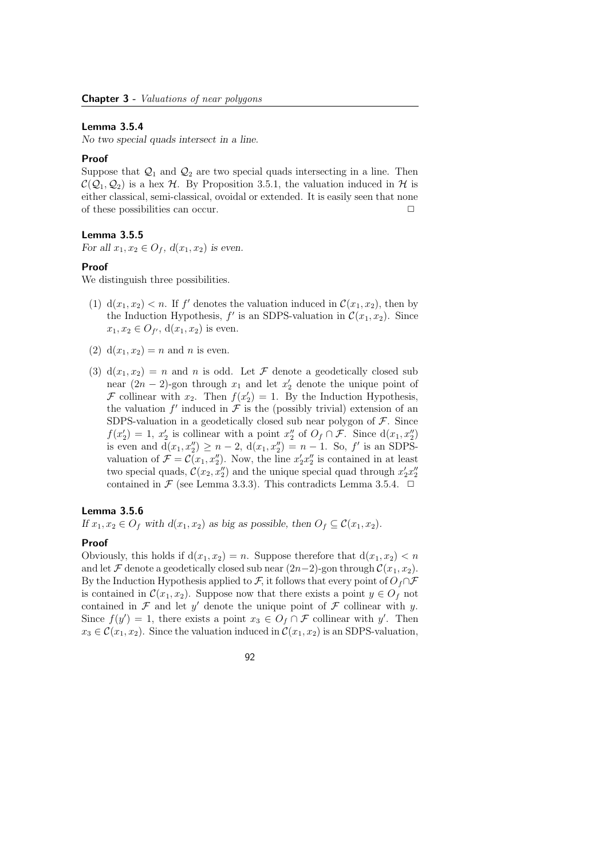## Lemma 3.5.4

No two special quads intersect in a line.

#### Proof

Suppose that  $\mathcal{Q}_1$  and  $\mathcal{Q}_2$  are two special quads intersecting in a line. Then  $\mathcal{C}(\mathcal{Q}_1, \mathcal{Q}_2)$  is a hex H. By Proposition 3.5.1, the valuation induced in H is either classical, semi-classical, ovoidal or extended. It is easily seen that none of these possibilities can occur.

## Lemma 3.5.5

For all  $x_1, x_2 \in O_f$ ,  $d(x_1, x_2)$  is even.

## Proof

We distinguish three possibilities.

- (1)  $d(x_1, x_2) < n$ . If f' denotes the valuation induced in  $\mathcal{C}(x_1, x_2)$ , then by the Induction Hypothesis,  $f'$  is an SDPS-valuation in  $\mathcal{C}(x_1, x_2)$ . Since  $x_1, x_2 \in O_{f'}, d(x_1, x_2)$  is even.
- (2)  $d(x_1, x_2) = n$  and *n* is even.
- (3)  $d(x_1, x_2) = n$  and n is odd. Let F denote a geodetically closed sub near  $(2n-2)$ -gon through  $x_1$  and let  $x_2'$  denote the unique point of  $\mathcal F$  collinear with  $x_2$ . Then  $f(x_2') = 1$ . By the Induction Hypothesis, the valuation  $f'$  induced in  $\mathcal F$  is the (possibly trivial) extension of an SDPS-valuation in a geodetically closed sub near polygon of  $\mathcal F$ . Since  $f(x_2') = 1, x_2'$  is collinear with a point  $x_2''$  of  $O_f \cap \mathcal{F}$ . Since  $d(x_1, x_2'')$ is even and  $d(x_1, x_2'') \ge n - 2$ ,  $d(x_1, x_2'') = n - 1$ . So, f' is an SDPSvaluation of  $\mathcal{F} = \mathcal{C}(x_1, x_2'')$ . Now, the line  $x_2' x_2''$  is contained in at least two special quads,  $\mathcal{C}(x_2, x_2'')$  and the unique special quad through  $x_2'x_2''$ contained in  $\mathcal F$  (see Lemma 3.3.3). This contradicts Lemma 3.5.4.  $\Box$

#### Lemma 3.5.6

If  $x_1, x_2 \in O_f$  with  $d(x_1, x_2)$  as big as possible, then  $O_f \subseteq C(x_1, x_2)$ .

#### Proof

Obviously, this holds if  $d(x_1, x_2) = n$ . Suppose therefore that  $d(x_1, x_2) < n$ and let  $\mathcal F$  denote a geodetically closed sub near  $(2n-2)$ -gon through  $\mathcal C(x_1, x_2)$ . By the Induction Hypothesis applied to  $\mathcal F$ , it follows that every point of  $O_f \cap \mathcal F$ is contained in  $\mathcal{C}(x_1, x_2)$ . Suppose now that there exists a point  $y \in O_f$  not contained in  $\mathcal F$  and let  $y'$  denote the unique point of  $\mathcal F$  collinear with y. Since  $f(y') = 1$ , there exists a point  $x_3 \in O_f \cap \mathcal{F}$  collinear with y'. Then  $x_3 \in \mathcal{C}(x_1, x_2)$ . Since the valuation induced in  $\mathcal{C}(x_1, x_2)$  is an SDPS-valuation,

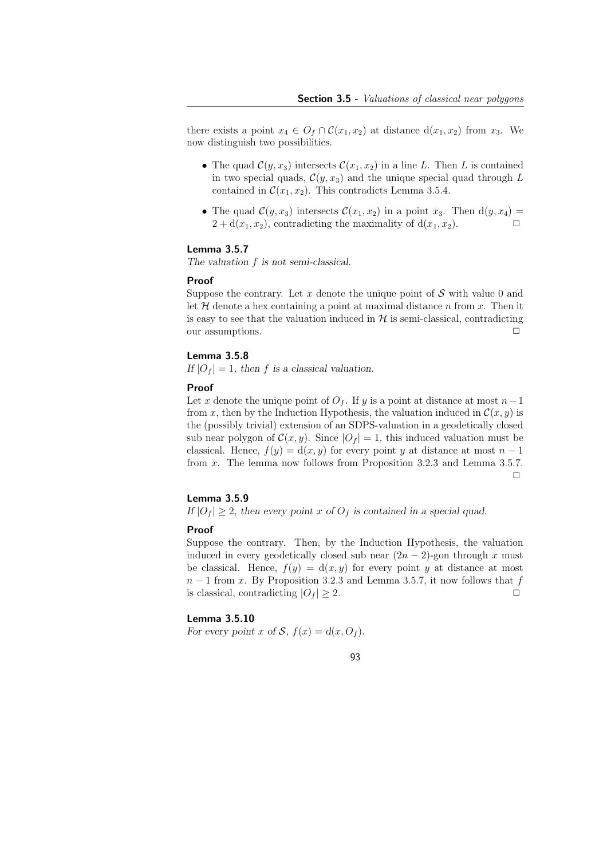there exists a point  $x_4 \in O_f \cap C(x_1, x_2)$  at distance  $d(x_1, x_2)$  from  $x_3$ . We now distinguish two possibilities.

- The quad  $\mathcal{C}(y, x_3)$  intersects  $\mathcal{C}(x_1, x_2)$  in a line L. Then L is contained in two special quads,  $\mathcal{C}(y, x_3)$  and the unique special quad through L contained in  $\mathcal{C}(x_1, x_2)$ . This contradicts Lemma 3.5.4.
- The quad  $\mathcal{C}(y, x_3)$  intersects  $\mathcal{C}(x_1, x_2)$  in a point  $x_3$ . Then  $d(y, x_4) =$  $2 + d(x_1, x_2)$ , contradicting the maximality of  $d(x_1, x_2)$ .

## Lemma 3.5.7

The valuation  $f$  is not semi-classical.

## Proof

Suppose the contrary. Let  $x$  denote the unique point of  $S$  with value 0 and let  $H$  denote a hex containing a point at maximal distance n from x. Then it is easy to see that the valuation induced in  $\mathcal H$  is semi-classical, contradicting our assumptions our assumptions.

## Lemma 3.5.8

If  $|O_f| = 1$ , then f is a classical valuation.

## Proof

Let x denote the unique point of  $O_f$ . If y is a point at distance at most  $n-1$ from x, then by the Induction Hypothesis, the valuation induced in  $\mathcal{C}(x, y)$  is the (possibly trivial) extension of an SDPS-valuation in a geodetically closed sub near polygon of  $\mathcal{C}(x, y)$ . Since  $|O_f| = 1$ , this induced valuation must be classical. Hence,  $f(y) = d(x, y)$  for every point y at distance at most  $n - 1$ from x. The lemma now follows from Proposition 3.2.3 and Lemma 3.5.7.  $\Box$ 

## Lemma 3.5.9

If  $|O_f| \geq 2$ , then every point x of  $O_f$  is contained in a special quad.

## Proof

Suppose the contrary. Then, by the Induction Hypothesis, the valuation induced in every geodetically closed sub near  $(2n - 2)$ -gon through x must be classical. Hence,  $f(y) = d(x, y)$  for every point y at distance at most  $n-1$  from x. By Proposition 3.2.3 and Lemma 3.5.7, it now follows that f is classical, contradicting  $|O_{\epsilon}| > 2$ . is classical, contradicting  $|O_f| \geq 2$ .

## Lemma 3.5.10

For every point x of S,  $f(x) = d(x, O<sub>f</sub>)$ .

93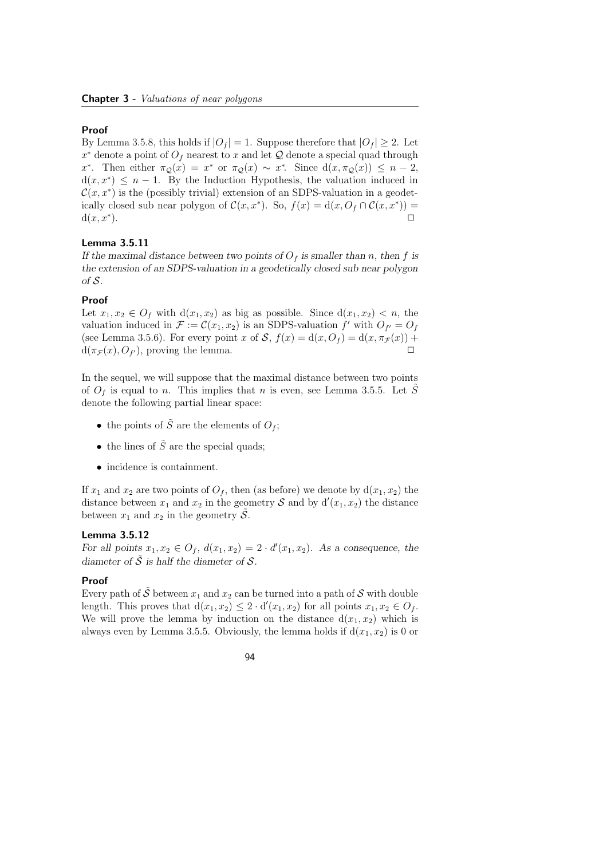## Proof

By Lemma 3.5.8, this holds if  $|O_f| = 1$ . Suppose therefore that  $|O_f| \geq 2$ . Let  $x^*$  denote a point of  $O_f$  nearest to x and let  $\mathcal Q$  denote a special quad through  $x^*$ . Then either  $\pi_{\mathcal{Q}}(x) = x^*$  or  $\pi_{\mathcal{Q}}(x) \sim x^*$ . Since  $d(x, \pi_{\mathcal{Q}}(x)) \leq n - 2$ ,  $d(x, x^*) \leq n - 1$ . By the Induction Hypothesis, the valuation induced in  $\mathcal{C}(x, x^*)$  is the (possibly trivial) extension of an SDPS-valuation in a geodetically closed sub near polygon of  $\mathcal{C}(x, x^*)$ . So,  $f(x) = d(x, O_f \cap \mathcal{C}(x, x^*))$  $d(x, x^*)$ ).  $\Box$ 

## Lemma 3.5.11

If the maximal distance between two points of  $O_f$  is smaller than n, then f is the extension of an SDPS-valuation in a geodetically closed sub near polygon of S.

## Proof

Let  $x_1, x_2 \in O_f$  with  $d(x_1, x_2)$  as big as possible. Since  $d(x_1, x_2) < n$ , the valuation induced in  $\mathcal{F} := \mathcal{C}(x_1, x_2)$  is an SDPS-valuation  $f'$  with  $O_{f'} = O_f$ (see Lemma 3.5.6). For every point x of  $S$ ,  $f(x) = d(x, O_f) = d(x, \pi_F(x))$  +  $d(\pi_{\mathcal{F}}(x), O_{f'})$ , proving the lemma.

In the sequel, we will suppose that the maximal distance between two points of  $O_f$  is equal to n. This implies that n is even, see Lemma 3.5.5. Let S denote the following partial linear space:

- the points of  $\tilde{S}$  are the elements of  $O_f$ ;
- the lines of  $\tilde{S}$  are the special quads;
- incidence is containment.

If  $x_1$  and  $x_2$  are two points of  $O_f$ , then (as before) we denote by  $d(x_1, x_2)$  the distance between  $x_1$  and  $x_2$  in the geometry  $S$  and by  $d'(x_1, x_2)$  the distance between  $x_1$  and  $x_2$  in the geometry  $\mathcal{S}$ .

## Lemma 3.5.12

For all points  $x_1, x_2 \in O_f$ ,  $d(x_1, x_2) = 2 \cdot d'(x_1, x_2)$ . As a consequence, the diameter of  $\tilde{\mathcal{S}}$  is half the diameter of  $\mathcal{S}$ .

## Proof

Every path of  $\tilde{S}$  between  $x_1$  and  $x_2$  can be turned into a path of S with double length. This proves that  $d(x_1, x_2) \leq 2 \cdot d'(x_1, x_2)$  for all points  $x_1, x_2 \in O_f$ . We will prove the lemma by induction on the distance  $d(x_1, x_2)$  which is always even by Lemma 3.5.5. Obviously, the lemma holds if  $d(x_1, x_2)$  is 0 or

94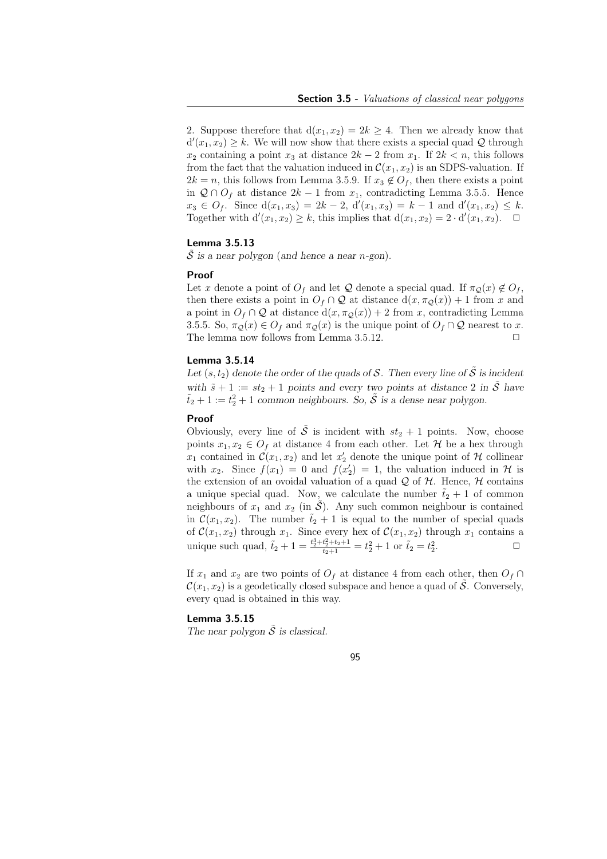2. Suppose therefore that  $d(x_1, x_2) = 2k \geq 4$ . Then we already know that  $d'(x_1, x_2) \geq k$ . We will now show that there exists a special quad Q through  $x_2$  containing a point  $x_3$  at distance  $2k - 2$  from  $x_1$ . If  $2k < n$ , this follows from the fact that the valuation induced in  $\mathcal{C}(x_1, x_2)$  is an SDPS-valuation. If  $2k = n$ , this follows from Lemma 3.5.9. If  $x_3 \notin O_f$ , then there exists a point in  $Q ∩ O<sub>f</sub>$  at distance  $2k - 1$  from  $x<sub>1</sub>$ , contradicting Lemma 3.5.5. Hence  $x_3 \in O_f$ . Since  $d(x_1, x_3) = 2k - 2$ ,  $d'(x_1, x_3) = k - 1$  and  $d'(x_1, x_2) \leq k$ . Together with  $d'(x_1, x_2) \geq k$ , this implies that  $d(x_1, x_2) = 2 \cdot d'(x_1, x_2)$ .  $\Box$ 

## Lemma 3.5.13

 $\tilde{\mathcal{S}}$  is a near polygon (and hence a near n-gon).

#### Proof

Let x denote a point of  $O_f$  and let  $\mathcal Q$  denote a special quad. If  $\pi_{\mathcal Q}(x) \notin O_f$ , then there exists a point in  $O_f \cap \mathcal{Q}$  at distance  $d(x, \pi_{\mathcal{Q}}(x)) + 1$  from x and a point in  $O_f \cap \mathcal{Q}$  at distance  $d(x, \pi_{\mathcal{Q}}(x)) + 2$  from x, contradicting Lemma 3.5.5. So,  $\pi_{\mathcal{Q}}(x) \in O_f$  and  $\pi_{\mathcal{Q}}(x)$  is the unique point of  $O_f \cap \mathcal{Q}$  nearest to x.<br>The lemma now follows from Lemma 3.5.12 The lemma now follows from Lemma 3.5.12.

## Lemma 3.5.14

Let  $(s, t_2)$  denote the order of the quads of S. Then every line of  $\tilde{S}$  is incident with  $\tilde{s} + 1 := st_2 + 1$  points and every two points at distance 2 in  $\tilde{S}$  have  $\tilde{t}_2 + 1 := t_2^2 + 1$  common neighbours. So,  $\tilde{S}$  is a dense near polygon.

## Proof

Obviously, every line of  $\tilde{S}$  is incident with  $st_2 + 1$  points. Now, choose points  $x_1, x_2 \in O_f$  at distance 4 from each other. Let H be a hex through  $x_1$  contained in  $\mathcal{C}(x_1, x_2)$  and let  $x_2'$  denote the unique point of  $\mathcal H$  collinear with  $x_2$ . Since  $f(x_1) = 0$  and  $f(x_2') = 1$ , the valuation induced in  $\mathcal H$  is the extension of an ovoidal valuation of a quad  $\mathcal Q$  of  $\mathcal H$ . Hence,  $\mathcal H$  contains a unique special quad. Now, we calculate the number  $\tilde{t}_2 + 1$  of common neighbours of  $x_1$  and  $x_2$  (in  $\tilde{S}$ ). Any such common neighbour is contained in  $\mathcal{C}(x_1, x_2)$ . The number  $\tilde{t}_2 + 1$  is equal to the number of special quads of  $\mathcal{C}(x_1, x_2)$  through  $x_1$ . Since every hex of  $\mathcal{C}(x_1, x_2)$  through  $x_1$  contains a unique such quad,  $\tilde{t}_2 + 1 = \frac{t_2^3 + t_2^2 + t_2 + 1}{t_2 + 1} = t_2^2 + 1$  or  $\tilde{t}_2 = t_2^2$ .

If  $x_1$  and  $x_2$  are two points of  $O_f$  at distance 4 from each other, then  $O_f \cap$  $\mathcal{C}(x_1, x_2)$  is a geodetically closed subspace and hence a quad of S. Conversely, every quad is obtained in this way.

## Lemma 3.5.15

The near polygon  $\tilde{S}$  is classical.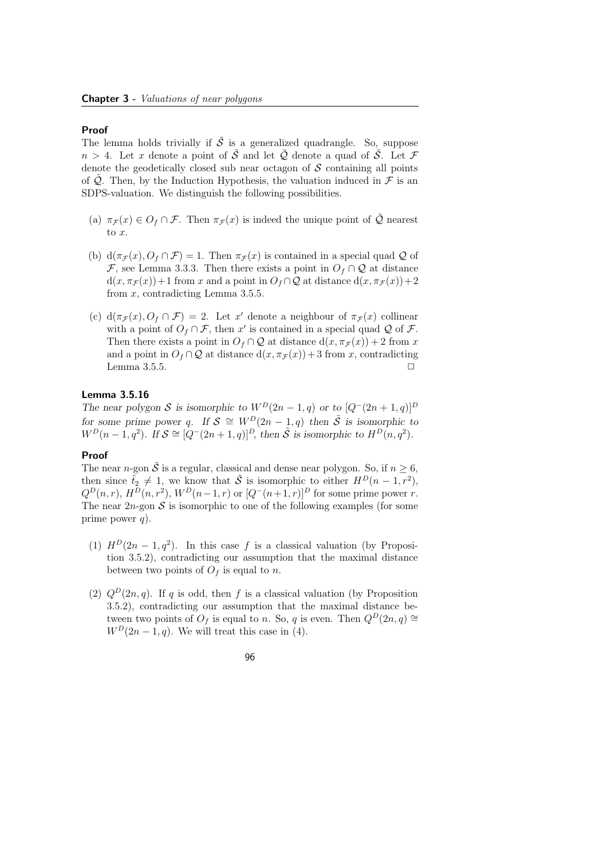## Proof

The lemma holds trivially if  $\tilde{\mathcal{S}}$  is a generalized quadrangle. So, suppose  $n > 4$ . Let x denote a point of  $\tilde{S}$  and let  $\tilde{Q}$  denote a quad of  $\tilde{S}$ . Let F denote the geodetically closed sub near octagon of  $S$  containing all points of  $Q$ . Then, by the Induction Hypothesis, the valuation induced in  $\mathcal F$  is an SDPS-valuation. We distinguish the following possibilities.

- (a)  $\pi_{\mathcal{F}}(x) \in O_f \cap \mathcal{F}$ . Then  $\pi_{\mathcal{F}}(x)$  is indeed the unique point of  $\tilde{\mathcal{Q}}$  nearest to x.
- (b)  $d(\pi_{\mathcal{F}}(x), O_f \cap \mathcal{F}) = 1$ . Then  $\pi_{\mathcal{F}}(x)$  is contained in a special quad Q of  $\mathcal F$ , see Lemma 3.3.3. Then there exists a point in  $O_f \cap \mathcal Q$  at distance  $d(x, \pi_{\mathcal{F}}(x))+1$  from x and a point in  $O_f \cap \mathcal{Q}$  at distance  $d(x, \pi_{\mathcal{F}}(x))+2$ from  $x$ , contradicting Lemma 3.5.5.
- (c)  $d(\pi_{\mathcal{F}}(x), O_f \cap \mathcal{F}) = 2$ . Let x' denote a neighbour of  $\pi_{\mathcal{F}}(x)$  collinear with a point of  $O_f \cap \mathcal{F}$ , then x' is contained in a special quad Q of  $\mathcal{F}$ . Then there exists a point in  $O_f \cap \mathcal{Q}$  at distance  $d(x, \pi_{\mathcal{F}}(x)) + 2$  from x and a point in  $O_f \cap \mathcal{Q}$  at distance  $d(x, \pi_{\mathcal{F}}(x)) + 3$  from x, contradicting Lemma 3.5.5 Lemma  $3.5.5$ .

## Lemma 3.5.16

The near polygon S is isomorphic to  $W^D(2n-1,q)$  or to  $[Q^-(2n+1,q)]^D$ for some prime power q. If  $S \cong W^D(2n-1, q)$  then  $\tilde{S}$  is isomorphic to  $W^{D}(n-1,q^{2})$ . If  $S \cong [Q^{-(2n+1,q)}]^{D}$ , then  $\tilde{S}$  is isomorphic to  $H^{D}(n,q^{2})$ .

#### Proof

The near *n*-gon  $\tilde{S}$  is a regular, classical and dense near polygon. So, if  $n \geq 6$ , then since  $\tilde{t}_2 \neq 1$ , we know that  $\tilde{S}$  is isomorphic to either  $H^D(n-1,r^2)$ ,  $Q^D(n,r)$ ,  $H^D(n,r^2)$ ,  $W^D(n-1,r)$  or  $[Q^-(n+1,r)]^D$  for some prime power r. The near  $2n$ -gon S is isomorphic to one of the following examples (for some prime power  $q$ ).

- (1)  $H^D(2n-1, q^2)$ . In this case f is a classical valuation (by Proposition 3.5.2), contradicting our assumption that the maximal distance between two points of  $O_f$  is equal to n.
- (2)  $Q^D(2n, q)$ . If q is odd, then f is a classical valuation (by Proposition 3.5.2), contradicting our assumption that the maximal distance between two points of  $O_f$  is equal to n. So, q is even. Then  $Q^D(2n, q) \cong$  $W^D(2n-1, q)$ . We will treat this case in (4).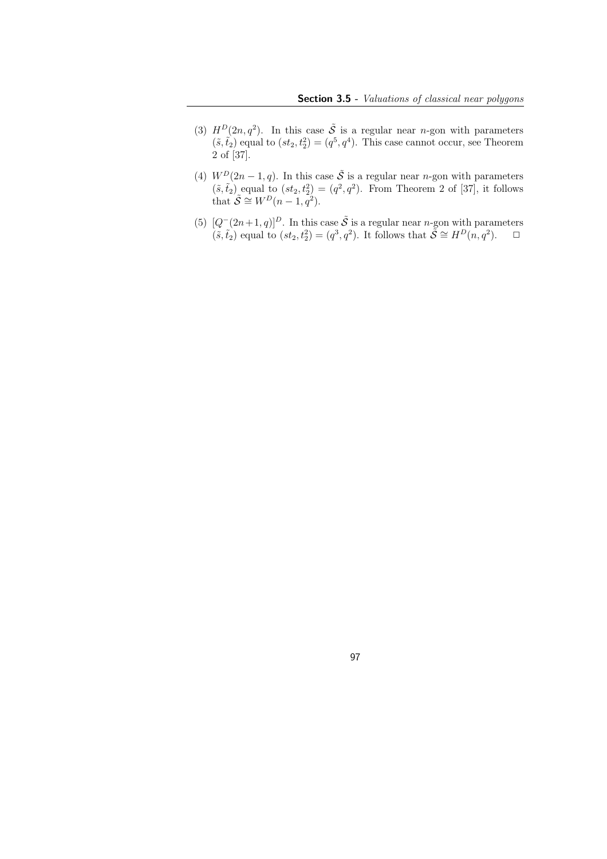- (3)  $H^D(2n, q^2)$ . In this case  $\tilde{S}$  is a regular near *n*-gon with parameters  $(\tilde{s}, \tilde{t}_2)$  equal to  $(st_2, t_2^2) = (q^5, q^4)$ . This case cannot occur, see Theorem 2 of [37].
- (4)  $W^D(2n-1, q)$ . In this case  $\tilde{S}$  is a regular near n-gon with parameters  $(\tilde{s}, \tilde{t}_2)$  equal to  $(st_2, t_2^2) = (q^2, q^2)$ . From Theorem 2 of [37], it follows that  $\tilde{\mathcal{S}} \cong W^D(n-1, q^2)$ .
- (5)  $[Q-(2n+1, q)]^D$ . In this case  $\tilde{S}$  is a regular near n-gon with parameters  $(\tilde{s}, \tilde{t}_2)$  equal to  $(st_2, t_2^2) = (q^3, q^2)$ . It follows that  $\tilde{\mathcal{S}} \cong H^D(n, q^2)$ .  $\Box$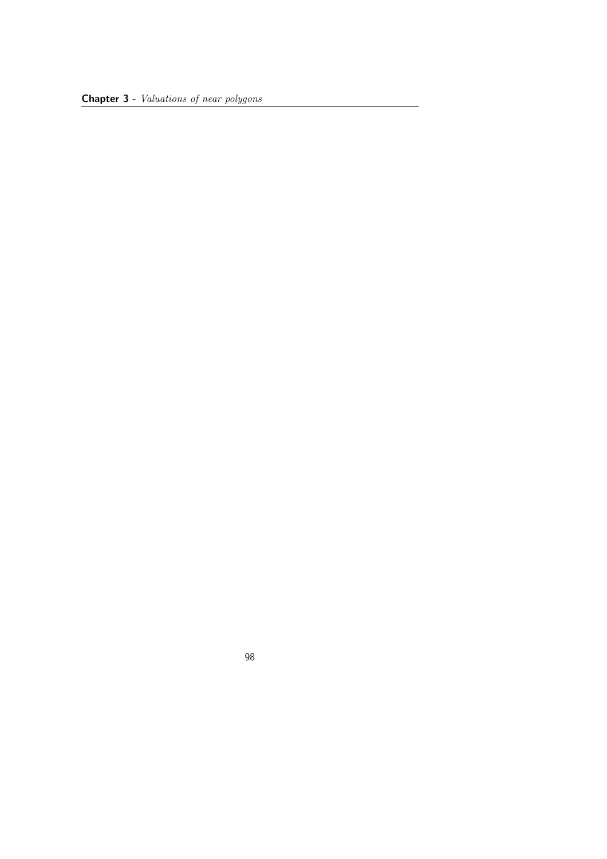Chapter 3 - Valuations of near polygons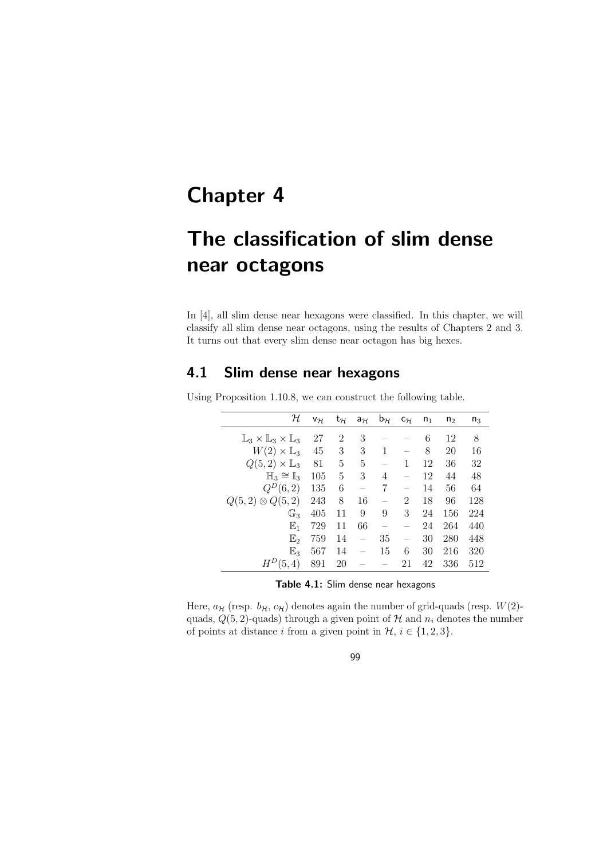# Chapter 4

# The classification of slim dense near octagons

In [4], all slim dense near hexagons were classified. In this chapter, we will classify all slim dense near octagons, using the results of Chapters 2 and 3. It turns out that every slim dense near octagon has big hexes.

# 4.1 Slim dense near hexagons

| Н                                                      | $V_{\mathcal{H}}$ | $t_{\mathcal{H}}$ | $a_{\mathcal{H}}$ | $b_{\mathcal{H}}$ | $c_{\mathcal{H}}$ | $n_1$ | n <sub>2</sub> | $n_3$ |
|--------------------------------------------------------|-------------------|-------------------|-------------------|-------------------|-------------------|-------|----------------|-------|
| $\mathbb{L}_3 \times \mathbb{L}_3 \times \mathbb{L}_3$ | 27                | 2                 | 3                 |                   |                   | 6     | 12             | 8     |
| $W(2) \times \mathbb{L}_3$                             | 45                | 3                 | 3                 | 1                 |                   | 8     | 20             | 16    |
| $Q(5,2)\times\mathbb{L}_3$                             | 81                | 5                 | 5                 |                   | 1                 | 12    | 36             | 32    |
| $\mathbb{H}_3 \cong \mathbb{I}_3$                      | 105               | 5                 | 3                 | 4                 |                   | 12    | 44             | 48    |
| $Q^D(6,2)$                                             | 135               | 6                 |                   | 7                 |                   | 14    | 56             | 64    |
| $Q(5,2) \otimes Q(5,2)$                                | 243               | 8                 | 16                |                   | 2                 | 18    | 96             | 128   |
| $\mathbb{G}_3$                                         | 405               | 11                | 9                 | 9                 | 3                 | 24    | 156            | 224   |
| $\mathbb{E}_1$                                         | 729               | 11                | 66                |                   |                   | 24    | 264            | 440   |
| $\mathbb{E}_2$                                         | 759               | 14                |                   | 35                |                   | 30    | 280            | 448   |
| $\mathbb{E}_3$                                         | 567               | 14                |                   | 15                | 6                 | 30    | 216            | 320   |
| $H^D(5,4)$                                             | 891               | 20                |                   |                   | 21                | 42    | 336            | 512   |

Using Proposition 1.10.8, we can construct the following table.

Table 4.1: Slim dense near hexagons

Here,  $a_{\mathcal{H}}$  (resp.  $b_{\mathcal{H}}, c_{\mathcal{H}}$ ) denotes again the number of grid-quads (resp.  $W(2)$ quads,  $Q(5, 2)$ -quads) through a given point of H and  $n_i$  denotes the number of points at distance i from a given point in  $\mathcal{H}, i \in \{1, 2, 3\}.$ 

<sup>99</sup>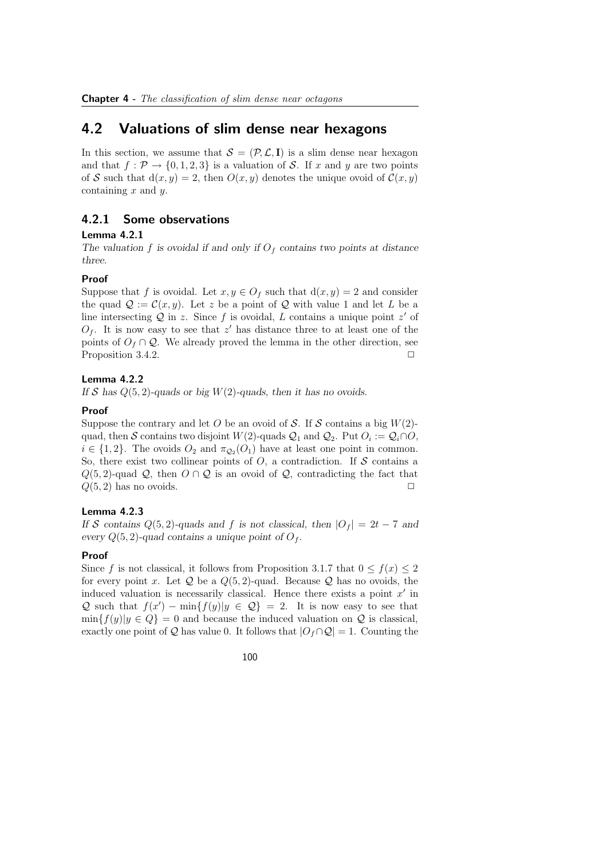# 4.2 Valuations of slim dense near hexagons

In this section, we assume that  $S = (\mathcal{P}, \mathcal{L}, I)$  is a slim dense near hexagon and that  $f : \mathcal{P} \to \{0, 1, 2, 3\}$  is a valuation of S. If x and y are two points of S such that  $d(x, y) = 2$ , then  $O(x, y)$  denotes the unique ovoid of  $C(x, y)$ containing  $x$  and  $y$ .

# 4.2.1 Some observations

# Lemma 4.2.1

The valuation f is ovoidal if and only if  $O_f$  contains two points at distance three.

# Proof

Suppose that f is ovoidal. Let  $x, y \in O_f$  such that  $d(x, y) = 2$  and consider the quad  $\mathcal{Q} := \mathcal{C}(x, y)$ . Let z be a point of  $\mathcal Q$  with value 1 and let L be a line intersecting  $Q$  in z. Since f is ovoidal, L contains a unique point z' of  $O_f$ . It is now easy to see that  $z'$  has distance three to at least one of the points of  $O_f \cap Q$ . We already proved the lemma in the other direction, see Proposition 3.4.2.

# Lemma 4.2.2

If S has  $Q(5, 2)$ -quads or big  $W(2)$ -quads, then it has no ovoids.

# Proof

Suppose the contrary and let O be an ovoid of S. If S contains a big  $W(2)$ quad, then S contains two disjoint  $W(2)$ -quads  $\mathcal{Q}_1$  and  $\mathcal{Q}_2$ . Put  $O_i := \mathcal{Q}_i \cap O$ ,  $i \in \{1,2\}$ . The ovoids  $O_2$  and  $\pi_{\mathcal{Q}_2}(O_1)$  have at least one point in common. So, there exist two collinear points of  $O$ , a contradiction. If  $S$  contains a  $Q(5, 2)$ -quad  $Q$ , then  $O \cap Q$  is an ovoid of  $Q$ , contradicting the fact that  $O(5, 2)$  has no ovoids  $Q(5, 2)$  has no ovoids.

# Lemma 4.2.3

If S contains  $Q(5,2)$ -quads and f is not classical, then  $|O_f| = 2t - 7$  and every  $Q(5, 2)$ -quad contains a unique point of  $O_f$ .

# Proof

Since f is not classical, it follows from Proposition 3.1.7 that  $0 \le f(x) \le 2$ for every point x. Let  $\mathcal Q$  be a  $\mathcal Q(5, 2)$ -quad. Because  $\mathcal Q$  has no ovoids, the induced valuation is necessarily classical. Hence there exists a point  $x'$  in Q such that  $f(x') - \min\{f(y)|y \in \mathcal{Q}\} = 2$ . It is now easy to see that  $\min\{f(y)|y \in Q\} = 0$  and because the induced valuation on Q is classical, exactly one point of Q has value 0. It follows that  $|O_f \cap \mathcal{Q}| = 1$ . Counting the

100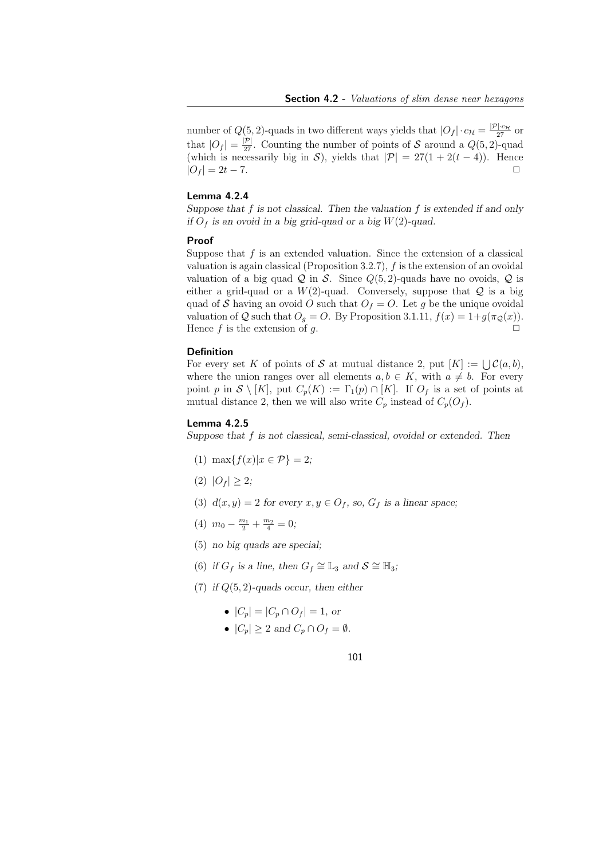number of  $Q(5, 2)$ -quads in two different ways yields that  $|O_f| \cdot c_{\mathcal{H}} = \frac{|\mathcal{P}| \cdot c_{\mathcal{H}}}{27}$  or that  $|O_f| = \frac{|P|}{27}$ . Counting the number of points of S around a  $Q(5, 2)$ -quad (which is necessarily big in S), yields that  $|\mathcal{P}| = 27(1 + 2(t - 4))$ . Hence  $|\mathcal{O}_t| = 2t - 7$  $|O_f| = 2t - 7.$ 

# Lemma 4.2.4

Suppose that f is not classical. Then the valuation f is extended if and only if  $O<sub>f</sub>$  is an ovoid in a big grid-quad or a big  $W(2)$ -quad.

# Proof

Suppose that  $f$  is an extended valuation. Since the extension of a classical valuation is again classical (Proposition 3.2.7), f is the extension of an ovoidal valuation of a big quad  $\mathcal Q$  in  $\mathcal S$ . Since  $Q(5, 2)$ -quads have no ovoids,  $\mathcal Q$  is either a grid-quad or a  $W(2)$ -quad. Conversely, suppose that  $Q$  is a big quad of S having an ovoid O such that  $O_f = O$ . Let g be the unique ovoidal valuation of Q such that  $O_g = O$ . By Proposition 3.1.11,  $f(x) = 1 + g(\pi_Q(x))$ .<br>Hence f is the extension of a Hence  $f$  is the extension of  $g$ .

# Definition

For every set K of points of S at mutual distance 2, put  $[K] := \bigcup \mathcal{C}(a, b),$ where the union ranges over all elements  $a, b \in K$ , with  $a \neq b$ . For every point p in  $S \setminus [K]$ , put  $C_p(K) := \Gamma_1(p) \cap [K]$ . If  $O_f$  is a set of points at mutual distance 2, then we will also write  $C_p$  instead of  $C_p(O_f)$ .

# Lemma 4.2.5

Suppose that f is not classical, semi-classical, ovoidal or extended. Then

- (1) max ${f(x)|x \in \mathcal{P}} = 2$ ;
- (2)  $|O_f| > 2$ ;
- (3)  $d(x, y) = 2$  for every  $x, y \in O_f$ , so,  $G_f$  is a linear space;
- (4)  $m_0 \frac{m_1}{2} + \frac{m_2}{4} = 0;$
- (5) no big quads are special;
- (6) if  $G_f$  is a line, then  $G_f \cong \mathbb{L}_3$  and  $S \cong \mathbb{H}_3$ ;
- (7) if  $Q(5, 2)$ -quads occur, then either
	- $|C_p| = |C_p \cap O_f| = 1$ , or
	- $|C_n| \geq 2$  and  $C_n \cap O_f = \emptyset$ .

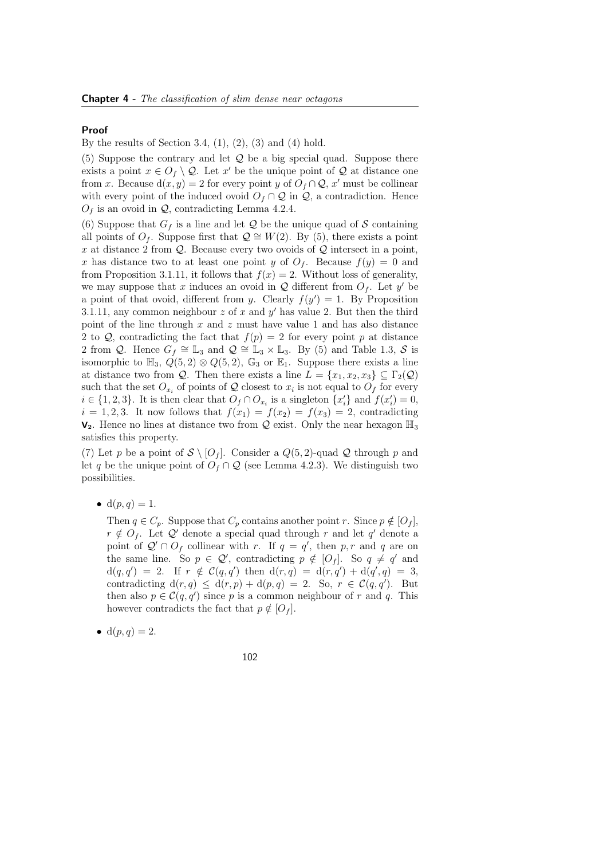#### Proof

By the results of Section 3.4,  $(1)$ ,  $(2)$ ,  $(3)$  and  $(4)$  hold.

(5) Suppose the contrary and let  $Q$  be a big special quad. Suppose there exists a point  $x \in O_f \setminus \mathcal{Q}$ . Let x' be the unique point of  $\mathcal Q$  at distance one from x. Because  $d(x, y) = 2$  for every point y of  $O_f \cap \mathcal{Q}, x'$  must be collinear with every point of the induced ovoid  $O_f \cap \mathcal{Q}$  in  $\mathcal{Q}$ , a contradiction. Hence  $O<sub>f</sub>$  is an ovoid in  $Q$ , contradicting Lemma 4.2.4.

(6) Suppose that  $G_f$  is a line and let  $\mathcal Q$  be the unique quad of  $\mathcal S$  containing all points of  $O_f$ . Suppose first that  $\mathcal{Q} \cong W(2)$ . By (5), there exists a point x at distance 2 from  $Q$ . Because every two ovoids of  $Q$  intersect in a point, x has distance two to at least one point y of  $O_f$ . Because  $f(y) = 0$  and from Proposition 3.1.11, it follows that  $f(x) = 2$ . Without loss of generality, we may suppose that x induces an ovoid in  $Q$  different from  $O_f$ . Let y' be a point of that ovoid, different from y. Clearly  $f(y') = 1$ . By Proposition 3.1.11, any common neighbour  $z$  of  $x$  and  $y'$  has value 2. But then the third point of the line through  $x$  and  $z$  must have value 1 and has also distance 2 to Q, contradicting the fact that  $f(p) = 2$  for every point p at distance 2 from Q. Hence  $G_f \cong \mathbb{L}_3$  and  $\mathcal{Q} \cong \mathbb{L}_3 \times \mathbb{L}_3$ . By (5) and Table 1.3, S is isomorphic to  $\mathbb{H}_3$ ,  $Q(5, 2) \otimes Q(5, 2)$ ,  $\mathbb{G}_3$  or  $\mathbb{E}_1$ . Suppose there exists a line at distance two from Q. Then there exists a line  $L = \{x_1, x_2, x_3\} \subseteq \Gamma_2(\mathcal{Q})$ such that the set  $O_{x_i}$  of points of Q closest to  $x_i$  is not equal to  $O_f$  for every  $i \in \{1, 2, 3\}$ . It is then clear that  $O_f \cap O_{x_i}$  is a singleton  $\{x'_i\}$  and  $f(x'_i) = 0$ ,  $i = 1, 2, 3$ . It now follows that  $f(x_1) = f(x_2) = f(x_3) = 2$ , contradicting  $V_2$ . Hence no lines at distance two from Q exist. Only the near hexagon  $\mathbb{H}_3$ satisfies this property.

(7) Let p be a point of  $S \setminus [O_f]$ . Consider a  $Q(5, 2)$ -quad  $Q$  through p and let q be the unique point of  $O_f \cap \mathcal{Q}$  (see Lemma 4.2.3). We distinguish two possibilities.

•  $d(p, q) = 1$ .

Then  $q \in C_p$ . Suppose that  $C_p$  contains another point r. Since  $p \notin [O_f]$ ,  $r \notin O_f$ . Let  $\mathcal{Q}'$  denote a special quad through r and let  $q'$  denote a point of  $Q' \cap O_f$  collinear with r. If  $q = q'$ , then p, r and q are on the same line. So  $p \in \mathcal{Q}'$ , contradicting  $p \notin [O_f]$ . So  $q \neq q'$  and  $d(q, q') = 2$ . If  $r \notin C(q, q')$  then  $d(r, q) = d(r, q') + d(q', q) = 3$ , contradicting  $d(r, q) \leq d(r, p) + d(p, q) = 2$ . So,  $r \in C(q, q')$ . But then also  $p \in \mathcal{C}(q, q')$  since p is a common neighbour of r and q. This however contradicts the fact that  $p \notin [O_f]$ .

•  $d(p, q) = 2$ .

$$
102 \\
$$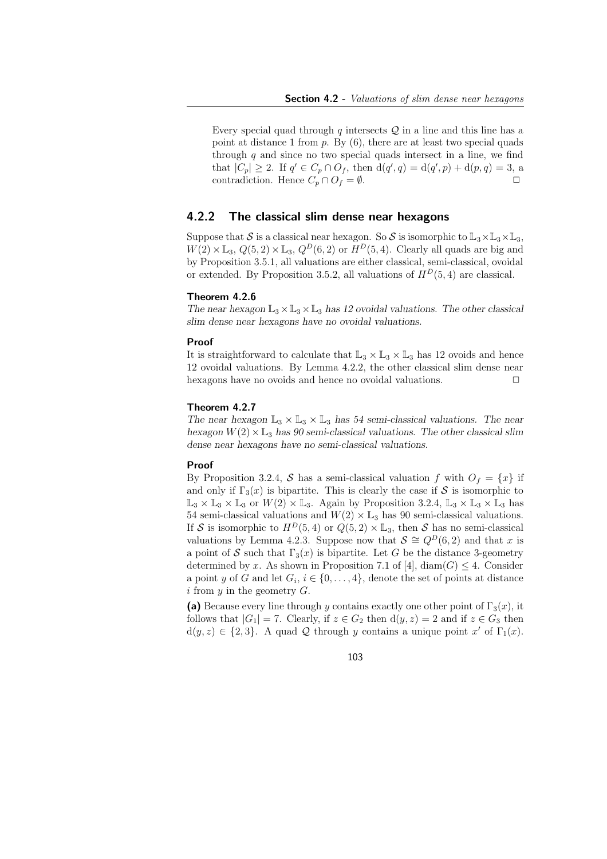Every special quad through q intersects  $\mathcal{Q}$  in a line and this line has a point at distance 1 from  $p$ . By  $(6)$ , there are at least two special quads through  $q$  and since no two special quads intersect in a line, we find that  $|C_p| \ge 2$ . If  $q' \in C_p \cap O_f$ , then  $d(q', q) = d(q', p) + d(p, q) = 3$ , a contradiction. Hence  $C_p \cap O_f = \emptyset$ .

# 4.2.2 The classical slim dense near hexagons

Suppose that S is a classical near hexagon. So S is isomorphic to  $\mathbb{L}_3 \times \mathbb{L}_3 \times \mathbb{L}_3$ ,  $W(2) \times \mathbb{L}_3$ ,  $Q(5,2) \times \mathbb{L}_3$ ,  $Q^D(6,2)$  or  $H^D(5,4)$ . Clearly all quads are big and by Proposition 3.5.1, all valuations are either classical, semi-classical, ovoidal or extended. By Proposition 3.5.2, all valuations of  $H<sup>D</sup>(5, 4)$  are classical.

# Theorem 4.2.6

The near hexagon  $\mathbb{L}_3 \times \mathbb{L}_3 \times \mathbb{L}_3$  has 12 ovoidal valuations. The other classical slim dense near hexagons have no ovoidal valuations.

#### Proof

It is straightforward to calculate that  $\mathbb{L}_3 \times \mathbb{L}_3 \times \mathbb{L}_3$  has 12 ovoids and hence 12 ovoidal valuations. By Lemma 4.2.2, the other classical slim dense near hexagons have no ovoids and hence no ovoidal valuations.

# Theorem 4.2.7

The near hexagon  $\mathbb{L}_3 \times \mathbb{L}_3 \times \mathbb{L}_3$  has 54 semi-classical valuations. The near hexagon  $W(2) \times \mathbb{L}_3$  has 90 semi-classical valuations. The other classical slim dense near hexagons have no semi-classical valuations.

# Proof

By Proposition 3.2.4, S has a semi-classical valuation f with  $O_f = \{x\}$  if and only if  $\Gamma_3(x)$  is bipartite. This is clearly the case if S is isomorphic to  $\mathbb{L}_3 \times \mathbb{L}_3 \times \mathbb{L}_3$  or  $W(2) \times \mathbb{L}_3$ . Again by Proposition 3.2.4,  $\mathbb{L}_3 \times \mathbb{L}_3 \times \mathbb{L}_3$  has 54 semi-classical valuations and  $W(2) \times \mathbb{L}_3$  has 90 semi-classical valuations. If S is isomorphic to  $H^D(5, 4)$  or  $Q(5, 2) \times \mathbb{L}_3$ , then S has no semi-classical valuations by Lemma 4.2.3. Suppose now that  $S \cong Q^D(6, 2)$  and that x is a point of S such that  $\Gamma_3(x)$  is bipartite. Let G be the distance 3-geometry determined by x. As shown in Proposition 7.1 of [4],  $\text{diam}(G) \leq 4$ . Consider a point y of G and let  $G_i$ ,  $i \in \{0, \ldots, 4\}$ , denote the set of points at distance i from  $y$  in the geometry  $G$ .

(a) Because every line through y contains exactly one other point of  $\Gamma_3(x)$ , it follows that  $|G_1| = 7$ . Clearly, if  $z \in G_2$  then  $d(y, z) = 2$  and if  $z \in G_3$  then  $d(y, z) \in \{2, 3\}$ . A quad  $\mathcal Q$  through y contains a unique point  $x'$  of  $\Gamma_1(x)$ .

103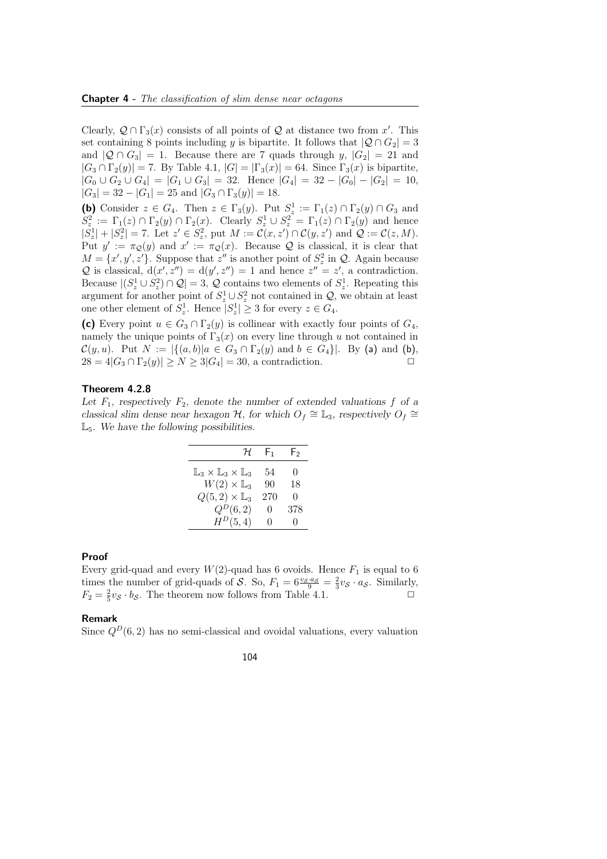Clearly,  $Q \cap \Gamma_3(x)$  consists of all points of Q at distance two from x'. This set containing 8 points including y is bipartite. It follows that  $|Q \cap G_2| = 3$ and  $|Q \cap G_3| = 1$ . Because there are 7 quads through y,  $|G_2| = 21$  and  $|G_3 \cap \Gamma_2(y)| = 7$ . By Table 4.1,  $|G| = |\Gamma_3(x)| = 64$ . Since  $\Gamma_3(x)$  is bipartite,  $|G_0 \cup G_2 \cup G_4| = |G_1 \cup G_3| = 32.$  Hence  $|G_4| = 32 - |G_0| - |G_2| = 10,$  $|G_3| = 32 - |G_1| = 25$  and  $|G_3 \cap \Gamma_3(y)| = 18$ .

(b) Consider  $z \in G_4$ . Then  $z \in \Gamma_3(y)$ . Put  $S_z^1 := \Gamma_1(z) \cap \Gamma_2(y) \cap G_3$  and  $S_z^2 := \Gamma_1(z) \cap \Gamma_2(y) \cap \Gamma_2(x)$ . Clearly  $S_z^1 \cup S_z^2 = \Gamma_1(z) \cap \Gamma_2(y)$  and hence  $|S_z^1| + |S_z^2| = 7$ . Let  $z' \in S_z^2$ , put  $M := \mathcal{C}(x, z') \cap \mathcal{C}(y, z')$  and  $\mathcal{Q} := \mathcal{C}(z, M)$ . Put  $y' := \pi_{\mathcal{Q}}(y)$  and  $x' := \pi_{\mathcal{Q}}(x)$ . Because Q is classical, it is clear that  $M = \{x', y', z'\}$ . Suppose that  $z''$  is another point of  $S_z^2$  in Q. Again because Q is classical,  $d(x', z'') = d(y', z'') = 1$  and hence  $z'' = z'$ , a contradiction. Because  $|(S_z^1 \cup S_z^2) \cap \mathcal{Q}| = 3$ ,  $\mathcal{Q}$  contains two elements of  $S_z^1$ . Repeating this argument for another point of  $S_z^1 \cup S_z^2$  not contained in  $\mathcal{Q}$ , we obtain at least one other element of  $S_z^1$ . Hence  $|S_z^1| \geq 3$  for every  $z \in G_4$ .

(c) Every point  $u \in G_3 \cap \Gamma_2(y)$  is collinear with exactly four points of  $G_4$ , namely the unique points of  $\Gamma_3(x)$  on every line through u not contained in  $\mathcal{C}(y, u)$ . Put  $N := |\{(a, b) | a \in G_3 \cap \Gamma_2(y) \text{ and } b \in G_4\}|$ . By (a) and (b),<br>  $28 - 4|G_2 \cap \Gamma_2(y)| > N > 3|G_1| - 30$  a contradiction  $28 = 4|G_3 \cap \Gamma_2(y)| \ge N \ge 3|G_4| = 30$ , a contradiction.

#### Theorem 4.2.8

Let  $F_1$ , respectively  $F_2$ , denote the number of extended valuations f of a classical slim dense near hexagon  $\mathcal{H}$ , for which  $O_f \cong \mathbb{L}_3$ , respectively  $O_f \cong$  $\mathbb{L}_5$ . We have the following possibilities.

| H                                                      | ŀ۱.      | F2.      |
|--------------------------------------------------------|----------|----------|
| $\mathbb{L}_3 \times \mathbb{L}_3 \times \mathbb{L}_3$ | 54       | $\theta$ |
| $W(2) \times \mathbb{L}_3$                             | 90       | 18       |
| $Q(5,2)\times\mathbb{L}_3$                             | 270      | 0        |
| $Q^D(6,2)$                                             | $\Omega$ | 378      |
| $H^{D}(5,4)$                                           | $\theta$ | 0        |
|                                                        |          |          |

# Proof

Every grid-quad and every  $W(2)$ -quad has 6 ovoids. Hence  $F_1$  is equal to 6 times the number of grid-quads of S. So,  $F_1 = 6 \frac{v_S \cdot a_S}{9} = \frac{2}{3} v_S \cdot a_S$ . Similarly,  $F_2 = \frac{2}{5}v_S \cdot b_S$ . The theorem now follows from Table 4.1.

# Remark

Since  $Q^D(6, 2)$  has no semi-classical and ovoidal valuations, every valuation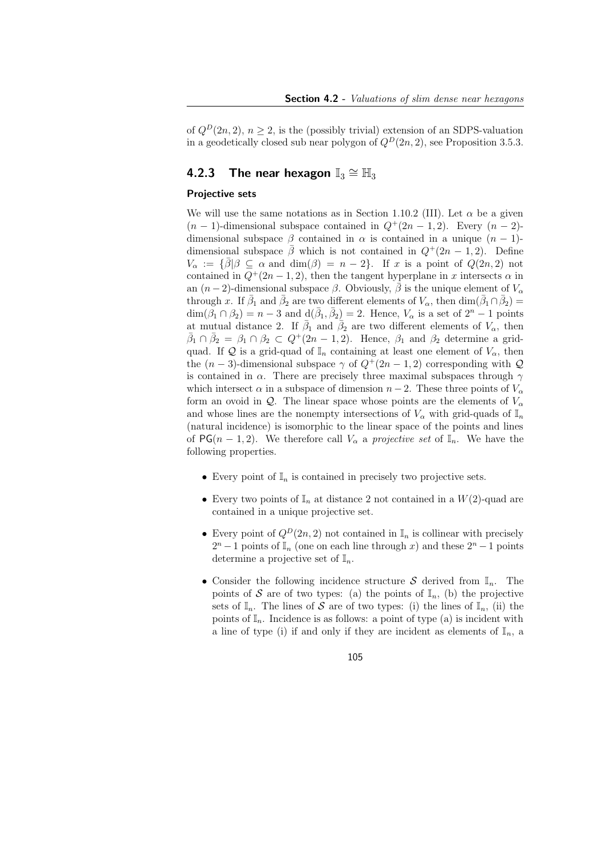of  $Q^D(2n, 2)$ ,  $n \geq 2$ , is the (possibly trivial) extension of an SDPS-valuation in a geodetically closed sub near polygon of  $Q^D(2n, 2)$ , see Proposition 3.5.3.

# 4.2.3 The near hexagon  $\mathbb{I}_3\cong \mathbb{H}_3$

# Projective sets

We will use the same notations as in Section 1.10.2 (III). Let  $\alpha$  be a given  $(n-1)$ -dimensional subspace contained in  $Q^+(2n-1, 2)$ . Every  $(n-2)$ dimensional subspace  $\beta$  contained in  $\alpha$  is contained in a unique  $(n - 1)$ dimensional subspace  $\bar{\beta}$  which is not contained in  $Q^+(2n-1,2)$ . Define  $V_{\alpha} := {\bar{\beta}}|\beta \subseteq \alpha$  and  $\dim(\beta) = n-2$ . If x is a point of  $Q(2n,2)$  not contained in  $Q^+(2n-1, 2)$ , then the tangent hyperplane in x intersects  $\alpha$  in an  $(n-2)$ -dimensional subspace  $\beta$ . Obviously,  $\beta$  is the unique element of  $V_{\alpha}$ through x. If  $\bar{\beta}_1$  and  $\bar{\beta}_2$  are two different elements of  $V_\alpha$ , then  $\dim(\bar{\beta}_1 \cap \bar{\beta}_2)$  =  $\dim(\bar{\beta}_1 \cap \beta_2) = n - 3$  and  $\underline{d}(\bar{\beta}_1, \bar{\beta}_2) = 2$ . Hence,  $V_\alpha$  is a set of  $2^n - 1$  points at mutual distance 2. If  $\bar{\beta}_1$  and  $\bar{\beta}_2$  are two different elements of  $V_{\alpha}$ , then  $\bar{\beta}_1 \cap \bar{\beta}_2 = \beta_1 \cap \beta_2 \subset Q^+(2n-1,2)$ . Hence,  $\beta_1$  and  $\beta_2$  determine a gridquad. If Q is a grid-quad of  $\mathbb{I}_n$  containing at least one element of  $V_\alpha$ , then the  $(n-3)$ -dimensional subspace  $\gamma$  of  $Q^+(2n-1,2)$  corresponding with  $Q$ is contained in  $\alpha$ . There are precisely three maximal subspaces through  $\gamma$ which intersect  $\alpha$  in a subspace of dimension  $n-2$ . These three points of  $V_{\alpha}$ form an ovoid in Q. The linear space whose points are the elements of  $V_{\alpha}$ and whose lines are the nonempty intersections of  $V_{\alpha}$  with grid-quads of  $\mathbb{I}_{n}$ (natural incidence) is isomorphic to the linear space of the points and lines of  $\mathsf{PG}(n-1,2)$ . We therefore call  $V_\alpha$  a *projective set* of  $\mathbb{I}_n$ . We have the following properties.

- Every point of  $\mathbb{I}_n$  is contained in precisely two projective sets.
- Every two points of  $\mathbb{I}_n$  at distance 2 not contained in a  $W(2)$ -quad are contained in a unique projective set.
- Every point of  $Q^D(2n, 2)$  not contained in  $\mathbb{I}_n$  is collinear with precisely  $2^{n}-1$  points of  $\mathbb{I}_{n}$  (one on each line through x) and these  $2^{n}-1$  points determine a projective set of  $\mathbb{I}_n$ .
- Consider the following incidence structure S derived from  $\mathbb{I}_n$ . The points of S are of two types: (a) the points of  $\mathbb{I}_n$ , (b) the projective sets of  $\mathbb{I}_n$ . The lines of S are of two types: (i) the lines of  $\mathbb{I}_n$ , (ii) the points of  $\mathbb{I}_n$ . Incidence is as follows: a point of type (a) is incident with a line of type (i) if and only if they are incident as elements of  $\mathbb{I}_n$ , a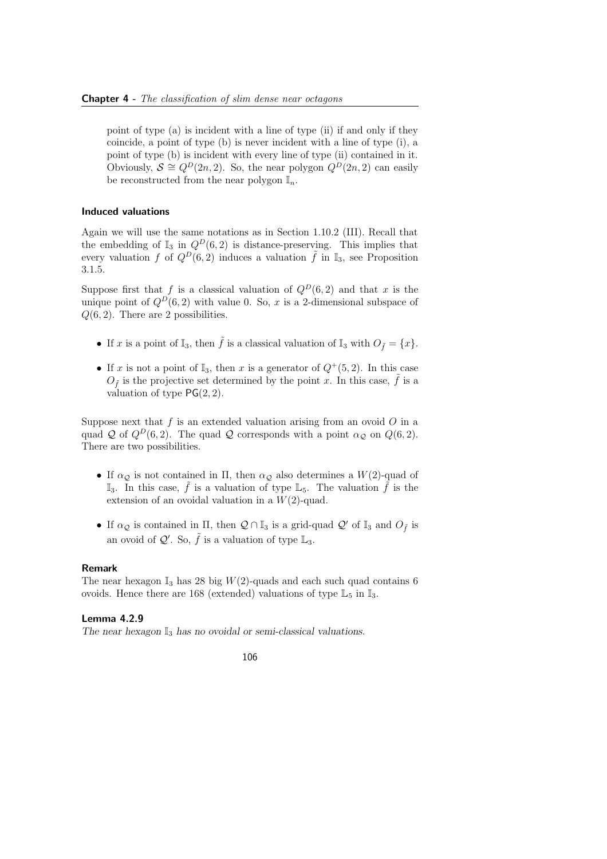point of type (a) is incident with a line of type (ii) if and only if they coincide, a point of type (b) is never incident with a line of type (i), a point of type (b) is incident with every line of type (ii) contained in it. Obviously,  $S \cong Q^D(2n, 2)$ . So, the near polygon  $Q^D(2n, 2)$  can easily be reconstructed from the near polygon  $\mathbb{I}_n$ .

#### Induced valuations

Again we will use the same notations as in Section 1.10.2 (III). Recall that the embedding of  $\mathbb{I}_3$  in  $Q^D(6, 2)$  is distance-preserving. This implies that every valuation f of  $Q^D(6, 2)$  induces a valuation f in  $\mathbb{I}_3$ , see Proposition 3.1.5.

Suppose first that f is a classical valuation of  $Q^D(6, 2)$  and that x is the unique point of  $Q^D(6, 2)$  with value 0. So, x is a 2-dimensional subspace of  $Q(6, 2)$ . There are 2 possibilities.

- If x is a point of  $\mathbb{I}_3$ , then  $\tilde{f}$  is a classical valuation of  $\mathbb{I}_3$  with  $O_{\tilde{f}} = \{x\}.$
- If x is not a point of  $\mathbb{I}_3$ , then x is a generator of  $Q^+(5, 2)$ . In this case  $O<sub>f</sub>$  is the projective set determined by the point x. In this case, f is a valuation of type  $PG(2, 2)$ .

Suppose next that  $f$  is an extended valuation arising from an ovoid  $O$  in a quad Q of  $Q^D(6, 2)$ . The quad Q corresponds with a point  $\alpha_Q$  on  $Q(6, 2)$ . There are two possibilities.

- If  $\alpha_Q$  is not contained in  $\Pi$ , then  $\alpha_Q$  also determines a  $W(2)$ -quad of  $\mathbb{I}_3$ . In this case,  $\tilde{f}$  is a valuation of type  $\mathbb{L}_5$ . The valuation  $\tilde{f}$  is the extension of an ovoidal valuation in a  $W(2)$ -quad.
- If  $\alpha_{\mathcal{Q}}$  is contained in  $\Pi$ , then  $\mathcal{Q} \cap \mathbb{I}_3$  is a grid-quad  $\mathcal{Q}'$  of  $\mathbb{I}_3$  and  $O_{\tilde{f}}$  is an ovoid of  $Q'$ . So,  $\tilde{f}$  is a valuation of type  $\mathbb{L}_3$ .

#### Remark

The near hexagon  $\mathbb{I}_3$  has 28 big  $W(2)$ -quads and each such quad contains 6 ovoids. Hence there are 168 (extended) valuations of type  $\mathbb{L}_5$  in  $\mathbb{I}_3$ .

# Lemma 4.2.9

The near hexagon  $\mathbb{I}_3$  has no ovoidal or semi-classical valuations.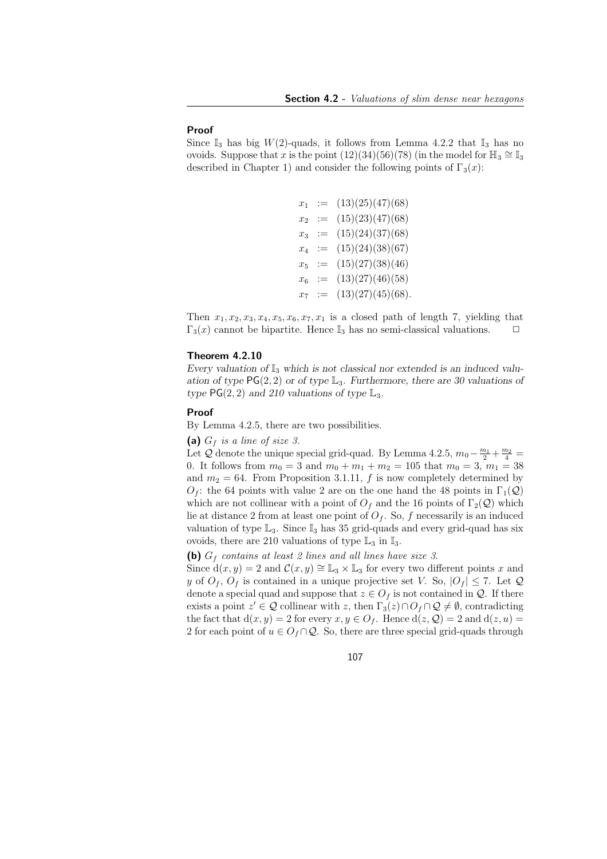#### Proof

Since  $\mathbb{I}_3$  has big  $W(2)$ -quads, it follows from Lemma 4.2.2 that  $\mathbb{I}_3$  has no ovoids. Suppose that x is the point  $(12)(34)(56)(78)$  (in the model for  $\mathbb{H}_3 \cong \mathbb{I}_3$ described in Chapter 1) and consider the following points of  $\Gamma_3(x)$ :

> $x_1 := (13)(25)(47)(68)$  $x_2 := (15)(23)(47)(68)$  $x_3 := (15)(24)(37)(68)$  $x_4 := (15)(24)(38)(67)$  $x_5 := (15)(27)(38)(46)$  $x_6 := (13)(27)(46)(58)$  $x_7 := (13)(27)(45)(68).$

Then  $x_1, x_2, x_3, x_4, x_5, x_6, x_7, x_1$  is a closed path of length 7, yielding that  $\Gamma_3(x)$  cannot be bipartite. Hence  $\mathbb{I}_3$  has no semi-classical valuations.  $\Box$ 

# Theorem 4.2.10

Every valuation of  $\mathbb{I}_3$  which is not classical nor extended is an induced valuation of type  $PG(2, 2)$  or of type  $\mathbb{L}_3$ . Furthermore, there are 30 valuations of type  $PG(2, 2)$  and 210 valuations of type  $\mathbb{L}_3$ .

# Proof

By Lemma 4.2.5, there are two possibilities.

(a)  $G_f$  is a line of size 3.

Let Q denote the unique special grid-quad. By Lemma 4.2.5,  $m_0 - \frac{m_1}{2} + \frac{m_2}{4} =$ 0. It follows from  $m_0 = 3$  and  $m_0 + m_1 + m_2 = 105$  that  $m_0 = 3$ ,  $m_1 = 38$ and  $m_2 = 64$ . From Proposition 3.1.11, f is now completely determined by  $O_f$ : the 64 points with value 2 are on the one hand the 48 points in  $\Gamma_1(\mathcal{Q})$ which are not collinear with a point of  $O_f$  and the 16 points of  $\Gamma_2(\mathcal{Q})$  which lie at distance 2 from at least one point of  $O_f$ . So, f necessarily is an induced valuation of type  $\mathbb{L}_3$ . Since  $\mathbb{I}_3$  has 35 grid-quads and every grid-quad has six ovoids, there are 210 valuations of type  $\mathbb{L}_3$  in  $\mathbb{I}_3$ .

(b)  $G_f$  contains at least 2 lines and all lines have size 3.

Since  $d(x, y) = 2$  and  $\mathcal{C}(x, y) \cong \mathbb{L}_3 \times \mathbb{L}_3$  for every two different points x and y of  $O_f$ ,  $O_f$  is contained in a unique projective set V. So,  $|O_f| \leq 7$ . Let  $\mathcal Q$ denote a special quad and suppose that  $z \in O_f$  is not contained in  $\mathcal{Q}$ . If there exists a point  $z' \in \mathcal{Q}$  collinear with z, then  $\Gamma_3(z) \cap O_f \cap \mathcal{Q} \neq \emptyset$ , contradicting the fact that  $d(x, y) = 2$  for every  $x, y \in O_f$ . Hence  $d(z, Q) = 2$  and  $d(z, u) =$ 2 for each point of  $u \in O_f \cap \mathcal{Q}$ . So, there are three special grid-quads through

$$
107\\
$$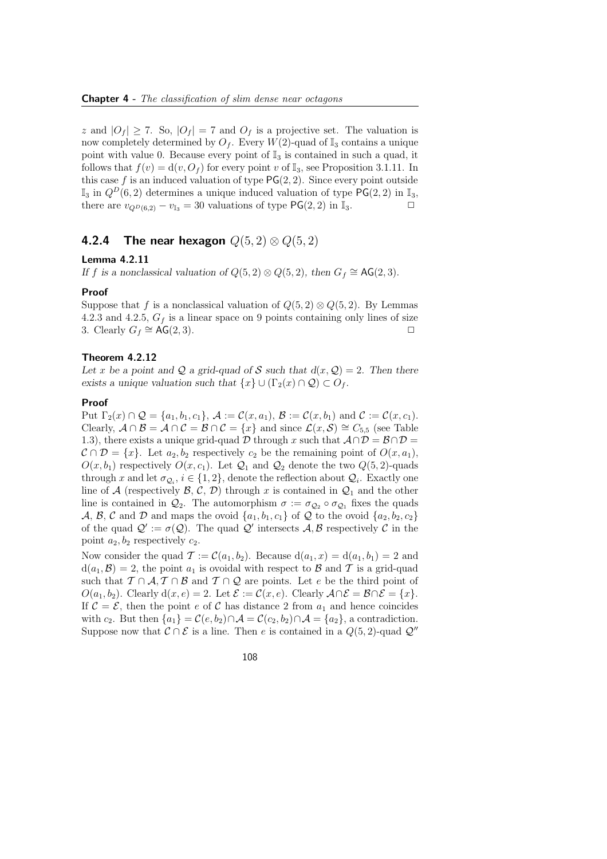z and  $|O_f| \ge 7$ . So,  $|O_f| = 7$  and  $O_f$  is a projective set. The valuation is now completely determined by  $O_f$ . Every  $W(2)$ -quad of  $\mathbb{I}_3$  contains a unique point with value 0. Because every point of  $\mathbb{I}_3$  is contained in such a quad, it follows that  $f(v) = d(v, O_f)$  for every point v of  $\mathbb{I}_3$ , see Proposition 3.1.11. In this case f is an induced valuation of type  $PG(2, 2)$ . Since every point outside  $\mathbb{I}_3$  in  $Q^D(6, 2)$  determines a unique induced valuation of type  $\mathsf{PG}(2, 2)$  in  $\mathbb{I}_3$ , there are  $v_{Q^D(6,2)} - v_{\mathbb{I}_3} = 30$  valuations of type  $\mathsf{PG}(2,2)$  in  $\mathbb{I}_3$ .

# 4.2.4 The near hexagon  $Q(5,2) \otimes Q(5,2)$

#### Lemma 4.2.11

If f is a nonclassical valuation of  $Q(5,2) \otimes Q(5,2)$ , then  $G_f \cong AG(2,3)$ .

#### Proof

Suppose that f is a nonclassical valuation of  $Q(5, 2) \otimes Q(5, 2)$ . By Lemmas 4.2.3 and 4.2.5,  $G_f$  is a linear space on 9 points containing only lines of size 3. Clearly  $G_f \cong \mathsf{AG}(2,3)$ .

#### Theorem 4.2.12

Let x be a point and Q a grid-quad of S such that  $d(x, Q) = 2$ . Then there exists a unique valuation such that  $\{x\} \cup (\Gamma_2(x) \cap \mathcal{Q}) \subset O_f$ .

#### Proof

Put  $\Gamma_2(x) \cap \mathcal{Q} = \{a_1, b_1, c_1\}, \mathcal{A} := \mathcal{C}(x, a_1), \mathcal{B} := \mathcal{C}(x, b_1) \text{ and } \mathcal{C} := \mathcal{C}(x, c_1).$ Clearly,  $\mathcal{A} \cap \mathcal{B} = \mathcal{A} \cap \mathcal{C} = \mathcal{B} \cap \mathcal{C} = \{x\}$  and since  $\mathcal{L}(x, \mathcal{S}) \cong C_{5,5}$  (see Table 1.3), there exists a unique grid-quad  $\mathcal D$  through x such that  $\mathcal A \cap \mathcal D = \mathcal B \cap \mathcal D =$  $\mathcal{C} \cap \mathcal{D} = \{x\}.$  Let  $a_2, b_2$  respectively  $c_2$  be the remaining point of  $O(x, a_1),$  $O(x, b_1)$  respectively  $O(x, c_1)$ . Let  $\mathcal{Q}_1$  and  $\mathcal{Q}_2$  denote the two  $Q(5, 2)$ -quads through x and let  $\sigma_{\mathcal{Q}_i}$ ,  $i \in \{1, 2\}$ , denote the reflection about  $\mathcal{Q}_i$ . Exactly one line of  $A$  (respectively  $B, C, D$ ) through x is contained in  $\mathcal{Q}_1$  and the other line is contained in  $\mathcal{Q}_2$ . The automorphism  $\sigma := \sigma_{\mathcal{Q}_2} \circ \sigma_{\mathcal{Q}_1}$  fixes the quads A, B, C and D and maps the ovoid  $\{a_1, b_1, c_1\}$  of Q to the ovoid  $\{a_2, b_2, c_2\}$ of the quad  $\mathcal{Q}' := \sigma(\mathcal{Q})$ . The quad  $\mathcal{Q}'$  intersects  $\mathcal{A}, \mathcal{B}$  respectively  $\mathcal{C}$  in the point  $a_2, b_2$  respectively  $c_2$ .

Now consider the quad  $\mathcal{T} := \mathcal{C}(a_1, b_2)$ . Because  $d(a_1, x) = d(a_1, b_1) = 2$  and  $d(a_1, \mathcal{B}) = 2$ , the point  $a_1$  is ovoidal with respect to  $\mathcal B$  and  $\mathcal T$  is a grid-quad such that  $\mathcal{T} \cap \mathcal{A}, \mathcal{T} \cap \mathcal{B}$  and  $\mathcal{T} \cap \mathcal{Q}$  are points. Let e be the third point of  $O(a_1, b_2)$ . Clearly  $d(x, e) = 2$ . Let  $\mathcal{E} := \mathcal{C}(x, e)$ . Clearly  $\mathcal{A} \cap \mathcal{E} = \mathcal{B} \cap \mathcal{E} = \{x\}$ . If  $C = \mathcal{E}$ , then the point e of C has distance 2 from  $a_1$  and hence coincides with c<sub>2</sub>. But then  $\{a_1\} = \mathcal{C}(e, b_2) \cap \mathcal{A} = \mathcal{C}(c_2, b_2) \cap \mathcal{A} = \{a_2\}$ , a contradiction. Suppose now that  $\mathcal{C} \cap \mathcal{E}$  is a line. Then e is contained in a  $Q(5, 2)$ -quad  $\mathcal{Q}$ <sup>n</sup>

108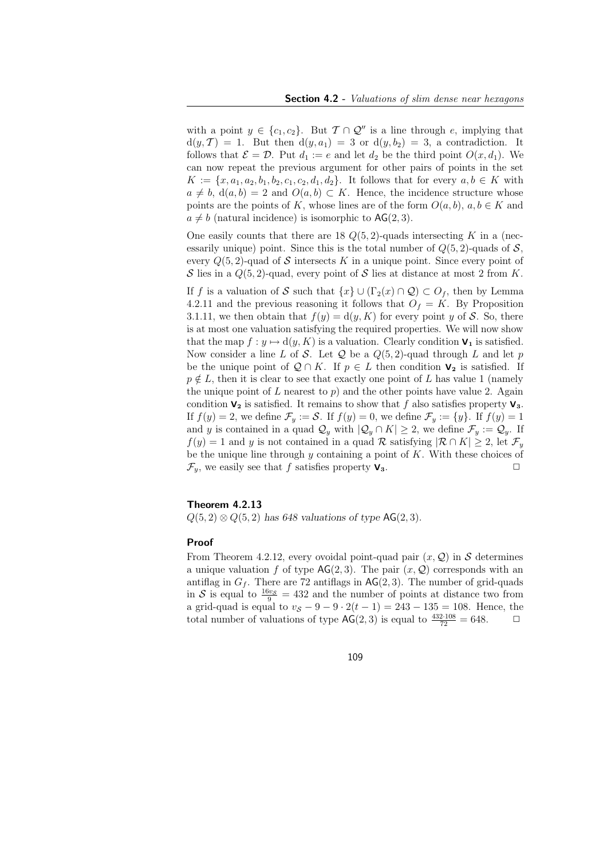with a point  $y \in \{c_1, c_2\}$ . But  $\mathcal{T} \cap \mathcal{Q}''$  is a line through e, implying that  $d(y, \mathcal{T}) = 1$ . But then  $d(y, a_1) = 3$  or  $d(y, b_2) = 3$ , a contradiction. It follows that  $\mathcal{E} = \mathcal{D}$ . Put  $d_1 := e$  and let  $d_2$  be the third point  $O(x, d_1)$ . We can now repeat the previous argument for other pairs of points in the set  $K := \{x, a_1, a_2, b_1, b_2, c_1, c_2, d_1, d_2\}.$  It follows that for every  $a, b \in K$  with  $a \neq b$ ,  $d(a, b) = 2$  and  $O(a, b) \subset K$ . Hence, the incidence structure whose points are the points of K, whose lines are of the form  $O(a, b)$ ,  $a, b \in K$  and  $a \neq b$  (natural incidence) is isomorphic to AG(2, 3).

One easily counts that there are 18  $Q(5, 2)$ -quads intersecting K in a (necessarily unique) point. Since this is the total number of  $Q(5, 2)$ -quads of S, every  $Q(5, 2)$ -quad of S intersects K in a unique point. Since every point of S lies in a  $Q(5, 2)$ -quad, every point of S lies at distance at most 2 from K.

If f is a valuation of S such that  $\{x\} \cup (\Gamma_2(x) \cap \mathcal{Q}) \subset O_f$ , then by Lemma 4.2.11 and the previous reasoning it follows that  $O_f = K$ . By Proposition 3.1.11, we then obtain that  $f(y) = d(y, K)$  for every point y of S. So, there is at most one valuation satisfying the required properties. We will now show that the map  $f : y \mapsto d(y, K)$  is a valuation. Clearly condition  $V_1$  is satisfied. Now consider a line L of S. Let Q be a  $Q(5, 2)$ -quad through L and let p be the unique point of  $Q \cap K$ . If  $p \in L$  then condition  $V_2$  is satisfied. If  $p \notin L$ , then it is clear to see that exactly one point of L has value 1 (namely the unique point of  $L$  nearest to  $p$ ) and the other points have value 2. Again condition  $V_2$  is satisfied. It remains to show that f also satisfies property  $V_3$ . If  $f(y) = 2$ , we define  $\mathcal{F}_y := \mathcal{S}$ . If  $f(y) = 0$ , we define  $\mathcal{F}_y := \{y\}$ . If  $f(y) = 1$ and y is contained in a quad  $\mathcal{Q}_y$  with  $|\mathcal{Q}_y \cap K| \geq 2$ , we define  $\mathcal{F}_y := \mathcal{Q}_y$ . If  $f(y) = 1$  and y is not contained in a quad R satisfying  $\mathcal{R} \cap K \geq 2$ , let  $\mathcal{F}_y$ be the unique line through  $y$  containing a point of  $K$ . With these choices of  $\mathcal{F}_y$ , we easily see that f satisfies property  $\mathsf{V}_3$ .

# Theorem 4.2.13

 $Q(5, 2) \otimes Q(5, 2)$  has 648 valuations of type AG(2, 3).

# Proof

From Theorem 4.2.12, every ovoidal point-quad pair  $(x, Q)$  in S determines a unique valuation f of type  $AG(2,3)$ . The pair  $(x, Q)$  corresponds with an antiflag in  $G_f$ . There are 72 antiflags in  $AG(2,3)$ . The number of grid-quads in S is equal to  $\frac{16v_S}{9} = 432$  and the number of points at distance two from a grid-quad is equal to  $v_S - 9 - 9 \cdot 2(t - 1) = 243 - 135 = 108$ . Hence, the total number of valuations of type  $AG(2, 3)$  is equal to  $\frac{432 \cdot 108}{2} = 648$ . total number of valuations of type  $AG(2,3)$  is equal to  $\frac{432 \cdot 108}{72} = 648.$   $\Box$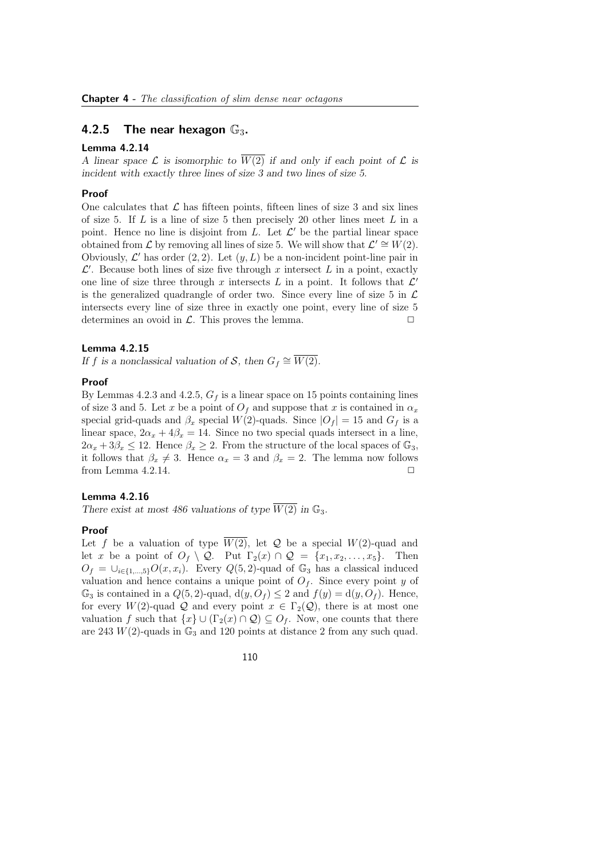# 4.2.5 The near hexagon  $\mathbb{G}_3$ .

#### Lemma 4.2.14

A linear space  $\mathcal L$  is isomorphic to  $\overline{W(2)}$  if and only if each point of  $\mathcal L$  is incident with exactly three lines of size 3 and two lines of size 5.

#### Proof

One calculates that  $\mathcal L$  has fifteen points, fifteen lines of size 3 and six lines of size 5. If  $L$  is a line of size 5 then precisely 20 other lines meet  $L$  in a point. Hence no line is disjoint from L. Let  $\mathcal{L}'$  be the partial linear space obtained from  $\mathcal L$  by removing all lines of size 5. We will show that  $\mathcal L' \cong W(2)$ . Obviously,  $\mathcal{L}'$  has order  $(2, 2)$ . Let  $(y, L)$  be a non-incident point-line pair in  $\mathcal{L}'$ . Because both lines of size five through x intersect L in a point, exactly one line of size three through x intersects L in a point. It follows that  $\mathcal{L}'$ is the generalized quadrangle of order two. Since every line of size 5 in  $\mathcal L$ intersects every line of size three in exactly one point, every line of size 5 determines an ovoid in  $\mathcal{L}$ . This proves the lemma.  $\Box$ 

#### Lemma 4.2.15

If f is a nonclassical valuation of S, then  $G_f \cong W(2)$ .

#### Proof

By Lemmas 4.2.3 and 4.2.5,  $G_f$  is a linear space on 15 points containing lines of size 3 and 5. Let x be a point of  $O<sub>f</sub>$  and suppose that x is contained in  $\alpha_x$ special grid-quads and  $\beta_x$  special W(2)-quads. Since  $|O_f| = 15$  and  $G_f$  is a linear space,  $2\alpha_x + 4\beta_x = 14$ . Since no two special quads intersect in a line,  $2\alpha_x + 3\beta_x \le 12$ . Hence  $\beta_x \ge 2$ . From the structure of the local spaces of  $\mathbb{G}_3$ , it follows that  $\beta_x \neq 3$ . Hence  $\alpha_x = 3$  and  $\beta_x = 2$ . The lemma now follows from Lemma  $4.2.14$ .

# Lemma 4.2.16

There exist at most 486 valuations of type  $\overline{W(2)}$  in  $\mathbb{G}_3$ .

# Proof

Let f be a valuation of type  $\overline{W(2)}$ , let Q be a special  $W(2)$ -quad and let x be a point of  $O_f \setminus Q$ . Put  $\Gamma_2(x) \cap Q = \{x_1, x_2, \ldots, x_5\}$ . Then  $O_f = \bigcup_{i \in \{1,\ldots,5\}} O(x,x_i)$ . Every  $Q(5,2)$ -quad of  $\mathbb{G}_3$  has a classical induced valuation and hence contains a unique point of  $O_f$ . Since every point y of  $\mathbb{G}_3$  is contained in a  $Q(5, 2)$ -quad,  $d(y, O_f) \leq 2$  and  $f(y) = d(y, O_f)$ . Hence, for every W(2)-quad Q and every point  $x \in \Gamma_2(\mathcal{Q})$ , there is at most one valuation f such that  $\{x\} \cup (\Gamma_2(x) \cap \mathcal{Q}) \subseteq O_f$ . Now, one counts that there are 243  $W(2)$ -quads in  $\mathbb{G}_3$  and 120 points at distance 2 from any such quad.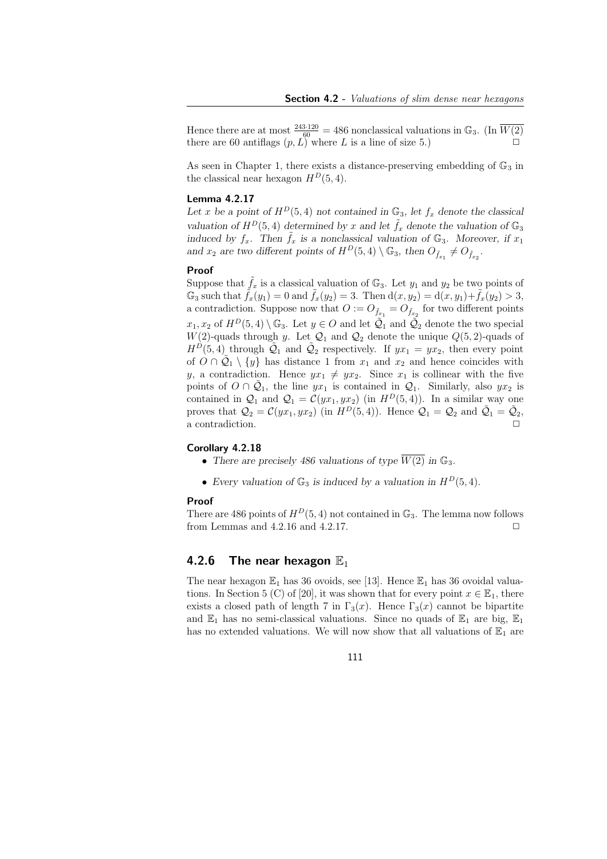Hence there are at most  $\frac{243.120}{60} = 486$  nonclassical valuations in  $\mathbb{G}_3$ . (In  $\overline{W(2)}$ there are 60 antiflags  $(p, L)$  where L is a line of size 5.)

As seen in Chapter 1, there exists a distance-preserving embedding of  $\mathbb{G}_3$  in the classical near hexagon  $H^D(5, 4)$ .

#### Lemma 4.2.17

Let x be a point of  $H^D(5, 4)$  not contained in  $\mathbb{G}_3$ , let  $f_x$  denote the classical valuation of  $H^D(5, 4)$  determined by x and let  $\tilde{f}_x$  denote the valuation of  $\mathbb{G}_3$ induced by  $f_x$ . Then  $\tilde{f}_x$  is a nonclassical valuation of  $\mathbb{G}_3$ . Moreover, if  $x_1$ and  $x_2$  are two different points of  $H^D(5, 4) \setminus \mathbb{G}_3$ , then  $O_{\tilde{f}_{x_1}} \neq O_{\tilde{f}_{x_2}}$ .

#### Proof

Suppose that  $\hat{f}_x$  is a classical valuation of  $\mathbb{G}_3$ . Let  $y_1$  and  $y_2$  be two points of  $\mathbb{G}_3$  such that  $\tilde{f}_x(y_1) = 0$  and  $\tilde{f}_x(y_2) = 3$ . Then  $d(x, y_2) = d(x, y_1) + \tilde{f}_x(y_2) > 3$ , a contradiction. Suppose now that  $O := O_{\tilde{f}_{x_1}} = O_{\tilde{f}_{x_2}}$  for two different points  $x_1, x_2$  of  $H^D(5, 4) \setminus \mathbb{G}_3$ . Let  $y \in O$  and let  $\mathcal{Q}_1$  and  $\mathcal{Q}_2$  denote the two special  $W(2)$ -quads through y. Let  $\mathcal{Q}_1$  and  $\mathcal{Q}_2$  denote the unique  $Q(5, 2)$ -quads of  $H^D(5, 4)$  through  $\mathcal{Q}_1$  and  $\mathcal{Q}_2$  respectively. If  $yx_1 = yx_2$ , then every point of  $O \cap \tilde{Q}_1 \setminus \{y\}$  has distance 1 from  $x_1$  and  $x_2$  and hence coincides with y, a contradiction. Hence  $yx_1 \neq yx_2$ . Since  $x_1$  is collinear with the five points of  $O \cap \tilde{Q}_1$ , the line  $yx_1$  is contained in  $Q_1$ . Similarly, also  $yx_2$  is contained in  $\mathcal{Q}_1$  and  $\mathcal{Q}_2 = \mathcal{C}(yx_1, yx_2)$  (in  $H^D(5, 4)$ ). In a similar way one proves that  $Q_2 = C(yx_1, yx_2)$  (in  $H^D(5, 4)$ ). Hence  $Q_1 = Q_2$  and  $\tilde{Q}_1 = \tilde{Q}_2$ , a contradiction.  $\Box$ 

# Corollary 4.2.18

- There are precisely 486 valuations of type  $\overline{W(2)}$  in  $\mathbb{G}_3$ .
- Every valuation of  $\mathbb{G}_3$  is induced by a valuation in  $H^D(5, 4)$ .

# Proof

There are 486 points of  $H^D(5, 4)$  not contained in  $\mathbb{G}_3$ . The lemma now follows from Lemmas and  $4.2.16$  and  $4.2.17$ .

# 4.2.6 The near hexagon  $\mathbb{E}_1$

The near hexagon  $\mathbb{E}_1$  has 36 ovoids, see [13]. Hence  $\mathbb{E}_1$  has 36 ovoidal valuations. In Section 5 (C) of [20], it was shown that for every point  $x \in \mathbb{E}_1$ , there exists a closed path of length 7 in  $\Gamma_3(x)$ . Hence  $\Gamma_3(x)$  cannot be bipartite and  $\mathbb{E}_1$  has no semi-classical valuations. Since no quads of  $\mathbb{E}_1$  are big,  $\mathbb{E}_1$ has no extended valuations. We will now show that all valuations of  $\mathbb{E}_1$  are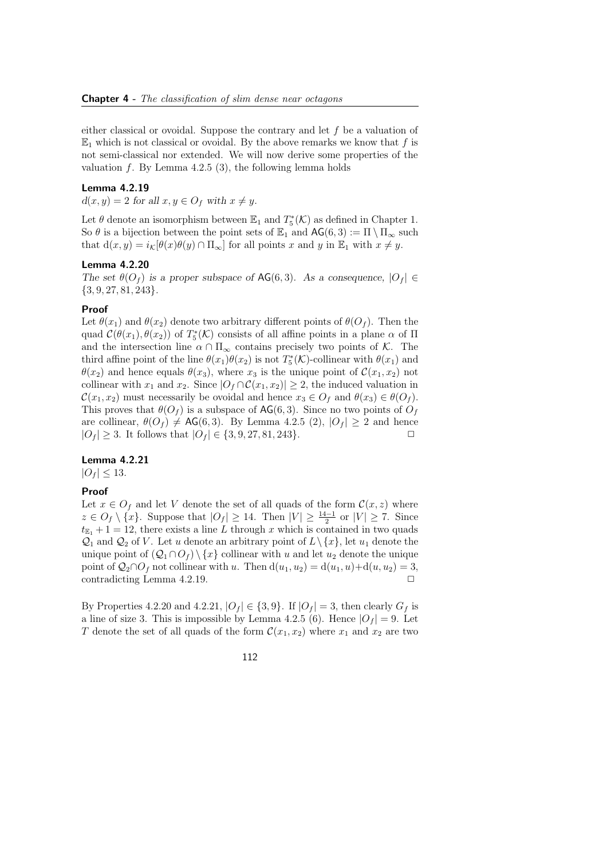either classical or ovoidal. Suppose the contrary and let f be a valuation of  $\mathbb{E}_1$  which is not classical or ovoidal. By the above remarks we know that f is not semi-classical nor extended. We will now derive some properties of the valuation  $f$ . By Lemma 4.2.5 (3), the following lemma holds

#### Lemma 4.2.19

 $d(x, y) = 2$  for all  $x, y \in O_f$  with  $x \neq y$ .

Let  $\theta$  denote an isomorphism between  $\mathbb{E}_1$  and  $T_5^*(\mathcal{K})$  as defined in Chapter 1. So  $\theta$  is a bijection between the point sets of  $\mathbb{E}_1$  and  $\mathsf{AG}(6,3) := \Pi \setminus \Pi_{\infty}$  such that  $d(x, y) = i_{\mathcal{K}}[\theta(x)\theta(y) \cap \Pi_{\infty}]$  for all points x and y in  $\mathbb{E}_1$  with  $x \neq y$ .

## Lemma 4.2.20

The set  $\theta(O_f)$  is a proper subspace of AG(6,3). As a consequence,  $|O_f| \in$  $\{3, 9, 27, 81, 243\}.$ 

# Proof

Let  $\theta(x_1)$  and  $\theta(x_2)$  denote two arbitrary different points of  $\theta(O_f)$ . Then the quad  $\mathcal{C}(\theta(x_1), \theta(x_2))$  of  $T_5^*(\mathcal{K})$  consists of all affine points in a plane  $\alpha$  of  $\Pi$ and the intersection line  $\alpha \cap \Pi_{\infty}$  contains precisely two points of K. The third affine point of the line  $\theta(x_1)\theta(x_2)$  is not  $T_5^*(\mathcal{K})$ -collinear with  $\theta(x_1)$  and  $\theta(x_2)$  and hence equals  $\theta(x_3)$ , where  $x_3$  is the unique point of  $\mathcal{C}(x_1, x_2)$  not collinear with  $x_1$  and  $x_2$ . Since  $|O_f \cap C(x_1, x_2)| \geq 2$ , the induced valuation in  $\mathcal{C}(x_1, x_2)$  must necessarily be ovoidal and hence  $x_3 \in O_f$  and  $\theta(x_3) \in \theta(O_f)$ . This proves that  $\theta(O_f)$  is a subspace of AG(6,3). Since no two points of  $O_f$ are collinear,  $\theta(O_f) \neq AG(6, 3)$ . By Lemma 4.2.5 (2),  $|O_f| \geq 2$  and hence  $|O_f| \geq 3$ . It follows that  $|O_f| \in \{3, 9, 27, 81, 243\}.$ 

# Lemma 4.2.21

 $|O_f| \le 13$ .

# Proof

Let  $x \in O_f$  and let V denote the set of all quads of the form  $\mathcal{C}(x, z)$  where  $z \in O_f \setminus \{x\}$ . Suppose that  $|O_f| \geq 14$ . Then  $|V| \geq \frac{14-1}{2}$  or  $|V| \geq 7$ . Since  $t_{\text{E}_1} + 1 = 12$ , there exists a line L through x which is contained in two quads  $\mathcal{Q}_1$  and  $\mathcal{Q}_2$  of V. Let u denote an arbitrary point of  $L \setminus \{x\}$ , let  $u_1$  denote the unique point of  $(Q_1 \cap O_f) \setminus \{x\}$  collinear with u and let  $u_2$  denote the unique point of  $\mathcal{Q}_2 \cap O_f$  not collinear with u. Then  $d(u_1, u_2) = d(u_1, u) + d(u, u_2) = 3$ , contradicting Lemma 4.2.19 contradicting Lemma 4.2.19.

By Properties 4.2.20 and 4.2.21,  $|O_f| \in \{3, 9\}$ . If  $|O_f| = 3$ , then clearly  $G_f$  is a line of size 3. This is impossible by Lemma 4.2.5 (6). Hence  $|O_f| = 9$ . Let T denote the set of all quads of the form  $\mathcal{C}(x_1, x_2)$  where  $x_1$  and  $x_2$  are two

112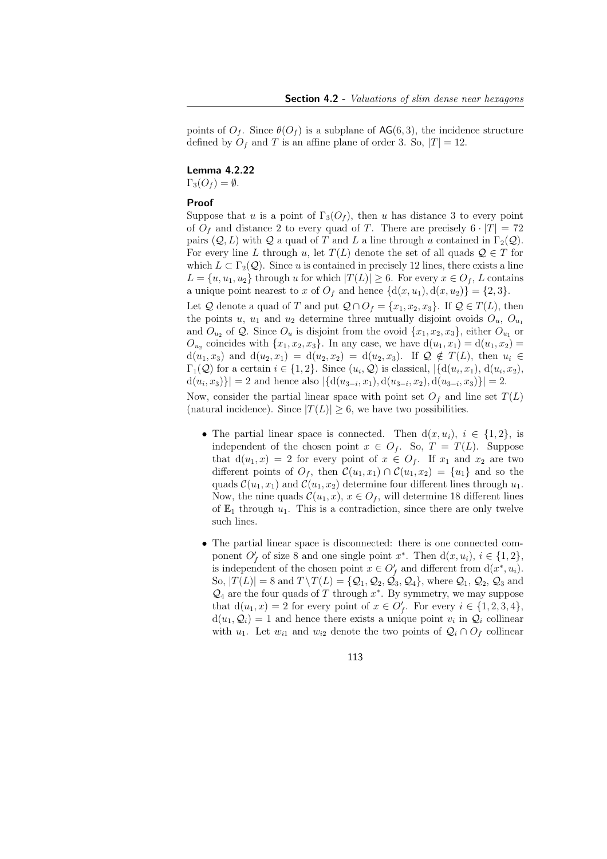points of  $O_f$ . Since  $\theta(O_f)$  is a subplane of  $AG(6,3)$ , the incidence structure defined by  $O_f$  and T is an affine plane of order 3. So,  $|T| = 12$ .

#### Lemma 4.2.22

 $\Gamma_3(O_f) = \emptyset.$ 

# Proof

Suppose that u is a point of  $\Gamma_3(O_f)$ , then u has distance 3 to every point of  $O_f$  and distance 2 to every quad of T. There are precisely  $6 \cdot |T| = 72$ pairs  $(Q, L)$  with Q a quad of T and L a line through u contained in  $\Gamma_2(Q)$ . For every line L through u, let  $T(L)$  denote the set of all quads  $\mathcal{Q} \in T$  for which  $L \subset \Gamma_2(Q)$ . Since u is contained in precisely 12 lines, there exists a line  $L = \{u, u_1, u_2\}$  through u for which  $|T(L)| \geq 6$ . For every  $x \in O_f$ , L contains a unique point nearest to x of  $O_f$  and hence  $\{d(x, u_1), d(x, u_2)\} = \{2, 3\}.$ 

Let Q denote a quad of T and put  $\mathcal{Q} \cap O_f = \{x_1, x_2, x_3\}$ . If  $\mathcal{Q} \in T(L)$ , then the points u,  $u_1$  and  $u_2$  determine three mutually disjoint ovoids  $O_u$ ,  $O_{u_1}$ and  $O_{u_2}$  of  $\mathcal Q$ . Since  $O_u$  is disjoint from the ovoid  $\{x_1, x_2, x_3\}$ , either  $O_{u_1}$  or  $O_{u_2}$  coincides with  $\{x_1, x_2, x_3\}$ . In any case, we have  $d(u_1, x_1) = d(u_1, x_2) =$  $d(u_1, x_3)$  and  $d(u_2, x_1) = d(u_2, x_2) = d(u_2, x_3)$ . If  $\mathcal{Q} \notin T(L)$ , then  $u_i \in$  $\Gamma_1(\mathcal{Q})$  for a certain  $i \in \{1,2\}$ . Since  $(u_i, \mathcal{Q})$  is classical,  $|\{d(u_i, x_1), d(u_i, x_2), d(u_i, x_3)\}|$  $d(u_i, x_3)\}| = 2$  and hence also  $|\{d(u_{3-i}, x_1), d(u_{3-i}, x_2), d(u_{3-i}, x_3)\}| = 2$ .

Now, consider the partial linear space with point set  $O<sub>f</sub>$  and line set  $T(L)$ (natural incidence). Since  $|T(L)| \geq 6$ , we have two possibilities.

- The partial linear space is connected. Then  $d(x, u_i)$ ,  $i \in \{1, 2\}$ , is independent of the chosen point  $x \in O_f$ . So,  $T = T(L)$ . Suppose that  $d(u_1, x) = 2$  for every point of  $x \in O_f$ . If  $x_1$  and  $x_2$  are two different points of  $O_f$ , then  $\mathcal{C}(u_1, x_1) \cap \mathcal{C}(u_1, x_2) = \{u_1\}$  and so the quads  $\mathcal{C}(u_1, x_1)$  and  $\mathcal{C}(u_1, x_2)$  determine four different lines through  $u_1$ . Now, the nine quads  $\mathcal{C}(u_1, x), x \in O_f$ , will determine 18 different lines of  $\mathbb{E}_1$  through  $u_1$ . This is a contradiction, since there are only twelve such lines.
- The partial linear space is disconnected: there is one connected component  $O'_f$  of size 8 and one single point  $x^*$ . Then  $d(x, u_i)$ ,  $i \in \{1, 2\}$ , is independent of the chosen point  $x \in O_f'$  and different from  $d(x^*, u_i)$ . So,  $|T(L)| = 8$  and  $T \setminus T(L) = \{Q_1, Q_2, Q_3, Q_4\}$ , where  $Q_1, Q_2, Q_3$  and  $\mathcal{Q}_4$  are the four quads of T through  $x^*$ . By symmetry, we may suppose that  $d(u_1, x) = 2$  for every point of  $x \in O_f'$ . For every  $i \in \{1, 2, 3, 4\}$ ,  $d(u_1, Q_i) = 1$  and hence there exists a unique point  $v_i$  in  $Q_i$  collinear with  $u_1$ . Let  $w_{i1}$  and  $w_{i2}$  denote the two points of  $\mathcal{Q}_i \cap O_f$  collinear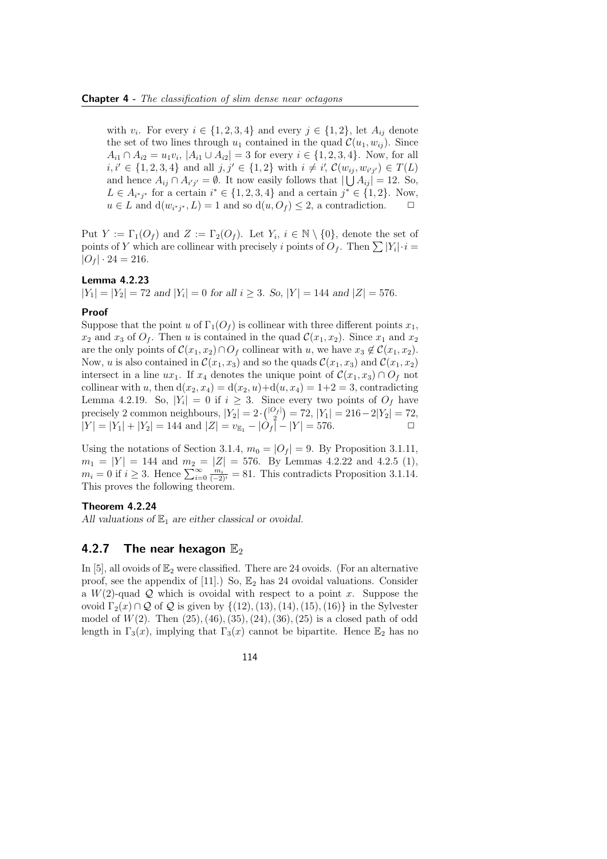with  $v_i$ . For every  $i \in \{1, 2, 3, 4\}$  and every  $j \in \{1, 2\}$ , let  $A_{ij}$  denote the set of two lines through  $u_1$  contained in the quad  $\mathcal{C}(u_1,w_{ij})$ . Since  $A_{i1} \cap A_{i2} = u_1v_i, |A_{i1} \cup A_{i2}| = 3$  for every  $i \in \{1, 2, 3, 4\}.$  Now, for all  $i, i' \in \{1, 2, 3, 4\}$  and all  $j, j' \in \{1, 2\}$  with  $i \neq i'$ ,  $\mathcal{C}(w_{ij}, w_{i'j'}) \in T(L)$ and hence  $A_{ij} \cap A_{i'j'} = \emptyset$ . It now easily follows that  $|\bigcup A_{ij}| = 12$ . So,  $L \in A_{i^*j^*}$  for a certain  $i^* \in \{1, 2, 3, 4\}$  and a certain  $j^* \in \{1, 2\}$ . Now,  $u \in L$  and  $d(w_{i^*j^*}, L) = 1$  and so  $d(u, O_f) \leq 2$ , a contradiction.  $\Box$ 

Put  $Y := \Gamma_1(O_f)$  and  $Z := \Gamma_2(O_f)$ . Let  $Y_i, i \in \mathbb{N} \setminus \{0\}$ , denote the set of points of Y which are collinear with precisely i points of  $O_f$ . Then  $\sum |Y_i| \cdot i =$  $|O_f| \cdot 24 = 216.$ 

# Lemma 4.2.23

 $|Y_1| = |Y_2| = 72$  and  $|Y_i| = 0$  for all  $i \ge 3$ . So,  $|Y| = 144$  and  $|Z| = 576$ .

# Proof

Suppose that the point u of  $\Gamma_1(O_f)$  is collinear with three different points  $x_1$ ,  $x_2$  and  $x_3$  of  $O_f$ . Then u is contained in the quad  $\mathcal{C}(x_1, x_2)$ . Since  $x_1$  and  $x_2$ are the only points of  $C(x_1, x_2) \cap O_f$  collinear with u, we have  $x_3 \notin C(x_1, x_2)$ . Now, u is also contained in  $\mathcal{C}(x_1, x_3)$  and so the quads  $\mathcal{C}(x_1, x_3)$  and  $\mathcal{C}(x_1, x_2)$ intersect in a line ux<sub>1</sub>. If x<sub>4</sub> denotes the unique point of  $\mathcal{C}(x_1, x_3) \cap O_f$  not collinear with u, then  $d(x_2, x_4) = d(x_2, u) + d(u, x_4) = 1+2 = 3$ , contradicting Lemma 4.2.19. So,  $|Y_i| = 0$  if  $i \geq 3$ . Since every two points of  $O_f$  have precisely 2 common neighbours,  $|Y_2| = 2 \cdot \binom{|O_f|}{2} = 72$ ,  $|Y_1| = 216 - 2|Y_2| = 72$ ,  $|Y| = |Y_1| + |Y_2| = 144$  and  $|Z| = v_{\mathbb{E}_1} - |\hat{O}_f| - |Y| = 576.$ 

Using the notations of Section 3.1.4,  $m_0 = |O_f| = 9$ . By Proposition 3.1.11,  $m_1 = |Y| = 144$  and  $m_2 = |Z| = 576$ . By Lemmas 4.2.22 and 4.2.5 (1),  $m_i = 0$  if  $i \geq 3$ . Hence  $\sum_{i=0}^{\infty} \frac{m_i}{(-2)^i} = 81$ . This contradicts Proposition 3.1.14. This proves the following theorem.

# Theorem 4.2.24

All valuations of  $\mathbb{E}_1$  are either classical or ovoidal.

# 4.2.7 The near hexagon  $\mathbb{E}_2$

In [5], all ovoids of  $\mathbb{E}_2$  were classified. There are 24 ovoids. (For an alternative proof, see the appendix of [11].) So,  $\mathbb{E}_2$  has 24 ovoidal valuations. Consider a  $W(2)$ -quad Q which is ovoidal with respect to a point x. Suppose the ovoid  $\Gamma_2(x) \cap \mathcal{Q}$  of  $\mathcal Q$  is given by  $\{(12), (13), (14), (15), (16)\}\$ in the Sylvester model of  $W(2)$ . Then  $(25), (46), (35), (24), (36), (25)$  is a closed path of odd length in  $\Gamma_3(x)$ , implying that  $\Gamma_3(x)$  cannot be bipartite. Hence  $\mathbb{E}_2$  has no

114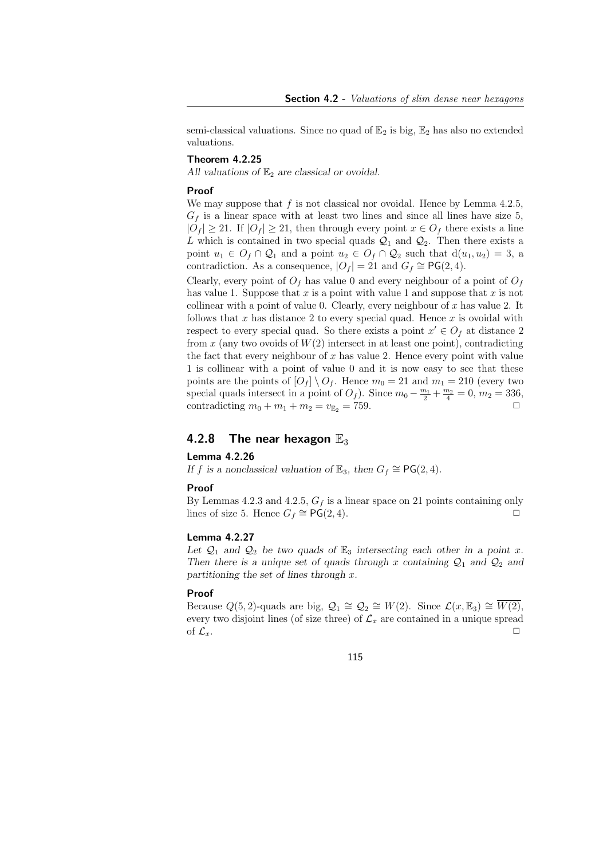semi-classical valuations. Since no quad of  $\mathbb{E}_2$  is big,  $\mathbb{E}_2$  has also no extended valuations.

#### Theorem 4.2.25

All valuations of  $\mathbb{E}_2$  are classical or ovoidal.

#### Proof

We may suppose that  $f$  is not classical nor ovoidal. Hence by Lemma 4.2.5,  $G_f$  is a linear space with at least two lines and since all lines have size 5,  $|O_f| \geq 21$ . If  $|O_f| \geq 21$ , then through every point  $x \in O_f$  there exists a line L which is contained in two special quads  $\mathcal{Q}_1$  and  $\mathcal{Q}_2$ . Then there exists a point  $u_1 \in O_f \cap \mathcal{Q}_1$  and a point  $u_2 \in O_f \cap \mathcal{Q}_2$  such that  $d(u_1, u_2) = 3$ , a contradiction. As a consequence,  $|O_f| = 21$  and  $G_f \cong PG(2, 4)$ .

Clearly, every point of  $O_f$  has value 0 and every neighbour of a point of  $O_f$ has value 1. Suppose that  $x$  is a point with value 1 and suppose that  $x$  is not collinear with a point of value 0. Clearly, every neighbour of  $x$  has value 2. It follows that x has distance 2 to every special quad. Hence x is ovoidal with respect to every special quad. So there exists a point  $x' \in O_f$  at distance 2 from x (any two ovoids of  $W(2)$  intersect in at least one point), contradicting the fact that every neighbour of  $x$  has value 2. Hence every point with value 1 is collinear with a point of value 0 and it is now easy to see that these points are the points of  $[O_f] \setminus O_f$ . Hence  $m_0 = 21$  and  $m_1 = 210$  (every two special quads intersect in a point of  $O_f$ ). Since  $m_0 - \frac{m_1}{2} + \frac{m_2}{4} = 0$ ,  $m_2 = 336$ , contradicting  $m_0 + m_1 + m_2 = v_{\mathbb{E}_2} = 759$ .

# 4.2.8 The near hexagon  $\mathbb{E}_3$

#### Lemma 4.2.26

If f is a nonclassical valuation of  $\mathbb{E}_3$ , then  $G_f \cong \mathsf{PG}(2,4)$ .

# Proof

By Lemmas 4.2.3 and 4.2.5,  $G_f$  is a linear space on 21 points containing only lines of size 5. Hence  $G_f \cong \mathsf{PG}(2,4)$ .

#### Lemma 4.2.27

Let  $\mathcal{Q}_1$  and  $\mathcal{Q}_2$  be two quads of  $\mathbb{E}_3$  intersecting each other in a point x. Then there is a unique set of quads through x containing  $\mathcal{Q}_1$  and  $\mathcal{Q}_2$  and partitioning the set of lines through  $x$ .

# Proof

Because  $Q(5, 2)$ -quads are big,  $Q_1 \cong Q_2 \cong W(2)$ . Since  $\mathcal{L}(x, \mathbb{E}_3) \cong \overline{W(2)}$ , every two disjoint lines (of size three) of  $\mathcal{L}_x$  are contained in a unique spread of  $\mathcal{L}_x$ . of  $\mathcal{L}_x$ .

115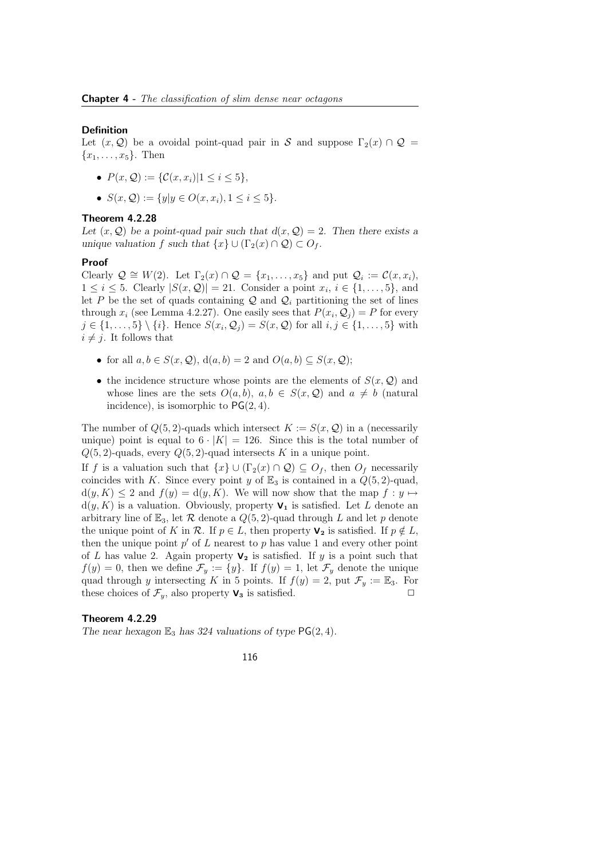# Definition

Let  $(x, Q)$  be a ovoidal point-quad pair in S and suppose  $\Gamma_2(x) \cap Q =$  ${x_1, \ldots, x_5}$ . Then

- $P(x, Q) := \{C(x, x_i) | 1 \le i \le 5\},\$
- $S(x, Q) := \{y | y \in O(x, x_i), 1 \leq i \leq 5\}.$

#### Theorem 4.2.28

Let  $(x, Q)$  be a point-quad pair such that  $d(x, Q) = 2$ . Then there exists a unique valuation f such that  $\{x\} \cup (\Gamma_2(x) \cap \mathcal{Q}) \subset O_f$ .

## Proof

Clearly  $\mathcal{Q} \cong W(2)$ . Let  $\Gamma_2(x) \cap \mathcal{Q} = \{x_1, \ldots, x_5\}$  and put  $\mathcal{Q}_i := \mathcal{C}(x, x_i)$ ,  $1 \leq i \leq 5$ . Clearly  $|S(x, Q)| = 21$ . Consider a point  $x_i, i \in \{1, \ldots, 5\}$ , and let P be the set of quads containing  $\mathcal{Q}$  and  $\mathcal{Q}_i$  partitioning the set of lines through  $x_i$  (see Lemma 4.2.27). One easily sees that  $P(x_i, Q_j) = P$  for every  $j \in \{1, ..., 5\} \setminus \{i\}.$  Hence  $S(x_i, Q_j) = S(x, Q)$  for all  $i, j \in \{1, ..., 5\}$  with  $i \neq j$ . It follows that

- for all  $a, b \in S(x, Q)$ ,  $d(a, b) = 2$  and  $O(a, b) \subseteq S(x, Q)$ ;
- the incidence structure whose points are the elements of  $S(x, Q)$  and whose lines are the sets  $O(a, b)$ ,  $a, b \in S(x, Q)$  and  $a \neq b$  (natural incidence), is isomorphic to  $PG(2, 4)$ .

The number of  $Q(5, 2)$ -quads which intersect  $K := S(x, Q)$  in a (necessarily unique) point is equal to  $6 \cdot |K| = 126$ . Since this is the total number of  $Q(5, 2)$ -quads, every  $Q(5, 2)$ -quad intersects K in a unique point.

If f is a valuation such that  $\{x\} \cup (\Gamma_2(x) \cap \mathcal{Q}) \subseteq O_f$ , then  $O_f$  necessarily coincides with K. Since every point y of  $\mathbb{E}_3$  is contained in a  $Q(5, 2)$ -quad,  $d(y, K) \leq 2$  and  $f(y) = d(y, K)$ . We will now show that the map  $f : y \mapsto$  $d(y, K)$  is a valuation. Obviously, property  $V_1$  is satisfied. Let L denote an arbitrary line of  $\mathbb{E}_3$ , let  $\mathcal R$  denote a  $Q(5, 2)$ -quad through L and let p denote the unique point of K in R. If  $p \in L$ , then property  $V_2$  is satisfied. If  $p \notin L$ , then the unique point  $p'$  of  $L$  nearest to  $p$  has value 1 and every other point of L has value 2. Again property  $V_2$  is satisfied. If y is a point such that  $f(y) = 0$ , then we define  $\mathcal{F}_y := \{y\}$ . If  $f(y) = 1$ , let  $\mathcal{F}_y$  denote the unique quad through y intersecting K in 5 points. If  $f(y) = 2$ , put  $\mathcal{F}_y := \mathbb{E}_3$ . For these choices of  $\mathcal{F}_y$ , also property  $\mathbf{V}_3$  is satisfied.

# Theorem 4.2.29

The near hexagon  $\mathbb{E}_3$  has 324 valuations of type  $PG(2, 4)$ .

116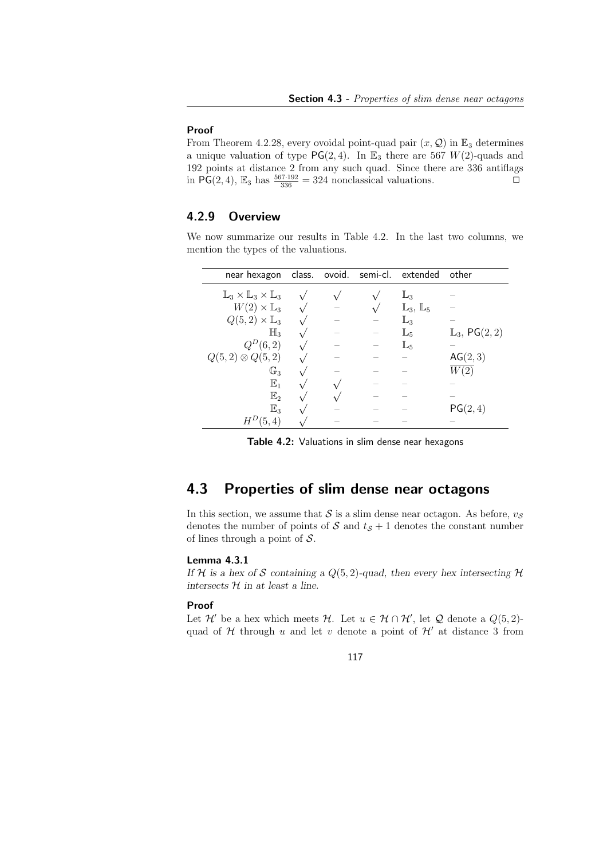# Proof

l,

From Theorem 4.2.28, every ovoidal point-quad pair  $(x, Q)$  in  $\mathbb{E}_3$  determines a unique valuation of type  $PG(2, 4)$ . In E<sub>3</sub> there are 567 W(2)-quads and 192 points at distance 2 from any such quad. Since there are 336 antiflags in PG(2, 4),  $\mathbb{E}_3$  has  $\frac{567.192}{336} = 324$  nonclassical valuations.

# 4.2.9 Overview

| near hexagon                                           |  | class. ovoid. semi-cl. extended | other                        |
|--------------------------------------------------------|--|---------------------------------|------------------------------|
| $\mathbb{L}_3 \times \mathbb{L}_3 \times \mathbb{L}_3$ |  | $\mathbb{L}_3$                  |                              |
| $W(2) \times \mathbb{L}_3$                             |  | $\mathbb{L}_3$ , $\mathbb{L}_5$ |                              |
| $Q(5,2)\times\mathbb{L}_3$                             |  | $\mathbb{L}_3$                  |                              |
| $\mathbb{H}_3$                                         |  | $\mathbb{L}_5$                  | $\mathbb{L}_3$ , PG $(2, 2)$ |
| $Q^D(6,2)$                                             |  | $\mathbb{L}_5$                  |                              |
| $Q(5,2) \otimes Q(5,2)$                                |  |                                 | AG(2,3)                      |
| $\mathbb{G}_3$                                         |  |                                 | $\overline{W}(2)$            |
| $\mathbb{E}_1$                                         |  |                                 |                              |
| $\mathbb{E}_2$                                         |  |                                 |                              |
| $\mathbb{E}_3$                                         |  |                                 | PG(2, 4)                     |
| $H^D(5,4)$                                             |  |                                 |                              |

We now summarize our results in Table 4.2. In the last two columns, we mention the types of the valuations.

Table 4.2: Valuations in slim dense near hexagons

# 4.3 Properties of slim dense near octagons

In this section, we assume that  $S$  is a slim dense near octagon. As before,  $v_S$ denotes the number of points of  $S$  and  $t_S + 1$  denotes the constant number of lines through a point of  $S$ .

# Lemma 4.3.1

If H is a hex of S containing a  $Q(5, 2)$ -quad, then every hex intersecting H intersects  $H$  in at least a line.

# Proof

Let  $\mathcal{H}'$  be a hex which meets  $\mathcal{H}$ . Let  $u \in \mathcal{H} \cap \mathcal{H}'$ , let  $\mathcal Q$  denote a  $Q(5, 2)$ quad of  $H$  through u and let v denote a point of  $H'$  at distance 3 from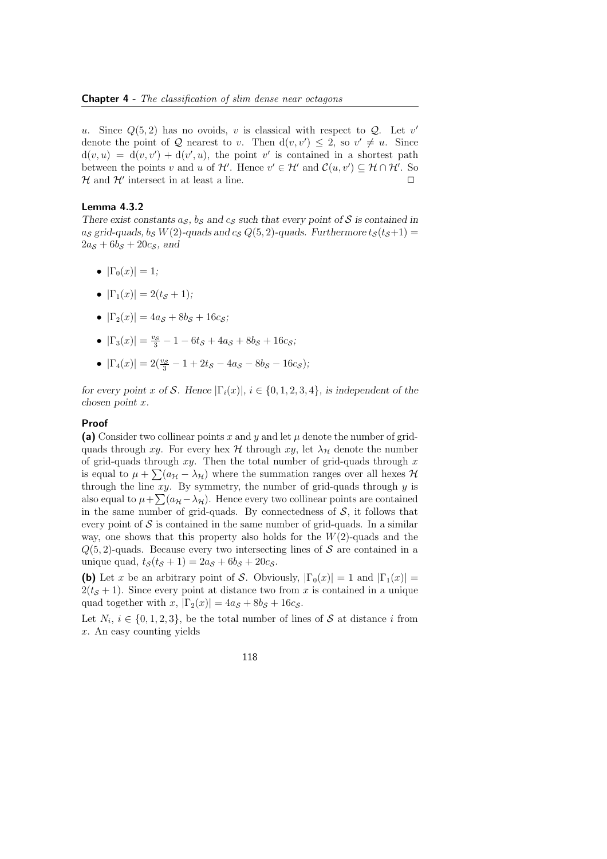u. Since  $Q(5, 2)$  has no ovoids, v is classical with respect to  $Q$ . Let v' denote the point of Q nearest to v. Then  $d(v, v') \leq 2$ , so  $v' \neq u$ . Since  $d(v, u) = d(v, v') + d(v', u)$ , the point v' is contained in a shortest path between the points v and u of  $\mathcal{H}'$ . Hence  $v' \in \mathcal{H}'$  and  $\mathcal{C}(u, v') \subseteq \mathcal{H} \cap \mathcal{H}'$ . So  $\mathcal H$  and  $\mathcal H'$  intersect in at least a line.

# Lemma 4.3.2

There exist constants  $a_S$ ,  $b_S$  and  $c_S$  such that every point of S is contained in  $a_S$  grid-quads,  $b_S W(2)$ -quads and  $c_S Q(5, 2)$ -quads. Furthermore  $t_S(t_S+1)$  =  $2a<sub>S</sub> + 6b<sub>S</sub> + 20c<sub>S</sub>$ , and

- $|\Gamma_0(x)| = 1;$
- $|\Gamma_1(x)| = 2(t_s + 1);$
- $|\Gamma_2(x)| = 4a_S + 8b_S + 16c_S;$
- $|\Gamma_3(x)| = \frac{v_S}{3} 1 6t_S + 4a_S + 8b_S + 16c_S;$
- $|\Gamma_4(x)| = 2(\frac{v_S}{3} 1 + 2t_S 4a_S 8b_S 16c_S);$

for every point x of S. Hence  $|\Gamma_i(x)|$ ,  $i \in \{0, 1, 2, 3, 4\}$ , is independent of the chosen point x.

#### Proof

(a) Consider two collinear points x and y and let  $\mu$  denote the number of gridquads through xy. For every hex H through xy, let  $\lambda_{\mathcal{H}}$  denote the number of grid-quads through  $xy$ . Then the total number of grid-quads through  $x$ is equal to  $\mu + \sum (a_{\mathcal{H}} - \lambda_{\mathcal{H}})$  where the summation ranges over all hexes  $\mathcal{H}$ through the line  $xy$ . By symmetry, the number of grid-quads through  $y$  is also equal to  $\mu + \sum (a_{\mathcal{H}} - \lambda_{\mathcal{H}})$ . Hence every two collinear points are contained in the same number of grid-quads. By connectedness of  $S$ , it follows that every point of  $S$  is contained in the same number of grid-quads. In a similar way, one shows that this property also holds for the  $W(2)$ -quads and the  $Q(5, 2)$ -quads. Because every two intersecting lines of S are contained in a unique quad,  $t_{\mathcal{S}}(t_{\mathcal{S}} + 1) = 2a_{\mathcal{S}} + 6b_{\mathcal{S}} + 20c_{\mathcal{S}}.$ 

(b) Let x be an arbitrary point of S. Obviously,  $|\Gamma_0(x)| = 1$  and  $|\Gamma_1(x)| =$  $2(t<sub>S</sub>+1)$ . Since every point at distance two from x is contained in a unique quad together with x,  $|\Gamma_2(x)| = 4a_S + 8b_S + 16c_S$ .

Let  $N_i$ ,  $i \in \{0, 1, 2, 3\}$ , be the total number of lines of S at distance i from x. An easy counting yields

118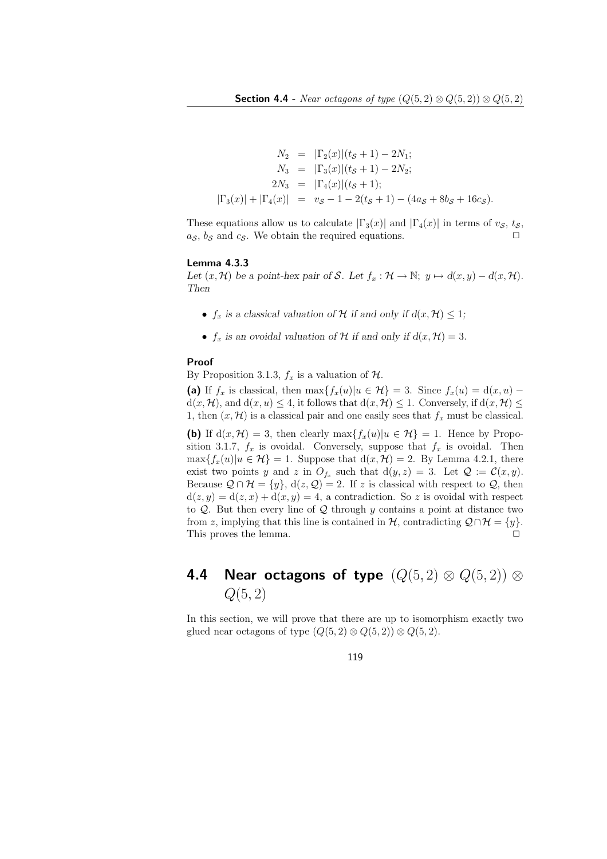$$
N_2 = |\Gamma_2(x)|(t_S + 1) - 2N_1;
$$
  
\n
$$
N_3 = |\Gamma_3(x)|(t_S + 1) - 2N_2;
$$
  
\n
$$
2N_3 = |\Gamma_4(x)|(t_S + 1);
$$
  
\n
$$
|\Gamma_3(x)| + |\Gamma_4(x)| = v_S - 1 - 2(t_S + 1) - (4a_S + 8b_S + 16c_S).
$$

These equations allow us to calculate  $|\Gamma_3(x)|$  and  $|\Gamma_4(x)|$  in terms of  $v_{\mathcal{S}}, t_{\mathcal{S}},$  $a_{\mathcal{S}}, b_{\mathcal{S}}$  and  $c_{\mathcal{S}}$ . We obtain the required equations.

# Lemma 4.3.3

Let  $(x, \mathcal{H})$  be a point-hex pair of S. Let  $f_x : \mathcal{H} \to \mathbb{N}$ ;  $y \mapsto d(x, y) - d(x, \mathcal{H})$ . Then

- $f_x$  is a classical valuation of H if and only if  $d(x, \mathcal{H}) \leq 1$ ;
- $f_x$  is an ovoidal valuation of H if and only if  $d(x, \mathcal{H}) = 3$ .

# Proof

By Proposition 3.1.3,  $f_x$  is a valuation of  $H$ .

(a) If  $f_x$  is classical, then  $\max\{f_x(u)|u \in \mathcal{H}\}=3$ . Since  $f_x(u)=d(x,u)$  $d(x, \mathcal{H})$ , and  $d(x, u) \leq 4$ , it follows that  $d(x, \mathcal{H}) \leq 1$ . Conversely, if  $d(x, \mathcal{H}) \leq$ 1, then  $(x, \mathcal{H})$  is a classical pair and one easily sees that  $f_x$  must be classical.

(b) If  $d(x, \mathcal{H}) = 3$ , then clearly  $\max\{f_x(u) | u \in \mathcal{H}\} = 1$ . Hence by Proposition 3.1.7,  $f_x$  is ovoidal. Conversely, suppose that  $f_x$  is ovoidal. Then  $\max\{f_x(u)|u \in \mathcal{H}\}=1.$  Suppose that  $d(x,\mathcal{H})=2.$  By Lemma 4.2.1, there exist two points y and z in  $O_{f_x}$  such that  $d(y, z) = 3$ . Let  $\mathcal{Q} := \mathcal{C}(x, y)$ . Because  $\mathcal{Q} \cap \mathcal{H} = \{y\}, d(z, \mathcal{Q}) = 2$ . If z is classical with respect to  $\mathcal{Q}$ , then  $d(z, y) = d(z, x) + d(x, y) = 4$ , a contradiction. So z is ovoidal with respect to  $Q$ . But then every line of  $Q$  through  $y$  contains a point at distance two from z, implying that this line is contained in  $H$ , contradicting  $Q \cap H = \{y\}$ .<br>This proves the lemma This proves the lemma.

# 4.4 Near octagons of type  $(Q(5,2) \otimes Q(5,2)) \otimes$  $Q(5, 2)$

In this section, we will prove that there are up to isomorphism exactly two glued near octagons of type  $(Q(5, 2) \otimes Q(5, 2)) \otimes Q(5, 2)$ .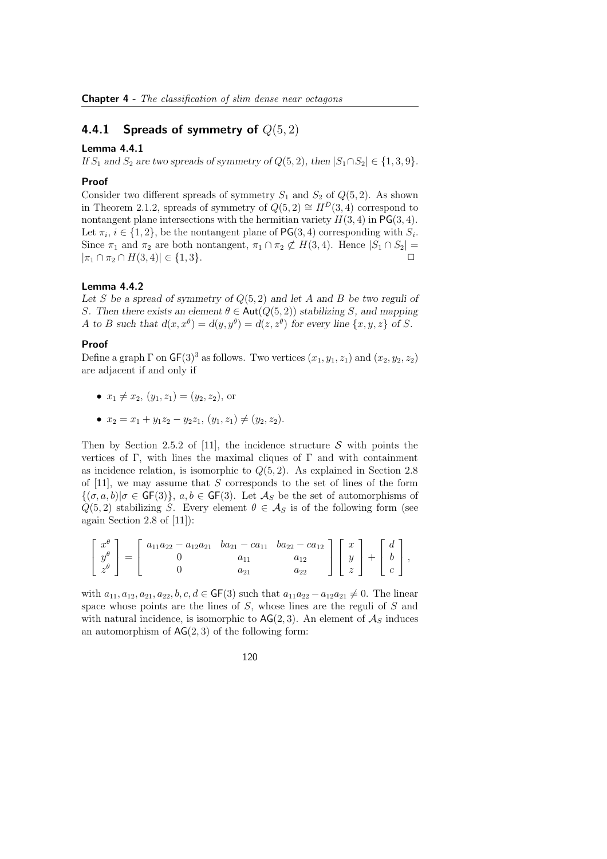# 4.4.1 Spreads of symmetry of  $Q(5, 2)$

#### Lemma 4.4.1

If  $S_1$  and  $S_2$  are two spreads of symmetry of  $Q(5, 2)$ , then  $|S_1 \cap S_2| \in \{1, 3, 9\}$ .

#### Proof

Consider two different spreads of symmetry  $S_1$  and  $S_2$  of  $Q(5, 2)$ . As shown in Theorem 2.1.2, spreads of symmetry of  $Q(5, 2) \cong H^D(3, 4)$  correspond to nontangent plane intersections with the hermitian variety  $H(3, 4)$  in PG(3, 4). Let  $\pi_i, i \in \{1, 2\}$ , be the nontangent plane of  $PG(3, 4)$  corresponding with  $S_i$ . Since  $\pi_1$  and  $\pi_2$  are both nontangent,  $\pi_1 \cap \pi_2 \not\subset H(3, 4)$ . Hence  $|S_1 \cap S_2| = |\pi_1 \cap \pi_2 \cap H(3, 4)| \in \{1, 3\}$  $|\pi_1 \cap \pi_2 \cap H(3,4)| \in \{1,3\}.$ 

# Lemma 4.4.2

Let S be a spread of symmetry of  $Q(5,2)$  and let A and B be two reguli of S. Then there exists an element  $\theta \in \text{Aut}(Q(5, 2))$  stabilizing S, and mapping A to B such that  $d(x, x^{\theta}) = d(y, y^{\theta}) = d(z, z^{\theta})$  for every line  $\{x, y, z\}$  of S.

# Proof

Define a graph  $\Gamma$  on  $GF(3)^3$  as follows. Two vertices  $(x_1, y_1, z_1)$  and  $(x_2, y_2, z_2)$ are adjacent if and only if

- $x_1 \neq x_2$ ,  $(y_1, z_1) = (y_2, z_2)$ , or
- $x_2 = x_1 + y_1z_2 y_2z_1$ ,  $(y_1, z_1) \neq (y_2, z_2)$ .

Then by Section 2.5.2 of [11], the incidence structure  $S$  with points the vertices of Γ, with lines the maximal cliques of Γ and with containment as incidence relation, is isomorphic to  $Q(5, 2)$ . As explained in Section 2.8 of  $[11]$ , we may assume that S corresponds to the set of lines of the form  $\{(\sigma, a, b)| \sigma \in \mathsf{GF}(3)\}, a, b \in \mathsf{GF}(3)$ . Let  $\mathcal{A}_S$  be the set of automorphisms of  $Q(5, 2)$  stabilizing S. Every element  $\theta \in \mathcal{A}_S$  is of the following form (see again Section 2.8 of [11]):

$$
\begin{bmatrix} x^{\theta} \\ y^{\theta} \\ z^{\theta} \end{bmatrix} = \begin{bmatrix} a_{11}a_{22} - a_{12}a_{21} & ba_{21} - ca_{11} & ba_{22} - ca_{12} \\ 0 & a_{11} & a_{12} \\ 0 & a_{21} & a_{22} \end{bmatrix} \begin{bmatrix} x \\ y \\ z \end{bmatrix} + \begin{bmatrix} d \\ b \\ c \end{bmatrix},
$$

with  $a_{11}, a_{12}, a_{21}, a_{22}, b, c, d \in \mathsf{GF}(3)$  such that  $a_{11}a_{22} - a_{12}a_{21} \neq 0$ . The linear space whose points are the lines of S, whose lines are the reguli of S and with natural incidence, is isomorphic to  $AG(2,3)$ . An element of  $\mathcal{A}_S$  induces an automorphism of  $AG(2,3)$  of the following form:

120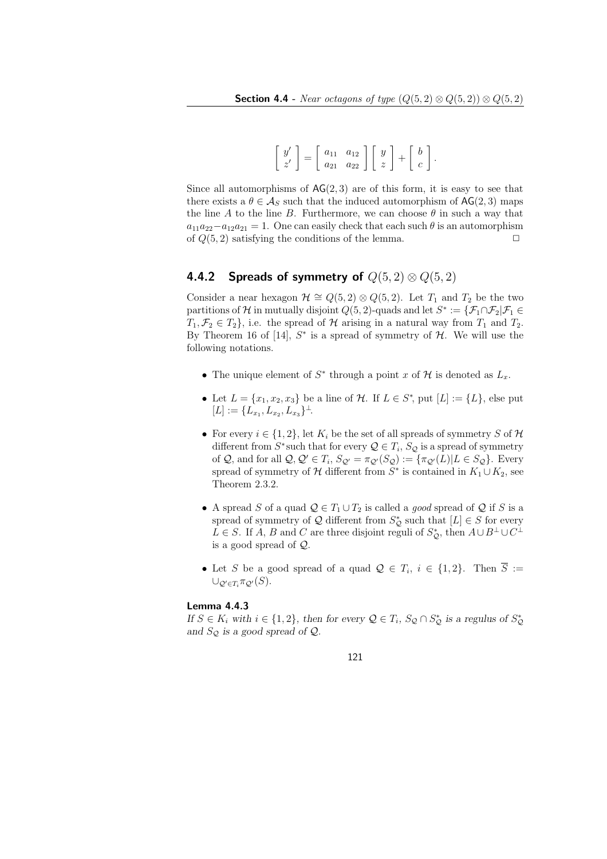|  | $a_{11}$ $a_{12}$     $y$   $\perp$                               |  |  |
|--|-------------------------------------------------------------------|--|--|
|  | $a_{21}$ $a_{22}$ $\left  \begin{array}{c} z \end{array} \right $ |  |  |

Since all automorphisms of  $AG(2,3)$  are of this form, it is easy to see that there exists a  $\theta \in A_S$  such that the induced automorphism of AG(2, 3) maps the line A to the line B. Furthermore, we can choose  $\theta$  in such a way that  $a_{11}a_{22}-a_{12}a_{21} = 1$ . One can easily check that each such  $\theta$  is an automorphism of  $O(5, 2)$  satisfying the conditions of the lemma of  $Q(5, 2)$  satisfying the conditions of the lemma.

# 4.4.2 Spreads of symmetry of  $Q(5,2) \otimes Q(5,2)$

Consider a near hexagon  $\mathcal{H} \cong Q(5, 2) \otimes Q(5, 2)$ . Let  $T_1$  and  $T_2$  be the two partitions of H in mutually disjoint  $Q(5, 2)$ -quads and let  $S^* := \{ \mathcal{F}_1 \cap \mathcal{F}_2 | \mathcal{F}_1 \in$  $T_1, \mathcal{F}_2 \in T_2$ , i.e. the spread of  $\mathcal H$  arising in a natural way from  $T_1$  and  $T_2$ . By Theorem 16 of [14],  $S^*$  is a spread of symmetry of  $H$ . We will use the following notations.

- The unique element of  $S^*$  through a point x of  $H$  is denoted as  $L_x$ .
- Let  $L = \{x_1, x_2, x_3\}$  be a line of  $\mathcal{H}$ . If  $L \in S^*$ , put  $[L] := \{L\}$ , else put  $[L] := \{L_{x_1}, L_{x_2}, L_{x_3}\}^{\perp}.$
- For every  $i \in \{1,2\}$ , let  $K_i$  be the set of all spreads of symmetry S of H different from  $S^*$  such that for every  $\mathcal{Q} \in T_i$ ,  $S_{\mathcal{Q}}$  is a spread of symmetry of Q, and for all  $Q, Q' \in T_i$ ,  $S_{Q'} = \pi_{Q'}(S_Q) := {\pi_{Q'}(L)|L \in S_Q}$ . Every spread of symmetry of  $\mathcal H$  different from  $S^*$  is contained in  $K_1 \cup K_2$ , see Theorem 2.3.2.
- A spread S of a quad  $\mathcal{Q} \in T_1 \cup T_2$  is called a good spread of  $\mathcal{Q}$  if S is a spread of symmetry of  $Q$  different from  $S^*_{Q}$  such that  $[L] \in S$  for every  $L \in S$ . If  $A, B$  and  $C$  are three disjoint reguli of  $S^*_{\mathcal{Q}}$ , then  $A \cup B^{\perp} \cup C^{\perp}$ is a good spread of Q.
- Let S be a good spread of a quad  $\mathcal{Q} \in \mathcal{T}_i$ ,  $i \in \{1, 2\}$ . Then  $S :=$  $\cup_{\mathcal{Q}'\in T_i} \pi_{\mathcal{Q}'}(S).$

# Lemma 4.4.3

If  $S \in K_i$  with  $i \in \{1,2\}$ , then for every  $\mathcal{Q} \in T_i$ ,  $S_{\mathcal{Q}} \cap S_{\mathcal{Q}}^*$  is a regulus of  $S_{\mathcal{Q}}^*$ and  $S_{\mathcal{Q}}$  is a good spread of  $\mathcal{Q}$ .

$$
121\\
$$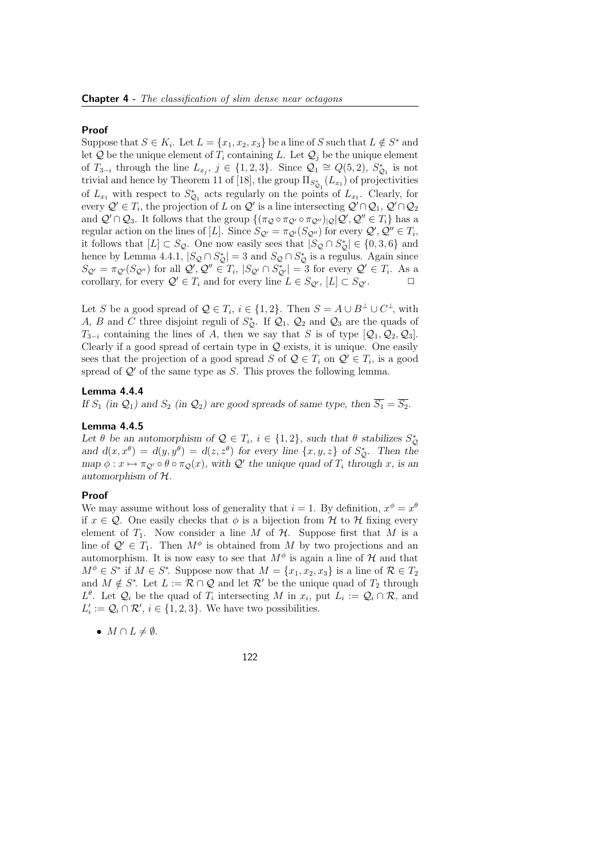# Proof

Suppose that  $S \in K_i$ . Let  $L = \{x_1, x_2, x_3\}$  be a line of S such that  $L \notin S^*$  and let  $Q$  be the unique element of  $T_i$  containing L. Let  $Q_i$  be the unique element of  $T_{3-i}$  through the line  $L_{x_j}$ ,  $j \in \{1,2,3\}$ . Since  $\mathcal{Q}_1 \cong Q(5,2)$ ,  $S^*_{\mathcal{Q}_1}$  is not trivial and hence by Theorem 11 of [18], the group  $\Pi_{S^*_{\mathcal{Q}_1}}(L_{x_1})$  of projectivities of  $L_{x_1}$  with respect to  $S^*_{\mathcal{Q}_1}$  acts regularly on the points of  $L_{x_1}$ . Clearly, for every  $\mathcal{Q}' \in T_i$ , the projection of L on  $\mathcal{Q}'$  is a line intersecting  $\mathcal{Q}' \cap \mathcal{Q}_1$ ,  $\mathcal{Q}' \cap \mathcal{Q}_2$ and  $\mathcal{Q}' \cap \mathcal{Q}_3$ . It follows that the group  $\{(\pi_{\mathcal{Q}} \circ \pi_{\mathcal{Q}'} \circ \pi_{\mathcal{Q}''})_{|\mathcal{Q}} | \mathcal{Q}', \mathcal{Q}'' \in T_i\}$  has a regular action on the lines of [L]. Since  $S_{\mathcal{Q}'} = \pi_{\mathcal{Q}'}(S_{\mathcal{Q}''})$  for every  $\mathcal{Q}', \mathcal{Q}'' \in T_i$ , it follows that  $[L] \subset S_{\mathcal{Q}}$ . One now easily sees that  $|S_{\mathcal{Q}} \cap S_{\mathcal{Q}}^*| \in \{0, 3, 6\}$  and hence by Lemma 4.4.1,  $|S_{\mathcal{Q}} \cap S_{\mathcal{Q}}^*| = 3$  and  $S_{\mathcal{Q}} \cap S_{\mathcal{Q}}^*$  is a regulus. Again since  $S_{\mathcal{Q}'} = \pi_{\mathcal{Q}'}(S_{\mathcal{Q}''})$  for all  $\mathcal{Q}', \mathcal{Q}'' \in T_i$ ,  $|S_{\mathcal{Q}'} \cap S_{\mathcal{Q}'}^*| = 3$  for every  $\mathcal{Q}' \in T_i$ . As a corollary, for every  $\mathcal{Q}' \in T_i$  and for every line  $L \in S_{\mathcal{Q}'}, [L] \subset S_{\mathcal{Q}'}$ .

Let S be a good spread of  $\mathcal{Q} \in T_i$ ,  $i \in \{1, 2\}$ . Then  $S = A \cup B^{\perp} \cup C^{\perp}$ , with A, B and C three disjoint reguli of  $S^*_{\mathcal{Q}}$ . If  $\mathcal{Q}_1$ ,  $\mathcal{Q}_2$  and  $\mathcal{Q}_3$  are the quads of  $T_{3-i}$  containing the lines of A, then we say that S is of type  $[Q_1, Q_2, Q_3]$ . Clearly if a good spread of certain type in  $Q$  exists, it is unique. One easily sees that the projection of a good spread S of  $\mathcal{Q} \in T_i$  on  $\mathcal{Q}' \in T_i$ , is a good spread of  $Q'$  of the same type as S. This proves the following lemma.

# Lemma 4.4.4

If  $S_1$  (in  $\mathcal{Q}_1$ ) and  $S_2$  (in  $\mathcal{Q}_2$ ) are good spreads of same type, then  $\overline{S_1} = \overline{S_2}$ .

#### Lemma 4.4.5

Let  $\theta$  be an automorphism of  $\mathcal{Q} \in T_i$ ,  $i \in \{1, 2\}$ , such that  $\theta$  stabilizes  $S^*_{\mathcal{Q}}$ and  $d(x, x^{\theta}) = d(y, y^{\theta}) = d(z, z^{\theta})$  for every line  $\{x, y, z\}$  of  $S_{\mathcal{Q}}^*$ . Then the map  $\phi: x \mapsto \pi_{\mathcal{Q}'} \circ \theta \circ \pi_{\mathcal{Q}}(x)$ , with  $\mathcal{Q}'$  the unique quad of  $T_i$  through x, is an automorphism of H.

# Proof

We may assume without loss of generality that  $i = 1$ . By definition,  $x^{\phi} = x^{\theta}$ if  $x \in \mathcal{Q}$ . One easily checks that  $\phi$  is a bijection from  $\mathcal{H}$  to  $\mathcal{H}$  fixing every element of  $T_1$ . Now consider a line M of H. Suppose first that M is a line of  $\mathcal{Q}' \in T_1$ . Then  $M^{\phi}$  is obtained from M by two projections and an automorphism. It is now easy to see that  $M^{\phi}$  is again a line of H and that  $M^{\phi} \in S^*$  if  $M \in S^*$ . Suppose now that  $M = \{x_1, x_2, x_3\}$  is a line of  $\mathcal{R} \in T_2$ and  $M \notin S^*$ . Let  $L := \mathcal{R} \cap \mathcal{Q}$  and let  $\mathcal{R}'$  be the unique quad of  $T_2$  through  $L^{\theta}$ . Let  $\mathcal{Q}_i$  be the quad of  $T_i$  intersecting M in  $x_i$ , put  $L_i := \mathcal{Q}_i \cap \mathcal{R}$ , and  $L'_i := \mathcal{Q}_i \cap \mathcal{R}'$ ,  $i \in \{1, 2, 3\}$ . We have two possibilities.

•  $M \cap L \neq \emptyset$ .

122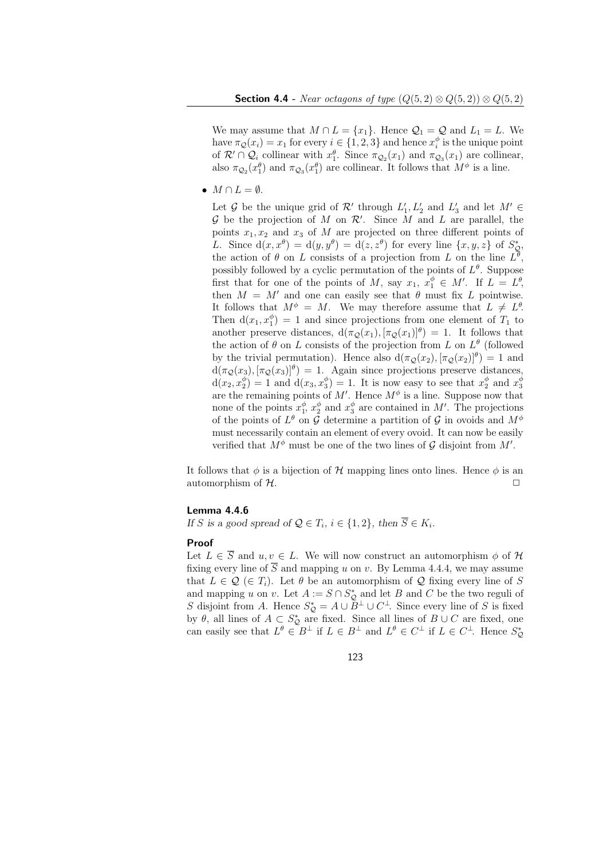We may assume that  $M \cap L = \{x_1\}$ . Hence  $\mathcal{Q}_1 = \mathcal{Q}$  and  $L_1 = L$ . We have  $\pi_{\mathcal{Q}}(x_i) = x_1$  for every  $i \in \{1, 2, 3\}$  and hence  $x_i^{\phi}$  is the unique point of  $\mathcal{R}' \cap \mathcal{Q}_i$  collinear with  $x_1^{\theta}$ . Since  $\pi_{\mathcal{Q}_2}(x_1)$  and  $\pi_{\mathcal{Q}_3}(x_1)$  are collinear, also  $\pi_{\mathcal{Q}_2}(x_1^{\theta})$  and  $\pi_{\mathcal{Q}_3}(x_1^{\theta})$  are collinear. It follows that  $M^{\phi}$  is a line.

•  $M \cap L = \emptyset$ .

Let G be the unique grid of  $\mathcal{R}'$  through  $L'_1, L'_2$  and  $L'_3$  and let  $M' \in$  $G$  be the projection of M on  $\mathcal{R}'$ . Since M and L are parallel, the points  $x_1, x_2$  and  $x_3$  of M are projected on three different points of L. Since  $d(x, x^{\theta}) = d(y, y^{\theta}) = d(z, z^{\theta})$  for every line  $\{x, y, z\}$  of  $S_{\mathcal{Q}}^*$ , the action of  $\theta$  on L consists of a projection from L on the line  $L^{\theta}$ , possibly followed by a cyclic permutation of the points of  $L^{\theta}$ . Suppose first that for one of the points of M, say  $x_1, x_1^{\phi} \in M'$ . If  $L = L^{\theta}$ , then  $M = M'$  and one can easily see that  $\theta$  must fix L pointwise. It follows that  $M^{\phi} = M$ . We may therefore assume that  $L \neq L^{\theta}$ . Then  $d(x_1, x_1^{\phi}) = 1$  and since projections from one element of  $T_1$  to another preserve distances,  $d(\pi_{\mathcal{Q}}(x_1), [\pi_{\mathcal{Q}}(x_1)]^{\theta}) = 1$ . It follows that the action of  $\theta$  on L consists of the projection from L on  $L^{\theta}$  (followed by the trivial permutation). Hence also  $d(\pi_{\mathcal{Q}}(x_2), [\pi_{\mathcal{Q}}(x_2)]^{\theta}) = 1$  and  $d(\pi_{\mathcal{Q}}(x_3), [\pi_{\mathcal{Q}}(x_3)]^{\theta}) = 1$ . Again since projections preserve distances,  $d(x_2, x_2^{\phi}) = 1$  and  $d(x_3, x_3^{\phi}) = 1$ . It is now easy to see that  $x_2^{\phi}$  and  $x_3^{\phi}$ are the remaining points of M'. Hence  $M^{\phi}$  is a line. Suppose now that none of the points  $x_1^{\phi}$ ,  $x_2^{\phi}$  and  $x_3^{\phi}$  are contained in M'. The projections of the points of  $L^{\theta}$  on  $\mathcal G$  determine a partition of  $\mathcal G$  in ovoids and  $M^{\phi}$ must necessarily contain an element of every ovoid. It can now be easily verified that  $M^{\phi}$  must be one of the two lines of  $\mathcal G$  disjoint from  $M'.$ 

It follows that  $\phi$  is a bijection of  $\mathcal H$  mapping lines onto lines. Hence  $\phi$  is an automorphism of  $\mathcal H$ automorphism of  $H$ .

# Lemma 4.4.6

If S is a good spread of  $\mathcal{Q} \in T_i$ ,  $i \in \{1, 2\}$ , then  $S \in K_i$ .

# Proof

Let  $L \in \overline{S}$  and  $u, v \in L$ . We will now construct an automorphism  $\phi$  of  $\mathcal{H}$ fixing every line of  $\overline{S}$  and mapping u on v. By Lemma 4.4.4, we may assume that  $L \in \mathcal{Q} \in T_i$ . Let  $\theta$  be an automorphism of  $\mathcal Q$  fixing every line of S and mapping u on v. Let  $A := S \cap S^*_{\mathcal{Q}}$  and let B and C be the two reguli of S disjoint from A. Hence  $S^*_{\mathcal{Q}} = A \cup B^{\perp} \cup C^{\perp}$ . Since every line of S is fixed by  $\theta$ , all lines of  $A \subset S^*_{\mathcal{Q}}$  are fixed. Since all lines of  $B \cup C$  are fixed, one can easily see that  $L^{\theta} \in B^{\perp}$  if  $L \in B^{\perp}$  and  $L^{\theta} \in C^{\perp}$  if  $L \in C^{\perp}$ . Hence  $S^*_{\mathcal{Q}}$ 

123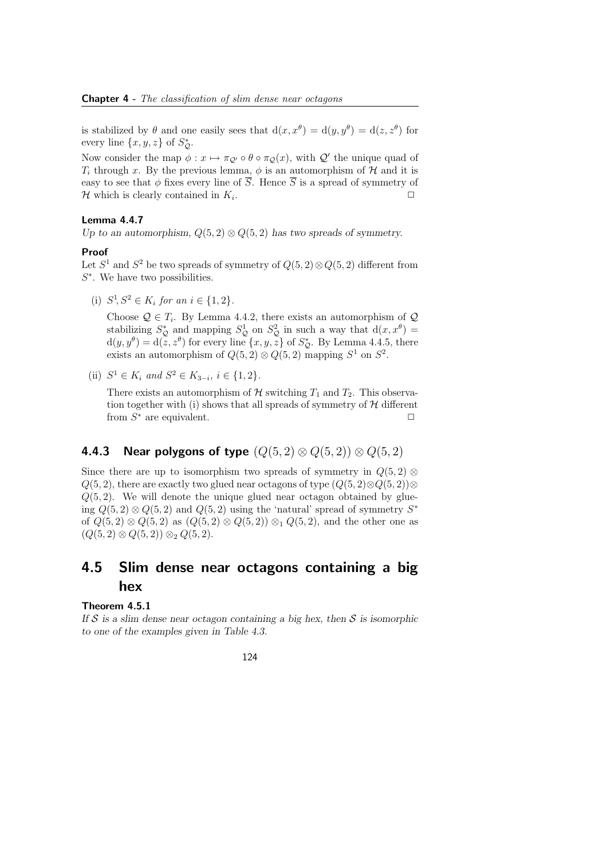is stabilized by  $\theta$  and one easily sees that  $d(x, x^{\theta}) = d(y, y^{\theta}) = d(z, z^{\theta})$  for every line  $\{x, y, z\}$  of  $S^*_{\mathcal{Q}}$ .

Now consider the map  $\phi: x \mapsto \pi_{\mathcal{Q}'} \circ \theta \circ \pi_{\mathcal{Q}}(x)$ , with  $\mathcal{Q}'$  the unique quad of  $T_i$  through x. By the previous lemma,  $\phi$  is an automorphism of H and it is easy to see that  $\phi$  fixes every line of  $\overline{S}$ . Hence  $\overline{S}$  is a spread of symmetry of  $\mathcal H$  which is clearly contained in  $K_i$ . . The contract of  $\overline{\mathcal{A}}$  is the contract of  $\overline{\mathcal{A}}$ 

# Lemma 4.4.7

Up to an automorphism,  $Q(5,2) \otimes Q(5,2)$  has two spreads of symmetry.

# Proof

Let  $S^1$  and  $S^2$  be two spreads of symmetry of  $Q(5, 2) \otimes Q(5, 2)$  different from S<sup>\*</sup>. We have two possibilities.

(i)  $S^1, S^2 \in K_i$  for an  $i \in \{1, 2\}.$ 

Choose  $\mathcal{Q} \in T_i$ . By Lemma 4.4.2, there exists an automorphism of  $\mathcal{Q}$ stabilizing  $S^*_{\mathcal{Q}}$  and mapping  $S^1_{\mathcal{Q}}$  on  $S^2_{\mathcal{Q}}$  in such a way that  $d(x, x^{\theta}) =$  $d(y, y^{\theta}) = d(z, z^{\theta})$  for every line  $\{x, y, z\}$  of  $S_{\mathcal{Q}}^*$ . By Lemma 4.4.5, there exists an automorphism of  $Q(5, 2) \otimes Q(5, 2)$  mapping  $S^1$  on  $S^2$ .

(ii)  $S^1 \in K_i$  and  $S^2 \in K_{3-i}$ ,  $i \in \{1,2\}$ .

There exists an automorphism of  $\mathcal H$  switching  $T_1$  and  $T_2$ . This observation together with (i) shows that all spreads of symmetry of  $H$  different from  $S^*$  are equivalent. from  $S^*$  are equivalent.  $\Box$ 

# 4.4.3 Near polygons of type  $(Q(5, 2) \otimes Q(5, 2)) \otimes Q(5, 2)$

Since there are up to isomorphism two spreads of symmetry in  $Q(5, 2)$  ⊗  $Q(5, 2)$ , there are exactly two glued near octagons of type  $(Q(5, 2) \otimes Q(5, 2)) \otimes$  $Q(5, 2)$ . We will denote the unique glued near octagon obtained by glueing  $Q(5, 2) \otimes Q(5, 2)$  and  $Q(5, 2)$  using the 'natural' spread of symmetry  $S^*$ of  $Q(5, 2) \otimes Q(5, 2)$  as  $(Q(5, 2) \otimes Q(5, 2)) \otimes_1 Q(5, 2)$ , and the other one as  $(Q(5, 2) \otimes Q(5, 2)) \otimes_2 Q(5, 2).$ 

# 4.5 Slim dense near octagons containing a big hex

# Theorem 4.5.1

If  $S$  is a slim dense near octagon containing a big hex, then  $S$  is isomorphic to one of the examples given in Table 4.3.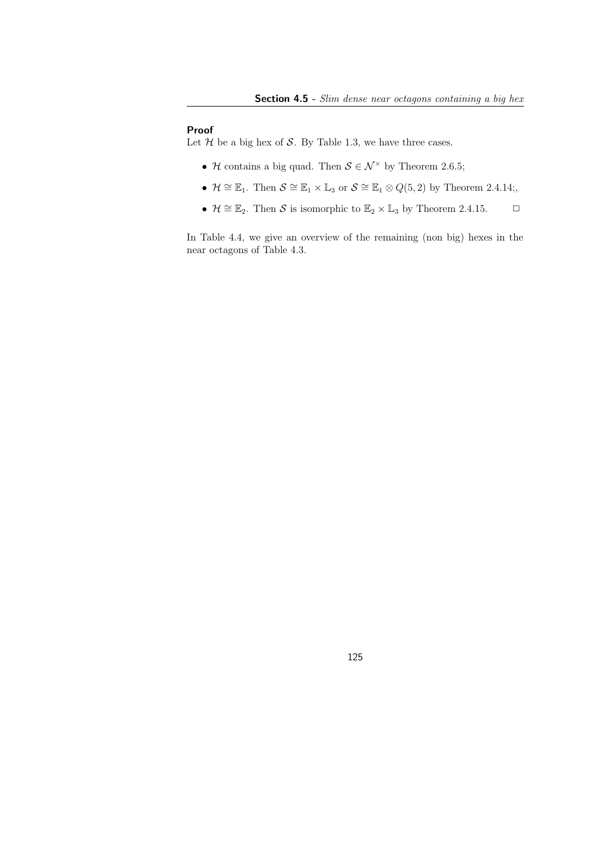# Proof

Let  $H$  be a big hex of  $S$ . By Table 1.3, we have three cases.

- H contains a big quad. Then  $S \in \mathcal{N}^{\times}$  by Theorem 2.6.5;
- $\mathcal{H} \cong \mathbb{E}_1$ . Then  $\mathcal{S} \cong \mathbb{E}_1 \times \mathbb{L}_3$  or  $\mathcal{S} \cong \mathbb{E}_1 \otimes Q(5, 2)$  by Theorem 2.4.14;,
- $\mathcal{H} \cong \mathbb{E}_2$ . Then S is isomorphic to  $\mathbb{E}_2 \times \mathbb{L}_3$  by Theorem 2.4.15.  $\Box$

In Table 4.4, we give an overview of the remaining (non big) hexes in the near octagons of Table 4.3.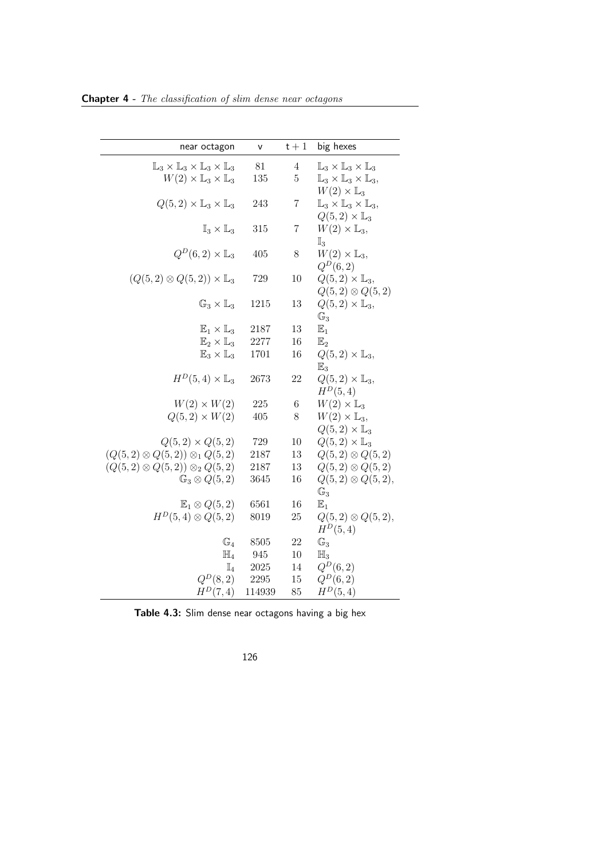| near octagon                                                               | V        | $t+1$          | big hexes                                              |
|----------------------------------------------------------------------------|----------|----------------|--------------------------------------------------------|
| $\mathbb{L}_3 \times \mathbb{L}_3 \times \mathbb{L}_3 \times \mathbb{L}_3$ | 81       | $\overline{4}$ | $\mathbb{L}_3 \times \mathbb{L}_3 \times \mathbb{L}_3$ |
| $W(2) \times \mathbb{L}_3 \times \mathbb{L}_3$                             | 135      | $\overline{5}$ | $\mathbb{L}_3 \times \mathbb{L}_3 \times \mathbb{L}_3$ |
|                                                                            |          |                | $W(2) \times \mathbb{L}_3$                             |
| $Q(5,2)\times\mathbb{L}_3\times\mathbb{L}_3$                               | 243      | $\overline{7}$ | $\mathbb{L}_3 \times \mathbb{L}_3 \times \mathbb{L}_3$ |
|                                                                            |          |                | $Q(5,2)\times\mathbb{L}_3$                             |
| $\mathbb{I}_3\times\mathbb{L}_3$                                           | 315      | 7              | $W(2) \times \mathbb{L}_3$                             |
|                                                                            |          |                | $\mathbb{I}_3$                                         |
| $Q^D(6,2)\times\mathbb{L}_3$                                               | 405      | 8              | $W(2) \times \mathbb{L}_3$                             |
|                                                                            |          |                | $Q^D(6,2)$                                             |
| $(Q(5,2)\otimes Q(5,2))\times \mathbb{L}_3$                                | 729      | $10\,$         | $Q(5,2)\times\mathbb{L}_3,$                            |
|                                                                            |          |                | $Q(5,2)\otimes Q(5,2)$                                 |
| $\mathbb{G}_3 \times \mathbb{L}_3$                                         | 1215     | 13             | $Q(5,2)\times\mathbb{L}_3,$                            |
|                                                                            |          |                | $\mathbb{G}_3$                                         |
| $\mathbb{E}_1\times\mathbb{L}_3$                                           | 2187     | 13             | $\mathbb{E}_1$                                         |
| $\mathbb{E}_2\times\mathbb{L}_3$                                           | 2277     | 16             | $\mathbb{E}_2$                                         |
| $\mathbb{E}_3\times\mathbb{L}_3$                                           | 1701     | 16             | $Q(5,2)\times\mathbb{L}_3,$                            |
|                                                                            |          |                | $\mathbb{E}_3$                                         |
| $H^D(5,4)\times\mathbb{L}_3$                                               | 2673     | $22\,$         | $Q(5,2)\times\mathbb{L}_3,$                            |
|                                                                            |          |                | $H^D(5,4)$                                             |
| $W(2) \times W(2)$                                                         | $225\,$  | $\,6$          | $W(2) \times \mathbb{L}_3$                             |
| $Q(5,2) \times W(2)$                                                       | 405      | 8              | $W(2) \times \mathbb{L}_3$                             |
|                                                                            |          |                | $Q(5,2)\times\mathbb{L}_3$                             |
| $Q(5,2) \times Q(5,2)$                                                     | 729      | 10             | $Q(5,2)\times\mathbb{L}_3$                             |
| $(Q(5,2)\otimes Q(5,2))\otimes_1 Q(5,2)$                                   | 2187     | 13             | $Q(5,2)\otimes Q(5,2)$                                 |
| $(Q(5,2)\otimes Q(5,2))\otimes_2 Q(5,2)$                                   | 2187     | 13             | $Q(5,2)\otimes Q(5,2)$                                 |
| $\mathbb{G}_3 \otimes Q(5,2)$                                              | 3645     | 16             | $Q(5,2) \otimes Q(5,2),$                               |
|                                                                            |          |                | $\mathbb{G}_3$                                         |
| $\mathbb{E}_1 \otimes Q(5,2)$                                              | 6561     | 16             | $\mathbb{E}_1$                                         |
| $H^D(5,4) \otimes Q(5,2)$                                                  | 8019     | $25\,$         | $Q(5,2) \otimes Q(5,2),$                               |
|                                                                            |          |                | $H^D(5,4)$                                             |
| $\mathbb{G}_4$                                                             | 8505     | $22\,$         | $\mathbb{G}_3$                                         |
| $\mathbb{H}_4$                                                             | 945      | 10             | $\mathbb{H}_3$                                         |
| $\mathbb{I}_4$                                                             | 2025     | 14             | $Q^D(6,2)$                                             |
| $Q^D(8,2)$                                                                 | $2295\,$ | $15\,$         | ${\cal Q}^D(6,2)$                                      |
| $H^{D}(7,4)$                                                               | 114939   | 85             | $H^{D}(5,4)$                                           |

Table 4.3: Slim dense near octagons having a big hex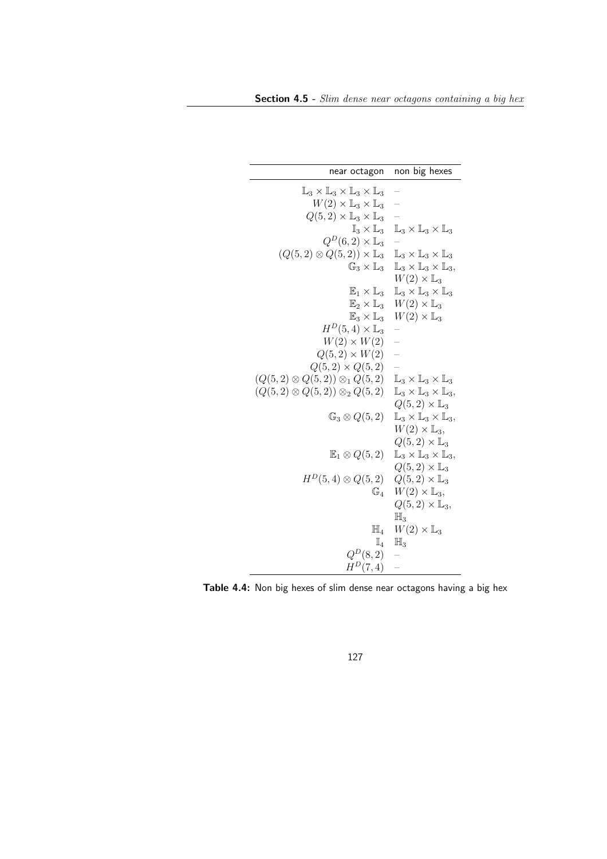| near octagon                                                               | non big hexes                                                 |
|----------------------------------------------------------------------------|---------------------------------------------------------------|
| $\mathbb{L}_3 \times \mathbb{L}_3 \times \mathbb{L}_3 \times \mathbb{L}_3$ |                                                               |
| $W(2) \times \mathbb{L}_3 \times \mathbb{L}_3$                             |                                                               |
| $Q(5,2)\times\mathbb{L}_3\times\mathbb{L}_3$                               |                                                               |
| $\mathbb{I}_3\times\mathbb{L}_3$                                           | $\mathbb{L}_3 \times \mathbb{L}_3 \times \mathbb{L}_3$        |
| $Q^D(6,2)\times\mathbb{L}_3$                                               |                                                               |
| $(Q(5,2)\otimes Q(5,2))\times \mathbb{L}_3$                                | $\mathbb{L}_3 \times \mathbb{L}_3 \times \mathbb{L}_3$        |
| $\mathbb{G}_3 \times \mathbb{L}_3$                                         | $\mathbb{L}_3 \times \mathbb{L}_3 \times \mathbb{L}_3$        |
|                                                                            | $W(2) \times \mathbb{L}_3$                                    |
| $\mathbb{E}_1\times\mathbb{L}_3$                                           | $\mathbb{L}_3 \times \mathbb{L}_3 \times \mathbb{L}_3$        |
|                                                                            | $\mathbb{E}_2 \times \mathbb{L}_3$ $W(2) \times \mathbb{L}_3$ |
| $\mathbb{E}_3 \times \mathbb{L}_3$                                         | $W(2) \times \mathbb{L}_3$                                    |
| $H^D(5,4)\times\mathbb{L}_3$                                               |                                                               |
| $W(2) \times W(2)$                                                         |                                                               |
| $Q(5,2) \times W(2)$                                                       |                                                               |
| $Q(5,2) \times Q(5,2)$                                                     |                                                               |
| $(Q(5,2)\otimes Q(5,2))\otimes_1 Q(5,2)$                                   | $\mathbb{L}_3 \times \mathbb{L}_3 \times \mathbb{L}_3$        |
| $(Q(5,2)\otimes Q(5,2))\otimes_2 Q(5,2)$                                   | $\mathbb{L}_3 \times \mathbb{L}_3 \times \mathbb{L}_3$        |
|                                                                            | $Q(5,2)\times\mathbb{L}_3$                                    |
| $\mathbb{G}_3 \otimes Q(5,2)$                                              | $\mathbb{L}_3 \times \mathbb{L}_3 \times \mathbb{L}_3$        |
|                                                                            | $W(2) \times \mathbb{L}_3$                                    |
|                                                                            | $Q(5,2)\times\mathbb{L}_3$                                    |
| $\mathbb{E}_1\otimes Q(5,2)$                                               | $\mathbb{L}_3 \times \mathbb{L}_3 \times \mathbb{L}_3$        |
|                                                                            | $Q(5,2)\times\mathbb{L}_3$                                    |
| $H^D(5,4) \otimes Q(5,2) \quad Q(5,2) \times \mathbb{L}_3$                 |                                                               |
| $\mathbb{G}_4$                                                             | $W(2) \times \mathbb{L}_3$                                    |
|                                                                            | $Q(5,2)\times\mathbb{L}_3,$                                   |
|                                                                            | $H_3$                                                         |
| $\mathbb{H}_4$                                                             | $W(2) \times \mathbb{L}_3$                                    |
| $\mathbb{I}_4$                                                             | $\mathbb{H}_3$                                                |
| $Q^D(8, 2)$                                                                |                                                               |
| $H^{D}(7,4)$                                                               |                                                               |

Table 4.4: Non big hexes of slim dense near octagons having a big hex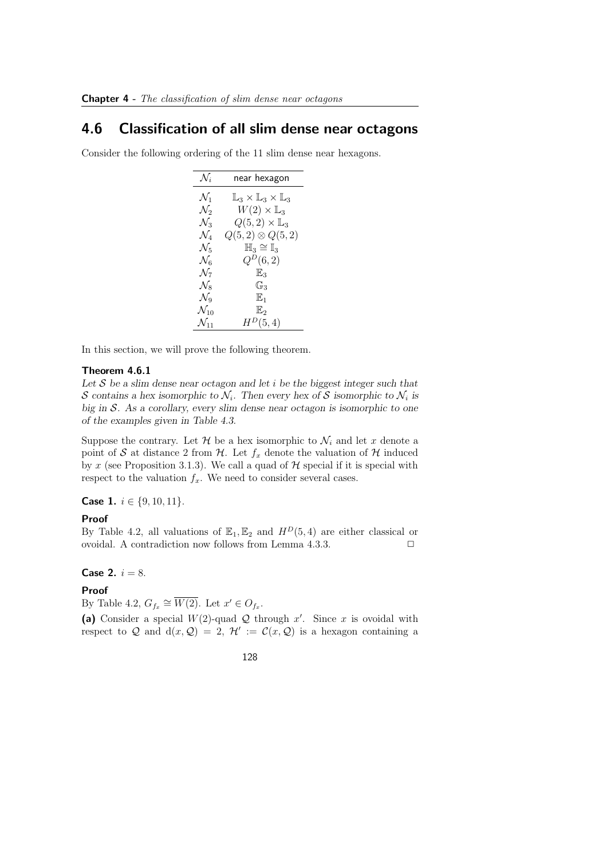# 4.6 Classification of all slim dense near octagons

Consider the following ordering of the 11 slim dense near hexagons.

| $\mathcal{N}_i$    | near hexagon                                           |
|--------------------|--------------------------------------------------------|
| $\mathcal{N}_1$    | $\mathbb{L}_3 \times \mathbb{L}_3 \times \mathbb{L}_3$ |
| $\mathcal{N}_2$    | $W(2) \times \mathbb{L}_3$                             |
| $\mathcal{N}_3$    | $Q(5,2)\times\mathbb{L}_3$                             |
| $\mathcal{N}_4$    | $Q(5,2)\otimes Q(5,2)$                                 |
| $\mathcal{N}_5$    | $\mathbb{H}_3 \cong \mathbb{I}_3$                      |
| $\mathcal{N}_6$    | $Q^D(6,2)$                                             |
| $\mathcal{N}_{7}$  | $\mathbb{E}_3$                                         |
| $\mathcal{N}_8$    | $\mathbb{G}_3$                                         |
| $\mathcal{N}_9$    | $\mathbb{E}_1$                                         |
| $\mathcal{N}_{10}$ | $\mathbb{E}^{\mathbb{D}}$                              |
| $\mathcal{N}_{11}$ | $H^D(5,4)$                                             |

In this section, we will prove the following theorem.

## Theorem 4.6.1

Let  $S$  be a slim dense near octagon and let i be the biggest integer such that S contains a hex isomorphic to  $\mathcal{N}_i$ . Then every hex of S isomorphic to  $\mathcal{N}_i$  is big in S. As a corollary, every slim dense near octagon is isomorphic to one of the examples given in Table 4.3.

Suppose the contrary. Let  $\mathcal H$  be a hex isomorphic to  $\mathcal N_i$  and let x denote a point of S at distance 2 from H. Let  $f_x$  denote the valuation of H induced by x (see Proposition 3.1.3). We call a quad of  $H$  special if it is special with respect to the valuation  $f_x$ . We need to consider several cases.

Case 1.  $i \in \{9, 10, 11\}$ .

# Proof

By Table 4.2, all valuations of  $\mathbb{E}_1$ ,  $\mathbb{E}_2$  and  $H^D(5, 4)$  are either classical or ovoidal. A contradiction now follows from Lemma 4.3.3.  $\Box$ 

**Case 2.**  $i = 8$ .

# Proof

By Table 4.2,  $G_{f_x} \cong W(2)$ . Let  $x' \in O_{f_x}$ .

(a) Consider a special  $W(2)$ -quad  $Q$  through  $x'$ . Since x is ovoidal with respect to Q and  $d(x, Q) = 2$ ,  $\mathcal{H}' := \mathcal{C}(x, Q)$  is a hexagon containing a

128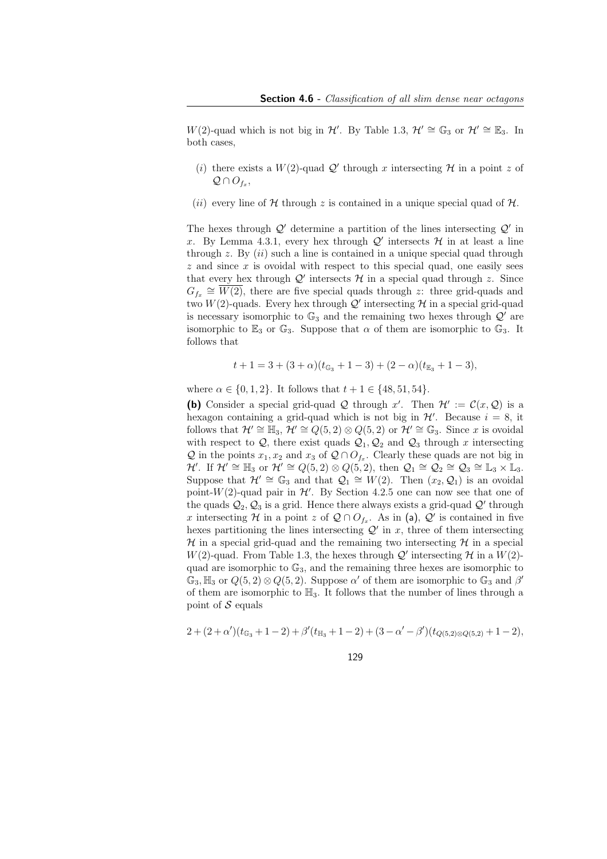W(2)-quad which is not big in  $\mathcal{H}'$ . By Table 1.3,  $\mathcal{H}' \cong \mathbb{G}_3$  or  $\mathcal{H}' \cong \mathbb{E}_3$ . In both cases,

- (i) there exists a  $W(2)$ -quad  $\mathcal{Q}'$  through x intersecting  $\mathcal H$  in a point z of  $Q \cap O_{f_x},$
- (ii) every line of H through z is contained in a unique special quad of  $H$ .

The hexes through  $Q'$  determine a partition of the lines intersecting  $Q'$  in x. By Lemma 4.3.1, every hex through  $Q'$  intersects  $\mathcal H$  in at least a line through z. By  $(ii)$  such a line is contained in a unique special quad through  $z$  and since  $x$  is ovoidal with respect to this special quad, one easily sees that every hex through  $Q'$  intersects  $H$  in a special quad through z. Since  $G_{f_x} \cong W(2)$ , there are five special quads through z: three grid-quads and two  $W(2)$ -quads. Every hex through  $\mathcal{Q}'$  intersecting  $\mathcal{H}$  in a special grid-quad is necessary isomorphic to  $\mathbb{G}_3$  and the remaining two hexes through  $\mathcal{Q}'$  are isomorphic to  $\mathbb{E}_3$  or  $\mathbb{G}_3$ . Suppose that  $\alpha$  of them are isomorphic to  $\mathbb{G}_3$ . It follows that

$$
t+1 = 3 + (3+\alpha)(t_{\mathbb{G}_3} + 1 - 3) + (2-\alpha)(t_{\mathbb{E}_3} + 1 - 3),
$$

where  $\alpha \in \{0, 1, 2\}$ . It follows that  $t + 1 \in \{48, 51, 54\}$ .

(b) Consider a special grid-quad Q through x'. Then  $\mathcal{H}' := \mathcal{C}(x, \mathcal{Q})$  is a hexagon containing a grid-quad which is not big in  $\mathcal{H}'$ . Because  $i = 8$ , it follows that  $\mathcal{H}' \cong \mathbb{H}_3$ ,  $\mathcal{H}' \cong Q(5, 2) \otimes Q(5, 2)$  or  $\mathcal{H}' \cong \mathbb{G}_3$ . Since x is ovoidal with respect to  $Q$ , there exist quads  $Q_1, Q_2$  and  $Q_3$  through x intersecting Q in the points  $x_1, x_2$  and  $x_3$  of  $\mathcal{Q} \cap O_{f_x}$ . Clearly these quads are not big in  $\mathcal{H}'$ . If  $\mathcal{H}' \cong \mathbb{H}_3$  or  $\mathcal{H}' \cong Q(5, 2) \otimes Q(5, 2)$ , then  $\mathcal{Q}_1 \cong \mathcal{Q}_2 \cong \mathcal{Q}_3 \cong \mathbb{L}_3 \times \mathbb{L}_3$ . Suppose that  $\mathcal{H}' \cong \mathbb{G}_3$  and that  $\mathcal{Q}_1 \cong W(2)$ . Then  $(x_2, \mathcal{Q}_1)$  is an ovoidal point- $W(2)$ -quad pair in  $\mathcal{H}'$ . By Section 4.2.5 one can now see that one of the quads  $\mathcal{Q}_2$ ,  $\mathcal{Q}_3$  is a grid. Hence there always exists a grid-quad  $\mathcal{Q}'$  through x intersecting H in a point z of  $Q \cap O_{f_x}$ . As in (a), Q' is contained in five hexes partitioning the lines intersecting  $\mathcal{Q}'$  in x, three of them intersecting  $\mathcal H$  in a special grid-quad and the remaining two intersecting  $\mathcal H$  in a special  $W(2)$ -quad. From Table 1.3, the hexes through  $\mathcal{Q}'$  intersecting  $\mathcal{H}$  in a  $W(2)$ quad are isomorphic to  $\mathbb{G}_3$ , and the remaining three hexes are isomorphic to  $\mathbb{G}_3$ ,  $\mathbb{H}_3$  or  $Q(5, 2) \otimes Q(5, 2)$ . Suppose  $\alpha'$  of them are isomorphic to  $\mathbb{G}_3$  and  $\beta'$ of them are isomorphic to  $\mathbb{H}_3$ . It follows that the number of lines through a point of  $S$  equals

$$
2 + (2 + \alpha') (t_{\mathbb{G}_3} + 1 - 2) + \beta' (t_{\mathbb{H}_3} + 1 - 2) + (3 - \alpha' - \beta') (t_{Q(5,2) \otimes Q(5,2)} + 1 - 2),
$$

129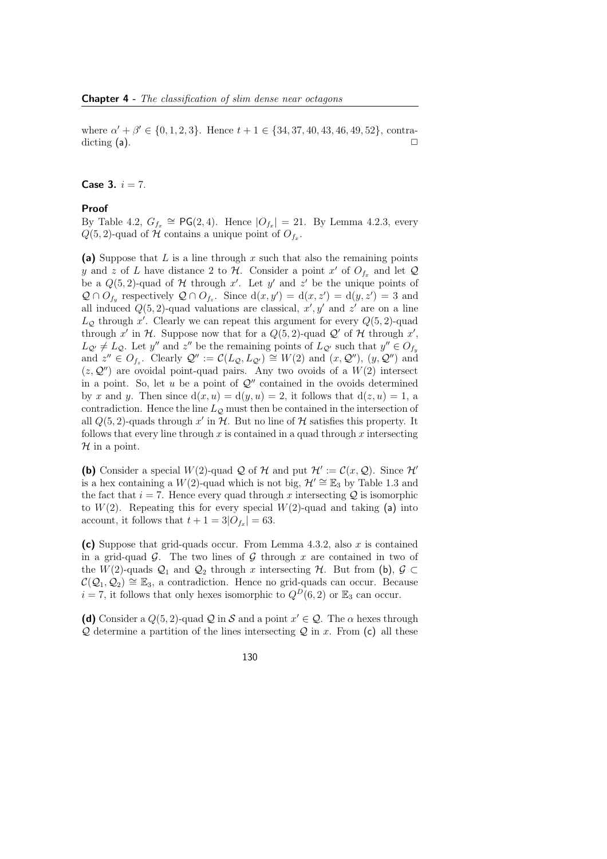where  $\alpha' + \beta' \in \{0, 1, 2, 3\}$ . Hence  $t + 1 \in \{34, 37, 40, 43, 46, 49, 52\}$ , contra $dicting(a)$ .

# **Case 3.**  $i = 7$ .

# Proof

By Table 4.2,  $G_{f_x} \cong \mathsf{PG}(2,4)$ . Hence  $|O_{f_x}| = 21$ . By Lemma 4.2.3, every  $Q(5, 2)$ -quad of H contains a unique point of  $O_{f_x}$ .

(a) Suppose that  $L$  is a line through  $x$  such that also the remaining points y and z of L have distance 2 to  $H$ . Consider a point  $x'$  of  $O_{f_x}$  and let  $\mathcal{Q}$ be a  $Q(5, 2)$ -quad of  $H$  through  $x'$ . Let  $y'$  and  $z'$  be the unique points of  $Q \cap O_{f_y}$  respectively  $Q \cap O_{f_z}$ . Since  $d(x, y') = d(x, z') = d(y, z') = 3$  and all induced  $Q(5, 2)$ -quad valuations are classical,  $x', y'$  and  $z'$  are on a line  $L_{\mathcal{Q}}$  through x'. Clearly we can repeat this argument for every  $Q(5, 2)$ -quad through x' in  $H$ . Suppose now that for a  $Q(5, 2)$ -quad  $Q'$  of  $H$  through x',  $L_{\mathcal{Q}'} \neq L_{\mathcal{Q}}$ . Let y'' and z'' be the remaining points of  $L_{\mathcal{Q}'}$  such that  $y'' \in O_{f_y}$ and  $z'' \in O_{f_z}$ . Clearly  $\mathcal{Q}'' := \mathcal{C}(L_{\mathcal{Q}}, L_{\mathcal{Q}'}) \cong W(2)$  and  $(x, \mathcal{Q}'')$ ,  $(y, \mathcal{Q}'')$  and  $(z, \mathcal{Q}'')$  are ovoidal point-quad pairs. Any two ovoids of a  $W(2)$  intersect in a point. So, let  $u$  be a point of  $\mathcal{Q}''$  contained in the ovoids determined by x and y. Then since  $d(x, u) = d(y, u) = 2$ , it follows that  $d(z, u) = 1$ , a contradiction. Hence the line  $L_{\mathcal{Q}}$  must then be contained in the intersection of all  $Q(5, 2)$ -quads through x' in  $H$ . But no line of H satisfies this property. It follows that every line through  $x$  is contained in a quad through  $x$  intersecting  $\mathcal H$  in a point.

(b) Consider a special  $W(2)$ -quad Q of H and put  $\mathcal{H}':=\mathcal{C}(x,\mathcal{Q})$ . Since  $\mathcal{H}'$ is a hex containing a W(2)-quad which is not big,  $\mathcal{H}' \cong \mathbb{E}_3$  by Table 1.3 and the fact that  $i = 7$ . Hence every quad through x intersecting Q is isomorphic to  $W(2)$ . Repeating this for every special  $W(2)$ -quad and taking (a) into account, it follows that  $t + 1 = 3|O_{f_x}| = 63$ .

(c) Suppose that grid-quads occur. From Lemma 4.3.2, also x is contained in a grid-quad  $\mathcal G$ . The two lines of  $\mathcal G$  through x are contained in two of the W(2)-quads  $\mathcal{Q}_1$  and  $\mathcal{Q}_2$  through x intersecting H. But from (b),  $\mathcal{G} \subset$  $\mathcal{C}(\mathcal{Q}_1, \mathcal{Q}_2) \cong \mathbb{E}_3$ , a contradiction. Hence no grid-quads can occur. Because  $i = 7$ , it follows that only hexes isomorphic to  $Q^D(6, 2)$  or  $\mathbb{E}_3$  can occur.

(d) Consider a  $Q(5, 2)$ -quad  $Q$  in S and a point  $x' \in Q$ . The  $\alpha$  hexes through  $\mathcal Q$  determine a partition of the lines intersecting  $\mathcal Q$  in x. From (c) all these

130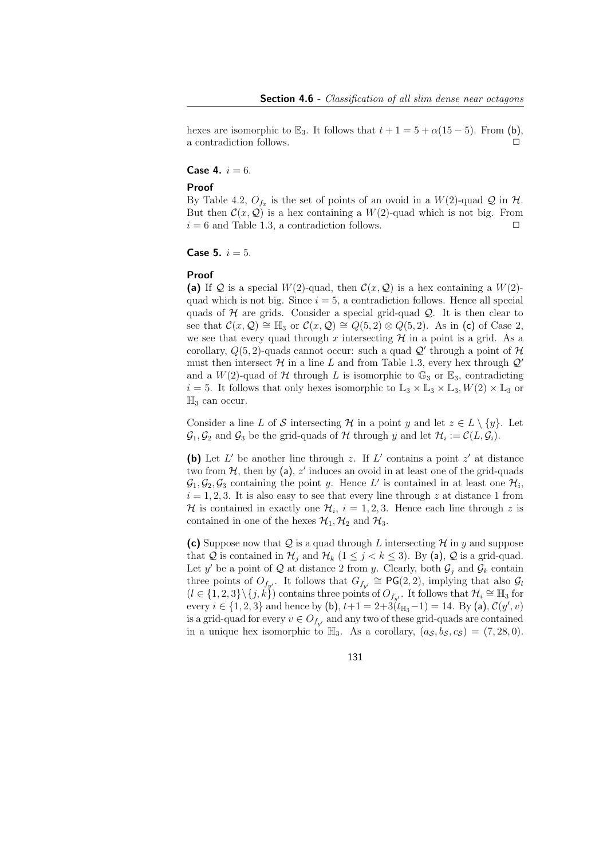hexes are isomorphic to  $\mathbb{E}_3$ . It follows that  $t + 1 = 5 + \alpha(15 - 5)$ . From (b), a contradiction follows a contradiction follows.

#### **Case 4.**  $i = 6$ .

#### Proof

By Table 4.2,  $O_{f_x}$  is the set of points of an ovoid in a  $W(2)$ -quad  $\mathcal Q$  in  $\mathcal H$ . But then  $\mathcal{C}(x, \mathcal{Q})$  is a hex containing a  $W(2)$ -quad which is not big. From  $i = 6$  and Table 1.3, a contradiction follows  $i = 6$  and Table 1.3, a contradiction follows.

**Case 5.**  $i = 5$ .

# Proof

(a) If Q is a special  $W(2)$ -quad, then  $\mathcal{C}(x, Q)$  is a hex containing a  $W(2)$ quad which is not big. Since  $i = 5$ , a contradiction follows. Hence all special quads of  $H$  are grids. Consider a special grid-quad  $Q$ . It is then clear to see that  $\mathcal{C}(x, \mathcal{Q}) \cong \mathbb{H}_3$  or  $\mathcal{C}(x, \mathcal{Q}) \cong Q(5, 2) \otimes Q(5, 2)$ . As in (c) of Case 2, we see that every quad through x intersecting  $\mathcal H$  in a point is a grid. As a corollary,  $Q(5, 2)$ -quads cannot occur: such a quad  $\mathcal{Q}'$  through a point of  $\mathcal{H}$ must then intersect  $\mathcal{H}$  in a line L and from Table 1.3, every hex through  $\mathcal{Q}'$ and a  $W(2)$ -quad of  $H$  through L is isomorphic to  $\mathbb{G}_3$  or  $\mathbb{E}_3$ , contradicting  $i = 5$ . It follows that only hexes isomorphic to  $\mathbb{L}_3 \times \mathbb{L}_3 \times \mathbb{L}_3$ ,  $W(2) \times \mathbb{L}_3$  or  $\mathbb{H}_3$  can occur.

Consider a line L of S intersecting H in a point y and let  $z \in L \setminus \{y\}$ . Let  $\mathcal{G}_1, \mathcal{G}_2$  and  $\mathcal{G}_3$  be the grid-quads of  $\mathcal{H}$  through y and let  $\mathcal{H}_i := \mathcal{C}(L, \mathcal{G}_i)$ .

(b) Let  $L'$  be another line through z. If  $L'$  contains a point  $z'$  at distance two from  $H$ , then by (a),  $z'$  induces an ovoid in at least one of the grid-quads  $\mathcal{G}_1, \mathcal{G}_2, \mathcal{G}_3$  containing the point y. Hence L' is contained in at least one  $\mathcal{H}_i$ ,  $i = 1, 2, 3$ . It is also easy to see that every line through z at distance 1 from  $\mathcal H$  is contained in exactly one  $\mathcal H_i$ ,  $i = 1, 2, 3$ . Hence each line through z is contained in one of the hexes  $\mathcal{H}_1, \mathcal{H}_2$  and  $\mathcal{H}_3$ .

(c) Suppose now that  $Q$  is a quad through L intersecting  $H$  in y and suppose that Q is contained in  $\mathcal{H}_j$  and  $\mathcal{H}_k$  ( $1 \leq j < k \leq 3$ ). By (a), Q is a grid-quad. Let y' be a point of  $Q$  at distance 2 from y. Clearly, both  $G_j$  and  $G_k$  contain three points of  $O_{f_{y'}}$ . It follows that  $G_{f_{y'}} \cong \mathsf{PG}(2, 2)$ , implying that also  $\mathcal{G}_l$  $(l \in \{1, 2, 3\} \setminus \{j, k\})$  contains three points of  $O_{f_{\mathcal{Y}'}}$ . It follows that  $\mathcal{H}_i \cong \mathbb{H}_3$  for every  $i \in \{1, 2, 3\}$  and hence by (b),  $t+1 = 2+3(t_{\mathbb{H}_3}-1) = 14$ . By (a),  $\mathcal{C}(y', v)$ is a grid-quad for every  $v \in O_{f_{n'}}$  and any two of these grid-quads are contained in a unique hex isomorphic to  $\mathbb{H}_3$ . As a corollary,  $(a_S, b_S, c_S) = (7, 28, 0)$ .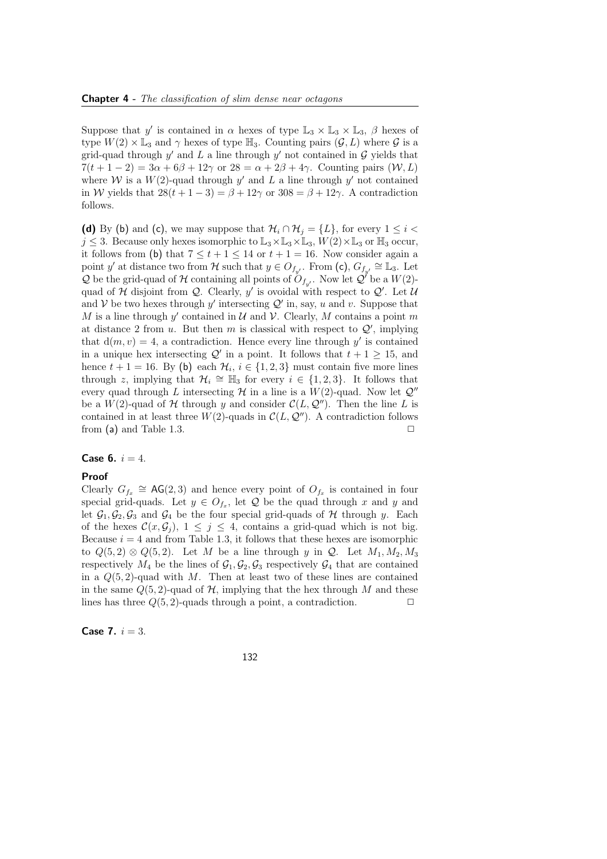Suppose that y' is contained in  $\alpha$  hexes of type  $\mathbb{L}_3 \times \mathbb{L}_3 \times \mathbb{L}_3$ ,  $\beta$  hexes of type  $W(2) \times \mathbb{L}_3$  and  $\gamma$  hexes of type  $\mathbb{H}_3$ . Counting pairs  $(\mathcal{G}, L)$  where  $\mathcal G$  is a grid-quad through  $y'$  and  $L$  a line through  $y'$  not contained in  $\mathcal G$  yields that  $7(t+1-2) = 3\alpha + 6\beta + 12\gamma$  or  $28 = \alpha + 2\beta + 4\gamma$ . Counting pairs  $(\mathcal{W}, L)$ where  $W$  is a  $W(2)$ -quad through  $y'$  and  $L$  a line through  $y'$  not contained in W yields that  $28(t + 1 - 3) = \beta + 12\gamma$  or  $308 = \beta + 12\gamma$ . A contradiction follows.

(d) By (b) and (c), we may suppose that  $\mathcal{H}_i \cap \mathcal{H}_j = \{L\}$ , for every  $1 \leq i <$  $j \leq 3$ . Because only hexes isomorphic to  $\mathbb{L}_3 \times \mathbb{L}_3 \times \mathbb{L}_3$ ,  $W(2) \times \mathbb{L}_3$  or  $\mathbb{H}_3$  occur, it follows from (b) that  $7 \le t + 1 \le 14$  or  $t + 1 = 16$ . Now consider again a point y' at distance two from H such that  $y \in O_{f_{y'}}$ . From (c),  $G_{f_{y'}} \cong \mathbb{L}_3$ . Let Q be the grid-quad of H containing all points of  $\mathcal{O}_{f_{y'}}$ . Now let  $\mathcal{Q}^f$  be a  $W(2)$ quad of H disjoint from Q. Clearly,  $y'$  is ovoidal with respect to Q'. Let U and  $V$  be two hexes through  $y'$  intersecting  $\mathcal{Q}'$  in, say, u and v. Suppose that  $M$  is a line through  $y'$  contained in  $U$  and  $V$ . Clearly,  $M$  contains a point  $m$ at distance 2 from u. But then m is classical with respect to  $Q'$ , implying that  $d(m, v) = 4$ , a contradiction. Hence every line through y' is contained in a unique hex intersecting  $Q'$  in a point. It follows that  $t + 1 \geq 15$ , and hence  $t + 1 = 16$ . By (b) each  $\mathcal{H}_{i}$ ,  $i \in \{1, 2, 3\}$  must contain five more lines through z, implying that  $\mathcal{H}_i \cong \mathbb{H}_3$  for every  $i \in \{1, 2, 3\}$ . It follows that every quad through L intersecting  $\mathcal H$  in a line is a  $W(2)$ -quad. Now let  $\mathcal Q''$ be a  $W(2)$ -quad of H through y and consider  $\mathcal{C}(L, \mathcal{Q}'')$ . Then the line L is contained in at least three  $W(2)$ -quads in  $\mathcal{C}(L, \mathcal{Q}'')$ . A contradiction follows from (a) and Table 1.3. from  $(a)$  and Table 1.3.

# **Case 6.**  $i = 4$ .

#### Proof

Clearly  $G_{f_x} \cong \mathsf{AG}(2,3)$  and hence every point of  $O_{f_x}$  is contained in four special grid-quads. Let  $y \in O_{f_x}$ , let  $\mathcal Q$  be the quad through x and y and let  $\mathcal{G}_1, \mathcal{G}_2, \mathcal{G}_3$  and  $\mathcal{G}_4$  be the four special grid-quads of H through y. Each of the hexes  $\mathcal{C}(x, \mathcal{G}_j)$ ,  $1 \leq j \leq 4$ , contains a grid-quad which is not big. Because  $i = 4$  and from Table 1.3, it follows that these hexes are isomorphic to  $Q(5,2) \otimes Q(5,2)$ . Let M be a line through y in Q. Let  $M_1, M_2, M_3$ respectively  $M_4$  be the lines of  $\mathcal{G}_1, \mathcal{G}_2, \mathcal{G}_3$  respectively  $\mathcal{G}_4$  that are contained in a  $Q(5, 2)$ -quad with M. Then at least two of these lines are contained in the same  $Q(5, 2)$ -quad of  $H$ , implying that the hex through M and these<br>lines has three  $O(5, 2)$ -quads through a point a contradiction lines has three  $Q(5, 2)$ -quads through a point, a contradiction.

# **Case 7.**  $i = 3$ .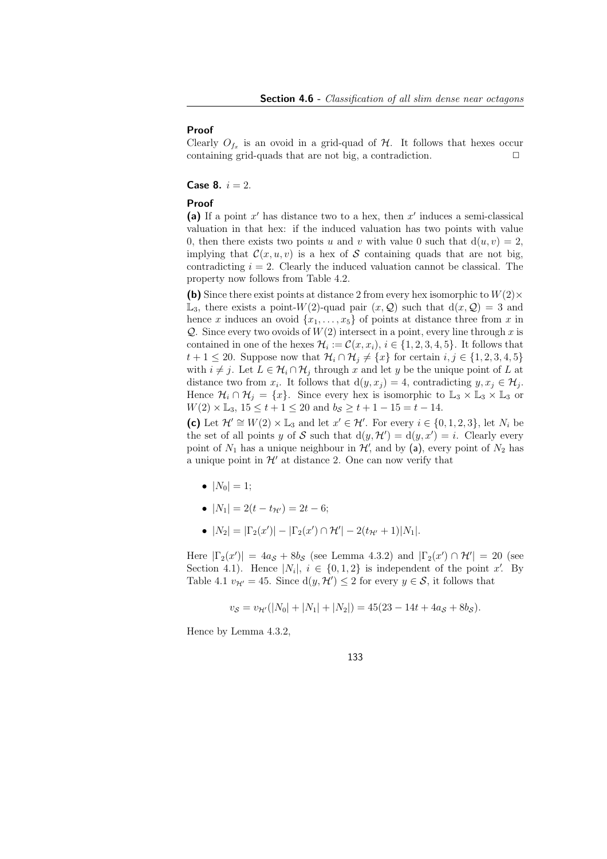#### Proof

Clearly  $O_{f_x}$  is an ovoid in a grid-quad of  $H$ . It follows that hexes occur containing grid-quads that are not big, a contradiction.  $\Box$ 

#### **Case 8.**  $i = 2$ .

#### Proof

(a) If a point  $x'$  has distance two to a hex, then  $x'$  induces a semi-classical valuation in that hex: if the induced valuation has two points with value 0, then there exists two points u and v with value 0 such that  $d(u, v) = 2$ , implying that  $\mathcal{C}(x, u, v)$  is a hex of S containing quads that are not big, contradicting  $i = 2$ . Clearly the induced valuation cannot be classical. The property now follows from Table 4.2.

(b) Since there exist points at distance 2 from every hex isomorphic to  $W(2) \times$  $\mathbb{L}_3$ , there exists a point-W(2)-quad pair  $(x, Q)$  such that  $d(x, Q) = 3$  and hence x induces an ovoid  $\{x_1, \ldots, x_5\}$  of points at distance three from x in Q. Since every two ovoids of  $W(2)$  intersect in a point, every line through x is contained in one of the hexes  $\mathcal{H}_i := \mathcal{C}(x, x_i), i \in \{1, 2, 3, 4, 5\}$ . It follows that  $t + 1 \leq 20$ . Suppose now that  $\mathcal{H}_i \cap \mathcal{H}_j \neq \{x\}$  for certain  $i, j \in \{1, 2, 3, 4, 5\}$ with  $i \neq j$ . Let  $L \in \mathcal{H}_i \cap \mathcal{H}_j$  through x and let y be the unique point of L at distance two from  $x_i$ . It follows that  $d(y, x_j) = 4$ , contradicting  $y, x_j \in \mathcal{H}_j$ . Hence  $\mathcal{H}_i \cap \mathcal{H}_j = \{x\}$ . Since every hex is isomorphic to  $\mathbb{L}_3 \times \mathbb{L}_3 \times \mathbb{L}_3$  or  $W(2) \times \mathbb{L}_3$ ,  $15 \le t + 1 \le 20$  and  $b_S \ge t + 1 - 15 = t - 14$ .

(c) Let  $\mathcal{H}' \cong W(2) \times \mathbb{L}_3$  and let  $x' \in \mathcal{H}'$ . For every  $i \in \{0, 1, 2, 3\}$ , let  $N_i$  be the set of all points y of S such that  $d(y, \mathcal{H}') = d(y, x') = i$ . Clearly every point of  $N_1$  has a unique neighbour in  $\mathcal{H}'$ , and by (a), every point of  $N_2$  has a unique point in  $\mathcal{H}'$  at distance 2. One can now verify that

- $|N_0| = 1;$
- $|N_1| = 2(t t_{\mathcal{H'}}) = 2t 6;$
- $|N_2| = |\Gamma_2(x')| |\Gamma_2(x') \cap \mathcal{H}'| 2(t_{\mathcal{H}'}+1)|N_1|.$

Here  $|\Gamma_2(x')| = 4a_{\mathcal{S}} + 8b_{\mathcal{S}}$  (see Lemma 4.3.2) and  $|\Gamma_2(x') \cap \mathcal{H}'| = 20$  (see Section 4.1). Hence  $|N_i|, i \in \{0, 1, 2\}$  is independent of the point x'. By Table 4.1  $v_{\mathcal{H}'} = 45$ . Since  $d(y, \mathcal{H}') \leq 2$  for every  $y \in \mathcal{S}$ , it follows that

$$
v_{\mathcal{S}} = v_{\mathcal{H}'}(|N_0| + |N_1| + |N_2|) = 45(23 - 14t + 4a_{\mathcal{S}} + 8b_{\mathcal{S}}).
$$

Hence by Lemma 4.3.2,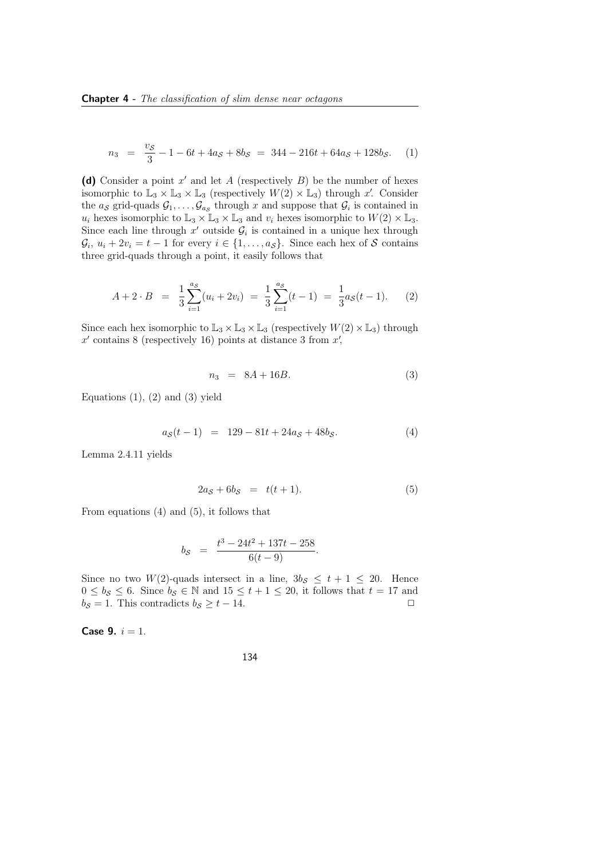$$
n_3 = \frac{v_S}{3} - 1 - 6t + 4a_S + 8b_S = 344 - 216t + 64a_S + 128b_S.
$$
 (1)

(d) Consider a point  $x'$  and let A (respectively  $B$ ) be the number of hexes isomorphic to  $\mathbb{L}_3 \times \mathbb{L}_3 \times \mathbb{L}_3$  (respectively  $W(2) \times \mathbb{L}_3$ ) through x'. Consider the  $a_{\mathcal{S}}$  grid-quads  $\mathcal{G}_1, \ldots, \mathcal{G}_{a_{\mathcal{S}}}$  through x and suppose that  $\mathcal{G}_i$  is contained in  $u_i$  hexes isomorphic to  $\mathbb{L}_3 \times \mathbb{L}_3 \times \mathbb{L}_3$  and  $v_i$  hexes isomorphic to  $W(2) \times \mathbb{L}_3$ . Since each line through  $x'$  outside  $\mathcal{G}_i$  is contained in a unique hex through  $\mathcal{G}_i, u_i + 2v_i = t - 1$  for every  $i \in \{1, ..., a_{\mathcal{S}}\}$ . Since each hex of S contains three grid-quads through a point, it easily follows that

$$
A + 2 \cdot B = \frac{1}{3} \sum_{i=1}^{a_{\mathcal{S}}} (u_i + 2v_i) = \frac{1}{3} \sum_{i=1}^{a_{\mathcal{S}}} (t - 1) = \frac{1}{3} a_{\mathcal{S}} (t - 1). \tag{2}
$$

Since each hex isomorphic to  $\mathbb{L}_3 \times \mathbb{L}_3 \times \mathbb{L}_3$  (respectively  $W(2) \times \mathbb{L}_3$ ) through  $x'$  contains 8 (respectively 16) points at distance 3 from  $x'$ ,

$$
n_3 = 8A + 16B. \t\t(3)
$$

Equations  $(1)$ ,  $(2)$  and  $(3)$  yield

$$
a_{\mathcal{S}}(t-1) = 129 - 81t + 24a_{\mathcal{S}} + 48b_{\mathcal{S}}.
$$
 (4)

Lemma 2.4.11 yields

$$
2a_{\mathcal{S}} + 6b_{\mathcal{S}} = t(t+1). \tag{5}
$$

From equations (4) and (5), it follows that

$$
b_{\mathcal{S}} = \frac{t^3 - 24t^2 + 137t - 258}{6(t - 9)}.
$$

Since no two  $W(2)$ -quads intersect in a line,  $3b<sub>S</sub> \le t+1 \le 20$ . Hence  $0 \leq b_{\mathcal{S}} \leq 6$ . Since  $b_{\mathcal{S}} \in \mathbb{N}$  and  $15 \leq t + 1 \leq 20$ , it follows that  $t = 17$  and  $b_{\mathcal{S}} = 1$ . This contradicts  $b_{\mathcal{S}} \geq t - 14$ .  $b_{\mathcal{S}} = 1$ . This contradicts  $b_{\mathcal{S}} \geq t - 14$ .

**Case 9.**  $i = 1$ .

134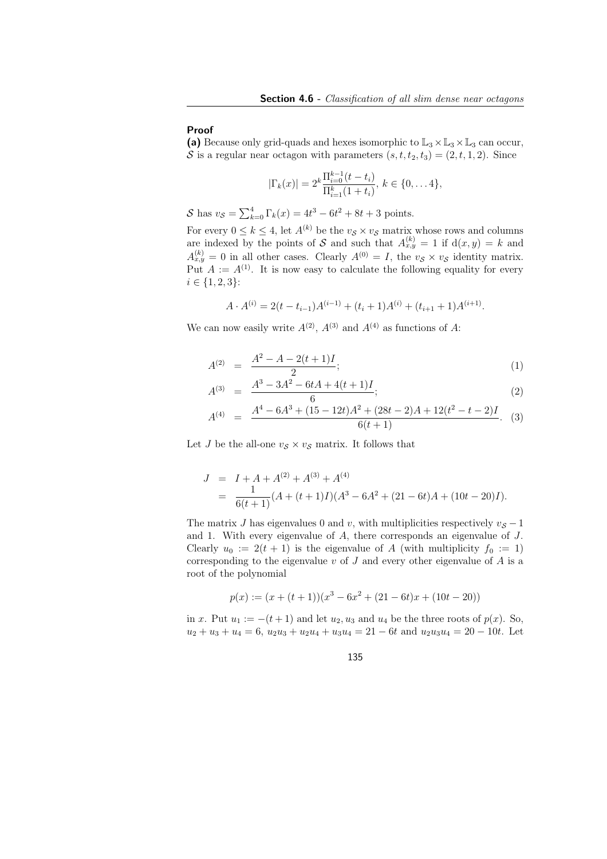#### Proof

(a) Because only grid-quads and hexes isomorphic to  $\mathbb{L}_3 \times \mathbb{L}_3 \times \mathbb{L}_3$  can occur, S is a regular near octagon with parameters  $(s,t,t_2,t_3) = (2,t,1,2)$ . Since

$$
|\Gamma_k(x)| = 2^k \frac{\Pi_{i=0}^{k-1}(t-t_i)}{\Pi_{i=1}^k(1+t_i)}, \, k \in \{0, \dots 4\},
$$

S has  $v_S = \sum_{k=0}^{4} \Gamma_k(x) = 4t^3 - 6t^2 + 8t + 3$  points.

For every  $0 \leq k \leq 4$ , let  $A^{(k)}$  be the  $v_{\mathcal{S}} \times v_{\mathcal{S}}$  matrix whose rows and columns are indexed by the points of S and such that  $A_{x,y}^{(k)} = 1$  if  $d(x,y) = k$  and  $A_{x,y}^{(k)} = 0$  in all other cases. Clearly  $A^{(0)} = I$ , the  $v_S \times v_S$  identity matrix. Put  $A := A^{(1)}$ . It is now easy to calculate the following equality for every  $i \in \{1, 2, 3\}$ :

$$
A \cdot A^{(i)} = 2(t - t_{i-1})A^{(i-1)} + (t_i + 1)A^{(i)} + (t_{i+1} + 1)A^{(i+1)}.
$$

We can now easily write  $A^{(2)}$ ,  $A^{(3)}$  and  $A^{(4)}$  as functions of A:

$$
A^{(2)} = \frac{A^2 - A - 2(t+1)I}{2};
$$
\n(1)

$$
A^{(3)} = \frac{A^3 - 3A^2 - 6tA + 4(t+1)I}{6};
$$
\n(2)

$$
A^{(4)} = \frac{A^4 - 6A^3 + (15 - 12t)A^2 + (28t - 2)A + 12(t^2 - t - 2)I}{6(t + 1)}.
$$
 (3)

Let  $J$  be the all-one  $v_{\mathcal{S}} \times v_{\mathcal{S}}$  matrix. It follows that

$$
J = I + A + A^{(2)} + A^{(3)} + A^{(4)}
$$
  
= 
$$
\frac{1}{6(t+1)}(A + (t+1)I)(A^3 - 6A^2 + (21 - 6t)A + (10t - 20)I).
$$

The matrix J has eigenvalues 0 and v, with multiplicities respectively  $v_s - 1$ and 1. With every eigenvalue of A, there corresponds an eigenvalue of J. Clearly  $u_0 := 2(t + 1)$  is the eigenvalue of A (with multiplicity  $f_0 := 1$ ) corresponding to the eigenvalue  $v$  of  $J$  and every other eigenvalue of  $A$  is a root of the polynomial

$$
p(x) := (x + (t+1))(x^3 - 6x^2 + (21 - 6t)x + (10t - 20))
$$

in x. Put  $u_1 := -(t+1)$  and let  $u_2, u_3$  and  $u_4$  be the three roots of  $p(x)$ . So,  $u_2 + u_3 + u_4 = 6$ ,  $u_2u_3 + u_2u_4 + u_3u_4 = 21 - 6t$  and  $u_2u_3u_4 = 20 - 10t$ . Let

135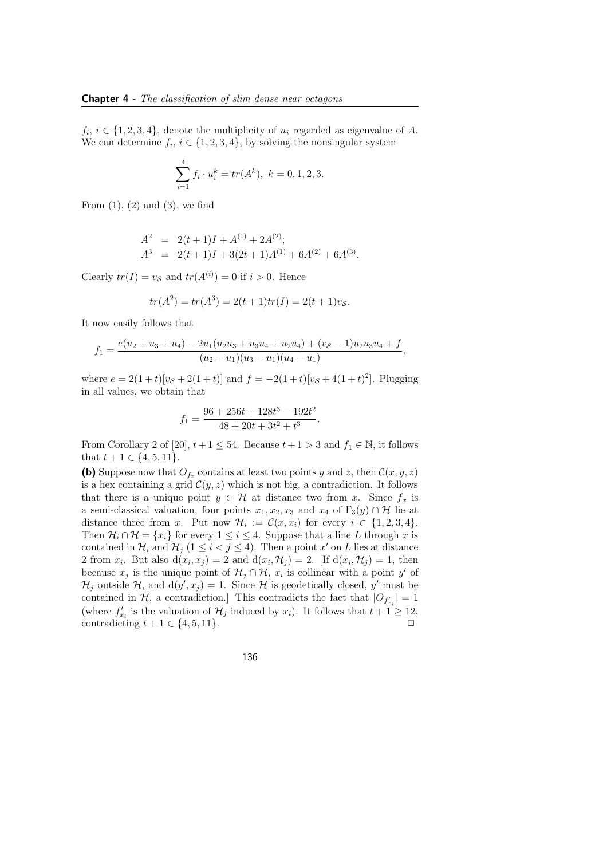$f_i, i \in \{1, 2, 3, 4\}$ , denote the multiplicity of  $u_i$  regarded as eigenvalue of A. We can determine  $f_i$ ,  $i \in \{1, 2, 3, 4\}$ , by solving the nonsingular system

$$
\sum_{i=1}^{4} f_i \cdot u_i^k = tr(A^k), \ k = 0, 1, 2, 3.
$$

From  $(1)$ ,  $(2)$  and  $(3)$ , we find

$$
A2 = 2(t+1)I + A(1) + 2A(2);A3 = 2(t+1)I + 3(2t+1)A(1) + 6A(2) + 6A(3).
$$

Clearly  $tr(I) = v_{\mathcal{S}}$  and  $tr(A^{(i)}) = 0$  if  $i > 0$ . Hence

$$
tr(A2) = tr(A3) = 2(t+1)tr(I) = 2(t+1)vS.
$$

It now easily follows that

$$
f_1 = \frac{e(u_2 + u_3 + u_4) - 2u_1(u_2u_3 + u_3u_4 + u_2u_4) + (v_5 - 1)u_2u_3u_4 + f}{(u_2 - u_1)(u_3 - u_1)(u_4 - u_1)},
$$

where  $e = 2(1+t)[v_s + 2(1+t)]$  and  $f = -2(1+t)[v_s + 4(1+t)^2]$ . Plugging in all values, we obtain that

$$
f_1 = \frac{96 + 256t + 128t^3 - 192t^2}{48 + 20t + 3t^2 + t^3}.
$$

From Corollary 2 of [20],  $t+1 \leq 54$ . Because  $t+1 > 3$  and  $f_1 \in \mathbb{N}$ , it follows that  $t + 1 \in \{4, 5, 11\}.$ 

(b) Suppose now that  $O_{f_x}$  contains at least two points y and z, then  $\mathcal{C}(x, y, z)$ is a hex containing a grid  $\mathcal{C}(y, z)$  which is not big, a contradiction. It follows that there is a unique point  $y \in \mathcal{H}$  at distance two from x. Since  $f_x$  is a semi-classical valuation, four points  $x_1, x_2, x_3$  and  $x_4$  of  $\Gamma_3(y) \cap \mathcal{H}$  lie at distance three from x. Put now  $\mathcal{H}_i := \mathcal{C}(x, x_i)$  for every  $i \in \{1, 2, 3, 4\}.$ Then  $\mathcal{H}_i \cap \mathcal{H} = \{x_i\}$  for every  $1 \leq i \leq 4$ . Suppose that a line L through x is contained in  $\mathcal{H}_i$  and  $\mathcal{H}_j$  ( $1 \leq i < j \leq 4$ ). Then a point x' on L lies at distance 2 from  $x_i$ . But also  $d(x_i, x_j) = 2$  and  $d(x_i, \mathcal{H}_j) = 2$ . [If  $d(x_i, \mathcal{H}_j) = 1$ , then because  $x_j$  is the unique point of  $\mathcal{H}_j \cap \mathcal{H}$ ,  $x_i$  is collinear with a point  $y'$  of  $\mathcal{H}_j$  outside  $\mathcal{H}$ , and  $d(y', x_j) = 1$ . Since  $\mathcal{H}$  is geodetically closed, y' must be contained in  $\mathcal{H}$ , a contradiction.] This contradicts the fact that  $|O_{f'_{x_i}}| = 1$ (where  $f'_{x_i}$  is the valuation of  $\mathcal{H}_j$  induced by  $x_i$ ). It follows that  $t + 1 \geq 12$ , contradicting  $t + 1 \in \{4, 5, 11\}.$ 

136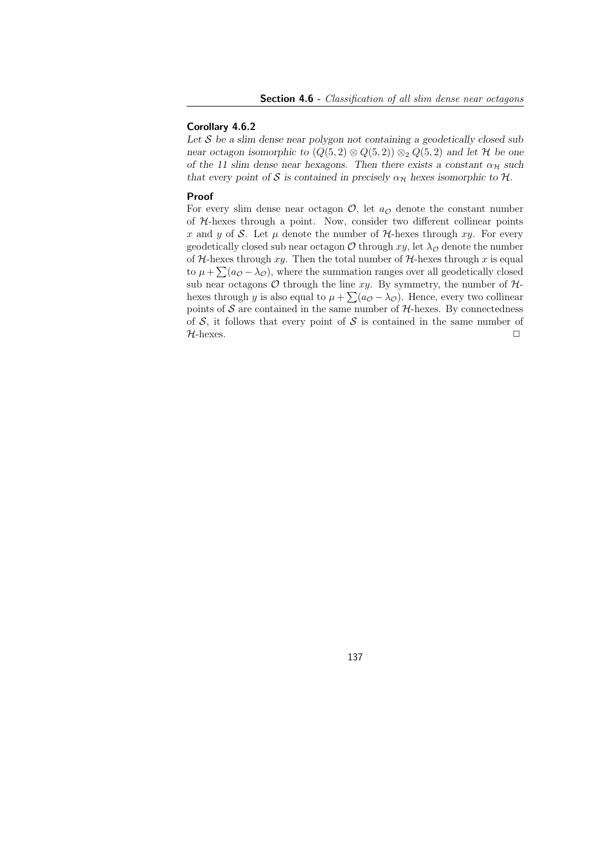#### Corollary 4.6.2

Let  $S$  be a slim dense near polygon not containing a geodetically closed sub near octagon isomorphic to  $(Q(5, 2) \otimes Q(5, 2)) \otimes_2 Q(5, 2)$  and let H be one of the 11 slim dense near hexagons. Then there exists a constant  $\alpha_{\mathcal{H}}$  such that every point of S is contained in precisely  $\alpha_{\mathcal{H}}$  hexes isomorphic to  $\mathcal{H}$ .

#### Proof

For every slim dense near octagon  $\mathcal{O}$ , let  $a_{\mathcal{O}}$  denote the constant number of  $H$ -hexes through a point. Now, consider two different collinear points x and y of S. Let  $\mu$  denote the number of H-hexes through xy. For every geodetically closed sub near octagon  $\mathcal O$  through  $xy$ , let  $\lambda_{\mathcal O}$  denote the number of  $H$ -hexes through xy. Then the total number of  $H$ -hexes through x is equal to  $\mu + \sum (a_{\mathcal{O}} - \lambda_{\mathcal{O}})$ , where the summation ranges over all geodetically closed sub near octagons  $O$  through the line xy. By symmetry, the number of  $H$ hexes through y is also equal to  $\mu + \sum (a_{\mathcal{O}} - \lambda_{\mathcal{O}})$ . Hence, every two collinear points of  $S$  are contained in the same number of  $H$ -hexes. By connectedness of S, it follows that every point of S is contained in the same number of  $H$ -hexes.  $\mathcal{H}\text{-hexes.}$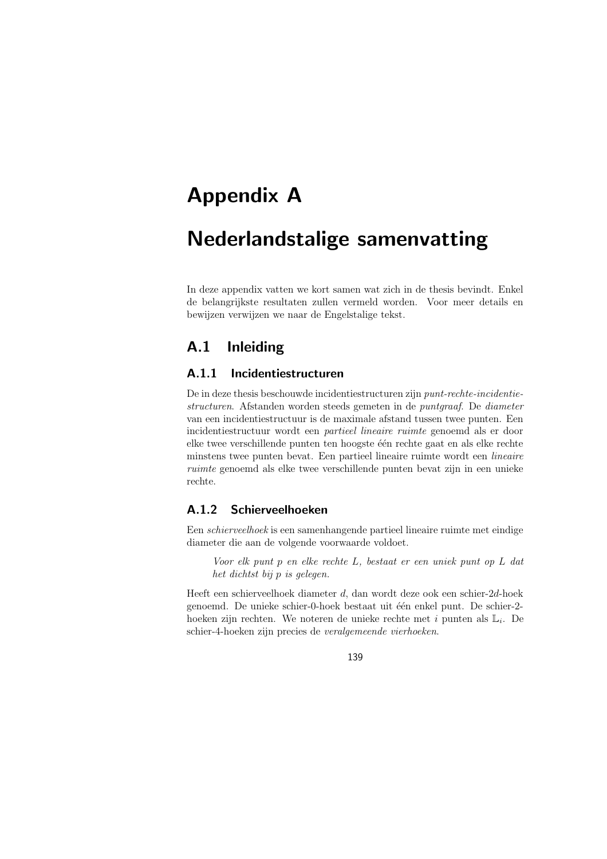# Appendix A

# Nederlandstalige samenvatting

In deze appendix vatten we kort samen wat zich in de thesis bevindt. Enkel de belangrijkste resultaten zullen vermeld worden. Voor meer details en bewijzen verwijzen we naar de Engelstalige tekst.

# A.1 Inleiding

# A.1.1 Incidentiestructuren

De in deze thesis beschouwde incidentiestructuren zijn punt-rechte-incidentiestructuren. Afstanden worden steeds gemeten in de puntgraaf. De diameter van een incidentiestructuur is de maximale afstand tussen twee punten. Een incidentiestructuur wordt een partieel lineaire ruimte genoemd als er door elke twee verschillende punten ten hoogste één rechte gaat en als elke rechte minstens twee punten bevat. Een partieel lineaire ruimte wordt een lineaire ruimte genoemd als elke twee verschillende punten bevat zijn in een unieke rechte.

# A.1.2 Schierveelhoeken

Een schierveelhoek is een samenhangende partieel lineaire ruimte met eindige diameter die aan de volgende voorwaarde voldoet.

Voor elk punt p en elke rechte L, bestaat er een uniek punt op L dat het dichtst bij p is gelegen.

Heeft een schierveelhoek diameter d, dan wordt deze ook een schier-2d-hoek genoemd. De unieke schier-0-hoek bestaat uit één enkel punt. De schier-2hoeken zijn rechten. We noteren de unieke rechte met i punten als  $\mathbb{L}_i$ . De schier-4-hoeken zijn precies de veralgemeende vierhoeken.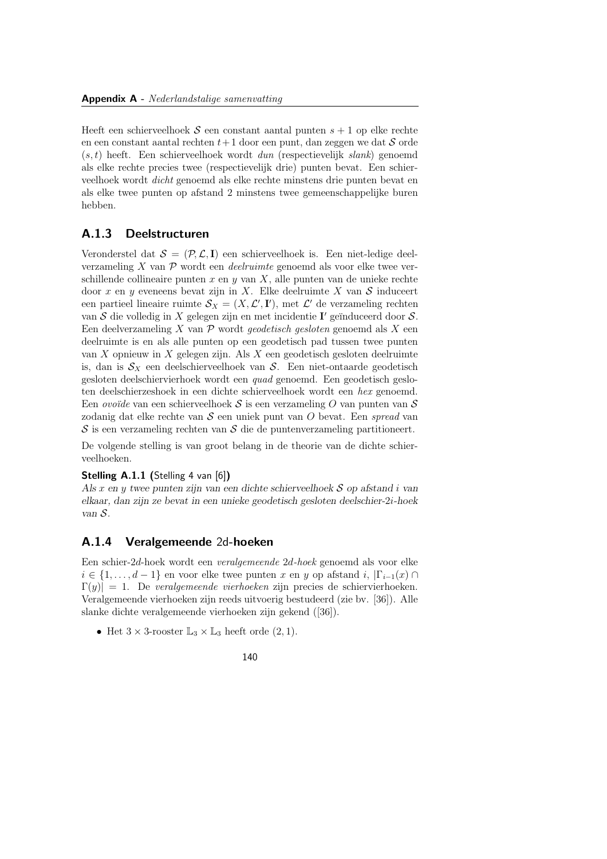Heeft een schierveelhoek  $S$  een constant aantal punten  $s + 1$  op elke rechte en een constant aantal rechten  $t+1$  door een punt, dan zeggen we dat S orde  $(s,t)$  heeft. Een schierveelhoek wordt dun (respectievelijk slank) genoemd als elke rechte precies twee (respectievelijk drie) punten bevat. Een schierveelhoek wordt dicht genoemd als elke rechte minstens drie punten bevat en als elke twee punten op afstand 2 minstens twee gemeenschappelijke buren hebben.

# A.1.3 Deelstructuren

Veronderstel dat  $S = (\mathcal{P}, \mathcal{L}, I)$  een schierveelhoek is. Een niet-ledige deelverzameling  $X$  van  $\mathcal P$  wordt een *deelruimte* genoemd als voor elke twee verschillende collineaire punten  $x$  en  $y$  van  $X$ , alle punten van de unieke rechte door x en y eveneens bevat zijn in X. Elke deelruimte X van  $S$  induceert een partieel lineaire ruimte  $S_X = (X, \mathcal{L}', \mathbf{I}')$ , met  $\mathcal{L}'$  de verzameling rechten van  $\mathcal S$  die volledig in $X$ gelegen zijn en met incidentie $\mathbf I'$ geïnduceerd door  $\mathcal S.$ Een deelverzameling  $X$  van  $P$  wordt geodetisch gesloten genoemd als  $X$  een deelruimte is en als alle punten op een geodetisch pad tussen twee punten van  $X$  opnieuw in  $X$  gelegen zijn. Als  $X$  een geodetisch gesloten deelruimte is, dan is  $S_X$  een deelschierveelhoek van S. Een niet-ontaarde geodetisch gesloten deelschiervierhoek wordt een quad genoemd. Een geodetisch gesloten deelschierzeshoek in een dichte schierveelhoek wordt een hex genoemd. Een *ovoïde* van een schierveelhoek  $S$  is een verzameling O van punten van  $S$ zodanig dat elke rechte van  $S$  een uniek punt van  $O$  bevat. Een spread van  $S$  is een verzameling rechten van  $S$  die de puntenverzameling partitioneert.

De volgende stelling is van groot belang in de theorie van de dichte schierveelhoeken.

#### Stelling A.1.1 (Stelling 4 van [6])

Als x en y twee punten zijn van een dichte schierveelhoek  $S$  op afstand i van elkaar, dan zijn ze bevat in een unieke geodetisch gesloten deelschier-2i-hoek van S.

#### A.1.4 Veralgemeende 2d-hoeken

Een schier-2d-hoek wordt een veralgemeende 2d-hoek genoemd als voor elke  $i \in \{1, \ldots, d-1\}$  en voor elke twee punten x en y op afstand i,  $|\Gamma_{i-1}(x)| \cap$  $\Gamma(y) = 1$ . De veralgemeende vierhoeken zijn precies de schiervierhoeken. Veralgemeende vierhoeken zijn reeds uitvoerig bestudeerd (zie bv. [36]). Alle slanke dichte veralgemeende vierhoeken zijn gekend ([36]).

• Het  $3 \times 3$ -rooster  $\mathbb{L}_3 \times \mathbb{L}_3$  heeft orde  $(2, 1)$ .

$$
140 \\
$$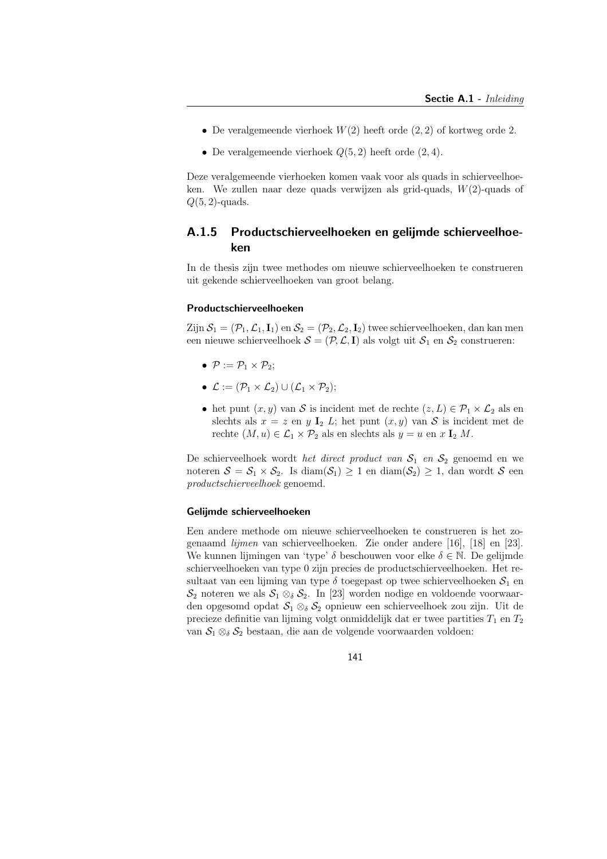- De veralgemeende vierhoek  $W(2)$  heeft orde  $(2, 2)$  of kortweg orde 2.
- De veralgemeende vierhoek  $Q(5, 2)$  heeft orde  $(2, 4)$ .

Deze veralgemeende vierhoeken komen vaak voor als quads in schierveelhoeken. We zullen naar deze quads verwijzen als grid-quads,  $W(2)$ -quads of  $Q(5, 2)$ -quads.

# A.1.5 Productschierveelhoeken en gelijmde schierveelhoeken

In de thesis zijn twee methodes om nieuwe schierveelhoeken te construeren uit gekende schierveelhoeken van groot belang.

#### Productschierveelhoeken

Zijn  $S_1 = (\mathcal{P}_1, \mathcal{L}_1, I_1)$  en  $S_2 = (\mathcal{P}_2, \mathcal{L}_2, I_2)$  twee schierveelhoeken, dan kan men een nieuwe schierveelhoek  $S = (\mathcal{P}, \mathcal{L}, I)$  als volgt uit  $\mathcal{S}_1$  en  $\mathcal{S}_2$  construeren:

- $P := P_1 \times P_2$ ;
- $\mathcal{L} := (\mathcal{P}_1 \times \mathcal{L}_2) \cup (\mathcal{L}_1 \times \mathcal{P}_2);$
- het punt  $(x, y)$  van S is incident met de rechte  $(z, L) \in \mathcal{P}_1 \times \mathcal{L}_2$  als en slechts als  $x = z$  en y  $\mathbf{I}_2$  L; het punt  $(x, y)$  van S is incident met de rechte  $(M, u) \in \mathcal{L}_1 \times \mathcal{P}_2$  als en slechts als  $y = u$  en  $x \mathbf{I}_2 M$ .

De schierveelhoek wordt het direct product van  $S_1$  en  $S_2$  genoemd en we noteren  $S = S_1 \times S_2$ . Is diam $(S_1) \geq 1$  en diam $(S_2) \geq 1$ , dan wordt S een productschierveelhoek genoemd.

#### Gelijmde schierveelhoeken

Een andere methode om nieuwe schierveelhoeken te construeren is het zogenaamd lijmen van schierveelhoeken. Zie onder andere [16], [18] en [23]. We kunnen lijmingen van 'type'  $\delta$  beschouwen voor elke  $\delta \in \mathbb{N}$ . De gelijmde schierveelhoeken van type 0 zijn precies de productschierveelhoeken. Het resultaat van een lijming van type  $\delta$  toegepast op twee schierveelhoeken  $S_1$  en  $\mathcal{S}_2$  noteren we als  $\mathcal{S}_1 \otimes_{\delta} \mathcal{S}_2$ . In [23] worden nodige en voldoende voorwaarden opgesomd opdat  $S_1 \otimes_{\delta} S_2$  opnieuw een schierveelhoek zou zijn. Uit de precieze definitie van lijming volgt onmiddelijk dat er twee partities  $T_1$  en  $T_2$ van  $S_1 \otimes_{\delta} S_2$  bestaan, die aan de volgende voorwaarden voldoen:

141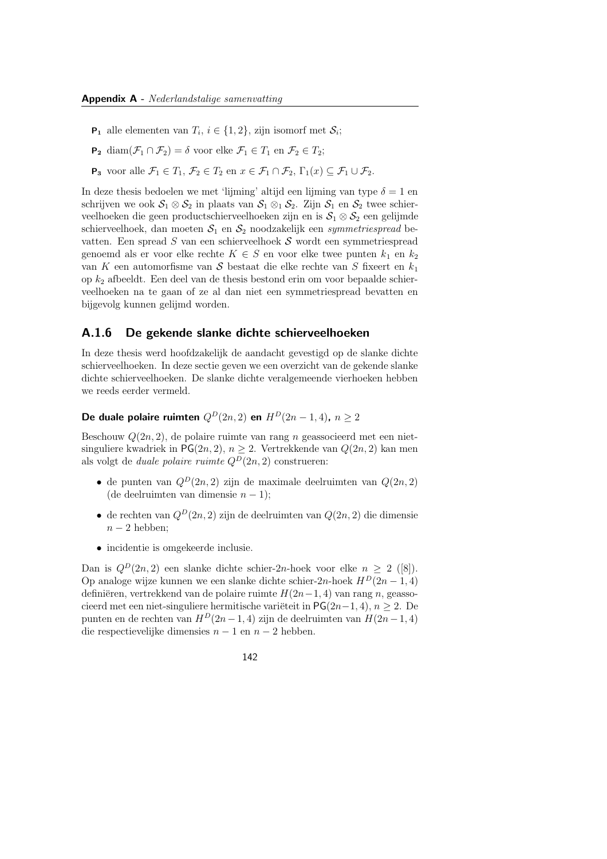- **P**<sub>1</sub> alle elementen van  $T_i$ ,  $i \in \{1, 2\}$ , zijn isomorf met  $S_i$ ;
- $\mathbf{P}_2 \operatorname{diam}(\mathcal{F}_1 \cap \mathcal{F}_2) = \delta$  voor elke  $\mathcal{F}_1 \in T_1$  en  $\mathcal{F}_2 \in T_2$ ;

**P<sub>3</sub>** voor alle  $\mathcal{F}_1 \in T_1$ ,  $\mathcal{F}_2 \in T_2$  en  $x \in \mathcal{F}_1 \cap \mathcal{F}_2$ ,  $\Gamma_1(x) \subseteq \mathcal{F}_1 \cup \mathcal{F}_2$ .

In deze thesis bedoelen we met 'lijming' altijd een lijming van type  $\delta = 1$  en schrijven we ook  $S_1 \otimes S_2$  in plaats van  $S_1 \otimes_1 S_2$ . Zijn  $S_1$  en  $S_2$  twee schierveelhoeken die geen productschierveelhoeken zijn en is  $S_1 \otimes S_2$  een gelijmde schierveelhoek, dan moeten  $S_1$  en  $S_2$  noodzakelijk een symmetriespread bevatten. Een spread  $S$  van een schierveelhoek  $S$  wordt een symmetriespread genoemd als er voor elke rechte  $K \in S$  en voor elke twee punten  $k_1$  en  $k_2$ van K een automorfisme van S bestaat die elke rechte van S fixeert en  $k_1$ op  $k_2$  afbeeldt. Een deel van de thesis bestond erin om voor bepaalde schierveelhoeken na te gaan of ze al dan niet een symmetriespread bevatten en bijgevolg kunnen gelijmd worden.

## A.1.6 De gekende slanke dichte schierveelhoeken

In deze thesis werd hoofdzakelijk de aandacht gevestigd op de slanke dichte schierveelhoeken. In deze sectie geven we een overzicht van de gekende slanke dichte schierveelhoeken. De slanke dichte veralgemeende vierhoeken hebben we reeds eerder vermeld.

De duale polaire ruimten  $Q^D(2n, 2)$  en  $H^D(2n-1, 4)$ ,  $n \ge 2$ 

Beschouw  $Q(2n, 2)$ , de polaire ruimte van rang n geassocieerd met een nietsinguliere kwadriek in  $\mathsf{PG}(2n,2), n \geq 2$ . Vertrekkende van  $Q(2n,2)$  kan men als volgt de *duale polaire ruimte*  $Q^D(2n, 2)$  construeren:

- de punten van  $Q^D(2n, 2)$  zijn de maximale deelruimten van  $Q(2n, 2)$ (de deelruimten van dimensie  $n - 1$ );
- de rechten van  $Q^D(2n, 2)$  zijn de deelruimten van  $Q(2n, 2)$  die dimensie  $n-2$  hebben;
- incidentie is omgekeerde inclusie.

Dan is  $Q^D(2n, 2)$  een slanke dichte schier-2n-hoek voor elke  $n \geq 2$  ([8]). Op analoge wijze kunnen we een slanke dichte schier-2n-hoek  $H^D(2n-1, 4)$ definiëren, vertrekkend van de polaire ruimte  $H(2n-1, 4)$  van rang n, geassocieerd met een niet-singuliere hermitische variëteit in  $\mathsf{PG}(2n-1, 4), n \geq 2$ . De punten en de rechten van  $H^D(2n-1, 4)$  zijn de deelruimten van  $H(2n-1, 4)$ die respectievelijke dimensies  $n-1$  en  $n-2$  hebben.

142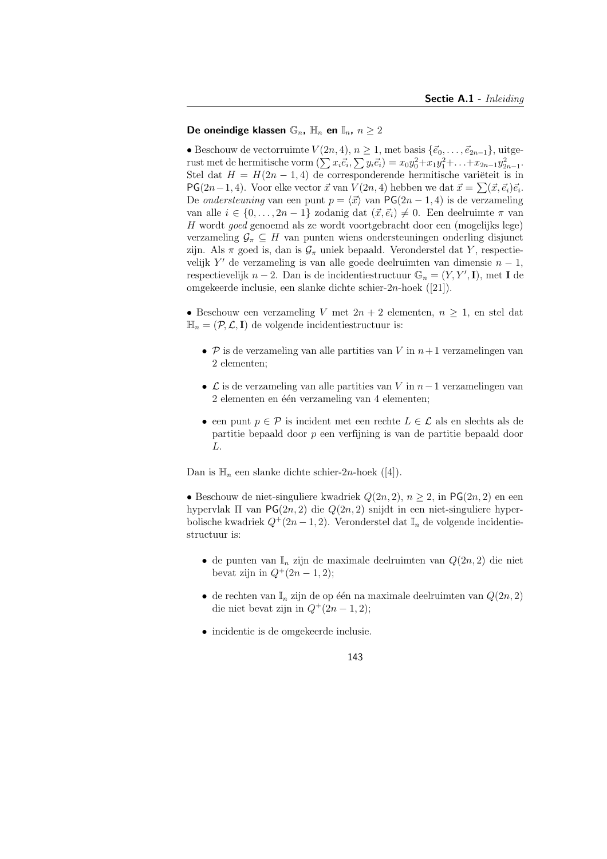# De oneindige klassen  $\mathbb{G}_n$ ,  $\mathbb{H}_n$  en  $\mathbb{I}_n$ ,  $n \geq 2$

• Beschouw de vectorruimte  $V(2n, 4), n \ge 1$ , met basis  $\{\vec{e}_0, \ldots, \vec{e}_{2n-1}\}\$ , uitgerust met de hermitische vorm  $(\sum x_i \vec{e}_i, \sum y_i \vec{e}_i) = x_0 y_0^2 + x_1 y_1^2 + \ldots + x_{2n-1} y_{2n-1}^2$ . Stel dat  $H = H(2n - 1, 4)$  de corresponderende hermitische variëteit is in  $PG(2n-1, 4)$ . Voor elke vector  $\vec{x}$  van  $V(2n, 4)$  hebben we dat  $\vec{x} = \sum (\vec{x}, \vec{e_i}) \vec{e_i}$ . De ondersteuning van een punt  $p = \langle \vec{x} \rangle$  van PG(2n − 1, 4) is de verzameling van alle  $i \in \{0, \ldots, 2n-1\}$  zodanig dat  $(\vec{x}, \vec{e}_i) \neq 0$ . Een deelruimte  $\pi$  van H wordt goed genoemd als ze wordt voortgebracht door een (mogelijks lege) verzameling  $\mathcal{G}_{\pi} \subseteq H$  van punten wiens ondersteuningen onderling disjunct zijn. Als  $\pi$  goed is, dan is  $\mathcal{G}_{\pi}$  uniek bepaald. Veronderstel dat Y, respectievelijk Y' de verzameling is van alle goede deelruimten van dimensie  $n-1$ , respectievelijk  $n-2$ . Dan is de incidentiestructuur  $\mathbb{G}_n = (Y, Y', I)$ , met I de omgekeerde inclusie, een slanke dichte schier-2n-hoek ([21]).

• Beschouw een verzameling V met  $2n + 2$  elementen,  $n \geq 1$ , en stel dat  $\mathbb{H}_n = (\mathcal{P}, \mathcal{L}, I)$  de volgende incidentiestructuur is:

- $P$  is de verzameling van alle partities van V in  $n+1$  verzamelingen van 2 elementen;
- $\mathcal L$  is de verzameling van alle partities van V in  $n-1$  verzamelingen van 2 elementen en één verzameling van 4 elementen;
- een punt  $p \in \mathcal{P}$  is incident met een rechte  $L \in \mathcal{L}$  als en slechts als de partitie bepaald door  $p$  een verfijning is van de partitie bepaald door L.

Dan is  $\mathbb{H}_n$  een slanke dichte schier-2n-hoek ([4]).

• Beschouw de niet-singuliere kwadriek  $Q(2n, 2), n \ge 2$ , in PG $(2n, 2)$  en een hypervlak  $\Pi$  van  $\mathsf{PG}(2n,2)$  die  $Q(2n,2)$  snijdt in een niet-singuliere hyperbolische kwadriek  $Q^+(2n-1, 2)$ . Veronderstel dat  $\mathbb{I}_n$  de volgende incidentiestructuur is:

- de punten van  $\mathbb{I}_n$  zijn de maximale deelruimten van  $Q(2n, 2)$  die niet bevat zijn in  $Q^+(2n-1,2);$
- de rechten van  $\mathbb{I}_n$  zijn de op één na maximale deelruimten van  $Q(2n, 2)$ die niet bevat zijn in  $Q^+(2n-1,2)$ ;
- incidentie is de omgekeerde inclusie.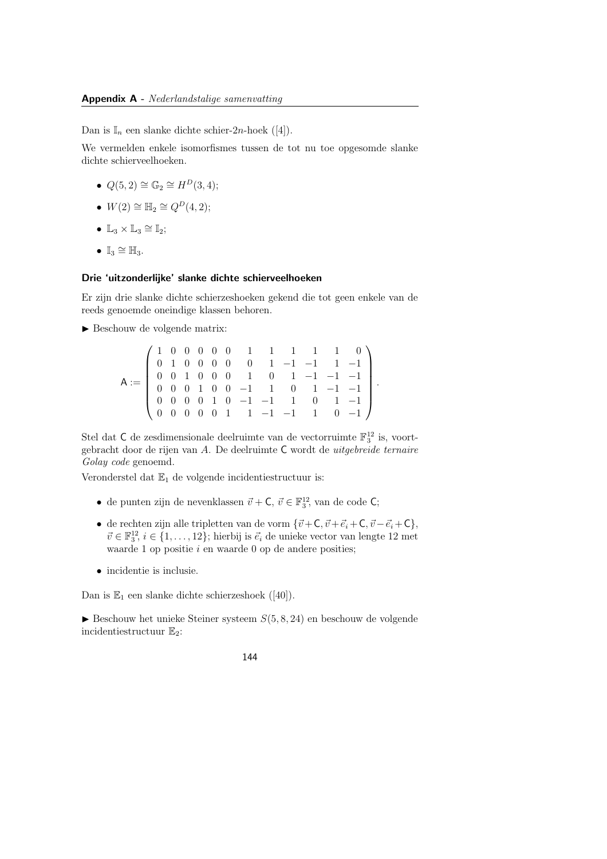Dan is  $\mathbb{I}_n$  een slanke dichte schier-2n-hoek ([4]).

We vermelden enkele isomorfismes tussen de tot nu toe opgesomde slanke dichte schierveelhoeken.

- $Q(5,2) \cong \mathbb{G}_2 \cong H^D(3,4);$
- $W(2) \cong \mathbb{H}_2 \cong Q^D(4, 2);$
- $\mathbb{L}_3 \times \mathbb{L}_3 \cong \mathbb{I}_2;$
- $\mathbb{I}_3 \cong \mathbb{H}_3$ .

#### Drie 'uitzonderlijke' slanke dichte schierveelhoeken

Er zijn drie slanke dichte schierzeshoeken gekend die tot geen enkele van de reeds genoemde oneindige klassen behoren.

▶ Beschouw de volgende matrix:

| $\mathsf{A}:=\left( \begin{array}{cccccccccc} 1 & 0 & 0 & 0 & 0 & 0 & 1 & 1 & 1 & 1 & 1 & 0 \\ 0 & 1 & 0 & 0 & 0 & 0 & 0 & 1 & -1 & -1 & 1 & -1 \\ 0 & 0 & 1 & 0 & 0 & 0 & 1 & 0 & 1 & -1 & -1 & -1 \\ 0 & 0 & 0 & 1 & 0 & 0 & -1 & 1 & 0 & 1 & -1 & -1 \\ 0 & 0 & 0 & 0 & 1 & 0 & -1 & -1 & 1 & 0 & 1 & -1 \\ 0 & 0 & 0 & 0 & 0 & 1 & 1 &$ |  |  |  |  |  |  |  |
|---------------------------------------------------------------------------------------------------------------------------------------------------------------------------------------------------------------------------------------------------------------------------------------------------------------------------------------------|--|--|--|--|--|--|--|

Stel dat  $\textsf{C}$  de zesdimensionale deelruimte van de vectorruimte $\mathbb{F}_3^{12}$ is, voortgebracht door de rijen van A. De deelruimte C wordt de uitgebreide ternaire Golay code genoemd.

Veronderstel dat  $\mathbb{E}_1$  de volgende incidentiestructuur is:

- $\bullet\,$ de punten zijn de nevenklassen $\vec{v} + \mathsf{C},\,\vec{v} \in \mathbb{F}_3^{12},$ van de code $\mathsf{C};$
- de rechten zijn alle tripletten van de vorm  $\{\vec{v} + \mathsf{C}, \vec{v} + \vec{e_i} + \mathsf{C}, \vec{v} \vec{e_i} + \mathsf{C}\},\$  $\vec{v} \in \mathbb{F}_3^{12}, \, i \in \{1, \dots, 12\};$ hierbij is $\vec{e_i}$ de unieke vector van lengte 12 met waarde 1 op positie  $i$  en waarde 0 op de andere posities;
- incidentie is inclusie.

Dan is  $\mathbb{E}_1$  een slanke dichte schierzeshoek ([40]).

 $\blacktriangleright$  Beschouw het unieke Steiner systeem  $S(5, 8, 24)$  en beschouw de volgende incidentiestructuur  $\mathbb{E}_2$ :

$$
144 \\
$$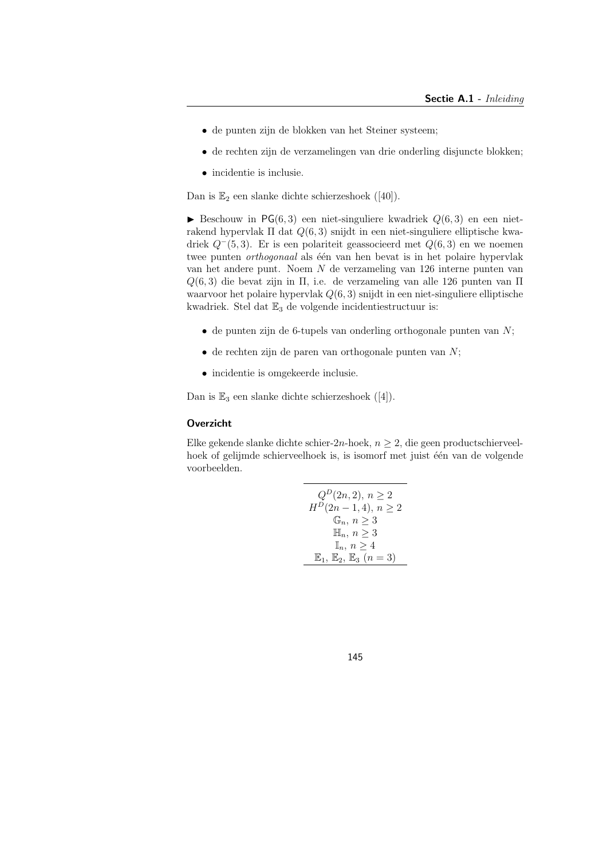- de punten zijn de blokken van het Steiner systeem;
- de rechten zijn de verzamelingen van drie onderling disjuncte blokken;
- incidentie is inclusie.

Dan is  $\mathbb{E}_2$  een slanke dichte schierzeshoek ([40]).

 $\blacktriangleright$  Beschouw in PG(6,3) een niet-singuliere kwadriek  $Q(6,3)$  en een nietrakend hypervlak  $\Pi$  dat  $Q(6, 3)$  snijdt in een niet-singuliere elliptische kwadriek  $Q^-(5,3)$ . Er is een polariteit geassocieerd met  $Q(6,3)$  en we noemen twee punten *orthogonaal* als één van hen bevat is in het polaire hypervlak van het andere punt. Noem N de verzameling van 126 interne punten van  $Q(6, 3)$  die bevat zijn in Π, i.e. de verzameling van alle 126 punten van Π waarvoor het polaire hypervlak Q(6, 3) snijdt in een niet-singuliere elliptische kwadriek. Stel dat  $\mathbb{E}_3$  de volgende incidentiestructuur is:

- $\bullet\,$  de punten zijn de 6-tupels van onderling orthogonale punten van  $N;$
- $\bullet$  de rechten zijn de paren van orthogonale punten van  $N$ ;
- incidentie is omgekeerde inclusie.

Dan is  $\mathbb{E}_3$  een slanke dichte schierzeshoek ([4]).

#### **Overzicht**

Elke gekende slanke dichte schier-2n-hoek,  $n > 2$ , die geen productschierveelhoek of gelijmde schierveelhoek is, is isomorf met juist één van de volgende voorbeelden.

$$
Q^{D}(2n, 2), n \ge 2
$$
  
\n
$$
H^{D}(2n - 1, 4), n \ge 2
$$
  
\n
$$
\mathbb{G}_{n}, n \ge 3
$$
  
\n
$$
\mathbb{I}_{n}, n \ge 4
$$
  
\n
$$
\mathbb{E}_{1}, \mathbb{E}_{2}, \mathbb{E}_{3} (n = 3)
$$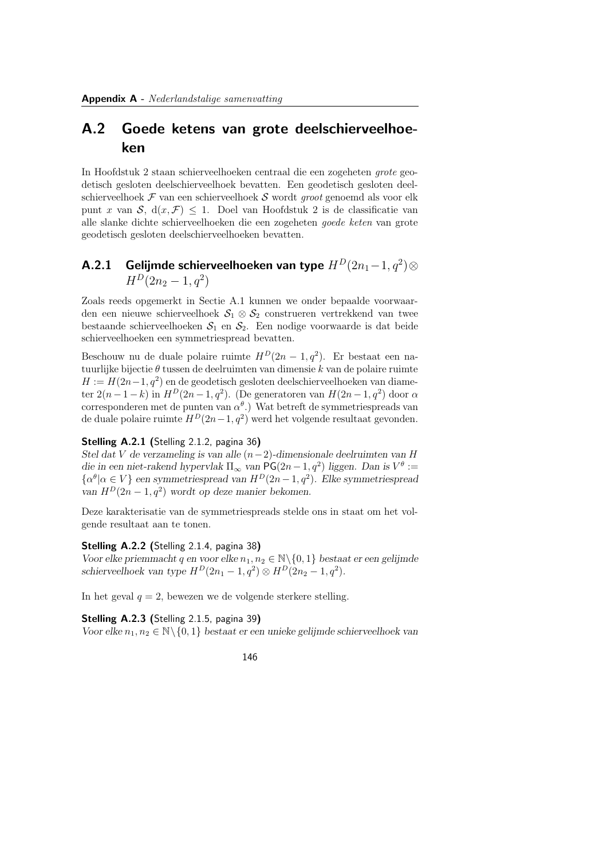# A.2 Goede ketens van grote deelschierveelhoeken

In Hoofdstuk 2 staan schierveelhoeken centraal die een zogeheten grote geodetisch gesloten deelschierveelhoek bevatten. Een geodetisch gesloten deelschierveelhoek  $\mathcal F$  van een schierveelhoek  $\mathcal S$  wordt groot genoemd als voor elk punt x van  $S$ ,  $d(x, \mathcal{F})$  < 1. Doel van Hoofdstuk 2 is de classificatie van alle slanke dichte schierveelhoeken die een zogeheten goede keten van grote geodetisch gesloten deelschierveelhoeken bevatten.

# A.2.1 Gelijmde schierveelhoeken van type  $H^D(2n_1-1,q^2)\otimes$  $H^D(2n_2-1, q^2)$

Zoals reeds opgemerkt in Sectie A.1 kunnen we onder bepaalde voorwaarden een nieuwe schierveelhoek  $S_1 \otimes S_2$  construeren vertrekkend van twee bestaande schierveelhoeken  $S_1$  en  $S_2$ . Een nodige voorwaarde is dat beide schierveelhoeken een symmetriespread bevatten.

Beschouw nu de duale polaire ruimte  $H^D(2n-1, q^2)$ . Er bestaat een natuurlijke bijectie  $\theta$  tussen de deelruimten van dimensie k van de polaire ruimte  $H := H(2n-1, q^2)$  en de geodetisch gesloten deelschierveelhoeken van diameter 2(n – 1 – k) in  $H^D(2n-1, q^2)$ . (De generatoren van  $H(2n-1, q^2)$  door  $\alpha$ corresponderen met de punten van  $\alpha^{\theta}$ .) Wat betreft de symmetriespreads van de duale polaire ruimte  $H^D(2n-1, q^2)$  werd het volgende resultaat gevonden.

### Stelling A.2.1 (Stelling 2.1.2, pagina 36)

Stel dat V de verzameling is van alle  $(n-2)$ -dimensionale deelruimten van H die in een niet-rakend hypervlak  $\Pi_{\infty}$  van  $\mathsf{PG}(2n-1, q^2)$  liggen. Dan is  $V^{\theta} :=$  $\{\alpha^{\theta} | \alpha \in V\}$  een symmetriespread van  $H^D(2n-1, q^2)$ . Elke symmetriespread van  $H^D(2n-1, q^2)$  wordt op deze manier bekomen.

Deze karakterisatie van de symmetriespreads stelde ons in staat om het volgende resultaat aan te tonen.

#### Stelling A.2.2 (Stelling 2.1.4, pagina 38)

Voor elke priemmacht q en voor elke  $n_1, n_2 \in \mathbb{N} \setminus \{0, 1\}$  bestaat er een gelijmde schierveelhoek van type  $H^D(2n_1 - 1, q^2) \otimes H^D(2n_2 - 1, q^2)$ .

In het geval  $q = 2$ , bewezen we de volgende sterkere stelling.

#### Stelling A.2.3 (Stelling 2.1.5, pagina 39)

Voor elke  $n_1, n_2 \in \mathbb{N} \setminus \{0, 1\}$  bestaat er een unieke gelijmde schierveelhoek van

$$
146 \\
$$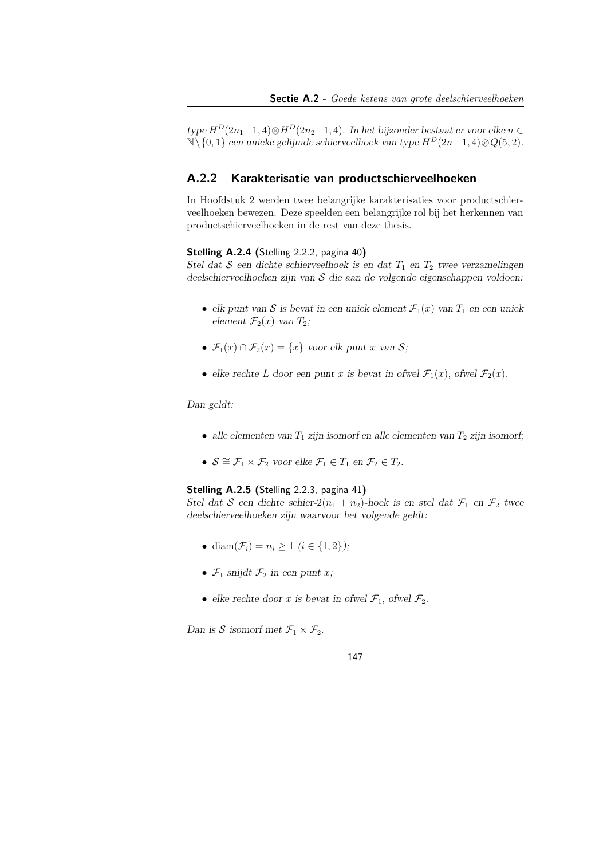type  $H^D(2n_1-1, 4) \otimes H^D(2n_2-1, 4)$ . In het bijzonder bestaat er voor elke n ∈  $\mathbb{N}\setminus\{0, 1\}$  een unieke gelijmde schierveelhoek van type  $H^D(2n-1, 4) \otimes Q(5, 2)$ .

## A.2.2 Karakterisatie van productschierveelhoeken

In Hoofdstuk 2 werden twee belangrijke karakterisaties voor productschierveelhoeken bewezen. Deze speelden een belangrijke rol bij het herkennen van productschierveelhoeken in de rest van deze thesis.

#### Stelling A.2.4 (Stelling 2.2.2, pagina 40)

Stel dat S een dichte schierveelhoek is en dat  $T_1$  en  $T_2$  twee verzamelingen deelschierveelhoeken zijn van S die aan de volgende eigenschappen voldoen:

- elk punt van S is bevat in een uniek element  $\mathcal{F}_1(x)$  van  $T_1$  en een uniek element  $\mathcal{F}_2(x)$  van  $T_2$ ;
- $\mathcal{F}_1(x) \cap \mathcal{F}_2(x) = \{x\}$  voor elk punt x van  $\mathcal{S}$ ;
- elke rechte L door een punt x is bevat in ofwel  $\mathcal{F}_1(x)$ , ofwel  $\mathcal{F}_2(x)$ .

Dan geldt:

- alle elementen van  $T_1$  zijn isomorf en alle elementen van  $T_2$  zijn isomorf;
- $S \cong \mathcal{F}_1 \times \mathcal{F}_2$  voor elke  $\mathcal{F}_1 \in T_1$  en  $\mathcal{F}_2 \in T_2$ .

#### Stelling A.2.5 (Stelling 2.2.3, pagina 41)

Stel dat S een dichte schier-2( $n_1 + n_2$ )-hoek is en stel dat  $\mathcal{F}_1$  en  $\mathcal{F}_2$  twee deelschierveelhoeken zijn waarvoor het volgende geldt:

- diam $(\mathcal{F}_i) = n_i > 1$   $(i \in \{1, 2\})$ ;
- $\mathcal{F}_1$  snijdt  $\mathcal{F}_2$  in een punt x;
- elke rechte door x is bevat in ofwel  $\mathcal{F}_1$ , ofwel  $\mathcal{F}_2$ .

Dan is S isomorf met  $\mathcal{F}_1 \times \mathcal{F}_2$ .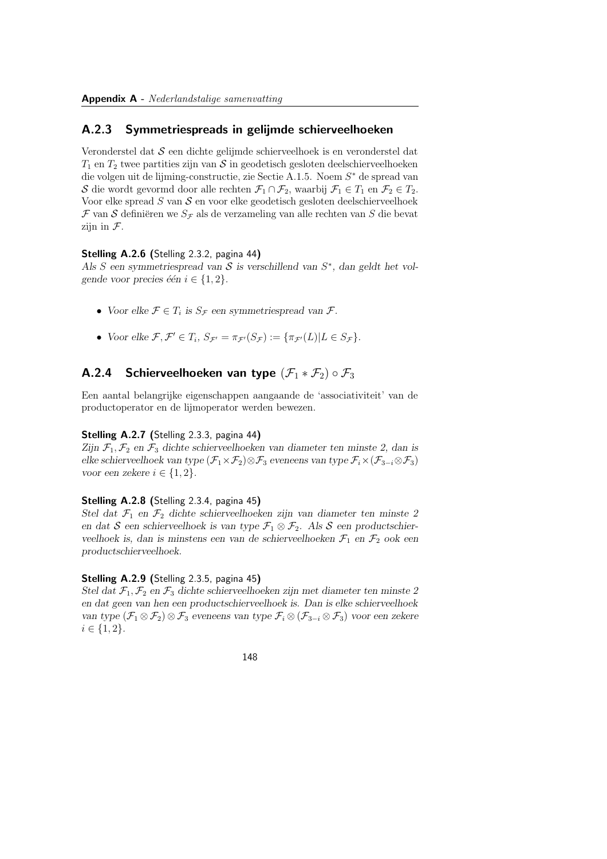## A.2.3 Symmetriespreads in gelijmde schierveelhoeken

Veronderstel dat S een dichte gelijmde schierveelhoek is en veronderstel dat  $T_1$  en  $T_2$  twee partities zijn van  $S$  in geodetisch gesloten deelschierveelhoeken die volgen uit de lijming-constructie, zie Sectie A.1.5. Noem S<sup>∗</sup> de spread van S die wordt gevormd door alle rechten  $\mathcal{F}_1 \cap \mathcal{F}_2$ , waarbij  $\mathcal{F}_1 \in T_1$  en  $\mathcal{F}_2 \in T_2$ . Voor elke spread  $S$  van  $S$  en voor elke geodetisch gesloten deelschierveelhoek  $\mathcal F$  van  $\mathcal S$  definiëren we  $S_{\mathcal F}$  als de verzameling van alle rechten van  $S$  die bevat zijn in  $\mathcal{F}.$ 

#### Stelling A.2.6 (Stelling 2.3.2, pagina 44)

Als S een symmetriespread van S is verschillend van  $S^*$ , dan geldt het volgende voor precies één  $i \in \{1, 2\}.$ 

- Voor elke  $\mathcal{F} \in T_i$  is  $S_{\mathcal{F}}$  een symmetriespread van  $\mathcal{F}$ .
- Voor elke  $\mathcal{F}, \mathcal{F}' \in T_i$ ,  $S_{\mathcal{F}'} = \pi_{\mathcal{F}'}(S_{\mathcal{F}}) := \{\pi_{\mathcal{F}'}(L)|L \in S_{\mathcal{F}}\}.$

# A.2.4 Schierveelhoeken van type  $(\mathcal{F}_1 * \mathcal{F}_2) \circ \mathcal{F}_3$

Een aantal belangrijke eigenschappen aangaande de 'associativiteit' van de productoperator en de lijmoperator werden bewezen.

#### Stelling A.2.7 (Stelling 2.3.3, pagina 44)

Zijn  $\mathcal{F}_1, \mathcal{F}_2$  en  $\mathcal{F}_3$  dichte schierveelhoeken van diameter ten minste 2, dan is elke schierveelhoek van type  $(\mathcal{F}_1 \times \mathcal{F}_2) \otimes \mathcal{F}_3$  eveneens van type  $\mathcal{F}_i \times (\mathcal{F}_{3-i} \otimes \mathcal{F}_3)$ voor een zekere  $i \in \{1, 2\}.$ 

#### Stelling A.2.8 (Stelling 2.3.4, pagina 45)

Stel dat  $\mathcal{F}_1$  en  $\mathcal{F}_2$  dichte schierveelhoeken zijn van diameter ten minste 2 en dat S een schierveelhoek is van type  $\mathcal{F}_1 \otimes \mathcal{F}_2$ . Als S een productschierveelhoek is, dan is minstens een van de schierveelhoeken  $\mathcal{F}_1$  en  $\mathcal{F}_2$  ook een productschierveelhoek.

#### Stelling A.2.9 (Stelling 2.3.5, pagina 45)

Stel dat  $\mathcal{F}_1, \mathcal{F}_2$  en  $\mathcal{F}_3$  dichte schierveelhoeken zijn met diameter ten minste 2 en dat geen van hen een productschierveelhoek is. Dan is elke schierveelhoek van type  $(\mathcal{F}_1 \otimes \mathcal{F}_2) \otimes \mathcal{F}_3$  eveneens van type  $\mathcal{F}_i \otimes (\mathcal{F}_{3-i} \otimes \mathcal{F}_3)$  voor een zekere  $i \in \{1, 2\}.$ 

148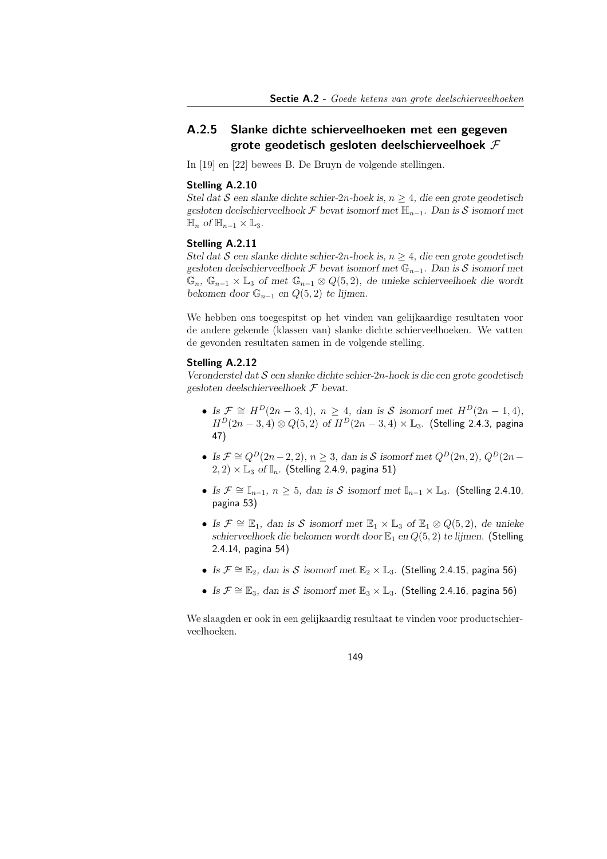# A.2.5 Slanke dichte schierveelhoeken met een gegeven grote geodetisch gesloten deelschierveelhoek  $\mathcal F$

In [19] en [22] bewees B. De Bruyn de volgende stellingen.

#### Stelling A.2.10

Stel dat  $S$  een slanke dichte schier-2n-hoek is,  $n > 4$ , die een grote geodetisch gesloten deelschierveelhoek  $\mathcal F$  bevat isomorf met  $\mathbb{H}_{n-1}$ . Dan is S isomorf met  $\mathbb{H}_n$  of  $\mathbb{H}_{n-1} \times \mathbb{L}_3$ .

#### Stelling A.2.11

Stel dat S een slanke dichte schier-2n-hoek is,  $n \geq 4$ , die een grote geodetisch gesloten deelschierveelhoek  $\mathcal F$  bevat isomorf met  $\mathbb G_{n-1}$ . Dan is S isomorf met  $\mathbb{G}_n$ ,  $\mathbb{G}_{n-1} \times \mathbb{L}_3$  of met  $\mathbb{G}_{n-1} \otimes Q(5,2)$ , de unieke schierveelhoek die wordt bekomen door  $\mathbb{G}_{n-1}$  en  $Q(5, 2)$  te lijmen.

We hebben ons toegespitst op het vinden van gelijkaardige resultaten voor de andere gekende (klassen van) slanke dichte schierveelhoeken. We vatten de gevonden resultaten samen in de volgende stelling.

#### Stelling A.2.12

Veronderstel dat  $S$  een slanke dichte schier-2n-hoek is die een grote geodetisch gesloten deelschierveelhoek F bevat.

- Is  $\mathcal{F} \cong H^D(2n-3, 4), n \geq 4$ , dan is S isomorf met  $H^D(2n-1, 4)$ ,  $H^{D}(2n-3,4) \otimes Q(5,2)$  of  $H^{D}(2n-3,4) \times \mathbb{L}_3$ . (Stelling 2.4.3, pagina 47)
- Is  $\mathcal{F} \cong Q^D(2n-2, 2), n \geq 3$ , dan is S isomorf met  $Q^D(2n, 2), Q^D(2n-2, 2)$  $(2, 2) \times \mathbb{L}_3$  of  $\mathbb{I}_n$ . (Stelling 2.4.9, pagina 51)
- Is  $\mathcal{F} \cong \mathbb{I}_{n-1}$ ,  $n \geq 5$ , dan is S isomorf met  $\mathbb{I}_{n-1} \times \mathbb{L}_3$ . (Stelling 2.4.10, pagina 53)
- Is  $\mathcal{F} \cong \mathbb{E}_1$ , dan is S isomorf met  $\mathbb{E}_1 \times \mathbb{L}_3$  of  $\mathbb{E}_1 \otimes Q(5,2)$ , de unieke schierveelhoek die bekomen wordt door  $\mathbb{E}_1$  en  $Q(5, 2)$  te lijmen. (Stelling 2.4.14, pagina 54)
- Is  $\mathcal{F} \cong \mathbb{E}_2$ , dan is S isomorf met  $\mathbb{E}_2 \times \mathbb{L}_3$ . (Stelling 2.4.15, pagina 56)
- Is  $\mathcal{F} \cong \mathbb{E}_3$ , dan is S isomorf met  $\mathbb{E}_3 \times \mathbb{L}_3$ . (Stelling 2.4.16, pagina 56)

We slaagden er ook in een gelijkaardig resultaat te vinden voor productschierveelhoeken.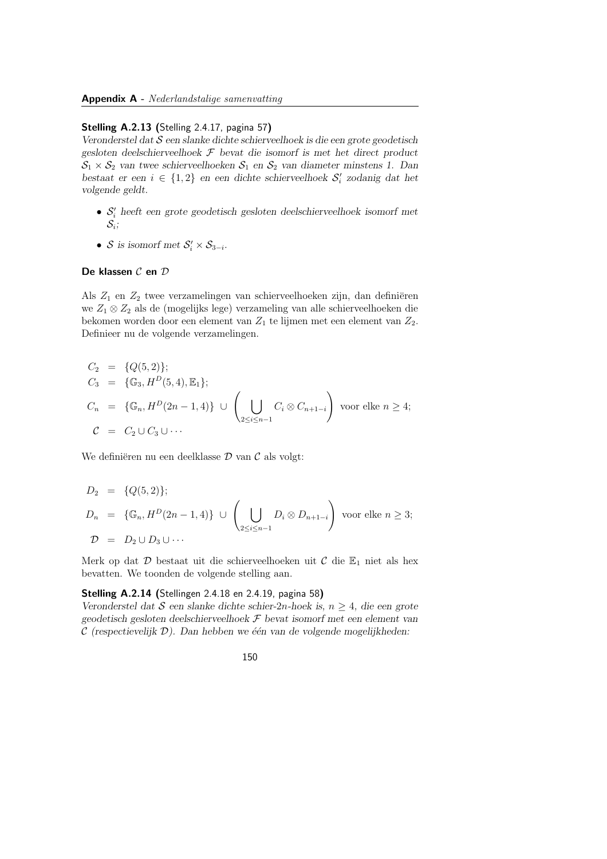#### Stelling A.2.13 (Stelling 2.4.17, pagina 57)

Veronderstel dat  $S$  een slanke dichte schierveelhoek is die een grote geodetisch gesloten deelschierveelhoek ${\mathcal F}$  bevat die isomorf is met het direct product  $S_1 \times S_2$  van twee schierveelhoeken  $S_1$  en  $S_2$  van diameter minstens 1. Dan bestaat er een  $i \in \{1,2\}$  en een dichte schierveelhoek  $S_i$  zodanig dat het volgende geldt.

- $\bullet$   $\mathcal{S}'_i$  heeft een grote geodetisch gesloten deelschierveelhoek isomorf met  $\mathcal{S}_i$ ;
- S is isomorf met  $S_i' \times S_{3-i}$ .

#### De klassen  $C$  en  $D$

Als  $Z_1$  en  $Z_2$  twee verzamelingen van schierveelhoeken zijn, dan definiëren we  $Z_1 \otimes Z_2$  als de (mogelijks lege) verzameling van alle schierveelhoeken die bekomen worden door een element van  $Z_1$  te lijmen met een element van  $Z_2$ . Definieer nu de volgende verzamelingen.

$$
C_2 = \{Q(5,2)\};
$$
  
\n
$$
C_3 = \{\mathbb{G}_3, H^D(5,4), \mathbb{E}_1\};
$$
  
\n
$$
C_n = \{\mathbb{G}_n, H^D(2n-1,4)\} \cup \left(\bigcup_{2 \le i \le n-1} C_i \otimes C_{n+1-i}\right) \text{ voor elke } n \ge 4;
$$
  
\n
$$
C = C_2 \cup C_3 \cup \cdots
$$

We definiëren nu een deelklasse  $\mathcal D$  van  $\mathcal C$  als volgt:

$$
D_2 = \{Q(5, 2)\};
$$
  
\n
$$
D_n = \{\mathbb{G}_n, H^D(2n - 1, 4)\} \cup \left(\bigcup_{2 \le i \le n-1} D_i \otimes D_{n+1-i}\right) \text{ voor elke } n \ge 3;
$$
  
\n
$$
D = D_2 \cup D_3 \cup \cdots
$$

Merk op dat  $D$  bestaat uit die schierveelhoeken uit  $C$  die  $\mathbb{E}_1$  niet als hex bevatten. We toonden de volgende stelling aan.

#### Stelling A.2.14 (Stellingen 2.4.18 en 2.4.19, pagina 58)

Veronderstel dat S een slanke dichte schier-2n-hoek is,  $n \geq 4$ , die een grote geodetisch gesloten deelschierveelhoek F bevat isomorf met een element van  $\mathcal C$  (respectievelijk  $\mathcal D$ ). Dan hebben we één van de volgende mogelijkheden:

$$
150 \\
$$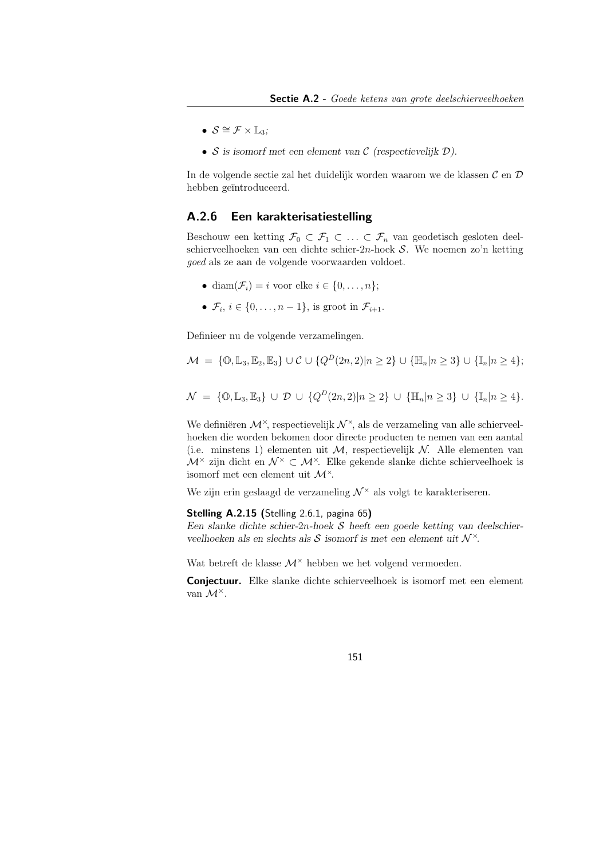- $S \cong \mathcal{F} \times \mathbb{L}_3$ ;
- S is isomorf met een element van C (respectievelijk D).

In de volgende sectie zal het duidelijk worden waarom we de klassen C en D hebben geïntroduceerd.

### A.2.6 Een karakterisatiestelling

Beschouw een ketting  $\mathcal{F}_0 \subset \mathcal{F}_1 \subset \ldots \subset \mathcal{F}_n$  van geodetisch gesloten deelschierveelhoeken van een dichte schier-2n-hoek  $S$ . We noemen zo'n ketting goed als ze aan de volgende voorwaarden voldoet.

- diam $(\mathcal{F}_i) = i$  voor elke  $i \in \{0, \ldots, n\}$ ;
- $\mathcal{F}_i, i \in \{0, \ldots, n-1\}$ , is groot in  $\mathcal{F}_{i+1}$ .

Definieer nu de volgende verzamelingen.

$$
\mathcal{M} = \{ \mathbb{O}, \mathbb{L}_3, \mathbb{E}_2, \mathbb{E}_3 \} \cup \mathcal{C} \cup \{ Q^D(2n, 2) | n \geq 2 \} \cup \{ \mathbb{H}_n | n \geq 3 \} \cup \{ \mathbb{I}_n | n \geq 4 \};
$$

$$
\mathcal{N} = \{ \mathbb{O}, \mathbb{L}_3, \mathbb{E}_3 \} \cup \mathcal{D} \cup \{ Q^D(2n, 2) | n \geq 2 \} \cup \{ \mathbb{H}_n | n \geq 3 \} \cup \{ \mathbb{I}_n | n \geq 4 \}.
$$

We definiëren  $\mathcal{M}^{\times}$ , respectievelijk  $\mathcal{N}^{\times}$ , als de verzameling van alle schierveelhoeken die worden bekomen door directe producten te nemen van een aantal (i.e. minstens 1) elementen uit  $\mathcal M$ , respectievelijk  $\mathcal N$ . Alle elementen van  $\mathcal{M}^{\times}$  zijn dicht en  $\mathcal{N}^{\times} \subset \mathcal{M}^{\times}$ . Elke gekende slanke dichte schierveelhoek is isomorf met een element uit  $\mathcal{M}^{\times}$ .

We zijn erin geslaagd de verzameling  $\mathcal{N}^{\times}$  als volgt te karakteriseren.

#### Stelling A.2.15 (Stelling 2.6.1, pagina 65)

Een slanke dichte schier-2n-hoek  $S$  heeft een goede ketting van deelschierveelhoeken als en slechts als S isomorf is met een element uit  $\mathcal{N}^{\times}$ .

Wat betreft de klasse  $\mathcal{M}^{\times}$  hebben we het volgend vermoeden.

Conjectuur. Elke slanke dichte schierveelhoek is isomorf met een element van  $\mathcal{M}^{\times}$ .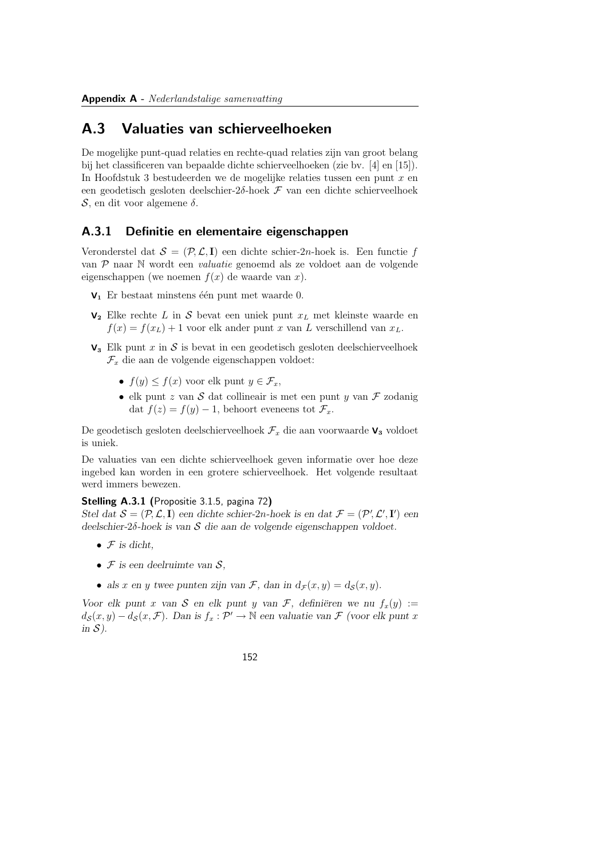# A.3 Valuaties van schierveelhoeken

De mogelijke punt-quad relaties en rechte-quad relaties zijn van groot belang bij het classificeren van bepaalde dichte schierveelhoeken (zie bv. [4] en [15]). In Hoofdstuk 3 bestudeerden we de mogelijke relaties tussen een punt  $x$  en een geodetisch gesloten deelschier-2δ-hoek  $\mathcal F$  van een dichte schierveelhoek S, en dit voor algemene  $\delta$ .

#### A.3.1 Definitie en elementaire eigenschappen

Veronderstel dat  $S = (\mathcal{P}, \mathcal{L}, I)$  een dichte schier-2n-hoek is. Een functie f van <sup>P</sup> naar <sup>N</sup> wordt een valuatie genoemd als ze voldoet aan de volgende eigenschappen (we noemen  $f(x)$  de waarde van x).

- $V_1$  Er bestaat minstens één punt met waarde 0.
- $V_2$  Elke rechte L in S bevat een uniek punt  $x_L$  met kleinste waarde en  $f(x) = f(x_L) + 1$  voor elk ander punt x van L verschillend van  $x_L$ .
- $V_3$  Elk punt x in S is bevat in een geodetisch gesloten deelschierveelhoek  $\mathcal{F}_x$  die aan de volgende eigenschappen voldoet:
	- $f(y) \leq f(x)$  voor elk punt  $y \in \mathcal{F}_x$ ,
	- elk punt z van  $S$  dat collineair is met een punt y van  $\mathcal F$  zodanig dat  $f(z) = f(y) - 1$ , behoort eveneens tot  $\mathcal{F}_x$ .

De geodetisch gesloten deelschierveelhoek  $\mathcal{F}_x$  die aan voorwaarde  $V_3$  voldoet is uniek.

De valuaties van een dichte schierveelhoek geven informatie over hoe deze ingebed kan worden in een grotere schierveelhoek. Het volgende resultaat werd immers bewezen.

Stelling A.3.1 (Propositie 3.1.5, pagina 72)

Stel dat  $S = (\mathcal{P}, \mathcal{L}, \mathbf{I})$  een dichte schier-2n-hoek is en dat  $\mathcal{F} = (\mathcal{P}', \mathcal{L}', \mathbf{I}')$  een deelschier- $2\delta$ -hoek is van  $S$  die aan de volgende eigenschappen voldoet.

- $F$  is dicht,
- $\mathcal F$  is een deelruimte van  $\mathcal S$ ,
- als x en y twee punten zijn van F, dan in  $d_{\mathcal{F}}(x, y) = d_{\mathcal{S}}(x, y)$ .

Voor elk punt x van  $S$  en elk punt y van  $\mathcal F$ , definiëren we nu  $f_x(y) :=$  $d_{\mathcal{S}}(x,y) - d_{\mathcal{S}}(x,\mathcal{F})$ . Dan is  $f_x : \mathcal{P}' \to \mathbb{N}$  een valuatie van  $\mathcal{F}$  (voor elk punt x in  $S$ ).

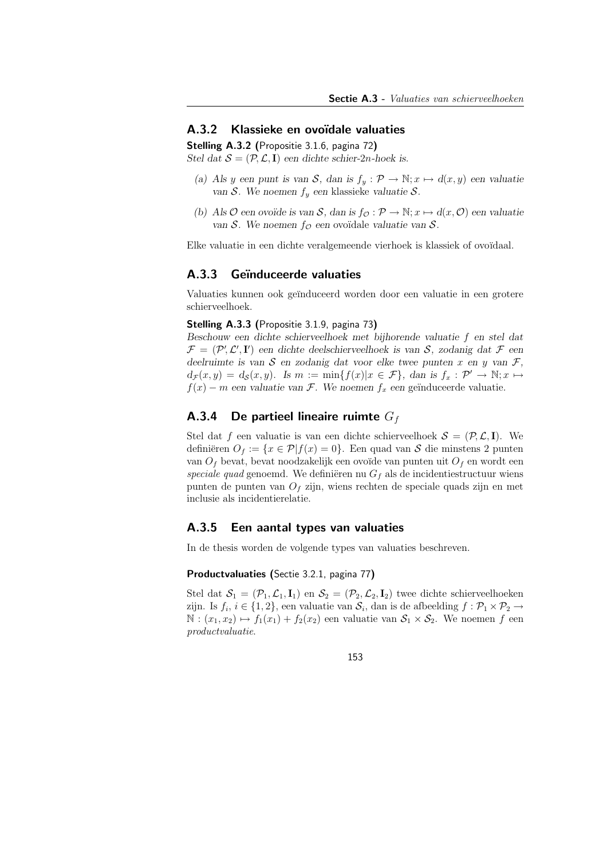## A.3.2 Klassieke en ovoïdale valuaties

Stelling A.3.2 (Propositie 3.1.6, pagina 72)

Stel dat  $S = (\mathcal{P}, \mathcal{L}, I)$  een dichte schier-2n-hoek is.

- (a) Als y een punt is van S, dan is  $f_y : \mathcal{P} \to \mathbb{N}; x \mapsto d(x, y)$  een valuatie van S. We noemen  $f_y$  een klassieke valuatie S.
- (b) Als  $\mathcal O$  een ovoïde is van  $\mathcal S$ , dan is  $f_{\mathcal O} : \mathcal P \to \mathbb N; x \mapsto d(x, \mathcal O)$  een valuatie van S. We noemen  $f_{\mathcal{O}}$  een ovoïdale valuatie van S.

Elke valuatie in een dichte veralgemeende vierhoek is klassiek of ovoïdaal.

#### A.3.3 Geïnduceerde valuaties

Valuaties kunnen ook geïnduceerd worden door een valuatie in een grotere schierveelhoek.

#### Stelling A.3.3 (Propositie 3.1.9, pagina 73)

Beschouw een dichte schierveelhoek met bijhorende valuatie f en stel dat  $\mathcal{F} = (\mathcal{P}', \mathcal{L}', \mathbf{I}')$  een dichte deelschierveelhoek is van  $\mathcal{S}$ , zodanig dat  $\mathcal{F}$  een deelruimte is van  $S$  en zodanig dat voor elke twee punten x en y van  $\mathcal{F},$  $d_{\mathcal{F}}(x,y) = d_{\mathcal{S}}(x,y)$ . Is  $m := \min\{f(x)|x \in \mathcal{F}\}\text{, dan is } f_x : \mathcal{P}' \to \mathbb{N}; x \mapsto$  $f(x) - m$  een valuatie van *F*. We noemen  $f_x$  een geïnduceerde valuatie.

#### **A.3.4** De partieel lineaire ruimte  $G_f$

Stel dat f een valuatie is van een dichte schierveelhoek  $S = (\mathcal{P}, \mathcal{L}, I)$ . We definiëren  $O_f := \{x \in \mathcal{P}|f(x) = 0\}$ . Een quad van S die minstens 2 punten van  $O_f$  bevat, bevat noodzakelijk een ovoïde van punten uit  $O_f$  en wordt een speciale quad genoemd. We definiëren nu  $G_f$  als de incidentiestructuur wiens punten de punten van  $O<sub>f</sub>$  zijn, wiens rechten de speciale quads zijn en met inclusie als incidentierelatie.

#### A.3.5 Een aantal types van valuaties

In de thesis worden de volgende types van valuaties beschreven.

#### Productvaluaties (Sectie 3.2.1, pagina 77)

Stel dat  $S_1 = (\mathcal{P}_1, \mathcal{L}_1, I_1)$  en  $S_2 = (\mathcal{P}_2, \mathcal{L}_2, I_2)$  twee dichte schierveelhoeken zijn. Is  $f_i, i \in \{1,2\}$ , een valuatie van  $S_i$ , dan is de afbeelding  $f : \mathcal{P}_1 \times \mathcal{P}_2 \to$  $\mathbb{N} : (x_1, x_2) \mapsto f_1(x_1) + f_2(x_2)$  een valuatie van  $\mathcal{S}_1 \times \mathcal{S}_2$ . We noemen f een productvaluatie.

153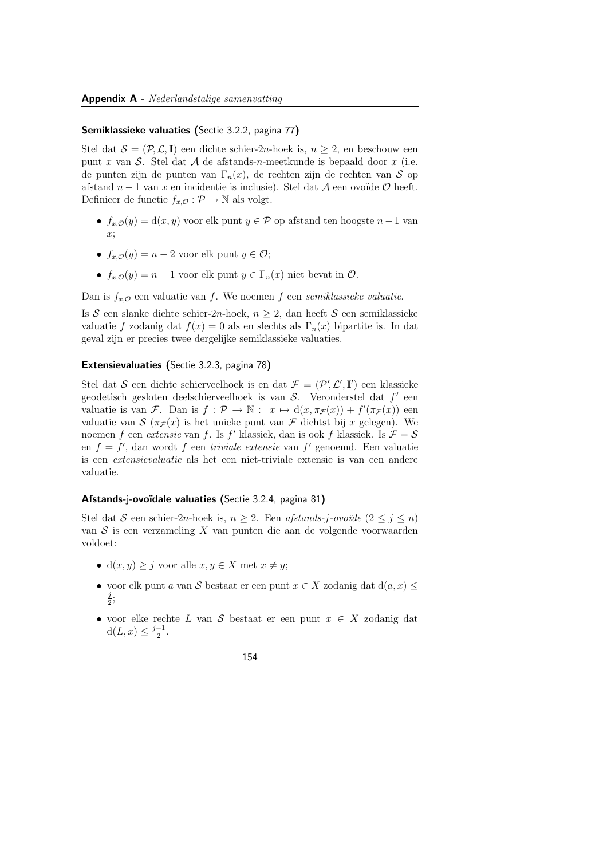#### Semiklassieke valuaties (Sectie 3.2.2, pagina 77)

Stel dat  $S = (\mathcal{P}, \mathcal{L}, I)$  een dichte schier-2n-hoek is,  $n \geq 2$ , en beschouw een punt x van  $S$ . Stel dat  $A$  de afstands-n-meetkunde is bepaald door x (i.e. de punten zijn de punten van  $\Gamma_n(x)$ , de rechten zijn de rechten van S op afstand  $n-1$  van x en incidentie is inclusie). Stel dat A een ovoïde  $\mathcal O$  heeft. Definieer de functie  $f_{x,\mathcal{O}} : \mathcal{P} \to \mathbb{N}$  als volgt.

- $f_{x,\mathcal{O}}(y) = d(x, y)$  voor elk punt  $y \in \mathcal{P}$  op afstand ten hoogste  $n-1$  van x;
- $f_{x,\mathcal{O}}(y) = n-2$  voor elk punt  $y \in \mathcal{O}$ ;
- $f_{x,\mathcal{O}}(y) = n-1$  voor elk punt  $y \in \Gamma_n(x)$  niet bevat in  $\mathcal{O}$ .

Dan is  $f_{x,0}$  een valuatie van f. We noemen f een semiklassieke valuatie.

Is S een slanke dichte schier-2n-hoek,  $n \geq 2$ , dan heeft S een semiklassieke valuatie f zodanig dat  $f(x) = 0$  als en slechts als  $\Gamma_n(x)$  bipartite is. In dat geval zijn er precies twee dergelijke semiklassieke valuaties.

#### Extensievaluaties (Sectie 3.2.3, pagina 78)

Stel dat  $\mathcal S$ een dichte schierveelhoek is en dat  $\mathcal F=(\mathcal P',\mathcal L',{\bf I}')$ een klassieke geodetisch gesloten deelschierveelhoek is van  $S$ . Veronderstel dat  $f'$  een valuatie is van F. Dan is  $f : \mathcal{P} \to \mathbb{N} : x \mapsto d(x, \pi_{\mathcal{F}}(x)) + f'(\pi_{\mathcal{F}}(x))$  een valuatie van  $\mathcal{S}(\pi_{\mathcal{F}}(x))$  is het unieke punt van  $\mathcal{F}$  dichtst bij x gelegen). We noemen  $f$  een extensie van  $f$ . Is  $f'$  klassiek, dan is ook  $f$  klassiek. Is  $\mathcal{F} = \mathcal{S}$ en  $f = f'$ , dan wordt f een triviale extensie van  $f'$  genoemd. Een valuatie is een extensievaluatie als het een niet-triviale extensie is van een andere valuatie.

#### Afstands-j-ovoïdale valuaties (Sectie 3.2.4, pagina 81)

Stel dat S een schier-2n-hoek is,  $n \geq 2$ . Een afstands-j-ovoïde  $(2 \leq j \leq n)$ van  $S$  is een verzameling X van punten die aan de volgende voorwaarden voldoet:

- $d(x, y) \geq j$  voor alle  $x, y \in X$  met  $x \neq y$ ;
- voor elk punt a van S bestaat er een punt  $x \in X$  zodanig dat  $d(a, x) \leq$ j  $\frac{j}{2}$ ;
- voor elke rechte L van S bestaat er een punt  $x \in X$  zodanig dat  $d(L, x) \leq \frac{j-1}{2}.$

154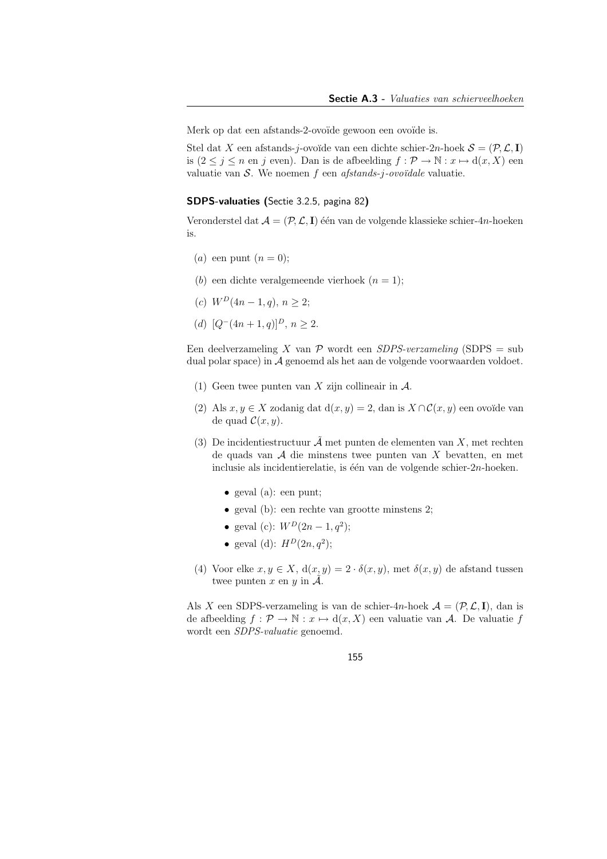Merk op dat een afstands-2-ovoïde gewoon een ovoïde is.

Stel dat X een afstands-j-ovoïde van een dichte schier-2n-hoek  $\mathcal{S} = (\mathcal{P}, \mathcal{L}, I)$ is  $(2 \leq j \leq n$  en j even). Dan is de afbeelding  $f : \mathcal{P} \to \mathbb{N} : x \mapsto d(x, X)$  een valuatie van  $S$ . We noemen f een afstands-j-ovoïdale valuatie.

#### SDPS-valuaties (Sectie 3.2.5, pagina 82)

Veronderstel dat  $\mathcal{A} = (\mathcal{P}, \mathcal{L}, I)$  één van de volgende klassieke schier-4n-hoeken is.

- (a) een punt  $(n = 0);$
- (b) een dichte veralgemeende vierhoek  $(n = 1)$ ;
- (c)  $W^D(4n-1, q), n \geq 2;$
- (d)  $[Q^-(4n+1, q)]^D$ ,  $n \geq 2$ .

Een deelverzameling X van  $P$  wordt een SDPS-verzameling (SDPS = sub dual polar space) in A genoemd als het aan de volgende voorwaarden voldoet.

- (1) Geen twee punten van X zijn collineair in  $\mathcal{A}$ .
- (2) Als  $x, y \in X$  zodanig dat  $d(x, y) = 2$ , dan is  $X \cap C(x, y)$  een ovoïde van de quad  $\mathcal{C}(x, y)$ .
- (3) De incidentiestructuur  $\tilde{\mathcal{A}}$  met punten de elementen van X, met rechten de quads van  $A$  die minstens twee punten van X bevatten, en met inclusie als incidentierelatie, is één van de volgende schier- $2n$ -hoeken.
	- geval (a): een punt;
	- geval (b): een rechte van grootte minstens 2;
	- geval (c):  $W^{D}(2n 1, q^2);$
	- geval (d):  $H^D(2n, q^2);$
- (4) Voor elke  $x, y \in X$ ,  $d(x, y) = 2 \cdot \delta(x, y)$ , met  $\delta(x, y)$  de afstand tussen twee punten x en y in  $\tilde{\mathcal{A}}$ .

Als X een SDPS-verzameling is van de schier-4n-hoek  $\mathcal{A} = (\mathcal{P}, \mathcal{L}, I)$ , dan is de afbeelding  $f : \mathcal{P} \to \mathbb{N} : x \mapsto d(x, X)$  een valuatie van A. De valuatie f wordt een SDPS-valuatie genoemd.

155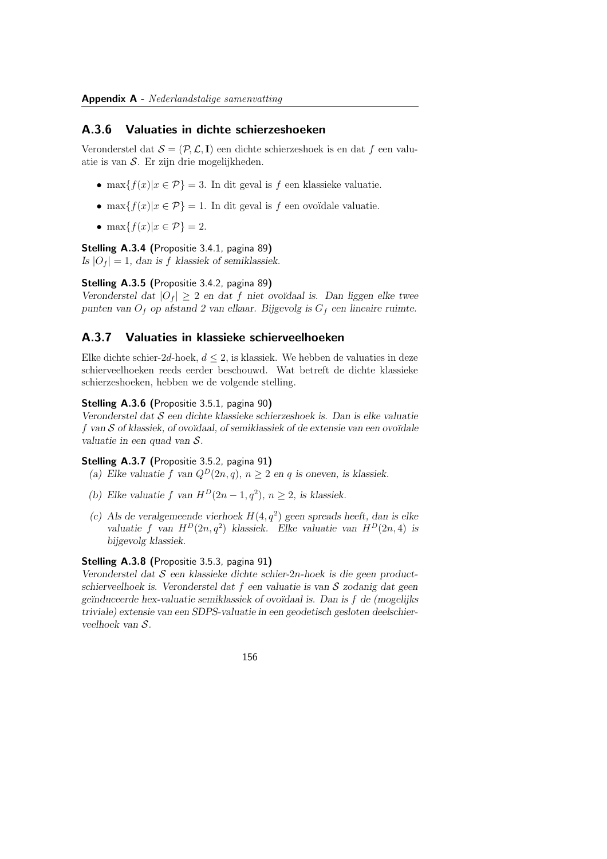#### A.3.6 Valuaties in dichte schierzeshoeken

Veronderstel dat  $S = (\mathcal{P}, \mathcal{L}, I)$  een dichte schierzeshoek is en dat f een valuatie is van S. Er zijn drie mogelijkheden.

- max ${f(x)|x \in \mathcal{P}} = 3$ . In dit geval is f een klassieke valuatie.
- max ${f(x)|x \in \mathcal{P}} = 1$ . In dit geval is f een ovoïdale valuatie.
- max ${f(x)|x \in \mathcal{P}} = 2$ .

#### Stelling A.3.4 (Propositie 3.4.1, pagina 89)

Is  $|O_f| = 1$ , dan is f klassiek of semiklassiek.

#### Stelling A.3.5 (Propositie 3.4.2, pagina 89)

Veronderstel dat  $|O_f| \geq 2$  en dat f niet ovoïdaal is. Dan liggen elke twee punten van  $O_f$  op afstand 2 van elkaar. Bijgevolg is  $G_f$  een lineaire ruimte.

## A.3.7 Valuaties in klassieke schierveelhoeken

Elke dichte schier-2d-hoek,  $d \leq 2$ , is klassiek. We hebben de valuaties in deze schierveelhoeken reeds eerder beschouwd. Wat betreft de dichte klassieke schierzeshoeken, hebben we de volgende stelling.

#### Stelling A.3.6 (Propositie 3.5.1, pagina 90)

Veronderstel dat S een dichte klassieke schierzeshoek is. Dan is elke valuatie f van  $S$  of klassiek, of ovoïdaal, of semiklassiek of de extensie van een ovoïdale valuatie in een quad van S.

# Stelling A.3.7 (Propositie 3.5.2, pagina 91)

- (a) Elke valuatie f van  $Q^D(2n, q)$ ,  $n \geq 2$  en q is oneven, is klassiek.
- (b) Elke valuatie f van  $H^D(2n-1, q^2)$ ,  $n \ge 2$ , is klassiek.
- (c) Als de veralgemeende vierhoek  $H(4, q^2)$  geen spreads heeft, dan is elke valuatie f van  $H^D(2n, q^2)$  klassiek. Elke valuatie van  $H^D(2n, 4)$  is bijgevolg klassiek.

#### Stelling A.3.8 (Propositie 3.5.3, pagina 91)

Veronderstel dat  $S$  een klassieke dichte schier-2n-hoek is die geen productschierveelhoek is. Veronderstel dat  $f$  een valuatie is van  $S$  zodanig dat geen geïnduceerde hex-valuatie semiklassiek of ovoïdaal is. Dan is f de (mogelijks triviale) extensie van een SDPS-valuatie in een geodetisch gesloten deelschierveelhoek van S.

156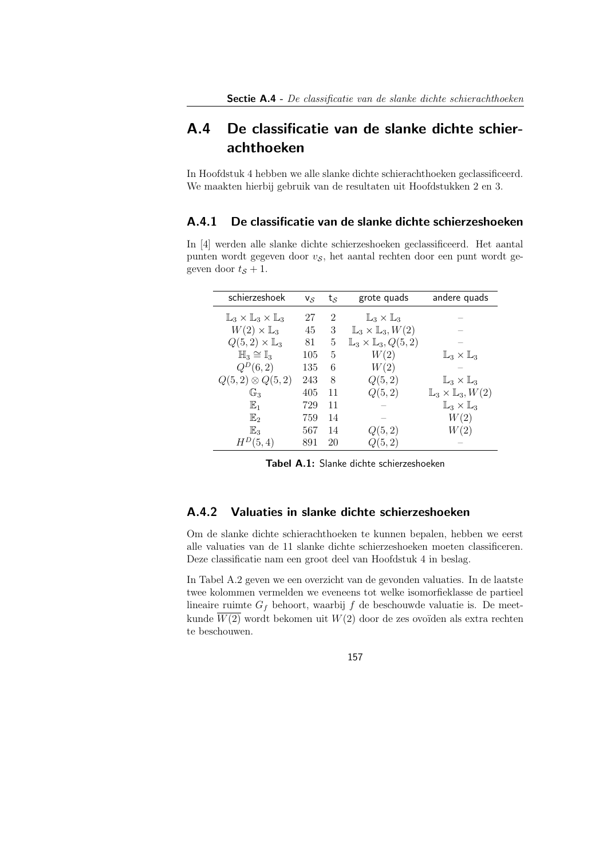# A.4 De classificatie van de slanke dichte schierachthoeken

In Hoofdstuk 4 hebben we alle slanke dichte schierachthoeken geclassificeerd. We maakten hierbij gebruik van de resultaten uit Hoofdstukken 2 en 3.

### A.4.1 De classificatie van de slanke dichte schierzeshoeken

In [4] werden alle slanke dichte schierzeshoeken geclassificeerd. Het aantal punten wordt gegeven door  $v_s$ , het aantal rechten door een punt wordt gegeven door  $t_s + 1$ .

| schierzeshoek                                          | $V_S$ | $t_{\mathcal{S}}$ | grote quads                                   | andere quads                             |
|--------------------------------------------------------|-------|-------------------|-----------------------------------------------|------------------------------------------|
| $\mathbb{L}_3 \times \mathbb{L}_3 \times \mathbb{L}_3$ | 27    | 2                 | $\mathbb{L}_3 \times \mathbb{L}_3$            |                                          |
| $W(2) \times \mathbb{L}_3$                             | 45    | 3                 | $\mathbb{L}_3 \times \mathbb{L}_3$ , $W(2)$   |                                          |
| $Q(5,2)\times\mathbb{L}_3$                             | 81    | 5                 | $\mathbb{L}_3 \times \mathbb{L}_3$ , $Q(5,2)$ |                                          |
| $\mathbb{H}_3 \cong \mathbb{I}_3$                      | 105   | 5                 | W(2)                                          | $\mathbb{L}_3 \times \mathbb{L}_3$       |
| $Q^D(6,2)$                                             | 135   | 6                 | W(2)                                          |                                          |
| $Q(5,2)\otimes Q(5,2)$                                 | 243   | 8                 | Q(5,2)                                        | $\mathbb{L}_3 \times \mathbb{L}_3$       |
| $\mathbb{G}_3$                                         | 405   | 11                | Q(5,2)                                        | $\mathbb{L}_3 \times \mathbb{L}_3, W(2)$ |
| $\mathbb{E}_1$                                         | 729   | 11                |                                               | $\mathbb{L}_3 \times \mathbb{L}_3$       |
| $\mathbb{E}_2$                                         | 759   | 14                |                                               | W(2)                                     |
| $\mathbb{E}_3$                                         | 567   | 14                | Q(5,2)                                        | W(2)                                     |
| $H^D(5,4)$                                             | 891   | 20                | Q(5,2)                                        |                                          |

Tabel A.1: Slanke dichte schierzeshoeken

# A.4.2 Valuaties in slanke dichte schierzeshoeken

Om de slanke dichte schierachthoeken te kunnen bepalen, hebben we eerst alle valuaties van de 11 slanke dichte schierzeshoeken moeten classificeren. Deze classificatie nam een groot deel van Hoofdstuk 4 in beslag.

In Tabel A.2 geven we een overzicht van de gevonden valuaties. In de laatste twee kolommen vermelden we eveneens tot welke isomorfieklasse de partieel lineaire ruimte  $G_f$  behoort, waarbij f de beschouwde valuatie is. De meetkunde  $\overline{W(2)}$  wordt bekomen uit  $W(2)$  door de zes ovoïden als extra rechten te beschouwen.

<sup>157</sup>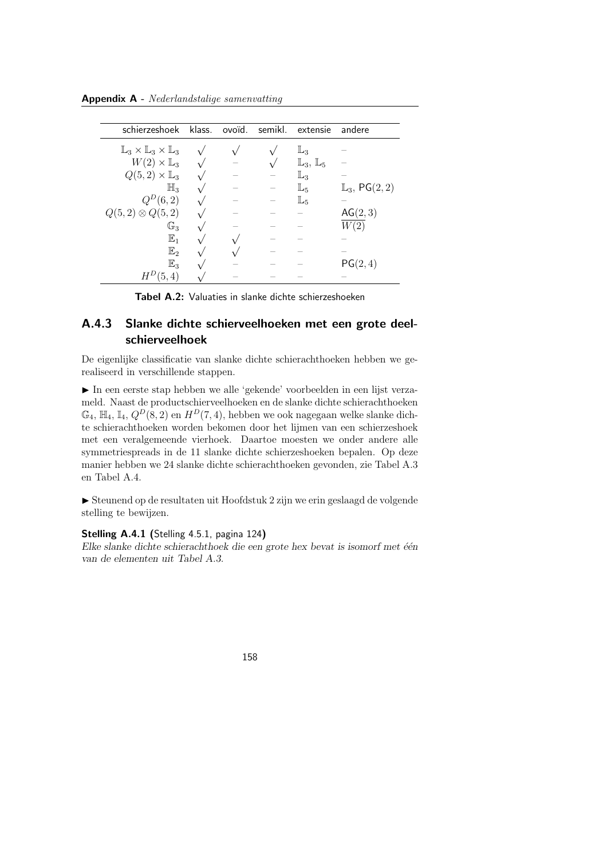Appendix A - Nederlandstalige samenvatting

| schierzeshoek                                          | klass. | ovoïd. semikl. | extensie                        | andere                       |
|--------------------------------------------------------|--------|----------------|---------------------------------|------------------------------|
| $\mathbb{L}_3 \times \mathbb{L}_3 \times \mathbb{L}_3$ |        |                | $\mathbb{L}_3$                  |                              |
| $W(2) \times \mathbb{L}_3$                             |        |                | $\mathbb{L}_3$ , $\mathbb{L}_5$ |                              |
| $Q(5,2)\times\mathbb{L}_3$                             |        |                | $\mathbb{L}_3$                  |                              |
| $H_3$                                                  |        |                | $\mathbb{L}_5$                  | $\mathbb{L}_3$ , PG $(2, 2)$ |
| $Q^D(6,2)$                                             |        |                | $\mathbb{L}_5$                  |                              |
| $Q(5,2)\otimes Q(5,2)$                                 |        |                |                                 | AG(2,3)                      |
| $\mathbb{G}_3$                                         |        |                |                                 | W(2)                         |
| $\mathbb{E}_1$                                         |        |                |                                 |                              |
| $\mathbb{E}_2$                                         |        |                |                                 |                              |
| $\mathbb{E}_3$                                         |        |                |                                 | PG(2, 4)                     |
| $H^D$<br>(5, 4)                                        |        |                |                                 |                              |

Tabel A.2: Valuaties in slanke dichte schierzeshoeken

# A.4.3 Slanke dichte schierveelhoeken met een grote deelschierveelhoek

De eigenlijke classificatie van slanke dichte schierachthoeken hebben we gerealiseerd in verschillende stappen.

In een eerste stap hebben we alle 'gekende' voorbeelden in een lijst verzameld. Naast de productschierveelhoeken en de slanke dichte schierachthoeken  $\mathbb{G}_4$ ,  $\mathbb{H}_4$ ,  $\mathbb{I}_4$ ,  $Q^D(8, 2)$  en  $H^D(7, 4)$ , hebben we ook nagegaan welke slanke dichte schierachthoeken worden bekomen door het lijmen van een schierzeshoek met een veralgemeende vierhoek. Daartoe moesten we onder andere alle symmetriespreads in de 11 slanke dichte schierzeshoeken bepalen. Op deze manier hebben we 24 slanke dichte schierachthoeken gevonden, zie Tabel A.3 en Tabel A.4.

I Steunend op de resultaten uit Hoofdstuk 2 zijn we erin geslaagd de volgende stelling te bewijzen.

#### Stelling A.4.1 (Stelling 4.5.1, pagina 124)

Elke slanke dichte schierachthoek die een grote hex bevat is isomorf met één van de elementen uit Tabel A.3.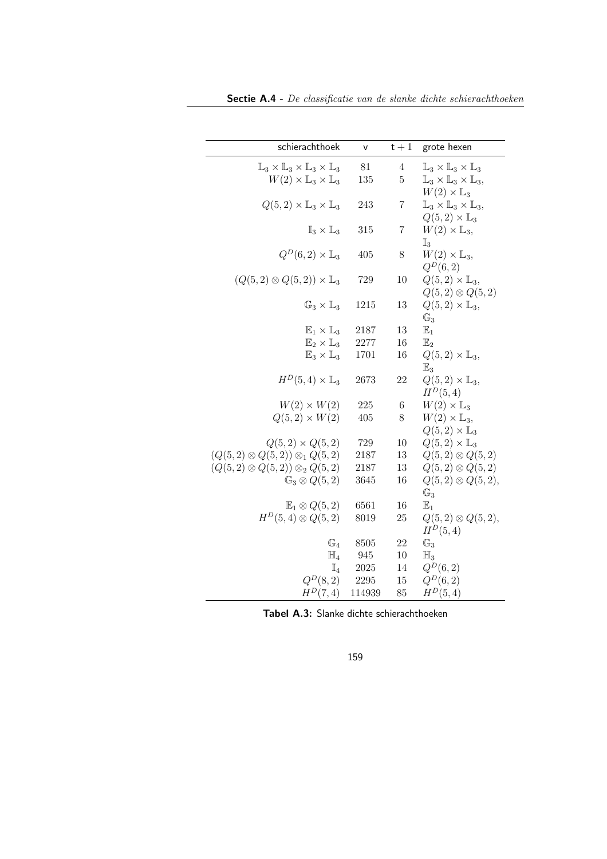| schierachthoek                                                             | V        | $t + 1$        | grote hexen                                            |
|----------------------------------------------------------------------------|----------|----------------|--------------------------------------------------------|
| $\mathbb{L}_3 \times \mathbb{L}_3 \times \mathbb{L}_3 \times \mathbb{L}_3$ | 81       | 4              | $\mathbb{L}_3 \times \mathbb{L}_3 \times \mathbb{L}_3$ |
| $W(2) \times \mathbb{L}_3 \times \mathbb{L}_3$                             | 135      | $\mathbf 5$    | $\mathbb{L}_3 \times \mathbb{L}_3 \times \mathbb{L}_3$ |
|                                                                            |          |                | $W(2) \times \mathbb{L}_3$                             |
| $Q(5,2)\times\mathbb{L}_3\times\mathbb{L}_3$                               | 243      | 7              | $\mathbb{L}_3 \times \mathbb{L}_3 \times \mathbb{L}_3$ |
|                                                                            |          |                | $Q(5,2)\times\mathbb{L}_3$                             |
| $\mathbb{I}_3\times\mathbb{L}_3$                                           | 315      | $\overline{7}$ | $W(2) \times \mathbb{L}_3$                             |
|                                                                            |          |                | $\mathbb{I}_3$                                         |
| $Q^D(6,2)\times\mathbb{L}_3$                                               | 405      | 8              | $W(2) \times \mathbb{L}_3,$                            |
|                                                                            |          |                | $Q^D(6,2)$                                             |
| $(Q(5,2)\otimes Q(5,2))\times \mathbb{L}_3$                                | 729      | $10\,$         | $Q(5,2)\times\mathbb{L}_3,$                            |
|                                                                            |          |                | $Q(5,2) \otimes Q(5,2)$                                |
| $\mathbb{G}_3 \times \mathbb{L}_3$                                         | 1215     | 13             | $Q(5,2)\times\mathbb{L}_3,$                            |
|                                                                            |          |                | $\mathbb{G}_3$                                         |
| $\mathbb{E}_1\times\mathbb{L}_3$                                           | $2187\,$ | 13             | $\mathbb{E}_1$                                         |
| $\mathbb{E}_2\times\mathbb{L}_3$                                           | 2277     | $16\,$         | $\mathbb{E}_2$                                         |
| $\mathbb{E}_3 \times \mathbb{L}_3$                                         | 1701     | 16             | $Q(5,2)\times\mathbb{L}_3,$                            |
|                                                                            |          |                | $\mathbb{E}_3$                                         |
| $H^D(5,4)\times\mathbb{L}_3$                                               | 2673     | $22\,$         | $Q(5,2)\times\mathbb{L}_3,$                            |
|                                                                            |          |                | $H^D(5, 4)$                                            |
| $W(2) \times W(2)$                                                         | 225      | 6              | $W(2) \times \mathbb{L}_3$                             |
| $Q(5,2)\times W(2)$                                                        | 405      | $8\,$          | $W(2) \times \mathbb{L}_3$                             |
|                                                                            |          |                | $Q(5,2)\times\mathbb{L}_3$                             |
| $Q(5,2) \times Q(5,2)$                                                     | 729      | 10             | $Q(5,2)\times\mathbb{L}_3$                             |
| $(Q(5,2)\otimes Q(5,2))\otimes_1 Q(5,2)$                                   | 2187     | 13             | $Q(5,2) \otimes Q(5,2)$                                |
| $(Q(5,2)\otimes Q(5,2))\otimes_2 Q(5,2)$                                   | 2187     | 13             | $Q(5,2)\otimes Q(5,2)$                                 |
| $\mathbb{G}_3 \otimes Q(5,2)$                                              | 3645     | $16\,$         | $Q(5,2) \otimes Q(5,2),$                               |
|                                                                            |          |                | $\mathbb{G}_3$                                         |
| $\mathbb{E}_1 \otimes Q(5,2)$                                              | 6561     | 16             | $\mathbb{E}_1$                                         |
| $H^D(5,4) \otimes Q(5,2)$                                                  | 8019     | $25\,$         | $Q(5,2) \otimes Q(5,2),$                               |
|                                                                            |          |                | $H^D(5,4)$                                             |
| $\mathbb{G}_4$                                                             | 8505     | $22\,$         | $\mathbb{G}_3$                                         |
| $\mathbb{H}_4$                                                             | 945      | 10             | $\mathbb{H}_3$                                         |
| $\mathbb{I}_4$                                                             | $2025\,$ | 14             | $Q^D(6,2)$                                             |
| $Q^D(8,2)$                                                                 | 2295     | 15             | $Q^D(6,2)$                                             |
| $H^{D}(7,4)$                                                               | 114939   | 85             | $H^{D}(5,4)$                                           |

Tabel A.3: Slanke dichte schierachthoeken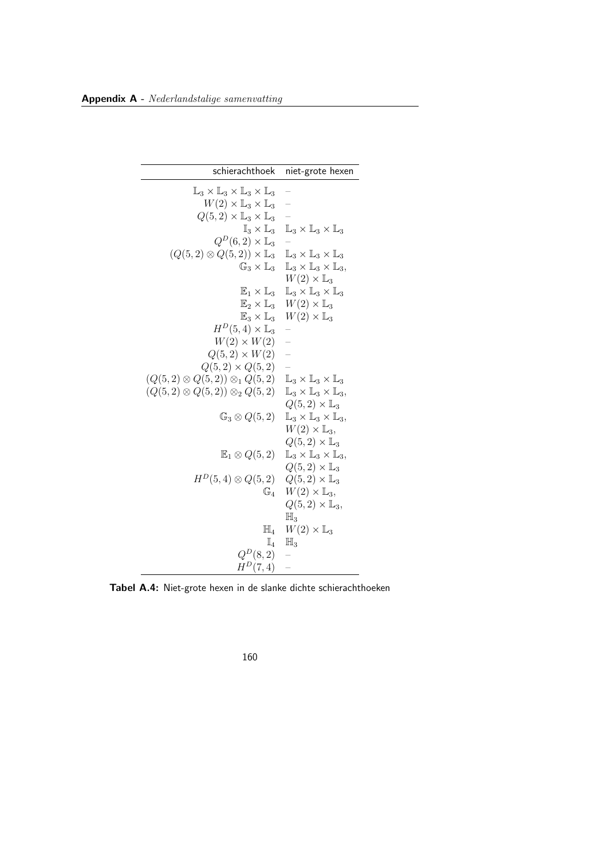| schierachthoek                                                                                       | niet-grote hexen                                                                          |
|------------------------------------------------------------------------------------------------------|-------------------------------------------------------------------------------------------|
| $\mathbb{L}_3 \times \mathbb{L}_3 \times \mathbb{L}_3 \times \mathbb{L}_3$                           |                                                                                           |
| $W(2) \times \mathbb{L}_3 \times \mathbb{L}_3$                                                       |                                                                                           |
| $Q(5,2)\times\mathbb{L}_3\times\mathbb{L}_3$                                                         |                                                                                           |
| $\mathbb{I}_3\times\mathbb{L}_3$                                                                     | $\mathbb{L}_3 \times \mathbb{L}_3 \times \mathbb{L}_3$                                    |
| $Q^D(6,2)\times\mathbb{L}_3$                                                                         |                                                                                           |
| $(Q(5,2)\otimes Q(5,2))\times \mathbb{L}_3 \quad \mathbb{L}_3\times \mathbb{L}_3\times \mathbb{L}_3$ |                                                                                           |
|                                                                                                      | $\mathbb{G}_3 \times \mathbb{L}_3$ $\mathbb{L}_3 \times \mathbb{L}_3 \times \mathbb{L}_3$ |
|                                                                                                      | $W(2) \times \mathbb{L}_3$                                                                |
|                                                                                                      | $\mathbb{E}_1 \times \mathbb{L}_3$ $\mathbb{L}_3 \times \mathbb{L}_3 \times \mathbb{L}_3$ |
|                                                                                                      | $\mathbb{E}_2 \times \mathbb{L}_3$ $W(2) \times \mathbb{L}_3$                             |
|                                                                                                      | $\mathbb{E}_3 \times \mathbb{L}_3$ $W(2) \times \mathbb{L}_3$                             |
| $H^D(5,4)\times\mathbb{L}_3$                                                                         |                                                                                           |
| $W(2) \times W(2)$                                                                                   |                                                                                           |
| $Q(5,2) \times W(2)$                                                                                 | $\frac{1}{2}$                                                                             |
| $Q(5,2) \times Q(5,2)$                                                                               |                                                                                           |
| $(Q(5,2)\otimes Q(5,2))\otimes_1 Q(5,2)$                                                             | $\mathbb{L}_3 \times \mathbb{L}_3 \times \mathbb{L}_3$                                    |
| $(Q(5,2)\otimes Q(5,2))\otimes_2 Q(5,2) \quad \mathbb{L}_3\times\mathbb{L}_3\times\mathbb{L}_3,$     |                                                                                           |
|                                                                                                      | $Q(5,2)\times\mathbb{L}_3$                                                                |
| $\mathbb{G}_3 \otimes Q(5,2)$                                                                        | $\mathbb{L}_3 \times \mathbb{L}_3 \times \mathbb{L}_3$                                    |
|                                                                                                      | $W(2) \times \mathbb{L}_3$                                                                |
|                                                                                                      | $Q(5,2)\times\mathbb{L}_3$                                                                |
|                                                                                                      | $\mathbb{E}_1 \otimes Q(5,2) \quad \mathbb{L}_3 \times \mathbb{L}_3 \times \mathbb{L}_3,$ |
|                                                                                                      | $Q(5,2)\times \mathbb{L}_3$                                                               |
| $H^D(5,4) \otimes Q(5,2) \quad Q(5,2) \times \mathbb{L}_3$                                           |                                                                                           |
|                                                                                                      | $\mathbb{G}_4$ $W(2) \times \mathbb{L}_3$                                                 |
|                                                                                                      | $Q(5,2)\times\mathbb{L}_3$                                                                |
|                                                                                                      | $\mathbb{H}_3$                                                                            |
| $\mathbb{H}_4$                                                                                       | $W(2) \times \mathbb{L}_3$                                                                |
| $\mathbb{I}_4$                                                                                       | $\mathbb{H}_3$                                                                            |
| $Q^D(8,2)$                                                                                           |                                                                                           |
| $H^D(7,4)$                                                                                           | $\overline{a}$                                                                            |

Tabel A.4: Niet-grote hexen in de slanke dichte schierachthoeken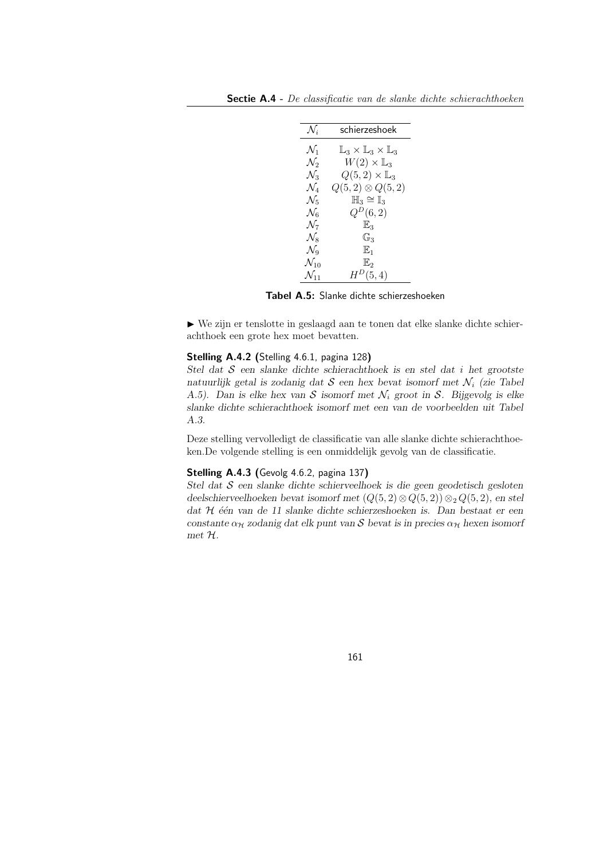| $\mathcal{N}_i$    | schierzeshoek                                          |
|--------------------|--------------------------------------------------------|
| $\mathcal{N}_1$    | $\mathbb{L}_3 \times \mathbb{L}_3 \times \mathbb{L}_3$ |
| $\mathcal{N}_2$    | $W(2) \times \mathbb{L}_3$                             |
| $\mathcal{N}_3$    | $Q(5,2)\times\mathbb{L}_3$                             |
| $\mathcal{N}_4$    | $Q(5,2)\otimes Q(5,2)$                                 |
| $\mathcal{N}_5$    | $\mathbb{H}_3 \cong \mathbb{I}_3$                      |
| $\mathcal{N}_6$    | $Q^D(6,2)$                                             |
| $\mathcal{N}_{7}$  | $\mathbb{E}^3$                                         |
| $\mathcal{N}_8$    | $\mathbb{G}^3$                                         |
| $\mathcal{N}_9$    | $\mathbb{E}_1$                                         |
| $\mathcal{N}_{10}$ | $\mathbb{E}_2$                                         |
| $\mathcal{N}_{11}$ | $H^D(5, 4)$                                            |

Tabel A.5: Slanke dichte schierzeshoeken

I We zijn er tenslotte in geslaagd aan te tonen dat elke slanke dichte schierachthoek een grote hex moet bevatten.

#### Stelling A.4.2 (Stelling 4.6.1, pagina 128)

Stel dat S een slanke dichte schierachthoek is en stel dat i het grootste natuurlijk getal is zodanig dat  $S$  een hex bevat isomorf met  $\mathcal{N}_i$  (zie Tabel A.5). Dan is elke hex van  $S$  isomorf met  $\mathcal{N}_i$  groot in  $S$ . Bijgevolg is elke slanke dichte schierachthoek isomorf met een van de voorbeelden uit Tabel A.3.

Deze stelling vervolledigt de classificatie van alle slanke dichte schierachthoeken.De volgende stelling is een onmiddelijk gevolg van de classificatie.

#### Stelling A.4.3 (Gevolg 4.6.2, pagina 137)

Stel dat S een slanke dichte schierveelhoek is die geen geodetisch gesloten deelschierveelhoeken bevat isomorf met  $(Q(5, 2) \otimes Q(5, 2)) \otimes_2 Q(5, 2)$ , en stel dat  $\mathcal H$  één van de 11 slanke dichte schierzeshoeken is. Dan bestaat er een constante  $\alpha_{\mathcal{H}}$  zodanig dat elk punt van S bevat is in precies  $\alpha_{\mathcal{H}}$  hexen isomorf met H.

161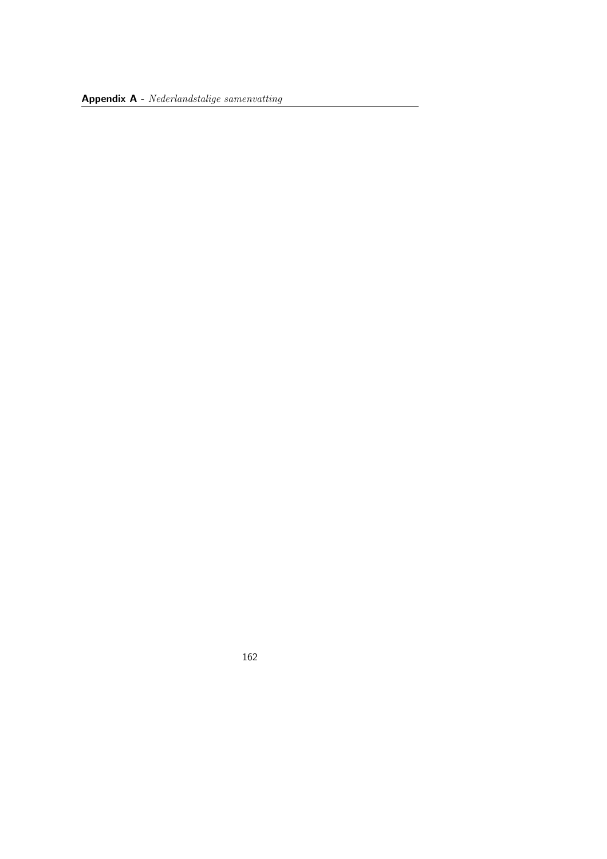Appendix A - Nederlandstalige samenvatting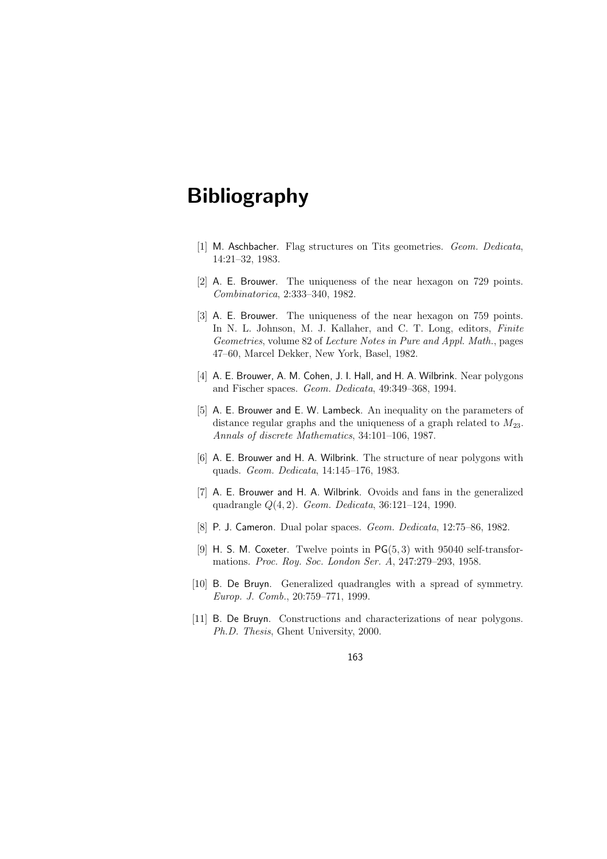# Bibliography

- [1] M. Aschbacher. Flag structures on Tits geometries. Geom. Dedicata, 14:21–32, 1983.
- [2] A. E. Brouwer. The uniqueness of the near hexagon on 729 points. Combinatorica, 2:333–340, 1982.
- [3] A. E. Brouwer. The uniqueness of the near hexagon on 759 points. In N. L. Johnson, M. J. Kallaher, and C. T. Long, editors, Finite Geometries, volume 82 of Lecture Notes in Pure and Appl. Math., pages 47–60, Marcel Dekker, New York, Basel, 1982.
- [4] A. E. Brouwer, A. M. Cohen, J. I. Hall, and H. A. Wilbrink. Near polygons and Fischer spaces. Geom. Dedicata, 49:349–368, 1994.
- [5] A. E. Brouwer and E. W. Lambeck. An inequality on the parameters of distance regular graphs and the uniqueness of a graph related to  $M_{23}$ . Annals of discrete Mathematics, 34:101–106, 1987.
- [6] A. E. Brouwer and H. A. Wilbrink. The structure of near polygons with quads. Geom. Dedicata, 14:145–176, 1983.
- [7] A. E. Brouwer and H. A. Wilbrink. Ovoids and fans in the generalized quadrangle Q(4, 2). Geom. Dedicata, 36:121–124, 1990.
- [8] P. J. Cameron. Dual polar spaces. Geom. Dedicata, 12:75–86, 1982.
- [9] H. S. M. Coxeter. Twelve points in  $PG(5,3)$  with 95040 self-transformations. Proc. Roy. Soc. London Ser. A, 247:279–293, 1958.
- [10] B. De Bruyn. Generalized quadrangles with a spread of symmetry. Europ. J. Comb., 20:759–771, 1999.
- [11] B. De Bruyn. Constructions and characterizations of near polygons. Ph.D. Thesis, Ghent University, 2000.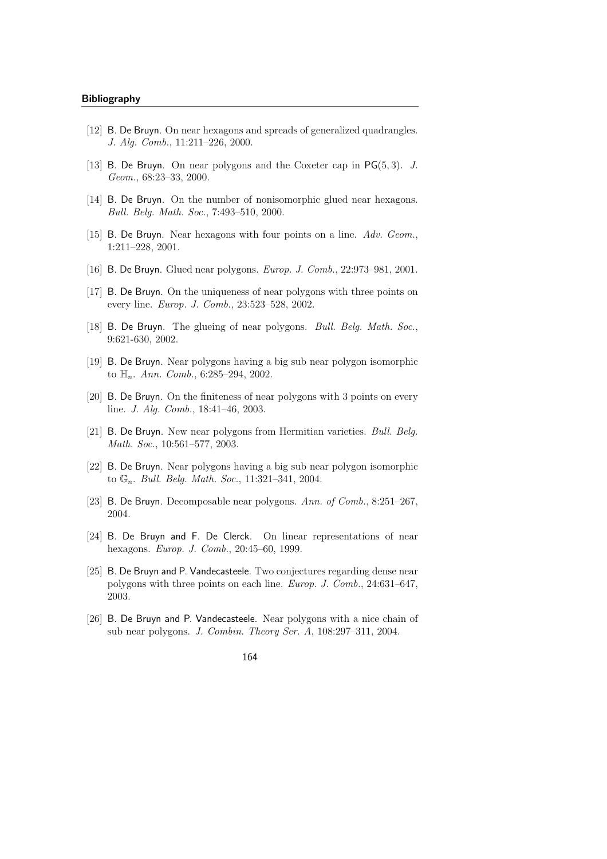- [12] B. De Bruyn. On near hexagons and spreads of generalized quadrangles. J. Alg. Comb., 11:211–226, 2000.
- [13] B. De Bruyn. On near polygons and the Coxeter cap in PG(5, 3). J. Geom., 68:23–33, 2000.
- [14] B. De Bruyn. On the number of nonisomorphic glued near hexagons. Bull. Belg. Math. Soc., 7:493–510, 2000.
- [15] B. De Bruyn. Near hexagons with four points on a line. Adv. Geom., 1:211–228, 2001.
- [16] B. De Bruyn. Glued near polygons. *Europ. J. Comb.*, 22:973–981, 2001.
- [17] B. De Bruyn. On the uniqueness of near polygons with three points on every line. Europ. J. Comb., 23:523–528, 2002.
- [18] B. De Bruyn. The glueing of near polygons. *Bull. Belg. Math. Soc.*, 9:621-630, 2002.
- [19] B. De Bruyn. Near polygons having a big sub near polygon isomorphic to  $\mathbb{H}_n$ . Ann. Comb., 6:285-294, 2002.
- [20] B. De Bruyn. On the finiteness of near polygons with 3 points on every line. J. Alg. Comb., 18:41–46, 2003.
- [21] B. De Bruyn. New near polygons from Hermitian varieties. Bull. Belg. Math. Soc., 10:561–577, 2003.
- [22] B. De Bruyn. Near polygons having a big sub near polygon isomorphic to  $\mathbb{G}_n$ . Bull. Belg. Math. Soc., 11:321-341, 2004.
- [23] B. De Bruyn. Decomposable near polygons. Ann. of Comb., 8:251–267, 2004.
- [24] B. De Bruyn and F. De Clerck. On linear representations of near hexagons. Europ. J. Comb., 20:45–60, 1999.
- [25] B. De Bruyn and P. Vandecasteele. Two conjectures regarding dense near polygons with three points on each line. Europ. J. Comb., 24:631–647, 2003.
- [26] B. De Bruyn and P. Vandecasteele. Near polygons with a nice chain of sub near polygons. J. Combin. Theory Ser. A, 108:297–311, 2004.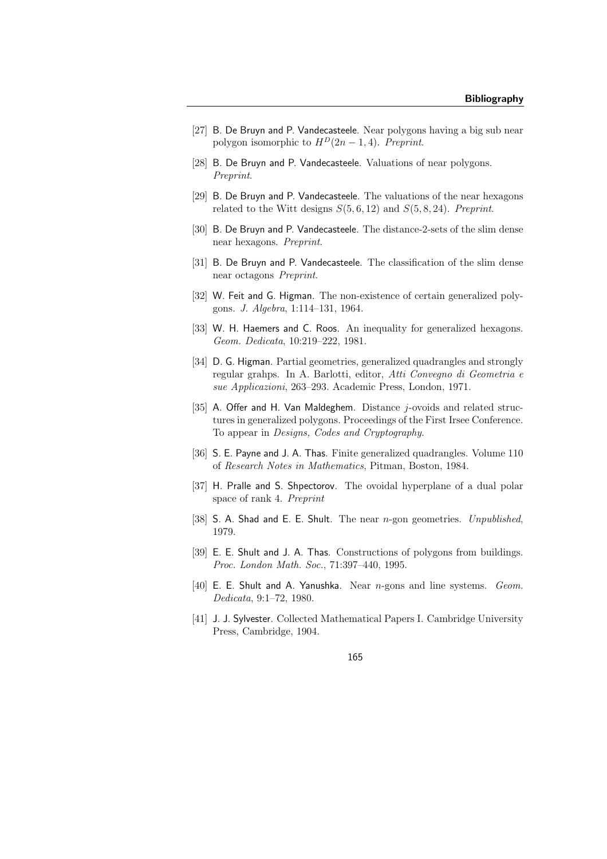- [27] B. De Bruyn and P. Vandecasteele. Near polygons having a big sub near polygon isomorphic to  $H^D(2n-1, 4)$ . Preprint.
- [28] B. De Bruyn and P. Vandecasteele. Valuations of near polygons. Preprint.
- [29] B. De Bruyn and P. Vandecasteele. The valuations of the near hexagons related to the Witt designs  $S(5,6,12)$  and  $S(5,8,24)$ . Preprint.
- [30] B. De Bruyn and P. Vandecasteele. The distance-2-sets of the slim dense near hexagons. Preprint.
- [31] B. De Bruyn and P. Vandecasteele. The classification of the slim dense near octagons Preprint.
- [32] W. Feit and G. Higman. The non-existence of certain generalized polygons. J. Algebra, 1:114–131, 1964.
- [33] W. H. Haemers and C. Roos. An inequality for generalized hexagons. Geom. Dedicata, 10:219–222, 1981.
- [34] D. G. Higman. Partial geometries, generalized quadrangles and strongly regular grahps. In A. Barlotti, editor, Atti Convegno di Geometria e sue Applicazioni, 263–293. Academic Press, London, 1971.
- [35] A. Offer and H. Van Maldeghem. Distance j-ovoids and related structures in generalized polygons. Proceedings of the First Irsee Conference. To appear in Designs, Codes and Cryptography.
- [36] S. E. Payne and J. A. Thas. Finite generalized quadrangles. Volume 110 of Research Notes in Mathematics, Pitman, Boston, 1984.
- [37] H. Pralle and S. Shpectorov. The ovoidal hyperplane of a dual polar space of rank 4. Preprint
- [38] S. A. Shad and E. E. Shult. The near n-gon geometries. Unpublished, 1979.
- [39] E. E. Shult and J. A. Thas. Constructions of polygons from buildings. Proc. London Math. Soc., 71:397–440, 1995.
- [40] E. E. Shult and A. Yanushka. Near  $n$ -gons and line systems. Geom. Dedicata, 9:1–72, 1980.
- [41] J. J. Sylvester. Collected Mathematical Papers I. Cambridge University Press, Cambridge, 1904.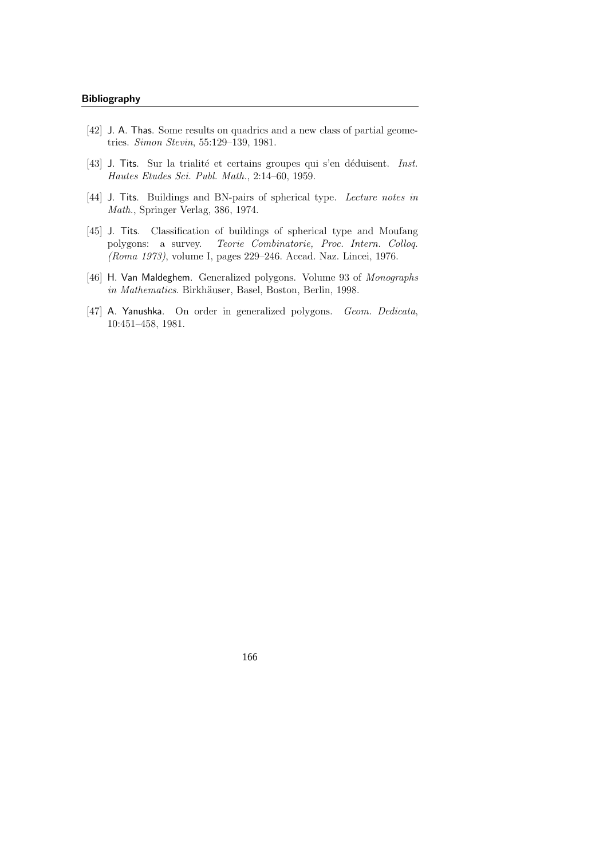- [42] J. A. Thas. Some results on quadrics and a new class of partial geometries. Simon Stevin, 55:129–139, 1981.
- [43] J. Tits. Sur la trialité et certains groupes qui s'en déduisent. Inst. Hautes Etudes Sci. Publ. Math., 2:14–60, 1959.
- [44] J. Tits. Buildings and BN-pairs of spherical type. Lecture notes in Math., Springer Verlag, 386, 1974.
- [45] J. Tits. Classification of buildings of spherical type and Moufang polygons: a survey. Teorie Combinatorie, Proc. Intern. Colloq. (Roma 1973), volume I, pages 229–246. Accad. Naz. Lincei, 1976.
- [46] H. Van Maldeghem. Generalized polygons. Volume 93 of Monographs in Mathematics. Birkhäuser, Basel, Boston, Berlin, 1998.
- [47] A. Yanushka. On order in generalized polygons. Geom. Dedicata, 10:451–458, 1981.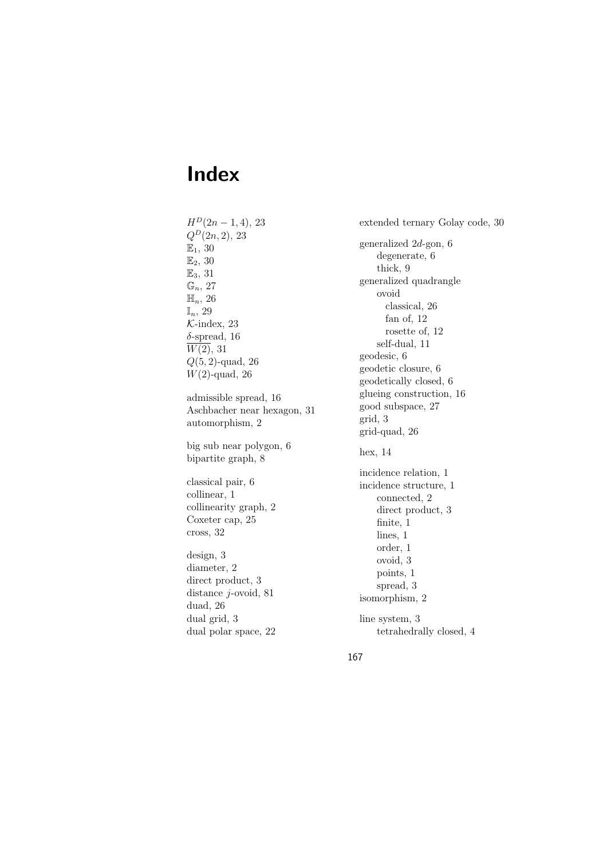# Index

 $H^D(2n-1,4)$ , 23  $Q^D(2n, 2), 23$  $\mathbb{E}_1$ , 30  $\mathbb{E}_2$ , 30  $\mathbb{E}_3$ , 31  $\mathbb{G}_n$ , 27  $\mathbb{H}_n$ , 26  $\mathbb{I}_n$ , 29  $K$ -index, 23  $\delta$ -spread, 16  $W(2)$ , 31  $Q(5, 2)$ -quad, 26  $W(2)$ -quad, 26 admissible spread, 16 Aschbacher near hexagon, 31 automorphism, 2 big sub near polygon, 6 bipartite graph, 8 classical pair, 6 collinear, 1 collinearity graph, 2 Coxeter cap, 25 cross, 32 design, 3 diameter, 2 direct product, 3 distance j-ovoid, 81 duad, 26 dual grid, 3

dual polar space, 22

extended ternary Golay code, 30 generalized 2d-gon, 6 degenerate, 6 thick, 9 generalized quadrangle ovoid classical, 26 fan of, 12 rosette of, 12 self-dual, 11 geodesic, 6 geodetic closure, 6 geodetically closed, 6 glueing construction, 16 good subspace, 27 grid, 3 grid-quad, 26 hex, 14 incidence relation, 1 incidence structure, 1 connected, 2 direct product, 3 finite, 1 lines, 1 order, 1 ovoid, 3 points, 1 spread, 3 isomorphism, 2 line system, 3 tetrahedrally closed, 4